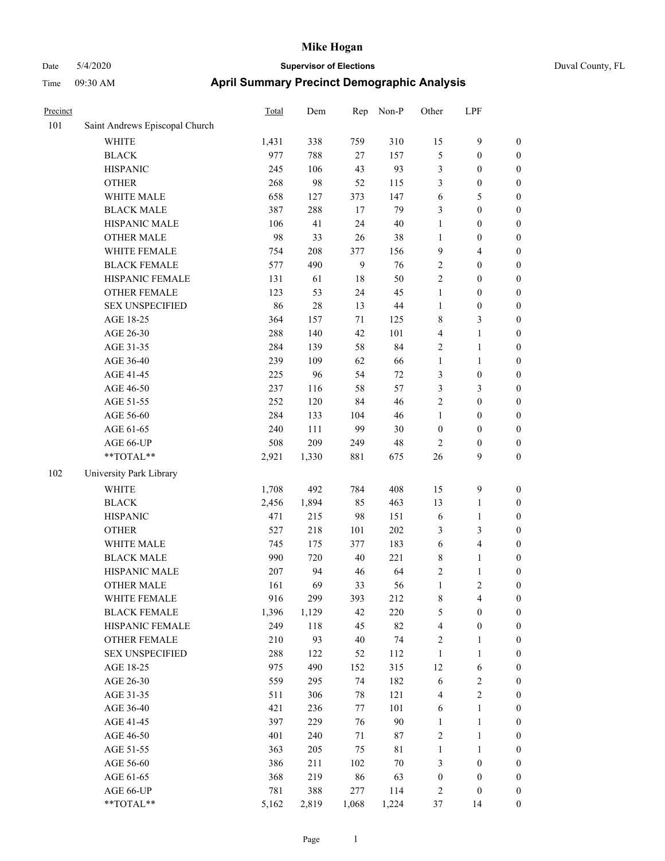# Date 5/4/2020 **Supervisor of Elections** Duval County, FL Time 09:30 AM **April Summary Precinct Demographic Analysis**

| Precinct |                                | Total | Dem   | Rep | Non-P  | Other            | LPF                     |                  |
|----------|--------------------------------|-------|-------|-----|--------|------------------|-------------------------|------------------|
| 101      | Saint Andrews Episcopal Church |       |       |     |        |                  |                         |                  |
|          | <b>WHITE</b>                   | 1,431 | 338   | 759 | 310    | 15               | 9                       | $\boldsymbol{0}$ |
|          | <b>BLACK</b>                   | 977   | 788   | 27  | 157    | 5                | $\boldsymbol{0}$        | $\boldsymbol{0}$ |
|          | <b>HISPANIC</b>                | 245   | 106   | 43  | 93     | $\mathfrak{Z}$   | $\boldsymbol{0}$        | $\boldsymbol{0}$ |
|          | <b>OTHER</b>                   | 268   | 98    | 52  | 115    | 3                | $\boldsymbol{0}$        | $\boldsymbol{0}$ |
|          | WHITE MALE                     | 658   | 127   | 373 | 147    | 6                | 5                       | $\boldsymbol{0}$ |
|          | <b>BLACK MALE</b>              | 387   | 288   | 17  | 79     | 3                | $\boldsymbol{0}$        | $\boldsymbol{0}$ |
|          | HISPANIC MALE                  | 106   | 41    | 24  | 40     | $\mathbf{1}$     | $\boldsymbol{0}$        | $\boldsymbol{0}$ |
|          | <b>OTHER MALE</b>              | 98    | 33    | 26  | 38     | 1                | $\boldsymbol{0}$        | $\boldsymbol{0}$ |
|          | WHITE FEMALE                   | 754   | 208   | 377 | 156    | 9                | 4                       | $\boldsymbol{0}$ |
|          | <b>BLACK FEMALE</b>            | 577   | 490   | 9   | 76     | $\sqrt{2}$       | $\boldsymbol{0}$        | $\boldsymbol{0}$ |
|          | HISPANIC FEMALE                | 131   | 61    | 18  | 50     | $\sqrt{2}$       | $\boldsymbol{0}$        | $\boldsymbol{0}$ |
|          | <b>OTHER FEMALE</b>            | 123   | 53    | 24  | 45     | $\mathbf{1}$     | $\boldsymbol{0}$        | $\boldsymbol{0}$ |
|          | <b>SEX UNSPECIFIED</b>         | 86    | 28    | 13  | 44     | $\mathbf{1}$     | $\boldsymbol{0}$        | $\boldsymbol{0}$ |
|          | AGE 18-25                      | 364   | 157   | 71  | 125    | $\,$ 8 $\,$      | 3                       | $\boldsymbol{0}$ |
|          | AGE 26-30                      | 288   | 140   | 42  | 101    | $\overline{4}$   | 1                       | $\boldsymbol{0}$ |
|          | AGE 31-35                      | 284   | 139   | 58  | 84     | $\sqrt{2}$       | 1                       | $\boldsymbol{0}$ |
|          | AGE 36-40                      | 239   | 109   | 62  | 66     | $\mathbf{1}$     | $\mathbf{1}$            | $\boldsymbol{0}$ |
|          | AGE 41-45                      | 225   | 96    | 54  | 72     | $\mathfrak{Z}$   | $\boldsymbol{0}$        | $\boldsymbol{0}$ |
|          | AGE 46-50                      | 237   | 116   | 58  | 57     | 3                | 3                       | $\boldsymbol{0}$ |
|          | AGE 51-55                      | 252   | 120   | 84  | 46     | $\sqrt{2}$       | $\boldsymbol{0}$        | $\boldsymbol{0}$ |
|          | AGE 56-60                      | 284   | 133   | 104 | 46     | $\mathbf{1}$     | $\boldsymbol{0}$        | $\boldsymbol{0}$ |
|          | AGE 61-65                      | 240   | 111   | 99  | $30\,$ | $\boldsymbol{0}$ | $\boldsymbol{0}$        | $\boldsymbol{0}$ |
|          | AGE 66-UP                      | 508   | 209   | 249 | 48     | $\overline{2}$   | $\boldsymbol{0}$        | $\boldsymbol{0}$ |
|          | **TOTAL**                      | 2,921 | 1,330 | 881 | 675    | 26               | 9                       | $\boldsymbol{0}$ |
|          |                                |       |       |     |        |                  |                         |                  |
| 102      | University Park Library        |       |       |     |        |                  |                         |                  |
|          | WHITE                          | 1,708 | 492   | 784 | 408    | 15               | 9                       | $\boldsymbol{0}$ |
|          | <b>BLACK</b>                   | 2,456 | 1,894 | 85  | 463    | 13               | 1                       | $\boldsymbol{0}$ |
|          | <b>HISPANIC</b>                | 471   | 215   | 98  | 151    | 6                | 1                       | $\boldsymbol{0}$ |
|          | <b>OTHER</b>                   | 527   | 218   | 101 | 202    | 3                | 3                       | $\boldsymbol{0}$ |
|          | WHITE MALE                     | 745   | 175   | 377 | 183    | 6                | 4                       | $\boldsymbol{0}$ |
|          | <b>BLACK MALE</b>              | 990   | 720   | 40  | 221    | $\,$ 8 $\,$      | 1                       | $\boldsymbol{0}$ |
|          | HISPANIC MALE                  | 207   | 94    | 46  | 64     | $\sqrt{2}$       | 1                       | $\boldsymbol{0}$ |
|          | <b>OTHER MALE</b>              | 161   | 69    | 33  | 56     | $\mathbf{1}$     | 2                       | $\boldsymbol{0}$ |
|          | WHITE FEMALE                   | 916   | 299   | 393 | 212    | $\,$ 8 $\,$      | $\overline{\mathbf{4}}$ | $\boldsymbol{0}$ |
|          | <b>BLACK FEMALE</b>            | 1,396 | 1,129 | 42  | 220    | 5                | $\boldsymbol{0}$        | $\boldsymbol{0}$ |
|          | HISPANIC FEMALE                | 249   | 118   | 45  | 82     | $\overline{4}$   | $\boldsymbol{0}$        | $\boldsymbol{0}$ |
|          | <b>OTHER FEMALE</b>            | 210   | 93    | 40  | 74     | $\sqrt{2}$       | 1                       | $\boldsymbol{0}$ |
|          | <b>SEX UNSPECIFIED</b>         | 288   | 122   | 52  | 112    | $\mathbf{1}$     | 1                       | $\boldsymbol{0}$ |
|          | AGE 18-25                      | 975   | 490   | 152 | 315    | 12               | 6                       | $\boldsymbol{0}$ |
|          | AGE 26-30                      | 559   | 295   | 74  | 182    | 6                | $\overline{c}$          | $\boldsymbol{0}$ |
|          | AGE 31-35                      | 511   | 306   | 78  | 121    | $\overline{4}$   | $\mathbf{2}$            | $\boldsymbol{0}$ |
|          | AGE 36-40                      | 421   | 236   | 77  | 101    | 6                | $\mathbf{1}$            | $\boldsymbol{0}$ |
|          | AGE 41-45                      | 397   | 229   | 76  | 90     | $\mathbf{1}$     | $\mathbf{1}$            | $\boldsymbol{0}$ |
|          | AGE 46-50                      | 401   | 240   | 71  | 87     | $\sqrt{2}$       | $\mathbf{1}$            | $\boldsymbol{0}$ |
|          | AGE 51-55                      | 363   | 205   | 75  | 81     | $\mathbf{1}$     | $\mathbf{1}$            | $\boldsymbol{0}$ |
|          | AGE 56-60                      | 386   | 211   | 102 | 70     | 3                | $\boldsymbol{0}$        | $\boldsymbol{0}$ |
|          | AGE 61-65                      | 368   | 219   | 86  | 63     | $\boldsymbol{0}$ | $\boldsymbol{0}$        | $\mathbf{0}$     |
|          | AGE 66-UP                      | 781   | 388   | 277 | 114    | $\overline{c}$   | $\boldsymbol{0}$        | $\boldsymbol{0}$ |

\*\*TOTAL\*\* 5,162 2,819 1,068 1,224 37 14 0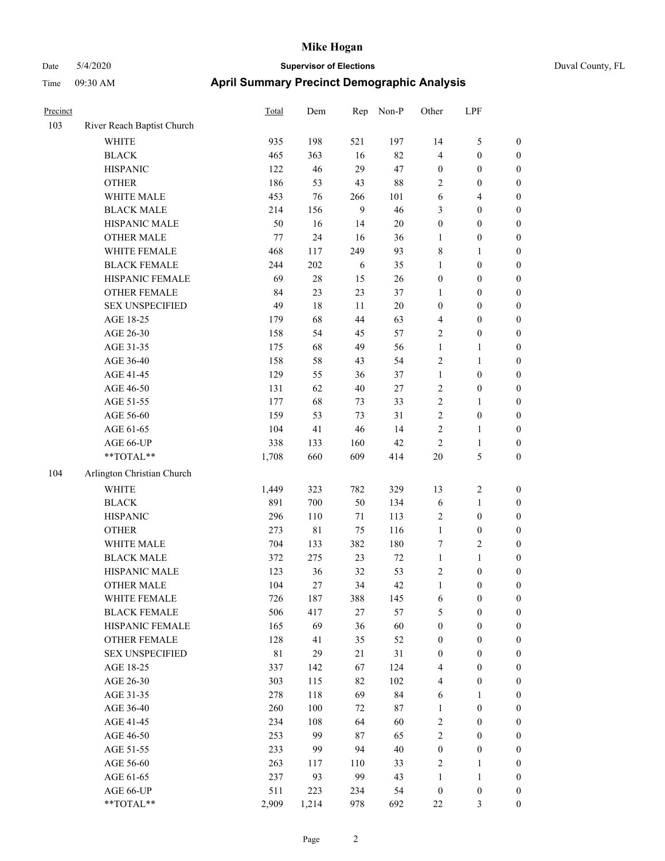| Precinct |                            | Total       | Dem         | Rep    | Non-P  | Other            | LPF              |                  |
|----------|----------------------------|-------------|-------------|--------|--------|------------------|------------------|------------------|
| 103      | River Reach Baptist Church |             |             |        |        |                  |                  |                  |
|          | <b>WHITE</b>               | 935         | 198         | 521    | 197    | 14               | 5                | $\boldsymbol{0}$ |
|          | <b>BLACK</b>               | 465         | 363         | 16     | 82     | $\overline{4}$   | $\boldsymbol{0}$ | $\boldsymbol{0}$ |
|          | <b>HISPANIC</b>            | 122         | 46          | 29     | 47     | $\boldsymbol{0}$ | $\boldsymbol{0}$ | $\boldsymbol{0}$ |
|          | <b>OTHER</b>               | 186         | 53          | 43     | 88     | $\sqrt{2}$       | $\boldsymbol{0}$ | $\boldsymbol{0}$ |
|          | WHITE MALE                 | 453         | 76          | 266    | 101    | 6                | 4                | $\boldsymbol{0}$ |
|          | <b>BLACK MALE</b>          | 214         | 156         | 9      | 46     | 3                | $\boldsymbol{0}$ | $\boldsymbol{0}$ |
|          | HISPANIC MALE              | 50          | 16          | 14     | $20\,$ | $\boldsymbol{0}$ | $\boldsymbol{0}$ | $\boldsymbol{0}$ |
|          | <b>OTHER MALE</b>          | $77 \,$     | 24          | 16     | 36     | $\mathbf{1}$     | $\boldsymbol{0}$ | $\boldsymbol{0}$ |
|          | WHITE FEMALE               | 468         | 117         | 249    | 93     | $\,$ 8 $\,$      | 1                | $\boldsymbol{0}$ |
|          | <b>BLACK FEMALE</b>        | 244         | $202\,$     | 6      | 35     | $\mathbf{1}$     | $\boldsymbol{0}$ | $\boldsymbol{0}$ |
|          | HISPANIC FEMALE            | 69          | $28\,$      | 15     | $26\,$ | $\boldsymbol{0}$ | $\boldsymbol{0}$ | $\boldsymbol{0}$ |
|          | <b>OTHER FEMALE</b>        | 84          | 23          | 23     | 37     | 1                | $\boldsymbol{0}$ | $\boldsymbol{0}$ |
|          | <b>SEX UNSPECIFIED</b>     | 49          | 18          | 11     | $20\,$ | $\boldsymbol{0}$ | $\boldsymbol{0}$ | $\boldsymbol{0}$ |
|          | AGE 18-25                  | 179         | 68          | 44     | 63     | $\overline{4}$   | $\boldsymbol{0}$ | $\boldsymbol{0}$ |
|          | AGE 26-30                  | 158         | 54          | 45     | 57     | $\sqrt{2}$       | $\boldsymbol{0}$ | $\boldsymbol{0}$ |
|          | AGE 31-35                  | 175         | 68          | 49     | 56     | $\mathbf{1}$     | 1                | $\boldsymbol{0}$ |
|          | AGE 36-40                  | 158         | 58          | 43     | 54     | $\sqrt{2}$       | 1                | $\boldsymbol{0}$ |
|          | AGE 41-45                  | 129         | 55          | 36     | 37     | $\mathbf{1}$     | $\boldsymbol{0}$ | $\boldsymbol{0}$ |
|          | AGE 46-50                  | 131         | 62          | $40\,$ | $27\,$ | $\sqrt{2}$       | $\boldsymbol{0}$ | $\boldsymbol{0}$ |
|          | AGE 51-55                  | 177         | 68          | 73     | 33     | $\sqrt{2}$       | 1                | $\boldsymbol{0}$ |
|          | AGE 56-60                  | 159         | 53          | 73     | 31     | $\sqrt{2}$       | $\boldsymbol{0}$ | $\boldsymbol{0}$ |
|          | AGE 61-65                  | 104         | 41          | 46     | 14     | $\sqrt{2}$       | 1                | $\boldsymbol{0}$ |
|          | AGE 66-UP                  | 338         | 133         | 160    | 42     | $\overline{2}$   | 1                | $\boldsymbol{0}$ |
|          | **TOTAL**                  | 1,708       | 660         | 609    | 414    | 20               | 5                | $\boldsymbol{0}$ |
| 104      | Arlington Christian Church |             |             |        |        |                  |                  |                  |
|          | <b>WHITE</b>               | 1,449       | 323         | 782    | 329    | 13               | 2                | $\boldsymbol{0}$ |
|          | <b>BLACK</b>               | 891         | 700         | 50     | 134    | 6                | $\mathbf{1}$     | $\boldsymbol{0}$ |
|          | <b>HISPANIC</b>            | 296         | $110\,$     | 71     | 113    | $\sqrt{2}$       | $\boldsymbol{0}$ | $\boldsymbol{0}$ |
|          | <b>OTHER</b>               | 273         | $8\sqrt{1}$ | 75     | 116    | $\mathbf{1}$     | $\boldsymbol{0}$ | $\boldsymbol{0}$ |
|          | WHITE MALE                 | 704         | 133         | 382    | 180    | $\tau$           | 2                | $\boldsymbol{0}$ |
|          | <b>BLACK MALE</b>          | 372         | 275         | 23     | 72     | $\mathbf{1}$     | 1                | $\boldsymbol{0}$ |
|          | HISPANIC MALE              | 123         | 36          | 32     | 53     | $\sqrt{2}$       | $\boldsymbol{0}$ | $\boldsymbol{0}$ |
|          | <b>OTHER MALE</b>          | 104         | 27          | 34     | 42     | $\mathbf{1}$     | $\boldsymbol{0}$ | $\boldsymbol{0}$ |
|          | WHITE FEMALE               | 726         | 187         | 388    | 145    | 6                | $\boldsymbol{0}$ | $\mathbf{0}$     |
|          | <b>BLACK FEMALE</b>        | 506         | 417         | $27\,$ | 57     | $\sqrt{5}$       | $\boldsymbol{0}$ | $\boldsymbol{0}$ |
|          | HISPANIC FEMALE            | 165         | 69          | 36     | 60     | $\boldsymbol{0}$ | $\boldsymbol{0}$ | $\boldsymbol{0}$ |
|          | OTHER FEMALE               | 128         | 41          | 35     | 52     | $\boldsymbol{0}$ | $\boldsymbol{0}$ | $\boldsymbol{0}$ |
|          | <b>SEX UNSPECIFIED</b>     | $8\sqrt{1}$ | 29          | 21     | 31     | $\boldsymbol{0}$ | $\boldsymbol{0}$ | $\boldsymbol{0}$ |
|          | AGE 18-25                  | 337         | 142         | 67     | 124    | $\overline{4}$   | $\boldsymbol{0}$ | $\boldsymbol{0}$ |
|          | AGE 26-30                  | 303         | 115         | 82     | 102    | $\overline{4}$   | $\boldsymbol{0}$ | $\boldsymbol{0}$ |
|          | AGE 31-35                  | 278         | 118         | 69     | 84     | 6                | 1                | $\boldsymbol{0}$ |
|          | AGE 36-40                  | 260         | 100         | 72     | 87     | $\mathbf{1}$     | $\boldsymbol{0}$ | $\boldsymbol{0}$ |
|          | AGE 41-45                  | 234         | 108         | 64     | 60     | $\sqrt{2}$       | $\boldsymbol{0}$ | $\boldsymbol{0}$ |
|          | AGE 46-50                  | 253         | 99          | 87     | 65     | $\sqrt{2}$       | $\boldsymbol{0}$ | $\boldsymbol{0}$ |
|          | AGE 51-55                  | 233         | 99          | 94     | 40     | $\boldsymbol{0}$ | $\boldsymbol{0}$ | $\boldsymbol{0}$ |
|          | AGE 56-60                  | 263         | 117         | 110    | 33     | $\sqrt{2}$       | 1                | $\boldsymbol{0}$ |
|          | AGE 61-65                  | 237         | 93          | 99     | 43     | $\mathbf{1}$     | $\mathbf{1}$     | $\boldsymbol{0}$ |
|          | AGE 66-UP                  | 511         | 223         | 234    | 54     | $\boldsymbol{0}$ | $\boldsymbol{0}$ | $\boldsymbol{0}$ |
|          | **TOTAL**                  | 2,909       | 1,214       | 978    | 692    | 22               | $\mathfrak{Z}$   | $\boldsymbol{0}$ |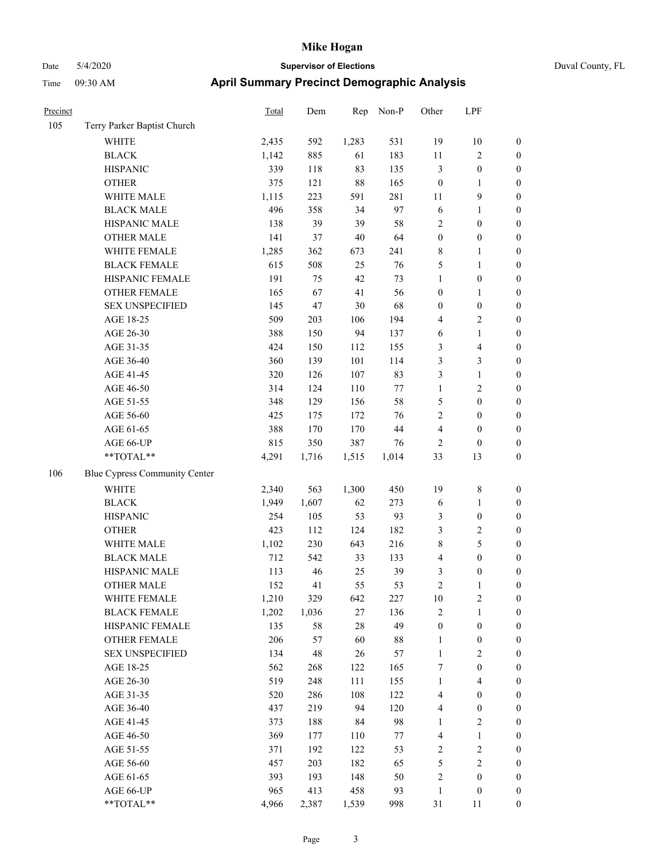| Precinct |                                      | Total | Dem    | Rep    | Non-P   | Other            | LPF                     |                  |
|----------|--------------------------------------|-------|--------|--------|---------|------------------|-------------------------|------------------|
| 105      | Terry Parker Baptist Church          |       |        |        |         |                  |                         |                  |
|          | WHITE                                | 2,435 | 592    | 1,283  | 531     | 19               | 10                      | $\boldsymbol{0}$ |
|          | <b>BLACK</b>                         | 1,142 | 885    | 61     | 183     | 11               | 2                       | $\boldsymbol{0}$ |
|          | <b>HISPANIC</b>                      | 339   | 118    | 83     | 135     | $\mathfrak{Z}$   | $\boldsymbol{0}$        | $\boldsymbol{0}$ |
|          | <b>OTHER</b>                         | 375   | 121    | $88\,$ | 165     | $\boldsymbol{0}$ | 1                       | $\boldsymbol{0}$ |
|          | WHITE MALE                           | 1,115 | 223    | 591    | 281     | 11               | 9                       | $\boldsymbol{0}$ |
|          | <b>BLACK MALE</b>                    | 496   | 358    | 34     | 97      | 6                | 1                       | $\boldsymbol{0}$ |
|          | HISPANIC MALE                        | 138   | 39     | 39     | 58      | $\sqrt{2}$       | $\boldsymbol{0}$        | $\boldsymbol{0}$ |
|          | <b>OTHER MALE</b>                    | 141   | 37     | 40     | 64      | $\boldsymbol{0}$ | $\boldsymbol{0}$        | $\boldsymbol{0}$ |
|          | WHITE FEMALE                         | 1,285 | 362    | 673    | 241     | $\,$ 8 $\,$      | 1                       | $\boldsymbol{0}$ |
|          | <b>BLACK FEMALE</b>                  | 615   | 508    | 25     | 76      | 5                | $\mathbf{1}$            | $\boldsymbol{0}$ |
|          | HISPANIC FEMALE                      | 191   | 75     | 42     | 73      | $\mathbf{1}$     | $\boldsymbol{0}$        | $\boldsymbol{0}$ |
|          | <b>OTHER FEMALE</b>                  | 165   | 67     | 41     | 56      | $\boldsymbol{0}$ | 1                       | $\boldsymbol{0}$ |
|          | <b>SEX UNSPECIFIED</b>               | 145   | 47     | $30\,$ | 68      | $\boldsymbol{0}$ | $\boldsymbol{0}$        | $\boldsymbol{0}$ |
|          | AGE 18-25                            | 509   | 203    | 106    | 194     | $\overline{4}$   | 2                       | $\boldsymbol{0}$ |
|          | AGE 26-30                            | 388   | 150    | 94     | 137     | 6                | $\mathbf{1}$            | $\boldsymbol{0}$ |
|          | AGE 31-35                            | 424   | 150    | 112    | 155     | $\mathfrak{Z}$   | 4                       | $\boldsymbol{0}$ |
|          | AGE 36-40                            | 360   | 139    | 101    | 114     | 3                | 3                       | $\boldsymbol{0}$ |
|          | AGE 41-45                            | 320   | 126    | 107    | 83      | $\mathfrak{Z}$   | 1                       | $\boldsymbol{0}$ |
|          | AGE 46-50                            | 314   | 124    | 110    | $77 \,$ | $\mathbf{1}$     | 2                       | $\boldsymbol{0}$ |
|          | AGE 51-55                            | 348   | 129    | 156    | 58      | 5                | $\boldsymbol{0}$        | $\boldsymbol{0}$ |
|          | AGE 56-60                            | 425   | 175    | 172    | 76      | $\sqrt{2}$       | $\boldsymbol{0}$        | $\boldsymbol{0}$ |
|          | AGE 61-65                            | 388   | 170    | 170    | $44\,$  | $\overline{4}$   | $\boldsymbol{0}$        | $\boldsymbol{0}$ |
|          | AGE 66-UP                            | 815   | 350    | 387    | 76      | $\sqrt{2}$       | $\boldsymbol{0}$        | $\boldsymbol{0}$ |
|          | **TOTAL**                            | 4,291 | 1,716  | 1,515  | 1,014   | 33               | 13                      | $\boldsymbol{0}$ |
| 106      | <b>Blue Cypress Community Center</b> |       |        |        |         |                  |                         |                  |
|          | WHITE                                | 2,340 | 563    | 1,300  | 450     | 19               | 8                       | $\boldsymbol{0}$ |
|          | <b>BLACK</b>                         | 1,949 | 1,607  | 62     | 273     | 6                | 1                       | $\boldsymbol{0}$ |
|          | <b>HISPANIC</b>                      | 254   | 105    | 53     | 93      | 3                | $\boldsymbol{0}$        | $\boldsymbol{0}$ |
|          | <b>OTHER</b>                         | 423   | 112    | 124    | 182     | 3                | 2                       | $\boldsymbol{0}$ |
|          | WHITE MALE                           | 1,102 | 230    | 643    | 216     | $\,$ 8 $\,$      | 5                       | $\boldsymbol{0}$ |
|          | <b>BLACK MALE</b>                    | 712   | 542    | 33     | 133     | $\overline{4}$   | $\boldsymbol{0}$        | $\boldsymbol{0}$ |
|          | HISPANIC MALE                        | 113   | 46     | 25     | 39      | 3                | 0                       | $\boldsymbol{0}$ |
|          | <b>OTHER MALE</b>                    | 152   | 41     | 55     | 53      | $\overline{2}$   | 1                       | $\boldsymbol{0}$ |
|          | WHITE FEMALE                         | 1,210 | 329    | 642    | 227     | $10\,$           | $\sqrt{2}$              | $\boldsymbol{0}$ |
|          | <b>BLACK FEMALE</b>                  | 1,202 | 1,036  | $27\,$ | 136     | $\sqrt{2}$       | 1                       | $\boldsymbol{0}$ |
|          | HISPANIC FEMALE                      | 135   | 58     | $28\,$ | 49      | $\boldsymbol{0}$ | $\boldsymbol{0}$        | $\boldsymbol{0}$ |
|          | <b>OTHER FEMALE</b>                  | 206   | 57     | 60     | 88      | $\mathbf{1}$     | $\boldsymbol{0}$        | $\boldsymbol{0}$ |
|          | <b>SEX UNSPECIFIED</b>               | 134   | $48\,$ | $26\,$ | 57      | $\mathbf{1}$     | $\sqrt{2}$              | $\boldsymbol{0}$ |
|          | AGE 18-25                            | 562   | 268    | 122    | 165     | $\boldsymbol{7}$ | $\boldsymbol{0}$        | $\boldsymbol{0}$ |
|          | AGE 26-30                            | 519   | 248    | 111    | 155     | $\mathbf{1}$     | 4                       | $\boldsymbol{0}$ |
|          | AGE 31-35                            | 520   | 286    | 108    | 122     | $\overline{4}$   | $\boldsymbol{0}$        | $\boldsymbol{0}$ |
|          | AGE 36-40                            | 437   | 219    | 94     | 120     | $\overline{4}$   | $\boldsymbol{0}$        | $\boldsymbol{0}$ |
|          | AGE 41-45                            | 373   | 188    | 84     | 98      | 1                | $\overline{\mathbf{c}}$ | $\boldsymbol{0}$ |
|          | AGE 46-50                            | 369   | 177    | 110    | 77      | $\overline{4}$   | $\mathbf{1}$            | $\boldsymbol{0}$ |
|          | AGE 51-55                            | 371   | 192    | 122    | 53      | $\sqrt{2}$       | $\sqrt{2}$              | $\boldsymbol{0}$ |
|          | AGE 56-60                            | 457   | 203    | 182    | 65      | $\sqrt{5}$       | $\sqrt{2}$              | $\boldsymbol{0}$ |
|          | AGE 61-65                            | 393   | 193    | 148    | 50      | $\sqrt{2}$       | $\boldsymbol{0}$        | $\boldsymbol{0}$ |
|          | AGE 66-UP                            | 965   | 413    | 458    | 93      | $\mathbf{1}$     | $\boldsymbol{0}$        | $\mathbf{0}$     |
|          | **TOTAL**                            | 4,966 | 2,387  | 1,539  | 998     | 31               | $11\,$                  | $\boldsymbol{0}$ |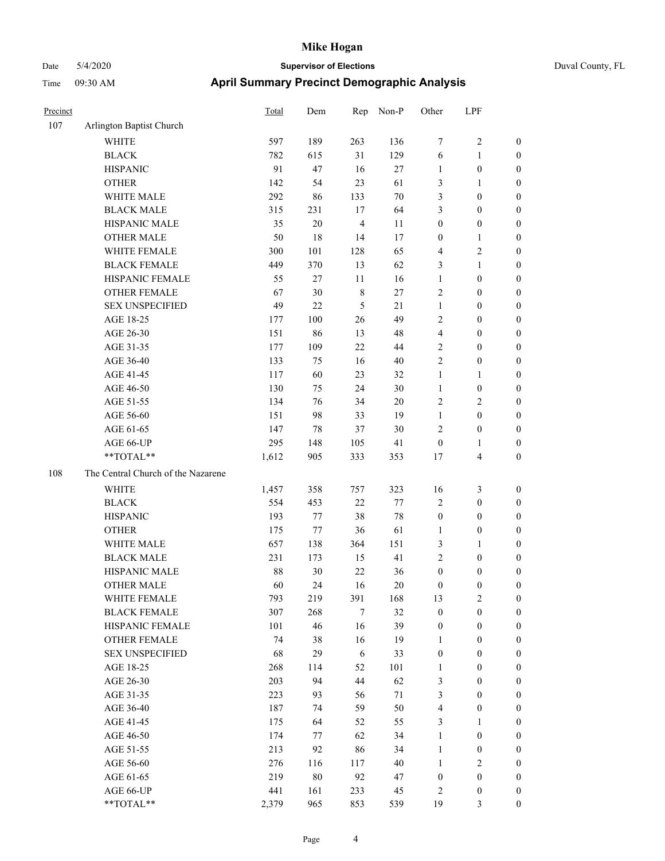| Precinct |                                    | Total | Dem    | Rep            | Non-P  | Other            | LPF              |                  |
|----------|------------------------------------|-------|--------|----------------|--------|------------------|------------------|------------------|
| 107      | Arlington Baptist Church           |       |        |                |        |                  |                  |                  |
|          | <b>WHITE</b>                       | 597   | 189    | 263            | 136    | 7                | $\sqrt{2}$       | $\boldsymbol{0}$ |
|          | <b>BLACK</b>                       | 782   | 615    | 31             | 129    | 6                | $\mathbf{1}$     | $\boldsymbol{0}$ |
|          | <b>HISPANIC</b>                    | 91    | 47     | 16             | 27     | $\mathbf{1}$     | $\boldsymbol{0}$ | $\boldsymbol{0}$ |
|          | <b>OTHER</b>                       | 142   | 54     | 23             | 61     | 3                | 1                | $\boldsymbol{0}$ |
|          | WHITE MALE                         | 292   | 86     | 133            | $70\,$ | 3                | $\boldsymbol{0}$ | 0                |
|          | <b>BLACK MALE</b>                  | 315   | 231    | 17             | 64     | 3                | $\boldsymbol{0}$ | $\boldsymbol{0}$ |
|          | HISPANIC MALE                      | 35    | $20\,$ | $\overline{4}$ | 11     | $\boldsymbol{0}$ | $\boldsymbol{0}$ | $\boldsymbol{0}$ |
|          | <b>OTHER MALE</b>                  | 50    | 18     | 14             | 17     | $\boldsymbol{0}$ | $\mathbf{1}$     | $\boldsymbol{0}$ |
|          | WHITE FEMALE                       | 300   | 101    | 128            | 65     | 4                | $\sqrt{2}$       | $\boldsymbol{0}$ |
|          | <b>BLACK FEMALE</b>                | 449   | 370    | 13             | 62     | 3                | $\mathbf{1}$     | $\boldsymbol{0}$ |
|          | HISPANIC FEMALE                    | 55    | 27     | $11\,$         | 16     | $\mathbf{1}$     | $\boldsymbol{0}$ | $\boldsymbol{0}$ |
|          | OTHER FEMALE                       | 67    | 30     | $\,$ 8 $\,$    | 27     | $\overline{2}$   | $\boldsymbol{0}$ | $\boldsymbol{0}$ |
|          | <b>SEX UNSPECIFIED</b>             | 49    | 22     | $\sqrt{5}$     | 21     | $\mathbf{1}$     | $\boldsymbol{0}$ | $\boldsymbol{0}$ |
|          | AGE 18-25                          | 177   | 100    | 26             | 49     | $\overline{c}$   | $\boldsymbol{0}$ | $\boldsymbol{0}$ |
|          | AGE 26-30                          | 151   | 86     | 13             | 48     | $\overline{4}$   | $\boldsymbol{0}$ | 0                |
|          | AGE 31-35                          | 177   | 109    | 22             | 44     | 2                | $\boldsymbol{0}$ | $\boldsymbol{0}$ |
|          | AGE 36-40                          | 133   | 75     | 16             | $40\,$ | $\overline{2}$   | $\boldsymbol{0}$ | $\boldsymbol{0}$ |
|          | AGE 41-45                          | 117   | 60     | 23             | 32     | $\mathbf{1}$     | 1                | $\boldsymbol{0}$ |
|          | AGE 46-50                          | 130   | 75     | 24             | 30     | $\mathbf{1}$     | $\boldsymbol{0}$ | $\boldsymbol{0}$ |
|          | AGE 51-55                          | 134   | 76     | 34             | $20\,$ | $\sqrt{2}$       | $\sqrt{2}$       | $\boldsymbol{0}$ |
|          | AGE 56-60                          | 151   | 98     | 33             | 19     | $\mathbf{1}$     | $\boldsymbol{0}$ | $\boldsymbol{0}$ |
|          | AGE 61-65                          | 147   | 78     | 37             | 30     | $\overline{2}$   | $\boldsymbol{0}$ | $\boldsymbol{0}$ |
|          | AGE 66-UP                          | 295   | 148    | 105            | 41     | $\boldsymbol{0}$ | 1                | $\boldsymbol{0}$ |
|          | **TOTAL**                          | 1,612 | 905    | 333            | 353    | 17               | $\overline{4}$   | 0                |
| 108      | The Central Church of the Nazarene |       |        |                |        |                  |                  |                  |
|          | <b>WHITE</b>                       | 1,457 | 358    | 757            | 323    | 16               | $\mathfrak{Z}$   | $\boldsymbol{0}$ |
|          | <b>BLACK</b>                       | 554   | 453    | 22             | $77\,$ | $\overline{c}$   | $\boldsymbol{0}$ | 0                |
|          | <b>HISPANIC</b>                    | 193   | 77     | 38             | $78\,$ | $\boldsymbol{0}$ | $\boldsymbol{0}$ | 0                |
|          | <b>OTHER</b>                       | 175   | 77     | 36             | 61     | 1                | $\boldsymbol{0}$ | $\boldsymbol{0}$ |
|          | WHITE MALE                         | 657   | 138    | 364            | 151    | 3                | 1                | $\boldsymbol{0}$ |
|          | <b>BLACK MALE</b>                  | 231   | 173    | 15             | 41     | $\overline{c}$   | $\boldsymbol{0}$ | $\boldsymbol{0}$ |
|          | HISPANIC MALE                      | 88    | 30     | $22\,$         | 36     | $\boldsymbol{0}$ | $\boldsymbol{0}$ | $\boldsymbol{0}$ |
|          | <b>OTHER MALE</b>                  | 60    | 24     | 16             | 20     | $\boldsymbol{0}$ | $\boldsymbol{0}$ | $\boldsymbol{0}$ |
|          | WHITE FEMALE                       | 793   | 219    | 391            | 168    | 13               | $\overline{c}$   | $\boldsymbol{0}$ |
|          | <b>BLACK FEMALE</b>                | 307   | 268    | $\tau$         | 32     | $\boldsymbol{0}$ | $\boldsymbol{0}$ | 0                |
|          | HISPANIC FEMALE                    | 101   | 46     | 16             | 39     | $\boldsymbol{0}$ | $\boldsymbol{0}$ | 0                |
|          | <b>OTHER FEMALE</b>                | 74    | 38     | 16             | 19     | $\mathbf{1}$     | $\boldsymbol{0}$ | 0                |
|          | <b>SEX UNSPECIFIED</b>             | 68    | 29     | $\sqrt{6}$     | 33     | $\boldsymbol{0}$ | $\boldsymbol{0}$ | 0                |
|          | AGE 18-25                          | 268   | 114    | 52             | 101    | $\mathbf{1}$     | $\boldsymbol{0}$ | $\overline{0}$   |
|          | AGE 26-30                          | 203   | 94     | 44             | 62     | 3                | $\boldsymbol{0}$ | $\boldsymbol{0}$ |
|          | AGE 31-35                          | 223   | 93     | 56             | 71     | 3                | $\boldsymbol{0}$ | $\overline{0}$   |
|          | AGE 36-40                          | 187   | 74     | 59             | 50     | $\overline{4}$   | $\boldsymbol{0}$ | $\boldsymbol{0}$ |
|          | AGE 41-45                          | 175   | 64     | 52             | 55     | $\mathfrak{Z}$   | $\mathbf{1}$     | $\overline{0}$   |
|          | AGE 46-50                          | 174   | 77     | 62             | 34     | $\mathbf{1}$     | $\boldsymbol{0}$ | $\overline{0}$   |
|          | AGE 51-55                          | 213   | 92     | 86             | 34     | $\mathbf{1}$     | $\boldsymbol{0}$ | $\boldsymbol{0}$ |
|          | AGE 56-60                          | 276   | 116    | 117            | 40     | $\mathbf{1}$     | $\sqrt{2}$       | $\boldsymbol{0}$ |
|          | AGE 61-65                          | 219   | $80\,$ | 92             | 47     | $\boldsymbol{0}$ | $\boldsymbol{0}$ | 0                |
|          | AGE 66-UP                          | 441   | 161    | 233            | 45     | 2                | $\boldsymbol{0}$ | 0                |
|          | **TOTAL**                          | 2,379 | 965    | 853            | 539    | 19               | $\mathfrak{Z}$   | $\boldsymbol{0}$ |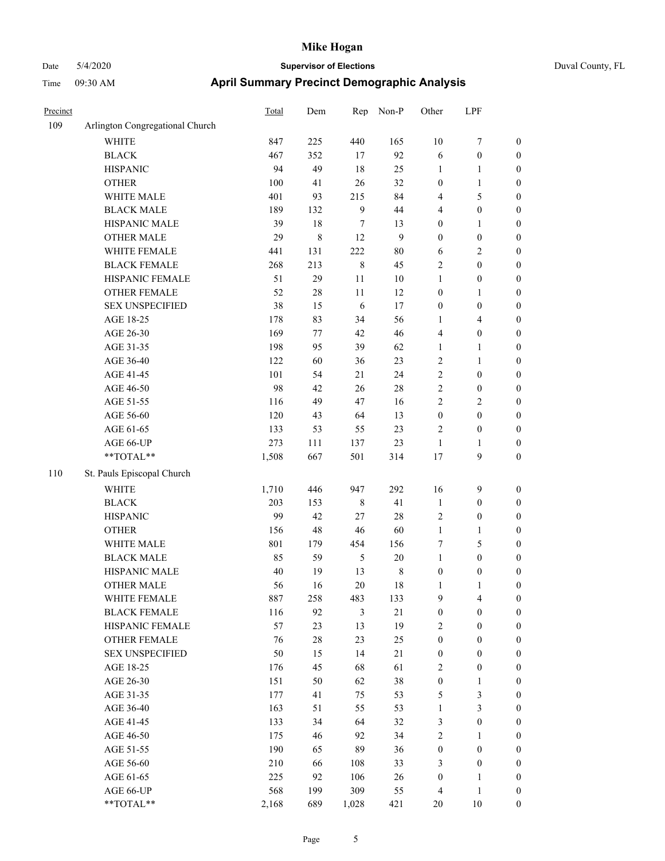| Duval County, FL |
|------------------|
|------------------|

| Precinct |                                 | <b>Total</b> | Dem         | Rep         | Non-P            | Other            | LPF              |                  |
|----------|---------------------------------|--------------|-------------|-------------|------------------|------------------|------------------|------------------|
| 109      | Arlington Congregational Church |              |             |             |                  |                  |                  |                  |
|          | WHITE                           | 847          | 225         | 440         | 165              | $10\,$           | 7                | $\boldsymbol{0}$ |
|          | <b>BLACK</b>                    | 467          | 352         | 17          | 92               | 6                | $\boldsymbol{0}$ | $\boldsymbol{0}$ |
|          | <b>HISPANIC</b>                 | 94           | 49          | 18          | 25               | 1                | 1                | 0                |
|          | <b>OTHER</b>                    | 100          | 41          | 26          | 32               | $\boldsymbol{0}$ | $\mathbf{1}$     | 0                |
|          | WHITE MALE                      | 401          | 93          | 215         | 84               | 4                | $\mathfrak s$    | $\boldsymbol{0}$ |
|          | <b>BLACK MALE</b>               | 189          | 132         | 9           | 44               | 4                | $\boldsymbol{0}$ | $\boldsymbol{0}$ |
|          | HISPANIC MALE                   | 39           | 18          | 7           | 13               | $\boldsymbol{0}$ | $\mathbf{1}$     | $\boldsymbol{0}$ |
|          | <b>OTHER MALE</b>               | 29           | $\,$ 8 $\,$ | 12          | $\boldsymbol{9}$ | $\boldsymbol{0}$ | $\boldsymbol{0}$ | $\boldsymbol{0}$ |
|          | WHITE FEMALE                    | 441          | 131         | 222         | $80\,$           | 6                | $\sqrt{2}$       | $\boldsymbol{0}$ |
|          | <b>BLACK FEMALE</b>             | 268          | 213         | $\,$ 8 $\,$ | 45               | $\overline{c}$   | $\boldsymbol{0}$ | $\boldsymbol{0}$ |
|          | HISPANIC FEMALE                 | 51           | 29          | 11          | $10\,$           | $\mathbf{1}$     | $\boldsymbol{0}$ | $\boldsymbol{0}$ |
|          | <b>OTHER FEMALE</b>             | 52           | 28          | 11          | 12               | $\boldsymbol{0}$ | 1                | $\boldsymbol{0}$ |
|          | <b>SEX UNSPECIFIED</b>          | 38           | 15          | 6           | 17               | $\boldsymbol{0}$ | $\boldsymbol{0}$ | 0                |
|          | AGE 18-25                       | 178          | 83          | 34          | 56               | 1                | $\overline{4}$   | 0                |
|          | AGE 26-30                       | 169          | 77          | 42          | 46               | 4                | $\boldsymbol{0}$ | $\boldsymbol{0}$ |
|          | AGE 31-35                       | 198          | 95          | 39          | 62               | 1                | 1                | $\boldsymbol{0}$ |
|          | AGE 36-40                       | 122          | 60          | 36          | 23               | $\overline{c}$   | $\mathbf{1}$     | $\boldsymbol{0}$ |
|          | AGE 41-45                       | 101          | 54          | 21          | 24               | $\sqrt{2}$       | $\boldsymbol{0}$ | $\boldsymbol{0}$ |
|          | AGE 46-50                       | 98           | 42          | 26          | 28               | 2                | $\boldsymbol{0}$ | $\boldsymbol{0}$ |
|          | AGE 51-55                       | 116          | 49          | 47          | 16               | $\overline{2}$   | $\overline{2}$   | $\boldsymbol{0}$ |
|          | AGE 56-60                       | 120          | 43          | 64          | 13               | $\boldsymbol{0}$ | $\boldsymbol{0}$ | $\boldsymbol{0}$ |
|          | AGE 61-65                       | 133          | 53          | 55          | 23               | $\overline{c}$   | $\boldsymbol{0}$ | 0                |
|          | AGE 66-UP                       | 273          | 111         | 137         | 23               | $\mathbf{1}$     | 1                | 0                |
|          | $**TOTAL**$                     | 1,508        | 667         | 501         | 314              | 17               | 9                | $\boldsymbol{0}$ |
| 110      | St. Pauls Episcopal Church      |              |             |             |                  |                  |                  |                  |
|          | <b>WHITE</b>                    | 1,710        | 446         | 947         | 292              | 16               | 9                | 0                |
|          | <b>BLACK</b>                    | 203          | 153         | $\,$ 8 $\,$ | 41               | $\mathbf{1}$     | $\boldsymbol{0}$ | $\boldsymbol{0}$ |
|          | <b>HISPANIC</b>                 | 99           | 42          | 27          | 28               | $\overline{c}$   | $\boldsymbol{0}$ | 0                |
|          | <b>OTHER</b>                    | 156          | 48          | 46          | 60               | $\mathbf{1}$     | 1                | $\boldsymbol{0}$ |
|          | WHITE MALE                      | 801          | 179         | 454         | 156              | 7                | $\mathfrak s$    | $\boldsymbol{0}$ |
|          | <b>BLACK MALE</b>               | 85           | 59          | 5           | 20               | $\mathbf{1}$     | $\boldsymbol{0}$ | $\boldsymbol{0}$ |
|          | HISPANIC MALE                   | 40           | 19          | 13          | 8                | $\boldsymbol{0}$ | $\boldsymbol{0}$ | 0                |
|          | <b>OTHER MALE</b>               | 56           | 16          | 20          | 18               | $\mathbf{1}$     | $\mathbf{1}$     | $\boldsymbol{0}$ |
|          | WHITE FEMALE                    | 887          | 258         | 483         | 133              | $\overline{9}$   | $\overline{4}$   | 0                |
|          | <b>BLACK FEMALE</b>             | 116          | 92          | 3           | $21\,$           | $\boldsymbol{0}$ | $\boldsymbol{0}$ | 0                |
|          | HISPANIC FEMALE                 | 57           | 23          | 13          | 19               | $\overline{c}$   | $\boldsymbol{0}$ | 0                |
|          | OTHER FEMALE                    | 76           | 28          | 23          | 25               | $\boldsymbol{0}$ | $\boldsymbol{0}$ | 0                |
|          | <b>SEX UNSPECIFIED</b>          | 50           | 15          | 14          | 21               | $\boldsymbol{0}$ | $\boldsymbol{0}$ | $\overline{0}$   |
|          | AGE 18-25                       | 176          | 45          | 68          | 61               | $\overline{c}$   | $\boldsymbol{0}$ | $\overline{0}$   |
|          | AGE 26-30                       | 151          | 50          | 62          | 38               | $\boldsymbol{0}$ | $\mathbf{1}$     | 0                |
|          | AGE 31-35                       | 177          | 41          | 75          | 53               | 5                | $\mathfrak{Z}$   | 0                |
|          | AGE 36-40                       | 163          | 51          | 55          | 53               | $\mathbf{1}$     | $\mathfrak{Z}$   | 0                |
|          | AGE 41-45                       | 133          | 34          | 64          | 32               | 3                | $\boldsymbol{0}$ | 0                |
|          | AGE 46-50                       | 175          | 46          | 92          | 34               | $\sqrt{2}$       | 1                | 0                |
|          | AGE 51-55                       | 190          | 65          | 89          | 36               | $\boldsymbol{0}$ | $\boldsymbol{0}$ | 0                |
|          | AGE 56-60                       | 210          | 66          | 108         | 33               | 3                | $\boldsymbol{0}$ | 0                |
|          | AGE 61-65                       | 225          | 92          | 106         | 26               | $\boldsymbol{0}$ | $\mathbf{1}$     | $\boldsymbol{0}$ |
|          | AGE 66-UP                       | 568          | 199         | 309         | 55               | 4                | $\mathbf{1}$     | $\boldsymbol{0}$ |
|          | **TOTAL**                       | 2,168        | 689         | 1,028       | 421              | $20\,$           | $10\,$           | $\boldsymbol{0}$ |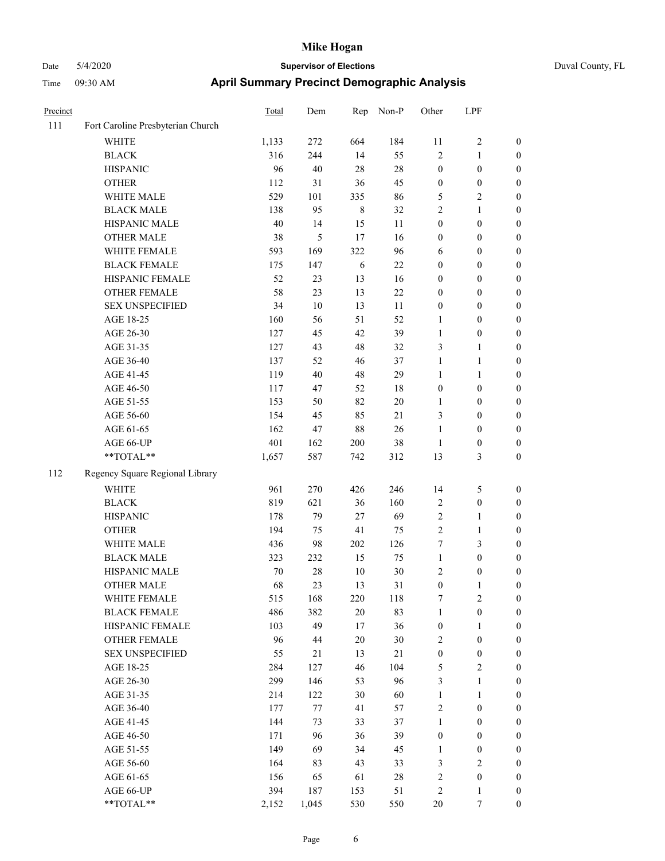| Precinct |                                   | <b>Total</b> | Dem   | Rep         | Non-P  | Other            | LPF                     |                  |
|----------|-----------------------------------|--------------|-------|-------------|--------|------------------|-------------------------|------------------|
| 111      | Fort Caroline Presbyterian Church |              |       |             |        |                  |                         |                  |
|          | WHITE                             | 1,133        | 272   | 664         | 184    | 11               | 2                       | $\mathbf{0}$     |
|          | <b>BLACK</b>                      | 316          | 244   | 14          | 55     | $\sqrt{2}$       | 1                       | $\boldsymbol{0}$ |
|          | <b>HISPANIC</b>                   | 96           | 40    | 28          | 28     | $\boldsymbol{0}$ | $\boldsymbol{0}$        | $\boldsymbol{0}$ |
|          | <b>OTHER</b>                      | 112          | 31    | 36          | 45     | $\boldsymbol{0}$ | $\boldsymbol{0}$        | $\boldsymbol{0}$ |
|          | WHITE MALE                        | 529          | 101   | 335         | 86     | 5                | 2                       | $\boldsymbol{0}$ |
|          | <b>BLACK MALE</b>                 | 138          | 95    | $\,$ 8 $\,$ | 32     | $\overline{2}$   | 1                       | $\boldsymbol{0}$ |
|          | HISPANIC MALE                     | 40           | 14    | 15          | 11     | $\boldsymbol{0}$ | $\boldsymbol{0}$        | $\boldsymbol{0}$ |
|          | <b>OTHER MALE</b>                 | 38           | 5     | 17          | 16     | $\boldsymbol{0}$ | $\boldsymbol{0}$        | $\boldsymbol{0}$ |
|          | WHITE FEMALE                      | 593          | 169   | 322         | 96     | 6                | $\boldsymbol{0}$        | $\boldsymbol{0}$ |
|          | <b>BLACK FEMALE</b>               | 175          | 147   | 6           | 22     | $\boldsymbol{0}$ | $\boldsymbol{0}$        | $\boldsymbol{0}$ |
|          | HISPANIC FEMALE                   | 52           | 23    | 13          | 16     | $\boldsymbol{0}$ | $\boldsymbol{0}$        | $\boldsymbol{0}$ |
|          | <b>OTHER FEMALE</b>               | 58           | 23    | 13          | $22\,$ | $\boldsymbol{0}$ | $\boldsymbol{0}$        | $\boldsymbol{0}$ |
|          | <b>SEX UNSPECIFIED</b>            | 34           | 10    | 13          | 11     | $\boldsymbol{0}$ | $\boldsymbol{0}$        | $\boldsymbol{0}$ |
|          | AGE 18-25                         | 160          | 56    | 51          | 52     | 1                | $\boldsymbol{0}$        | $\boldsymbol{0}$ |
|          | AGE 26-30                         | 127          | 45    | 42          | 39     | $\mathbf{1}$     | $\boldsymbol{0}$        | $\boldsymbol{0}$ |
|          | AGE 31-35                         | 127          | 43    | 48          | 32     | $\mathfrak{Z}$   | 1                       | $\boldsymbol{0}$ |
|          | AGE 36-40                         | 137          | 52    | 46          | 37     | $\mathbf{1}$     | 1                       | $\boldsymbol{0}$ |
|          | AGE 41-45                         | 119          | 40    | $48\,$      | 29     | $\mathbf{1}$     | 1                       | $\boldsymbol{0}$ |
|          | AGE 46-50                         | 117          | 47    | 52          | 18     | $\boldsymbol{0}$ | $\boldsymbol{0}$        | $\boldsymbol{0}$ |
|          | AGE 51-55                         | 153          | 50    | 82          | 20     | 1                | $\boldsymbol{0}$        | $\boldsymbol{0}$ |
|          | AGE 56-60                         | 154          | 45    | 85          | 21     | 3                | $\boldsymbol{0}$        | $\boldsymbol{0}$ |
|          | AGE 61-65                         | 162          | 47    | 88          | 26     | $\mathbf{1}$     | $\boldsymbol{0}$        | $\boldsymbol{0}$ |
|          | AGE 66-UP                         | 401          | 162   | 200         | 38     | $\mathbf{1}$     | $\boldsymbol{0}$        | $\boldsymbol{0}$ |
|          | $**TOTAL**$                       | 1,657        | 587   | 742         | 312    | 13               | 3                       | $\boldsymbol{0}$ |
| 112      | Regency Square Regional Library   |              |       |             |        |                  |                         |                  |
|          | <b>WHITE</b>                      | 961          | 270   | 426         | 246    | 14               | 5                       | $\boldsymbol{0}$ |
|          | <b>BLACK</b>                      | 819          | 621   | 36          | 160    | $\sqrt{2}$       | $\boldsymbol{0}$        | $\boldsymbol{0}$ |
|          | <b>HISPANIC</b>                   | 178          | 79    | 27          | 69     | $\sqrt{2}$       | 1                       | $\boldsymbol{0}$ |
|          | <b>OTHER</b>                      | 194          | 75    | 41          | 75     | $\sqrt{2}$       | 1                       | $\boldsymbol{0}$ |
|          | WHITE MALE                        | 436          | 98    | 202         | 126    | $\boldsymbol{7}$ | 3                       | $\boldsymbol{0}$ |
|          | <b>BLACK MALE</b>                 | 323          | 232   | 15          | 75     | $\mathbf{1}$     | $\boldsymbol{0}$        | $\boldsymbol{0}$ |
|          | HISPANIC MALE                     | 70           | 28    | 10          | $30\,$ | $\overline{c}$   | $\boldsymbol{0}$        | $\boldsymbol{0}$ |
|          | <b>OTHER MALE</b>                 | 68           | 23    | 13          | 31     | $\boldsymbol{0}$ | 1                       | $\boldsymbol{0}$ |
|          | WHITE FEMALE                      | 515          | 168   | 220         | 118    | $\boldsymbol{7}$ | $\sqrt{2}$              | $\boldsymbol{0}$ |
|          | <b>BLACK FEMALE</b>               | 486          | 382   | $20\,$      | 83     | $\mathbf{1}$     | $\boldsymbol{0}$        | $\boldsymbol{0}$ |
|          | HISPANIC FEMALE                   | 103          | 49    | 17          | 36     | $\boldsymbol{0}$ | 1                       | $\boldsymbol{0}$ |
|          | OTHER FEMALE                      | 96           | 44    | $20\,$      | 30     | $\overline{2}$   | $\boldsymbol{0}$        | $\boldsymbol{0}$ |
|          | <b>SEX UNSPECIFIED</b>            | 55           | 21    | 13          | 21     | $\boldsymbol{0}$ | $\boldsymbol{0}$        | $\boldsymbol{0}$ |
|          | AGE 18-25                         | 284          | 127   | 46          | 104    | $\sqrt{5}$       | $\overline{\mathbf{c}}$ | $\boldsymbol{0}$ |
|          | AGE 26-30                         | 299          | 146   | 53          | 96     | $\mathfrak z$    | 1                       | $\boldsymbol{0}$ |
|          | AGE 31-35                         | 214          | 122   | 30          | 60     | $\mathbf{1}$     | 1                       | $\boldsymbol{0}$ |
|          | AGE 36-40                         | 177          | 77    | 41          | 57     | $\sqrt{2}$       | $\boldsymbol{0}$        | $\boldsymbol{0}$ |
|          | AGE 41-45                         | 144          | 73    | 33          | 37     | $\mathbf{1}$     | $\boldsymbol{0}$        | $\boldsymbol{0}$ |
|          | AGE 46-50                         | 171          | 96    | 36          | 39     | $\boldsymbol{0}$ | $\boldsymbol{0}$        | $\boldsymbol{0}$ |
|          | AGE 51-55                         | 149          | 69    | 34          | 45     | 1                | $\boldsymbol{0}$        | $\boldsymbol{0}$ |
|          | AGE 56-60                         | 164          | 83    | 43          | 33     | $\mathfrak{Z}$   | 2                       | $\boldsymbol{0}$ |
|          | AGE 61-65                         | 156          | 65    | 61          | 28     | $\sqrt{2}$       | $\boldsymbol{0}$        | $\boldsymbol{0}$ |
|          | AGE 66-UP                         | 394          | 187   | 153         | 51     | $\sqrt{2}$       | 1                       | $\bf{0}$         |
|          | **TOTAL**                         | 2,152        | 1,045 | 530         | 550    | $20\,$           | $\tau$                  | $\boldsymbol{0}$ |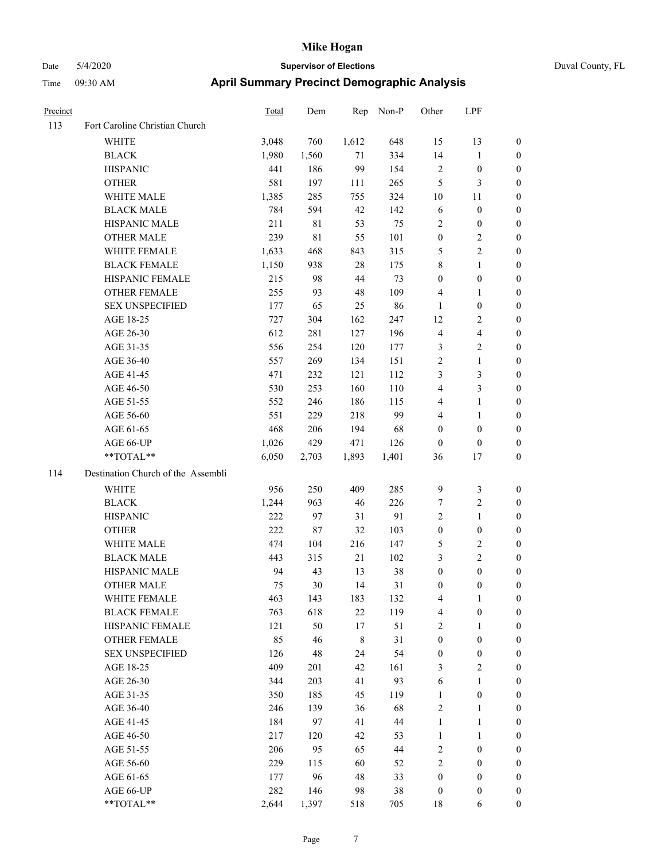| Precinct |                                    | <b>Total</b> | Dem   | Rep         | Non-P  | Other                   | LPF                     |                  |
|----------|------------------------------------|--------------|-------|-------------|--------|-------------------------|-------------------------|------------------|
| 113      | Fort Caroline Christian Church     |              |       |             |        |                         |                         |                  |
|          | WHITE                              | 3,048        | 760   | 1,612       | 648    | 15                      | 13                      | $\boldsymbol{0}$ |
|          | <b>BLACK</b>                       | 1,980        | 1,560 | 71          | 334    | 14                      | $\mathbf{1}$            | $\boldsymbol{0}$ |
|          | <b>HISPANIC</b>                    | 441          | 186   | 99          | 154    | 2                       | $\boldsymbol{0}$        | 0                |
|          | <b>OTHER</b>                       | 581          | 197   | 111         | 265    | 5                       | $\mathfrak{Z}$          | 0                |
|          | WHITE MALE                         | 1,385        | 285   | 755         | 324    | 10                      | 11                      | 0                |
|          | <b>BLACK MALE</b>                  | 784          | 594   | $42\,$      | 142    | 6                       | $\boldsymbol{0}$        | $\boldsymbol{0}$ |
|          | HISPANIC MALE                      | 211          | 81    | 53          | 75     | $\overline{c}$          | $\boldsymbol{0}$        | $\boldsymbol{0}$ |
|          | <b>OTHER MALE</b>                  | 239          | 81    | 55          | 101    | $\boldsymbol{0}$        | $\sqrt{2}$              | 0                |
|          | WHITE FEMALE                       | 1,633        | 468   | 843         | 315    | 5                       | $\sqrt{2}$              | 0                |
|          | <b>BLACK FEMALE</b>                | 1,150        | 938   | 28          | 175    | 8                       | $\mathbf{1}$            | $\boldsymbol{0}$ |
|          | HISPANIC FEMALE                    | 215          | 98    | 44          | 73     | $\boldsymbol{0}$        | $\boldsymbol{0}$        | $\boldsymbol{0}$ |
|          | OTHER FEMALE                       | 255          | 93    | 48          | 109    | 4                       | 1                       | 0                |
|          | <b>SEX UNSPECIFIED</b>             | 177          | 65    | 25          | 86     | $\mathbf{1}$            | $\boldsymbol{0}$        | 0                |
|          | AGE 18-25                          | 727          | 304   | 162         | 247    | 12                      | $\overline{c}$          | 0                |
|          | AGE 26-30                          | 612          | 281   | 127         | 196    | 4                       | $\overline{\mathbf{4}}$ | 0                |
|          | AGE 31-35                          | 556          | 254   | 120         | 177    | 3                       | $\sqrt{2}$              | 0                |
|          | AGE 36-40                          | 557          | 269   | 134         | 151    | $\overline{2}$          | $\mathbf{1}$            | $\boldsymbol{0}$ |
|          | AGE 41-45                          | 471          | 232   | 121         | 112    | 3                       | $\mathfrak{Z}$          | $\boldsymbol{0}$ |
|          | AGE 46-50                          | 530          | 253   | 160         | 110    | 4                       | $\mathfrak{Z}$          | $\boldsymbol{0}$ |
|          | AGE 51-55                          | 552          | 246   | 186         | 115    | 4                       | $\mathbf{1}$            | $\boldsymbol{0}$ |
|          | AGE 56-60                          | 551          | 229   | 218         | 99     | 4                       | 1                       | $\boldsymbol{0}$ |
|          | AGE 61-65                          | 468          | 206   | 194         | 68     | $\boldsymbol{0}$        | $\boldsymbol{0}$        | 0                |
|          | AGE 66-UP                          | 1,026        | 429   | 471         | 126    | $\boldsymbol{0}$        | $\boldsymbol{0}$        | 0                |
|          | **TOTAL**                          | 6,050        | 2,703 | 1,893       | 1,401  | 36                      | 17                      | 0                |
| 114      | Destination Church of the Assembli |              |       |             |        |                         |                         |                  |
|          | WHITE                              | 956          | 250   | 409         | 285    | 9                       | $\mathfrak{Z}$          | 0                |
|          | <b>BLACK</b>                       | 1,244        | 963   | 46          | 226    | 7                       | $\sqrt{2}$              | 0                |
|          | <b>HISPANIC</b>                    | 222          | 97    | 31          | 91     | $\sqrt{2}$              | $\mathbf{1}$            | 0                |
|          | <b>OTHER</b>                       | 222          | 87    | 32          | 103    | $\boldsymbol{0}$        | $\boldsymbol{0}$        | $\boldsymbol{0}$ |
|          | WHITE MALE                         | 474          | 104   | 216         | 147    | 5                       | $\sqrt{2}$              | $\boldsymbol{0}$ |
|          | <b>BLACK MALE</b>                  | 443          | 315   | 21          | 102    | 3                       | $\sqrt{2}$              | $\boldsymbol{0}$ |
|          | HISPANIC MALE                      | 94           | 43    | 13          | 38     | $\boldsymbol{0}$        | $\boldsymbol{0}$        | $\boldsymbol{0}$ |
|          | <b>OTHER MALE</b>                  | 75           | 30    | 14          | 31     | $\boldsymbol{0}$        | $\boldsymbol{0}$        | $\boldsymbol{0}$ |
|          | WHITE FEMALE                       | 463          | 143   | 183         | 132    | 4                       | $\mathbf{1}$            | 0                |
|          | <b>BLACK FEMALE</b>                | 763          | 618   | $22\,$      | 119    | $\overline{\mathbf{4}}$ | $\boldsymbol{0}$        | 0                |
|          | HISPANIC FEMALE                    | 121          | 50    | 17          | 51     | 2                       | 1                       | 0                |
|          | OTHER FEMALE                       | 85           | 46    | $\,$ 8 $\,$ | 31     | $\boldsymbol{0}$        | $\boldsymbol{0}$        | 0                |
|          | <b>SEX UNSPECIFIED</b>             | 126          | 48    | 24          | 54     | $\boldsymbol{0}$        | $\boldsymbol{0}$        | 0                |
|          | AGE 18-25                          | 409          | 201   | 42          | 161    | 3                       | $\sqrt{2}$              | $\boldsymbol{0}$ |
|          | AGE 26-30                          | 344          | 203   | 41          | 93     | 6                       | $\mathbf{1}$            | 0                |
|          | AGE 31-35                          | 350          | 185   | 45          | 119    | $\mathbf{1}$            | $\boldsymbol{0}$        | 0                |
|          | AGE 36-40                          | 246          | 139   | 36          | 68     | $\sqrt{2}$              | $\mathbf{1}$            | 0                |
|          | AGE 41-45                          | 184          | 97    | 41          | $44\,$ | $\mathbf{1}$            | $\mathbf{1}$            | $\overline{0}$   |
|          | AGE 46-50                          | 217          | 120   | 42          | 53     | $\mathbf{1}$            | $\mathbf{1}$            | $\boldsymbol{0}$ |
|          | AGE 51-55                          | 206          | 95    | 65          | 44     | $\sqrt{2}$              | $\boldsymbol{0}$        | 0                |
|          | AGE 56-60                          | 229          | 115   | 60          | 52     | $\sqrt{2}$              | $\boldsymbol{0}$        | 0                |
|          | AGE 61-65                          | 177          | 96    | 48          | 33     | $\boldsymbol{0}$        | $\boldsymbol{0}$        | $\boldsymbol{0}$ |
|          | AGE 66-UP                          | 282          | 146   | 98          | $38\,$ | $\boldsymbol{0}$        | $\boldsymbol{0}$        | 0                |
|          | **TOTAL**                          | 2,644        | 1,397 | 518         | 705    | $18\,$                  | 6                       | $\boldsymbol{0}$ |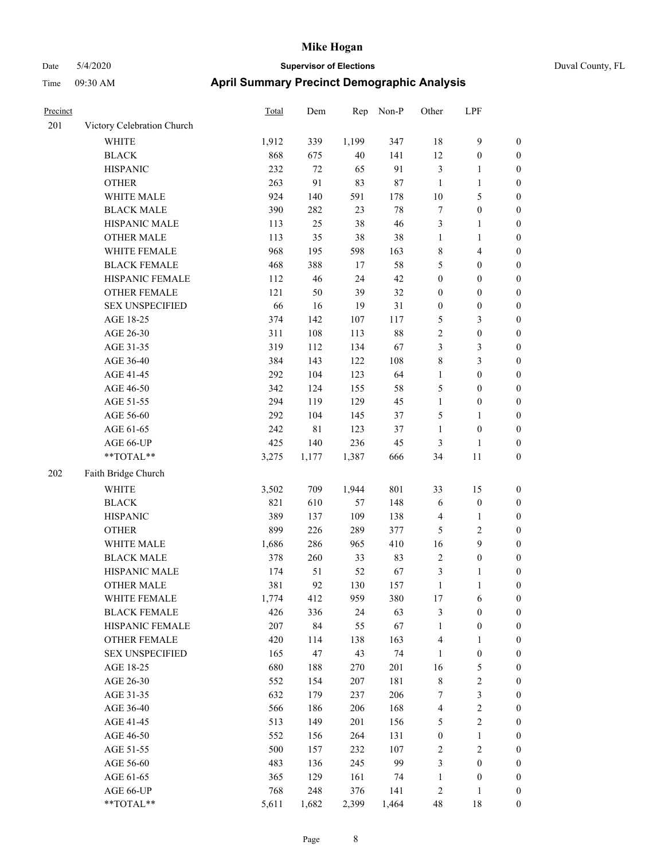| Precinct |                            | Total | Dem         | Rep    | Non-P | Other            | LPF                     |                  |
|----------|----------------------------|-------|-------------|--------|-------|------------------|-------------------------|------------------|
| 201      | Victory Celebration Church |       |             |        |       |                  |                         |                  |
|          | WHITE                      | 1,912 | 339         | 1,199  | 347   | $18\,$           | 9                       | $\boldsymbol{0}$ |
|          | <b>BLACK</b>               | 868   | 675         | $40\,$ | 141   | 12               | $\boldsymbol{0}$        | $\boldsymbol{0}$ |
|          | <b>HISPANIC</b>            | 232   | $72\,$      | 65     | 91    | $\mathfrak{Z}$   | 1                       | $\boldsymbol{0}$ |
|          | <b>OTHER</b>               | 263   | 91          | 83     | 87    | $\mathbf{1}$     | 1                       | $\boldsymbol{0}$ |
|          | WHITE MALE                 | 924   | 140         | 591    | 178   | 10               | 5                       | $\boldsymbol{0}$ |
|          | <b>BLACK MALE</b>          | 390   | 282         | 23     | 78    | $\boldsymbol{7}$ | $\boldsymbol{0}$        | $\boldsymbol{0}$ |
|          | HISPANIC MALE              | 113   | 25          | 38     | 46    | $\mathfrak{Z}$   | 1                       | $\boldsymbol{0}$ |
|          | <b>OTHER MALE</b>          | 113   | 35          | 38     | 38    | $\mathbf{1}$     | 1                       | $\boldsymbol{0}$ |
|          | WHITE FEMALE               | 968   | 195         | 598    | 163   | $\,$ 8 $\,$      | 4                       | $\boldsymbol{0}$ |
|          | <b>BLACK FEMALE</b>        | 468   | 388         | 17     | 58    | 5                | $\boldsymbol{0}$        | $\boldsymbol{0}$ |
|          | HISPANIC FEMALE            | 112   | 46          | 24     | 42    | $\boldsymbol{0}$ | $\boldsymbol{0}$        | $\boldsymbol{0}$ |
|          | <b>OTHER FEMALE</b>        | 121   | 50          | 39     | 32    | $\boldsymbol{0}$ | $\boldsymbol{0}$        | $\boldsymbol{0}$ |
|          | <b>SEX UNSPECIFIED</b>     | 66    | 16          | 19     | 31    | $\boldsymbol{0}$ | $\boldsymbol{0}$        | $\boldsymbol{0}$ |
|          | AGE 18-25                  | 374   | 142         | 107    | 117   | $\mathfrak{S}$   | 3                       | $\boldsymbol{0}$ |
|          | AGE 26-30                  | 311   | 108         | 113    | 88    | $\overline{2}$   | $\boldsymbol{0}$        | $\boldsymbol{0}$ |
|          | AGE 31-35                  | 319   | 112         | 134    | 67    | $\mathfrak{Z}$   | 3                       | $\boldsymbol{0}$ |
|          | AGE 36-40                  | 384   | 143         | 122    | 108   | $\,$ 8 $\,$      | 3                       | $\boldsymbol{0}$ |
|          | AGE 41-45                  | 292   | 104         | 123    | 64    | $\mathbf{1}$     | $\boldsymbol{0}$        | $\boldsymbol{0}$ |
|          | AGE 46-50                  | 342   | 124         | 155    | 58    | 5                | $\boldsymbol{0}$        | $\boldsymbol{0}$ |
|          | AGE 51-55                  | 294   | 119         | 129    | 45    | $\mathbf{1}$     | $\boldsymbol{0}$        | $\boldsymbol{0}$ |
|          | AGE 56-60                  | 292   | 104         | 145    | 37    | 5                | 1                       | $\boldsymbol{0}$ |
|          | AGE 61-65                  | 242   | $8\sqrt{1}$ | 123    | 37    | $\mathbf{1}$     | $\boldsymbol{0}$        | $\boldsymbol{0}$ |
|          | AGE 66-UP                  | 425   | 140         | 236    | 45    | $\mathfrak{Z}$   | $\mathbf{1}$            | $\boldsymbol{0}$ |
|          | $**TOTAL**$                | 3,275 | 1,177       | 1,387  | 666   | 34               | 11                      | $\boldsymbol{0}$ |
| 202      | Faith Bridge Church        |       |             |        |       |                  |                         |                  |
|          | <b>WHITE</b>               | 3,502 | 709         | 1,944  | 801   | 33               | 15                      | $\boldsymbol{0}$ |
|          | <b>BLACK</b>               | 821   | 610         | 57     | 148   | 6                | $\boldsymbol{0}$        | $\boldsymbol{0}$ |
|          | <b>HISPANIC</b>            | 389   | 137         | 109    | 138   | $\overline{4}$   | 1                       | $\boldsymbol{0}$ |
|          | <b>OTHER</b>               | 899   | 226         | 289    | 377   | 5                | 2                       | $\boldsymbol{0}$ |
|          | WHITE MALE                 | 1,686 | 286         | 965    | 410   | 16               | 9                       | $\boldsymbol{0}$ |
|          | <b>BLACK MALE</b>          | 378   | 260         | 33     | 83    | $\sqrt{2}$       | $\boldsymbol{0}$        | $\boldsymbol{0}$ |
|          | HISPANIC MALE              | 174   | 51          | 52     | 67    | $\mathfrak{Z}$   | 1                       | $\boldsymbol{0}$ |
|          | <b>OTHER MALE</b>          | 381   | 92          | 130    | 157   | $\mathbf{1}$     | 1                       | $\boldsymbol{0}$ |
|          | WHITE FEMALE               | 1,774 | 412         | 959    | 380   | $17\,$           | $\sqrt{6}$              | $\boldsymbol{0}$ |
|          | <b>BLACK FEMALE</b>        | 426   | 336         | 24     | 63    | $\mathfrak{Z}$   | $\boldsymbol{0}$        | $\boldsymbol{0}$ |
|          | HISPANIC FEMALE            | 207   | 84          | 55     | 67    | $\mathbf{1}$     | $\boldsymbol{0}$        | $\boldsymbol{0}$ |
|          | <b>OTHER FEMALE</b>        | 420   | 114         | 138    | 163   | $\overline{4}$   | 1                       | $\boldsymbol{0}$ |
|          | <b>SEX UNSPECIFIED</b>     | 165   | 47          | 43     | 74    | 1                | $\boldsymbol{0}$        | $\boldsymbol{0}$ |
|          | AGE 18-25                  | 680   | 188         | 270    | 201   | 16               | 5                       | $\boldsymbol{0}$ |
|          | AGE 26-30                  | 552   | 154         | 207    | 181   | $\,$ 8 $\,$      | $\sqrt{2}$              | $\boldsymbol{0}$ |
|          | AGE 31-35                  | 632   | 179         | 237    | 206   | 7                | 3                       | $\boldsymbol{0}$ |
|          | AGE 36-40                  | 566   | 186         | 206    | 168   | $\overline{4}$   | $\mathbf{2}$            | $\boldsymbol{0}$ |
|          | AGE 41-45                  | 513   | 149         | 201    | 156   | $\sqrt{5}$       | $\overline{\mathbf{c}}$ | $\boldsymbol{0}$ |
|          | AGE 46-50                  | 552   | 156         | 264    | 131   | $\boldsymbol{0}$ | $\mathbf{1}$            | $\boldsymbol{0}$ |
|          | AGE 51-55                  | 500   | 157         | 232    | 107   | $\sqrt{2}$       | $\sqrt{2}$              | $\boldsymbol{0}$ |
|          | AGE 56-60                  | 483   | 136         | 245    | 99    | $\mathfrak{Z}$   | $\boldsymbol{0}$        | $\boldsymbol{0}$ |
|          | AGE 61-65                  | 365   | 129         | 161    | 74    | $\mathbf{1}$     | $\boldsymbol{0}$        | $\boldsymbol{0}$ |
|          | AGE 66-UP                  | 768   | 248         | 376    | 141   | $\sqrt{2}$       | 1                       | $\boldsymbol{0}$ |
|          | **TOTAL**                  | 5,611 | 1,682       | 2,399  | 1,464 | 48               | 18                      | $\mathbf{0}$     |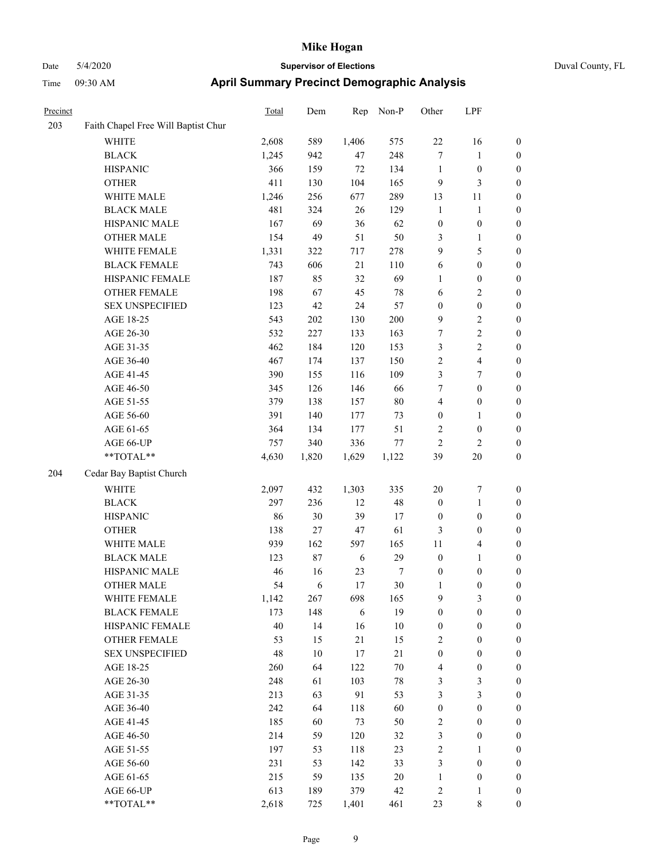## Date 5/4/2020 **Supervisor of Elections** Duval County, FL Time 09:30 AM **April Summary Precinct Demographic Analysis**

| Precinct |                                     | Total | Dem    | Rep    | Non-P          | Other            | LPF                     |                  |
|----------|-------------------------------------|-------|--------|--------|----------------|------------------|-------------------------|------------------|
| 203      | Faith Chapel Free Will Baptist Chur |       |        |        |                |                  |                         |                  |
|          | <b>WHITE</b>                        | 2,608 | 589    | 1,406  | 575            | 22               | 16                      | $\boldsymbol{0}$ |
|          | <b>BLACK</b>                        | 1,245 | 942    | 47     | 248            | $\tau$           | 1                       | $\boldsymbol{0}$ |
|          | <b>HISPANIC</b>                     | 366   | 159    | 72     | 134            | $\mathbf{1}$     | $\boldsymbol{0}$        | $\boldsymbol{0}$ |
|          | <b>OTHER</b>                        | 411   | 130    | 104    | 165            | 9                | 3                       | $\boldsymbol{0}$ |
|          | WHITE MALE                          | 1,246 | 256    | 677    | 289            | 13               | 11                      | $\boldsymbol{0}$ |
|          | <b>BLACK MALE</b>                   | 481   | 324    | 26     | 129            | $\mathbf{1}$     | $\mathbf{1}$            | $\boldsymbol{0}$ |
|          | HISPANIC MALE                       | 167   | 69     | 36     | 62             | $\boldsymbol{0}$ | $\boldsymbol{0}$        | $\boldsymbol{0}$ |
|          | <b>OTHER MALE</b>                   | 154   | 49     | 51     | 50             | 3                | 1                       | $\boldsymbol{0}$ |
|          | WHITE FEMALE                        | 1,331 | 322    | 717    | 278            | 9                | 5                       | $\boldsymbol{0}$ |
|          | <b>BLACK FEMALE</b>                 | 743   | 606    | $21\,$ | 110            | 6                | $\boldsymbol{0}$        | $\boldsymbol{0}$ |
|          | HISPANIC FEMALE                     | 187   | 85     | 32     | 69             | $\mathbf{1}$     | $\boldsymbol{0}$        | $\boldsymbol{0}$ |
|          | <b>OTHER FEMALE</b>                 | 198   | 67     | 45     | 78             | 6                | 2                       | $\boldsymbol{0}$ |
|          | <b>SEX UNSPECIFIED</b>              | 123   | 42     | 24     | 57             | $\boldsymbol{0}$ | $\boldsymbol{0}$        | $\boldsymbol{0}$ |
|          | AGE 18-25                           | 543   | 202    | 130    | 200            | 9                | 2                       | $\boldsymbol{0}$ |
|          | AGE 26-30                           | 532   | 227    | 133    | 163            | 7                | 2                       | $\boldsymbol{0}$ |
|          | AGE 31-35                           | 462   | 184    | 120    | 153            | $\mathfrak{Z}$   | 2                       | $\boldsymbol{0}$ |
|          | AGE 36-40                           | 467   | 174    | 137    | 150            | $\sqrt{2}$       | 4                       | $\boldsymbol{0}$ |
|          | AGE 41-45                           | 390   | 155    | 116    | 109            | $\mathfrak{Z}$   | 7                       | $\boldsymbol{0}$ |
|          | AGE 46-50                           | 345   | 126    | 146    | 66             | 7                | $\boldsymbol{0}$        | $\boldsymbol{0}$ |
|          | AGE 51-55                           | 379   | 138    | 157    | $80\,$         | $\overline{4}$   | $\boldsymbol{0}$        | $\boldsymbol{0}$ |
|          | AGE 56-60                           | 391   | 140    | 177    | 73             | $\boldsymbol{0}$ | 1                       | $\boldsymbol{0}$ |
|          | AGE 61-65                           | 364   | 134    | 177    | 51             | $\sqrt{2}$       | $\boldsymbol{0}$        | $\boldsymbol{0}$ |
|          | AGE 66-UP                           | 757   | 340    | 336    | 77             | $\overline{2}$   | $\overline{\mathbf{c}}$ | $\boldsymbol{0}$ |
|          | **TOTAL**                           | 4,630 | 1,820  | 1,629  | 1,122          | 39               | 20                      | $\boldsymbol{0}$ |
| 204      | Cedar Bay Baptist Church            |       |        |        |                |                  |                         |                  |
|          | WHITE                               | 2,097 | 432    | 1,303  | 335            | 20               | 7                       | $\boldsymbol{0}$ |
|          | <b>BLACK</b>                        | 297   | 236    | 12     | 48             | $\boldsymbol{0}$ | 1                       | $\boldsymbol{0}$ |
|          | <b>HISPANIC</b>                     | 86    | 30     | 39     | 17             | $\boldsymbol{0}$ | $\boldsymbol{0}$        | $\boldsymbol{0}$ |
|          | <b>OTHER</b>                        | 138   | $27\,$ | 47     | 61             | $\mathfrak{Z}$   | $\boldsymbol{0}$        | $\boldsymbol{0}$ |
|          | WHITE MALE                          | 939   | 162    | 597    | 165            | 11               | 4                       | $\boldsymbol{0}$ |
|          | <b>BLACK MALE</b>                   | 123   | $87\,$ | 6      | 29             | $\boldsymbol{0}$ | 1                       | $\boldsymbol{0}$ |
|          | HISPANIC MALE                       | 46    | 16     | 23     | $\overline{7}$ | $\boldsymbol{0}$ | $\boldsymbol{0}$        | $\boldsymbol{0}$ |
|          | <b>OTHER MALE</b>                   | 54    | 6      | 17     | 30             | 1                | $\boldsymbol{0}$        | $\boldsymbol{0}$ |
|          | WHITE FEMALE                        | 1,142 | 267    | 698    | 165            | 9                | 3                       | $\boldsymbol{0}$ |
|          | <b>BLACK FEMALE</b>                 | 173   | 148    | 6      | 19             | $\boldsymbol{0}$ | $\boldsymbol{0}$        | $\boldsymbol{0}$ |
|          | HISPANIC FEMALE                     | 40    | 14     | 16     | $10\,$         | $\boldsymbol{0}$ | $\boldsymbol{0}$        | $\boldsymbol{0}$ |
|          | <b>OTHER FEMALE</b>                 | 53    | 15     | 21     | 15             | $\sqrt{2}$       | $\boldsymbol{0}$        | $\boldsymbol{0}$ |
|          | <b>SEX UNSPECIFIED</b>              | 48    | $10\,$ | $17\,$ | 21             | $\boldsymbol{0}$ | $\boldsymbol{0}$        | $\boldsymbol{0}$ |
|          | AGE 18-25                           | 260   | 64     | 122    | $70\,$         | $\overline{4}$   | $\boldsymbol{0}$        | $\boldsymbol{0}$ |
|          | AGE 26-30                           | 248   | 61     | 103    | $78\,$         | $\mathfrak{Z}$   | $\mathfrak{Z}$          | $\boldsymbol{0}$ |
|          | AGE 31-35                           | 213   | 63     | 91     | 53             | $\mathfrak{Z}$   | $\mathfrak{Z}$          | $\boldsymbol{0}$ |
|          | AGE 36-40                           | 242   | 64     | 118    | 60             | $\boldsymbol{0}$ | $\boldsymbol{0}$        | $\boldsymbol{0}$ |
|          | AGE 41-45                           | 185   | 60     | 73     | 50             | $\sqrt{2}$       | $\boldsymbol{0}$        | $\boldsymbol{0}$ |
|          | AGE 46-50                           | 214   | 59     | 120    | 32             | $\mathfrak{Z}$   | $\boldsymbol{0}$        | $\boldsymbol{0}$ |
|          | AGE 51-55                           | 197   | 53     | 118    | 23             | $\sqrt{2}$       | 1                       | $\boldsymbol{0}$ |
|          | AGE 56-60                           | 231   | 53     | 142    | 33             | $\mathfrak{Z}$   | $\boldsymbol{0}$        | $\boldsymbol{0}$ |
|          | AGE 61-65                           | 215   | 59     | 135    | 20             | 1                | $\boldsymbol{0}$        | $\mathbf{0}$     |
|          | AGE 66-UP                           | 613   | 189    | 379    | 42             | $\overline{c}$   |                         | $\boldsymbol{0}$ |

\*\*TOTAL\*\* 2,618 725 1,401 461 23 8 0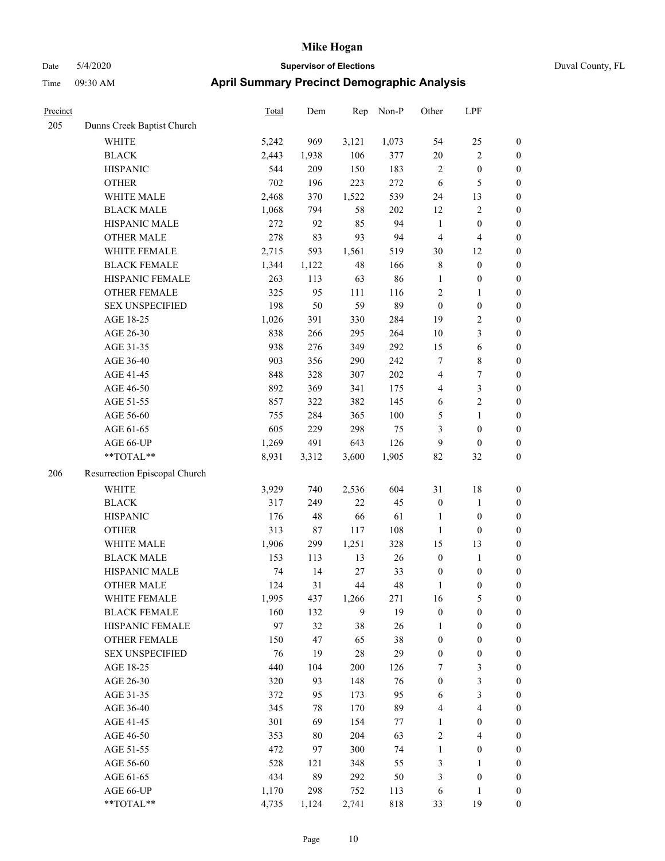|  | Duval County, FL |  |
|--|------------------|--|
|--|------------------|--|

| Precinct |                               | <b>Total</b> | Dem    | Rep    | Non-P   | Other            | LPF                     |                  |
|----------|-------------------------------|--------------|--------|--------|---------|------------------|-------------------------|------------------|
| 205      | Dunns Creek Baptist Church    |              |        |        |         |                  |                         |                  |
|          | WHITE                         | 5,242        | 969    | 3,121  | 1,073   | 54               | 25                      | $\boldsymbol{0}$ |
|          | <b>BLACK</b>                  | 2,443        | 1,938  | 106    | 377     | 20               | $\sqrt{2}$              | $\boldsymbol{0}$ |
|          | <b>HISPANIC</b>               | 544          | 209    | 150    | 183     | 2                | $\boldsymbol{0}$        | 0                |
|          | <b>OTHER</b>                  | 702          | 196    | 223    | 272     | 6                | $\sqrt{5}$              | 0                |
|          | WHITE MALE                    | 2,468        | 370    | 1,522  | 539     | 24               | 13                      | $\boldsymbol{0}$ |
|          | <b>BLACK MALE</b>             | 1,068        | 794    | 58     | 202     | 12               | $\sqrt{2}$              | $\boldsymbol{0}$ |
|          | HISPANIC MALE                 | 272          | 92     | 85     | 94      | $\mathbf{1}$     | $\boldsymbol{0}$        | $\boldsymbol{0}$ |
|          | <b>OTHER MALE</b>             | 278          | 83     | 93     | 94      | $\overline{4}$   | $\overline{4}$          | $\boldsymbol{0}$ |
|          | WHITE FEMALE                  | 2,715        | 593    | 1,561  | 519     | 30               | 12                      | $\boldsymbol{0}$ |
|          | <b>BLACK FEMALE</b>           | 1,344        | 1,122  | 48     | 166     | 8                | $\boldsymbol{0}$        | $\boldsymbol{0}$ |
|          | HISPANIC FEMALE               | 263          | 113    | 63     | 86      | $\mathbf{1}$     | $\boldsymbol{0}$        | $\boldsymbol{0}$ |
|          | <b>OTHER FEMALE</b>           | 325          | 95     | 111    | 116     | $\overline{c}$   | 1                       | $\boldsymbol{0}$ |
|          | <b>SEX UNSPECIFIED</b>        | 198          | 50     | 59     | 89      | $\boldsymbol{0}$ | $\boldsymbol{0}$        | 0                |
|          | AGE 18-25                     | 1,026        | 391    | 330    | 284     | 19               | $\sqrt{2}$              | 0                |
|          | AGE 26-30                     | 838          | 266    | 295    | 264     | 10               | $\mathfrak{Z}$          | $\boldsymbol{0}$ |
|          | AGE 31-35                     | 938          | 276    | 349    | 292     | 15               | 6                       | $\boldsymbol{0}$ |
|          | AGE 36-40                     | 903          | 356    | 290    | 242     | 7                | $\,$ 8 $\,$             | $\boldsymbol{0}$ |
|          | AGE 41-45                     | 848          | 328    | 307    | 202     | 4                | $\boldsymbol{7}$        | $\boldsymbol{0}$ |
|          | AGE 46-50                     | 892          | 369    | 341    | 175     | 4                | $\mathfrak{Z}$          | $\boldsymbol{0}$ |
|          | AGE 51-55                     | 857          | 322    | 382    | 145     | 6                | $\overline{c}$          | $\boldsymbol{0}$ |
|          | AGE 56-60                     | 755          | 284    | 365    | 100     | 5                | $\mathbf{1}$            | $\boldsymbol{0}$ |
|          | AGE 61-65                     | 605          | 229    | 298    | 75      | 3                | $\boldsymbol{0}$        | 0                |
|          | AGE 66-UP                     | 1,269        | 491    | 643    | 126     | $\overline{9}$   | $\boldsymbol{0}$        | 0                |
|          | **TOTAL**                     | 8,931        | 3,312  | 3,600  | 1,905   | 82               | 32                      | $\boldsymbol{0}$ |
| 206      | Resurrection Episcopal Church |              |        |        |         |                  |                         |                  |
|          | <b>WHITE</b>                  | 3,929        | 740    | 2,536  | 604     | 31               | 18                      | 0                |
|          | <b>BLACK</b>                  | 317          | 249    | 22     | 45      | $\boldsymbol{0}$ | $\mathbf{1}$            | $\boldsymbol{0}$ |
|          | <b>HISPANIC</b>               | 176          | 48     | 66     | 61      | 1                | $\boldsymbol{0}$        | $\boldsymbol{0}$ |
|          | <b>OTHER</b>                  | 313          | 87     | 117    | 108     | $\mathbf{1}$     | $\boldsymbol{0}$        | $\boldsymbol{0}$ |
|          | WHITE MALE                    | 1,906        | 299    | 1,251  | 328     | 15               | 13                      | $\boldsymbol{0}$ |
|          | <b>BLACK MALE</b>             | 153          | 113    | 13     | 26      | $\boldsymbol{0}$ | $\mathbf{1}$            | $\boldsymbol{0}$ |
|          | HISPANIC MALE                 | 74           | 14     | 27     | 33      | $\boldsymbol{0}$ | $\boldsymbol{0}$        | $\boldsymbol{0}$ |
|          | <b>OTHER MALE</b>             | 124          | 31     | 44     | 48      | $\mathbf{1}$     | $\boldsymbol{0}$        | $\boldsymbol{0}$ |
|          | WHITE FEMALE                  | 1,995        | 437    | 1,266  | 271     | 16               | $\mathfrak s$           | 0                |
|          | <b>BLACK FEMALE</b>           | 160          | 132    | 9      | 19      | $\boldsymbol{0}$ | $\boldsymbol{0}$        | 0                |
|          | HISPANIC FEMALE               | 97           | 32     | 38     | 26      | 1                | $\boldsymbol{0}$        | 0                |
|          | <b>OTHER FEMALE</b>           | 150          | 47     | 65     | 38      | $\boldsymbol{0}$ | $\boldsymbol{0}$        | 0                |
|          | <b>SEX UNSPECIFIED</b>        | 76           | 19     | $28\,$ | 29      | $\boldsymbol{0}$ | $\boldsymbol{0}$        | $\boldsymbol{0}$ |
|          | AGE 18-25                     | 440          | 104    | 200    | 126     | 7                | $\mathfrak{Z}$          | $\overline{0}$   |
|          | AGE 26-30                     | 320          | 93     | 148    | 76      | $\boldsymbol{0}$ | $\mathfrak z$           | 0                |
|          | AGE 31-35                     | 372          | 95     | 173    | 95      | 6                | $\mathfrak{Z}$          | 0                |
|          | AGE 36-40                     | 345          | 78     | 170    | 89      | 4                | $\overline{\mathbf{4}}$ | 0                |
|          | AGE 41-45                     | 301          | 69     | 154    | $77 \,$ | $\mathbf{1}$     | $\boldsymbol{0}$        | 0                |
|          | AGE 46-50                     | 353          | $80\,$ | 204    | 63      | $\boldsymbol{2}$ | $\overline{4}$          | 0                |
|          | AGE 51-55                     | 472          | 97     | 300    | 74      | $\mathbf{1}$     | $\boldsymbol{0}$        | 0                |
|          | AGE 56-60                     | 528          | 121    | 348    | 55      | $\mathfrak{Z}$   | 1                       | 0                |
|          | AGE 61-65                     | 434          | 89     | 292    | 50      | 3                | $\boldsymbol{0}$        | $\boldsymbol{0}$ |
|          | AGE 66-UP                     | 1,170        | 298    | 752    | 113     | 6                | 1                       | $\boldsymbol{0}$ |
|          | **TOTAL**                     | 4,735        | 1,124  | 2,741  | 818     | 33               | 19                      | $\boldsymbol{0}$ |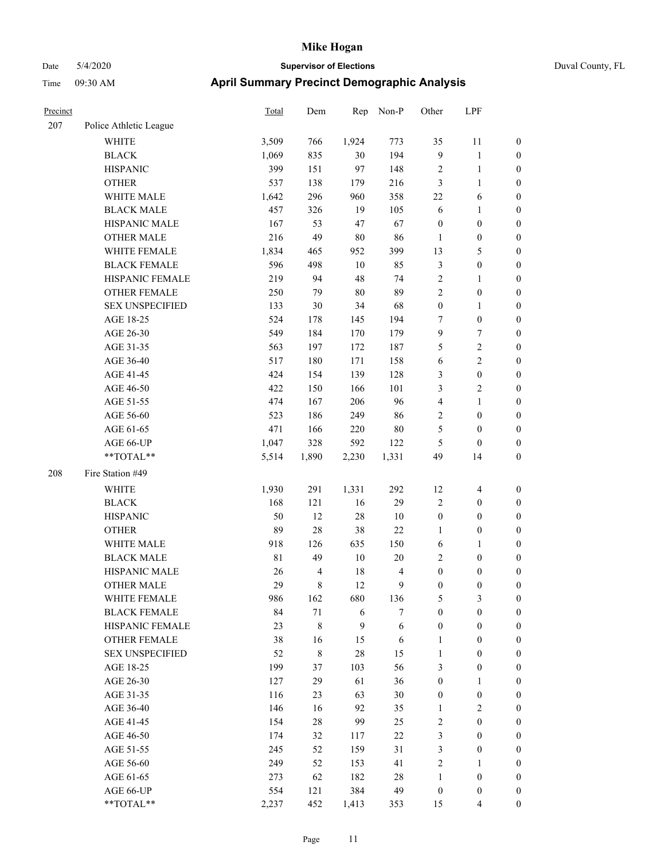| Precinct |                        | <b>Total</b> | Dem    | Rep      | Non-P      | Other            | LPF              |                  |
|----------|------------------------|--------------|--------|----------|------------|------------------|------------------|------------------|
| 207      | Police Athletic League |              |        |          |            |                  |                  |                  |
|          | WHITE                  | 3,509        | 766    | 1,924    | 773        | 35               | 11               | $\boldsymbol{0}$ |
|          | <b>BLACK</b>           | 1,069        | 835    | 30       | 194        | $\overline{9}$   | 1                | $\boldsymbol{0}$ |
|          | <b>HISPANIC</b>        | 399          | 151    | 97       | 148        | $\sqrt{2}$       | $\mathbf{1}$     | $\boldsymbol{0}$ |
|          | <b>OTHER</b>           | 537          | 138    | 179      | 216        | $\mathfrak{Z}$   | $\mathbf{1}$     | $\boldsymbol{0}$ |
|          | WHITE MALE             | 1,642        | 296    | 960      | 358        | 22               | 6                | $\boldsymbol{0}$ |
|          | <b>BLACK MALE</b>      | 457          | 326    | 19       | 105        | 6                | 1                | $\boldsymbol{0}$ |
|          | HISPANIC MALE          | 167          | 53     | 47       | 67         | $\boldsymbol{0}$ | $\boldsymbol{0}$ | $\boldsymbol{0}$ |
|          | <b>OTHER MALE</b>      | 216          | 49     | $80\,$   | 86         | $\mathbf{1}$     | $\boldsymbol{0}$ | $\boldsymbol{0}$ |
|          | WHITE FEMALE           | 1,834        | 465    | 952      | 399        | 13               | 5                | $\boldsymbol{0}$ |
|          | <b>BLACK FEMALE</b>    | 596          | 498    | $10\,$   | 85         | $\mathfrak{Z}$   | $\boldsymbol{0}$ | $\boldsymbol{0}$ |
|          | HISPANIC FEMALE        | 219          | 94     | 48       | 74         | $\sqrt{2}$       | 1                | $\boldsymbol{0}$ |
|          | <b>OTHER FEMALE</b>    | 250          | 79     | 80       | 89         | $\sqrt{2}$       | $\boldsymbol{0}$ | $\boldsymbol{0}$ |
|          | <b>SEX UNSPECIFIED</b> | 133          | 30     | 34       | 68         | $\boldsymbol{0}$ | 1                | $\boldsymbol{0}$ |
|          | AGE 18-25              | 524          | 178    | 145      | 194        | $\tau$           | $\boldsymbol{0}$ | $\boldsymbol{0}$ |
|          | AGE 26-30              | 549          | 184    | 170      | 179        | 9                | 7                | $\boldsymbol{0}$ |
|          | AGE 31-35              | 563          | 197    | 172      | 187        | 5                | 2                | $\boldsymbol{0}$ |
|          | AGE 36-40              | 517          | 180    | 171      | 158        | 6                | $\overline{c}$   | $\boldsymbol{0}$ |
|          | AGE 41-45              | 424          | 154    | 139      | 128        | 3                | $\boldsymbol{0}$ | $\boldsymbol{0}$ |
|          | AGE 46-50              | 422          | 150    | 166      | 101        | 3                | $\overline{c}$   | $\boldsymbol{0}$ |
|          | AGE 51-55              | 474          | 167    | 206      | 96         | $\overline{4}$   | 1                | $\boldsymbol{0}$ |
|          | AGE 56-60              | 523          | 186    | 249      | 86         | $\overline{2}$   | $\boldsymbol{0}$ | $\boldsymbol{0}$ |
|          | AGE 61-65              | 471          | 166    | 220      | $80\,$     | 5                | $\boldsymbol{0}$ | $\boldsymbol{0}$ |
|          | AGE 66-UP              | 1,047        | 328    | 592      | 122        | 5                | $\boldsymbol{0}$ | $\boldsymbol{0}$ |
|          | **TOTAL**              | 5,514        | 1,890  | 2,230    | 1,331      | 49               | 14               | $\boldsymbol{0}$ |
| 208      | Fire Station #49       |              |        |          |            |                  |                  |                  |
|          |                        |              |        |          |            |                  |                  |                  |
|          | <b>WHITE</b>           | 1,930        | 291    | 1,331    | 292        | 12               | $\overline{4}$   | $\boldsymbol{0}$ |
|          | <b>BLACK</b>           | 168<br>50    | 121    | 16<br>28 | 29         | $\sqrt{2}$       | $\boldsymbol{0}$ | $\boldsymbol{0}$ |
|          | <b>HISPANIC</b>        |              | 12     |          | 10         | $\boldsymbol{0}$ | $\boldsymbol{0}$ | $\boldsymbol{0}$ |
|          | <b>OTHER</b>           | 89           | $28\,$ | 38       | $22\,$     | 1                | $\boldsymbol{0}$ | $\boldsymbol{0}$ |
|          | WHITE MALE             | 918          | 126    | 635      | 150        | 6                | 1                | $\boldsymbol{0}$ |
|          | <b>BLACK MALE</b>      | $8\sqrt{1}$  | 49     | $10\,$   | $20\,$     | $\sqrt{2}$       | $\boldsymbol{0}$ | $\boldsymbol{0}$ |
|          | HISPANIC MALE          | 26           | 4      | 18       | 4          | $\boldsymbol{0}$ | $\boldsymbol{0}$ | $\boldsymbol{0}$ |
|          | <b>OTHER MALE</b>      | 29           | 8      | 12       | 9          | $\mathbf{0}$     | $\mathbf{0}$     | $\boldsymbol{0}$ |
|          | WHITE FEMALE           | 986          | 162    | 680      | 136        | 5                | 3                | $\boldsymbol{0}$ |
|          | <b>BLACK FEMALE</b>    | 84           | 71     | 6        | $\tau$     | $\boldsymbol{0}$ | $\boldsymbol{0}$ | $\boldsymbol{0}$ |
|          | HISPANIC FEMALE        | 23           | $8\,$  | 9        | $\sqrt{6}$ | $\boldsymbol{0}$ | $\boldsymbol{0}$ | $\boldsymbol{0}$ |
|          | <b>OTHER FEMALE</b>    | 38           | 16     | 15       | 6          | $\mathbf{1}$     | $\boldsymbol{0}$ | $\boldsymbol{0}$ |
|          | <b>SEX UNSPECIFIED</b> | 52           | $8\,$  | $28\,$   | 15         | $\mathbf{1}$     | $\boldsymbol{0}$ | $\boldsymbol{0}$ |
|          | AGE 18-25              | 199          | 37     | 103      | 56         | $\mathfrak{Z}$   | $\boldsymbol{0}$ | $\boldsymbol{0}$ |
|          | AGE 26-30              | 127          | 29     | 61       | 36         | $\boldsymbol{0}$ | 1                | $\boldsymbol{0}$ |
|          | AGE 31-35              | 116          | 23     | 63       | 30         | $\boldsymbol{0}$ | $\boldsymbol{0}$ | $\boldsymbol{0}$ |
|          | AGE 36-40              | 146          | 16     | 92       | 35         | 1                | $\mathbf{2}$     | $\boldsymbol{0}$ |
|          | AGE 41-45              | 154          | 28     | 99       | 25         | $\sqrt{2}$       | $\boldsymbol{0}$ | $\boldsymbol{0}$ |
|          | AGE 46-50              | 174          | 32     | 117      | $22\,$     | $\mathfrak{Z}$   | $\boldsymbol{0}$ | $\boldsymbol{0}$ |
|          | AGE 51-55              | 245          | 52     | 159      | 31         | $\mathfrak{Z}$   | $\boldsymbol{0}$ | $\boldsymbol{0}$ |
|          | AGE 56-60              | 249          | 52     | 153      | 41         | $\sqrt{2}$       | $\mathbf{1}$     | $\boldsymbol{0}$ |
|          | AGE 61-65              | 273          | 62     | 182      | 28         | $\mathbf{1}$     | $\boldsymbol{0}$ | $\boldsymbol{0}$ |
|          | AGE 66-UP              | 554          | 121    | 384      | 49         | $\boldsymbol{0}$ | $\boldsymbol{0}$ | $\boldsymbol{0}$ |
|          | $**TOTAL**$            | 2,237        | 452    | 1,413    | 353        | 15               | 4                | $\boldsymbol{0}$ |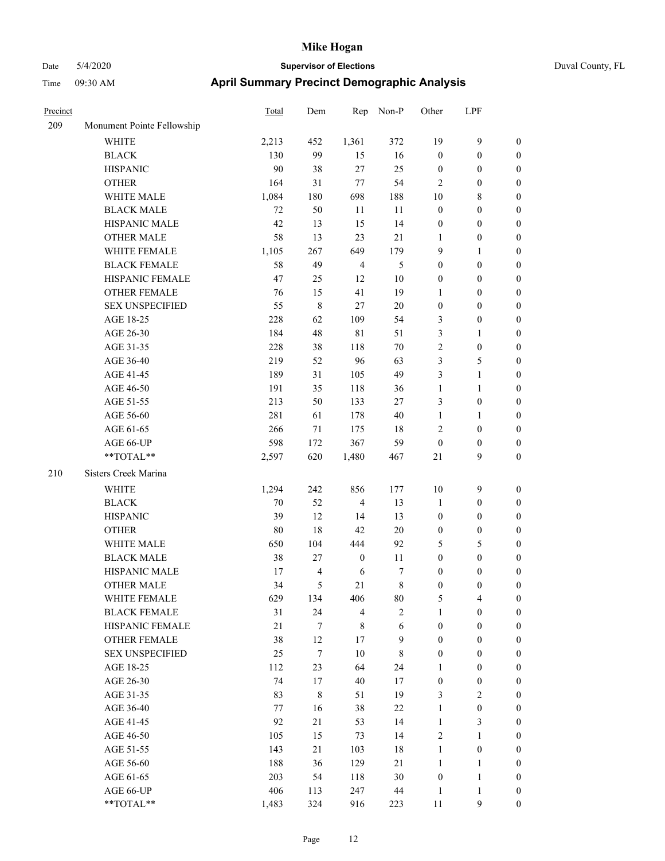|  | Duval Cou |  |  |  |  |  |  |  |  |  |  |  |  |  |  |
|--|-----------|--|--|--|--|--|--|--|--|--|--|--|--|--|--|
|  |           |  |  |  |  |  |  |  |  |  |  |  |  |  |  |
|  |           |  |  |  |  |  |  |  |  |  |  |  |  |  |  |

| Precinct |                            | Total  | Dem              | Rep              | Non-P          | Other            | LPF              |                  |
|----------|----------------------------|--------|------------------|------------------|----------------|------------------|------------------|------------------|
| 209      | Monument Pointe Fellowship |        |                  |                  |                |                  |                  |                  |
|          | <b>WHITE</b>               | 2,213  | 452              | 1,361            | 372            | 19               | $\mathbf{9}$     | $\boldsymbol{0}$ |
|          | <b>BLACK</b>               | 130    | 99               | 15               | 16             | $\boldsymbol{0}$ | $\boldsymbol{0}$ | $\boldsymbol{0}$ |
|          | <b>HISPANIC</b>            | 90     | 38               | $27\,$           | 25             | $\boldsymbol{0}$ | $\boldsymbol{0}$ | $\boldsymbol{0}$ |
|          | <b>OTHER</b>               | 164    | 31               | $77\,$           | 54             | $\overline{c}$   | $\boldsymbol{0}$ | $\boldsymbol{0}$ |
|          | WHITE MALE                 | 1,084  | 180              | 698              | 188            | 10               | $\,$ 8 $\,$      | $\boldsymbol{0}$ |
|          | <b>BLACK MALE</b>          | 72     | 50               | 11               | 11             | $\boldsymbol{0}$ | $\boldsymbol{0}$ | $\boldsymbol{0}$ |
|          | HISPANIC MALE              | 42     | 13               | 15               | 14             | $\boldsymbol{0}$ | $\boldsymbol{0}$ | 0                |
|          | <b>OTHER MALE</b>          | 58     | 13               | 23               | 21             | 1                | $\boldsymbol{0}$ | $\boldsymbol{0}$ |
|          | WHITE FEMALE               | 1,105  | 267              | 649              | 179            | 9                | $\mathbf{1}$     | $\boldsymbol{0}$ |
|          | <b>BLACK FEMALE</b>        | 58     | 49               | $\overline{4}$   | 5              | $\boldsymbol{0}$ | $\boldsymbol{0}$ | $\boldsymbol{0}$ |
|          | HISPANIC FEMALE            | 47     | 25               | 12               | 10             | $\boldsymbol{0}$ | $\boldsymbol{0}$ | $\boldsymbol{0}$ |
|          | OTHER FEMALE               | 76     | 15               | 41               | 19             | $\mathbf{1}$     | $\boldsymbol{0}$ | $\boldsymbol{0}$ |
|          | <b>SEX UNSPECIFIED</b>     | 55     | $\,$ 8 $\,$      | $27\,$           | $20\,$         | $\boldsymbol{0}$ | $\boldsymbol{0}$ | $\boldsymbol{0}$ |
|          | AGE 18-25                  | 228    | 62               | 109              | 54             | 3                | $\boldsymbol{0}$ | $\boldsymbol{0}$ |
|          | AGE 26-30                  | 184    | 48               | $8\sqrt{1}$      | 51             | 3                | $\mathbf{1}$     | $\boldsymbol{0}$ |
|          | AGE 31-35                  | 228    | $38\,$           | 118              | $70\,$         | $\sqrt{2}$       | $\boldsymbol{0}$ | $\boldsymbol{0}$ |
|          | AGE 36-40                  | 219    | 52               | 96               | 63             | $\mathfrak{Z}$   | $\mathfrak s$    | 0                |
|          | AGE 41-45                  | 189    | 31               | 105              | 49             | $\mathfrak{Z}$   | $\mathbf{1}$     | 0                |
|          | AGE 46-50                  | 191    | 35               | 118              | 36             | $\mathbf{1}$     | $\mathbf{1}$     | $\boldsymbol{0}$ |
|          | AGE 51-55                  | 213    | 50               | 133              | $27\,$         | 3                | $\boldsymbol{0}$ | $\boldsymbol{0}$ |
|          | AGE 56-60                  | 281    | 61               | 178              | 40             | $\mathbf{1}$     | $\mathbf{1}$     | $\boldsymbol{0}$ |
|          | AGE 61-65                  | 266    | 71               | 175              | 18             | $\overline{c}$   | $\boldsymbol{0}$ | $\boldsymbol{0}$ |
|          | AGE 66-UP                  | 598    | 172              | 367              | 59             | $\boldsymbol{0}$ | $\boldsymbol{0}$ | $\boldsymbol{0}$ |
|          | **TOTAL**                  | 2,597  | 620              | 1,480            | 467            | $21\,$           | $\mathbf{9}$     | $\boldsymbol{0}$ |
| 210      | Sisters Creek Marina       |        |                  |                  |                |                  |                  |                  |
|          | WHITE                      | 1,294  | 242              | 856              | 177            | 10               | $\mathbf{9}$     | $\boldsymbol{0}$ |
|          | <b>BLACK</b>               | 70     | 52               | $\overline{4}$   | 13             | $\mathbf{1}$     | $\boldsymbol{0}$ | $\boldsymbol{0}$ |
|          | <b>HISPANIC</b>            | 39     | 12               | 14               | 13             | $\boldsymbol{0}$ | $\boldsymbol{0}$ | $\boldsymbol{0}$ |
|          | <b>OTHER</b>               | 80     | 18               | $42\,$           | $20\,$         | $\boldsymbol{0}$ | $\boldsymbol{0}$ | 0                |
|          | WHITE MALE                 | 650    | 104              | 444              | 92             | 5                | $\mathfrak s$    | 0                |
|          | <b>BLACK MALE</b>          | 38     | 27               | $\boldsymbol{0}$ | 11             | $\boldsymbol{0}$ | $\boldsymbol{0}$ | $\boldsymbol{0}$ |
|          | HISPANIC MALE              | 17     | 4                | 6                | 7              | $\boldsymbol{0}$ | $\boldsymbol{0}$ | $\boldsymbol{0}$ |
|          | <b>OTHER MALE</b>          | 34     | 5                | 21               | 8              | $\boldsymbol{0}$ | $\boldsymbol{0}$ | $\boldsymbol{0}$ |
|          | WHITE FEMALE               | 629    | 134              | 406              | 80             | $\mathfrak s$    | $\overline{4}$   | $\boldsymbol{0}$ |
|          | <b>BLACK FEMALE</b>        | 31     | 24               | $\overline{4}$   | $\overline{c}$ | $\mathbf{1}$     | $\boldsymbol{0}$ | $\theta$         |
|          | HISPANIC FEMALE            | $21\,$ | 7                | $\,$ 8 $\,$      | 6              | $\boldsymbol{0}$ | $\boldsymbol{0}$ | $\theta$         |
|          | <b>OTHER FEMALE</b>        | 38     | 12               | 17               | 9              | $\boldsymbol{0}$ | $\boldsymbol{0}$ | $\overline{0}$   |
|          | <b>SEX UNSPECIFIED</b>     | 25     | $\boldsymbol{7}$ | $10\,$           | $\,$ 8 $\,$    | $\boldsymbol{0}$ | $\boldsymbol{0}$ | 0                |
|          | AGE 18-25                  | 112    | 23               | 64               | 24             | $\mathbf{1}$     | $\boldsymbol{0}$ | 0                |
|          | AGE 26-30                  | 74     | $17\,$           | 40               | 17             | $\boldsymbol{0}$ | $\boldsymbol{0}$ | 0                |
|          | AGE 31-35                  | 83     | $\,$ 8 $\,$      | 51               | 19             | 3                | $\sqrt{2}$       | $\overline{0}$   |
|          | AGE 36-40                  | 77     | 16               | 38               | 22             | $\mathbf{1}$     | $\boldsymbol{0}$ | $\overline{0}$   |
|          | AGE 41-45                  | 92     | 21               | 53               | 14             | $\mathbf{1}$     | $\mathfrak{Z}$   | $\boldsymbol{0}$ |
|          | AGE 46-50                  | 105    | 15               | 73               | 14             | $\overline{c}$   | $\mathbf{1}$     | $\overline{0}$   |
|          | AGE 51-55                  | 143    | 21               | 103              | $18\,$         | $\mathbf{1}$     | $\boldsymbol{0}$ | $\overline{0}$   |
|          | AGE 56-60                  | 188    | 36               | 129              | 21             | $\mathbf{1}$     | $\mathbf{1}$     | $\overline{0}$   |
|          | AGE 61-65                  | 203    | 54               | 118              | 30             | $\boldsymbol{0}$ | $\mathbf{1}$     | $\overline{0}$   |
|          | AGE 66-UP                  | 406    | 113              | 247              | $44\,$         | $\mathbf{1}$     | $\mathbf{1}$     | $\boldsymbol{0}$ |
|          | **TOTAL**                  | 1,483  | 324              | 916              | 223            | $11\,$           | $\mathbf{9}$     | $\boldsymbol{0}$ |
|          |                            |        |                  |                  |                |                  |                  |                  |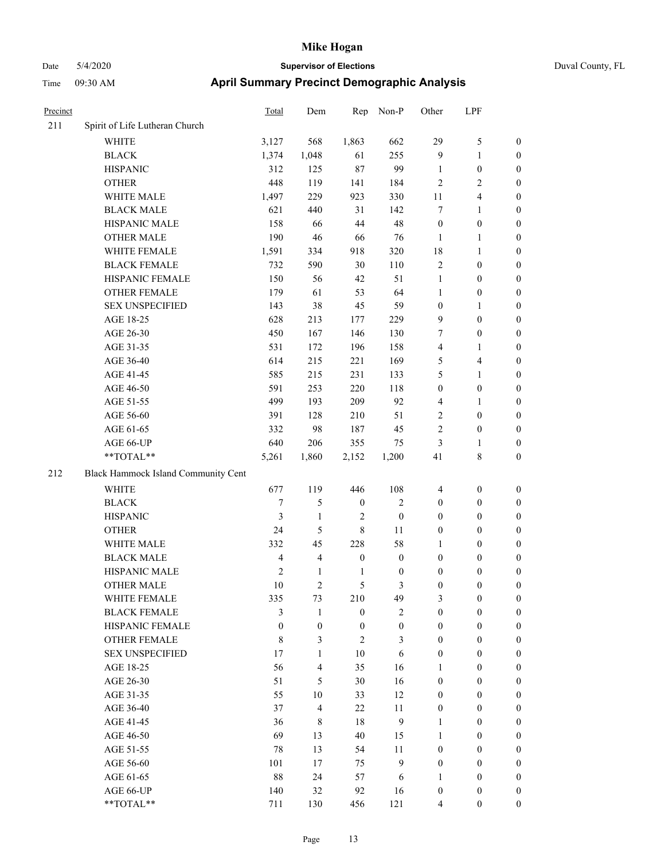| Precinct |                                        | <b>Total</b>     | Dem                      | Rep                  | Non-P              | Other                                | LPF                                  |                                  |
|----------|----------------------------------------|------------------|--------------------------|----------------------|--------------------|--------------------------------------|--------------------------------------|----------------------------------|
| 211      | Spirit of Life Lutheran Church         |                  |                          |                      |                    |                                      |                                      |                                  |
|          | WHITE                                  | 3,127            | 568                      | 1,863                | 662                | 29                                   | $\mathfrak s$                        | $\boldsymbol{0}$                 |
|          | <b>BLACK</b>                           | 1,374            | 1,048                    | 61                   | 255                | $\overline{9}$                       | $\mathbf{1}$                         | $\boldsymbol{0}$                 |
|          | <b>HISPANIC</b>                        | 312              | 125                      | $87\,$               | 99                 | $\mathbf{1}$                         | $\boldsymbol{0}$                     | 0                                |
|          | <b>OTHER</b>                           | 448              | 119                      | 141                  | 184                | $\overline{c}$                       | $\sqrt{2}$                           | 0                                |
|          | WHITE MALE                             | 1,497            | 229                      | 923                  | 330                | 11                                   | $\overline{\mathbf{4}}$              | $\boldsymbol{0}$                 |
|          | <b>BLACK MALE</b>                      | 621              | 440                      | 31                   | 142                | $\tau$                               | 1                                    | $\boldsymbol{0}$                 |
|          | HISPANIC MALE                          | 158              | 66                       | 44                   | 48                 | $\boldsymbol{0}$                     | $\boldsymbol{0}$                     | $\boldsymbol{0}$                 |
|          | <b>OTHER MALE</b>                      | 190              | 46                       | 66                   | 76                 | $\mathbf{1}$                         | $\mathbf{1}$                         | $\boldsymbol{0}$                 |
|          | WHITE FEMALE                           | 1,591            | 334                      | 918                  | 320                | 18                                   | $\mathbf{1}$                         | $\boldsymbol{0}$                 |
|          | <b>BLACK FEMALE</b>                    | 732              | 590                      | $30\,$               | 110                | $\sqrt{2}$                           | $\boldsymbol{0}$                     | $\boldsymbol{0}$                 |
|          | HISPANIC FEMALE                        | 150              | 56                       | 42                   | 51                 | $\mathbf{1}$                         | $\boldsymbol{0}$                     | $\boldsymbol{0}$                 |
|          | <b>OTHER FEMALE</b>                    | 179              | 61                       | 53                   | 64                 | $\mathbf{1}$                         | $\boldsymbol{0}$                     | 0                                |
|          | <b>SEX UNSPECIFIED</b>                 | 143              | 38                       | 45                   | 59                 | $\boldsymbol{0}$                     | 1                                    | 0                                |
|          | AGE 18-25                              | 628              | 213                      | 177                  | 229                | 9                                    | $\boldsymbol{0}$                     | 0                                |
|          | AGE 26-30                              | 450              | 167                      | 146                  | 130                | 7                                    | $\boldsymbol{0}$                     | $\boldsymbol{0}$                 |
|          | AGE 31-35                              | 531              | 172                      | 196                  | 158                | 4                                    | 1                                    | $\boldsymbol{0}$                 |
|          | AGE 36-40                              | 614              | 215                      | 221                  | 169                | 5                                    | $\overline{4}$                       | $\boldsymbol{0}$                 |
|          | AGE 41-45                              | 585              | 215                      | 231                  | 133                | 5                                    | $\mathbf{1}$                         | $\boldsymbol{0}$                 |
|          | AGE 46-50                              | 591              | 253                      | 220                  | 118                | $\boldsymbol{0}$                     | $\boldsymbol{0}$                     | $\boldsymbol{0}$                 |
|          | AGE 51-55                              | 499              | 193                      | 209                  | 92                 | 4                                    | $\mathbf{1}$                         | $\boldsymbol{0}$                 |
|          | AGE 56-60                              | 391              | 128                      | 210                  | 51                 | $\sqrt{2}$                           | $\boldsymbol{0}$                     | $\boldsymbol{0}$                 |
|          | AGE 61-65                              | 332              | 98                       | 187                  | 45                 | $\overline{2}$                       | $\boldsymbol{0}$                     | 0                                |
|          | AGE 66-UP                              | 640              | 206                      | 355                  | 75                 | 3                                    | $\mathbf{1}$                         | 0                                |
|          | **TOTAL**                              | 5,261            | 1,860                    | 2,152                | 1,200              | 41                                   | $\,$ 8 $\,$                          | $\boldsymbol{0}$                 |
| 212      | Black Hammock Island Community Cent    |                  |                          |                      |                    |                                      |                                      |                                  |
|          | <b>WHITE</b>                           | 677              | 119                      | 446                  | 108                | 4                                    | $\boldsymbol{0}$                     | 0                                |
|          | <b>BLACK</b>                           | 7                | 5                        | $\boldsymbol{0}$     | 2                  | $\boldsymbol{0}$                     | $\boldsymbol{0}$                     | $\boldsymbol{0}$                 |
|          | <b>HISPANIC</b>                        | 3                | $\mathbf{1}$             | $\overline{2}$       | $\boldsymbol{0}$   | $\boldsymbol{0}$                     | $\boldsymbol{0}$                     | $\boldsymbol{0}$                 |
|          | <b>OTHER</b>                           | 24               | 5                        | $\,$ 8 $\,$          | 11                 | $\boldsymbol{0}$                     | $\boldsymbol{0}$                     | $\boldsymbol{0}$                 |
|          | WHITE MALE                             | 332              | 45                       | 228                  | 58                 | $\mathbf{1}$                         | $\boldsymbol{0}$                     | $\boldsymbol{0}$                 |
|          | <b>BLACK MALE</b>                      | $\overline{4}$   | 4                        | $\boldsymbol{0}$     | $\boldsymbol{0}$   | $\boldsymbol{0}$                     | $\boldsymbol{0}$                     | $\boldsymbol{0}$                 |
|          | HISPANIC MALE                          | $\sqrt{2}$       | $\mathbf{1}$             | $\mathbf{1}$         | $\boldsymbol{0}$   | $\boldsymbol{0}$                     | $\boldsymbol{0}$                     | $\boldsymbol{0}$                 |
|          | <b>OTHER MALE</b>                      | 10               | $\overline{c}$           | 5                    | 3                  | $\boldsymbol{0}$                     | $\boldsymbol{0}$                     | $\boldsymbol{0}$                 |
|          | WHITE FEMALE                           | 335              | 73                       | 210                  | 49                 | 3                                    | $\boldsymbol{0}$                     | 0                                |
|          | <b>BLACK FEMALE</b>                    | 3                | $\mathbf{1}$             | $\boldsymbol{0}$     | $\mathbf{2}$       | $\boldsymbol{0}$                     | $\boldsymbol{0}$                     | 0                                |
|          | HISPANIC FEMALE                        | $\boldsymbol{0}$ | $\boldsymbol{0}$         | $\boldsymbol{0}$     | $\boldsymbol{0}$   | $\boldsymbol{0}$                     | $\boldsymbol{0}$                     | 0                                |
|          | OTHER FEMALE<br><b>SEX UNSPECIFIED</b> | 8<br>17          | 3<br>1                   | $\overline{c}$<br>10 | 3<br>6             | $\boldsymbol{0}$<br>$\boldsymbol{0}$ | $\boldsymbol{0}$<br>$\boldsymbol{0}$ | $\overline{0}$<br>$\overline{0}$ |
|          |                                        |                  |                          |                      |                    |                                      |                                      |                                  |
|          | AGE 18-25                              | 56               | 4                        | 35                   | 16                 | 1                                    | $\boldsymbol{0}$                     | $\overline{0}$                   |
|          | AGE 26-30                              | 51<br>55         | 5<br>10                  | 30                   | 16<br>12           | $\boldsymbol{0}$<br>$\boldsymbol{0}$ | $\boldsymbol{0}$<br>$\boldsymbol{0}$ | $\overline{0}$<br>$\overline{0}$ |
|          | AGE 31-35<br>AGE 36-40                 |                  | $\overline{\mathcal{L}}$ | 33<br>$22\,$         | 11                 |                                      |                                      | $\overline{0}$                   |
|          | AGE 41-45                              | 37<br>36         | $\,$ 8 $\,$              | $18\,$               | $\boldsymbol{9}$   | $\boldsymbol{0}$<br>$\mathbf{1}$     | $\boldsymbol{0}$<br>$\boldsymbol{0}$ | $\overline{0}$                   |
|          |                                        | 69               | 13                       | 40                   |                    | $\mathbf{1}$                         |                                      | $\overline{0}$                   |
|          | AGE 46-50                              |                  |                          |                      | 15                 |                                      | $\boldsymbol{0}$                     |                                  |
|          | AGE 51-55<br>AGE 56-60                 | 78<br>101        | 13<br>17                 | 54<br>75             | 11<br>$\mathbf{9}$ | $\boldsymbol{0}$<br>$\boldsymbol{0}$ | $\boldsymbol{0}$<br>$\boldsymbol{0}$ | 0<br>$\boldsymbol{0}$            |
|          | AGE 61-65                              | 88               | 24                       | 57                   | 6                  | 1                                    | $\boldsymbol{0}$                     | $\overline{0}$                   |
|          | AGE 66-UP                              | 140              | 32                       | 92                   | 16                 | $\boldsymbol{0}$                     | $\boldsymbol{0}$                     | 0                                |
|          | **TOTAL**                              | 711              | 130                      | 456                  | 121                | 4                                    | $\boldsymbol{0}$                     | $\boldsymbol{0}$                 |
|          |                                        |                  |                          |                      |                    |                                      |                                      |                                  |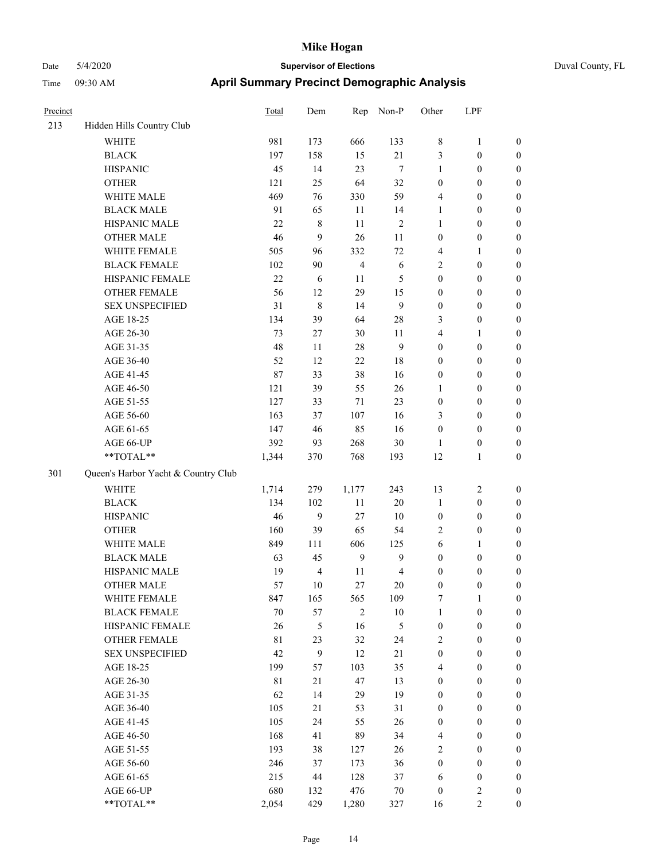| Precinct |                                     | Total       | Dem            | Rep            | Non-P          | Other                   | LPF              |                  |
|----------|-------------------------------------|-------------|----------------|----------------|----------------|-------------------------|------------------|------------------|
| 213      | Hidden Hills Country Club           |             |                |                |                |                         |                  |                  |
|          | <b>WHITE</b>                        | 981         | 173            | 666            | 133            | $\,$ 8 $\,$             | $\mathbf{1}$     | $\boldsymbol{0}$ |
|          | <b>BLACK</b>                        | 197         | 158            | 15             | $21\,$         | 3                       | $\boldsymbol{0}$ | $\boldsymbol{0}$ |
|          | <b>HISPANIC</b>                     | 45          | 14             | 23             | $\overline{7}$ | $\mathbf{1}$            | $\boldsymbol{0}$ | $\boldsymbol{0}$ |
|          | <b>OTHER</b>                        | 121         | 25             | 64             | 32             | $\boldsymbol{0}$        | $\boldsymbol{0}$ | $\boldsymbol{0}$ |
|          | WHITE MALE                          | 469         | 76             | 330            | 59             | $\overline{4}$          | $\boldsymbol{0}$ | $\boldsymbol{0}$ |
|          | <b>BLACK MALE</b>                   | 91          | 65             | 11             | 14             | $\mathbf{1}$            | $\boldsymbol{0}$ | $\boldsymbol{0}$ |
|          | HISPANIC MALE                       | 22          | $\,$ 8 $\,$    | 11             | $\overline{2}$ | $\mathbf{1}$            | $\boldsymbol{0}$ | $\boldsymbol{0}$ |
|          | <b>OTHER MALE</b>                   | 46          | 9              | $26\,$         | 11             | $\boldsymbol{0}$        | $\boldsymbol{0}$ | $\boldsymbol{0}$ |
|          | WHITE FEMALE                        | 505         | 96             | 332            | 72             | $\overline{4}$          | 1                | $\boldsymbol{0}$ |
|          | <b>BLACK FEMALE</b>                 | 102         | 90             | $\overline{4}$ | 6              | $\sqrt{2}$              | $\boldsymbol{0}$ | $\boldsymbol{0}$ |
|          | HISPANIC FEMALE                     | 22          | $\sqrt{6}$     | 11             | 5              | $\boldsymbol{0}$        | $\boldsymbol{0}$ | $\boldsymbol{0}$ |
|          | <b>OTHER FEMALE</b>                 | 56          | 12             | 29             | 15             | $\boldsymbol{0}$        | $\boldsymbol{0}$ | $\boldsymbol{0}$ |
|          | <b>SEX UNSPECIFIED</b>              | 31          | $\,$ 8 $\,$    | 14             | 9              | $\boldsymbol{0}$        | $\boldsymbol{0}$ | $\boldsymbol{0}$ |
|          | AGE 18-25                           | 134         | 39             | 64             | 28             | 3                       | $\boldsymbol{0}$ | $\boldsymbol{0}$ |
|          | AGE 26-30                           | 73          | 27             | 30             | 11             | $\overline{4}$          | 1                | $\boldsymbol{0}$ |
|          | AGE 31-35                           | 48          | 11             | $28\,$         | 9              | $\boldsymbol{0}$        | $\boldsymbol{0}$ | $\boldsymbol{0}$ |
|          | AGE 36-40                           | 52          | 12             | 22             | 18             | $\boldsymbol{0}$        | $\boldsymbol{0}$ | $\boldsymbol{0}$ |
|          | AGE 41-45                           | 87          | 33             | 38             | 16             | $\boldsymbol{0}$        | $\boldsymbol{0}$ | $\boldsymbol{0}$ |
|          | AGE 46-50                           | 121         | 39             | 55             | 26             | $\mathbf{1}$            | $\boldsymbol{0}$ | $\boldsymbol{0}$ |
|          | AGE 51-55                           | 127         | 33             | 71             | 23             | $\boldsymbol{0}$        | $\boldsymbol{0}$ | $\boldsymbol{0}$ |
|          | AGE 56-60                           | 163         | 37             | 107            | 16             | 3                       | $\boldsymbol{0}$ | $\boldsymbol{0}$ |
|          | AGE 61-65                           | 147         | 46             | 85             | 16             | $\boldsymbol{0}$        | $\boldsymbol{0}$ | $\boldsymbol{0}$ |
|          | AGE 66-UP                           | 392         | 93             | 268            | 30             | $\mathbf{1}$            | $\boldsymbol{0}$ | $\boldsymbol{0}$ |
|          | **TOTAL**                           | 1,344       | 370            | 768            | 193            | 12                      | $\mathbf{1}$     | $\boldsymbol{0}$ |
| 301      | Queen's Harbor Yacht & Country Club |             |                |                |                |                         |                  |                  |
|          | <b>WHITE</b>                        | 1,714       | 279            | 1,177          | 243            | 13                      | 2                | $\boldsymbol{0}$ |
|          | <b>BLACK</b>                        | 134         | 102            | 11             | $20\,$         | $\mathbf{1}$            | $\boldsymbol{0}$ | $\boldsymbol{0}$ |
|          | <b>HISPANIC</b>                     | 46          | 9              | $27\,$         | 10             | $\boldsymbol{0}$        | $\boldsymbol{0}$ | $\boldsymbol{0}$ |
|          | <b>OTHER</b>                        | 160         | 39             | 65             | 54             | $\overline{2}$          | $\boldsymbol{0}$ | $\boldsymbol{0}$ |
|          | WHITE MALE                          | 849         | 111            | 606            | 125            | 6                       | 1                | $\boldsymbol{0}$ |
|          | <b>BLACK MALE</b>                   | 63          | 45             | 9              | 9              | $\boldsymbol{0}$        | $\boldsymbol{0}$ | $\boldsymbol{0}$ |
|          | HISPANIC MALE                       | 19          | $\overline{4}$ | 11             | 4              | $\boldsymbol{0}$        | $\boldsymbol{0}$ | $\boldsymbol{0}$ |
|          | <b>OTHER MALE</b>                   | 57          | 10             | 27             | 20             | $\boldsymbol{0}$        | $\boldsymbol{0}$ | $\boldsymbol{0}$ |
|          | WHITE FEMALE                        | 847         | 165            | 565            | 109            | $\boldsymbol{7}$        | $\mathbf{1}$     | $\boldsymbol{0}$ |
|          | <b>BLACK FEMALE</b>                 | $70\,$      | 57             | $\sqrt{2}$     | $10\,$         | $\mathbf{1}$            | $\boldsymbol{0}$ | $\boldsymbol{0}$ |
|          | HISPANIC FEMALE                     | 26          | 5              | 16             | $\sqrt{5}$     | $\boldsymbol{0}$        | $\boldsymbol{0}$ | $\boldsymbol{0}$ |
|          | OTHER FEMALE                        | $8\sqrt{1}$ | 23             | 32             | 24             | $\overline{2}$          | $\boldsymbol{0}$ | $\boldsymbol{0}$ |
|          | <b>SEX UNSPECIFIED</b>              | 42          | 9              | 12             | $21\,$         | $\boldsymbol{0}$        | $\boldsymbol{0}$ | $\boldsymbol{0}$ |
|          | AGE 18-25                           | 199         | 57             | 103            | 35             | $\overline{4}$          | $\boldsymbol{0}$ | $\boldsymbol{0}$ |
|          | AGE 26-30                           | $8\sqrt{1}$ | 21             | 47             | 13             | $\boldsymbol{0}$        | $\boldsymbol{0}$ | $\boldsymbol{0}$ |
|          | AGE 31-35                           | 62          | 14             | 29             | 19             | $\boldsymbol{0}$        | $\boldsymbol{0}$ | $\boldsymbol{0}$ |
|          | AGE 36-40                           | 105         | 21             | 53             | 31             | $\boldsymbol{0}$        | $\boldsymbol{0}$ | $\boldsymbol{0}$ |
|          | AGE 41-45                           | 105         | 24             | 55             | 26             | $\boldsymbol{0}$        | $\boldsymbol{0}$ | $\boldsymbol{0}$ |
|          | AGE 46-50                           | 168         | 41             | 89             | 34             | $\overline{\mathbf{4}}$ | $\boldsymbol{0}$ | $\boldsymbol{0}$ |
|          | AGE 51-55                           | 193         | 38             | 127            | 26             | $\sqrt{2}$              | $\boldsymbol{0}$ | $\boldsymbol{0}$ |
|          | AGE 56-60                           | 246         | 37             | 173            | 36             | $\boldsymbol{0}$        | $\boldsymbol{0}$ | $\boldsymbol{0}$ |
|          | AGE 61-65                           | 215         | 44             | 128            | 37             | 6                       | $\boldsymbol{0}$ | $\boldsymbol{0}$ |
|          | AGE 66-UP                           | 680         | 132            | 476            | $70\,$         | $\boldsymbol{0}$        | 2                | $\boldsymbol{0}$ |
|          | $**TOTAL**$                         | 2,054       | 429            | 1,280          | 327            | 16                      | $\overline{c}$   | $\boldsymbol{0}$ |
|          |                                     |             |                |                |                |                         |                  |                  |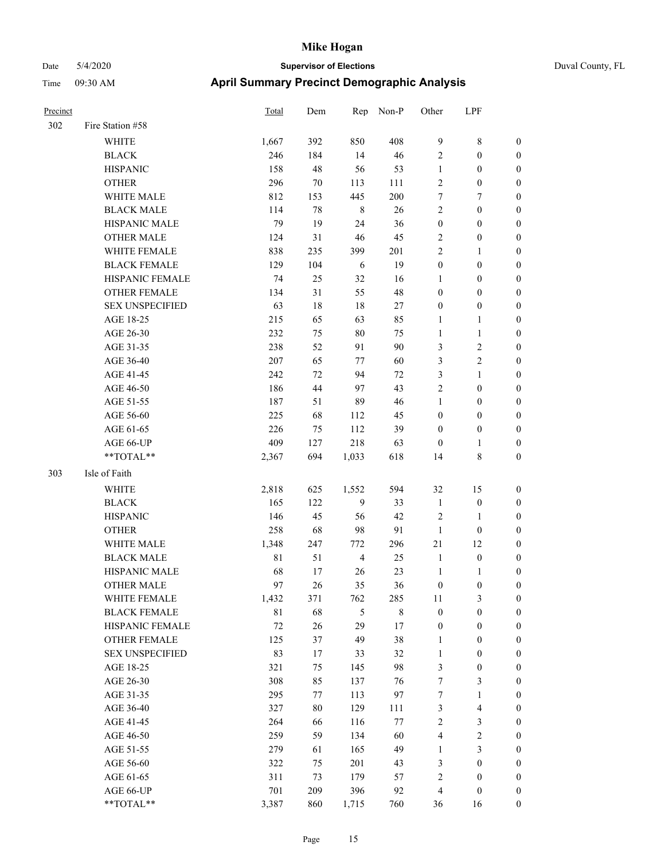| Precinct |                        | <b>Total</b> | Dem    | Rep            | Non-P   | Other            | LPF              |                  |
|----------|------------------------|--------------|--------|----------------|---------|------------------|------------------|------------------|
| 302      | Fire Station #58       |              |        |                |         |                  |                  |                  |
|          | WHITE                  | 1,667        | 392    | 850            | 408     | 9                | 8                | $\boldsymbol{0}$ |
|          | <b>BLACK</b>           | 246          | 184    | 14             | 46      | $\sqrt{2}$       | $\boldsymbol{0}$ | $\boldsymbol{0}$ |
|          | <b>HISPANIC</b>        | 158          | 48     | 56             | 53      | $\mathbf{1}$     | $\boldsymbol{0}$ | $\boldsymbol{0}$ |
|          | <b>OTHER</b>           | 296          | 70     | 113            | 111     | $\overline{2}$   | $\boldsymbol{0}$ | $\boldsymbol{0}$ |
|          | WHITE MALE             | 812          | 153    | 445            | 200     | 7                | 7                | $\boldsymbol{0}$ |
|          | <b>BLACK MALE</b>      | 114          | $78\,$ | $\,$ 8 $\,$    | $26\,$  | $\sqrt{2}$       | $\boldsymbol{0}$ | $\boldsymbol{0}$ |
|          | HISPANIC MALE          | 79           | 19     | 24             | 36      | $\boldsymbol{0}$ | $\boldsymbol{0}$ | $\boldsymbol{0}$ |
|          | <b>OTHER MALE</b>      | 124          | 31     | 46             | 45      | $\sqrt{2}$       | $\boldsymbol{0}$ | $\boldsymbol{0}$ |
|          | WHITE FEMALE           | 838          | 235    | 399            | 201     | $\overline{2}$   | 1                | $\boldsymbol{0}$ |
|          | <b>BLACK FEMALE</b>    | 129          | 104    | 6              | 19      | $\boldsymbol{0}$ | $\boldsymbol{0}$ | $\boldsymbol{0}$ |
|          | HISPANIC FEMALE        | 74           | 25     | 32             | 16      | $\mathbf{1}$     | $\boldsymbol{0}$ | $\boldsymbol{0}$ |
|          | <b>OTHER FEMALE</b>    | 134          | 31     | 55             | 48      | $\boldsymbol{0}$ | $\boldsymbol{0}$ | $\boldsymbol{0}$ |
|          | <b>SEX UNSPECIFIED</b> | 63           | 18     | 18             | 27      | $\boldsymbol{0}$ | $\boldsymbol{0}$ | $\boldsymbol{0}$ |
|          | AGE 18-25              | 215          | 65     | 63             | 85      | $\mathbf{1}$     | 1                | $\boldsymbol{0}$ |
|          | AGE 26-30              | 232          | 75     | $80\,$         | 75      | $\mathbf{1}$     | $\mathbf{1}$     | $\boldsymbol{0}$ |
|          | AGE 31-35              | 238          | 52     | 91             | 90      | 3                | 2                | $\boldsymbol{0}$ |
|          | AGE 36-40              | 207          | 65     | 77             | 60      | 3                | $\overline{c}$   | $\boldsymbol{0}$ |
|          | AGE 41-45              | 242          | 72     | 94             | $72\,$  | 3                | 1                | $\boldsymbol{0}$ |
|          | AGE 46-50              | 186          | 44     | 97             | 43      | $\overline{2}$   | $\boldsymbol{0}$ | $\boldsymbol{0}$ |
|          | AGE 51-55              | 187          | 51     | 89             | 46      | $\mathbf{1}$     | $\boldsymbol{0}$ | $\boldsymbol{0}$ |
|          | AGE 56-60              | 225          | 68     | 112            | 45      | $\boldsymbol{0}$ | $\boldsymbol{0}$ | $\boldsymbol{0}$ |
|          | AGE 61-65              | 226          | 75     | 112            | 39      | $\boldsymbol{0}$ | $\boldsymbol{0}$ | $\boldsymbol{0}$ |
|          | AGE 66-UP              | 409          | 127    | 218            | 63      | $\boldsymbol{0}$ | 1                | $\boldsymbol{0}$ |
|          | **TOTAL**              | 2,367        | 694    | 1,033          | 618     | 14               | 8                | $\boldsymbol{0}$ |
| 303      | Isle of Faith          |              |        |                |         |                  |                  |                  |
|          | <b>WHITE</b>           | 2,818        | 625    | 1,552          | 594     | 32               | 15               | $\boldsymbol{0}$ |
|          | <b>BLACK</b>           | 165          | 122    | 9              | 33      | $\mathbf{1}$     | $\boldsymbol{0}$ | $\boldsymbol{0}$ |
|          | <b>HISPANIC</b>        | 146          | 45     | 56             | 42      | $\sqrt{2}$       | 1                | $\boldsymbol{0}$ |
|          | <b>OTHER</b>           | 258          | 68     | 98             | 91      | $\mathbf{1}$     | $\boldsymbol{0}$ | $\boldsymbol{0}$ |
|          | WHITE MALE             | 1,348        | 247    | 772            | 296     | $21\,$           | 12               | $\boldsymbol{0}$ |
|          | <b>BLACK MALE</b>      | $8\sqrt{1}$  | 51     | $\overline{4}$ | 25      | $\mathbf{1}$     | $\boldsymbol{0}$ | $\boldsymbol{0}$ |
|          | HISPANIC MALE          | 68           | 17     | 26             | 23      | $\mathbf{1}$     | 1                | $\boldsymbol{0}$ |
|          | <b>OTHER MALE</b>      | 97           | 26     | 35             | 36      | $\boldsymbol{0}$ | $\boldsymbol{0}$ | $\boldsymbol{0}$ |
|          | WHITE FEMALE           | 1,432        | 371    | 762            | 285     | 11               | 3                | $\boldsymbol{0}$ |
|          | <b>BLACK FEMALE</b>    | $8\sqrt{1}$  | 68     | $\sqrt{5}$     | $\,8\,$ | $\boldsymbol{0}$ | $\boldsymbol{0}$ | $\boldsymbol{0}$ |
|          | HISPANIC FEMALE        | $72\,$       | 26     | 29             | 17      | $\boldsymbol{0}$ | $\boldsymbol{0}$ | $\boldsymbol{0}$ |
|          | OTHER FEMALE           | 125          | 37     | 49             | 38      | 1                | $\boldsymbol{0}$ | $\boldsymbol{0}$ |
|          | <b>SEX UNSPECIFIED</b> | 83           | 17     | 33             | 32      | $\mathbf{1}$     | $\boldsymbol{0}$ | $\boldsymbol{0}$ |
|          | AGE 18-25              | 321          | 75     | 145            | 98      | $\mathfrak{Z}$   | $\boldsymbol{0}$ | $\boldsymbol{0}$ |
|          | AGE 26-30              | 308          | 85     | 137            | 76      | $\boldsymbol{7}$ | 3                | $\boldsymbol{0}$ |
|          | AGE 31-35              | 295          | 77     | 113            | 97      | $\boldsymbol{7}$ | $\mathbf{1}$     | $\boldsymbol{0}$ |
|          | AGE 36-40              | 327          | 80     | 129            | 111     | $\mathfrak{Z}$   | 4                | $\boldsymbol{0}$ |
|          | AGE 41-45              | 264          | 66     | 116            | 77      | $\sqrt{2}$       | 3                | $\boldsymbol{0}$ |
|          | AGE 46-50              | 259          | 59     | 134            | 60      | $\overline{4}$   | $\overline{c}$   | $\boldsymbol{0}$ |
|          | AGE 51-55              | 279          | 61     | 165            | 49      | 1                | $\mathfrak{Z}$   | $\boldsymbol{0}$ |
|          | AGE 56-60              | 322          | 75     | 201            | 43      | $\mathfrak{Z}$   | $\boldsymbol{0}$ | $\boldsymbol{0}$ |
|          | AGE 61-65              | 311          | 73     | 179            | 57      | $\sqrt{2}$       | $\boldsymbol{0}$ | $\boldsymbol{0}$ |
|          | AGE 66-UP              | 701          | 209    | 396            | 92      | $\overline{4}$   | $\boldsymbol{0}$ | $\boldsymbol{0}$ |
|          | $**TOTAL**$            | 3,387        | 860    | 1,715          | 760     | 36               | 16               | $\boldsymbol{0}$ |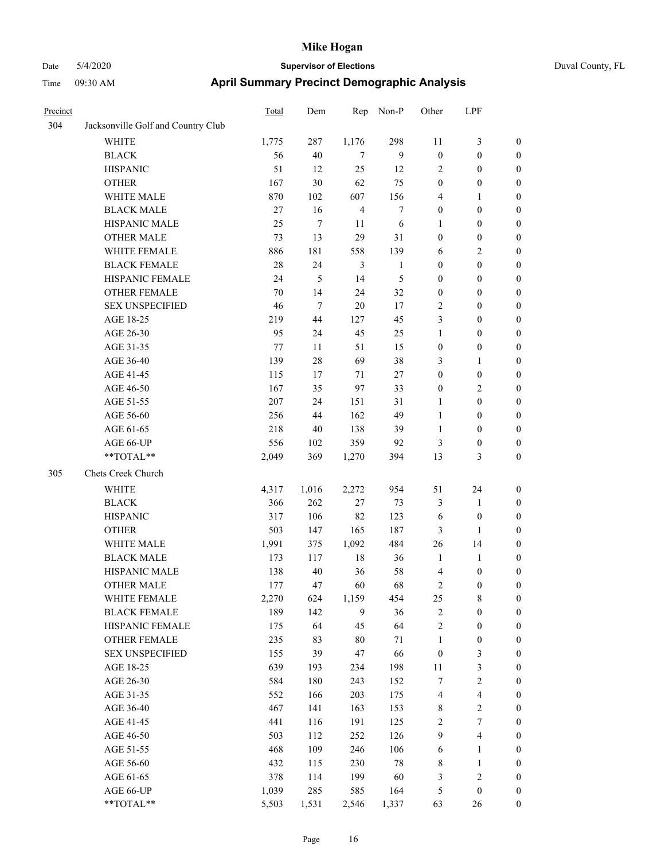|  |  | Duv |
|--|--|-----|
|  |  |     |

| Precinct |                                    | Total   | Dem              | Rep            | Non-P        | Other            | LPF                     |                  |
|----------|------------------------------------|---------|------------------|----------------|--------------|------------------|-------------------------|------------------|
| 304      | Jacksonville Golf and Country Club |         |                  |                |              |                  |                         |                  |
|          | <b>WHITE</b>                       | 1,775   | 287              | 1,176          | 298          | 11               | $\mathfrak{Z}$          | $\boldsymbol{0}$ |
|          | <b>BLACK</b>                       | 56      | 40               | 7              | 9            | $\boldsymbol{0}$ | $\boldsymbol{0}$        | $\boldsymbol{0}$ |
|          | <b>HISPANIC</b>                    | 51      | 12               | 25             | 12           | $\overline{2}$   | $\boldsymbol{0}$        | $\boldsymbol{0}$ |
|          | <b>OTHER</b>                       | 167     | 30               | 62             | 75           | $\boldsymbol{0}$ | $\boldsymbol{0}$        | $\boldsymbol{0}$ |
|          | WHITE MALE                         | 870     | 102              | 607            | 156          | 4                | $\mathbf{1}$            | $\boldsymbol{0}$ |
|          | <b>BLACK MALE</b>                  | 27      | 16               | $\overline{4}$ | $\tau$       | $\boldsymbol{0}$ | $\boldsymbol{0}$        | $\boldsymbol{0}$ |
|          | HISPANIC MALE                      | 25      | 7                | 11             | 6            | 1                | $\boldsymbol{0}$        | $\boldsymbol{0}$ |
|          | <b>OTHER MALE</b>                  | 73      | 13               | 29             | 31           | $\boldsymbol{0}$ | $\boldsymbol{0}$        | 0                |
|          | WHITE FEMALE                       | 886     | 181              | 558            | 139          | 6                | $\sqrt{2}$              | 0                |
|          | <b>BLACK FEMALE</b>                | 28      | 24               | 3              | $\mathbf{1}$ | $\boldsymbol{0}$ | $\boldsymbol{0}$        | $\boldsymbol{0}$ |
|          | HISPANIC FEMALE                    | 24      | 5                | 14             | 5            | $\boldsymbol{0}$ | $\boldsymbol{0}$        | $\boldsymbol{0}$ |
|          | <b>OTHER FEMALE</b>                | 70      | 14               | 24             | 32           | $\boldsymbol{0}$ | $\boldsymbol{0}$        | $\boldsymbol{0}$ |
|          | <b>SEX UNSPECIFIED</b>             | 46      | $\boldsymbol{7}$ | 20             | 17           | $\sqrt{2}$       | $\boldsymbol{0}$        | $\boldsymbol{0}$ |
|          | AGE 18-25                          | 219     | 44               | 127            | 45           | 3                | $\boldsymbol{0}$        | $\boldsymbol{0}$ |
|          | AGE 26-30                          | 95      | 24               | 45             | 25           | $\mathbf{1}$     | $\boldsymbol{0}$        | $\boldsymbol{0}$ |
|          | AGE 31-35                          | $77 \,$ | 11               | 51             | 15           | $\boldsymbol{0}$ | $\boldsymbol{0}$        | $\boldsymbol{0}$ |
|          | AGE 36-40                          | 139     | $28\,$           | 69             | 38           | 3                | 1                       | $\boldsymbol{0}$ |
|          | AGE 41-45                          | 115     | 17               | 71             | 27           | $\boldsymbol{0}$ | $\boldsymbol{0}$        | 0                |
|          | AGE 46-50                          | 167     | 35               | 97             | 33           | $\boldsymbol{0}$ | $\sqrt{2}$              | 0                |
|          | AGE 51-55                          | 207     | 24               | 151            | 31           | $\mathbf{1}$     | $\boldsymbol{0}$        | $\boldsymbol{0}$ |
|          | AGE 56-60                          | 256     | 44               | 162            | 49           | $\mathbf{1}$     | $\boldsymbol{0}$        | $\boldsymbol{0}$ |
|          | AGE 61-65                          | 218     | 40               | 138            | 39           | $\mathbf{1}$     | $\boldsymbol{0}$        | $\boldsymbol{0}$ |
|          | AGE 66-UP                          | 556     | 102              | 359            | 92           | 3                | $\boldsymbol{0}$        | $\boldsymbol{0}$ |
|          | **TOTAL**                          | 2,049   | 369              | 1,270          | 394          | 13               | 3                       | $\boldsymbol{0}$ |
| 305      | Chets Creek Church                 |         |                  |                |              |                  |                         |                  |
|          | WHITE                              | 4,317   | 1,016            | 2,272          | 954          | 51               | 24                      | $\boldsymbol{0}$ |
|          | <b>BLACK</b>                       | 366     | 262              | 27             | 73           | 3                | $\mathbf{1}$            | $\boldsymbol{0}$ |
|          | <b>HISPANIC</b>                    | 317     | 106              | 82             | 123          | 6                | $\boldsymbol{0}$        | $\boldsymbol{0}$ |
|          | <b>OTHER</b>                       | 503     | 147              | 165            | 187          | 3                | 1                       | $\boldsymbol{0}$ |
|          | WHITE MALE                         | 1,991   | 375              | 1,092          | 484          | 26               | 14                      | 0                |
|          | <b>BLACK MALE</b>                  | 173     | 117              | 18             | 36           | $\mathbf{1}$     | $\mathbf{1}$            | 0                |
|          | HISPANIC MALE                      | 138     | 40               | 36             | 58           | $\overline{4}$   | $\boldsymbol{0}$        | 0                |
|          | <b>OTHER MALE</b>                  | 177     | 47               | 60             | 68           | 2                | $\boldsymbol{0}$        | $\boldsymbol{0}$ |
|          | WHITE FEMALE                       | 2,270   | 624              | 1,159          | 454          | 25               | 8                       | $\boldsymbol{0}$ |
|          | <b>BLACK FEMALE</b>                | 189     | 142              | 9              | 36           | $\sqrt{2}$       | $\boldsymbol{0}$        | $\overline{0}$   |
|          | HISPANIC FEMALE                    | 175     | 64               | 45             | 64           | $\overline{c}$   | $\boldsymbol{0}$        | $\overline{0}$   |
|          | <b>OTHER FEMALE</b>                | 235     | 83               | 80             | 71           | $\mathbf{1}$     | $\boldsymbol{0}$        | $\overline{0}$   |
|          | <b>SEX UNSPECIFIED</b>             | 155     | 39               | 47             | 66           | $\boldsymbol{0}$ | $\mathfrak z$           | $\overline{0}$   |
|          | AGE 18-25                          | 639     | 193              | 234            | 198          | $11\,$           | $\mathfrak z$           | 0                |
|          | AGE 26-30                          | 584     | 180              | 243            | 152          | $\boldsymbol{7}$ | $\boldsymbol{2}$        | 0                |
|          | AGE 31-35                          | 552     | 166              | 203            | 175          | 4                | $\overline{\mathbf{4}}$ | 0                |
|          | AGE 36-40                          | 467     | 141              | 163            | 153          | 8                | $\boldsymbol{2}$        | $\boldsymbol{0}$ |
|          | AGE 41-45                          | 441     | 116              | 191            | 125          | $\sqrt{2}$       | $\boldsymbol{7}$        | $\boldsymbol{0}$ |
|          | AGE 46-50                          | 503     | 112              | 252            | 126          | 9                | $\overline{\mathbf{4}}$ | $\boldsymbol{0}$ |
|          | AGE 51-55                          | 468     | 109              | 246            | 106          | 6                | $\mathbf{1}$            | $\boldsymbol{0}$ |
|          | AGE 56-60                          | 432     | 115              | 230            | 78           | $\,$ 8 $\,$      | $\mathbf{1}$            | $\overline{0}$   |
|          | AGE 61-65                          | 378     | 114              | 199            | 60           | 3                | $\sqrt{2}$              | $\overline{0}$   |
|          | AGE 66-UP                          | 1,039   | 285              | 585            | 164          | 5                | $\boldsymbol{0}$        | $\boldsymbol{0}$ |
|          | **TOTAL**                          | 5,503   | 1,531            | 2,546          | 1,337        | 63               | $26\,$                  | $\boldsymbol{0}$ |
|          |                                    |         |                  |                |              |                  |                         |                  |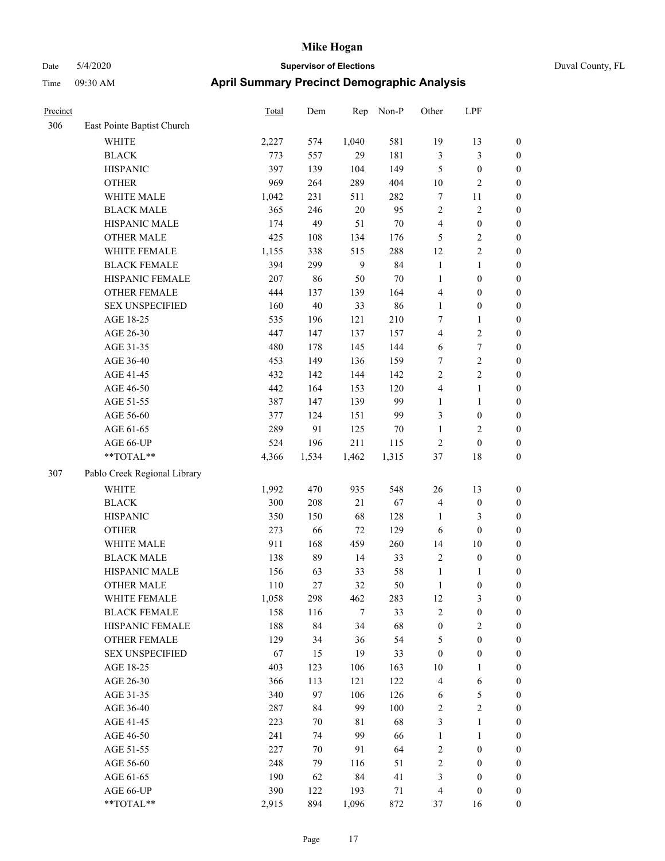| Precinct |                              | Total | Dem   | Rep            | Non-P  | Other            | LPF                     |                  |
|----------|------------------------------|-------|-------|----------------|--------|------------------|-------------------------|------------------|
| 306      | East Pointe Baptist Church   |       |       |                |        |                  |                         |                  |
|          | <b>WHITE</b>                 | 2,227 | 574   | 1,040          | 581    | 19               | 13                      | $\boldsymbol{0}$ |
|          | <b>BLACK</b>                 | 773   | 557   | 29             | 181    | $\mathfrak{Z}$   | 3                       | $\boldsymbol{0}$ |
|          | <b>HISPANIC</b>              | 397   | 139   | 104            | 149    | 5                | $\boldsymbol{0}$        | $\boldsymbol{0}$ |
|          | <b>OTHER</b>                 | 969   | 264   | 289            | 404    | 10               | $\overline{c}$          | $\boldsymbol{0}$ |
|          | WHITE MALE                   | 1,042 | 231   | 511            | 282    | $\tau$           | 11                      | $\boldsymbol{0}$ |
|          | <b>BLACK MALE</b>            | 365   | 246   | $20\,$         | 95     | $\overline{2}$   | 2                       | $\boldsymbol{0}$ |
|          | HISPANIC MALE                | 174   | 49    | 51             | $70\,$ | $\overline{4}$   | $\boldsymbol{0}$        | $\boldsymbol{0}$ |
|          | <b>OTHER MALE</b>            | 425   | 108   | 134            | 176    | 5                | 2                       | $\boldsymbol{0}$ |
|          | WHITE FEMALE                 | 1,155 | 338   | 515            | 288    | 12               | 2                       | $\boldsymbol{0}$ |
|          | <b>BLACK FEMALE</b>          | 394   | 299   | 9              | 84     | $\mathbf{1}$     | 1                       | $\boldsymbol{0}$ |
|          | HISPANIC FEMALE              | 207   | 86    | 50             | 70     | $\mathbf{1}$     | $\boldsymbol{0}$        | $\boldsymbol{0}$ |
|          | <b>OTHER FEMALE</b>          | 444   | 137   | 139            | 164    | $\overline{4}$   | $\boldsymbol{0}$        | $\boldsymbol{0}$ |
|          | <b>SEX UNSPECIFIED</b>       | 160   | 40    | 33             | 86     | $\mathbf{1}$     | $\boldsymbol{0}$        | $\boldsymbol{0}$ |
|          | AGE 18-25                    | 535   | 196   | 121            | 210    | 7                | 1                       | $\boldsymbol{0}$ |
|          | AGE 26-30                    | 447   | 147   | 137            | 157    | $\overline{4}$   | 2                       | $\boldsymbol{0}$ |
|          | AGE 31-35                    | 480   | 178   | 145            | 144    | 6                | $\boldsymbol{7}$        | $\boldsymbol{0}$ |
|          | AGE 36-40                    | 453   | 149   | 136            | 159    | 7                | $\overline{2}$          | $\boldsymbol{0}$ |
|          | AGE 41-45                    | 432   | 142   | 144            | 142    | $\sqrt{2}$       | $\overline{c}$          | $\boldsymbol{0}$ |
|          | AGE 46-50                    | 442   | 164   | 153            | 120    | $\overline{4}$   | 1                       | $\boldsymbol{0}$ |
|          | AGE 51-55                    | 387   | 147   | 139            | 99     | $\mathbf{1}$     | 1                       | $\boldsymbol{0}$ |
|          | AGE 56-60                    | 377   | 124   | 151            | 99     | $\mathfrak{Z}$   | $\boldsymbol{0}$        | $\boldsymbol{0}$ |
|          | AGE 61-65                    | 289   | 91    | 125            | 70     | $\mathbf{1}$     | $\overline{\mathbf{c}}$ | $\boldsymbol{0}$ |
|          | AGE 66-UP                    | 524   | 196   | 211            | 115    | $\sqrt{2}$       | $\boldsymbol{0}$        | $\boldsymbol{0}$ |
|          | **TOTAL**                    | 4,366 | 1,534 | 1,462          | 1,315  | 37               | 18                      | $\boldsymbol{0}$ |
| 307      | Pablo Creek Regional Library |       |       |                |        |                  |                         |                  |
|          | <b>WHITE</b>                 | 1,992 | 470   | 935            | 548    | 26               | 13                      | $\boldsymbol{0}$ |
|          | <b>BLACK</b>                 | 300   | 208   | 21             | 67     | $\overline{4}$   | $\boldsymbol{0}$        | $\boldsymbol{0}$ |
|          | <b>HISPANIC</b>              | 350   | 150   | 68             | 128    | 1                | 3                       | $\boldsymbol{0}$ |
|          | <b>OTHER</b>                 | 273   | 66    | 72             | 129    | 6                | $\boldsymbol{0}$        | $\boldsymbol{0}$ |
|          | WHITE MALE                   | 911   | 168   | 459            | 260    | 14               | 10                      | $\boldsymbol{0}$ |
|          | <b>BLACK MALE</b>            | 138   | 89    | 14             | 33     | $\sqrt{2}$       | $\boldsymbol{0}$        | $\boldsymbol{0}$ |
|          | HISPANIC MALE                | 156   | 63    | 33             | 58     | $\mathbf{1}$     | 1                       | $\boldsymbol{0}$ |
|          | <b>OTHER MALE</b>            | 110   | 27    | 32             | 50     | $\mathbf{1}$     | $\boldsymbol{0}$        | $\boldsymbol{0}$ |
|          | WHITE FEMALE                 | 1,058 | 298   | 462            | 283    | 12               | 3                       | $\boldsymbol{0}$ |
|          | <b>BLACK FEMALE</b>          | 158   | 116   | $\overline{7}$ | 33     | $\sqrt{2}$       | $\boldsymbol{0}$        | $\boldsymbol{0}$ |
|          | HISPANIC FEMALE              | 188   | 84    | 34             | 68     | $\boldsymbol{0}$ | 2                       | $\boldsymbol{0}$ |
|          | <b>OTHER FEMALE</b>          | 129   | 34    | 36             | 54     | $\sqrt{5}$       | $\boldsymbol{0}$        | $\boldsymbol{0}$ |
|          | <b>SEX UNSPECIFIED</b>       | 67    | 15    | 19             | 33     | $\boldsymbol{0}$ | $\boldsymbol{0}$        | $\boldsymbol{0}$ |
|          | AGE 18-25                    | 403   | 123   | 106            | 163    | 10               | 1                       | $\boldsymbol{0}$ |
|          | AGE 26-30                    | 366   | 113   | 121            | 122    | $\overline{4}$   | 6                       | $\boldsymbol{0}$ |
|          | AGE 31-35                    | 340   | 97    | 106            | 126    | 6                | 5                       | $\boldsymbol{0}$ |
|          | AGE 36-40                    | 287   | 84    | 99             | 100    | $\sqrt{2}$       | $\overline{2}$          | $\boldsymbol{0}$ |
|          | AGE 41-45                    | 223   | 70    | 81             | 68     | $\mathfrak{Z}$   | 1                       | $\boldsymbol{0}$ |
|          | AGE 46-50                    | 241   | 74    | 99             | 66     | $\mathbf{1}$     | 1                       | $\boldsymbol{0}$ |
|          | AGE 51-55                    | 227   | 70    | 91             | 64     | $\sqrt{2}$       | $\boldsymbol{0}$        | $\boldsymbol{0}$ |
|          | AGE 56-60                    | 248   | 79    | 116            | 51     | $\sqrt{2}$       | $\boldsymbol{0}$        | $\boldsymbol{0}$ |
|          | AGE 61-65                    | 190   | 62    | 84             | 41     | $\mathfrak{Z}$   | $\boldsymbol{0}$        | $\boldsymbol{0}$ |
|          | AGE 66-UP                    | 390   | 122   | 193            | 71     | $\overline{4}$   | $\boldsymbol{0}$        | $\boldsymbol{0}$ |
|          | **TOTAL**                    | 2,915 | 894   | 1,096          | 872    | 37               | 16                      | $\boldsymbol{0}$ |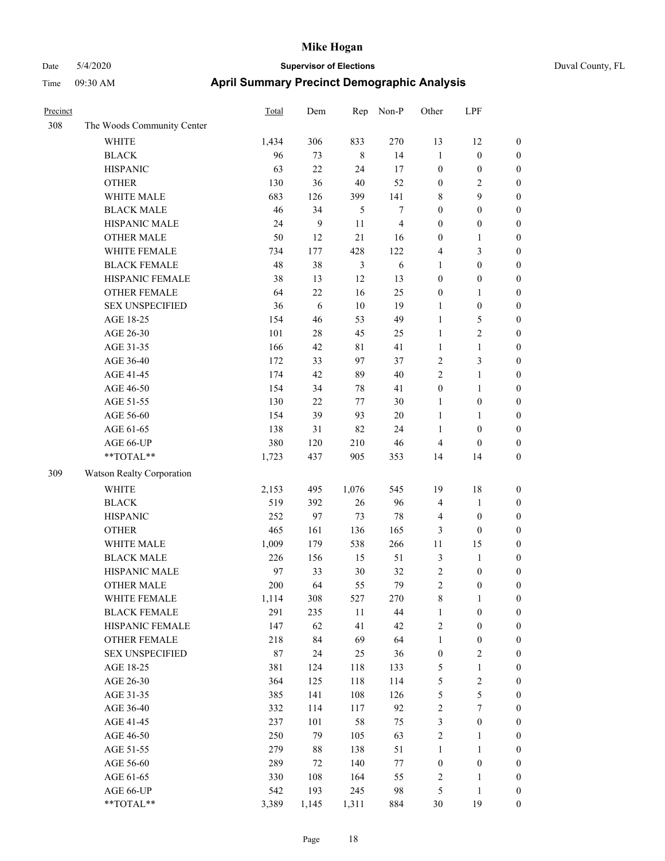| Precinct |                            | <b>Total</b> | Dem    | Rep            | Non-P          | Other            | LPF              |                  |
|----------|----------------------------|--------------|--------|----------------|----------------|------------------|------------------|------------------|
| 308      | The Woods Community Center |              |        |                |                |                  |                  |                  |
|          | WHITE                      | 1,434        | 306    | 833            | 270            | 13               | 12               | $\boldsymbol{0}$ |
|          | <b>BLACK</b>               | 96           | 73     | $\,8\,$        | 14             | $\mathbf{1}$     | $\boldsymbol{0}$ | $\boldsymbol{0}$ |
|          | <b>HISPANIC</b>            | 63           | 22     | 24             | 17             | $\boldsymbol{0}$ | $\boldsymbol{0}$ | $\boldsymbol{0}$ |
|          | <b>OTHER</b>               | 130          | 36     | 40             | 52             | $\boldsymbol{0}$ | 2                | $\boldsymbol{0}$ |
|          | WHITE MALE                 | 683          | 126    | 399            | 141            | $\,$ 8 $\,$      | 9                | $\boldsymbol{0}$ |
|          | <b>BLACK MALE</b>          | 46           | 34     | 5              | 7              | $\boldsymbol{0}$ | $\boldsymbol{0}$ | $\boldsymbol{0}$ |
|          | HISPANIC MALE              | 24           | 9      | 11             | $\overline{4}$ | $\boldsymbol{0}$ | $\boldsymbol{0}$ | $\boldsymbol{0}$ |
|          | <b>OTHER MALE</b>          | 50           | 12     | 21             | 16             | $\boldsymbol{0}$ | $\mathbf{1}$     | $\boldsymbol{0}$ |
|          | WHITE FEMALE               | 734          | 177    | 428            | 122            | $\overline{4}$   | 3                | $\boldsymbol{0}$ |
|          | <b>BLACK FEMALE</b>        | 48           | 38     | $\mathfrak{Z}$ | 6              | $\mathbf{1}$     | $\boldsymbol{0}$ | $\boldsymbol{0}$ |
|          | HISPANIC FEMALE            | 38           | 13     | 12             | 13             | $\boldsymbol{0}$ | $\boldsymbol{0}$ | $\boldsymbol{0}$ |
|          | <b>OTHER FEMALE</b>        | 64           | 22     | 16             | 25             | $\boldsymbol{0}$ | 1                | $\boldsymbol{0}$ |
|          | <b>SEX UNSPECIFIED</b>     | 36           | 6      | 10             | 19             | $\mathbf{1}$     | $\boldsymbol{0}$ | $\boldsymbol{0}$ |
|          | AGE 18-25                  | 154          | 46     | 53             | 49             | 1                | 5                | $\boldsymbol{0}$ |
|          | AGE 26-30                  | 101          | 28     | 45             | 25             | 1                | 2                | $\boldsymbol{0}$ |
|          | AGE 31-35                  | 166          | 42     | $8\sqrt{1}$    | 41             | $\mathbf{1}$     | 1                | $\boldsymbol{0}$ |
|          | AGE 36-40                  | 172          | 33     | 97             | 37             | $\overline{2}$   | 3                | $\boldsymbol{0}$ |
|          | AGE 41-45                  | 174          | 42     | 89             | 40             | $\overline{2}$   | 1                | $\boldsymbol{0}$ |
|          | AGE 46-50                  | 154          | 34     | 78             | 41             | $\boldsymbol{0}$ | 1                | $\boldsymbol{0}$ |
|          | AGE 51-55                  | 130          | 22     | 77             | 30             | 1                | $\boldsymbol{0}$ | $\boldsymbol{0}$ |
|          | AGE 56-60                  | 154          | 39     | 93             | $20\,$         | 1                | 1                | $\boldsymbol{0}$ |
|          | AGE 61-65                  | 138          | 31     | 82             | 24             | 1                | $\boldsymbol{0}$ | $\boldsymbol{0}$ |
|          | AGE 66-UP                  | 380          | 120    | 210            | 46             | $\overline{4}$   | $\boldsymbol{0}$ | $\boldsymbol{0}$ |
|          | **TOTAL**                  | 1,723        | 437    | 905            | 353            | 14               | 14               | $\boldsymbol{0}$ |
| 309      | Watson Realty Corporation  |              |        |                |                |                  |                  |                  |
|          | <b>WHITE</b>               | 2,153        | 495    | 1,076          | 545            | 19               | 18               | $\boldsymbol{0}$ |
|          | <b>BLACK</b>               | 519          | 392    | 26             | 96             | $\overline{4}$   | $\mathbf{1}$     | $\boldsymbol{0}$ |
|          | <b>HISPANIC</b>            | 252          | 97     | 73             | 78             | $\overline{4}$   | $\boldsymbol{0}$ | $\boldsymbol{0}$ |
|          | <b>OTHER</b>               | 465          | 161    | 136            | 165            | $\mathfrak{Z}$   | $\theta$         | $\boldsymbol{0}$ |
|          | WHITE MALE                 | 1,009        | 179    | 538            | 266            | 11               | 15               | $\boldsymbol{0}$ |
|          | <b>BLACK MALE</b>          | 226          | 156    | 15             | 51             | $\mathfrak{Z}$   | 1                | $\boldsymbol{0}$ |
|          | HISPANIC MALE              | 97           | 33     | $30\,$         | 32             | $\sqrt{2}$       | $\boldsymbol{0}$ | $\boldsymbol{0}$ |
|          | <b>OTHER MALE</b>          | 200          | 64     | 55             | 79             | $\overline{2}$   | $\boldsymbol{0}$ | $\boldsymbol{0}$ |
|          | WHITE FEMALE               | 1,114        | 308    | 527            | 270            | $\,$ 8 $\,$      | $\mathbf{1}$     | $\boldsymbol{0}$ |
|          | <b>BLACK FEMALE</b>        | 291          | 235    | 11             | 44             | $\mathbf{1}$     | $\boldsymbol{0}$ | $\boldsymbol{0}$ |
|          | HISPANIC FEMALE            | 147          | 62     | 41             | 42             | $\sqrt{2}$       | $\boldsymbol{0}$ | $\boldsymbol{0}$ |
|          | OTHER FEMALE               | 218          | 84     | 69             | 64             | $\mathbf{1}$     | $\boldsymbol{0}$ | $\boldsymbol{0}$ |
|          | <b>SEX UNSPECIFIED</b>     | $87\,$       | 24     | 25             | 36             | $\boldsymbol{0}$ | $\mathbf{2}$     | $\boldsymbol{0}$ |
|          | AGE 18-25                  | 381          | 124    | 118            | 133            | $\sqrt{5}$       | $\mathbf{1}$     | $\boldsymbol{0}$ |
|          | AGE 26-30                  | 364          | 125    | 118            | 114            | $\mathfrak s$    | $\sqrt{2}$       | $\boldsymbol{0}$ |
|          | AGE 31-35                  | 385          | 141    | 108            | 126            | $\sqrt{5}$       | 5                | $\boldsymbol{0}$ |
|          | AGE 36-40                  | 332          | 114    | 117            | 92             | $\sqrt{2}$       | 7                | $\boldsymbol{0}$ |
|          | AGE 41-45                  | 237          | 101    | $58\,$         | 75             | $\mathfrak{Z}$   | $\boldsymbol{0}$ | $\boldsymbol{0}$ |
|          | AGE 46-50                  | 250          | 79     | 105            | 63             | $\sqrt{2}$       | 1                | $\boldsymbol{0}$ |
|          | AGE 51-55                  | 279          | $88\,$ | 138            | 51             | $\mathbf{1}$     | $\mathbf{1}$     | $\boldsymbol{0}$ |
|          | AGE 56-60                  | 289          | 72     | 140            | $77\,$         | $\boldsymbol{0}$ | $\boldsymbol{0}$ | $\boldsymbol{0}$ |
|          | AGE 61-65                  | 330          | 108    | 164            | 55             | $\sqrt{2}$       | 1                | $\boldsymbol{0}$ |
|          | AGE 66-UP                  | 542          | 193    | 245            | 98             | $\mathfrak{S}$   | 1                | $\boldsymbol{0}$ |
|          | **TOTAL**                  | 3,389        | 1,145  | 1,311          | 884            | 30               | 19               | $\boldsymbol{0}$ |
|          |                            |              |        |                |                |                  |                  |                  |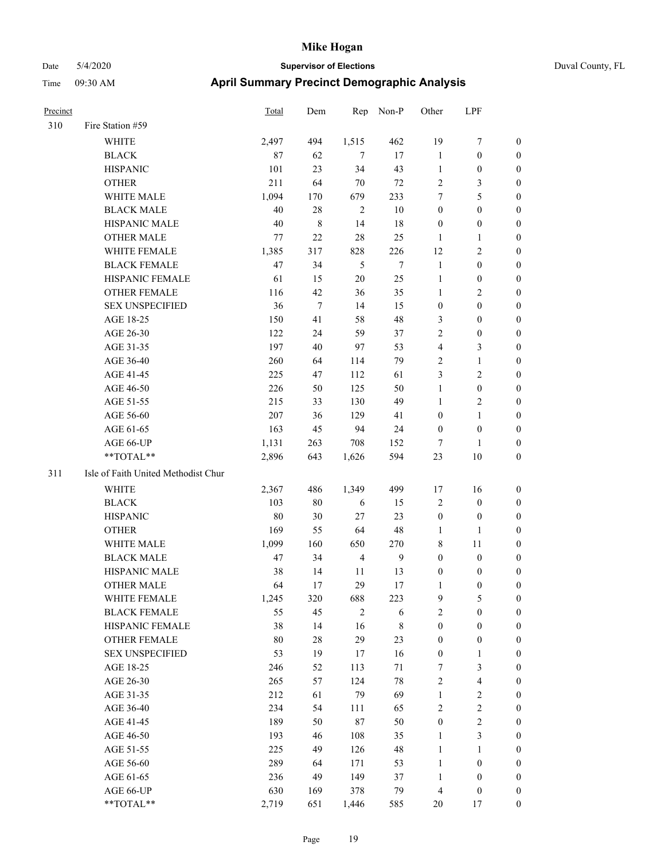| Precinct |                                     | Total  | Dem    | Rep            | Non-P          | Other            | LPF                     |                  |
|----------|-------------------------------------|--------|--------|----------------|----------------|------------------|-------------------------|------------------|
| 310      | Fire Station #59                    |        |        |                |                |                  |                         |                  |
|          | WHITE                               | 2,497  | 494    | 1,515          | 462            | 19               | 7                       | $\boldsymbol{0}$ |
|          | <b>BLACK</b>                        | 87     | 62     | $\overline{7}$ | 17             | $\mathbf{1}$     | $\boldsymbol{0}$        | $\mathbf{0}$     |
|          | <b>HISPANIC</b>                     | 101    | 23     | 34             | 43             | $\mathbf{1}$     | $\boldsymbol{0}$        | $\boldsymbol{0}$ |
|          | <b>OTHER</b>                        | 211    | 64     | 70             | 72             | $\sqrt{2}$       | 3                       | $\boldsymbol{0}$ |
|          | WHITE MALE                          | 1,094  | 170    | 679            | 233            | 7                | 5                       | $\boldsymbol{0}$ |
|          | <b>BLACK MALE</b>                   | 40     | $28\,$ | $\overline{c}$ | 10             | $\boldsymbol{0}$ | $\boldsymbol{0}$        | $\boldsymbol{0}$ |
|          | HISPANIC MALE                       | 40     | 8      | 14             | 18             | $\boldsymbol{0}$ | $\boldsymbol{0}$        | $\boldsymbol{0}$ |
|          | <b>OTHER MALE</b>                   | 77     | 22     | 28             | 25             | 1                | 1                       | $\boldsymbol{0}$ |
|          | WHITE FEMALE                        | 1,385  | 317    | 828            | 226            | 12               | 2                       | $\boldsymbol{0}$ |
|          | <b>BLACK FEMALE</b>                 | $47\,$ | 34     | 5              | $\overline{7}$ | $\mathbf{1}$     | $\boldsymbol{0}$        | $\boldsymbol{0}$ |
|          | HISPANIC FEMALE                     | 61     | 15     | $20\,$         | 25             | $\mathbf{1}$     | $\boldsymbol{0}$        | $\boldsymbol{0}$ |
|          | <b>OTHER FEMALE</b>                 | 116    | 42     | 36             | 35             | $\mathbf{1}$     | 2                       | $\boldsymbol{0}$ |
|          | <b>SEX UNSPECIFIED</b>              | 36     | $\tau$ | 14             | 15             | $\boldsymbol{0}$ | $\boldsymbol{0}$        | $\boldsymbol{0}$ |
|          | AGE 18-25                           | 150    | 41     | 58             | 48             | $\mathfrak{Z}$   | $\boldsymbol{0}$        | $\boldsymbol{0}$ |
|          | AGE 26-30                           | 122    | 24     | 59             | 37             | $\overline{2}$   | $\boldsymbol{0}$        | $\boldsymbol{0}$ |
|          | AGE 31-35                           | 197    | 40     | 97             | 53             | $\overline{4}$   | 3                       | $\boldsymbol{0}$ |
|          | AGE 36-40                           | 260    | 64     | 114            | 79             | $\overline{2}$   | 1                       | $\boldsymbol{0}$ |
|          | AGE 41-45                           | 225    | 47     | 112            | 61             | 3                | 2                       | $\boldsymbol{0}$ |
|          | AGE 46-50                           | 226    | 50     | 125            | 50             | $\mathbf{1}$     | $\boldsymbol{0}$        | $\boldsymbol{0}$ |
|          | AGE 51-55                           | 215    | 33     | 130            | 49             | $\mathbf{1}$     | $\overline{\mathbf{c}}$ | $\boldsymbol{0}$ |
|          | AGE 56-60                           | 207    | 36     | 129            | 41             | $\boldsymbol{0}$ | 1                       | $\boldsymbol{0}$ |
|          | AGE 61-65                           | 163    | 45     | 94             | 24             | $\boldsymbol{0}$ | $\boldsymbol{0}$        | $\boldsymbol{0}$ |
|          | AGE 66-UP                           | 1,131  | 263    | 708            | 152            | 7                | $\mathbf{1}$            | $\boldsymbol{0}$ |
|          | **TOTAL**                           | 2,896  | 643    | 1,626          | 594            | 23               | 10                      | $\boldsymbol{0}$ |
| 311      | Isle of Faith United Methodist Chur |        |        |                |                |                  |                         |                  |
|          | <b>WHITE</b>                        | 2,367  | 486    | 1,349          | 499            | 17               | 16                      | $\boldsymbol{0}$ |
|          | <b>BLACK</b>                        | 103    | 80     | 6              | 15             | $\sqrt{2}$       | $\boldsymbol{0}$        | $\boldsymbol{0}$ |
|          | <b>HISPANIC</b>                     | 80     | 30     | 27             | 23             | $\boldsymbol{0}$ | $\boldsymbol{0}$        | $\boldsymbol{0}$ |
|          | <b>OTHER</b>                        | 169    | 55     | 64             | 48             | $\mathbf{1}$     | 1                       | $\boldsymbol{0}$ |
|          | WHITE MALE                          | 1,099  | 160    | 650            | 270            | $\,$ 8 $\,$      | 11                      | $\boldsymbol{0}$ |
|          | <b>BLACK MALE</b>                   | 47     | 34     | $\overline{4}$ | 9              | $\boldsymbol{0}$ | $\boldsymbol{0}$        | $\boldsymbol{0}$ |
|          | HISPANIC MALE                       | 38     | 14     | 11             | 13             | $\boldsymbol{0}$ | 0                       | $\boldsymbol{0}$ |
|          | <b>OTHER MALE</b>                   | 64     | 17     | 29             | 17             | 1                | $\mathbf{0}$            | $\boldsymbol{0}$ |
|          | WHITE FEMALE                        | 1,245  | 320    | 688            | 223            | $\mathbf{9}$     | 5                       | $\boldsymbol{0}$ |
|          | <b>BLACK FEMALE</b>                 | 55     | 45     | $\overline{2}$ | 6              | $\sqrt{2}$       | $\boldsymbol{0}$        | $\boldsymbol{0}$ |
|          | HISPANIC FEMALE                     | 38     | 14     | 16             | $\,$ 8 $\,$    | $\boldsymbol{0}$ | $\boldsymbol{0}$        | $\boldsymbol{0}$ |
|          | OTHER FEMALE                        | 80     | $28\,$ | 29             | 23             | $\boldsymbol{0}$ | $\boldsymbol{0}$        | $\boldsymbol{0}$ |
|          | <b>SEX UNSPECIFIED</b>              | 53     | 19     | 17             | 16             | $\boldsymbol{0}$ | 1                       | $\boldsymbol{0}$ |
|          | AGE 18-25                           | 246    | 52     | 113            | 71             | $\boldsymbol{7}$ | 3                       | $\boldsymbol{0}$ |
|          | AGE 26-30                           | 265    | 57     | 124            | $78\,$         | $\sqrt{2}$       | 4                       | $\boldsymbol{0}$ |
|          | AGE 31-35                           | 212    | 61     | 79             | 69             | $\mathbf{1}$     | $\overline{\mathbf{c}}$ | $\boldsymbol{0}$ |
|          | AGE 36-40                           | 234    | 54     | 111            | 65             | $\sqrt{2}$       | $\overline{c}$          | $\boldsymbol{0}$ |
|          | AGE 41-45                           | 189    | 50     | 87             | 50             | $\boldsymbol{0}$ | $\overline{c}$          | $\boldsymbol{0}$ |
|          | AGE 46-50                           | 193    | 46     | 108            | 35             | $\mathbf{1}$     | 3                       | $\boldsymbol{0}$ |
|          | AGE 51-55                           | 225    | 49     | 126            | 48             | $\mathbf{1}$     | 1                       | $\boldsymbol{0}$ |
|          | AGE 56-60                           | 289    | 64     | 171            | 53             | $\mathbf{1}$     | $\boldsymbol{0}$        | $\boldsymbol{0}$ |
|          | AGE 61-65                           | 236    | 49     | 149            | 37             | $\mathbf{1}$     | $\boldsymbol{0}$        | $\boldsymbol{0}$ |
|          | AGE 66-UP                           | 630    | 169    | 378            | 79             | $\overline{4}$   | $\boldsymbol{0}$        | $\boldsymbol{0}$ |
|          | **TOTAL**                           | 2,719  | 651    | 1,446          | 585            | $20\,$           | $17\,$                  | $\boldsymbol{0}$ |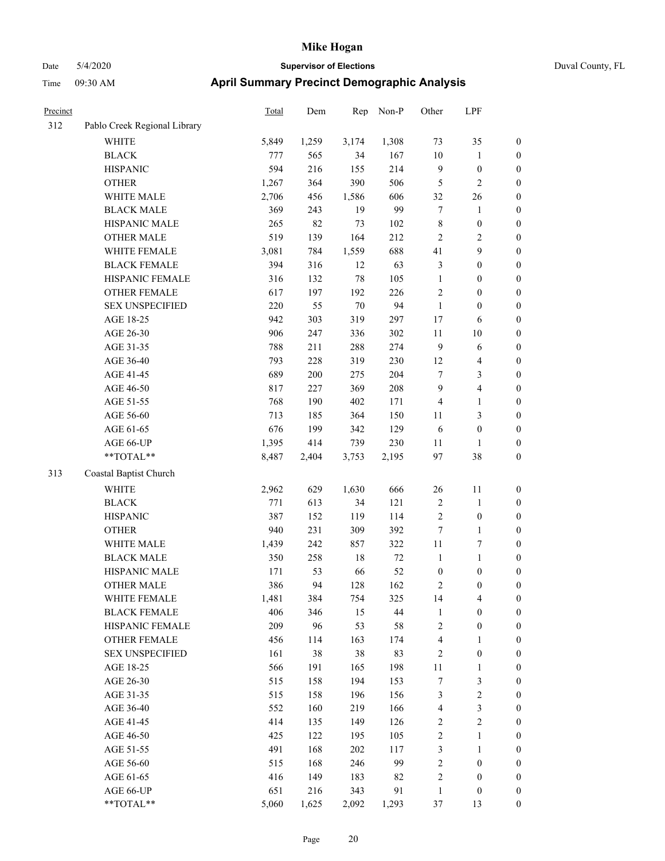# Date 5/4/2020 **Supervisor of Elections** Duval County, FL Time 09:30 AM **April Summary Precinct Demographic Analysis**

| Precinct |                              | <b>Total</b> | Dem   | Rep    | Non-P  | Other                   | LPF                     |                  |
|----------|------------------------------|--------------|-------|--------|--------|-------------------------|-------------------------|------------------|
| 312      | Pablo Creek Regional Library |              |       |        |        |                         |                         |                  |
|          | WHITE                        | 5,849        | 1,259 | 3,174  | 1,308  | 73                      | 35                      | $\boldsymbol{0}$ |
|          | <b>BLACK</b>                 | 777          | 565   | 34     | 167    | 10                      | 1                       | $\boldsymbol{0}$ |
|          | <b>HISPANIC</b>              | 594          | 216   | 155    | 214    | $\overline{9}$          | $\boldsymbol{0}$        | $\boldsymbol{0}$ |
|          | <b>OTHER</b>                 | 1,267        | 364   | 390    | 506    | 5                       | 2                       | $\boldsymbol{0}$ |
|          | WHITE MALE                   | 2,706        | 456   | 1,586  | 606    | 32                      | $26\,$                  | $\boldsymbol{0}$ |
|          | <b>BLACK MALE</b>            | 369          | 243   | 19     | 99     | 7                       | $\mathbf{1}$            | $\boldsymbol{0}$ |
|          | HISPANIC MALE                | 265          | 82    | 73     | 102    | 8                       | $\boldsymbol{0}$        | $\boldsymbol{0}$ |
|          | <b>OTHER MALE</b>            | 519          | 139   | 164    | 212    | $\overline{c}$          | 2                       | $\boldsymbol{0}$ |
|          | WHITE FEMALE                 | 3,081        | 784   | 1,559  | 688    | 41                      | 9                       | $\boldsymbol{0}$ |
|          | <b>BLACK FEMALE</b>          | 394          | 316   | 12     | 63     | $\mathfrak{Z}$          | $\boldsymbol{0}$        | $\boldsymbol{0}$ |
|          | HISPANIC FEMALE              | 316          | 132   | $78\,$ | 105    | $\mathbf{1}$            | $\boldsymbol{0}$        | $\boldsymbol{0}$ |
|          | <b>OTHER FEMALE</b>          | 617          | 197   | 192    | 226    | $\overline{2}$          | $\boldsymbol{0}$        | $\boldsymbol{0}$ |
|          | <b>SEX UNSPECIFIED</b>       | 220          | 55    | $70\,$ | 94     | $\mathbf{1}$            | $\boldsymbol{0}$        | $\boldsymbol{0}$ |
|          | AGE 18-25                    | 942          | 303   | 319    | 297    | 17                      | 6                       | $\boldsymbol{0}$ |
|          | AGE 26-30                    | 906          | 247   | 336    | 302    | $11\,$                  | $10\,$                  | $\boldsymbol{0}$ |
|          | AGE 31-35                    | 788          | 211   | 288    | 274    | $\mathbf{9}$            | $\sqrt{6}$              | $\boldsymbol{0}$ |
|          | AGE 36-40                    | 793          | 228   | 319    | 230    | 12                      | 4                       | $\boldsymbol{0}$ |
|          | AGE 41-45                    | 689          | 200   | 275    | 204    | 7                       | 3                       | $\boldsymbol{0}$ |
|          | AGE 46-50                    | 817          | 227   | 369    | 208    | 9                       | 4                       | $\boldsymbol{0}$ |
|          | AGE 51-55                    | 768          | 190   | 402    | 171    | $\overline{\mathbf{4}}$ | 1                       | $\boldsymbol{0}$ |
|          | AGE 56-60                    | 713          | 185   | 364    | 150    | 11                      | 3                       | $\boldsymbol{0}$ |
|          | AGE 61-65                    | 676          | 199   | 342    | 129    | 6                       | $\boldsymbol{0}$        | $\boldsymbol{0}$ |
|          | AGE 66-UP                    | 1,395        | 414   | 739    | 230    | $11\,$                  | 1                       | $\boldsymbol{0}$ |
|          | **TOTAL**                    | 8,487        | 2,404 | 3,753  | 2,195  | 97                      | 38                      | $\boldsymbol{0}$ |
| 313      | Coastal Baptist Church       |              |       |        |        |                         |                         |                  |
|          | <b>WHITE</b>                 | 2,962        | 629   | 1,630  | 666    | 26                      | 11                      | $\boldsymbol{0}$ |
|          | <b>BLACK</b>                 | 771          | 613   | 34     | 121    | $\sqrt{2}$              | $\mathbf{1}$            | $\boldsymbol{0}$ |
|          | <b>HISPANIC</b>              | 387          | 152   | 119    | 114    | $\sqrt{2}$              | $\boldsymbol{0}$        | $\boldsymbol{0}$ |
|          | <b>OTHER</b>                 | 940          | 231   | 309    | 392    | $\tau$                  | $\mathbf{1}$            | $\boldsymbol{0}$ |
|          | WHITE MALE                   | 1,439        | 242   | 857    | 322    | $11\,$                  | 7                       | $\boldsymbol{0}$ |
|          | <b>BLACK MALE</b>            | 350          | 258   | 18     | $72\,$ | $\mathbf{1}$            | $\mathbf{1}$            | $\boldsymbol{0}$ |
|          | HISPANIC MALE                | 171          | 53    | 66     | 52     | $\boldsymbol{0}$        | $\boldsymbol{0}$        | $\boldsymbol{0}$ |
|          | <b>OTHER MALE</b>            | 386          | 94    | 128    | 162    | 2                       | 0                       | $\boldsymbol{0}$ |
|          | WHITE FEMALE                 | 1,481        | 384   | 754    | 325    | 14                      | 4                       | $\boldsymbol{0}$ |
|          | <b>BLACK FEMALE</b>          | 406          | 346   | 15     | $44\,$ | $\mathbf{1}$            | $\boldsymbol{0}$        | $\boldsymbol{0}$ |
|          | HISPANIC FEMALE              | 209          | 96    | 53     | $58\,$ | $\boldsymbol{2}$        | $\boldsymbol{0}$        | $\boldsymbol{0}$ |
|          | <b>OTHER FEMALE</b>          | 456          | 114   | 163    | 174    | $\overline{\mathbf{4}}$ | 1                       | $\boldsymbol{0}$ |
|          | <b>SEX UNSPECIFIED</b>       | 161          | 38    | $38\,$ | 83     | $\sqrt{2}$              | $\boldsymbol{0}$        | 0                |
|          | AGE 18-25                    | 566          | 191   | 165    | 198    | 11                      | 1                       | 0                |
|          | AGE 26-30                    | 515          | 158   | 194    | 153    | $\tau$                  | 3                       | $\boldsymbol{0}$ |
|          | AGE 31-35                    | 515          | 158   | 196    | 156    | 3                       | $\overline{\mathbf{c}}$ | $\boldsymbol{0}$ |
|          | AGE 36-40                    | 552          | 160   | 219    | 166    | $\overline{4}$          | 3                       | $\boldsymbol{0}$ |
|          | AGE 41-45                    | 414          | 135   | 149    | 126    | $\overline{c}$          | $\overline{c}$          | $\boldsymbol{0}$ |
|          | AGE 46-50                    | 425          | 122   | 195    | 105    | $\overline{c}$          | $\mathbf{1}$            | $\boldsymbol{0}$ |
|          | AGE 51-55                    | 491          | 168   | 202    | 117    | 3                       | $\mathbf{1}$            | $\boldsymbol{0}$ |
|          | AGE 56-60                    | 515          | 168   | 246    | 99     | $\overline{\mathbf{c}}$ | $\boldsymbol{0}$        | $\boldsymbol{0}$ |
|          | AGE 61-65                    | 416          | 149   | 183    | 82     | $\overline{c}$          | $\boldsymbol{0}$        | $\boldsymbol{0}$ |
|          | AGE 66-UP                    | 651          | 216   | 343    | 91     | 1                       | $\boldsymbol{0}$        | $\mathbf{0}$     |

\*\*TOTAL\*\* 5,060 1,625 2,092 1,293 37 13 0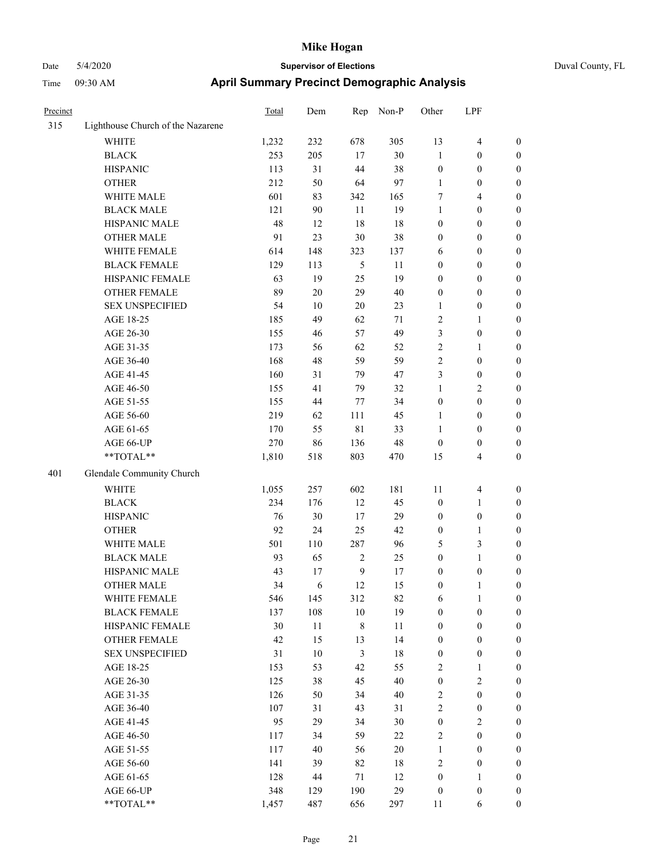| Precinct |                                   | Total | Dem    | Rep            | Non-P  | Other            | LPF                     |                  |
|----------|-----------------------------------|-------|--------|----------------|--------|------------------|-------------------------|------------------|
| 315      | Lighthouse Church of the Nazarene |       |        |                |        |                  |                         |                  |
|          | <b>WHITE</b>                      | 1,232 | 232    | 678            | 305    | 13               | 4                       | $\boldsymbol{0}$ |
|          | <b>BLACK</b>                      | 253   | 205    | 17             | 30     | $\mathbf{1}$     | $\boldsymbol{0}$        | $\boldsymbol{0}$ |
|          | <b>HISPANIC</b>                   | 113   | 31     | 44             | 38     | $\boldsymbol{0}$ | $\boldsymbol{0}$        | $\boldsymbol{0}$ |
|          | <b>OTHER</b>                      | 212   | 50     | 64             | 97     | $\mathbf{1}$     | $\boldsymbol{0}$        | $\boldsymbol{0}$ |
|          | WHITE MALE                        | 601   | 83     | 342            | 165    | 7                | 4                       | $\boldsymbol{0}$ |
|          | <b>BLACK MALE</b>                 | 121   | 90     | 11             | 19     | 1                | $\boldsymbol{0}$        | $\boldsymbol{0}$ |
|          | HISPANIC MALE                     | 48    | 12     | 18             | 18     | $\boldsymbol{0}$ | $\boldsymbol{0}$        | $\boldsymbol{0}$ |
|          | <b>OTHER MALE</b>                 | 91    | 23     | $30\,$         | 38     | $\boldsymbol{0}$ | $\boldsymbol{0}$        | $\boldsymbol{0}$ |
|          | WHITE FEMALE                      | 614   | 148    | 323            | 137    | 6                | $\boldsymbol{0}$        | $\boldsymbol{0}$ |
|          | <b>BLACK FEMALE</b>               | 129   | 113    | 5              | 11     | $\boldsymbol{0}$ | $\boldsymbol{0}$        | $\boldsymbol{0}$ |
|          | HISPANIC FEMALE                   | 63    | 19     | 25             | 19     | $\boldsymbol{0}$ | $\boldsymbol{0}$        | $\boldsymbol{0}$ |
|          | <b>OTHER FEMALE</b>               | 89    | 20     | 29             | 40     | $\boldsymbol{0}$ | $\boldsymbol{0}$        | $\boldsymbol{0}$ |
|          | <b>SEX UNSPECIFIED</b>            | 54    | $10\,$ | $20\,$         | 23     | $\mathbf{1}$     | $\boldsymbol{0}$        | $\boldsymbol{0}$ |
|          | AGE 18-25                         | 185   | 49     | 62             | 71     | $\overline{2}$   | 1                       | $\boldsymbol{0}$ |
|          | AGE 26-30                         | 155   | 46     | 57             | 49     | $\mathfrak{Z}$   | $\boldsymbol{0}$        | $\boldsymbol{0}$ |
|          | AGE 31-35                         | 173   | 56     | 62             | 52     | $\overline{2}$   | 1                       | $\boldsymbol{0}$ |
|          | AGE 36-40                         | 168   | 48     | 59             | 59     | $\sqrt{2}$       | $\boldsymbol{0}$        | $\boldsymbol{0}$ |
|          | AGE 41-45                         | 160   | 31     | 79             | 47     | 3                | $\boldsymbol{0}$        | $\boldsymbol{0}$ |
|          | AGE 46-50                         | 155   | 41     | 79             | 32     | $\mathbf{1}$     | 2                       | $\boldsymbol{0}$ |
|          | AGE 51-55                         | 155   | 44     | 77             | 34     | $\boldsymbol{0}$ | 0                       | $\boldsymbol{0}$ |
|          | AGE 56-60                         | 219   | 62     | 111            | 45     | 1                | $\boldsymbol{0}$        | $\boldsymbol{0}$ |
|          | AGE 61-65                         | 170   | 55     | 81             | 33     | $\mathbf{1}$     | $\boldsymbol{0}$        | $\boldsymbol{0}$ |
|          | AGE 66-UP                         | 270   | 86     | 136            | 48     | $\boldsymbol{0}$ | $\boldsymbol{0}$        | $\boldsymbol{0}$ |
|          | **TOTAL**                         | 1,810 | 518    | 803            | 470    | 15               | 4                       | $\boldsymbol{0}$ |
| 401      | Glendale Community Church         |       |        |                |        |                  |                         |                  |
|          | <b>WHITE</b>                      | 1,055 | 257    | 602            | 181    | 11               | 4                       | $\boldsymbol{0}$ |
|          | <b>BLACK</b>                      | 234   | 176    | 12             | 45     | $\boldsymbol{0}$ | 1                       | $\boldsymbol{0}$ |
|          | <b>HISPANIC</b>                   | 76    | 30     | 17             | 29     | $\boldsymbol{0}$ | $\boldsymbol{0}$        | $\boldsymbol{0}$ |
|          | <b>OTHER</b>                      | 92    | 24     | 25             | 42     | $\boldsymbol{0}$ | 1                       | $\boldsymbol{0}$ |
|          | WHITE MALE                        | 501   | 110    | 287            | 96     | 5                | 3                       | $\boldsymbol{0}$ |
|          | <b>BLACK MALE</b>                 | 93    | 65     | $\sqrt{2}$     | 25     | $\boldsymbol{0}$ | 1                       | $\boldsymbol{0}$ |
|          | HISPANIC MALE                     | 43    | 17     | 9              | 17     | $\boldsymbol{0}$ | $\boldsymbol{0}$        | $\boldsymbol{0}$ |
|          | <b>OTHER MALE</b>                 | 34    | 6      | 12             | 15     | $\boldsymbol{0}$ | 1                       | $\boldsymbol{0}$ |
|          | WHITE FEMALE                      | 546   | 145    | 312            | 82     | 6                | $\mathbf{1}$            | $\boldsymbol{0}$ |
|          | <b>BLACK FEMALE</b>               | 137   | 108    | $10\,$         | 19     | $\boldsymbol{0}$ | $\boldsymbol{0}$        | $\boldsymbol{0}$ |
|          | HISPANIC FEMALE                   | 30    | $11\,$ | $\,$ 8 $\,$    | 11     | $\boldsymbol{0}$ | $\boldsymbol{0}$        | $\boldsymbol{0}$ |
|          | OTHER FEMALE                      | 42    | 15     | 13             | 14     | $\boldsymbol{0}$ | $\boldsymbol{0}$        | $\boldsymbol{0}$ |
|          | <b>SEX UNSPECIFIED</b>            | 31    | $10\,$ | $\mathfrak{Z}$ | $18\,$ | $\boldsymbol{0}$ | $\boldsymbol{0}$        | $\boldsymbol{0}$ |
|          | AGE 18-25                         | 153   | 53     | 42             | 55     | $\sqrt{2}$       | 1                       | $\boldsymbol{0}$ |
|          | AGE 26-30                         | 125   | 38     | 45             | 40     | $\boldsymbol{0}$ | $\sqrt{2}$              | $\boldsymbol{0}$ |
|          | AGE 31-35                         | 126   | 50     | 34             | 40     | $\sqrt{2}$       | $\boldsymbol{0}$        | $\boldsymbol{0}$ |
|          | AGE 36-40                         | 107   | 31     | 43             | 31     | $\sqrt{2}$       | $\boldsymbol{0}$        | $\boldsymbol{0}$ |
|          | AGE 41-45                         | 95    | 29     | 34             | 30     | $\boldsymbol{0}$ | $\overline{\mathbf{c}}$ | $\boldsymbol{0}$ |
|          | AGE 46-50                         | 117   | 34     | 59             | $22\,$ | $\sqrt{2}$       | $\boldsymbol{0}$        | $\boldsymbol{0}$ |
|          | AGE 51-55                         | 117   | 40     | 56             | $20\,$ | $\mathbf{1}$     | $\boldsymbol{0}$        | $\boldsymbol{0}$ |
|          | AGE 56-60                         | 141   | 39     | 82             | 18     | $\sqrt{2}$       | $\boldsymbol{0}$        | $\boldsymbol{0}$ |
|          | AGE 61-65                         | 128   | 44     | 71             | 12     | $\boldsymbol{0}$ | 1                       | $\boldsymbol{0}$ |
|          | AGE 66-UP                         | 348   | 129    | 190            | 29     | $\boldsymbol{0}$ | $\boldsymbol{0}$        | $\boldsymbol{0}$ |
|          | $**TOTAL**$                       | 1,457 | 487    | 656            | 297    | 11               | 6                       | $\boldsymbol{0}$ |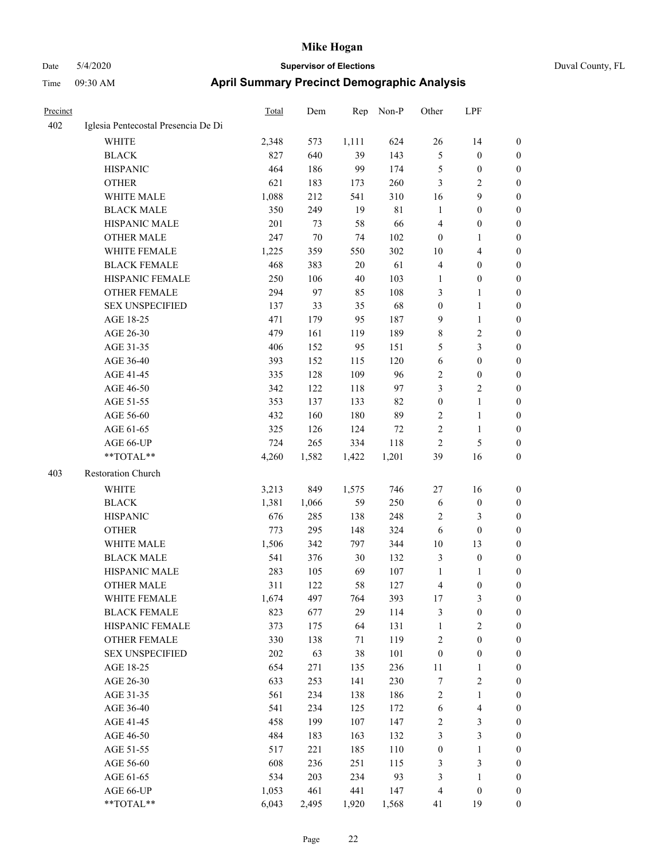| Precinct |                                     | Total | Dem    | Rep    | Non-P       | Other            | LPF              |                  |
|----------|-------------------------------------|-------|--------|--------|-------------|------------------|------------------|------------------|
| 402      | Iglesia Pentecostal Presencia De Di |       |        |        |             |                  |                  |                  |
|          | WHITE                               | 2,348 | 573    | 1,111  | 624         | $26\,$           | 14               | $\boldsymbol{0}$ |
|          | <b>BLACK</b>                        | 827   | 640    | 39     | 143         | 5                | $\boldsymbol{0}$ | $\boldsymbol{0}$ |
|          | <b>HISPANIC</b>                     | 464   | 186    | 99     | 174         | 5                | $\boldsymbol{0}$ | $\boldsymbol{0}$ |
|          | <b>OTHER</b>                        | 621   | 183    | 173    | 260         | 3                | $\sqrt{2}$       | $\boldsymbol{0}$ |
|          | WHITE MALE                          | 1,088 | 212    | 541    | 310         | 16               | $\mathbf{9}$     | 0                |
|          | <b>BLACK MALE</b>                   | 350   | 249    | 19     | $8\sqrt{1}$ | $\mathbf{1}$     | $\boldsymbol{0}$ | $\boldsymbol{0}$ |
|          | HISPANIC MALE                       | 201   | 73     | 58     | 66          | $\overline{4}$   | $\boldsymbol{0}$ | $\boldsymbol{0}$ |
|          | <b>OTHER MALE</b>                   | 247   | $70\,$ | 74     | 102         | $\boldsymbol{0}$ | $\mathbf{1}$     | $\boldsymbol{0}$ |
|          | WHITE FEMALE                        | 1,225 | 359    | 550    | 302         | 10               | $\overline{4}$   | $\boldsymbol{0}$ |
|          | <b>BLACK FEMALE</b>                 | 468   | 383    | $20\,$ | 61          | 4                | $\boldsymbol{0}$ | $\boldsymbol{0}$ |
|          | HISPANIC FEMALE                     | 250   | 106    | $40\,$ | 103         | $\mathbf{1}$     | $\boldsymbol{0}$ | $\boldsymbol{0}$ |
|          | <b>OTHER FEMALE</b>                 | 294   | 97     | 85     | 108         | 3                | $\mathbf{1}$     | $\boldsymbol{0}$ |
|          | <b>SEX UNSPECIFIED</b>              | 137   | 33     | 35     | 68          | $\boldsymbol{0}$ | $\mathbf{1}$     | 0                |
|          | AGE 18-25                           | 471   | 179    | 95     | 187         | $\overline{9}$   | $\mathbf{1}$     | 0                |
|          | AGE 26-30                           | 479   | 161    | 119    | 189         | $\,$ 8 $\,$      | $\sqrt{2}$       | 0                |
|          | AGE 31-35                           | 406   | 152    | 95     | 151         | 5                | $\mathfrak{Z}$   | 0                |
|          | AGE 36-40                           | 393   | 152    | 115    | 120         | 6                | $\boldsymbol{0}$ | 0                |
|          | AGE 41-45                           | 335   | 128    | 109    | 96          | $\overline{c}$   | $\boldsymbol{0}$ | $\boldsymbol{0}$ |
|          | AGE 46-50                           | 342   | 122    | 118    | 97          | 3                | $\sqrt{2}$       | $\boldsymbol{0}$ |
|          | AGE 51-55                           | 353   | 137    | 133    | 82          | $\boldsymbol{0}$ | $\mathbf{1}$     | $\boldsymbol{0}$ |
|          | AGE 56-60                           | 432   | 160    | 180    | 89          | $\overline{c}$   | $\mathbf{1}$     | $\boldsymbol{0}$ |
|          | AGE 61-65                           | 325   | 126    | 124    | 72          | $\sqrt{2}$       | $\mathbf{1}$     | $\boldsymbol{0}$ |
|          | AGE 66-UP                           | 724   | 265    | 334    | 118         | $\overline{2}$   | 5                | 0                |
|          | **TOTAL**                           | 4,260 | 1,582  | 1,422  | 1,201       | 39               | 16               | 0                |
| 403      | Restoration Church                  |       |        |        |             |                  |                  |                  |
|          | <b>WHITE</b>                        | 3,213 | 849    | 1,575  | 746         | 27               | 16               | 0                |
|          | <b>BLACK</b>                        | 1,381 | 1,066  | 59     | 250         | 6                | $\boldsymbol{0}$ | 0                |
|          | <b>HISPANIC</b>                     | 676   | 285    | 138    | 248         | 2                | 3                | 0                |
|          | <b>OTHER</b>                        | 773   | 295    | 148    | 324         | 6                | $\boldsymbol{0}$ | $\boldsymbol{0}$ |
|          | WHITE MALE                          | 1,506 | 342    | 797    | 344         | 10               | 13               | $\boldsymbol{0}$ |
|          | <b>BLACK MALE</b>                   | 541   | 376    | 30     | 132         | 3                | $\boldsymbol{0}$ | $\boldsymbol{0}$ |
|          | HISPANIC MALE                       | 283   | 105    | 69     | 107         | $\mathbf{1}$     | 1                | $\boldsymbol{0}$ |
|          | <b>OTHER MALE</b>                   | 311   | 122    | 58     | 127         | 4                | $\boldsymbol{0}$ | $\boldsymbol{0}$ |
|          | WHITE FEMALE                        | 1,674 | 497    | 764    | 393         | 17               | $\mathfrak{Z}$   | $\boldsymbol{0}$ |
|          | <b>BLACK FEMALE</b>                 | 823   | 677    | 29     | 114         | $\mathfrak{Z}$   | $\boldsymbol{0}$ | 0                |
|          | HISPANIC FEMALE                     | 373   | 175    | 64     | 131         | $\mathbf{1}$     | $\sqrt{2}$       | 0                |
|          | OTHER FEMALE                        | 330   | 138    | 71     | 119         | $\overline{c}$   | $\boldsymbol{0}$ | 0                |
|          | <b>SEX UNSPECIFIED</b>              | 202   | 63     | $38\,$ | 101         | $\boldsymbol{0}$ | $\boldsymbol{0}$ | 0                |
|          | AGE 18-25                           | 654   | 271    | 135    | 236         | 11               | $\mathbf{1}$     | $\boldsymbol{0}$ |
|          | AGE 26-30                           | 633   | 253    | 141    | 230         | 7                | $\sqrt{2}$       | $\boldsymbol{0}$ |
|          | AGE 31-35                           | 561   | 234    | 138    | 186         | $\boldsymbol{2}$ | $\mathbf{1}$     | $\boldsymbol{0}$ |
|          | AGE 36-40                           | 541   | 234    | 125    | 172         | 6                | $\overline{4}$   | 0                |
|          | AGE 41-45                           | 458   | 199    | 107    | 147         | $\overline{c}$   | $\mathfrak{Z}$   | $\overline{0}$   |
|          | AGE 46-50                           | 484   | 183    | 163    | 132         | 3                | $\mathfrak{Z}$   | $\boldsymbol{0}$ |
|          | AGE 51-55                           | 517   | 221    | 185    | 110         | $\boldsymbol{0}$ | $\mathbf{1}$     | $\boldsymbol{0}$ |
|          | AGE 56-60                           | 608   | 236    | 251    | 115         | 3                | $\mathfrak{Z}$   | 0                |
|          | AGE 61-65                           | 534   | 203    | 234    | 93          | 3                | $\mathbf{1}$     | 0                |
|          | AGE 66-UP                           | 1,053 | 461    | 441    | 147         | $\overline{4}$   | $\boldsymbol{0}$ | 0                |
|          | **TOTAL**                           | 6,043 | 2,495  | 1,920  | 1,568       | 41               | 19               | $\boldsymbol{0}$ |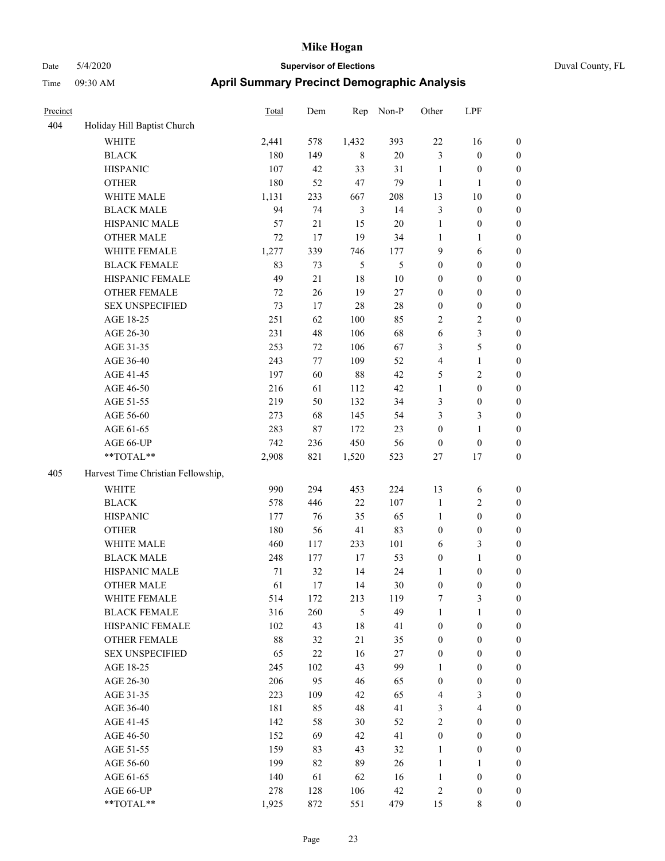| Precinct |                                    | Total  | Dem    | Rep            | Non-P  | Other            | LPF                     |                  |
|----------|------------------------------------|--------|--------|----------------|--------|------------------|-------------------------|------------------|
| 404      | Holiday Hill Baptist Church        |        |        |                |        |                  |                         |                  |
|          | WHITE                              | 2,441  | 578    | 1,432          | 393    | $22\,$           | 16                      | $\boldsymbol{0}$ |
|          | <b>BLACK</b>                       | 180    | 149    | 8              | 20     | $\mathfrak{Z}$   | $\boldsymbol{0}$        | $\boldsymbol{0}$ |
|          | <b>HISPANIC</b>                    | 107    | 42     | 33             | 31     | $\mathbf{1}$     | $\boldsymbol{0}$        | $\boldsymbol{0}$ |
|          | <b>OTHER</b>                       | 180    | 52     | 47             | 79     | 1                | 1                       | $\boldsymbol{0}$ |
|          | WHITE MALE                         | 1,131  | 233    | 667            | 208    | 13               | 10                      | $\boldsymbol{0}$ |
|          | <b>BLACK MALE</b>                  | 94     | 74     | $\mathfrak{Z}$ | 14     | $\mathfrak{Z}$   | $\boldsymbol{0}$        | $\boldsymbol{0}$ |
|          | HISPANIC MALE                      | 57     | 21     | 15             | $20\,$ | $\mathbf{1}$     | $\boldsymbol{0}$        | $\boldsymbol{0}$ |
|          | <b>OTHER MALE</b>                  | 72     | 17     | 19             | 34     | $\mathbf{1}$     | 1                       | $\boldsymbol{0}$ |
|          | WHITE FEMALE                       | 1,277  | 339    | 746            | 177    | 9                | 6                       | $\boldsymbol{0}$ |
|          | <b>BLACK FEMALE</b>                | 83     | 73     | 5              | 5      | $\boldsymbol{0}$ | $\boldsymbol{0}$        | $\boldsymbol{0}$ |
|          | HISPANIC FEMALE                    | 49     | $21\,$ | 18             | $10\,$ | $\boldsymbol{0}$ | $\boldsymbol{0}$        | $\boldsymbol{0}$ |
|          | <b>OTHER FEMALE</b>                | 72     | 26     | 19             | $27\,$ | $\boldsymbol{0}$ | $\boldsymbol{0}$        | $\boldsymbol{0}$ |
|          | <b>SEX UNSPECIFIED</b>             | 73     | 17     | 28             | 28     | $\boldsymbol{0}$ | $\boldsymbol{0}$        | $\boldsymbol{0}$ |
|          | AGE 18-25                          | 251    | 62     | 100            | 85     | $\sqrt{2}$       | 2                       | $\boldsymbol{0}$ |
|          | AGE 26-30                          | 231    | 48     | 106            | 68     | 6                | 3                       | $\boldsymbol{0}$ |
|          | AGE 31-35                          | 253    | 72     | 106            | 67     | 3                | 5                       | $\boldsymbol{0}$ |
|          | AGE 36-40                          | 243    | 77     | 109            | 52     | $\overline{4}$   | 1                       | $\boldsymbol{0}$ |
|          | AGE 41-45                          | 197    | 60     | 88             | 42     | $\mathfrak{S}$   | $\overline{\mathbf{c}}$ | $\boldsymbol{0}$ |
|          | AGE 46-50                          | 216    | 61     | 112            | 42     | $\mathbf{1}$     | $\boldsymbol{0}$        | $\boldsymbol{0}$ |
|          | AGE 51-55                          | 219    | 50     | 132            | 34     | $\mathfrak{Z}$   | $\boldsymbol{0}$        | $\boldsymbol{0}$ |
|          | AGE 56-60                          | 273    | 68     | 145            | 54     | 3                | 3                       | $\boldsymbol{0}$ |
|          | AGE 61-65                          | 283    | $87\,$ | 172            | 23     | $\boldsymbol{0}$ | $\mathbf{1}$            | $\boldsymbol{0}$ |
|          | AGE 66-UP                          | 742    | 236    | 450            | 56     | $\boldsymbol{0}$ | $\boldsymbol{0}$        | $\boldsymbol{0}$ |
|          | **TOTAL**                          | 2,908  | 821    | 1,520          | 523    | 27               | 17                      | $\boldsymbol{0}$ |
| 405      | Harvest Time Christian Fellowship, |        |        |                |        |                  |                         |                  |
|          | <b>WHITE</b>                       | 990    | 294    | 453            | 224    | 13               | 6                       | $\boldsymbol{0}$ |
|          | <b>BLACK</b>                       | 578    | 446    | 22             | 107    | $\mathbf{1}$     | 2                       | $\boldsymbol{0}$ |
|          | <b>HISPANIC</b>                    | 177    | 76     | 35             | 65     | $\mathbf{1}$     | $\boldsymbol{0}$        | $\boldsymbol{0}$ |
|          | <b>OTHER</b>                       | 180    | 56     | 41             | 83     | $\boldsymbol{0}$ | $\boldsymbol{0}$        | $\boldsymbol{0}$ |
|          | WHITE MALE                         | 460    | 117    | 233            | 101    | 6                | 3                       | $\boldsymbol{0}$ |
|          | <b>BLACK MALE</b>                  | 248    | 177    | 17             | 53     | $\boldsymbol{0}$ | 1                       | $\boldsymbol{0}$ |
|          | HISPANIC MALE                      | $71\,$ | 32     | 14             | 24     | $\mathbf{1}$     | $\boldsymbol{0}$        | $\boldsymbol{0}$ |
|          | <b>OTHER MALE</b>                  | 61     | 17     | 14             | 30     | $\boldsymbol{0}$ | $\boldsymbol{0}$        | $\boldsymbol{0}$ |
|          | WHITE FEMALE                       | 514    | 172    | 213            | 119    | $\boldsymbol{7}$ | 3                       | $\boldsymbol{0}$ |
|          | <b>BLACK FEMALE</b>                | 316    | 260    | $\sqrt{5}$     | 49     | $\mathbf{1}$     | 1                       | $\boldsymbol{0}$ |
|          | HISPANIC FEMALE                    | 102    | 43     | 18             | 41     | $\boldsymbol{0}$ | $\boldsymbol{0}$        | $\boldsymbol{0}$ |
|          | OTHER FEMALE                       | 88     | 32     | 21             | 35     | $\boldsymbol{0}$ | $\boldsymbol{0}$        | $\boldsymbol{0}$ |
|          | <b>SEX UNSPECIFIED</b>             | 65     | 22     | 16             | 27     | $\boldsymbol{0}$ | $\boldsymbol{0}$        | $\boldsymbol{0}$ |
|          | AGE 18-25                          | 245    | 102    | 43             | 99     | 1                | $\boldsymbol{0}$        | $\boldsymbol{0}$ |
|          | AGE 26-30                          | 206    | 95     | 46             | 65     | $\boldsymbol{0}$ | $\boldsymbol{0}$        | $\boldsymbol{0}$ |
|          | AGE 31-35                          | 223    | 109    | 42             | 65     | $\overline{4}$   | 3                       | $\boldsymbol{0}$ |
|          | AGE 36-40                          | 181    | 85     | 48             | 41     | $\mathfrak{Z}$   | $\overline{\mathbf{4}}$ | $\boldsymbol{0}$ |
|          | AGE 41-45                          | 142    | 58     | 30             | 52     | $\sqrt{2}$       | $\boldsymbol{0}$        | $\boldsymbol{0}$ |
|          | AGE 46-50                          | 152    | 69     | 42             | 41     | $\boldsymbol{0}$ | $\boldsymbol{0}$        | $\boldsymbol{0}$ |
|          | AGE 51-55                          | 159    | 83     | 43             | 32     | $\mathbf{1}$     | $\boldsymbol{0}$        | $\boldsymbol{0}$ |
|          | AGE 56-60                          | 199    | 82     | 89             | 26     | $\mathbf{1}$     | 1                       | $\boldsymbol{0}$ |
|          | AGE 61-65                          | 140    | 61     | 62             | 16     | $\mathbf{1}$     | $\boldsymbol{0}$        | $\boldsymbol{0}$ |
|          | AGE 66-UP                          | 278    | 128    | 106            | 42     | $\sqrt{2}$       | $\boldsymbol{0}$        | $\boldsymbol{0}$ |
|          | $**TOTAL**$                        | 1,925  | 872    | 551            | 479    | 15               | 8                       | $\boldsymbol{0}$ |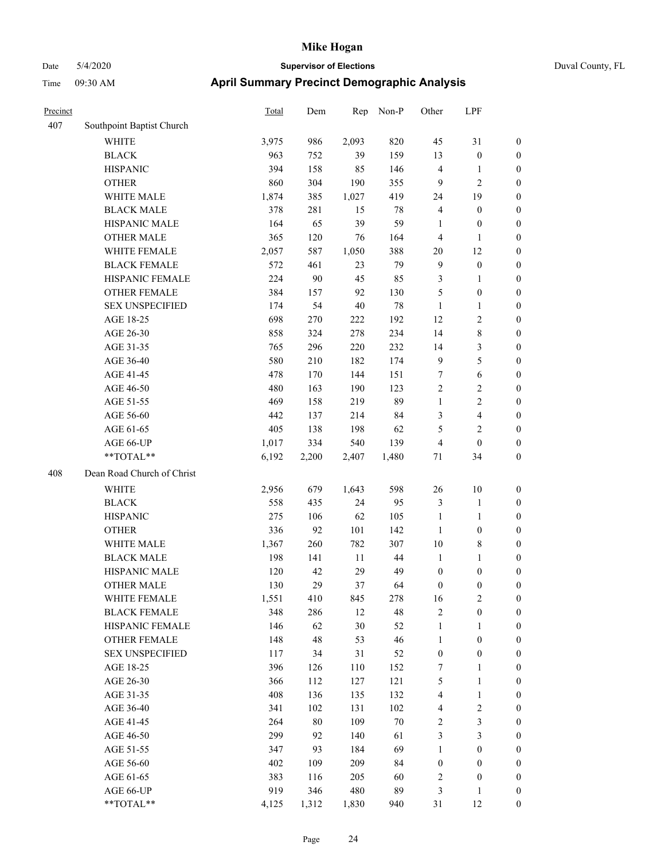| Duval County, FL |  |
|------------------|--|
|                  |  |

| Precinct |                            | <b>Total</b> | Dem    | Rep    | Non-P  | Other            | LPF                     |                  |
|----------|----------------------------|--------------|--------|--------|--------|------------------|-------------------------|------------------|
| 407      | Southpoint Baptist Church  |              |        |        |        |                  |                         |                  |
|          | <b>WHITE</b>               | 3,975        | 986    | 2,093  | 820    | 45               | 31                      | 0                |
|          | <b>BLACK</b>               | 963          | 752    | 39     | 159    | 13               | $\boldsymbol{0}$        | $\boldsymbol{0}$ |
|          | <b>HISPANIC</b>            | 394          | 158    | 85     | 146    | $\overline{4}$   | $\mathbf{1}$            | $\boldsymbol{0}$ |
|          | <b>OTHER</b>               | 860          | 304    | 190    | 355    | 9                | $\sqrt{2}$              | $\boldsymbol{0}$ |
|          | WHITE MALE                 | 1,874        | 385    | 1,027  | 419    | 24               | 19                      | $\boldsymbol{0}$ |
|          | <b>BLACK MALE</b>          | 378          | 281    | 15     | $78\,$ | 4                | $\boldsymbol{0}$        | $\boldsymbol{0}$ |
|          | HISPANIC MALE              | 164          | 65     | 39     | 59     | $\mathbf{1}$     | $\boldsymbol{0}$        | $\boldsymbol{0}$ |
|          | <b>OTHER MALE</b>          | 365          | 120    | 76     | 164    | $\overline{4}$   | $\mathbf{1}$            | $\boldsymbol{0}$ |
|          | WHITE FEMALE               | 2,057        | 587    | 1,050  | 388    | $20\,$           | 12                      | $\boldsymbol{0}$ |
|          | <b>BLACK FEMALE</b>        | 572          | 461    | 23     | 79     | $\overline{9}$   | $\boldsymbol{0}$        | $\boldsymbol{0}$ |
|          | HISPANIC FEMALE            | 224          | 90     | 45     | 85     | 3                | 1                       | 0                |
|          | OTHER FEMALE               | 384          | 157    | 92     | 130    | 5                | $\boldsymbol{0}$        | 0                |
|          | <b>SEX UNSPECIFIED</b>     | 174          | 54     | $40\,$ | $78\,$ | $\mathbf{1}$     | $\mathbf{1}$            | $\boldsymbol{0}$ |
|          | AGE 18-25                  | 698          | 270    | 222    | 192    | 12               | $\sqrt{2}$              | $\boldsymbol{0}$ |
|          | AGE 26-30                  | 858          | 324    | 278    | 234    | 14               | $\,$ 8 $\,$             | $\boldsymbol{0}$ |
|          | AGE 31-35                  | 765          | 296    | 220    | 232    | 14               | $\mathfrak{Z}$          | $\boldsymbol{0}$ |
|          | AGE 36-40                  | 580          | 210    | 182    | 174    | $\overline{9}$   | $\sqrt{5}$              | $\boldsymbol{0}$ |
|          | AGE 41-45                  | 478          | 170    | 144    | 151    | 7                | $\sqrt{6}$              | $\boldsymbol{0}$ |
|          | AGE 46-50                  | 480          | 163    | 190    | 123    | $\overline{2}$   | $\sqrt{2}$              | $\boldsymbol{0}$ |
|          | AGE 51-55                  | 469          | 158    | 219    | 89     | $\mathbf{1}$     | $\sqrt{2}$              | $\boldsymbol{0}$ |
|          | AGE 56-60                  | 442          | 137    | 214    | 84     | 3                | $\overline{\mathbf{4}}$ | 0                |
|          | AGE 61-65                  | 405          | 138    | 198    | 62     | 5                | $\sqrt{2}$              | 0                |
|          | AGE 66-UP                  | 1,017        | 334    | 540    | 139    | $\overline{4}$   | $\boldsymbol{0}$        | $\boldsymbol{0}$ |
|          | **TOTAL**                  | 6,192        | 2,200  | 2,407  | 1,480  | 71               | 34                      | $\boldsymbol{0}$ |
| 408      | Dean Road Church of Christ |              |        |        |        |                  |                         |                  |
|          | <b>WHITE</b>               | 2,956        | 679    | 1,643  | 598    | 26               | 10                      | $\boldsymbol{0}$ |
|          | <b>BLACK</b>               | 558          | 435    | 24     | 95     | 3                | $\mathbf{1}$            | $\boldsymbol{0}$ |
|          | <b>HISPANIC</b>            | 275          | 106    | 62     | 105    | $\mathbf{1}$     | $\mathbf{1}$            | $\boldsymbol{0}$ |
|          | <b>OTHER</b>               | 336          | 92     | 101    | 142    | $\mathbf{1}$     | $\boldsymbol{0}$        | $\boldsymbol{0}$ |
|          | WHITE MALE                 | 1,367        | 260    | 782    | 307    | 10               | $\,$ 8 $\,$             | $\boldsymbol{0}$ |
|          | <b>BLACK MALE</b>          | 198          | 141    | 11     | 44     | $\mathbf{1}$     | $\mathbf{1}$            | $\boldsymbol{0}$ |
|          | HISPANIC MALE              | 120          | 42     | 29     | 49     | $\boldsymbol{0}$ | $\boldsymbol{0}$        | $\boldsymbol{0}$ |
|          | <b>OTHER MALE</b>          | 130          | 29     | 37     | 64     | 0                | $\boldsymbol{0}$        | $\boldsymbol{0}$ |
|          | WHITE FEMALE               | 1,551        | 410    | 845    | 278    | 16               | $\overline{c}$          | 0                |
|          | <b>BLACK FEMALE</b>        | 348          | 286    | 12     | 48     | $\sqrt{2}$       | $\boldsymbol{0}$        | 0                |
|          | HISPANIC FEMALE            | 146          | 62     | 30     | 52     | $\mathbf{1}$     | 1                       | $\boldsymbol{0}$ |
|          | <b>OTHER FEMALE</b>        | 148          | 48     | 53     | 46     | $\mathbf{1}$     | $\boldsymbol{0}$        | 0                |
|          | <b>SEX UNSPECIFIED</b>     | 117          | 34     | 31     | 52     | $\boldsymbol{0}$ | $\boldsymbol{0}$        | 0                |
|          | AGE 18-25                  | 396          | 126    | 110    | 152    | 7                | $\mathbf{1}$            | 0                |
|          | AGE 26-30                  | 366          | 112    | 127    | 121    | 5                | $\mathbf{1}$            | 0                |
|          | AGE 31-35                  | 408          | 136    | 135    | 132    | 4                | $\mathbf{1}$            | 0                |
|          | AGE 36-40                  | 341          | 102    | 131    | 102    | 4                | $\sqrt{2}$              | 0                |
|          | AGE 41-45                  | 264          | $80\,$ | 109    | $70\,$ | $\sqrt{2}$       | $\mathfrak z$           | 0                |
|          | AGE 46-50                  | 299          | 92     | 140    | 61     | 3                | $\mathfrak{Z}$          | 0                |
|          | AGE 51-55                  | 347          | 93     | 184    | 69     | $\mathbf{1}$     | $\boldsymbol{0}$        | $\boldsymbol{0}$ |
|          | AGE 56-60                  | 402          | 109    | 209    | 84     | $\boldsymbol{0}$ | $\boldsymbol{0}$        | $\boldsymbol{0}$ |
|          | AGE 61-65                  | 383          | 116    | 205    | 60     | $\boldsymbol{2}$ | $\boldsymbol{0}$        | $\boldsymbol{0}$ |
|          | AGE 66-UP                  | 919          | 346    | 480    | 89     | 3                | $\mathbf{1}$            | $\boldsymbol{0}$ |
|          | **TOTAL**                  | 4,125        | 1,312  | 1,830  | 940    | 31               | 12                      | $\boldsymbol{0}$ |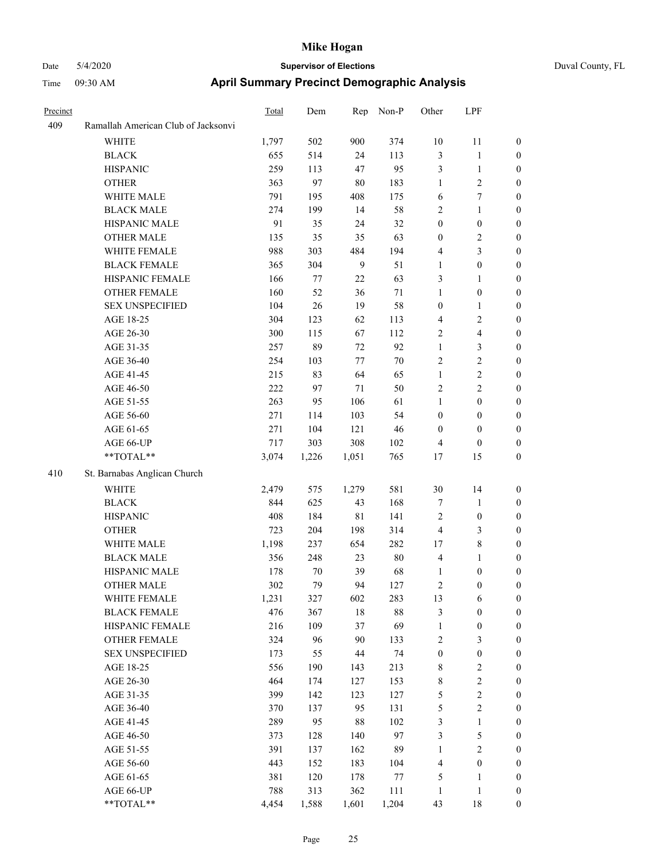| Precinct |                                     | <b>Total</b> | Dem   | Rep            | Non-P  | Other            | LPF                     |                  |
|----------|-------------------------------------|--------------|-------|----------------|--------|------------------|-------------------------|------------------|
| 409      | Ramallah American Club of Jacksonvi |              |       |                |        |                  |                         |                  |
|          | <b>WHITE</b>                        | 1,797        | 502   | 900            | 374    | 10               | 11                      | $\boldsymbol{0}$ |
|          | <b>BLACK</b>                        | 655          | 514   | 24             | 113    | $\mathfrak{Z}$   | $\mathbf{1}$            | $\boldsymbol{0}$ |
|          | <b>HISPANIC</b>                     | 259          | 113   | 47             | 95     | $\mathfrak{Z}$   | $\mathbf{1}$            | $\boldsymbol{0}$ |
|          | <b>OTHER</b>                        | 363          | 97    | 80             | 183    | $\mathbf{1}$     | 2                       | $\boldsymbol{0}$ |
|          | WHITE MALE                          | 791          | 195   | 408            | 175    | 6                | 7                       | $\boldsymbol{0}$ |
|          | <b>BLACK MALE</b>                   | 274          | 199   | 14             | 58     | $\sqrt{2}$       | 1                       | $\boldsymbol{0}$ |
|          | HISPANIC MALE                       | 91           | 35    | 24             | 32     | $\boldsymbol{0}$ | $\boldsymbol{0}$        | $\boldsymbol{0}$ |
|          | <b>OTHER MALE</b>                   | 135          | 35    | 35             | 63     | $\boldsymbol{0}$ | $\overline{\mathbf{c}}$ | $\boldsymbol{0}$ |
|          | WHITE FEMALE                        | 988          | 303   | 484            | 194    | $\overline{4}$   | 3                       | $\boldsymbol{0}$ |
|          | <b>BLACK FEMALE</b>                 | 365          | 304   | $\overline{9}$ | 51     | $\mathbf{1}$     | $\boldsymbol{0}$        | $\boldsymbol{0}$ |
|          | HISPANIC FEMALE                     | 166          | 77    | $22\,$         | 63     | 3                | 1                       | $\boldsymbol{0}$ |
|          | <b>OTHER FEMALE</b>                 | 160          | 52    | 36             | 71     | $\mathbf{1}$     | $\boldsymbol{0}$        | $\boldsymbol{0}$ |
|          | <b>SEX UNSPECIFIED</b>              | 104          | 26    | 19             | 58     | $\boldsymbol{0}$ | 1                       | $\boldsymbol{0}$ |
|          | AGE 18-25                           | 304          | 123   | 62             | 113    | $\overline{4}$   | 2                       | $\boldsymbol{0}$ |
|          | AGE 26-30                           | 300          | 115   | 67             | 112    | $\overline{2}$   | 4                       | $\boldsymbol{0}$ |
|          | AGE 31-35                           | 257          | 89    | 72             | 92     | $\mathbf{1}$     | 3                       | $\boldsymbol{0}$ |
|          | AGE 36-40                           | 254          | 103   | 77             | 70     | $\overline{2}$   | $\overline{c}$          | $\boldsymbol{0}$ |
|          | AGE 41-45                           | 215          | 83    | 64             | 65     | $\mathbf{1}$     | $\overline{c}$          | $\boldsymbol{0}$ |
|          | AGE 46-50                           | 222          | 97    | 71             | 50     | $\sqrt{2}$       | $\overline{c}$          | $\boldsymbol{0}$ |
|          | AGE 51-55                           | 263          | 95    | 106            | 61     | $\mathbf{1}$     | $\boldsymbol{0}$        | $\boldsymbol{0}$ |
|          | AGE 56-60                           | 271          | 114   | 103            | 54     | $\boldsymbol{0}$ | $\boldsymbol{0}$        | $\boldsymbol{0}$ |
|          | AGE 61-65                           | 271          | 104   | 121            | 46     | $\boldsymbol{0}$ | $\boldsymbol{0}$        | $\boldsymbol{0}$ |
|          | AGE 66-UP                           | 717          | 303   | 308            | 102    | $\overline{4}$   | $\boldsymbol{0}$        | $\boldsymbol{0}$ |
|          | **TOTAL**                           | 3,074        | 1,226 | 1,051          | 765    | 17               | 15                      | $\boldsymbol{0}$ |
| 410      | St. Barnabas Anglican Church        |              |       |                |        |                  |                         |                  |
|          | <b>WHITE</b>                        | 2,479        | 575   | 1,279          | 581    | 30               | 14                      | $\boldsymbol{0}$ |
|          | <b>BLACK</b>                        | 844          | 625   | 43             | 168    | $\tau$           | 1                       | $\boldsymbol{0}$ |
|          | <b>HISPANIC</b>                     | 408          | 184   | 81             | 141    | $\overline{2}$   | $\boldsymbol{0}$        | $\boldsymbol{0}$ |
|          | <b>OTHER</b>                        | 723          | 204   | 198            | 314    | $\overline{4}$   | 3                       | $\boldsymbol{0}$ |
|          | WHITE MALE                          | 1,198        | 237   | 654            | 282    | 17               | 8                       | $\boldsymbol{0}$ |
|          | <b>BLACK MALE</b>                   | 356          | 248   | 23             | 80     | $\overline{4}$   | 1                       | $\boldsymbol{0}$ |
|          | HISPANIC MALE                       | 178          | 70    | 39             | 68     | 1                | $\boldsymbol{0}$        | $\boldsymbol{0}$ |
|          | <b>OTHER MALE</b>                   | 302          | 79    | 94             | 127    | $\overline{2}$   | $\boldsymbol{0}$        | $\boldsymbol{0}$ |
|          | WHITE FEMALE                        | 1,231        | 327   | 602            | 283    | 13               | 6                       | $\boldsymbol{0}$ |
|          | <b>BLACK FEMALE</b>                 | 476          | 367   | $18\,$         | $88\,$ | $\mathfrak{Z}$   | $\boldsymbol{0}$        | $\boldsymbol{0}$ |
|          | HISPANIC FEMALE                     | 216          | 109   | 37             | 69     | $\mathbf{1}$     | $\boldsymbol{0}$        | $\boldsymbol{0}$ |
|          | OTHER FEMALE                        | 324          | 96    | 90             | 133    | $\sqrt{2}$       | 3                       | $\boldsymbol{0}$ |
|          | <b>SEX UNSPECIFIED</b>              | 173          | 55    | 44             | 74     | $\boldsymbol{0}$ | $\boldsymbol{0}$        | $\boldsymbol{0}$ |
|          | AGE 18-25                           | 556          | 190   | 143            | 213    | $\,$ 8 $\,$      | 2                       | $\boldsymbol{0}$ |
|          | AGE 26-30                           | 464          | 174   | 127            | 153    | $\,$ 8 $\,$      | $\overline{c}$          | $\boldsymbol{0}$ |
|          | AGE 31-35                           | 399          | 142   | 123            | 127    | $\sqrt{5}$       | $\overline{c}$          | $\boldsymbol{0}$ |
|          | AGE 36-40                           | 370          | 137   | 95             | 131    | $\mathfrak{S}$   | $\overline{c}$          | $\boldsymbol{0}$ |
|          | AGE 41-45                           | 289          | 95    | $88\,$         | 102    | $\mathfrak{Z}$   | 1                       | $\boldsymbol{0}$ |
|          | AGE 46-50                           | 373          | 128   | 140            | 97     | $\mathfrak{Z}$   | 5                       | $\boldsymbol{0}$ |
|          | AGE 51-55                           | 391          | 137   | 162            | 89     | $\mathbf{1}$     | $\mathbf{2}$            | $\boldsymbol{0}$ |
|          | AGE 56-60                           | 443          | 152   | 183            | 104    | $\overline{4}$   | $\boldsymbol{0}$        | $\boldsymbol{0}$ |
|          | AGE 61-65                           | 381          | 120   | 178            | 77     | $\sqrt{5}$       | 1                       | $\boldsymbol{0}$ |
|          | AGE 66-UP                           | 788          | 313   | 362            | 111    | 1                | 1                       | $\boldsymbol{0}$ |
|          | $**TOTAL**$                         | 4,454        | 1,588 | 1,601          | 1,204  | 43               | $18\,$                  | $\boldsymbol{0}$ |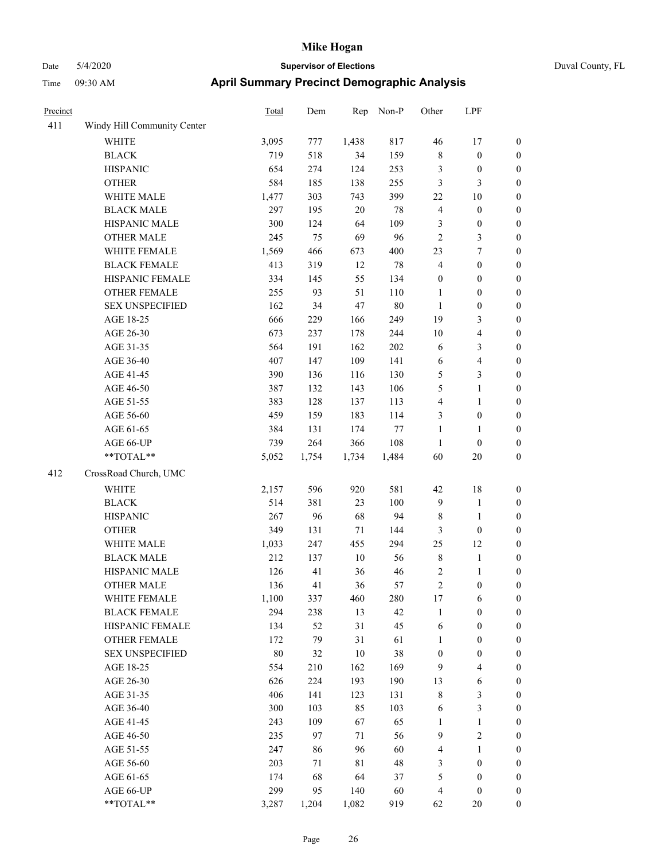| Precinct |                             | <b>Total</b> | Dem   | Rep         | Non-P  | Other            | LPF                     |                  |
|----------|-----------------------------|--------------|-------|-------------|--------|------------------|-------------------------|------------------|
| 411      | Windy Hill Community Center |              |       |             |        |                  |                         |                  |
|          | WHITE                       | 3,095        | 777   | 1,438       | 817    | 46               | 17                      | $\boldsymbol{0}$ |
|          | <b>BLACK</b>                | 719          | 518   | 34          | 159    | $\,$ 8 $\,$      | $\boldsymbol{0}$        | $\boldsymbol{0}$ |
|          | <b>HISPANIC</b>             | 654          | 274   | 124         | 253    | $\mathfrak{Z}$   | $\boldsymbol{0}$        | $\boldsymbol{0}$ |
|          | <b>OTHER</b>                | 584          | 185   | 138         | 255    | $\mathfrak{Z}$   | 3                       | $\boldsymbol{0}$ |
|          | WHITE MALE                  | 1,477        | 303   | 743         | 399    | 22               | 10                      | $\boldsymbol{0}$ |
|          | <b>BLACK MALE</b>           | 297          | 195   | $20\,$      | 78     | $\overline{4}$   | $\boldsymbol{0}$        | $\boldsymbol{0}$ |
|          | HISPANIC MALE               | 300          | 124   | 64          | 109    | $\mathfrak{Z}$   | $\boldsymbol{0}$        | $\boldsymbol{0}$ |
|          | <b>OTHER MALE</b>           | 245          | 75    | 69          | 96     | $\overline{2}$   | 3                       | $\boldsymbol{0}$ |
|          | WHITE FEMALE                | 1,569        | 466   | 673         | 400    | 23               | 7                       | $\boldsymbol{0}$ |
|          | <b>BLACK FEMALE</b>         | 413          | 319   | 12          | $78\,$ | $\overline{4}$   | $\boldsymbol{0}$        | $\boldsymbol{0}$ |
|          | HISPANIC FEMALE             | 334          | 145   | 55          | 134    | $\boldsymbol{0}$ | $\boldsymbol{0}$        | $\boldsymbol{0}$ |
|          | <b>OTHER FEMALE</b>         | 255          | 93    | 51          | 110    | $\mathbf{1}$     | $\boldsymbol{0}$        | $\boldsymbol{0}$ |
|          | <b>SEX UNSPECIFIED</b>      | 162          | 34    | 47          | $80\,$ | $\mathbf{1}$     | $\boldsymbol{0}$        | $\boldsymbol{0}$ |
|          | AGE 18-25                   | 666          | 229   | 166         | 249    | 19               | 3                       | $\boldsymbol{0}$ |
|          | AGE 26-30                   | 673          | 237   | 178         | 244    | 10               | 4                       | $\boldsymbol{0}$ |
|          | AGE 31-35                   | 564          | 191   | 162         | 202    | 6                | 3                       | $\boldsymbol{0}$ |
|          | AGE 36-40                   | 407          | 147   | 109         | 141    | 6                | 4                       | $\boldsymbol{0}$ |
|          | AGE 41-45                   | 390          | 136   | 116         | 130    | 5                | 3                       | $\boldsymbol{0}$ |
|          | AGE 46-50                   | 387          | 132   | 143         | 106    | 5                | 1                       | $\boldsymbol{0}$ |
|          | AGE 51-55                   | 383          | 128   | 137         | 113    | $\overline{4}$   | 1                       | $\boldsymbol{0}$ |
|          | AGE 56-60                   | 459          | 159   | 183         | 114    | 3                | $\boldsymbol{0}$        | $\boldsymbol{0}$ |
|          | AGE 61-65                   | 384          | 131   | 174         | 77     | $\mathbf{1}$     | 1                       | $\boldsymbol{0}$ |
|          | AGE 66-UP                   | 739          | 264   | 366         | 108    | $\mathbf{1}$     | $\boldsymbol{0}$        | $\boldsymbol{0}$ |
|          | **TOTAL**                   | 5,052        | 1,754 | 1,734       | 1,484  | 60               | 20                      | $\boldsymbol{0}$ |
| 412      | CrossRoad Church, UMC       |              |       |             |        |                  |                         |                  |
|          | <b>WHITE</b>                | 2,157        | 596   | 920         | 581    | 42               | 18                      | $\boldsymbol{0}$ |
|          | <b>BLACK</b>                | 514          | 381   | 23          | 100    | 9                | $\mathbf{1}$            | $\boldsymbol{0}$ |
|          | <b>HISPANIC</b>             | 267          | 96    | 68          | 94     | 8                | 1                       | $\boldsymbol{0}$ |
|          | <b>OTHER</b>                | 349          | 131   | 71          | 144    | $\mathfrak{Z}$   | $\boldsymbol{0}$        | $\boldsymbol{0}$ |
|          | WHITE MALE                  | 1,033        | 247   | 455         | 294    | 25               | 12                      | $\boldsymbol{0}$ |
|          | <b>BLACK MALE</b>           | 212          | 137   | $10\,$      | 56     | $\,$ 8 $\,$      | 1                       | $\boldsymbol{0}$ |
|          | HISPANIC MALE               | 126          | 41    | 36          | 46     | $\sqrt{2}$       | 1                       | $\boldsymbol{0}$ |
|          | <b>OTHER MALE</b>           | 136          | 41    | 36          | 57     | $\overline{c}$   | $\boldsymbol{0}$        | $\boldsymbol{0}$ |
|          | WHITE FEMALE                | 1,100        | 337   | 460         | 280    | 17               | 6                       | $\mathbf{0}$     |
|          | <b>BLACK FEMALE</b>         | 294          | 238   | 13          | 42     | 1                | $\boldsymbol{0}$        | $\boldsymbol{0}$ |
|          | HISPANIC FEMALE             | 134          | 52    | 31          | 45     | 6                | $\boldsymbol{0}$        | $\boldsymbol{0}$ |
|          | <b>OTHER FEMALE</b>         | 172          | 79    | 31          | 61     | 1                | $\boldsymbol{0}$        | $\boldsymbol{0}$ |
|          | <b>SEX UNSPECIFIED</b>      | $80\,$       | 32    | $10\,$      | 38     | $\boldsymbol{0}$ | $\boldsymbol{0}$        | $\boldsymbol{0}$ |
|          | AGE 18-25                   | 554          | 210   | 162         | 169    | 9                | 4                       | $\boldsymbol{0}$ |
|          | AGE 26-30                   | 626          | 224   | 193         | 190    | 13               | 6                       | $\boldsymbol{0}$ |
|          | AGE 31-35                   | 406          | 141   | 123         | 131    | $\,$ $\,$        | 3                       | $\boldsymbol{0}$ |
|          | AGE 36-40                   | 300          | 103   | 85          | 103    | 6                | 3                       | $\boldsymbol{0}$ |
|          | AGE 41-45                   | 243          | 109   | 67          | 65     | $\mathbf{1}$     | $\mathbf{1}$            | $\boldsymbol{0}$ |
|          | AGE 46-50                   | 235          | 97    | 71          | 56     | $\mathbf{9}$     | $\overline{\mathbf{c}}$ | $\boldsymbol{0}$ |
|          | AGE 51-55                   | 247          | 86    | 96          | 60     | $\overline{4}$   | $\mathbf{1}$            | $\boldsymbol{0}$ |
|          | AGE 56-60                   | 203          | 71    | $8\sqrt{1}$ | 48     | 3                | $\boldsymbol{0}$        | $\boldsymbol{0}$ |
|          | AGE 61-65                   | 174          | 68    | 64          | 37     | $\sqrt{5}$       | $\boldsymbol{0}$        | $\boldsymbol{0}$ |
|          | AGE 66-UP                   | 299          | 95    | 140         | 60     | $\overline{4}$   | $\boldsymbol{0}$        | $\boldsymbol{0}$ |
|          | **TOTAL**                   | 3,287        | 1,204 | 1,082       | 919    | 62               | $20\,$                  | $\boldsymbol{0}$ |
|          |                             |              |       |             |        |                  |                         |                  |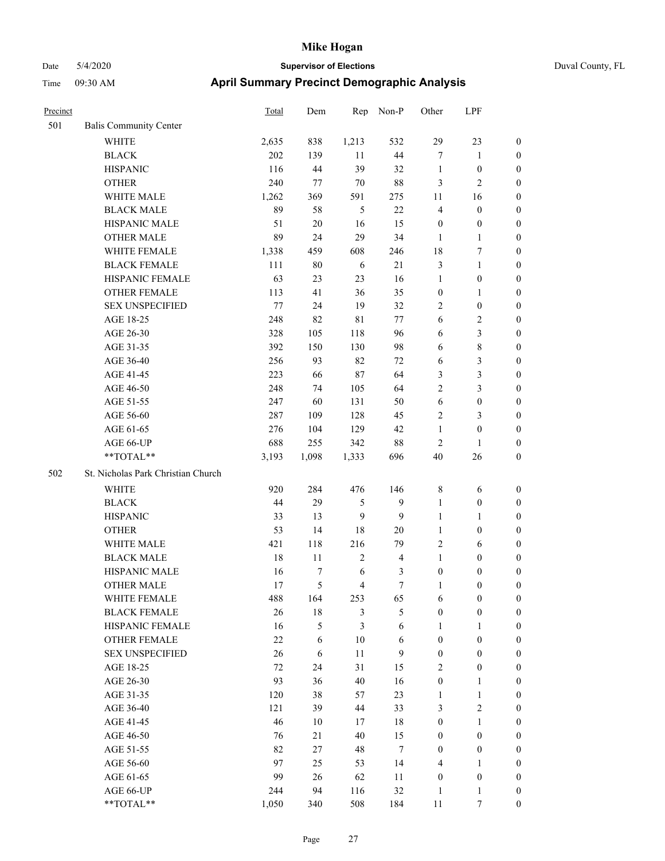| Precinct |                                    | <b>Total</b> | Dem    | Rep            | Non-P            | Other            | LPF              |                  |
|----------|------------------------------------|--------------|--------|----------------|------------------|------------------|------------------|------------------|
| 501      | <b>Balis Community Center</b>      |              |        |                |                  |                  |                  |                  |
|          | <b>WHITE</b>                       | 2,635        | 838    | 1,213          | 532              | 29               | 23               | $\mathbf{0}$     |
|          | <b>BLACK</b>                       | 202          | 139    | 11             | 44               | $\tau$           | 1                | $\boldsymbol{0}$ |
|          | <b>HISPANIC</b>                    | 116          | 44     | 39             | 32               | $\mathbf{1}$     | $\boldsymbol{0}$ | $\boldsymbol{0}$ |
|          | <b>OTHER</b>                       | 240          | 77     | 70             | 88               | $\mathfrak{Z}$   | 2                | $\boldsymbol{0}$ |
|          | WHITE MALE                         | 1,262        | 369    | 591            | 275              | 11               | 16               | $\boldsymbol{0}$ |
|          | <b>BLACK MALE</b>                  | 89           | 58     | 5              | 22               | $\overline{4}$   | $\boldsymbol{0}$ | $\boldsymbol{0}$ |
|          | HISPANIC MALE                      | 51           | $20\,$ | 16             | 15               | $\boldsymbol{0}$ | $\boldsymbol{0}$ | $\boldsymbol{0}$ |
|          | <b>OTHER MALE</b>                  | 89           | 24     | 29             | 34               | $\mathbf{1}$     | 1                | $\boldsymbol{0}$ |
|          | WHITE FEMALE                       | 1,338        | 459    | 608            | 246              | 18               | 7                | $\boldsymbol{0}$ |
|          | <b>BLACK FEMALE</b>                | 111          | 80     | 6              | 21               | $\mathfrak{Z}$   | 1                | $\boldsymbol{0}$ |
|          | HISPANIC FEMALE                    | 63           | 23     | 23             | 16               | $\mathbf{1}$     | $\boldsymbol{0}$ | $\boldsymbol{0}$ |
|          | <b>OTHER FEMALE</b>                | 113          | 41     | 36             | 35               | $\boldsymbol{0}$ | 1                | $\boldsymbol{0}$ |
|          | <b>SEX UNSPECIFIED</b>             | 77           | 24     | 19             | 32               | $\sqrt{2}$       | $\boldsymbol{0}$ | $\boldsymbol{0}$ |
|          | AGE 18-25                          | 248          | 82     | 81             | 77               | 6                | 2                | $\boldsymbol{0}$ |
|          | AGE 26-30                          | 328          | 105    | 118            | 96               | 6                | 3                | $\boldsymbol{0}$ |
|          | AGE 31-35                          | 392          | 150    | 130            | 98               | 6                | 8                | $\boldsymbol{0}$ |
|          | AGE 36-40                          | 256          | 93     | 82             | 72               | 6                | 3                | $\boldsymbol{0}$ |
|          | AGE 41-45                          | 223          | 66     | 87             | 64               | 3                | 3                | $\boldsymbol{0}$ |
|          | AGE 46-50                          | 248          | 74     | 105            | 64               | $\overline{2}$   | 3                | $\boldsymbol{0}$ |
|          | AGE 51-55                          | 247          | 60     | 131            | 50               | 6                | $\boldsymbol{0}$ | $\boldsymbol{0}$ |
|          | AGE 56-60                          | 287          | 109    | 128            | 45               | $\overline{2}$   | 3                | $\boldsymbol{0}$ |
|          | AGE 61-65                          | 276          | 104    | 129            | 42               | $\mathbf{1}$     | $\boldsymbol{0}$ | $\boldsymbol{0}$ |
|          | AGE 66-UP                          | 688          | 255    | 342            | 88               | $\sqrt{2}$       | 1                | $\boldsymbol{0}$ |
|          | **TOTAL**                          | 3,193        | 1,098  | 1,333          | 696              | 40               | 26               | $\boldsymbol{0}$ |
| 502      | St. Nicholas Park Christian Church |              |        |                |                  |                  |                  |                  |
|          | WHITE                              | 920          | 284    | 476            | 146              | $\,$ 8 $\,$      | 6                | $\boldsymbol{0}$ |
|          | <b>BLACK</b>                       | 44           | 29     | 5              | 9                | $\mathbf{1}$     | $\boldsymbol{0}$ | $\boldsymbol{0}$ |
|          | <b>HISPANIC</b>                    | 33           | 13     | 9              | 9                | 1                | 1                | $\boldsymbol{0}$ |
|          | <b>OTHER</b>                       | 53           | 14     | 18             | 20               | 1                | $\boldsymbol{0}$ | $\boldsymbol{0}$ |
|          | WHITE MALE                         | 421          | 118    | 216            | 79               | $\sqrt{2}$       | 6                | $\boldsymbol{0}$ |
|          | <b>BLACK MALE</b>                  | 18           | 11     | $\overline{2}$ | $\overline{4}$   | $\mathbf{1}$     | $\boldsymbol{0}$ | $\boldsymbol{0}$ |
|          | HISPANIC MALE                      | 16           | 7      | 6              | 3                | $\boldsymbol{0}$ | $\boldsymbol{0}$ | $\boldsymbol{0}$ |
|          | <b>OTHER MALE</b>                  | 17           | 5      | $\overline{4}$ | 7                | 1                | $\boldsymbol{0}$ | $\boldsymbol{0}$ |
|          | WHITE FEMALE                       | 488          | 164    | 253            | 65               | 6                | $\boldsymbol{0}$ | $\mathbf{0}$     |
|          | <b>BLACK FEMALE</b>                | 26           | $18\,$ | $\mathfrak{Z}$ | $\mathfrak s$    | $\boldsymbol{0}$ | $\boldsymbol{0}$ | $\boldsymbol{0}$ |
|          | HISPANIC FEMALE                    | 16           | 5      | 3              | 6                | $\mathbf{1}$     | $\mathbf{1}$     | $\boldsymbol{0}$ |
|          | <b>OTHER FEMALE</b>                | 22           | 6      | $10\,$         | 6                | $\mathbf{0}$     | $\boldsymbol{0}$ | $\boldsymbol{0}$ |
|          | <b>SEX UNSPECIFIED</b>             | 26           | 6      | 11             | 9                | $\boldsymbol{0}$ | $\boldsymbol{0}$ | $\boldsymbol{0}$ |
|          | AGE 18-25                          | 72           | 24     | 31             | 15               | $\sqrt{2}$       | $\boldsymbol{0}$ | $\boldsymbol{0}$ |
|          | AGE 26-30                          | 93           | 36     | 40             | 16               | $\boldsymbol{0}$ | $\mathbf{1}$     | $\boldsymbol{0}$ |
|          | AGE 31-35                          | 120          | 38     | 57             | 23               | $\mathbf{1}$     | $\mathbf{1}$     | $\boldsymbol{0}$ |
|          | AGE 36-40                          | 121          | 39     | 44             | 33               | 3                | 2                | $\boldsymbol{0}$ |
|          | AGE 41-45                          | 46           | $10\,$ | 17             | $18\,$           | $\boldsymbol{0}$ | 1                | $\boldsymbol{0}$ |
|          | AGE 46-50                          | 76           | 21     | 40             | 15               | $\boldsymbol{0}$ | $\boldsymbol{0}$ | $\boldsymbol{0}$ |
|          | AGE 51-55                          | 82           | 27     | 48             | $\boldsymbol{7}$ | $\boldsymbol{0}$ | $\boldsymbol{0}$ | $\boldsymbol{0}$ |
|          | AGE 56-60                          | 97           | 25     | 53             | 14               | $\overline{4}$   | $\mathbf{1}$     | $\boldsymbol{0}$ |
|          | AGE 61-65                          | 99           | $26\,$ | 62             | 11               | $\boldsymbol{0}$ | $\boldsymbol{0}$ | $\boldsymbol{0}$ |
|          | AGE 66-UP                          | 244          | 94     | 116            | 32               | $\mathbf{1}$     | 1                | $\boldsymbol{0}$ |
|          | $**TOTAL**$                        | 1,050        | 340    | 508            | 184              | $11\,$           | $\tau$           | $\boldsymbol{0}$ |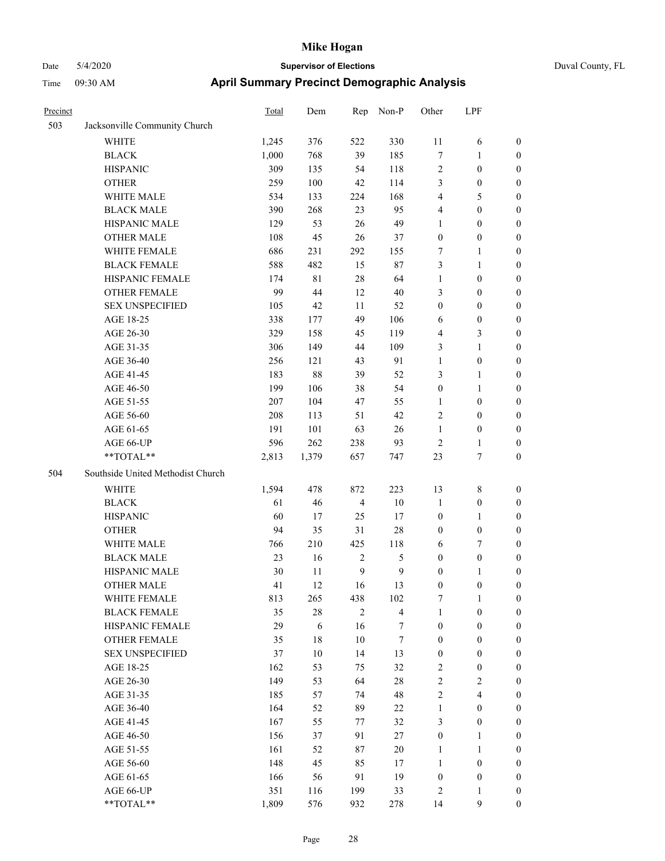| Precinct |                                   | Total | Dem        | Rep            | Non-P                   | Other            | LPF              |                  |
|----------|-----------------------------------|-------|------------|----------------|-------------------------|------------------|------------------|------------------|
| 503      | Jacksonville Community Church     |       |            |                |                         |                  |                  |                  |
|          | <b>WHITE</b>                      | 1,245 | 376        | 522            | 330                     | 11               | 6                | $\boldsymbol{0}$ |
|          | <b>BLACK</b>                      | 1,000 | 768        | 39             | 185                     | 7                | $\mathbf{1}$     | $\boldsymbol{0}$ |
|          | <b>HISPANIC</b>                   | 309   | 135        | 54             | 118                     | $\sqrt{2}$       | $\boldsymbol{0}$ | $\boldsymbol{0}$ |
|          | <b>OTHER</b>                      | 259   | 100        | $42\,$         | 114                     | 3                | $\boldsymbol{0}$ | $\boldsymbol{0}$ |
|          | WHITE MALE                        | 534   | 133        | 224            | 168                     | 4                | 5                | $\boldsymbol{0}$ |
|          | <b>BLACK MALE</b>                 | 390   | 268        | 23             | 95                      | 4                | $\boldsymbol{0}$ | $\boldsymbol{0}$ |
|          | HISPANIC MALE                     | 129   | 53         | 26             | 49                      | $\mathbf{1}$     | $\boldsymbol{0}$ | 0                |
|          | <b>OTHER MALE</b>                 | 108   | 45         | 26             | 37                      | $\boldsymbol{0}$ | $\boldsymbol{0}$ | 0                |
|          | WHITE FEMALE                      | 686   | 231        | 292            | 155                     | 7                | 1                | 0                |
|          | <b>BLACK FEMALE</b>               | 588   | 482        | 15             | 87                      | 3                | $\mathbf{1}$     | $\boldsymbol{0}$ |
|          | HISPANIC FEMALE                   | 174   | 81         | $28\,$         | 64                      | $\mathbf{1}$     | $\boldsymbol{0}$ | $\boldsymbol{0}$ |
|          | OTHER FEMALE                      | 99    | 44         | 12             | 40                      | 3                | $\boldsymbol{0}$ | $\boldsymbol{0}$ |
|          | <b>SEX UNSPECIFIED</b>            | 105   | 42         | 11             | 52                      | $\boldsymbol{0}$ | $\boldsymbol{0}$ | $\boldsymbol{0}$ |
|          | AGE 18-25                         | 338   | 177        | 49             | 106                     | 6                | $\boldsymbol{0}$ | $\boldsymbol{0}$ |
|          | AGE 26-30                         | 329   | 158        | 45             | 119                     | 4                | $\mathfrak{Z}$   | $\boldsymbol{0}$ |
|          | AGE 31-35                         | 306   | 149        | 44             | 109                     | 3                | $\mathbf{1}$     | $\boldsymbol{0}$ |
|          | AGE 36-40                         | 256   | 121        | 43             | 91                      | $\mathbf{1}$     | $\boldsymbol{0}$ | 0                |
|          | AGE 41-45                         | 183   | 88         | 39             | 52                      | 3                | 1                | 0                |
|          | AGE 46-50                         | 199   | 106        | 38             | 54                      | $\boldsymbol{0}$ | $\mathbf{1}$     | 0                |
|          | AGE 51-55                         | 207   | 104        | 47             | 55                      | 1                | $\boldsymbol{0}$ | $\boldsymbol{0}$ |
|          | AGE 56-60                         | 208   | 113        | 51             | 42                      | $\overline{2}$   | $\boldsymbol{0}$ | $\boldsymbol{0}$ |
|          | AGE 61-65                         | 191   | 101        | 63             | 26                      | $\mathbf{1}$     | $\boldsymbol{0}$ | $\boldsymbol{0}$ |
|          | AGE 66-UP                         | 596   | 262        | 238            | 93                      | $\sqrt{2}$       | $\mathbf{1}$     | $\boldsymbol{0}$ |
|          | **TOTAL**                         | 2,813 | 1,379      | 657            | 747                     | 23               | $\boldsymbol{7}$ | $\boldsymbol{0}$ |
| 504      | Southside United Methodist Church |       |            |                |                         |                  |                  |                  |
|          | WHITE                             | 1,594 | 478        | 872            | 223                     | 13               | $\,$ 8 $\,$      | $\boldsymbol{0}$ |
|          | $\operatorname{BLACK}$            | 61    | 46         | $\overline{4}$ | $10\,$                  | $\mathbf{1}$     | $\boldsymbol{0}$ | $\boldsymbol{0}$ |
|          | <b>HISPANIC</b>                   | 60    | 17         | 25             | 17                      | $\boldsymbol{0}$ | $\mathbf{1}$     | $\boldsymbol{0}$ |
|          | <b>OTHER</b>                      | 94    | 35         | 31             | 28                      | $\boldsymbol{0}$ | $\boldsymbol{0}$ | 0                |
|          | WHITE MALE                        | 766   | 210        | 425            | 118                     | 6                | 7                | 0                |
|          | <b>BLACK MALE</b>                 | 23    | 16         | $\overline{c}$ | 5                       | $\boldsymbol{0}$ | $\boldsymbol{0}$ | 0                |
|          | HISPANIC MALE                     | 30    | 11         | 9              | 9                       | $\boldsymbol{0}$ | 1                | 0                |
|          | <b>OTHER MALE</b>                 | 41    | 12         | 16             | 13                      | $\boldsymbol{0}$ | $\boldsymbol{0}$ | $\boldsymbol{0}$ |
|          | WHITE FEMALE                      | 813   | 265        | 438            | 102                     | 7                | $\mathbf{1}$     | $\boldsymbol{0}$ |
|          | <b>BLACK FEMALE</b>               | 35    | $28\,$     | $\sqrt{2}$     | $\overline{\mathbf{4}}$ | $\mathbf{1}$     | $\boldsymbol{0}$ | $\overline{0}$   |
|          | HISPANIC FEMALE                   | 29    | $\sqrt{6}$ | 16             | $\boldsymbol{7}$        | $\boldsymbol{0}$ | $\boldsymbol{0}$ | $\overline{0}$   |
|          | <b>OTHER FEMALE</b>               | 35    | 18         | $10\,$         | $\boldsymbol{7}$        | $\boldsymbol{0}$ | $\boldsymbol{0}$ | $\overline{0}$   |
|          | <b>SEX UNSPECIFIED</b>            | 37    | $10\,$     | 14             | 13                      | $\boldsymbol{0}$ | $\boldsymbol{0}$ | 0                |
|          | AGE 18-25                         | 162   | 53         | 75             | 32                      | $\sqrt{2}$       | $\boldsymbol{0}$ | 0                |
|          | AGE 26-30                         | 149   | 53         | 64             | $28\,$                  | $\sqrt{2}$       | $\boldsymbol{2}$ | 0                |
|          | AGE 31-35                         | 185   | 57         | 74             | 48                      | $\sqrt{2}$       | $\overline{4}$   | 0                |
|          | AGE 36-40                         | 164   | 52         | 89             | 22                      | $\mathbf{1}$     | $\boldsymbol{0}$ | $\overline{0}$   |
|          | AGE 41-45                         | 167   | 55         | 77             | 32                      | 3                | $\boldsymbol{0}$ | $\boldsymbol{0}$ |
|          | AGE 46-50                         | 156   | 37         | 91             | 27                      | $\boldsymbol{0}$ | $\mathbf{1}$     | $\boldsymbol{0}$ |
|          | AGE 51-55                         | 161   | 52         | 87             | $20\,$                  | $\mathbf{1}$     | $\mathbf{1}$     | $\boldsymbol{0}$ |
|          | AGE 56-60                         | 148   | 45         | 85             | 17                      | $\mathbf{1}$     | $\boldsymbol{0}$ | $\overline{0}$   |
|          | AGE 61-65                         | 166   | 56         | 91             | 19                      | $\boldsymbol{0}$ | $\boldsymbol{0}$ | $\overline{0}$   |
|          | AGE 66-UP                         | 351   | 116        | 199            | 33                      | $\sqrt{2}$       | 1                | $\overline{0}$   |
|          | **TOTAL**                         | 1,809 | 576        | 932            | 278                     | 14               | 9                | $\overline{0}$   |
|          |                                   |       |            |                |                         |                  |                  |                  |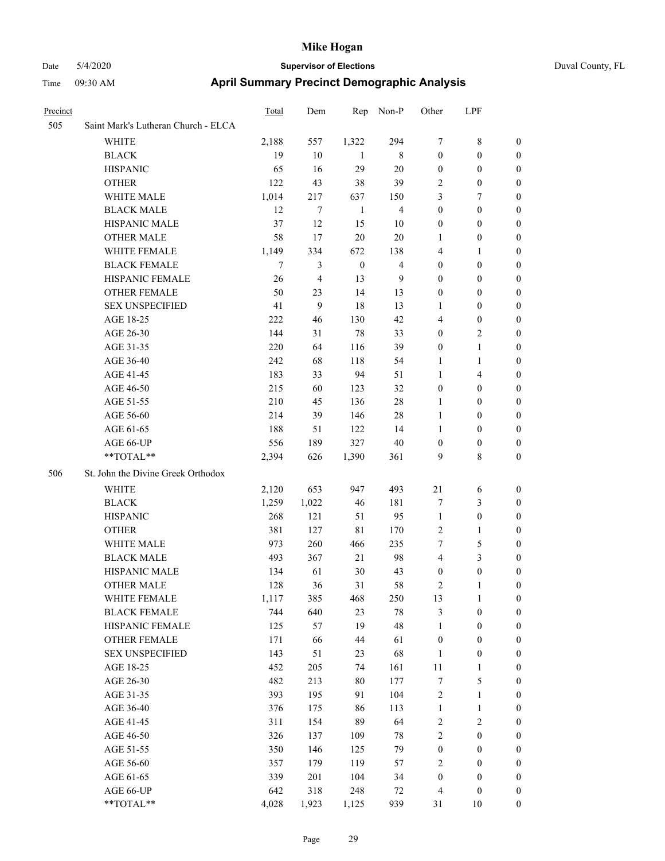# Date 5/4/2020 **Supervisor of Elections** Duval County, FL

## Time 09:30 AM **April Summary Precinct Demographic Analysis**

| Precinct |                                     | Total | Dem            | Rep          | Non-P          | Other                   | LPF              |                  |
|----------|-------------------------------------|-------|----------------|--------------|----------------|-------------------------|------------------|------------------|
| 505      | Saint Mark's Lutheran Church - ELCA |       |                |              |                |                         |                  |                  |
|          | <b>WHITE</b>                        | 2,188 | 557            | 1,322        | 294            | 7                       | $\,$ 8 $\,$      | $\boldsymbol{0}$ |
|          | <b>BLACK</b>                        | 19    | 10             | -1           | 8              | $\boldsymbol{0}$        | $\boldsymbol{0}$ | $\boldsymbol{0}$ |
|          | <b>HISPANIC</b>                     | 65    | 16             | 29           | $20\,$         | $\boldsymbol{0}$        | $\boldsymbol{0}$ | $\boldsymbol{0}$ |
|          | <b>OTHER</b>                        | 122   | 43             | 38           | 39             | 2                       | $\boldsymbol{0}$ | $\boldsymbol{0}$ |
|          | WHITE MALE                          | 1,014 | 217            | 637          | 150            | 3                       | $\boldsymbol{7}$ | $\boldsymbol{0}$ |
|          | <b>BLACK MALE</b>                   | 12    | 7              | $\mathbf{1}$ | $\overline{4}$ | $\boldsymbol{0}$        | $\boldsymbol{0}$ | $\boldsymbol{0}$ |
|          | HISPANIC MALE                       | 37    | 12             | 15           | 10             | $\boldsymbol{0}$        | $\boldsymbol{0}$ | $\boldsymbol{0}$ |
|          | <b>OTHER MALE</b>                   | 58    | 17             | 20           | $20\,$         | 1                       | $\boldsymbol{0}$ | 0                |
|          | WHITE FEMALE                        | 1,149 | 334            | 672          | 138            | 4                       | 1                | 0                |
|          | <b>BLACK FEMALE</b>                 | 7     | 3              | $\mathbf{0}$ | $\overline{4}$ | $\boldsymbol{0}$        | $\boldsymbol{0}$ | 0                |
|          | HISPANIC FEMALE                     | 26    | $\overline{4}$ | 13           | 9              | $\boldsymbol{0}$        | $\boldsymbol{0}$ | 0                |
|          | OTHER FEMALE                        | 50    | 23             | 14           | 13             | $\boldsymbol{0}$        | $\boldsymbol{0}$ | $\boldsymbol{0}$ |
|          | <b>SEX UNSPECIFIED</b>              | 41    | 9              | 18           | 13             | 1                       | $\boldsymbol{0}$ | $\boldsymbol{0}$ |
|          | AGE 18-25                           | 222   | 46             | 130          | 42             | 4                       | $\boldsymbol{0}$ | $\boldsymbol{0}$ |
|          | AGE 26-30                           | 144   | 31             | 78           | 33             | $\boldsymbol{0}$        | $\sqrt{2}$       | $\boldsymbol{0}$ |
|          | AGE 31-35                           | 220   | 64             | 116          | 39             | $\boldsymbol{0}$        | $\mathbf{1}$     | $\boldsymbol{0}$ |
|          | AGE 36-40                           | 242   | 68             | 118          | 54             | $\mathbf{1}$            | $\mathbf{1}$     | $\boldsymbol{0}$ |
|          | AGE 41-45                           | 183   | 33             | 94           | 51             | $\mathbf{1}$            | $\overline{4}$   | 0                |
|          | AGE 46-50                           | 215   | 60             | 123          | 32             | $\boldsymbol{0}$        | $\boldsymbol{0}$ | 0                |
|          | AGE 51-55                           | 210   | 45             | 136          | 28             | 1                       | $\boldsymbol{0}$ | 0                |
|          | AGE 56-60                           | 214   | 39             | 146          | $28\,$         | $\mathbf{1}$            | $\boldsymbol{0}$ | 0                |
|          | AGE 61-65                           | 188   | 51             | 122          | 14             | $\mathbf{1}$            | $\boldsymbol{0}$ | 0                |
|          | AGE 66-UP                           | 556   | 189            | 327          | $40\,$         | $\boldsymbol{0}$        | $\boldsymbol{0}$ | $\boldsymbol{0}$ |
|          | **TOTAL**                           | 2,394 | 626            | 1,390        | 361            | 9                       | $\,8\,$          | $\boldsymbol{0}$ |
| 506      | St. John the Divine Greek Orthodox  |       |                |              |                |                         |                  |                  |
|          | <b>WHITE</b>                        | 2,120 | 653            | 947          | 493            | 21                      | 6                | $\boldsymbol{0}$ |
|          | <b>BLACK</b>                        | 1,259 | 1,022          | 46           | 181            | 7                       | $\mathfrak{Z}$   | $\boldsymbol{0}$ |
|          | <b>HISPANIC</b>                     | 268   | 121            | 51           | 95             | $\mathbf{1}$            | $\boldsymbol{0}$ | $\boldsymbol{0}$ |
|          | <b>OTHER</b>                        | 381   | 127            | 81           | 170            | $\overline{c}$          | $\mathbf{1}$     | $\boldsymbol{0}$ |
|          | <b>WHITE MALE</b>                   | 973   | 260            | 466          | 235            | 7                       | $\mathfrak s$    | 0                |
|          | <b>BLACK MALE</b>                   | 493   | 367            | 21           | 98             | $\overline{\mathbf{4}}$ | 3                | 0                |
|          | HISPANIC MALE                       | 134   | 61             | 30           | 43             | 0                       | $\boldsymbol{0}$ | 0                |
|          | OTHER MALE                          | 128   | 36             | 31           | 58             | 2                       | $\mathbf{1}$     | $\boldsymbol{0}$ |
|          | WHITE FEMALE                        | 1,117 | 385            | 468          | 250            | 13                      | $\mathbf{1}$     | 0                |
|          | <b>BLACK FEMALE</b>                 | 744   | 640            | 23           | $78\,$         | 3                       | $\boldsymbol{0}$ | $\overline{0}$   |
|          | HISPANIC FEMALE                     | 125   | 57             | 19           | 48             | $\mathbf{1}$            | $\boldsymbol{0}$ | $\overline{0}$   |
|          | <b>OTHER FEMALE</b>                 | 171   | 66             | 44           | 61             | $\boldsymbol{0}$        | $\boldsymbol{0}$ | 0                |
|          | <b>SEX UNSPECIFIED</b>              | 143   | 51             | 23           | 68             | $\mathbf{1}$            | $\boldsymbol{0}$ | 0                |
|          | AGE 18-25                           | 452   | 205            | 74           | 161            | $11\,$                  | $\mathbf{1}$     | 0                |
|          | AGE 26-30                           | 482   | 213            | 80           | 177            | 7                       | $\sqrt{5}$       | 0                |
|          | AGE 31-35                           | 393   | 195            | 91           | 104            | $\overline{\mathbf{c}}$ | $\mathbf{1}$     | 0                |
|          | AGE 36-40                           | 376   | 175            | 86           | 113            | $\mathbf{1}$            | $\mathbf{1}$     | 0                |
|          | AGE 41-45                           | 311   | 154            | 89           | 64             | 2                       | $\sqrt{2}$       | 0                |
|          | AGE 46-50                           | 326   | 137            | 109          | $78\,$         | $\overline{c}$          | $\boldsymbol{0}$ | $\boldsymbol{0}$ |
|          | AGE 51-55                           | 350   | 146            | 125          | 79             | $\boldsymbol{0}$        | $\boldsymbol{0}$ | $\boldsymbol{0}$ |
|          | AGE 56-60                           | 357   | 179            | 119          | 57             | 2                       | $\boldsymbol{0}$ | $\overline{0}$   |
|          | AGE 61-65                           | 339   | 201            | 104          | 34             | $\boldsymbol{0}$        | $\boldsymbol{0}$ | 0                |
|          | AGE 66-UP                           | 642   | 318            | 248          | 72             | 4                       | $\boldsymbol{0}$ | 0                |
|          | **TOTAL**                           | 4,028 | 1,923          | 1,125        | 939            | 31                      | 10               | $\boldsymbol{0}$ |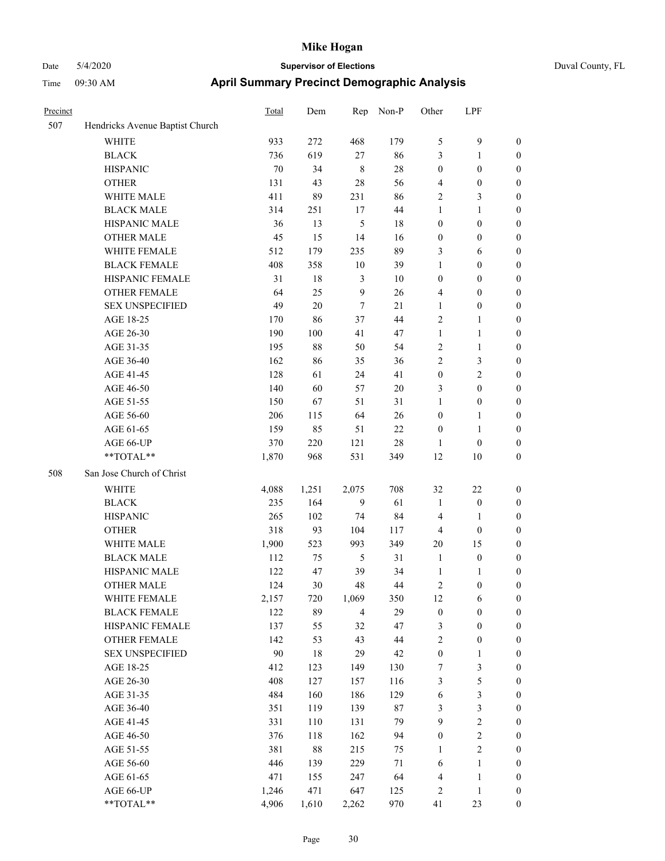| Duval County, FL |
|------------------|
|------------------|

| Precinct |                                 | Total | Dem    | Rep            | Non-P  | Other            | LPF              |                  |
|----------|---------------------------------|-------|--------|----------------|--------|------------------|------------------|------------------|
| 507      | Hendricks Avenue Baptist Church |       |        |                |        |                  |                  |                  |
|          | <b>WHITE</b>                    | 933   | 272    | 468            | 179    | $\mathfrak s$    | $\mathbf{9}$     | $\boldsymbol{0}$ |
|          | <b>BLACK</b>                    | 736   | 619    | $27\,$         | 86     | 3                | $\mathbf{1}$     | $\boldsymbol{0}$ |
|          | <b>HISPANIC</b>                 | 70    | 34     | $\,$ 8 $\,$    | $28\,$ | $\boldsymbol{0}$ | $\boldsymbol{0}$ | $\boldsymbol{0}$ |
|          | <b>OTHER</b>                    | 131   | 43     | 28             | 56     | 4                | $\boldsymbol{0}$ | $\boldsymbol{0}$ |
|          | WHITE MALE                      | 411   | 89     | 231            | 86     | $\overline{2}$   | $\mathfrak{Z}$   | 0                |
|          | <b>BLACK MALE</b>               | 314   | 251    | 17             | 44     | $\mathbf{1}$     | $\mathbf{1}$     | $\boldsymbol{0}$ |
|          | HISPANIC MALE                   | 36    | 13     | $\mathfrak{S}$ | $18\,$ | $\boldsymbol{0}$ | $\boldsymbol{0}$ | $\boldsymbol{0}$ |
|          | <b>OTHER MALE</b>               | 45    | 15     | 14             | 16     | $\boldsymbol{0}$ | $\boldsymbol{0}$ | $\boldsymbol{0}$ |
|          | WHITE FEMALE                    | 512   | 179    | 235            | 89     | 3                | 6                | $\boldsymbol{0}$ |
|          | <b>BLACK FEMALE</b>             | 408   | 358    | $10\,$         | 39     | $\mathbf{1}$     | $\boldsymbol{0}$ | $\boldsymbol{0}$ |
|          | HISPANIC FEMALE                 | 31    | 18     | $\mathfrak{Z}$ | 10     | $\boldsymbol{0}$ | $\boldsymbol{0}$ | $\boldsymbol{0}$ |
|          | <b>OTHER FEMALE</b>             | 64    | 25     | 9              | 26     | 4                | $\boldsymbol{0}$ | $\boldsymbol{0}$ |
|          | <b>SEX UNSPECIFIED</b>          | 49    | $20\,$ | $\overline{7}$ | 21     | $\mathbf{1}$     | $\boldsymbol{0}$ | $\boldsymbol{0}$ |
|          | AGE 18-25                       | 170   | 86     | 37             | 44     | $\overline{2}$   | $\mathbf{1}$     | 0                |
|          | AGE 26-30                       | 190   | 100    | 41             | 47     | $\mathbf{1}$     | $\mathbf{1}$     | 0                |
|          | AGE 31-35                       | 195   | 88     | 50             | 54     | 2                | $\mathbf{1}$     | 0                |
|          | AGE 36-40                       | 162   | 86     | 35             | 36     | $\overline{2}$   | $\mathfrak{Z}$   | $\boldsymbol{0}$ |
|          | AGE 41-45                       | 128   | 61     | 24             | 41     | $\boldsymbol{0}$ | $\overline{2}$   | $\boldsymbol{0}$ |
|          | AGE 46-50                       | 140   | 60     | 57             | $20\,$ | 3                | $\boldsymbol{0}$ | $\boldsymbol{0}$ |
|          | AGE 51-55                       | 150   | 67     | 51             | 31     | $\mathbf{1}$     | $\boldsymbol{0}$ | $\boldsymbol{0}$ |
|          | AGE 56-60                       | 206   | 115    | 64             | 26     | $\boldsymbol{0}$ | $\mathbf{1}$     | $\boldsymbol{0}$ |
|          | AGE 61-65                       | 159   | 85     | 51             | 22     | $\boldsymbol{0}$ | $\mathbf{1}$     | $\boldsymbol{0}$ |
|          | AGE 66-UP                       | 370   | 220    | 121            | 28     | $\mathbf{1}$     | $\boldsymbol{0}$ | 0                |
|          | **TOTAL**                       | 1,870 | 968    | 531            | 349    | 12               | $10\,$           | $\boldsymbol{0}$ |
| 508      | San Jose Church of Christ       |       |        |                |        |                  |                  |                  |
|          | WHITE                           | 4,088 | 1,251  | 2,075          | 708    | 32               | 22               | $\boldsymbol{0}$ |
|          | <b>BLACK</b>                    | 235   | 164    | 9              | 61     | $\mathbf{1}$     | $\boldsymbol{0}$ | 0                |
|          | <b>HISPANIC</b>                 | 265   | 102    | 74             | 84     | $\overline{4}$   | 1                | 0                |
|          | <b>OTHER</b>                    | 318   | 93     | 104            | 117    | 4                | $\boldsymbol{0}$ | $\boldsymbol{0}$ |
|          | WHITE MALE                      | 1,900 | 523    | 993            | 349    | 20               | 15               | $\boldsymbol{0}$ |
|          | <b>BLACK MALE</b>               | 112   | 75     | 5              | 31     | $\mathbf{1}$     | $\boldsymbol{0}$ | $\boldsymbol{0}$ |
|          | HISPANIC MALE                   | 122   | 47     | 39             | 34     | $\mathbf{1}$     | $\mathbf{1}$     | $\boldsymbol{0}$ |
|          | <b>OTHER MALE</b>               | 124   | 30     | 48             | 44     | $\overline{c}$   | $\boldsymbol{0}$ | $\boldsymbol{0}$ |
|          | WHITE FEMALE                    | 2,157 | 720    | 1,069          | 350    | 12               | 6                | $\boldsymbol{0}$ |
|          | <b>BLACK FEMALE</b>             | 122   | 89     | $\overline{4}$ | 29     | $\boldsymbol{0}$ | $\boldsymbol{0}$ | 0                |
|          | HISPANIC FEMALE                 | 137   | 55     | 32             | 47     | $\mathfrak{Z}$   | $\boldsymbol{0}$ | 0                |
|          | OTHER FEMALE                    | 142   | 53     | 43             | $44\,$ | $\sqrt{2}$       | $\boldsymbol{0}$ | 0                |
|          | <b>SEX UNSPECIFIED</b>          | 90    | 18     | 29             | 42     | $\boldsymbol{0}$ | 1                | 0                |
|          | AGE 18-25                       | 412   | 123    | 149            | 130    | 7                | $\mathfrak{Z}$   | 0                |
|          | AGE 26-30                       | 408   | 127    | 157            | 116    | 3                | $\mathfrak s$    | $\boldsymbol{0}$ |
|          | AGE 31-35                       | 484   | 160    | 186            | 129    | 6                | $\mathfrak{Z}$   | $\boldsymbol{0}$ |
|          | AGE 36-40                       | 351   | 119    | 139            | 87     | 3                | $\mathfrak{Z}$   | 0                |
|          | AGE 41-45                       | 331   | 110    | 131            | 79     | $\overline{9}$   | $\sqrt{2}$       | 0                |
|          | AGE 46-50                       | 376   | 118    | 162            | 94     | $\boldsymbol{0}$ | $\sqrt{2}$       | $\overline{0}$   |
|          | AGE 51-55                       | 381   | $88\,$ | 215            | 75     | $\mathbf{1}$     | $\sqrt{2}$       | $\boldsymbol{0}$ |
|          | AGE 56-60                       | 446   | 139    | 229            | $71\,$ | 6                | $\mathbf{1}$     | $\boldsymbol{0}$ |
|          | AGE 61-65                       | 471   | 155    | 247            | 64     | $\overline{4}$   | $\mathbf{1}$     | 0                |
|          | AGE 66-UP                       | 1,246 | 471    | 647            | 125    | $\boldsymbol{2}$ | $\mathbf{1}$     | 0                |
|          | **TOTAL**                       | 4,906 | 1,610  | 2,262          | 970    | 41               | 23               | $\boldsymbol{0}$ |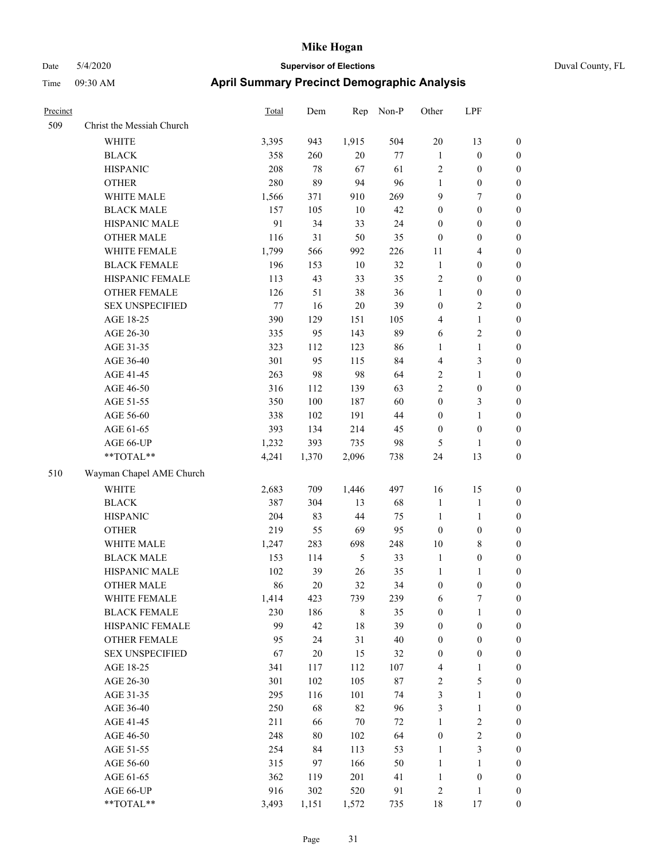| Precinct |                           | Total | Dem    | Rep         | Non-P  | Other            | LPF              |                  |
|----------|---------------------------|-------|--------|-------------|--------|------------------|------------------|------------------|
| 509      | Christ the Messiah Church |       |        |             |        |                  |                  |                  |
|          | <b>WHITE</b>              | 3,395 | 943    | 1,915       | 504    | 20               | 13               | $\boldsymbol{0}$ |
|          | <b>BLACK</b>              | 358   | 260    | $20\,$      | $77\,$ | $\mathbf{1}$     | $\boldsymbol{0}$ | $\boldsymbol{0}$ |
|          | <b>HISPANIC</b>           | 208   | 78     | 67          | 61     | $\sqrt{2}$       | $\boldsymbol{0}$ | $\boldsymbol{0}$ |
|          | <b>OTHER</b>              | 280   | 89     | 94          | 96     | $\mathbf{1}$     | $\boldsymbol{0}$ | $\boldsymbol{0}$ |
|          | WHITE MALE                | 1,566 | 371    | 910         | 269    | 9                | $\tau$           | $\boldsymbol{0}$ |
|          | <b>BLACK MALE</b>         | 157   | 105    | 10          | 42     | $\boldsymbol{0}$ | $\boldsymbol{0}$ | $\boldsymbol{0}$ |
|          | HISPANIC MALE             | 91    | 34     | 33          | 24     | $\boldsymbol{0}$ | $\boldsymbol{0}$ | $\boldsymbol{0}$ |
|          | <b>OTHER MALE</b>         | 116   | 31     | 50          | 35     | $\mathbf{0}$     | $\boldsymbol{0}$ | $\boldsymbol{0}$ |
|          | WHITE FEMALE              | 1,799 | 566    | 992         | 226    | 11               | 4                | $\boldsymbol{0}$ |
|          | <b>BLACK FEMALE</b>       | 196   | 153    | $10\,$      | 32     | $\mathbf{1}$     | $\boldsymbol{0}$ | $\boldsymbol{0}$ |
|          | HISPANIC FEMALE           | 113   | 43     | 33          | 35     | $\sqrt{2}$       | $\boldsymbol{0}$ | $\boldsymbol{0}$ |
|          | <b>OTHER FEMALE</b>       | 126   | 51     | 38          | 36     | $\mathbf{1}$     | $\boldsymbol{0}$ | $\boldsymbol{0}$ |
|          | <b>SEX UNSPECIFIED</b>    | 77    | 16     | $20\,$      | 39     | $\boldsymbol{0}$ | 2                | $\boldsymbol{0}$ |
|          | AGE 18-25                 | 390   | 129    | 151         | 105    | $\overline{4}$   | 1                | $\boldsymbol{0}$ |
|          | AGE 26-30                 | 335   | 95     | 143         | 89     | 6                | 2                | $\boldsymbol{0}$ |
|          | AGE 31-35                 | 323   | 112    | 123         | 86     | $\mathbf{1}$     | $\mathbf{1}$     | $\boldsymbol{0}$ |
|          | AGE 36-40                 | 301   | 95     | 115         | 84     | $\overline{4}$   | 3                | $\boldsymbol{0}$ |
|          | AGE 41-45                 | 263   | 98     | 98          | 64     | $\sqrt{2}$       | 1                | $\boldsymbol{0}$ |
|          | AGE 46-50                 | 316   | 112    | 139         | 63     | $\overline{2}$   | $\boldsymbol{0}$ | $\boldsymbol{0}$ |
|          | AGE 51-55                 | 350   | 100    | 187         | 60     | $\boldsymbol{0}$ | 3                | $\boldsymbol{0}$ |
|          | AGE 56-60                 | 338   | 102    | 191         | 44     | $\boldsymbol{0}$ | 1                | $\boldsymbol{0}$ |
|          | AGE 61-65                 | 393   | 134    | 214         | 45     | $\boldsymbol{0}$ | $\boldsymbol{0}$ | $\boldsymbol{0}$ |
|          | AGE 66-UP                 | 1,232 | 393    | 735         | 98     | 5                | 1                | $\mathbf{0}$     |
|          | $**TOTAL**$               | 4,241 | 1,370  | 2,096       | 738    | 24               | 13               | $\boldsymbol{0}$ |
| 510      | Wayman Chapel AME Church  |       |        |             |        |                  |                  |                  |
|          | <b>WHITE</b>              | 2,683 | 709    | 1,446       | 497    | 16               | 15               | $\boldsymbol{0}$ |
|          | <b>BLACK</b>              | 387   | 304    | 13          | 68     | $\mathbf{1}$     | $\mathbf{1}$     | $\boldsymbol{0}$ |
|          | <b>HISPANIC</b>           | 204   | 83     | 44          | 75     | $\mathbf{1}$     | 1                | $\boldsymbol{0}$ |
|          | <b>OTHER</b>              | 219   | 55     | 69          | 95     | $\boldsymbol{0}$ | $\boldsymbol{0}$ | $\boldsymbol{0}$ |
|          | WHITE MALE                | 1,247 | 283    | 698         | 248    | $10\,$           | 8                | $\boldsymbol{0}$ |
|          | <b>BLACK MALE</b>         | 153   | 114    | 5           | 33     | $\mathbf{1}$     | $\boldsymbol{0}$ | $\boldsymbol{0}$ |
|          | HISPANIC MALE             | 102   | 39     | 26          | 35     | $\mathbf{1}$     | 1                | $\boldsymbol{0}$ |
|          | <b>OTHER MALE</b>         | 86    | 20     | 32          | 34     | $\boldsymbol{0}$ | $\boldsymbol{0}$ | $\boldsymbol{0}$ |
|          | WHITE FEMALE              | 1,414 | 423    | 739         | 239    | $\sqrt{6}$       | $\boldsymbol{7}$ | $\boldsymbol{0}$ |
|          | <b>BLACK FEMALE</b>       | 230   | 186    | $\,$ 8 $\,$ | 35     | $\boldsymbol{0}$ | $\mathbf{1}$     | $\boldsymbol{0}$ |
|          | HISPANIC FEMALE           | 99    | 42     | 18          | 39     | $\boldsymbol{0}$ | $\boldsymbol{0}$ | $\boldsymbol{0}$ |
|          | OTHER FEMALE              | 95    | 24     | 31          | $40\,$ | $\boldsymbol{0}$ | $\boldsymbol{0}$ | $\boldsymbol{0}$ |
|          | <b>SEX UNSPECIFIED</b>    | 67    | $20\,$ | 15          | $32\,$ | $\boldsymbol{0}$ | $\boldsymbol{0}$ | $\boldsymbol{0}$ |
|          | AGE 18-25                 | 341   | 117    | 112         | 107    | $\overline{4}$   | 1                | $\boldsymbol{0}$ |
|          | AGE 26-30                 | 301   | 102    | 105         | $87\,$ | $\sqrt{2}$       | 5                | $\boldsymbol{0}$ |
|          | AGE 31-35                 | 295   | 116    | 101         | 74     | $\mathfrak{Z}$   | 1                | $\boldsymbol{0}$ |
|          | AGE 36-40                 | 250   | 68     | 82          | 96     | 3                | $\mathbf{1}$     | $\boldsymbol{0}$ |
|          | AGE 41-45                 | 211   | 66     | $70\,$      | $72\,$ | $\mathbf{1}$     | $\overline{c}$   | $\boldsymbol{0}$ |
|          | AGE 46-50                 | 248   | $80\,$ | 102         | 64     | $\boldsymbol{0}$ | $\overline{c}$   | $\boldsymbol{0}$ |
|          | AGE 51-55                 | 254   | 84     | 113         | 53     | $\mathbf{1}$     | 3                | $\boldsymbol{0}$ |
|          | AGE 56-60                 | 315   | 97     | 166         | 50     | $\mathbf{1}$     | 1                | $\boldsymbol{0}$ |
|          | AGE 61-65                 | 362   | 119    | 201         | 41     | $\mathbf{1}$     | $\boldsymbol{0}$ | $\boldsymbol{0}$ |
|          | AGE 66-UP                 | 916   | 302    | 520         | 91     | $\sqrt{2}$       | 1                | $\boldsymbol{0}$ |
|          | **TOTAL**                 | 3,493 | 1,151  | 1,572       | 735    | $18\,$           | $17$             | $\boldsymbol{0}$ |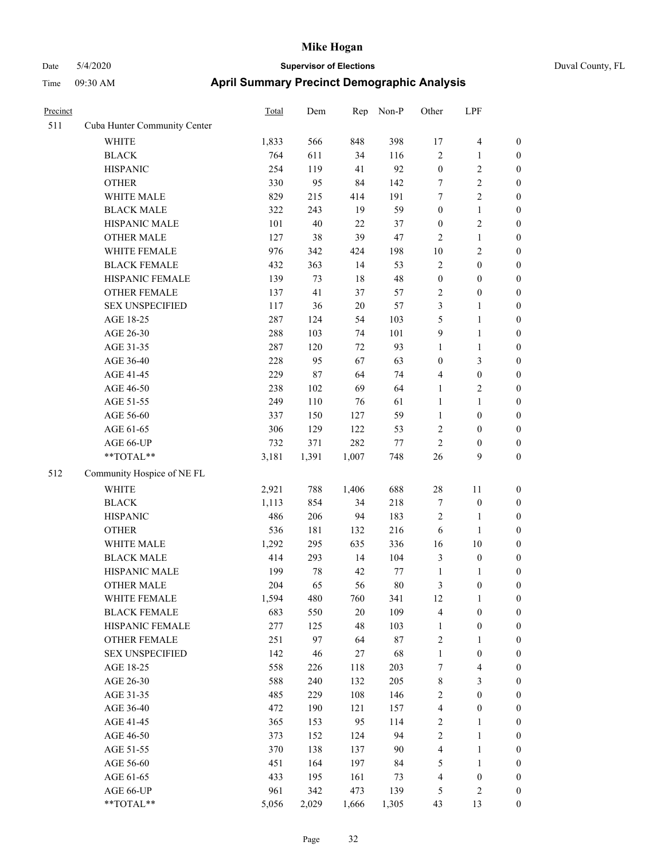| Precinct |                              | Total | Dem    | Rep    | Non-P   | Other                   | LPF              |                  |
|----------|------------------------------|-------|--------|--------|---------|-------------------------|------------------|------------------|
| 511      | Cuba Hunter Community Center |       |        |        |         |                         |                  |                  |
|          | <b>WHITE</b>                 | 1,833 | 566    | 848    | 398     | 17                      | $\overline{4}$   | $\boldsymbol{0}$ |
|          | <b>BLACK</b>                 | 764   | 611    | 34     | 116     | $\sqrt{2}$              | $\mathbf{1}$     | $\boldsymbol{0}$ |
|          | <b>HISPANIC</b>              | 254   | 119    | 41     | 92      | $\boldsymbol{0}$        | $\sqrt{2}$       | $\boldsymbol{0}$ |
|          | <b>OTHER</b>                 | 330   | 95     | 84     | 142     | 7                       | $\overline{2}$   | $\boldsymbol{0}$ |
|          | WHITE MALE                   | 829   | 215    | 414    | 191     | 7                       | $\overline{2}$   | $\boldsymbol{0}$ |
|          | <b>BLACK MALE</b>            | 322   | 243    | 19     | 59      | $\boldsymbol{0}$        | $\mathbf{1}$     | 0                |
|          | HISPANIC MALE                | 101   | 40     | 22     | 37      | $\boldsymbol{0}$        | $\sqrt{2}$       | 0                |
|          | <b>OTHER MALE</b>            | 127   | 38     | 39     | 47      | $\overline{2}$          | $\mathbf{1}$     | $\boldsymbol{0}$ |
|          | WHITE FEMALE                 | 976   | 342    | 424    | 198     | $10\,$                  | $\sqrt{2}$       | $\boldsymbol{0}$ |
|          | <b>BLACK FEMALE</b>          | 432   | 363    | 14     | 53      | $\sqrt{2}$              | $\boldsymbol{0}$ | $\boldsymbol{0}$ |
|          | HISPANIC FEMALE              | 139   | 73     | 18     | 48      | $\boldsymbol{0}$        | $\boldsymbol{0}$ | $\boldsymbol{0}$ |
|          | OTHER FEMALE                 | 137   | 41     | 37     | 57      | $\sqrt{2}$              | $\boldsymbol{0}$ | $\boldsymbol{0}$ |
|          | <b>SEX UNSPECIFIED</b>       | 117   | 36     | $20\,$ | 57      | 3                       | $\mathbf{1}$     | $\boldsymbol{0}$ |
|          | AGE 18-25                    | 287   | 124    | 54     | 103     | 5                       | $\mathbf{1}$     | $\boldsymbol{0}$ |
|          | AGE 26-30                    | 288   | 103    | 74     | 101     | 9                       | $\mathbf{1}$     | $\boldsymbol{0}$ |
|          | AGE 31-35                    | 287   | 120    | 72     | 93      | $\mathbf{1}$            | $\mathbf{1}$     | 0                |
|          | AGE 36-40                    | 228   | 95     | 67     | 63      | $\boldsymbol{0}$        | $\mathfrak{Z}$   | 0                |
|          | AGE 41-45                    | 229   | $87\,$ | 64     | 74      | 4                       | $\boldsymbol{0}$ | $\boldsymbol{0}$ |
|          | AGE 46-50                    | 238   | 102    | 69     | 64      | $\mathbf{1}$            | $\sqrt{2}$       | $\boldsymbol{0}$ |
|          | AGE 51-55                    | 249   | 110    | 76     | 61      | $\mathbf{1}$            | $\mathbf{1}$     | $\boldsymbol{0}$ |
|          | AGE 56-60                    | 337   | 150    | 127    | 59      | $\mathbf{1}$            | $\boldsymbol{0}$ | $\boldsymbol{0}$ |
|          | AGE 61-65                    | 306   | 129    | 122    | 53      | $\overline{c}$          | $\boldsymbol{0}$ | $\boldsymbol{0}$ |
|          | AGE 66-UP                    | 732   | 371    | 282    | $77 \,$ | $\overline{c}$          | $\boldsymbol{0}$ | $\boldsymbol{0}$ |
|          | **TOTAL**                    | 3,181 | 1,391  | 1,007  | 748     | 26                      | 9                | $\boldsymbol{0}$ |
| 512      | Community Hospice of NE FL   |       |        |        |         |                         |                  |                  |
|          | <b>WHITE</b>                 | 2,921 | 788    | 1,406  | 688     | 28                      | 11               | $\boldsymbol{0}$ |
|          | <b>BLACK</b>                 | 1,113 | 854    | 34     | 218     | 7                       | $\boldsymbol{0}$ | $\boldsymbol{0}$ |
|          | <b>HISPANIC</b>              | 486   | 206    | 94     | 183     | $\overline{c}$          | 1                | $\boldsymbol{0}$ |
|          | <b>OTHER</b>                 | 536   | 181    | 132    | 216     | 6                       | $\mathbf{1}$     | 0                |
|          | WHITE MALE                   | 1,292 | 295    | 635    | 336     | 16                      | $10\,$           | $\boldsymbol{0}$ |
|          | <b>BLACK MALE</b>            | 414   | 293    | 14     | 104     | 3                       | $\boldsymbol{0}$ | $\boldsymbol{0}$ |
|          | HISPANIC MALE                | 199   | 78     | 42     | 77      | $\mathbf{1}$            | 1                | $\boldsymbol{0}$ |
|          | <b>OTHER MALE</b>            | 204   | 65     | 56     | 80      | 3                       | $\boldsymbol{0}$ | $\boldsymbol{0}$ |
|          | WHITE FEMALE                 | 1,594 | 480    | 760    | 341     | 12                      | $\mathbf{1}$     | $\boldsymbol{0}$ |
|          | <b>BLACK FEMALE</b>          | 683   | 550    | $20\,$ | 109     | $\overline{\mathbf{4}}$ | $\boldsymbol{0}$ | $\overline{0}$   |
|          | HISPANIC FEMALE              | 277   | 125    | 48     | 103     | $\mathbf{1}$            | $\boldsymbol{0}$ | 0                |
|          | <b>OTHER FEMALE</b>          | 251   | 97     | 64     | $87\,$  | $\sqrt{2}$              | $\mathbf{1}$     | 0                |
|          | <b>SEX UNSPECIFIED</b>       | 142   | 46     | $27\,$ | 68      | $\mathbf{1}$            | $\boldsymbol{0}$ | 0                |
|          | AGE 18-25                    | 558   | 226    | 118    | 203     | 7                       | $\overline{4}$   | 0                |
|          | AGE 26-30                    | 588   | 240    | 132    | 205     | $\,$ 8 $\,$             | $\mathfrak{Z}$   | $\boldsymbol{0}$ |
|          | AGE 31-35                    | 485   | 229    | 108    | 146     | $\sqrt{2}$              | $\boldsymbol{0}$ | $\boldsymbol{0}$ |
|          | AGE 36-40                    | 472   | 190    | 121    | 157     | 4                       | $\boldsymbol{0}$ | $\boldsymbol{0}$ |
|          | AGE 41-45                    | 365   | 153    | 95     | 114     | $\boldsymbol{2}$        | $\mathbf{1}$     | $\boldsymbol{0}$ |
|          | AGE 46-50                    | 373   | 152    | 124    | 94      | $\sqrt{2}$              | $\mathbf{1}$     | 0                |
|          | AGE 51-55                    | 370   | 138    | 137    | 90      | 4                       | $\mathbf{1}$     | $\overline{0}$   |
|          | AGE 56-60                    | 451   | 164    | 197    | 84      | 5                       | $\mathbf{1}$     | $\overline{0}$   |
|          | AGE 61-65                    | 433   | 195    | 161    | 73      | $\overline{4}$          | $\boldsymbol{0}$ | 0                |
|          | AGE 66-UP                    | 961   | 342    | 473    | 139     | 5                       | $\sqrt{2}$       | $\boldsymbol{0}$ |
|          | **TOTAL**                    | 5,056 | 2,029  | 1,666  | 1,305   | 43                      | 13               | $\boldsymbol{0}$ |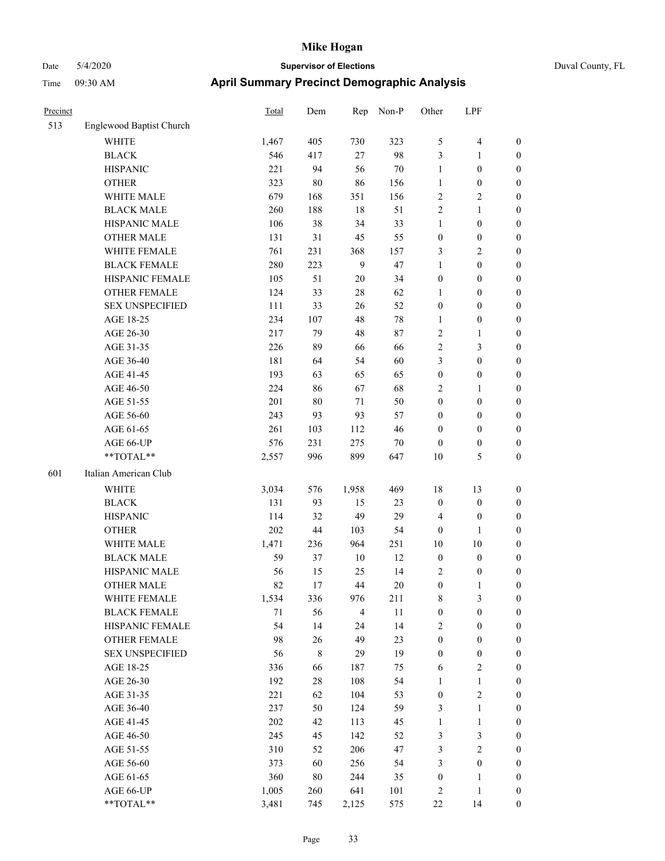| Precinct |                          | <b>Total</b> | Dem    | Rep            | Non-P  | Other            | LPF              |                  |
|----------|--------------------------|--------------|--------|----------------|--------|------------------|------------------|------------------|
| 513      | Englewood Baptist Church |              |        |                |        |                  |                  |                  |
|          | <b>WHITE</b>             | 1,467        | 405    | 730            | 323    | $\mathfrak{S}$   | 4                | $\boldsymbol{0}$ |
|          | <b>BLACK</b>             | 546          | 417    | $27\,$         | 98     | 3                | 1                | $\boldsymbol{0}$ |
|          | <b>HISPANIC</b>          | 221          | 94     | 56             | $70\,$ | $\mathbf{1}$     | $\boldsymbol{0}$ | $\boldsymbol{0}$ |
|          | <b>OTHER</b>             | 323          | $80\,$ | 86             | 156    | $\mathbf{1}$     | $\boldsymbol{0}$ | $\boldsymbol{0}$ |
|          | WHITE MALE               | 679          | 168    | 351            | 156    | $\sqrt{2}$       | 2                | $\boldsymbol{0}$ |
|          | <b>BLACK MALE</b>        | 260          | 188    | $18\,$         | 51     | $\overline{2}$   | 1                | $\boldsymbol{0}$ |
|          | HISPANIC MALE            | 106          | 38     | 34             | 33     | $\mathbf{1}$     | $\boldsymbol{0}$ | $\boldsymbol{0}$ |
|          | <b>OTHER MALE</b>        | 131          | 31     | 45             | 55     | $\boldsymbol{0}$ | $\boldsymbol{0}$ | $\boldsymbol{0}$ |
|          | WHITE FEMALE             | 761          | 231    | 368            | 157    | $\mathfrak{Z}$   | 2                | $\boldsymbol{0}$ |
|          | <b>BLACK FEMALE</b>      | 280          | 223    | 9              | 47     | $\mathbf{1}$     | $\boldsymbol{0}$ | $\boldsymbol{0}$ |
|          | HISPANIC FEMALE          | 105          | 51     | $20\,$         | 34     | $\boldsymbol{0}$ | $\boldsymbol{0}$ | $\boldsymbol{0}$ |
|          | <b>OTHER FEMALE</b>      | 124          | 33     | $28\,$         | 62     | $\mathbf{1}$     | $\boldsymbol{0}$ | $\boldsymbol{0}$ |
|          | <b>SEX UNSPECIFIED</b>   | 111          | 33     | $26\,$         | 52     | $\boldsymbol{0}$ | $\boldsymbol{0}$ | $\boldsymbol{0}$ |
|          | AGE 18-25                | 234          | 107    | 48             | 78     | $\mathbf{1}$     | $\boldsymbol{0}$ | $\boldsymbol{0}$ |
|          | AGE 26-30                | 217          | 79     | $48\,$         | $87\,$ | $\sqrt{2}$       | 1                | $\boldsymbol{0}$ |
|          | AGE 31-35                | 226          | 89     | 66             | 66     | $\sqrt{2}$       | 3                | $\boldsymbol{0}$ |
|          | AGE 36-40                | 181          | 64     | 54             | 60     | 3                | $\boldsymbol{0}$ | $\boldsymbol{0}$ |
|          | AGE 41-45                | 193          | 63     | 65             | 65     | $\boldsymbol{0}$ | $\boldsymbol{0}$ | $\boldsymbol{0}$ |
|          | AGE 46-50                | 224          | 86     | 67             | 68     | $\overline{2}$   | 1                | $\boldsymbol{0}$ |
|          | AGE 51-55                | 201          | 80     | 71             | 50     | $\boldsymbol{0}$ | $\boldsymbol{0}$ | $\boldsymbol{0}$ |
|          | AGE 56-60                | 243          | 93     | 93             | 57     | $\boldsymbol{0}$ | $\boldsymbol{0}$ | $\boldsymbol{0}$ |
|          | AGE 61-65                | 261          | 103    | 112            | 46     | $\boldsymbol{0}$ | $\boldsymbol{0}$ | $\boldsymbol{0}$ |
|          | AGE 66-UP                | 576          | 231    | 275            | $70\,$ | $\boldsymbol{0}$ | $\boldsymbol{0}$ | $\boldsymbol{0}$ |
|          | **TOTAL**                | 2,557        | 996    | 899            | 647    | 10               | 5                | $\boldsymbol{0}$ |
| 601      | Italian American Club    |              |        |                |        |                  |                  |                  |
|          | <b>WHITE</b>             | 3,034        | 576    | 1,958          | 469    | 18               | 13               | $\boldsymbol{0}$ |
|          | <b>BLACK</b>             | 131          | 93     | 15             | 23     | $\boldsymbol{0}$ | $\boldsymbol{0}$ | $\boldsymbol{0}$ |
|          | <b>HISPANIC</b>          | 114          | 32     | 49             | 29     | $\overline{4}$   | $\boldsymbol{0}$ | $\boldsymbol{0}$ |
|          | <b>OTHER</b>             | 202          | 44     | 103            | 54     | $\mathbf{0}$     | 1                | $\boldsymbol{0}$ |
|          | WHITE MALE               | 1,471        | 236    | 964            | 251    | 10               | 10               | $\boldsymbol{0}$ |
|          | <b>BLACK MALE</b>        | 59           | 37     | 10             | 12     | $\boldsymbol{0}$ | $\boldsymbol{0}$ | $\boldsymbol{0}$ |
|          | HISPANIC MALE            | 56           | 15     | 25             | 14     | $\overline{2}$   | $\boldsymbol{0}$ | $\boldsymbol{0}$ |
|          | <b>OTHER MALE</b>        | 82           | 17     | 44             | 20     | $\boldsymbol{0}$ | 1                | $\boldsymbol{0}$ |
|          | WHITE FEMALE             | 1,534        | 336    | 976            | 211    | $\,$ $\,$        | 3                | $\boldsymbol{0}$ |
|          | <b>BLACK FEMALE</b>      | 71           | 56     | $\overline{4}$ | 11     | $\boldsymbol{0}$ | $\boldsymbol{0}$ | $\boldsymbol{0}$ |
|          | HISPANIC FEMALE          | 54           | 14     | 24             | 14     | $\sqrt{2}$       | $\boldsymbol{0}$ | $\boldsymbol{0}$ |
|          | OTHER FEMALE             | 98           | $26\,$ | 49             | 23     | $\boldsymbol{0}$ | $\boldsymbol{0}$ | $\boldsymbol{0}$ |
|          | <b>SEX UNSPECIFIED</b>   | 56           | $8\,$  | 29             | 19     | $\boldsymbol{0}$ | $\boldsymbol{0}$ | $\boldsymbol{0}$ |
|          | AGE 18-25                | 336          | 66     | 187            | 75     | 6                | $\sqrt{2}$       | $\boldsymbol{0}$ |
|          | AGE 26-30                | 192          | $28\,$ | 108            | 54     | $\mathbf{1}$     | $\mathbf{1}$     | $\boldsymbol{0}$ |
|          | AGE 31-35                | 221          | 62     | 104            | 53     | $\boldsymbol{0}$ | $\mathbf{2}$     | $\boldsymbol{0}$ |
|          | AGE 36-40                | 237          | 50     | 124            | 59     | $\mathfrak{Z}$   | 1                | $\boldsymbol{0}$ |
|          | AGE 41-45                | 202          | 42     | 113            | 45     | $\mathbf{1}$     | $\mathbf{1}$     | $\boldsymbol{0}$ |
|          | AGE 46-50                | 245          | 45     | 142            | 52     | $\mathfrak z$    | 3                | $\boldsymbol{0}$ |
|          | AGE 51-55                | 310          | 52     | 206            | 47     | $\mathfrak{Z}$   | $\overline{c}$   | $\boldsymbol{0}$ |
|          | AGE 56-60                | 373          | 60     | 256            | 54     | $\mathfrak{Z}$   | $\boldsymbol{0}$ | $\boldsymbol{0}$ |
|          | AGE 61-65                | 360          | $80\,$ | 244            | 35     | $\boldsymbol{0}$ | 1                | $\boldsymbol{0}$ |
|          | AGE 66-UP                | 1,005        | 260    | 641            | 101    | $\sqrt{2}$       | 1                | $\boldsymbol{0}$ |
|          | $**TOTAL**$              | 3,481        | 745    | 2,125          | 575    | 22               | 14               | $\boldsymbol{0}$ |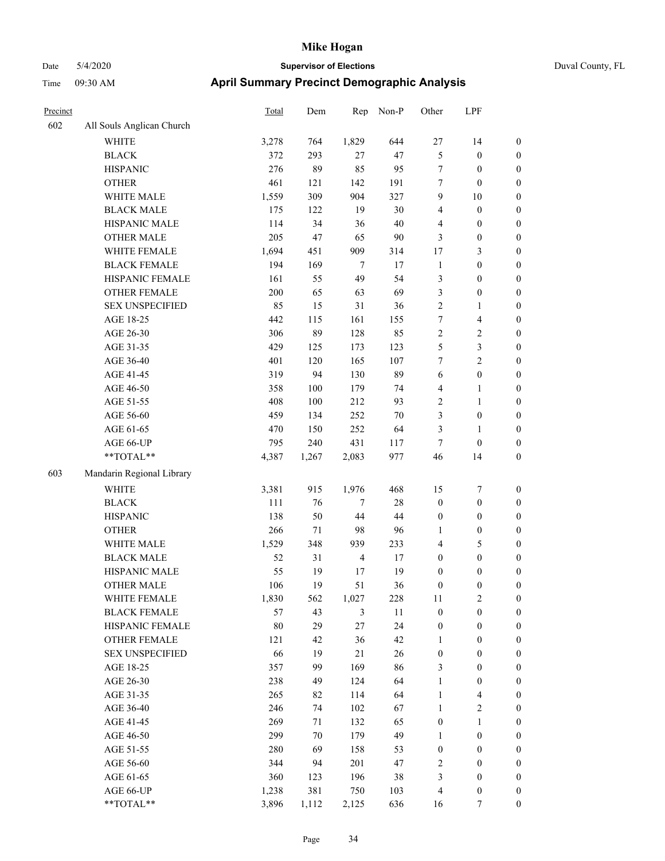| Precinct |                           | Total | Dem   | Rep            | Non-P  | Other            | LPF              |                  |
|----------|---------------------------|-------|-------|----------------|--------|------------------|------------------|------------------|
| 602      | All Souls Anglican Church |       |       |                |        |                  |                  |                  |
|          | <b>WHITE</b>              | 3,278 | 764   | 1,829          | 644    | 27               | 14               | $\boldsymbol{0}$ |
|          | <b>BLACK</b>              | 372   | 293   | $27\,$         | 47     | $\mathfrak{S}$   | $\boldsymbol{0}$ | $\boldsymbol{0}$ |
|          | <b>HISPANIC</b>           | 276   | 89    | 85             | 95     | $\tau$           | $\boldsymbol{0}$ | $\boldsymbol{0}$ |
|          | <b>OTHER</b>              | 461   | 121   | 142            | 191    | $\tau$           | $\boldsymbol{0}$ | $\boldsymbol{0}$ |
|          | WHITE MALE                | 1,559 | 309   | 904            | 327    | 9                | 10               | $\boldsymbol{0}$ |
|          | <b>BLACK MALE</b>         | 175   | 122   | 19             | 30     | $\overline{4}$   | $\boldsymbol{0}$ | $\boldsymbol{0}$ |
|          | HISPANIC MALE             | 114   | 34    | 36             | 40     | $\overline{4}$   | $\boldsymbol{0}$ | $\boldsymbol{0}$ |
|          | <b>OTHER MALE</b>         | 205   | 47    | 65             | 90     | 3                | $\boldsymbol{0}$ | $\boldsymbol{0}$ |
|          | WHITE FEMALE              | 1,694 | 451   | 909            | 314    | 17               | 3                | $\boldsymbol{0}$ |
|          | <b>BLACK FEMALE</b>       | 194   | 169   | $\overline{7}$ | 17     | $\mathbf{1}$     | $\boldsymbol{0}$ | $\boldsymbol{0}$ |
|          | HISPANIC FEMALE           | 161   | 55    | 49             | 54     | $\mathfrak{Z}$   | $\boldsymbol{0}$ | $\boldsymbol{0}$ |
|          | <b>OTHER FEMALE</b>       | 200   | 65    | 63             | 69     | 3                | $\boldsymbol{0}$ | $\boldsymbol{0}$ |
|          | <b>SEX UNSPECIFIED</b>    | 85    | 15    | 31             | 36     | $\sqrt{2}$       | 1                | $\boldsymbol{0}$ |
|          | AGE 18-25                 | 442   | 115   | 161            | 155    | 7                | 4                | $\boldsymbol{0}$ |
|          | AGE 26-30                 | 306   | 89    | 128            | 85     | $\overline{2}$   | 2                | $\boldsymbol{0}$ |
|          | AGE 31-35                 | 429   | 125   | 173            | 123    | $\sqrt{5}$       | 3                | $\boldsymbol{0}$ |
|          | AGE 36-40                 | 401   | 120   | 165            | 107    | $\tau$           | 2                | $\boldsymbol{0}$ |
|          | AGE 41-45                 | 319   | 94    | 130            | 89     | 6                | $\boldsymbol{0}$ | $\boldsymbol{0}$ |
|          | AGE 46-50                 | 358   | 100   | 179            | 74     | $\overline{4}$   | 1                | $\boldsymbol{0}$ |
|          | AGE 51-55                 | 408   | 100   | 212            | 93     | $\overline{2}$   | 1                | $\boldsymbol{0}$ |
|          | AGE 56-60                 | 459   | 134   | 252            | $70\,$ | 3                | $\boldsymbol{0}$ | $\boldsymbol{0}$ |
|          | AGE 61-65                 | 470   | 150   | 252            | 64     | 3                | 1                | $\boldsymbol{0}$ |
|          | AGE 66-UP                 | 795   | 240   | 431            | 117    | $\tau$           | $\boldsymbol{0}$ | $\boldsymbol{0}$ |
|          | $**TOTAL**$               | 4,387 | 1,267 | 2,083          | 977    | 46               | 14               | $\boldsymbol{0}$ |
| 603      | Mandarin Regional Library |       |       |                |        |                  |                  |                  |
|          | <b>WHITE</b>              | 3,381 | 915   | 1,976          | 468    | 15               | 7                | $\boldsymbol{0}$ |
|          | <b>BLACK</b>              | 111   | 76    | $\overline{7}$ | $28\,$ | $\boldsymbol{0}$ | $\boldsymbol{0}$ | $\boldsymbol{0}$ |
|          | <b>HISPANIC</b>           | 138   | 50    | 44             | 44     | $\boldsymbol{0}$ | $\boldsymbol{0}$ | $\boldsymbol{0}$ |
|          | <b>OTHER</b>              | 266   | 71    | 98             | 96     | 1                | $\boldsymbol{0}$ | $\boldsymbol{0}$ |
|          | WHITE MALE                | 1,529 | 348   | 939            | 233    | $\overline{4}$   | 5                | $\boldsymbol{0}$ |
|          | <b>BLACK MALE</b>         | 52    | 31    | $\overline{4}$ | 17     | $\boldsymbol{0}$ | $\boldsymbol{0}$ | $\boldsymbol{0}$ |
|          | HISPANIC MALE             | 55    | 19    | 17             | 19     | $\boldsymbol{0}$ | $\boldsymbol{0}$ | $\boldsymbol{0}$ |
|          | <b>OTHER MALE</b>         | 106   | 19    | 51             | 36     | $\boldsymbol{0}$ | $\boldsymbol{0}$ | $\boldsymbol{0}$ |
|          | WHITE FEMALE              | 1,830 | 562   | 1,027          | 228    | 11               | $\sqrt{2}$       | $\boldsymbol{0}$ |
|          | <b>BLACK FEMALE</b>       | 57    | 43    | $\mathfrak{Z}$ | $11\,$ | $\boldsymbol{0}$ | $\boldsymbol{0}$ | $\boldsymbol{0}$ |
|          | HISPANIC FEMALE           | 80    | 29    | 27             | 24     | $\boldsymbol{0}$ | $\boldsymbol{0}$ | $\boldsymbol{0}$ |
|          | OTHER FEMALE              | 121   | 42    | 36             | 42     | 1                | $\boldsymbol{0}$ | $\boldsymbol{0}$ |
|          | <b>SEX UNSPECIFIED</b>    | 66    | 19    | 21             | 26     | $\boldsymbol{0}$ | $\boldsymbol{0}$ | $\boldsymbol{0}$ |
|          | AGE 18-25                 | 357   | 99    | 169            | 86     | $\mathfrak{Z}$   | $\boldsymbol{0}$ | $\boldsymbol{0}$ |
|          | AGE 26-30                 | 238   | 49    | 124            | 64     | $\mathbf{1}$     | $\boldsymbol{0}$ | $\boldsymbol{0}$ |
|          | AGE 31-35                 | 265   | 82    | 114            | 64     | $\mathbf{1}$     | 4                | $\boldsymbol{0}$ |
|          | AGE 36-40                 | 246   | 74    | 102            | 67     | $\mathbf{1}$     | $\mathbf{2}$     | $\boldsymbol{0}$ |
|          | AGE 41-45                 | 269   | 71    | 132            | 65     | $\boldsymbol{0}$ | 1                | $\boldsymbol{0}$ |
|          | AGE 46-50                 | 299   | 70    | 179            | 49     | $\mathbf{1}$     | $\boldsymbol{0}$ | $\boldsymbol{0}$ |
|          | AGE 51-55                 | 280   | 69    | 158            | 53     | $\boldsymbol{0}$ | $\boldsymbol{0}$ | $\boldsymbol{0}$ |
|          | AGE 56-60                 | 344   | 94    | 201            | 47     | $\sqrt{2}$       | $\boldsymbol{0}$ | $\boldsymbol{0}$ |
|          | AGE 61-65                 | 360   | 123   | 196            | 38     | $\mathfrak{Z}$   | $\boldsymbol{0}$ | $\boldsymbol{0}$ |
|          | AGE 66-UP                 | 1,238 | 381   | 750            | 103    | $\overline{4}$   | $\boldsymbol{0}$ | $\boldsymbol{0}$ |
|          | **TOTAL**                 | 3,896 | 1,112 | 2,125          | 636    | 16               | 7                | $\mathbf{0}$     |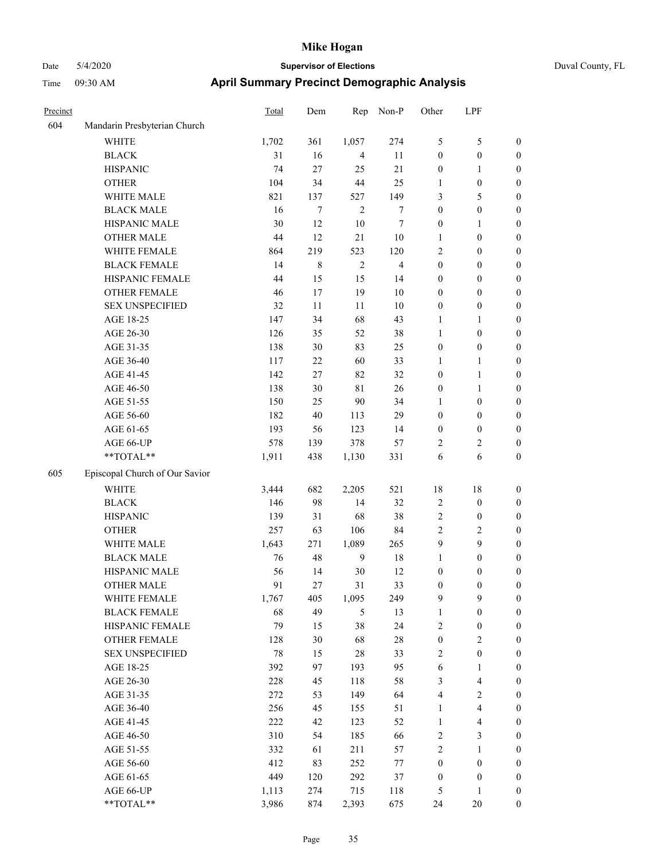| Precinct |                                | <b>Total</b> | Dem         | Rep            | Non-P          | Other            | LPF                     |                  |
|----------|--------------------------------|--------------|-------------|----------------|----------------|------------------|-------------------------|------------------|
| 604      | Mandarin Presbyterian Church   |              |             |                |                |                  |                         |                  |
|          | WHITE                          | 1,702        | 361         | 1,057          | 274            | 5                | 5                       | $\boldsymbol{0}$ |
|          | <b>BLACK</b>                   | 31           | 16          | $\overline{4}$ | 11             | $\boldsymbol{0}$ | $\boldsymbol{0}$        | $\boldsymbol{0}$ |
|          | <b>HISPANIC</b>                | 74           | 27          | 25             | 21             | $\boldsymbol{0}$ | 1                       | $\boldsymbol{0}$ |
|          | <b>OTHER</b>                   | 104          | 34          | 44             | 25             | 1                | $\boldsymbol{0}$        | $\boldsymbol{0}$ |
|          | WHITE MALE                     | 821          | 137         | 527            | 149            | 3                | 5                       | $\boldsymbol{0}$ |
|          | <b>BLACK MALE</b>              | 16           | 7           | $\overline{2}$ | $\tau$         | $\boldsymbol{0}$ | $\boldsymbol{0}$        | $\boldsymbol{0}$ |
|          | HISPANIC MALE                  | 30           | 12          | 10             | 7              | $\boldsymbol{0}$ | 1                       | $\boldsymbol{0}$ |
|          | <b>OTHER MALE</b>              | 44           | 12          | 21             | 10             | $\mathbf{1}$     | $\boldsymbol{0}$        | $\boldsymbol{0}$ |
|          | <b>WHITE FEMALE</b>            | 864          | 219         | 523            | 120            | $\sqrt{2}$       | $\boldsymbol{0}$        | $\boldsymbol{0}$ |
|          | <b>BLACK FEMALE</b>            | 14           | $\,$ 8 $\,$ | $\overline{2}$ | $\overline{4}$ | $\boldsymbol{0}$ | $\boldsymbol{0}$        | $\boldsymbol{0}$ |
|          | HISPANIC FEMALE                | 44           | 15          | 15             | 14             | $\boldsymbol{0}$ | $\boldsymbol{0}$        | $\boldsymbol{0}$ |
|          | <b>OTHER FEMALE</b>            | 46           | 17          | 19             | $10\,$         | $\boldsymbol{0}$ | $\boldsymbol{0}$        | $\boldsymbol{0}$ |
|          | <b>SEX UNSPECIFIED</b>         | 32           | 11          | 11             | 10             | $\boldsymbol{0}$ | $\boldsymbol{0}$        | $\boldsymbol{0}$ |
|          | AGE 18-25                      | 147          | 34          | 68             | 43             | 1                | 1                       | $\boldsymbol{0}$ |
|          | AGE 26-30                      | 126          | 35          | 52             | 38             | 1                | $\boldsymbol{0}$        | $\boldsymbol{0}$ |
|          | AGE 31-35                      | 138          | 30          | 83             | 25             | $\boldsymbol{0}$ | $\boldsymbol{0}$        | $\boldsymbol{0}$ |
|          | AGE 36-40                      | 117          | 22          | 60             | 33             | 1                | 1                       | $\boldsymbol{0}$ |
|          | AGE 41-45                      | 142          | 27          | 82             | 32             | $\boldsymbol{0}$ | 1                       | $\boldsymbol{0}$ |
|          | AGE 46-50                      | 138          | 30          | 81             | 26             | $\boldsymbol{0}$ | 1                       | $\boldsymbol{0}$ |
|          | AGE 51-55                      | 150          | 25          | 90             | 34             | 1                | $\boldsymbol{0}$        | $\boldsymbol{0}$ |
|          | AGE 56-60                      | 182          | 40          | 113            | 29             | $\boldsymbol{0}$ | $\boldsymbol{0}$        | $\boldsymbol{0}$ |
|          | AGE 61-65                      | 193          | 56          | 123            | 14             | $\boldsymbol{0}$ | $\boldsymbol{0}$        | $\boldsymbol{0}$ |
|          | AGE 66-UP                      | 578          | 139         | 378            | 57             | $\overline{c}$   | 2                       | $\boldsymbol{0}$ |
|          | **TOTAL**                      | 1,911        | 438         | 1,130          | 331            | 6                | 6                       | $\boldsymbol{0}$ |
| 605      | Episcopal Church of Our Savior |              |             |                |                |                  |                         |                  |
|          | <b>WHITE</b>                   | 3,444        | 682         | 2,205          | 521            | 18               | 18                      | $\boldsymbol{0}$ |
|          | <b>BLACK</b>                   | 146          | 98          | 14             | 32             | $\sqrt{2}$       | $\boldsymbol{0}$        | $\boldsymbol{0}$ |
|          | <b>HISPANIC</b>                | 139          | 31          | 68             | 38             | $\sqrt{2}$       | $\boldsymbol{0}$        | $\boldsymbol{0}$ |
|          | <b>OTHER</b>                   | 257          | 63          | 106            | 84             | $\overline{2}$   | 2                       | $\boldsymbol{0}$ |
|          | WHITE MALE                     | 1,643        | 271         | 1,089          | 265            | 9                | 9                       | $\boldsymbol{0}$ |
|          | <b>BLACK MALE</b>              | 76           | 48          | 9              | 18             | $\mathbf{1}$     | $\boldsymbol{0}$        | $\boldsymbol{0}$ |
|          | HISPANIC MALE                  | 56           | 14          | 30             | 12             | $\boldsymbol{0}$ | $\boldsymbol{0}$        | $\boldsymbol{0}$ |
|          | <b>OTHER MALE</b>              | 91           | 27          | 31             | 33             | $\boldsymbol{0}$ | $\boldsymbol{0}$        | $\boldsymbol{0}$ |
|          | WHITE FEMALE                   | 1,767        | 405         | 1,095          | 249            | $\mathbf{9}$     | 9                       | $\mathbf{0}$     |
|          | <b>BLACK FEMALE</b>            | 68           | 49          | 5              | 13             | $\mathbf{1}$     | $\boldsymbol{0}$        | $\boldsymbol{0}$ |
|          | HISPANIC FEMALE                | 79           | 15          | 38             | 24             | $\sqrt{2}$       | $\boldsymbol{0}$        | $\boldsymbol{0}$ |
|          | <b>OTHER FEMALE</b>            | 128          | 30          | 68             | $28\,$         | $\boldsymbol{0}$ | $\sqrt{2}$              | $\boldsymbol{0}$ |
|          | <b>SEX UNSPECIFIED</b>         | 78           | 15          | $28\,$         | 33             | $\sqrt{2}$       | $\boldsymbol{0}$        | $\boldsymbol{0}$ |
|          | AGE 18-25                      | 392          | 97          | 193            | 95             | 6                | 1                       | $\boldsymbol{0}$ |
|          | AGE 26-30                      | 228          | 45          | 118            | 58             | $\mathfrak{Z}$   | 4                       | $\boldsymbol{0}$ |
|          | AGE 31-35                      | 272          | 53          | 149            | 64             | $\overline{4}$   | $\overline{\mathbf{c}}$ | $\boldsymbol{0}$ |
|          | AGE 36-40                      | 256          | 45          | 155            | 51             | $\mathbf{1}$     | 4                       | $\boldsymbol{0}$ |
|          | AGE 41-45                      | $222\,$      | 42          | 123            | 52             | $\mathbf{1}$     | 4                       | $\boldsymbol{0}$ |
|          | AGE 46-50                      | 310          | 54          | 185            | 66             | $\sqrt{2}$       | 3                       | $\boldsymbol{0}$ |
|          | AGE 51-55                      | 332          | 61          | 211            | 57             | $\sqrt{2}$       | $\mathbf{1}$            | $\boldsymbol{0}$ |
|          | AGE 56-60                      | 412          | 83          | 252            | $77\,$         | $\boldsymbol{0}$ | $\boldsymbol{0}$        | $\boldsymbol{0}$ |
|          | AGE 61-65                      | 449          | 120         | 292            | 37             | $\boldsymbol{0}$ | $\boldsymbol{0}$        | $\boldsymbol{0}$ |
|          | AGE 66-UP                      | 1,113        | 274         | 715            | 118            | 5                | 1                       | $\boldsymbol{0}$ |
|          | **TOTAL**                      | 3,986        | 874         | 2,393          | 675            | 24               | $20\,$                  | $\boldsymbol{0}$ |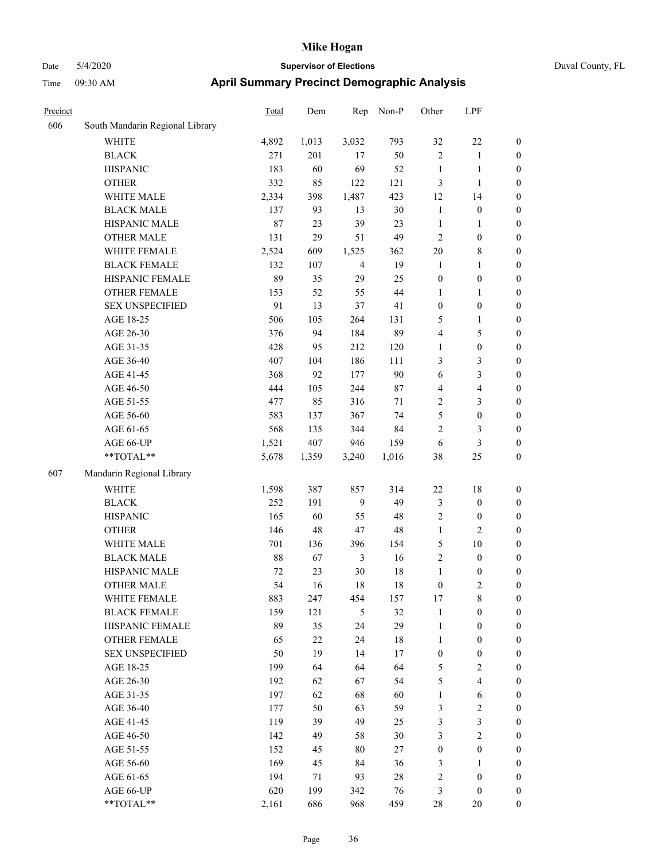| Duval Coun |  |
|------------|--|

| Precinct |                                 | Total | Dem   | Rep            | Non-P  | Other            | LPF                     |                  |
|----------|---------------------------------|-------|-------|----------------|--------|------------------|-------------------------|------------------|
| 606      | South Mandarin Regional Library |       |       |                |        |                  |                         |                  |
|          | <b>WHITE</b>                    | 4,892 | 1,013 | 3,032          | 793    | 32               | $22\,$                  | $\boldsymbol{0}$ |
|          | <b>BLACK</b>                    | 271   | 201   | 17             | 50     | $\overline{c}$   | $\mathbf{1}$            | $\boldsymbol{0}$ |
|          | <b>HISPANIC</b>                 | 183   | 60    | 69             | 52     | $\mathbf{1}$     | $\mathbf{1}$            | $\boldsymbol{0}$ |
|          | <b>OTHER</b>                    | 332   | 85    | 122            | 121    | 3                | $\mathbf{1}$            | $\boldsymbol{0}$ |
|          | WHITE MALE                      | 2,334 | 398   | 1,487          | 423    | 12               | 14                      | $\boldsymbol{0}$ |
|          | <b>BLACK MALE</b>               | 137   | 93    | 13             | 30     | $\mathbf{1}$     | $\boldsymbol{0}$        | 0                |
|          | HISPANIC MALE                   | 87    | 23    | 39             | 23     | $\mathbf{1}$     | 1                       | 0                |
|          | <b>OTHER MALE</b>               | 131   | 29    | 51             | 49     | $\overline{c}$   | $\boldsymbol{0}$        | $\boldsymbol{0}$ |
|          | WHITE FEMALE                    | 2,524 | 609   | 1,525          | 362    | $20\,$           | $\,$ 8 $\,$             | $\boldsymbol{0}$ |
|          | <b>BLACK FEMALE</b>             | 132   | 107   | $\overline{4}$ | 19     | $\mathbf{1}$     | $\mathbf{1}$            | $\boldsymbol{0}$ |
|          | HISPANIC FEMALE                 | 89    | 35    | 29             | 25     | $\boldsymbol{0}$ | $\boldsymbol{0}$        | $\boldsymbol{0}$ |
|          | OTHER FEMALE                    | 153   | 52    | 55             | 44     | $\mathbf{1}$     | $\mathbf{1}$            | $\boldsymbol{0}$ |
|          | <b>SEX UNSPECIFIED</b>          | 91    | 13    | 37             | 41     | $\boldsymbol{0}$ | $\boldsymbol{0}$        | $\boldsymbol{0}$ |
|          | AGE 18-25                       | 506   | 105   | 264            | 131    | 5                | $\mathbf{1}$            | $\boldsymbol{0}$ |
|          | AGE 26-30                       | 376   | 94    | 184            | 89     | 4                | $\sqrt{5}$              | $\boldsymbol{0}$ |
|          | AGE 31-35                       | 428   | 95    | 212            | 120    | $\mathbf{1}$     | $\boldsymbol{0}$        | 0                |
|          | AGE 36-40                       | 407   | 104   | 186            | 111    | 3                | $\mathfrak{Z}$          | 0                |
|          | AGE 41-45                       | 368   | 92    | 177            | 90     | 6                | $\mathfrak{Z}$          | $\boldsymbol{0}$ |
|          | AGE 46-50                       | 444   | 105   | 244            | $87\,$ | 4                | $\overline{4}$          | $\boldsymbol{0}$ |
|          | AGE 51-55                       | 477   | 85    | 316            | 71     | 2                | $\mathfrak{Z}$          | $\boldsymbol{0}$ |
|          | AGE 56-60                       | 583   | 137   | 367            | 74     | 5                | $\boldsymbol{0}$        | $\boldsymbol{0}$ |
|          | AGE 61-65                       | 568   | 135   | 344            | 84     | $\sqrt{2}$       | $\mathfrak{Z}$          | $\boldsymbol{0}$ |
|          | AGE 66-UP                       | 1,521 | 407   | 946            | 159    | 6                | $\mathfrak{Z}$          | $\boldsymbol{0}$ |
|          | **TOTAL**                       | 5,678 | 1,359 | 3,240          | 1,016  | 38               | 25                      | $\boldsymbol{0}$ |
| 607      | Mandarin Regional Library       |       |       |                |        |                  |                         |                  |
|          | <b>WHITE</b>                    | 1,598 | 387   | 857            | 314    | 22               | $18\,$                  | $\boldsymbol{0}$ |
|          | <b>BLACK</b>                    | 252   | 191   | 9              | 49     | $\mathfrak{Z}$   | $\boldsymbol{0}$        | $\boldsymbol{0}$ |
|          | <b>HISPANIC</b>                 | 165   | 60    | 55             | 48     | $\sqrt{2}$       | $\boldsymbol{0}$        | $\boldsymbol{0}$ |
|          | <b>OTHER</b>                    | 146   | 48    | $47\,$         | 48     | $\mathbf{1}$     | $\sqrt{2}$              | 0                |
|          | WHITE MALE                      | 701   | 136   | 396            | 154    | 5                | $10\,$                  | $\boldsymbol{0}$ |
|          | <b>BLACK MALE</b>               | 88    | 67    | 3              | 16     | $\sqrt{2}$       | $\boldsymbol{0}$        | $\boldsymbol{0}$ |
|          | HISPANIC MALE                   | 72    | 23    | $30\,$         | 18     | $\mathbf{1}$     | $\boldsymbol{0}$        | $\boldsymbol{0}$ |
|          | <b>OTHER MALE</b>               | 54    | 16    | 18             | 18     | $\boldsymbol{0}$ | $\overline{2}$          | $\boldsymbol{0}$ |
|          | WHITE FEMALE                    | 883   | 247   | 454            | 157    | 17               | $\,$ 8 $\,$             | $\overline{0}$   |
|          | <b>BLACK FEMALE</b>             | 159   | 121   | $\sqrt{5}$     | 32     | $\mathbf{1}$     | $\boldsymbol{0}$        | $\overline{0}$   |
|          | HISPANIC FEMALE                 | 89    | 35    | 24             | 29     | $\mathbf{1}$     | $\boldsymbol{0}$        | $\overline{0}$   |
|          | <b>OTHER FEMALE</b>             | 65    | 22    | 24             | $18\,$ | $\mathbf{1}$     | $\boldsymbol{0}$        | 0                |
|          | <b>SEX UNSPECIFIED</b>          | 50    | 19    | 14             | $17\,$ | $\boldsymbol{0}$ | $\boldsymbol{0}$        | 0                |
|          | AGE 18-25                       | 199   | 64    | 64             | 64     | 5                | $\boldsymbol{2}$        | 0                |
|          | AGE 26-30                       | 192   | 62    | 67             | 54     | 5                | $\overline{\mathbf{4}}$ | $\boldsymbol{0}$ |
|          | AGE 31-35                       | 197   | 62    | 68             | 60     | $\mathbf{1}$     | 6                       | $\boldsymbol{0}$ |
|          | AGE 36-40                       | 177   | 50    | 63             | 59     | 3                | $\sqrt{2}$              | $\boldsymbol{0}$ |
|          | AGE 41-45                       | 119   | 39    | 49             | 25     | 3                | $\mathfrak{Z}$          | $\overline{0}$   |
|          | AGE 46-50                       | 142   | 49    | 58             | 30     | 3                | $\sqrt{2}$              | $\boldsymbol{0}$ |
|          | AGE 51-55                       | 152   | 45    | 80             | 27     | $\boldsymbol{0}$ | $\boldsymbol{0}$        | $\overline{0}$   |
|          | AGE 56-60                       | 169   | 45    | 84             | 36     | $\mathfrak{Z}$   | $\mathbf{1}$            | $\overline{0}$   |
|          | AGE 61-65                       | 194   | 71    | 93             | $28\,$ | $\sqrt{2}$       | $\boldsymbol{0}$        | $\overline{0}$   |
|          | AGE 66-UP                       | 620   | 199   | 342            | 76     | $\mathfrak{Z}$   | $\boldsymbol{0}$        | $\boldsymbol{0}$ |
|          | **TOTAL**                       | 2,161 | 686   | 968            | 459    | $28\,$           | $20\,$                  | $\boldsymbol{0}$ |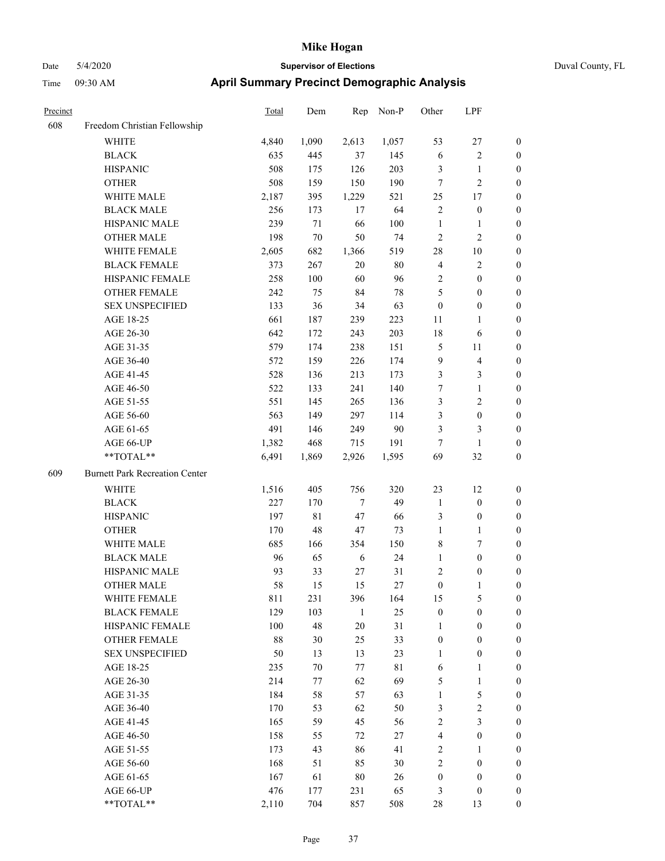| Precinct |                                       | Total | Dem         | Rep            | Non-P       | Other            | LPF                     |                  |
|----------|---------------------------------------|-------|-------------|----------------|-------------|------------------|-------------------------|------------------|
| 608      | Freedom Christian Fellowship          |       |             |                |             |                  |                         |                  |
|          | <b>WHITE</b>                          | 4,840 | 1,090       | 2,613          | 1,057       | 53               | 27                      | $\boldsymbol{0}$ |
|          | <b>BLACK</b>                          | 635   | 445         | 37             | 145         | 6                | $\overline{\mathbf{c}}$ | $\boldsymbol{0}$ |
|          | <b>HISPANIC</b>                       | 508   | 175         | 126            | 203         | $\mathfrak{Z}$   | 1                       | $\boldsymbol{0}$ |
|          | <b>OTHER</b>                          | 508   | 159         | 150            | 190         | $\tau$           | 2                       | $\boldsymbol{0}$ |
|          | WHITE MALE                            | 2,187 | 395         | 1,229          | 521         | 25               | 17                      | $\boldsymbol{0}$ |
|          | <b>BLACK MALE</b>                     | 256   | 173         | 17             | 64          | $\sqrt{2}$       | $\boldsymbol{0}$        | $\boldsymbol{0}$ |
|          | HISPANIC MALE                         | 239   | $71\,$      | 66             | 100         | $\mathbf{1}$     | 1                       | $\boldsymbol{0}$ |
|          | <b>OTHER MALE</b>                     | 198   | $70\,$      | 50             | 74          | $\sqrt{2}$       | 2                       | $\boldsymbol{0}$ |
|          | WHITE FEMALE                          | 2,605 | 682         | 1,366          | 519         | 28               | 10                      | $\boldsymbol{0}$ |
|          | <b>BLACK FEMALE</b>                   | 373   | 267         | 20             | 80          | $\overline{4}$   | 2                       | $\boldsymbol{0}$ |
|          | HISPANIC FEMALE                       | 258   | 100         | 60             | 96          | $\sqrt{2}$       | $\boldsymbol{0}$        | $\boldsymbol{0}$ |
|          | <b>OTHER FEMALE</b>                   | 242   | 75          | 84             | $78\,$      | 5                | $\boldsymbol{0}$        | $\boldsymbol{0}$ |
|          | <b>SEX UNSPECIFIED</b>                | 133   | 36          | 34             | 63          | $\boldsymbol{0}$ | $\boldsymbol{0}$        | $\boldsymbol{0}$ |
|          | AGE 18-25                             | 661   | 187         | 239            | 223         | 11               | 1                       | $\boldsymbol{0}$ |
|          | AGE 26-30                             | 642   | 172         | 243            | 203         | 18               | 6                       | $\boldsymbol{0}$ |
|          | AGE 31-35                             | 579   | 174         | 238            | 151         | $\mathfrak{S}$   | 11                      | $\boldsymbol{0}$ |
|          | AGE 36-40                             | 572   | 159         | 226            | 174         | 9                | $\overline{4}$          | $\boldsymbol{0}$ |
|          | AGE 41-45                             | 528   | 136         | 213            | 173         | $\mathfrak{Z}$   | 3                       | $\boldsymbol{0}$ |
|          | AGE 46-50                             | 522   | 133         | 241            | 140         | 7                | 1                       | $\boldsymbol{0}$ |
|          | AGE 51-55                             | 551   | 145         | 265            | 136         | $\mathfrak{Z}$   | 2                       | $\boldsymbol{0}$ |
|          | AGE 56-60                             | 563   | 149         | 297            | 114         | 3                | $\boldsymbol{0}$        | $\boldsymbol{0}$ |
|          | AGE 61-65                             | 491   | 146         | 249            | 90          | 3                | 3                       | $\boldsymbol{0}$ |
|          | AGE 66-UP                             | 1,382 | 468         | 715            | 191         | $\tau$           | $\mathbf{1}$            | $\boldsymbol{0}$ |
|          | **TOTAL**                             | 6,491 | 1,869       | 2,926          | 1,595       | 69               | 32                      | $\boldsymbol{0}$ |
| 609      | <b>Burnett Park Recreation Center</b> |       |             |                |             |                  |                         |                  |
|          | <b>WHITE</b>                          | 1,516 | 405         | 756            | 320         | 23               | 12                      | $\boldsymbol{0}$ |
|          | <b>BLACK</b>                          | 227   | 170         | $\overline{7}$ | 49          | $\mathbf{1}$     | $\boldsymbol{0}$        | $\boldsymbol{0}$ |
|          | <b>HISPANIC</b>                       | 197   | $8\sqrt{1}$ | $47\,$         | 66          | $\mathfrak{Z}$   | $\boldsymbol{0}$        | $\boldsymbol{0}$ |
|          | <b>OTHER</b>                          | 170   | 48          | 47             | 73          | $\mathbf{1}$     | 1                       | $\boldsymbol{0}$ |
|          | WHITE MALE                            | 685   | 166         | 354            | 150         | $\,$ 8 $\,$      | 7                       | $\boldsymbol{0}$ |
|          | <b>BLACK MALE</b>                     | 96    | 65          | 6              | 24          | 1                | $\boldsymbol{0}$        | $\boldsymbol{0}$ |
|          | HISPANIC MALE                         | 93    | 33          | 27             | 31          | $\sqrt{2}$       | 0                       | $\boldsymbol{0}$ |
|          | <b>OTHER MALE</b>                     | 58    | 15          | 15             | 27          | $\boldsymbol{0}$ | 1                       | $\boldsymbol{0}$ |
|          | WHITE FEMALE                          | 811   | 231         | 396            | 164         | 15               | 5                       | $\boldsymbol{0}$ |
|          | <b>BLACK FEMALE</b>                   | 129   | 103         | $\mathbf{1}$   | $25\,$      | $\boldsymbol{0}$ | $\boldsymbol{0}$        | $\boldsymbol{0}$ |
|          | HISPANIC FEMALE                       | 100   | 48          | $20\,$         | 31          | $\mathbf{1}$     | $\boldsymbol{0}$        | $\boldsymbol{0}$ |
|          | OTHER FEMALE                          | 88    | 30          | 25             | 33          | $\boldsymbol{0}$ | $\boldsymbol{0}$        | $\boldsymbol{0}$ |
|          | <b>SEX UNSPECIFIED</b>                | 50    | 13          | 13             | 23          | 1                | $\boldsymbol{0}$        | $\boldsymbol{0}$ |
|          | AGE 18-25                             | 235   | 70          | 77             | $8\sqrt{1}$ | $\sqrt{6}$       | 1                       | $\boldsymbol{0}$ |
|          | AGE 26-30                             | 214   | 77          | 62             | 69          | $\sqrt{5}$       | $\mathbf{1}$            | $\boldsymbol{0}$ |
|          | AGE 31-35                             | 184   | 58          | 57             | 63          | 1                | 5                       | $\boldsymbol{0}$ |
|          | AGE 36-40                             | 170   | 53          | 62             | 50          | $\mathfrak{Z}$   | 2                       | $\boldsymbol{0}$ |
|          | AGE 41-45                             | 165   | 59          | 45             | 56          | $\sqrt{2}$       | 3                       | $\boldsymbol{0}$ |
|          | AGE 46-50                             | 158   | 55          | 72             | 27          | $\overline{4}$   | $\boldsymbol{0}$        | $\boldsymbol{0}$ |
|          | AGE 51-55                             | 173   | 43          | 86             | 41          | $\sqrt{2}$       | 1                       | $\boldsymbol{0}$ |
|          | AGE 56-60                             | 168   | 51          | 85             | 30          | $\sqrt{2}$       | $\boldsymbol{0}$        | $\boldsymbol{0}$ |
|          | AGE 61-65                             | 167   | 61          | $80\,$         | 26          | $\boldsymbol{0}$ | $\boldsymbol{0}$        | $\boldsymbol{0}$ |
|          | AGE 66-UP                             | 476   | 177         | 231            | 65          | 3                | $\boldsymbol{0}$        | $\mathbf{0}$     |
|          | $**TOTAL**$                           | 2,110 | 704         | 857            | 508         | $28\,$           | 13                      | $\boldsymbol{0}$ |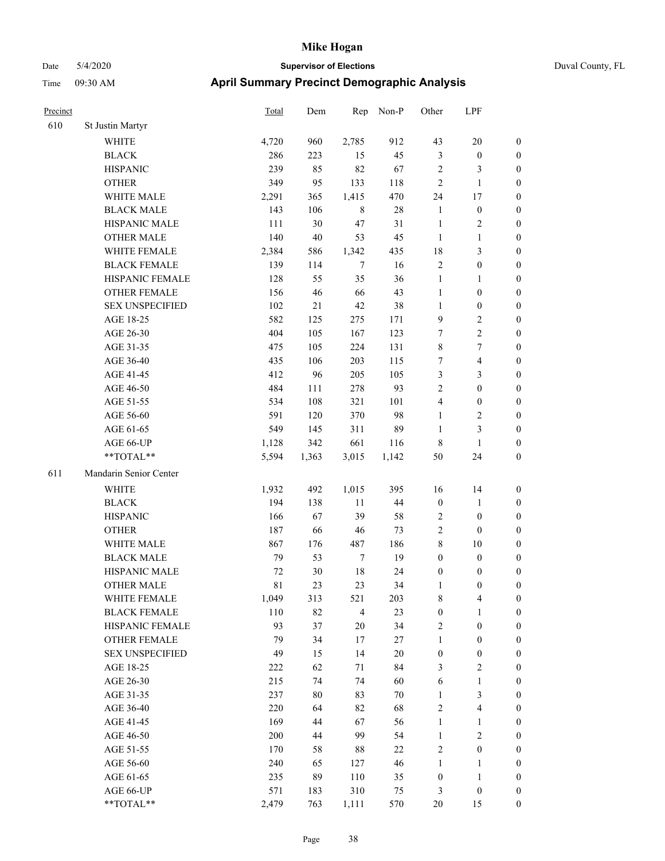## Date 5/4/2020 **Supervisor of Elections** Duval County, FL Time 09:30 AM **April Summary Precinct Demographic Analysis**

| Precinct |                        | Total   | Dem    | Rep            | Non-P  | Other            | LPF              |                  |
|----------|------------------------|---------|--------|----------------|--------|------------------|------------------|------------------|
| 610      | St Justin Martyr       |         |        |                |        |                  |                  |                  |
|          | <b>WHITE</b>           | 4,720   | 960    | 2,785          | 912    | 43               | 20               | $\boldsymbol{0}$ |
|          | <b>BLACK</b>           | 286     | 223    | 15             | 45     | $\mathfrak{Z}$   | $\boldsymbol{0}$ | $\boldsymbol{0}$ |
|          | <b>HISPANIC</b>        | 239     | 85     | 82             | 67     | $\overline{2}$   | 3                | $\boldsymbol{0}$ |
|          | <b>OTHER</b>           | 349     | 95     | 133            | 118    | $\sqrt{2}$       | 1                | $\boldsymbol{0}$ |
|          | WHITE MALE             | 2,291   | 365    | 1,415          | 470    | 24               | 17               | $\boldsymbol{0}$ |
|          | <b>BLACK MALE</b>      | 143     | 106    | $\,$ 8 $\,$    | $28\,$ | $\mathbf{1}$     | $\boldsymbol{0}$ | $\boldsymbol{0}$ |
|          | HISPANIC MALE          | 111     | 30     | 47             | 31     | $\mathbf{1}$     | $\overline{c}$   | $\boldsymbol{0}$ |
|          | <b>OTHER MALE</b>      | 140     | 40     | 53             | 45     | $\mathbf{1}$     | 1                | $\boldsymbol{0}$ |
|          | WHITE FEMALE           | 2,384   | 586    | 1,342          | 435    | 18               | 3                | $\boldsymbol{0}$ |
|          | <b>BLACK FEMALE</b>    | 139     | 114    | $\overline{7}$ | 16     | $\sqrt{2}$       | $\boldsymbol{0}$ | $\boldsymbol{0}$ |
|          | HISPANIC FEMALE        | 128     | 55     | 35             | 36     | $\mathbf{1}$     | 1                | $\boldsymbol{0}$ |
|          | OTHER FEMALE           | 156     | 46     | 66             | 43     | $\mathbf{1}$     | $\boldsymbol{0}$ | $\boldsymbol{0}$ |
|          | <b>SEX UNSPECIFIED</b> | 102     | 21     | $42\,$         | 38     | $\mathbf{1}$     | $\boldsymbol{0}$ | $\boldsymbol{0}$ |
|          | AGE 18-25              | 582     | 125    | 275            | 171    | 9                | 2                | $\boldsymbol{0}$ |
|          | AGE 26-30              | 404     | 105    | 167            | 123    | 7                | $\overline{c}$   | $\boldsymbol{0}$ |
|          | AGE 31-35              | 475     | 105    | 224            | 131    | $\,$ 8 $\,$      | 7                | $\boldsymbol{0}$ |
|          | AGE 36-40              | 435     | 106    | 203            | 115    | 7                | 4                | $\boldsymbol{0}$ |
|          | AGE 41-45              | 412     | 96     | 205            | 105    | $\mathfrak{Z}$   | 3                | $\boldsymbol{0}$ |
|          | AGE 46-50              | 484     | 111    | 278            | 93     | $\sqrt{2}$       | $\boldsymbol{0}$ | $\boldsymbol{0}$ |
|          | AGE 51-55              | 534     | 108    | 321            | 101    | $\overline{4}$   | $\boldsymbol{0}$ | $\boldsymbol{0}$ |
|          | AGE 56-60              | 591     | 120    | 370            | 98     | $\mathbf{1}$     | 2                | $\boldsymbol{0}$ |
|          | AGE 61-65              | 549     | 145    | 311            | 89     | $\mathbf{1}$     | 3                | $\boldsymbol{0}$ |
|          | AGE 66-UP              | 1,128   | 342    | 661            | 116    | $\,$ 8 $\,$      | 1                | $\boldsymbol{0}$ |
|          | **TOTAL**              | 5,594   | 1,363  | 3,015          | 1,142  | 50               | 24               | $\boldsymbol{0}$ |
| 611      | Mandarin Senior Center |         |        |                |        |                  |                  |                  |
|          |                        |         | 492    |                |        |                  |                  |                  |
|          | <b>WHITE</b>           | 1,932   |        | 1,015          | 395    | 16               | 14               | $\boldsymbol{0}$ |
|          | <b>BLACK</b>           | 194     | 138    | 11             | 44     | $\boldsymbol{0}$ | 1                | $\boldsymbol{0}$ |
|          | <b>HISPANIC</b>        | 166     | 67     | 39             | 58     | $\overline{2}$   | $\boldsymbol{0}$ | $\boldsymbol{0}$ |
|          | <b>OTHER</b>           | 187     | 66     | 46             | 73     | $\sqrt{2}$       | $\boldsymbol{0}$ | $\boldsymbol{0}$ |
|          | WHITE MALE             | 867     | 176    | 487            | 186    | $\,$ 8 $\,$      | 10               | $\boldsymbol{0}$ |
|          | <b>BLACK MALE</b>      | 79      | 53     | $\tau$         | 19     | $\boldsymbol{0}$ | $\boldsymbol{0}$ | $\boldsymbol{0}$ |
|          | HISPANIC MALE          | 72      | $30\,$ | 18             | 24     | $\boldsymbol{0}$ | 0                | $\boldsymbol{0}$ |
|          | <b>OTHER MALE</b>      | 81      | 23     | 23             | 34     | 1                | 0                | $\boldsymbol{0}$ |
|          | WHITE FEMALE           | 1,049   | 313    | 521            | 203    | $\,$ 8 $\,$      | 4                | $\boldsymbol{0}$ |
|          | <b>BLACK FEMALE</b>    | 110     | 82     | $\overline{4}$ | 23     | $\boldsymbol{0}$ | 1                | $\boldsymbol{0}$ |
|          | HISPANIC FEMALE        | 93      | 37     | 20             | 34     | $\sqrt{2}$       | $\boldsymbol{0}$ | $\boldsymbol{0}$ |
|          | OTHER FEMALE           | 79      | 34     | 17             | 27     | $\mathbf{1}$     | $\boldsymbol{0}$ | $\boldsymbol{0}$ |
|          | <b>SEX UNSPECIFIED</b> | 49      | 15     | 14             | 20     | $\boldsymbol{0}$ | $\boldsymbol{0}$ | $\boldsymbol{0}$ |
|          | AGE 18-25              | 222     | 62     | 71             | 84     | 3                | 2                | $\boldsymbol{0}$ |
|          | AGE 26-30              | 215     | 74     | 74             | 60     | 6                | 1                | $\boldsymbol{0}$ |
|          | AGE 31-35              | 237     | 80     | 83             | 70     | $\mathbf{1}$     | $\mathfrak{Z}$   | $\boldsymbol{0}$ |
|          | AGE 36-40              | 220     | 64     | 82             | 68     | $\sqrt{2}$       | 4                | $\boldsymbol{0}$ |
|          | AGE 41-45              | 169     | 44     | 67             | 56     | $\mathbf{1}$     | $\mathbf{1}$     | $\boldsymbol{0}$ |
|          | AGE 46-50              | $200\,$ | 44     | 99             | 54     | $\mathbf{1}$     | $\mathbf{2}$     | $\boldsymbol{0}$ |
|          | AGE 51-55              | 170     | 58     | 88             | $22\,$ | $\sqrt{2}$       | $\boldsymbol{0}$ | $\boldsymbol{0}$ |
|          | AGE 56-60              | 240     | 65     | 127            | 46     | $\mathbf{1}$     | 1                | $\boldsymbol{0}$ |
|          | AGE 61-65              | 235     | 89     | 110            | 35     | $\boldsymbol{0}$ | 1                | $\boldsymbol{0}$ |

AGE 66-UP 571 183 310 75 3 0 0 \*\*TOTAL\*\* 2,479 763 1,111 570 20 15 0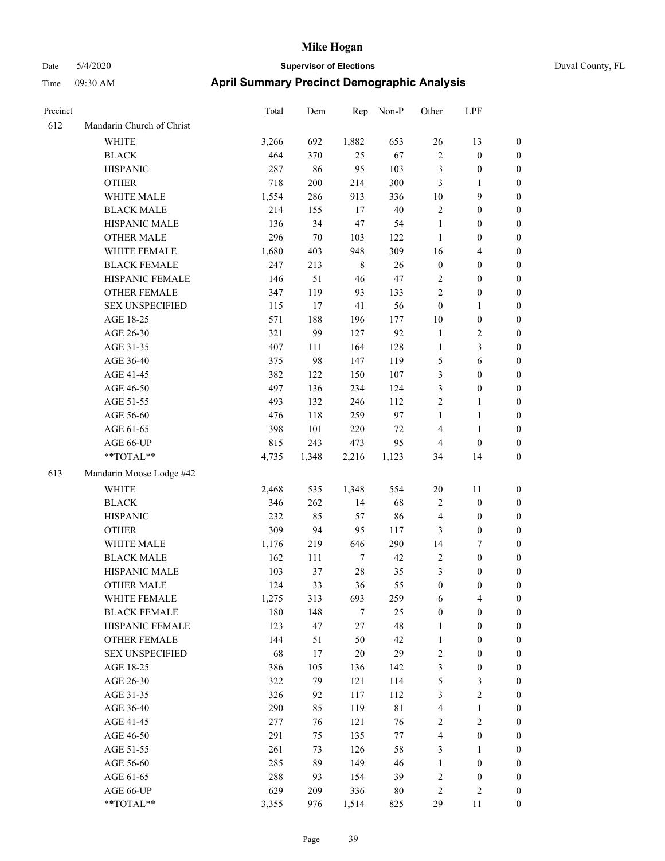| Precinct |                           | Total | Dem    | Rep    | Non-P       | Other            | LPF                      |                  |
|----------|---------------------------|-------|--------|--------|-------------|------------------|--------------------------|------------------|
| 612      | Mandarin Church of Christ |       |        |        |             |                  |                          |                  |
|          | <b>WHITE</b>              | 3,266 | 692    | 1,882  | 653         | 26               | 13                       | $\boldsymbol{0}$ |
|          | <b>BLACK</b>              | 464   | 370    | 25     | 67          | $\sqrt{2}$       | $\boldsymbol{0}$         | $\boldsymbol{0}$ |
|          | <b>HISPANIC</b>           | 287   | 86     | 95     | 103         | $\mathfrak{Z}$   | $\boldsymbol{0}$         | $\boldsymbol{0}$ |
|          | <b>OTHER</b>              | 718   | 200    | 214    | 300         | 3                | 1                        | $\boldsymbol{0}$ |
|          | WHITE MALE                | 1,554 | 286    | 913    | 336         | 10               | 9                        | $\boldsymbol{0}$ |
|          | <b>BLACK MALE</b>         | 214   | 155    | 17     | 40          | $\sqrt{2}$       | $\boldsymbol{0}$         | $\boldsymbol{0}$ |
|          | HISPANIC MALE             | 136   | 34     | 47     | 54          | $\mathbf{1}$     | $\boldsymbol{0}$         | $\boldsymbol{0}$ |
|          | <b>OTHER MALE</b>         | 296   | $70\,$ | 103    | 122         | 1                | $\boldsymbol{0}$         | $\boldsymbol{0}$ |
|          | WHITE FEMALE              | 1,680 | 403    | 948    | 309         | 16               | 4                        | $\boldsymbol{0}$ |
|          | <b>BLACK FEMALE</b>       | 247   | 213    | 8      | 26          | $\boldsymbol{0}$ | $\boldsymbol{0}$         | $\boldsymbol{0}$ |
|          | HISPANIC FEMALE           | 146   | 51     | $46\,$ | 47          | $\sqrt{2}$       | $\boldsymbol{0}$         | $\boldsymbol{0}$ |
|          | OTHER FEMALE              | 347   | 119    | 93     | 133         | $\overline{2}$   | $\boldsymbol{0}$         | $\boldsymbol{0}$ |
|          | <b>SEX UNSPECIFIED</b>    | 115   | 17     | 41     | 56          | $\boldsymbol{0}$ | 1                        | $\boldsymbol{0}$ |
|          | AGE 18-25                 | 571   | 188    | 196    | 177         | 10               | $\boldsymbol{0}$         | $\boldsymbol{0}$ |
|          | AGE 26-30                 | 321   | 99     | 127    | 92          | $\mathbf{1}$     | 2                        | $\boldsymbol{0}$ |
|          | AGE 31-35                 | 407   | 111    | 164    | 128         | $\mathbf{1}$     | 3                        | $\boldsymbol{0}$ |
|          | AGE 36-40                 | 375   | 98     | 147    | 119         | 5                | 6                        | $\boldsymbol{0}$ |
|          | AGE 41-45                 | 382   | 122    | 150    | 107         | $\mathfrak{Z}$   | $\boldsymbol{0}$         | $\boldsymbol{0}$ |
|          | AGE 46-50                 | 497   | 136    | 234    | 124         | $\mathfrak{Z}$   | $\boldsymbol{0}$         | $\boldsymbol{0}$ |
|          | AGE 51-55                 | 493   | 132    | 246    | 112         | $\sqrt{2}$       | 1                        | $\boldsymbol{0}$ |
|          | AGE 56-60                 | 476   | 118    | 259    | 97          | $\mathbf{1}$     | 1                        | $\boldsymbol{0}$ |
|          | AGE 61-65                 | 398   | 101    | 220    | 72          | $\overline{4}$   | 1                        | $\boldsymbol{0}$ |
|          | AGE 66-UP                 | 815   | 243    | 473    | 95          | $\overline{4}$   | $\boldsymbol{0}$         | $\boldsymbol{0}$ |
|          | **TOTAL**                 | 4,735 | 1,348  | 2,216  | 1,123       | 34               | 14                       | $\boldsymbol{0}$ |
| 613      | Mandarin Moose Lodge #42  |       |        |        |             |                  |                          |                  |
|          | <b>WHITE</b>              | 2,468 | 535    | 1,348  | 554         | 20               | 11                       | $\boldsymbol{0}$ |
|          | <b>BLACK</b>              | 346   | 262    | 14     | 68          | $\sqrt{2}$       | $\boldsymbol{0}$         | $\boldsymbol{0}$ |
|          | <b>HISPANIC</b>           | 232   | 85     | 57     | 86          | $\overline{4}$   | $\boldsymbol{0}$         | $\boldsymbol{0}$ |
|          | <b>OTHER</b>              | 309   | 94     | 95     | 117         | $\mathfrak{Z}$   | $\boldsymbol{0}$         | $\boldsymbol{0}$ |
|          | WHITE MALE                | 1,176 | 219    | 646    | 290         | 14               | 7                        | $\boldsymbol{0}$ |
|          | <b>BLACK MALE</b>         | 162   | 111    | $\tau$ | 42          | $\overline{2}$   | $\boldsymbol{0}$         | $\boldsymbol{0}$ |
|          | HISPANIC MALE             | 103   | 37     | $28\,$ | 35          | $\mathfrak{Z}$   | $\boldsymbol{0}$         | $\boldsymbol{0}$ |
|          | <b>OTHER MALE</b>         | 124   | 33     | 36     | 55          | $\boldsymbol{0}$ | $\boldsymbol{0}$         | $\boldsymbol{0}$ |
|          | WHITE FEMALE              | 1,275 | 313    | 693    | 259         | 6                | $\overline{\mathcal{L}}$ | $\boldsymbol{0}$ |
|          | <b>BLACK FEMALE</b>       | 180   | 148    | $\tau$ | 25          | $\boldsymbol{0}$ | $\boldsymbol{0}$         | $\boldsymbol{0}$ |
|          | HISPANIC FEMALE           | 123   | 47     | $27\,$ | 48          | $\mathbf{1}$     | $\boldsymbol{0}$         | $\boldsymbol{0}$ |
|          | <b>OTHER FEMALE</b>       | 144   | 51     | 50     | 42          | $\mathbf{1}$     | $\boldsymbol{0}$         | $\boldsymbol{0}$ |
|          | <b>SEX UNSPECIFIED</b>    | 68    | 17     | $20\,$ | 29          | $\sqrt{2}$       | $\boldsymbol{0}$         | $\boldsymbol{0}$ |
|          | AGE 18-25                 | 386   | 105    | 136    | 142         | $\mathfrak z$    | $\boldsymbol{0}$         | $\boldsymbol{0}$ |
|          | AGE 26-30                 | 322   | 79     | 121    | 114         | $\sqrt{5}$       | 3                        | $\boldsymbol{0}$ |
|          | AGE 31-35                 | 326   | 92     | 117    | 112         | $\mathfrak{Z}$   | $\overline{c}$           | $\boldsymbol{0}$ |
|          | AGE 36-40                 | 290   | 85     | 119    | $8\sqrt{1}$ | $\overline{4}$   | $\mathbf{1}$             | $\boldsymbol{0}$ |
|          | AGE 41-45                 | 277   | 76     | 121    | 76          | $\sqrt{2}$       | $\mathbf{2}$             | $\boldsymbol{0}$ |
|          | AGE 46-50                 | 291   | 75     | 135    | 77          | $\overline{4}$   | $\boldsymbol{0}$         | $\boldsymbol{0}$ |
|          | AGE 51-55                 | 261   | 73     | 126    | 58          | $\mathfrak{Z}$   | 1                        | $\boldsymbol{0}$ |
|          | AGE 56-60                 | 285   | 89     | 149    | 46          | $\mathbf{1}$     | $\boldsymbol{0}$         | $\boldsymbol{0}$ |
|          | AGE 61-65                 | 288   | 93     | 154    | 39          | $\boldsymbol{2}$ | $\boldsymbol{0}$         | $\boldsymbol{0}$ |
|          | AGE 66-UP                 | 629   | 209    | 336    | 80          | $\sqrt{2}$       | 2                        | $\boldsymbol{0}$ |
|          | **TOTAL**                 | 3,355 | 976    | 1,514  | 825         | 29               | 11                       | $\boldsymbol{0}$ |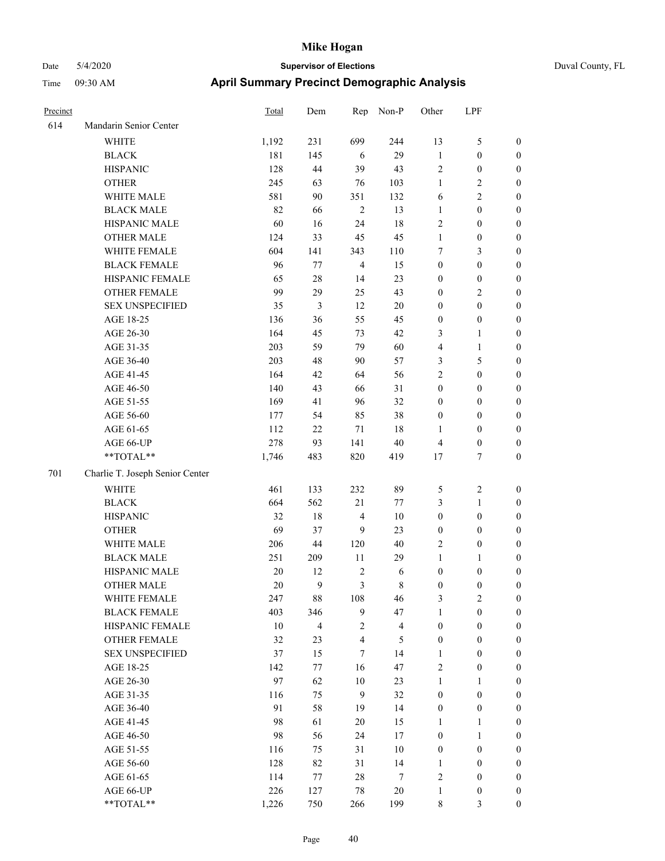| Precinct |                                 | Total | Dem            | Rep                     | Non-P          | Other            | LPF              |                  |
|----------|---------------------------------|-------|----------------|-------------------------|----------------|------------------|------------------|------------------|
| 614      | Mandarin Senior Center          |       |                |                         |                |                  |                  |                  |
|          | <b>WHITE</b>                    | 1,192 | 231            | 699                     | 244            | 13               | 5                | $\boldsymbol{0}$ |
|          | <b>BLACK</b>                    | 181   | 145            | 6                       | 29             | $\mathbf{1}$     | $\boldsymbol{0}$ | $\boldsymbol{0}$ |
|          | <b>HISPANIC</b>                 | 128   | 44             | 39                      | 43             | $\sqrt{2}$       | $\boldsymbol{0}$ | $\boldsymbol{0}$ |
|          | <b>OTHER</b>                    | 245   | 63             | 76                      | 103            | $\mathbf{1}$     | 2                | $\boldsymbol{0}$ |
|          | WHITE MALE                      | 581   | 90             | 351                     | 132            | 6                | $\overline{c}$   | $\boldsymbol{0}$ |
|          | <b>BLACK MALE</b>               | 82    | 66             | $\overline{2}$          | 13             | $\mathbf{1}$     | $\boldsymbol{0}$ | $\boldsymbol{0}$ |
|          | HISPANIC MALE                   | 60    | 16             | 24                      | 18             | $\sqrt{2}$       | $\boldsymbol{0}$ | $\boldsymbol{0}$ |
|          | <b>OTHER MALE</b>               | 124   | 33             | 45                      | 45             | $\mathbf{1}$     | $\boldsymbol{0}$ | $\boldsymbol{0}$ |
|          | WHITE FEMALE                    | 604   | 141            | 343                     | 110            | $\tau$           | 3                | $\boldsymbol{0}$ |
|          | <b>BLACK FEMALE</b>             | 96    | 77             | $\overline{4}$          | 15             | $\boldsymbol{0}$ | $\boldsymbol{0}$ | $\boldsymbol{0}$ |
|          | HISPANIC FEMALE                 | 65    | $28\,$         | 14                      | 23             | $\boldsymbol{0}$ | $\boldsymbol{0}$ | $\boldsymbol{0}$ |
|          | <b>OTHER FEMALE</b>             | 99    | 29             | 25                      | 43             | $\boldsymbol{0}$ | 2                | $\boldsymbol{0}$ |
|          | <b>SEX UNSPECIFIED</b>          | 35    | $\mathfrak{Z}$ | 12                      | $20\,$         | $\boldsymbol{0}$ | $\boldsymbol{0}$ | $\boldsymbol{0}$ |
|          | AGE 18-25                       | 136   | 36             | 55                      | 45             | $\boldsymbol{0}$ | $\boldsymbol{0}$ | $\boldsymbol{0}$ |
|          | AGE 26-30                       | 164   | 45             | 73                      | 42             | 3                | 1                | $\boldsymbol{0}$ |
|          | AGE 31-35                       | 203   | 59             | 79                      | 60             | $\overline{4}$   | $\mathbf{1}$     | $\boldsymbol{0}$ |
|          | AGE 36-40                       | 203   | 48             | 90                      | 57             | 3                | 5                | $\boldsymbol{0}$ |
|          | AGE 41-45                       | 164   | 42             | 64                      | 56             | $\overline{c}$   | $\boldsymbol{0}$ | $\boldsymbol{0}$ |
|          | AGE 46-50                       | 140   | 43             | 66                      | 31             | $\boldsymbol{0}$ | $\boldsymbol{0}$ | $\boldsymbol{0}$ |
|          | AGE 51-55                       | 169   | 41             | 96                      | 32             | $\boldsymbol{0}$ | $\boldsymbol{0}$ | $\boldsymbol{0}$ |
|          | AGE 56-60                       | 177   | 54             | 85                      | 38             | $\boldsymbol{0}$ | $\boldsymbol{0}$ | $\boldsymbol{0}$ |
|          | AGE 61-65                       | 112   | $22\,$         | 71                      | 18             | 1                | $\boldsymbol{0}$ | $\boldsymbol{0}$ |
|          | AGE 66-UP                       | 278   | 93             | 141                     | $40\,$         | $\overline{4}$   | $\boldsymbol{0}$ | $\boldsymbol{0}$ |
|          | **TOTAL**                       | 1,746 | 483            | 820                     | 419            | 17               | 7                | $\boldsymbol{0}$ |
| 701      | Charlie T. Joseph Senior Center |       |                |                         |                |                  |                  |                  |
|          | <b>WHITE</b>                    | 461   | 133            | 232                     | 89             | 5                | $\mathbf{2}$     | $\boldsymbol{0}$ |
|          | <b>BLACK</b>                    | 664   | 562            | 21                      | 77             | $\mathfrak{Z}$   | $\mathbf{1}$     | $\boldsymbol{0}$ |
|          | <b>HISPANIC</b>                 | 32    | 18             | $\overline{4}$          | 10             | $\boldsymbol{0}$ | $\boldsymbol{0}$ | $\boldsymbol{0}$ |
|          | <b>OTHER</b>                    | 69    | 37             | 9                       | 23             | $\boldsymbol{0}$ | $\boldsymbol{0}$ | $\boldsymbol{0}$ |
|          | WHITE MALE                      | 206   | $44\,$         | 120                     | 40             | $\overline{2}$   | $\boldsymbol{0}$ | $\boldsymbol{0}$ |
|          | <b>BLACK MALE</b>               | 251   | 209            | 11                      | 29             | $\mathbf{1}$     | 1                | $\boldsymbol{0}$ |
|          | HISPANIC MALE                   | 20    | 12             | $\sqrt{2}$              | 6              | $\boldsymbol{0}$ | $\boldsymbol{0}$ | $\boldsymbol{0}$ |
|          | <b>OTHER MALE</b>               | 20    | 9              | 3                       | 8              | $\boldsymbol{0}$ | $\boldsymbol{0}$ | $\boldsymbol{0}$ |
|          | WHITE FEMALE                    | 247   | 88             | 108                     | 46             | $\mathfrak{Z}$   | $\mathbf{2}$     | $\boldsymbol{0}$ |
|          | <b>BLACK FEMALE</b>             | 403   | 346            | $\boldsymbol{9}$        | 47             | $\mathbf{1}$     | $\boldsymbol{0}$ | $\boldsymbol{0}$ |
|          | HISPANIC FEMALE                 | 10    | $\overline{4}$ | $\boldsymbol{2}$        | $\overline{4}$ | $\boldsymbol{0}$ | $\boldsymbol{0}$ | $\boldsymbol{0}$ |
|          | OTHER FEMALE                    | 32    | 23             | $\overline{\mathbf{4}}$ | 5              | $\boldsymbol{0}$ | $\boldsymbol{0}$ | $\boldsymbol{0}$ |
|          | <b>SEX UNSPECIFIED</b>          | 37    | 15             | $\tau$                  | 14             | $\mathbf{1}$     | $\boldsymbol{0}$ | $\boldsymbol{0}$ |
|          | AGE 18-25                       | 142   | 77             | 16                      | 47             | $\sqrt{2}$       | $\boldsymbol{0}$ | $\boldsymbol{0}$ |
|          | AGE 26-30                       | 97    | 62             | $10\,$                  | 23             | $\mathbf{1}$     | 1                | $\boldsymbol{0}$ |
|          | AGE 31-35                       | 116   | 75             | 9                       | 32             | $\boldsymbol{0}$ | $\boldsymbol{0}$ | $\boldsymbol{0}$ |
|          | AGE 36-40                       | 91    | 58             | 19                      | 14             | $\boldsymbol{0}$ | $\boldsymbol{0}$ | $\boldsymbol{0}$ |
|          | AGE 41-45                       | 98    | 61             | 20                      | 15             | $\mathbf{1}$     | 1                | $\boldsymbol{0}$ |
|          | AGE 46-50                       | 98    | 56             | 24                      | 17             | $\boldsymbol{0}$ | $\mathbf{1}$     | $\boldsymbol{0}$ |
|          | AGE 51-55                       | 116   | 75             | 31                      | $10\,$         | $\boldsymbol{0}$ | $\boldsymbol{0}$ | $\boldsymbol{0}$ |
|          | AGE 56-60                       | 128   | 82             | 31                      | 14             | $\mathbf{1}$     | $\boldsymbol{0}$ | $\boldsymbol{0}$ |
|          | AGE 61-65                       | 114   | 77             | $28\,$                  | $\overline{7}$ | $\sqrt{2}$       | $\boldsymbol{0}$ | $\boldsymbol{0}$ |
|          | AGE 66-UP                       | 226   | 127            | $78\,$                  | 20             | $\mathbf{1}$     | $\boldsymbol{0}$ | $\boldsymbol{0}$ |
|          | **TOTAL**                       | 1,226 | 750            | 266                     | 199            | $\,$ 8 $\,$      | $\mathfrak{Z}$   | $\boldsymbol{0}$ |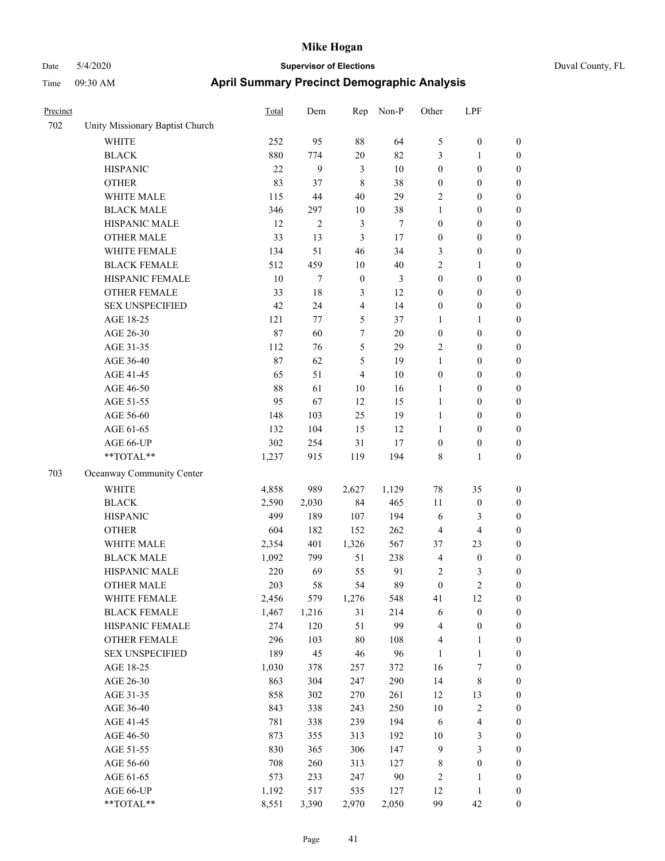| Precinct |                                 | Total | Dem    | Rep              | Non-P          | Other            | LPF              |                  |
|----------|---------------------------------|-------|--------|------------------|----------------|------------------|------------------|------------------|
| 702      | Unity Missionary Baptist Church |       |        |                  |                |                  |                  |                  |
|          | <b>WHITE</b>                    | 252   | 95     | 88               | 64             | $\sqrt{5}$       | $\boldsymbol{0}$ | $\boldsymbol{0}$ |
|          | <b>BLACK</b>                    | 880   | 774    | $20\,$           | 82             | $\mathfrak{Z}$   | 1                | $\boldsymbol{0}$ |
|          | <b>HISPANIC</b>                 | 22    | 9      | $\mathfrak{Z}$   | 10             | $\boldsymbol{0}$ | $\boldsymbol{0}$ | $\boldsymbol{0}$ |
|          | <b>OTHER</b>                    | 83    | 37     | $\,$ 8 $\,$      | 38             | $\boldsymbol{0}$ | $\boldsymbol{0}$ | $\boldsymbol{0}$ |
|          | WHITE MALE                      | 115   | 44     | 40               | 29             | $\sqrt{2}$       | $\boldsymbol{0}$ | $\boldsymbol{0}$ |
|          | <b>BLACK MALE</b>               | 346   | 297    | $10\,$           | 38             | 1                | $\boldsymbol{0}$ | $\boldsymbol{0}$ |
|          | HISPANIC MALE                   | 12    | 2      | $\mathfrak{Z}$   | $\overline{7}$ | $\mathbf{0}$     | $\boldsymbol{0}$ | $\boldsymbol{0}$ |
|          | <b>OTHER MALE</b>               | 33    | 13     | $\mathfrak{Z}$   | 17             | $\boldsymbol{0}$ | $\boldsymbol{0}$ | $\boldsymbol{0}$ |
|          | WHITE FEMALE                    | 134   | 51     | 46               | 34             | 3                | $\boldsymbol{0}$ | $\boldsymbol{0}$ |
|          | <b>BLACK FEMALE</b>             | 512   | 459    | $10\,$           | 40             | $\overline{c}$   | 1                | $\boldsymbol{0}$ |
|          | HISPANIC FEMALE                 | 10    | 7      | $\boldsymbol{0}$ | $\mathfrak{Z}$ | $\boldsymbol{0}$ | $\boldsymbol{0}$ | $\boldsymbol{0}$ |
|          | <b>OTHER FEMALE</b>             | 33    | $18\,$ | 3                | 12             | $\boldsymbol{0}$ | $\boldsymbol{0}$ | $\boldsymbol{0}$ |
|          | <b>SEX UNSPECIFIED</b>          | 42    | 24     | 4                | 14             | $\boldsymbol{0}$ | $\boldsymbol{0}$ | $\boldsymbol{0}$ |
|          | AGE 18-25                       | 121   | 77     | 5                | 37             | 1                | 1                | $\boldsymbol{0}$ |
|          | AGE 26-30                       | 87    | 60     | 7                | $20\,$         | $\boldsymbol{0}$ | $\boldsymbol{0}$ | $\boldsymbol{0}$ |
|          | AGE 31-35                       | 112   | 76     | 5                | 29             | $\overline{2}$   | $\boldsymbol{0}$ | $\boldsymbol{0}$ |
|          | AGE 36-40                       | 87    | 62     | 5                | 19             | $\mathbf{1}$     | $\boldsymbol{0}$ | $\boldsymbol{0}$ |
|          | AGE 41-45                       | 65    | 51     | $\overline{4}$   | 10             | $\boldsymbol{0}$ | $\boldsymbol{0}$ | $\boldsymbol{0}$ |
|          | AGE 46-50                       | 88    | 61     | 10               | 16             | 1                | $\boldsymbol{0}$ | $\boldsymbol{0}$ |
|          | AGE 51-55                       | 95    | 67     | 12               | 15             | $\mathbf{1}$     | $\boldsymbol{0}$ | $\boldsymbol{0}$ |
|          | AGE 56-60                       | 148   | 103    | 25               | 19             | 1                | $\boldsymbol{0}$ | $\boldsymbol{0}$ |
|          | AGE 61-65                       | 132   | 104    | 15               | 12             | 1                | $\boldsymbol{0}$ | $\boldsymbol{0}$ |
|          | AGE 66-UP                       | 302   | 254    | 31               | 17             | $\boldsymbol{0}$ | $\boldsymbol{0}$ | $\boldsymbol{0}$ |
|          | **TOTAL**                       | 1,237 | 915    | 119              | 194            | $\,$ 8 $\,$      | 1                | $\boldsymbol{0}$ |
| 703      | Oceanway Community Center       |       |        |                  |                |                  |                  |                  |
|          | <b>WHITE</b>                    | 4,858 | 989    | 2,627            | 1,129          | 78               | 35               | $\boldsymbol{0}$ |
|          | <b>BLACK</b>                    | 2,590 | 2,030  | 84               | 465            | 11               | $\boldsymbol{0}$ | $\boldsymbol{0}$ |
|          | <b>HISPANIC</b>                 | 499   | 189    | 107              | 194            | 6                | 3                | $\boldsymbol{0}$ |
|          | <b>OTHER</b>                    | 604   | 182    | 152              | 262            | $\overline{4}$   | 4                | $\boldsymbol{0}$ |
|          | WHITE MALE                      | 2,354 | 401    | 1,326            | 567            | 37               | 23               | $\boldsymbol{0}$ |
|          | <b>BLACK MALE</b>               | 1,092 | 799    | 51               | 238            | $\overline{4}$   | $\boldsymbol{0}$ | $\boldsymbol{0}$ |
|          | HISPANIC MALE                   | 220   | 69     | 55               | 91             | $\sqrt{2}$       | 3                | $\boldsymbol{0}$ |
|          | <b>OTHER MALE</b>               | 203   | 58     | 54               | 89             | $\boldsymbol{0}$ | $\overline{c}$   | $\boldsymbol{0}$ |
|          | WHITE FEMALE                    | 2,456 | 579    | 1,276            | 548            | 41               | 12               | $\boldsymbol{0}$ |
|          | <b>BLACK FEMALE</b>             | 1,467 | 1,216  | 31               | 214            | 6                | $\boldsymbol{0}$ | $\boldsymbol{0}$ |
|          | HISPANIC FEMALE                 | 274   | 120    | 51               | 99             | $\overline{4}$   | $\boldsymbol{0}$ | $\boldsymbol{0}$ |
|          | <b>OTHER FEMALE</b>             | 296   | 103    | $80\,$           | 108            | $\overline{4}$   | 1                | $\boldsymbol{0}$ |
|          | <b>SEX UNSPECIFIED</b>          | 189   | 45     | $46\,$           | 96             | 1                | $\mathbf{1}$     | $\boldsymbol{0}$ |
|          | AGE 18-25                       | 1,030 | 378    | 257              | 372            | 16               | $\boldsymbol{7}$ | $\boldsymbol{0}$ |
|          | AGE 26-30                       | 863   | 304    | 247              | 290            | 14               | 8                | $\boldsymbol{0}$ |
|          | AGE 31-35                       | 858   | 302    | 270              | 261            | 12               | 13               | $\boldsymbol{0}$ |
|          | AGE 36-40                       | 843   | 338    | 243              | 250            | 10               | $\overline{c}$   | $\boldsymbol{0}$ |
|          | AGE 41-45                       | 781   | 338    | 239              | 194            | 6                | 4                | $\boldsymbol{0}$ |
|          | AGE 46-50                       | 873   | 355    | 313              | 192            | 10               | 3                | $\boldsymbol{0}$ |
|          | AGE 51-55                       | 830   | 365    | 306              | 147            | $\overline{9}$   | 3                | $\boldsymbol{0}$ |
|          | AGE 56-60                       | 708   | 260    | 313              | 127            | $\,$ 8 $\,$      | $\boldsymbol{0}$ | $\boldsymbol{0}$ |
|          | AGE 61-65                       | 573   | 233    | 247              | 90             | $\sqrt{2}$       | 1                | $\boldsymbol{0}$ |
|          | AGE 66-UP                       | 1,192 | 517    | 535              | 127            | 12               | $\mathbf{1}$     | $\boldsymbol{0}$ |
|          | **TOTAL**                       | 8,551 | 3,390  | 2,970            | 2,050          | 99               | 42               | $\boldsymbol{0}$ |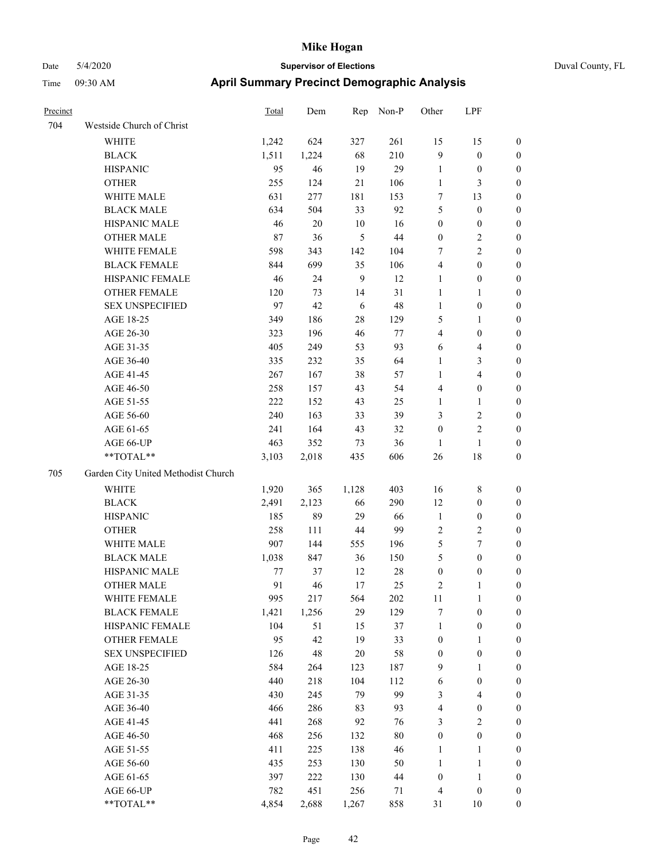| Precinct |                                     | Total | Dem    | Rep        | Non-P  | Other            | LPF              |                  |
|----------|-------------------------------------|-------|--------|------------|--------|------------------|------------------|------------------|
| 704      | Westside Church of Christ           |       |        |            |        |                  |                  |                  |
|          | <b>WHITE</b>                        | 1,242 | 624    | 327        | 261    | 15               | 15               | $\boldsymbol{0}$ |
|          | <b>BLACK</b>                        | 1,511 | 1,224  | 68         | 210    | 9                | $\boldsymbol{0}$ | $\boldsymbol{0}$ |
|          | <b>HISPANIC</b>                     | 95    | 46     | 19         | 29     | $\mathbf{1}$     | $\boldsymbol{0}$ | $\boldsymbol{0}$ |
|          | <b>OTHER</b>                        | 255   | 124    | 21         | 106    | $\mathbf{1}$     | 3                | $\boldsymbol{0}$ |
|          | WHITE MALE                          | 631   | 277    | 181        | 153    | $\tau$           | 13               | $\boldsymbol{0}$ |
|          | <b>BLACK MALE</b>                   | 634   | 504    | 33         | 92     | $\sqrt{5}$       | $\boldsymbol{0}$ | $\boldsymbol{0}$ |
|          | HISPANIC MALE                       | 46    | $20\,$ | $10\,$     | 16     | $\boldsymbol{0}$ | $\boldsymbol{0}$ | $\boldsymbol{0}$ |
|          | <b>OTHER MALE</b>                   | 87    | 36     | 5          | 44     | $\boldsymbol{0}$ | 2                | $\boldsymbol{0}$ |
|          | WHITE FEMALE                        | 598   | 343    | 142        | 104    | $\tau$           | $\overline{c}$   | $\boldsymbol{0}$ |
|          | <b>BLACK FEMALE</b>                 | 844   | 699    | 35         | 106    | $\overline{4}$   | $\boldsymbol{0}$ | $\boldsymbol{0}$ |
|          | HISPANIC FEMALE                     | 46    | 24     | 9          | 12     | $\mathbf{1}$     | $\boldsymbol{0}$ | $\boldsymbol{0}$ |
|          | <b>OTHER FEMALE</b>                 | 120   | 73     | 14         | 31     | $\mathbf{1}$     | 1                | $\boldsymbol{0}$ |
|          | <b>SEX UNSPECIFIED</b>              | 97    | 42     | $\sqrt{6}$ | 48     | $\mathbf{1}$     | $\boldsymbol{0}$ | $\boldsymbol{0}$ |
|          | AGE 18-25                           | 349   | 186    | $28\,$     | 129    | 5                | 1                | $\boldsymbol{0}$ |
|          | AGE 26-30                           | 323   | 196    | 46         | 77     | $\overline{4}$   | $\boldsymbol{0}$ | $\boldsymbol{0}$ |
|          | AGE 31-35                           | 405   | 249    | 53         | 93     | 6                | 4                | $\boldsymbol{0}$ |
|          | AGE 36-40                           | 335   | 232    | 35         | 64     | $\mathbf{1}$     | 3                | $\boldsymbol{0}$ |
|          | AGE 41-45                           | 267   | 167    | 38         | 57     | 1                | 4                | $\boldsymbol{0}$ |
|          | AGE 46-50                           | 258   | 157    | 43         | 54     | $\overline{4}$   | $\boldsymbol{0}$ | $\boldsymbol{0}$ |
|          | AGE 51-55                           | 222   | 152    | 43         | 25     | $\mathbf{1}$     | 1                | $\boldsymbol{0}$ |
|          | AGE 56-60                           | 240   | 163    | 33         | 39     | 3                | 2                | $\boldsymbol{0}$ |
|          | AGE 61-65                           | 241   | 164    | 43         | 32     | $\boldsymbol{0}$ | $\overline{c}$   | $\boldsymbol{0}$ |
|          | AGE 66-UP                           | 463   | 352    | 73         | 36     | 1                | $\mathbf{1}$     | $\boldsymbol{0}$ |
|          | **TOTAL**                           | 3,103 | 2,018  | 435        | 606    | 26               | 18               | $\boldsymbol{0}$ |
| 705      | Garden City United Methodist Church |       |        |            |        |                  |                  |                  |
|          | <b>WHITE</b>                        | 1,920 | 365    | 1,128      | 403    | 16               | $\,$ 8 $\,$      | $\boldsymbol{0}$ |
|          | <b>BLACK</b>                        | 2,491 | 2,123  | 66         | 290    | 12               | $\boldsymbol{0}$ | $\boldsymbol{0}$ |
|          | <b>HISPANIC</b>                     | 185   | 89     | 29         | 66     | $\mathbf{1}$     | $\boldsymbol{0}$ | $\boldsymbol{0}$ |
|          | <b>OTHER</b>                        | 258   | 111    | 44         | 99     | $\overline{2}$   | 2                | $\boldsymbol{0}$ |
|          | WHITE MALE                          | 907   | 144    | 555        | 196    | 5                | 7                | $\boldsymbol{0}$ |
|          | <b>BLACK MALE</b>                   | 1,038 | 847    | 36         | 150    | 5                | $\boldsymbol{0}$ | $\boldsymbol{0}$ |
|          | HISPANIC MALE                       | 77    | 37     | 12         | 28     | $\boldsymbol{0}$ | $\boldsymbol{0}$ | $\boldsymbol{0}$ |
|          | <b>OTHER MALE</b>                   | 91    | 46     | 17         | 25     | $\overline{2}$   | 1                | $\boldsymbol{0}$ |
|          | WHITE FEMALE                        | 995   | 217    | 564        | 202    | 11               | $\mathbf{1}$     | $\boldsymbol{0}$ |
|          | <b>BLACK FEMALE</b>                 | 1,421 | 1,256  | 29         | 129    | $\boldsymbol{7}$ | $\boldsymbol{0}$ | $\boldsymbol{0}$ |
|          | HISPANIC FEMALE                     | 104   | 51     | 15         | 37     | $\mathbf{1}$     | $\boldsymbol{0}$ | $\boldsymbol{0}$ |
|          | OTHER FEMALE                        | 95    | 42     | 19         | 33     | $\boldsymbol{0}$ | 1                | $\boldsymbol{0}$ |
|          | <b>SEX UNSPECIFIED</b>              | 126   | 48     | $20\,$     | 58     | $\boldsymbol{0}$ | $\boldsymbol{0}$ | $\boldsymbol{0}$ |
|          | AGE 18-25                           | 584   | 264    | 123        | 187    | 9                | 1                | $\boldsymbol{0}$ |
|          | AGE 26-30                           | 440   | 218    | 104        | 112    | 6                | $\boldsymbol{0}$ | $\boldsymbol{0}$ |
|          | AGE 31-35                           | 430   | 245    | 79         | 99     | $\mathfrak{Z}$   | 4                | $\boldsymbol{0}$ |
|          | AGE 36-40                           | 466   | 286    | 83         | 93     | $\overline{4}$   | $\boldsymbol{0}$ | $\boldsymbol{0}$ |
|          | AGE 41-45                           | 441   | 268    | 92         | 76     | $\mathfrak{Z}$   | $\mathbf{2}$     | $\boldsymbol{0}$ |
|          | AGE 46-50                           | 468   | 256    | 132        | 80     | $\boldsymbol{0}$ | $\boldsymbol{0}$ | $\boldsymbol{0}$ |
|          | AGE 51-55                           | 411   | 225    | 138        | 46     | $\mathbf{1}$     | 1                | $\boldsymbol{0}$ |
|          | AGE 56-60                           | 435   | 253    | 130        | 50     | $\mathbf{1}$     | 1                | $\boldsymbol{0}$ |
|          | AGE 61-65                           | 397   | 222    | 130        | $44\,$ | $\boldsymbol{0}$ | $\mathbf{1}$     | $\boldsymbol{0}$ |
|          | AGE 66-UP                           | 782   | 451    | 256        | 71     | $\overline{4}$   | $\boldsymbol{0}$ | $\boldsymbol{0}$ |
|          | **TOTAL**                           | 4,854 | 2,688  | 1,267      | 858    | 31               | $10\,$           | $\boldsymbol{0}$ |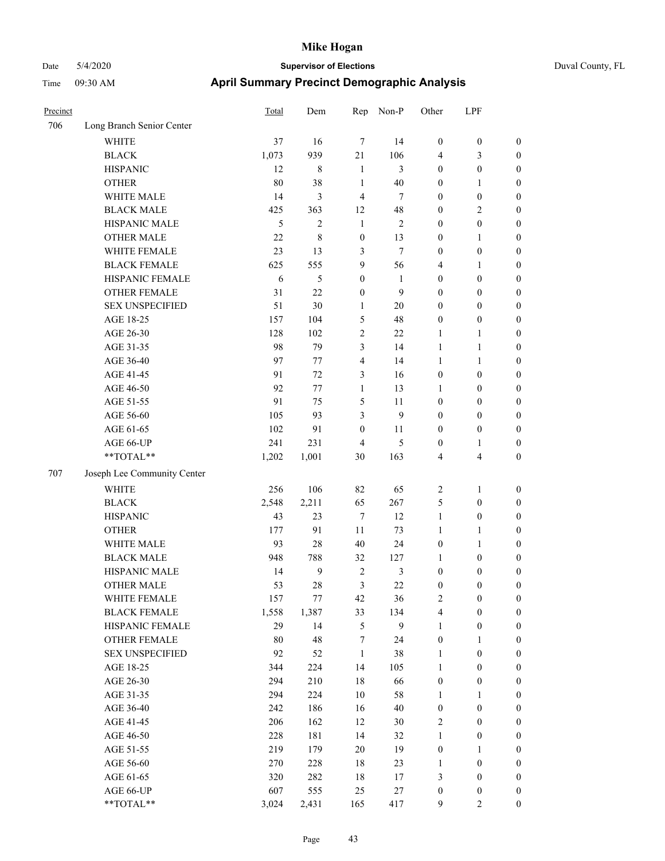| Precinct |                             | Total | Dem            | Rep              | Non-P          | Other                   | LPF              |                  |
|----------|-----------------------------|-------|----------------|------------------|----------------|-------------------------|------------------|------------------|
| 706      | Long Branch Senior Center   |       |                |                  |                |                         |                  |                  |
|          | <b>WHITE</b>                | 37    | 16             | $\overline{7}$   | 14             | $\boldsymbol{0}$        | $\boldsymbol{0}$ | $\boldsymbol{0}$ |
|          | <b>BLACK</b>                | 1,073 | 939            | 21               | 106            | $\overline{4}$          | 3                | $\boldsymbol{0}$ |
|          | <b>HISPANIC</b>             | 12    | 8              | 1                | 3              | $\boldsymbol{0}$        | $\boldsymbol{0}$ | $\boldsymbol{0}$ |
|          | <b>OTHER</b>                | 80    | 38             | 1                | 40             | $\boldsymbol{0}$        | 1                | $\boldsymbol{0}$ |
|          | WHITE MALE                  | 14    | 3              | $\overline{4}$   | $\overline{7}$ | $\mathbf{0}$            | $\boldsymbol{0}$ | $\boldsymbol{0}$ |
|          | <b>BLACK MALE</b>           | 425   | 363            | 12               | 48             | $\boldsymbol{0}$        | 2                | $\boldsymbol{0}$ |
|          | HISPANIC MALE               | 5     | $\overline{c}$ | $\mathbf{1}$     | $\overline{2}$ | $\boldsymbol{0}$        | $\boldsymbol{0}$ | $\boldsymbol{0}$ |
|          | <b>OTHER MALE</b>           | 22    | 8              | $\boldsymbol{0}$ | 13             | $\boldsymbol{0}$        | 1                | $\boldsymbol{0}$ |
|          | WHITE FEMALE                | 23    | 13             | 3                | $\overline{7}$ | $\boldsymbol{0}$        | $\boldsymbol{0}$ | $\boldsymbol{0}$ |
|          | <b>BLACK FEMALE</b>         | 625   | 555            | 9                | 56             | $\overline{4}$          | 1                | $\boldsymbol{0}$ |
|          | HISPANIC FEMALE             | 6     | 5              | $\boldsymbol{0}$ | $\mathbf{1}$   | $\boldsymbol{0}$        | $\boldsymbol{0}$ | $\boldsymbol{0}$ |
|          | <b>OTHER FEMALE</b>         | 31    | 22             | $\boldsymbol{0}$ | 9              | $\boldsymbol{0}$        | $\boldsymbol{0}$ | $\boldsymbol{0}$ |
|          | <b>SEX UNSPECIFIED</b>      | 51    | $30\,$         | 1                | $20\,$         | $\boldsymbol{0}$        | $\boldsymbol{0}$ | $\boldsymbol{0}$ |
|          | AGE 18-25                   | 157   | 104            | 5                | 48             | $\boldsymbol{0}$        | $\boldsymbol{0}$ | $\boldsymbol{0}$ |
|          | AGE 26-30                   | 128   | 102            | $\overline{2}$   | 22             | 1                       | 1                | $\boldsymbol{0}$ |
|          | AGE 31-35                   | 98    | 79             | 3                | 14             | 1                       | $\mathbf{1}$     | $\boldsymbol{0}$ |
|          | AGE 36-40                   | 97    | 77             | $\overline{4}$   | 14             | 1                       | 1                | $\boldsymbol{0}$ |
|          | AGE 41-45                   | 91    | 72             | 3                | 16             | $\boldsymbol{0}$        | $\boldsymbol{0}$ | $\boldsymbol{0}$ |
|          | AGE 46-50                   | 92    | 77             | 1                | 13             | 1                       | $\boldsymbol{0}$ | $\boldsymbol{0}$ |
|          | AGE 51-55                   | 91    | 75             | 5                | 11             | $\boldsymbol{0}$        | $\boldsymbol{0}$ | $\boldsymbol{0}$ |
|          | AGE 56-60                   | 105   | 93             | 3                | 9              | $\boldsymbol{0}$        | $\boldsymbol{0}$ | $\boldsymbol{0}$ |
|          | AGE 61-65                   | 102   | 91             | $\boldsymbol{0}$ | 11             | $\boldsymbol{0}$        | $\boldsymbol{0}$ | $\boldsymbol{0}$ |
|          | AGE 66-UP                   | 241   | 231            | $\overline{4}$   | 5              | $\boldsymbol{0}$        | 1                | $\boldsymbol{0}$ |
|          | **TOTAL**                   | 1,202 | 1,001          | 30               | 163            | $\overline{4}$          | 4                | $\boldsymbol{0}$ |
| 707      | Joseph Lee Community Center |       |                |                  |                |                         |                  |                  |
|          | <b>WHITE</b>                | 256   | 106            | 82               | 65             | $\overline{2}$          | 1                | $\boldsymbol{0}$ |
|          | <b>BLACK</b>                | 2,548 | 2,211          | 65               | 267            | $\mathfrak{S}$          | $\boldsymbol{0}$ | $\boldsymbol{0}$ |
|          | <b>HISPANIC</b>             | 43    | 23             | $\overline{7}$   | 12             | 1                       | $\boldsymbol{0}$ | $\boldsymbol{0}$ |
|          | <b>OTHER</b>                | 177   | 91             | 11               | 73             | 1                       | 1                | $\boldsymbol{0}$ |
|          | WHITE MALE                  | 93    | 28             | 40               | 24             | $\boldsymbol{0}$        | 1                | $\boldsymbol{0}$ |
|          | <b>BLACK MALE</b>           | 948   | 788            | 32               | 127            | $\mathbf{1}$            | $\boldsymbol{0}$ | $\boldsymbol{0}$ |
|          | HISPANIC MALE               | 14    | 9              | $\overline{2}$   | 3              | $\boldsymbol{0}$        | $\boldsymbol{0}$ | $\boldsymbol{0}$ |
|          | <b>OTHER MALE</b>           | 53    | 28             | 3                | 22             | $\boldsymbol{0}$        | 0                | $\boldsymbol{0}$ |
|          | WHITE FEMALE                | 157   | 77             | 42               | 36             | $\sqrt{2}$              | $\boldsymbol{0}$ | $\boldsymbol{0}$ |
|          | <b>BLACK FEMALE</b>         | 1,558 | 1,387          | 33               | 134            | $\overline{\mathbf{4}}$ | $\boldsymbol{0}$ | $\boldsymbol{0}$ |
|          | HISPANIC FEMALE             | 29    | 14             | $\sqrt{5}$       | 9              | $\mathbf{1}$            | $\boldsymbol{0}$ | $\boldsymbol{0}$ |
|          | <b>OTHER FEMALE</b>         | 80    | 48             | $\tau$           | 24             | $\boldsymbol{0}$        | 1                | $\boldsymbol{0}$ |
|          | <b>SEX UNSPECIFIED</b>      | 92    | 52             | $\mathbf{1}$     | 38             | $\mathbf{1}$            | $\boldsymbol{0}$ | $\boldsymbol{0}$ |
|          | AGE 18-25                   | 344   | 224            | 14               | 105            | $\mathbf{1}$            | $\boldsymbol{0}$ | $\boldsymbol{0}$ |
|          | AGE 26-30                   | 294   | 210            | 18               | 66             | $\boldsymbol{0}$        | $\boldsymbol{0}$ | $\boldsymbol{0}$ |
|          | AGE 31-35                   | 294   | 224            | $10\,$           | 58             | $\mathbf{1}$            | 1                | $\boldsymbol{0}$ |
|          | AGE 36-40                   | 242   | 186            | 16               | 40             | $\boldsymbol{0}$        | $\boldsymbol{0}$ | $\boldsymbol{0}$ |
|          | AGE 41-45                   | 206   | 162            | 12               | 30             | $\boldsymbol{2}$        | $\boldsymbol{0}$ | $\boldsymbol{0}$ |
|          | AGE 46-50                   | 228   | 181            | 14               | 32             | $\mathbf{1}$            | $\boldsymbol{0}$ | $\boldsymbol{0}$ |
|          | AGE 51-55                   | 219   | 179            | $20\,$           | 19             | $\boldsymbol{0}$        | 1                | $\boldsymbol{0}$ |
|          | AGE 56-60                   | 270   | 228            | $18\,$           | 23             | 1                       | $\boldsymbol{0}$ | $\boldsymbol{0}$ |
|          | AGE 61-65                   | 320   | 282            | 18               | 17             | $\mathfrak{Z}$          | $\boldsymbol{0}$ | $\boldsymbol{0}$ |
|          | AGE 66-UP                   | 607   | 555            | 25               | $27\,$         | $\boldsymbol{0}$        | $\boldsymbol{0}$ | $\boldsymbol{0}$ |
|          | $**TOTAL**$                 | 3,024 | 2,431          | 165              | 417            | 9                       | 2                | $\mathbf{0}$     |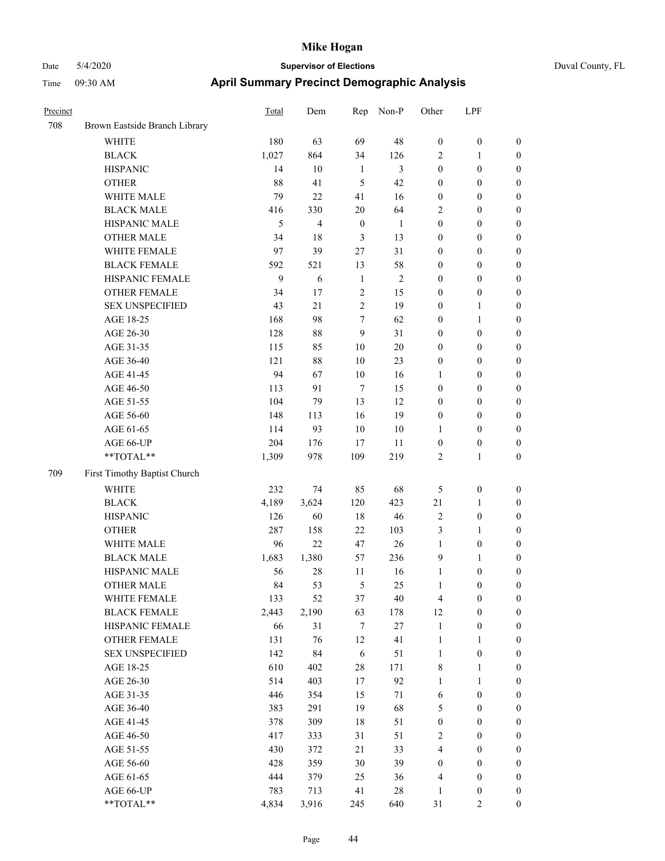| Precinct |                               | <b>Total</b> | Dem    | Rep              | Non-P          | Other            | LPF              |                  |
|----------|-------------------------------|--------------|--------|------------------|----------------|------------------|------------------|------------------|
| 708      | Brown Eastside Branch Library |              |        |                  |                |                  |                  |                  |
|          | <b>WHITE</b>                  | 180          | 63     | 69               | 48             | $\boldsymbol{0}$ | $\boldsymbol{0}$ | $\boldsymbol{0}$ |
|          | <b>BLACK</b>                  | 1,027        | 864    | 34               | 126            | $\overline{2}$   | 1                | $\boldsymbol{0}$ |
|          | <b>HISPANIC</b>               | 14           | 10     | $\mathbf{1}$     | 3              | $\boldsymbol{0}$ | $\boldsymbol{0}$ | $\boldsymbol{0}$ |
|          | <b>OTHER</b>                  | 88           | 41     | 5                | 42             | $\boldsymbol{0}$ | $\boldsymbol{0}$ | $\boldsymbol{0}$ |
|          | WHITE MALE                    | 79           | 22     | 41               | 16             | $\boldsymbol{0}$ | $\boldsymbol{0}$ | $\boldsymbol{0}$ |
|          | <b>BLACK MALE</b>             | 416          | 330    | $20\,$           | 64             | $\sqrt{2}$       | $\boldsymbol{0}$ | $\boldsymbol{0}$ |
|          | HISPANIC MALE                 | 5            | 4      | $\boldsymbol{0}$ | $\mathbf{1}$   | $\boldsymbol{0}$ | $\boldsymbol{0}$ | $\boldsymbol{0}$ |
|          | <b>OTHER MALE</b>             | 34           | 18     | $\mathfrak{Z}$   | 13             | $\boldsymbol{0}$ | $\boldsymbol{0}$ | $\boldsymbol{0}$ |
|          | WHITE FEMALE                  | 97           | 39     | 27               | 31             | $\boldsymbol{0}$ | $\boldsymbol{0}$ | $\boldsymbol{0}$ |
|          | <b>BLACK FEMALE</b>           | 592          | 521    | 13               | 58             | $\boldsymbol{0}$ | $\boldsymbol{0}$ | $\boldsymbol{0}$ |
|          | HISPANIC FEMALE               | 9            | 6      | $\mathbf{1}$     | $\overline{2}$ | $\boldsymbol{0}$ | $\boldsymbol{0}$ | $\boldsymbol{0}$ |
|          | <b>OTHER FEMALE</b>           | 34           | 17     | $\overline{2}$   | 15             | $\boldsymbol{0}$ | $\boldsymbol{0}$ | $\boldsymbol{0}$ |
|          | <b>SEX UNSPECIFIED</b>        | 43           | 21     | $\overline{c}$   | 19             | $\boldsymbol{0}$ | 1                | $\boldsymbol{0}$ |
|          | AGE 18-25                     | 168          | 98     | $\tau$           | 62             | $\boldsymbol{0}$ | 1                | $\boldsymbol{0}$ |
|          | AGE 26-30                     | 128          | $88\,$ | 9                | 31             | $\boldsymbol{0}$ | $\boldsymbol{0}$ | $\boldsymbol{0}$ |
|          | AGE 31-35                     | 115          | 85     | 10               | $20\,$         | $\boldsymbol{0}$ | $\boldsymbol{0}$ | $\boldsymbol{0}$ |
|          | AGE 36-40                     | 121          | $88\,$ | 10               | 23             | $\boldsymbol{0}$ | $\boldsymbol{0}$ | $\boldsymbol{0}$ |
|          | AGE 41-45                     | 94           | 67     | 10               | 16             | 1                | $\boldsymbol{0}$ | $\boldsymbol{0}$ |
|          | AGE 46-50                     | 113          | 91     | $\tau$           | 15             | $\boldsymbol{0}$ | $\boldsymbol{0}$ | $\boldsymbol{0}$ |
|          | AGE 51-55                     | 104          | 79     | 13               | 12             | $\boldsymbol{0}$ | $\boldsymbol{0}$ | $\boldsymbol{0}$ |
|          | AGE 56-60                     | 148          | 113    | 16               | 19             | $\boldsymbol{0}$ | $\boldsymbol{0}$ | $\boldsymbol{0}$ |
|          | AGE 61-65                     | 114          | 93     | $10\,$           | $10\,$         | 1                | $\boldsymbol{0}$ | $\boldsymbol{0}$ |
|          | AGE 66-UP                     | 204          | 176    | 17               | 11             | $\boldsymbol{0}$ | $\boldsymbol{0}$ | $\boldsymbol{0}$ |
|          | **TOTAL**                     | 1,309        | 978    | 109              | 219            | $\overline{2}$   | 1                | $\boldsymbol{0}$ |
| 709      | First Timothy Baptist Church  |              |        |                  |                |                  |                  |                  |
|          | <b>WHITE</b>                  | 232          | 74     | 85               | 68             | 5                | $\boldsymbol{0}$ | $\boldsymbol{0}$ |
|          | <b>BLACK</b>                  | 4,189        | 3,624  | 120              | 423            | $21\,$           | 1                | $\boldsymbol{0}$ |
|          | <b>HISPANIC</b>               | 126          | 60     | 18               | 46             | $\sqrt{2}$       | $\boldsymbol{0}$ | $\boldsymbol{0}$ |
|          | <b>OTHER</b>                  | 287          | 158    | 22               | 103            | $\mathfrak{Z}$   | 1                | $\boldsymbol{0}$ |
|          | WHITE MALE                    | 96           | 22     | 47               | 26             | $\mathbf{1}$     | $\boldsymbol{0}$ | $\boldsymbol{0}$ |
|          | <b>BLACK MALE</b>             | 1,683        | 1,380  | 57               | 236            | 9                | 1                | $\boldsymbol{0}$ |
|          | HISPANIC MALE                 | 56           | 28     | 11               | 16             | $\mathbf{1}$     | $\boldsymbol{0}$ | $\boldsymbol{0}$ |
|          | <b>OTHER MALE</b>             | 84           | 53     | 5                | 25             | 1                | $\boldsymbol{0}$ | $\boldsymbol{0}$ |
|          | WHITE FEMALE                  | 133          | 52     | 37               | 40             | $\overline{4}$   | $\boldsymbol{0}$ | $\boldsymbol{0}$ |
|          | <b>BLACK FEMALE</b>           | 2,443        | 2,190  | 63               | 178            | 12               | $\boldsymbol{0}$ | $\boldsymbol{0}$ |
|          | HISPANIC FEMALE               | 66           | 31     | $\tau$           | $27\,$         | $\mathbf{1}$     | $\boldsymbol{0}$ | $\boldsymbol{0}$ |
|          | OTHER FEMALE                  | 131          | 76     | 12               | 41             | $\mathbf{1}$     | 1                | $\boldsymbol{0}$ |
|          | <b>SEX UNSPECIFIED</b>        | 142          | 84     | $\sqrt{6}$       | 51             | $\mathbf{1}$     | $\boldsymbol{0}$ | $\boldsymbol{0}$ |
|          | AGE 18-25                     | 610          | 402    | $28\,$           | 171            | $\,$ 8 $\,$      | $\mathbf{1}$     | $\boldsymbol{0}$ |
|          | AGE 26-30                     | 514          | 403    | 17               | 92             | $\mathbf{1}$     | $\mathbf{1}$     | $\boldsymbol{0}$ |
|          | AGE 31-35                     | 446          | 354    | 15               | 71             | 6                | $\boldsymbol{0}$ | $\boldsymbol{0}$ |
|          | AGE 36-40                     | 383          | 291    | 19               | 68             | $\mathfrak s$    | $\boldsymbol{0}$ | $\boldsymbol{0}$ |
|          | AGE 41-45                     | 378          | 309    | 18               | 51             | $\boldsymbol{0}$ | $\boldsymbol{0}$ | $\boldsymbol{0}$ |
|          | AGE 46-50                     | 417          | 333    | 31               | 51             | $\sqrt{2}$       | $\boldsymbol{0}$ | $\boldsymbol{0}$ |
|          | AGE 51-55                     | 430          | 372    | 21               | 33             | $\overline{4}$   | $\boldsymbol{0}$ | $\boldsymbol{0}$ |
|          | AGE 56-60                     | 428          | 359    | $30\,$           | 39             | $\boldsymbol{0}$ | $\boldsymbol{0}$ | $\boldsymbol{0}$ |
|          | AGE 61-65                     | 444          | 379    | 25               | 36             | $\overline{4}$   | $\boldsymbol{0}$ | $\boldsymbol{0}$ |
|          | AGE 66-UP                     | 783          | 713    | 41               | $28\,$         | 1                | $\boldsymbol{0}$ | $\boldsymbol{0}$ |
|          | $**TOTAL**$                   | 4,834        | 3,916  | 245              | 640            | 31               | $\overline{c}$   | $\mathbf{0}$     |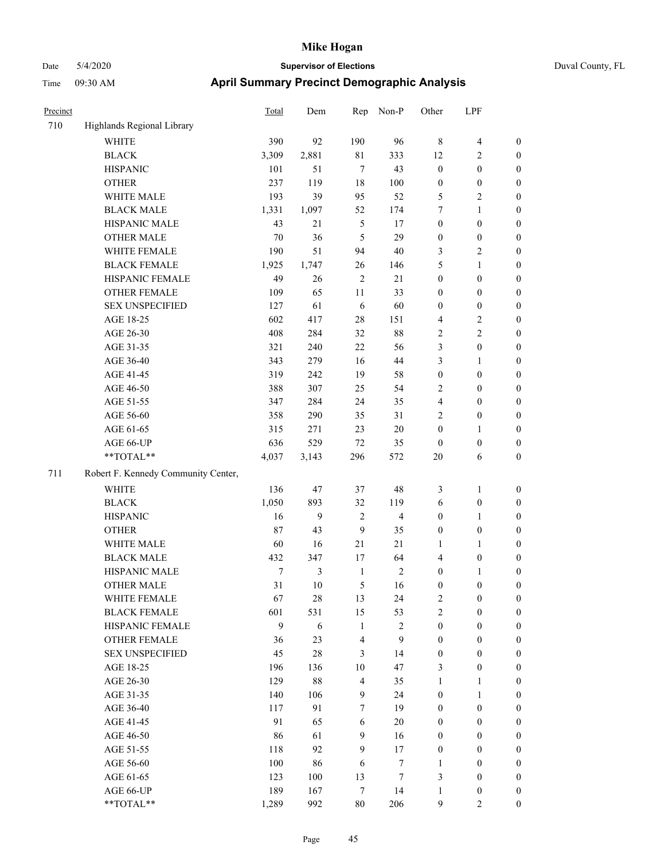| Precinct |                                     | <b>Total</b> | Dem    | Rep            | Non-P          | Other            | LPF              |                  |
|----------|-------------------------------------|--------------|--------|----------------|----------------|------------------|------------------|------------------|
| 710      | Highlands Regional Library          |              |        |                |                |                  |                  |                  |
|          | <b>WHITE</b>                        | 390          | 92     | 190            | 96             | $\,8\,$          | 4                | $\boldsymbol{0}$ |
|          | <b>BLACK</b>                        | 3,309        | 2,881  | 81             | 333            | 12               | 2                | $\boldsymbol{0}$ |
|          | <b>HISPANIC</b>                     | 101          | 51     | $\overline{7}$ | 43             | $\boldsymbol{0}$ | $\boldsymbol{0}$ | $\boldsymbol{0}$ |
|          | <b>OTHER</b>                        | 237          | 119    | 18             | 100            | $\boldsymbol{0}$ | $\boldsymbol{0}$ | $\boldsymbol{0}$ |
|          | WHITE MALE                          | 193          | 39     | 95             | 52             | 5                | 2                | $\boldsymbol{0}$ |
|          | <b>BLACK MALE</b>                   | 1,331        | 1,097  | 52             | 174            | 7                | 1                | $\boldsymbol{0}$ |
|          | HISPANIC MALE                       | 43           | 21     | 5              | 17             | $\boldsymbol{0}$ | $\boldsymbol{0}$ | $\boldsymbol{0}$ |
|          | <b>OTHER MALE</b>                   | 70           | 36     | 5              | 29             | $\boldsymbol{0}$ | $\boldsymbol{0}$ | $\boldsymbol{0}$ |
|          | WHITE FEMALE                        | 190          | 51     | 94             | 40             | 3                | $\overline{c}$   | $\boldsymbol{0}$ |
|          | <b>BLACK FEMALE</b>                 | 1,925        | 1,747  | 26             | 146            | 5                | 1                | $\boldsymbol{0}$ |
|          | HISPANIC FEMALE                     | 49           | 26     | $\overline{2}$ | 21             | $\boldsymbol{0}$ | $\boldsymbol{0}$ | $\boldsymbol{0}$ |
|          | <b>OTHER FEMALE</b>                 | 109          | 65     | 11             | 33             | $\boldsymbol{0}$ | $\boldsymbol{0}$ | $\boldsymbol{0}$ |
|          | <b>SEX UNSPECIFIED</b>              | 127          | 61     | 6              | 60             | $\boldsymbol{0}$ | $\boldsymbol{0}$ | $\boldsymbol{0}$ |
|          | AGE 18-25                           | 602          | 417    | 28             | 151            | $\overline{4}$   | 2                | $\boldsymbol{0}$ |
|          | AGE 26-30                           | 408          | 284    | 32             | 88             | $\sqrt{2}$       | 2                | $\boldsymbol{0}$ |
|          | AGE 31-35                           | 321          | 240    | 22             | 56             | $\mathfrak{Z}$   | 0                | $\boldsymbol{0}$ |
|          | AGE 36-40                           | 343          | 279    | 16             | 44             | 3                | 1                | $\boldsymbol{0}$ |
|          | AGE 41-45                           | 319          | 242    | 19             | 58             | $\boldsymbol{0}$ | $\boldsymbol{0}$ | $\boldsymbol{0}$ |
|          | AGE 46-50                           | 388          | 307    | 25             | 54             | $\sqrt{2}$       | $\boldsymbol{0}$ | $\boldsymbol{0}$ |
|          | AGE 51-55                           | 347          | 284    | 24             | 35             | $\overline{4}$   | $\boldsymbol{0}$ | $\boldsymbol{0}$ |
|          | AGE 56-60                           | 358          | 290    | 35             | 31             | $\overline{2}$   | $\boldsymbol{0}$ | $\boldsymbol{0}$ |
|          | AGE 61-65                           | 315          | 271    | 23             | 20             | $\mathbf{0}$     | 1                | $\boldsymbol{0}$ |
|          | AGE 66-UP                           | 636          | 529    | 72             | 35             | $\boldsymbol{0}$ | $\boldsymbol{0}$ | $\boldsymbol{0}$ |
|          | **TOTAL**                           | 4,037        | 3,143  | 296            | 572            | 20               | 6                | $\boldsymbol{0}$ |
| 711      | Robert F. Kennedy Community Center, |              |        |                |                |                  |                  |                  |
|          | <b>WHITE</b>                        | 136          | 47     | 37             | 48             | $\mathfrak{Z}$   | 1                | $\boldsymbol{0}$ |
|          | <b>BLACK</b>                        | 1,050        | 893    | 32             | 119            | 6                | $\boldsymbol{0}$ | $\boldsymbol{0}$ |
|          | <b>HISPANIC</b>                     | 16           | 9      | $\overline{2}$ | 4              | $\boldsymbol{0}$ | $\mathbf{1}$     | $\boldsymbol{0}$ |
|          | <b>OTHER</b>                        | 87           | 43     | 9              | 35             | $\boldsymbol{0}$ | $\boldsymbol{0}$ | $\boldsymbol{0}$ |
|          | WHITE MALE                          | 60           | 16     | 21             | 21             | 1                | 1                | $\boldsymbol{0}$ |
|          | <b>BLACK MALE</b>                   | 432          | 347    | 17             | 64             | $\overline{4}$   | $\boldsymbol{0}$ | $\boldsymbol{0}$ |
|          | HISPANIC MALE                       | 7            | 3      | $\mathbf{1}$   | $\overline{c}$ | $\boldsymbol{0}$ | 1                | $\boldsymbol{0}$ |
|          | <b>OTHER MALE</b>                   | 31           | 10     | 5              | 16             | $\boldsymbol{0}$ | $\boldsymbol{0}$ | $\boldsymbol{0}$ |
|          | WHITE FEMALE                        | 67           | 28     | 13             | 24             | 2                | $\boldsymbol{0}$ | $\boldsymbol{0}$ |
|          | <b>BLACK FEMALE</b>                 | 601          | 531    | 15             | 53             | $\overline{2}$   | $\boldsymbol{0}$ | $\boldsymbol{0}$ |
|          | HISPANIC FEMALE                     | 9            | 6      | $\mathbf{1}$   | $\sqrt{2}$     | $\boldsymbol{0}$ | $\boldsymbol{0}$ | $\boldsymbol{0}$ |
|          | OTHER FEMALE                        | 36           | 23     | 4              | 9              | $\boldsymbol{0}$ | $\boldsymbol{0}$ | $\boldsymbol{0}$ |
|          | <b>SEX UNSPECIFIED</b>              | 45           | $28\,$ | 3              | 14             | $\boldsymbol{0}$ | $\boldsymbol{0}$ | $\boldsymbol{0}$ |
|          | AGE 18-25                           | 196          | 136    | 10             | 47             | 3                | $\boldsymbol{0}$ | $\boldsymbol{0}$ |
|          | AGE 26-30                           | 129          | $88\,$ | $\overline{4}$ | 35             | 1                | 1                | $\boldsymbol{0}$ |
|          | AGE 31-35                           | 140          | 106    | 9              | 24             | $\boldsymbol{0}$ | 1                | $\boldsymbol{0}$ |
|          | AGE 36-40                           | 117          | 91     | 7              | 19             | $\boldsymbol{0}$ | $\boldsymbol{0}$ | $\boldsymbol{0}$ |
|          | AGE 41-45                           | 91           | 65     | 6              | 20             | $\boldsymbol{0}$ | $\boldsymbol{0}$ | $\boldsymbol{0}$ |
|          | AGE 46-50                           | 86           | 61     | 9              | 16             | $\mathbf{0}$     | $\boldsymbol{0}$ | $\boldsymbol{0}$ |
|          | AGE 51-55                           | 118          | 92     | 9              | 17             | $\boldsymbol{0}$ | $\boldsymbol{0}$ | $\boldsymbol{0}$ |
|          | AGE 56-60                           | 100          | 86     | 6              | $\tau$         | 1                | $\boldsymbol{0}$ | $\boldsymbol{0}$ |
|          | AGE 61-65                           | 123          | 100    | 13             | 7              | 3                | $\boldsymbol{0}$ | $\boldsymbol{0}$ |
|          | AGE 66-UP                           | 189          | 167    | $\overline{7}$ | 14             | 1                | $\boldsymbol{0}$ | $\boldsymbol{0}$ |
|          | $**TOTAL**$                         | 1,289        | 992    | $80\,$         | 206            | 9                | 2                | $\mathbf{0}$     |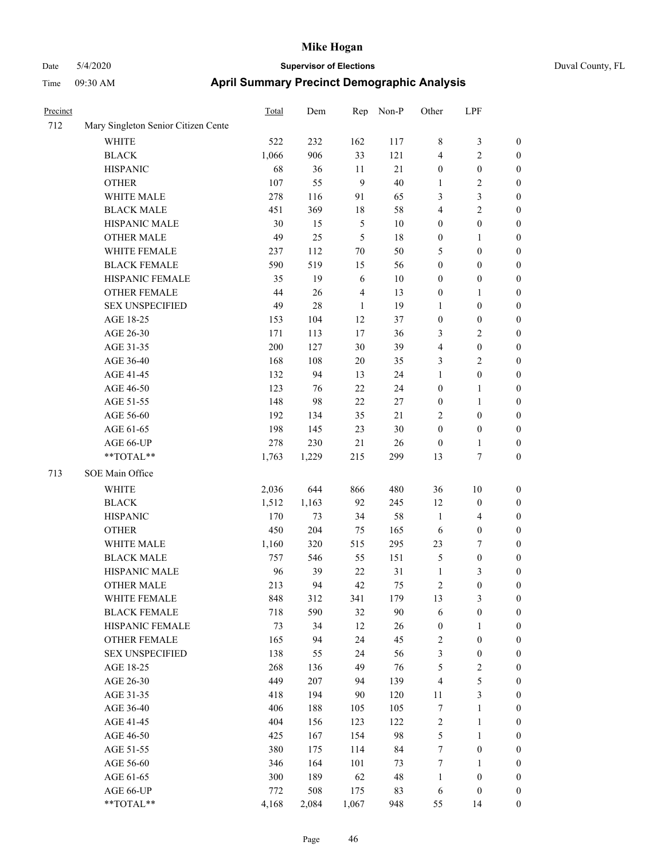| Precinct |                                     | <b>Total</b> | Dem        | Rep            | Non-P  | Other            | LPF                     |                  |
|----------|-------------------------------------|--------------|------------|----------------|--------|------------------|-------------------------|------------------|
| 712      | Mary Singleton Senior Citizen Cente |              |            |                |        |                  |                         |                  |
|          | WHITE                               | 522          | 232        | 162            | 117    | $\,$ 8 $\,$      | 3                       | $\boldsymbol{0}$ |
|          | <b>BLACK</b>                        | 1,066        | 906        | 33             | 121    | $\overline{4}$   | 2                       | $\boldsymbol{0}$ |
|          | <b>HISPANIC</b>                     | 68           | 36         | 11             | $21\,$ | $\boldsymbol{0}$ | $\boldsymbol{0}$        | $\boldsymbol{0}$ |
|          | <b>OTHER</b>                        | 107          | 55         | 9              | 40     | 1                | $\overline{c}$          | $\boldsymbol{0}$ |
|          | WHITE MALE                          | 278          | 116        | 91             | 65     | 3                | 3                       | $\boldsymbol{0}$ |
|          | <b>BLACK MALE</b>                   | 451          | 369        | 18             | 58     | $\overline{4}$   | 2                       | $\boldsymbol{0}$ |
|          | HISPANIC MALE                       | 30           | 15         | $\mathfrak{S}$ | $10\,$ | $\boldsymbol{0}$ | $\boldsymbol{0}$        | $\boldsymbol{0}$ |
|          | <b>OTHER MALE</b>                   | 49           | 25         | 5              | 18     | $\boldsymbol{0}$ | 1                       | $\boldsymbol{0}$ |
|          | WHITE FEMALE                        | 237          | 112        | 70             | 50     | 5                | $\boldsymbol{0}$        | $\boldsymbol{0}$ |
|          | <b>BLACK FEMALE</b>                 | 590          | 519        | 15             | 56     | $\boldsymbol{0}$ | $\boldsymbol{0}$        | $\boldsymbol{0}$ |
|          | HISPANIC FEMALE                     | 35           | 19         | 6              | $10\,$ | $\boldsymbol{0}$ | $\boldsymbol{0}$        | $\boldsymbol{0}$ |
|          | <b>OTHER FEMALE</b>                 | 44           | 26         | 4              | 13     | $\boldsymbol{0}$ | 1                       | $\boldsymbol{0}$ |
|          | <b>SEX UNSPECIFIED</b>              | 49           | 28         | 1              | 19     | 1                | $\boldsymbol{0}$        | $\boldsymbol{0}$ |
|          | AGE 18-25                           | 153          | 104        | 12             | 37     | $\boldsymbol{0}$ | $\boldsymbol{0}$        | $\boldsymbol{0}$ |
|          | AGE 26-30                           | 171          | 113        | 17             | 36     | 3                | 2                       | $\boldsymbol{0}$ |
|          | AGE 31-35                           | 200          | 127        | $30\,$         | 39     | $\overline{4}$   | $\boldsymbol{0}$        | $\boldsymbol{0}$ |
|          | AGE 36-40                           | 168          | 108        | $20\,$         | 35     | 3                | $\overline{\mathbf{c}}$ | $\boldsymbol{0}$ |
|          | AGE 41-45                           | 132          | 94         | 13             | 24     | 1                | $\boldsymbol{0}$        | $\boldsymbol{0}$ |
|          | AGE 46-50                           | 123          | 76         | 22             | 24     | $\boldsymbol{0}$ | 1                       | $\boldsymbol{0}$ |
|          | AGE 51-55                           | 148          | 98         | 22             | 27     | $\boldsymbol{0}$ | 1                       | $\boldsymbol{0}$ |
|          | AGE 56-60                           | 192          | 134        | 35             | 21     | $\overline{2}$   | $\boldsymbol{0}$        | $\boldsymbol{0}$ |
|          | AGE 61-65                           | 198          | 145        | 23             | 30     | $\boldsymbol{0}$ | $\boldsymbol{0}$        | $\boldsymbol{0}$ |
|          | AGE 66-UP                           | 278          | 230        | 21             | 26     | $\boldsymbol{0}$ | 1                       | $\boldsymbol{0}$ |
|          | **TOTAL**                           | 1,763        | 1,229      | 215            | 299    | 13               | 7                       | $\boldsymbol{0}$ |
| 713      | SOE Main Office                     |              |            |                |        |                  |                         |                  |
|          | <b>WHITE</b>                        | 2,036        | 644        | 866            | 480    | 36               | 10                      | $\boldsymbol{0}$ |
|          | <b>BLACK</b>                        | 1,512        | 1,163      | 92             | 245    | 12               | $\boldsymbol{0}$        | $\boldsymbol{0}$ |
|          | <b>HISPANIC</b>                     | 170          | 73         | 34             | 58     | $\mathbf{1}$     | 4                       | $\boldsymbol{0}$ |
|          | <b>OTHER</b>                        | 450          | 204        | 75             | 165    | 6                | $\boldsymbol{0}$        | $\boldsymbol{0}$ |
|          | WHITE MALE                          | 1,160        | 320        | 515            | 295    | 23               | 7                       | $\boldsymbol{0}$ |
|          | <b>BLACK MALE</b>                   | 757          | 546        | 55             | 151    | $\mathfrak{S}$   | $\boldsymbol{0}$        | $\boldsymbol{0}$ |
|          | HISPANIC MALE                       | 96           | 39         | 22             | 31     | $\mathbf{1}$     | 3                       | $\boldsymbol{0}$ |
|          | <b>OTHER MALE</b>                   | 213          | 94         | 42             | 75     | $\overline{2}$   | $\boldsymbol{0}$        | $\boldsymbol{0}$ |
|          | WHITE FEMALE                        | 848          | 312        | 341            | 179    | 13               | 3                       | $\boldsymbol{0}$ |
|          | <b>BLACK FEMALE</b>                 | 718          | 590        | 32             | 90     | 6                | $\boldsymbol{0}$        | $\boldsymbol{0}$ |
|          | HISPANIC FEMALE                     | 73           | 34         | 12             | 26     | $\boldsymbol{0}$ | 1                       | $\boldsymbol{0}$ |
|          | OTHER FEMALE                        | 165          | 94         | 24             | 45     | $\boldsymbol{2}$ | $\boldsymbol{0}$        | $\boldsymbol{0}$ |
|          | <b>SEX UNSPECIFIED</b>              | 138          | 55         | 24             | 56     | $\mathfrak{Z}$   | $\boldsymbol{0}$        | $\boldsymbol{0}$ |
|          | AGE 18-25                           | 268          | 136        | 49             | 76     | $\mathfrak s$    | $\overline{\mathbf{c}}$ | $\boldsymbol{0}$ |
|          | AGE 26-30                           | 449          | 207        | 94             | 139    | $\overline{4}$   | 5                       | $\boldsymbol{0}$ |
|          | AGE 31-35                           | 418          | 194        | 90             | 120    | 11               | 3                       | $\boldsymbol{0}$ |
|          | AGE 36-40                           | 406          | 188        | 105            | 105    | $\tau$           | $\mathbf{1}$            | $\boldsymbol{0}$ |
|          | AGE 41-45                           | 404          | 156        | 123            | 122    | $\sqrt{2}$       | 1                       | $\boldsymbol{0}$ |
|          |                                     |              |            |                | 98     | $\sqrt{5}$       |                         | $\boldsymbol{0}$ |
|          | AGE 46-50<br>AGE 51-55              | 425<br>380   | 167<br>175 | 154            | 84     | $\boldsymbol{7}$ | 1<br>$\boldsymbol{0}$   | $\boldsymbol{0}$ |
|          | AGE 56-60                           | 346          | 164        | 114<br>101     | 73     | $\boldsymbol{7}$ | 1                       | $\boldsymbol{0}$ |
|          | AGE 61-65                           | 300          | 189        | 62             | 48     | $\mathbf{1}$     | $\boldsymbol{0}$        | $\boldsymbol{0}$ |
|          | AGE 66-UP                           | 772          | 508        | 175            | 83     | 6                | $\boldsymbol{0}$        | $\bf{0}$         |
|          | **TOTAL**                           | 4,168        | 2,084      | 1,067          | 948    | 55               | 14                      | $\boldsymbol{0}$ |
|          |                                     |              |            |                |        |                  |                         |                  |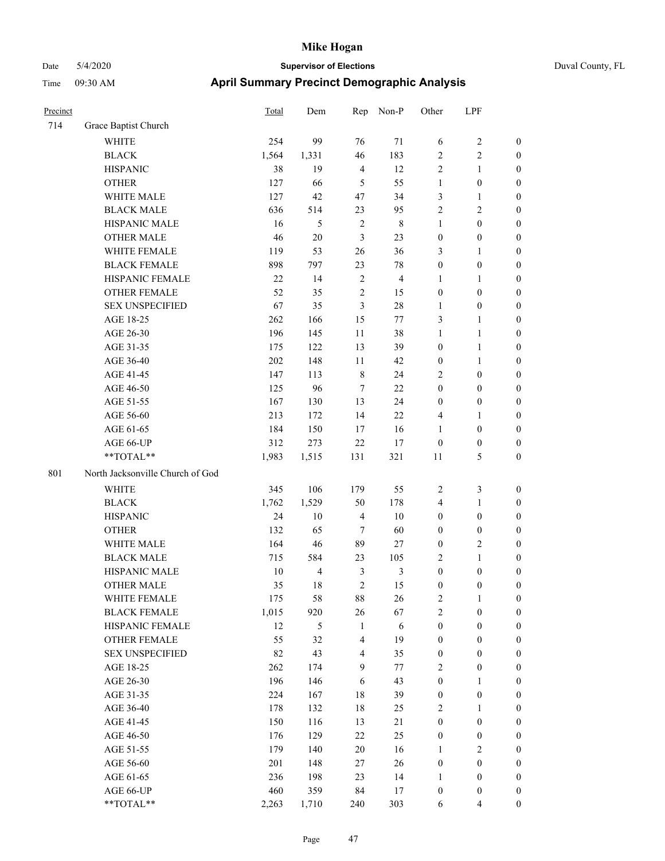| Precinct |                                  | Total  | Dem            | Rep            | Non-P          | Other            | LPF              |                  |
|----------|----------------------------------|--------|----------------|----------------|----------------|------------------|------------------|------------------|
| 714      | Grace Baptist Church             |        |                |                |                |                  |                  |                  |
|          | <b>WHITE</b>                     | 254    | 99             | 76             | 71             | 6                | 2                | $\boldsymbol{0}$ |
|          | <b>BLACK</b>                     | 1,564  | 1,331          | 46             | 183            | $\overline{2}$   | 2                | $\boldsymbol{0}$ |
|          | <b>HISPANIC</b>                  | 38     | 19             | $\overline{4}$ | 12             | $\sqrt{2}$       | 1                | $\boldsymbol{0}$ |
|          | <b>OTHER</b>                     | 127    | 66             | 5              | 55             | $\mathbf{1}$     | $\boldsymbol{0}$ | $\boldsymbol{0}$ |
|          | WHITE MALE                       | 127    | 42             | 47             | 34             | $\mathfrak{Z}$   | 1                | $\boldsymbol{0}$ |
|          | <b>BLACK MALE</b>                | 636    | 514            | 23             | 95             | $\sqrt{2}$       | 2                | $\boldsymbol{0}$ |
|          | HISPANIC MALE                    | 16     | $\mathfrak s$  | $\overline{2}$ | $8\phantom{1}$ | 1                | $\boldsymbol{0}$ | $\boldsymbol{0}$ |
|          | <b>OTHER MALE</b>                | 46     | $20\,$         | $\mathfrak{Z}$ | 23             | $\boldsymbol{0}$ | $\boldsymbol{0}$ | $\boldsymbol{0}$ |
|          | WHITE FEMALE                     | 119    | 53             | $26\,$         | 36             | 3                | 1                | $\boldsymbol{0}$ |
|          | <b>BLACK FEMALE</b>              | 898    | 797            | 23             | 78             | $\boldsymbol{0}$ | $\boldsymbol{0}$ | $\boldsymbol{0}$ |
|          | HISPANIC FEMALE                  | $22\,$ | 14             | $\sqrt{2}$     | $\overline{4}$ | $\mathbf{1}$     | 1                | $\boldsymbol{0}$ |
|          | <b>OTHER FEMALE</b>              | 52     | 35             | $\overline{2}$ | 15             | $\boldsymbol{0}$ | $\boldsymbol{0}$ | $\boldsymbol{0}$ |
|          | <b>SEX UNSPECIFIED</b>           | 67     | 35             | $\mathfrak{Z}$ | 28             | $\mathbf{1}$     | $\boldsymbol{0}$ | $\boldsymbol{0}$ |
|          | AGE 18-25                        | 262    | 166            | 15             | 77             | $\mathfrak{Z}$   | 1                | $\boldsymbol{0}$ |
|          | AGE 26-30                        | 196    | 145            | 11             | 38             | $\mathbf{1}$     | $\mathbf{1}$     | $\boldsymbol{0}$ |
|          | AGE 31-35                        | 175    | 122            | 13             | 39             | $\boldsymbol{0}$ | $\mathbf{1}$     | $\boldsymbol{0}$ |
|          | AGE 36-40                        | 202    | 148            | 11             | 42             | $\boldsymbol{0}$ | 1                | $\boldsymbol{0}$ |
|          | AGE 41-45                        | 147    | 113            | $\,$ 8 $\,$    | 24             | $\overline{2}$   | $\boldsymbol{0}$ | $\boldsymbol{0}$ |
|          | AGE 46-50                        | 125    | 96             | 7              | $22\,$         | $\boldsymbol{0}$ | $\boldsymbol{0}$ | $\boldsymbol{0}$ |
|          | AGE 51-55                        | 167    | 130            | 13             | 24             | $\boldsymbol{0}$ | $\boldsymbol{0}$ | $\boldsymbol{0}$ |
|          | AGE 56-60                        | 213    | 172            | 14             | 22             | $\overline{4}$   | 1                | $\boldsymbol{0}$ |
|          | AGE 61-65                        | 184    | 150            | 17             | 16             | 1                | $\boldsymbol{0}$ | $\boldsymbol{0}$ |
|          | AGE 66-UP                        | 312    | 273            | 22             | 17             | $\boldsymbol{0}$ | $\boldsymbol{0}$ | $\boldsymbol{0}$ |
|          | **TOTAL**                        | 1,983  | 1,515          | 131            | 321            | 11               | 5                | $\boldsymbol{0}$ |
| 801      | North Jacksonville Church of God |        |                |                |                |                  |                  |                  |
|          | <b>WHITE</b>                     | 345    | 106            | 179            | 55             | $\overline{2}$   | 3                | $\boldsymbol{0}$ |
|          | <b>BLACK</b>                     | 1,762  | 1,529          | 50             | 178            | $\overline{4}$   | 1                | $\boldsymbol{0}$ |
|          | <b>HISPANIC</b>                  | 24     | 10             | $\overline{4}$ | 10             | $\boldsymbol{0}$ | $\boldsymbol{0}$ | $\boldsymbol{0}$ |
|          | <b>OTHER</b>                     | 132    | 65             | $\overline{7}$ | 60             | $\boldsymbol{0}$ | $\boldsymbol{0}$ | $\boldsymbol{0}$ |
|          | WHITE MALE                       | 164    | 46             | 89             | $27\,$         | $\boldsymbol{0}$ | 2                | $\boldsymbol{0}$ |
|          | <b>BLACK MALE</b>                | 715    | 584            | 23             | 105            | $\sqrt{2}$       | 1                | $\boldsymbol{0}$ |
|          | HISPANIC MALE                    | 10     | $\overline{4}$ | $\mathfrak{Z}$ | 3              | $\boldsymbol{0}$ | $\boldsymbol{0}$ | $\boldsymbol{0}$ |
|          | <b>OTHER MALE</b>                | 35     | 18             | $\overline{c}$ | 15             | $\boldsymbol{0}$ | $\mathbf{0}$     | $\boldsymbol{0}$ |
|          | WHITE FEMALE                     | 175    | 58             | $88\,$         | 26             | $\sqrt{2}$       | $\mathbf{1}$     | $\boldsymbol{0}$ |
|          | <b>BLACK FEMALE</b>              | 1,015  | 920            | $26\,$         | 67             | $\sqrt{2}$       | $\boldsymbol{0}$ | $\boldsymbol{0}$ |
|          | HISPANIC FEMALE                  | 12     | 5              | 1              | 6              | $\boldsymbol{0}$ | $\boldsymbol{0}$ | $\boldsymbol{0}$ |
|          | OTHER FEMALE                     | 55     | 32             | $\overline{4}$ | 19             | $\boldsymbol{0}$ | $\boldsymbol{0}$ | $\boldsymbol{0}$ |
|          | <b>SEX UNSPECIFIED</b>           | 82     | 43             | $\overline{4}$ | 35             | $\boldsymbol{0}$ | $\boldsymbol{0}$ | $\boldsymbol{0}$ |
|          | AGE 18-25                        | 262    | 174            | 9              | 77             | $\overline{2}$   | $\boldsymbol{0}$ | $\boldsymbol{0}$ |
|          | AGE 26-30                        | 196    | 146            | 6              | 43             | $\boldsymbol{0}$ | 1                | $\boldsymbol{0}$ |
|          | AGE 31-35                        | 224    | 167            | 18             | 39             | $\boldsymbol{0}$ | $\boldsymbol{0}$ | $\boldsymbol{0}$ |
|          | AGE 36-40                        | 178    | 132            | 18             | 25             | $\sqrt{2}$       | 1                | $\boldsymbol{0}$ |
|          | AGE 41-45                        | 150    | 116            | 13             | 21             | $\boldsymbol{0}$ | $\boldsymbol{0}$ | $\boldsymbol{0}$ |
|          | AGE 46-50                        | 176    | 129            | $22\,$         | 25             | $\boldsymbol{0}$ | $\boldsymbol{0}$ | $\boldsymbol{0}$ |
|          | AGE 51-55                        | 179    | 140            | 20             | 16             | 1                | $\mathbf{2}$     | $\boldsymbol{0}$ |
|          | AGE 56-60                        | 201    | 148            | 27             | $26\,$         | $\boldsymbol{0}$ | $\boldsymbol{0}$ | $\boldsymbol{0}$ |
|          | AGE 61-65                        | 236    | 198            | 23             | 14             | 1                | $\boldsymbol{0}$ | $\boldsymbol{0}$ |
|          | AGE 66-UP                        | 460    | 359            | 84             | 17             | $\boldsymbol{0}$ | $\boldsymbol{0}$ | $\mathbf{0}$     |
|          | **TOTAL**                        | 2,263  | 1,710          | 240            | 303            | 6                | 4                | $\boldsymbol{0}$ |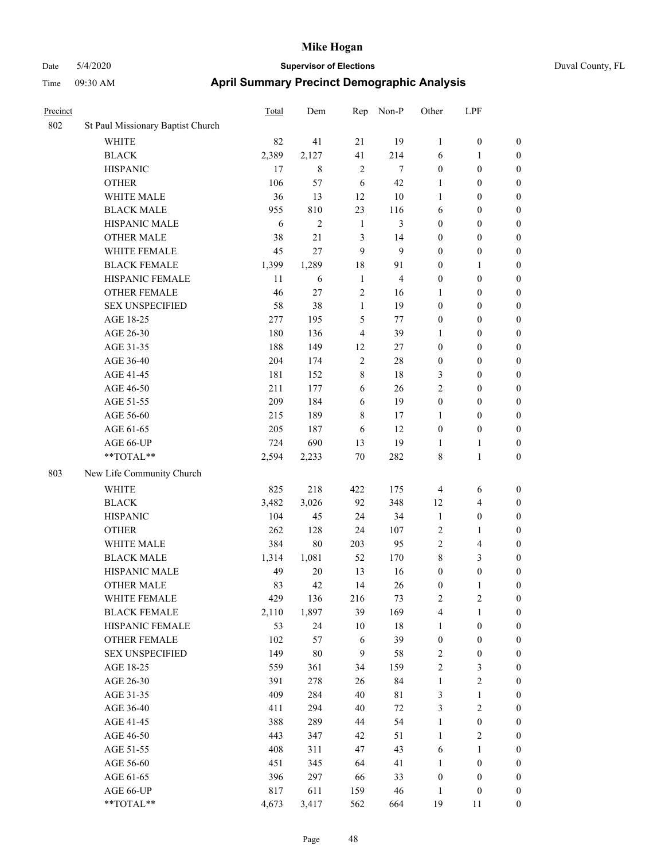| Duval County, FL |  |
|------------------|--|
|                  |  |

| Precinct |                                        | <b>Total</b> | Dem            | Rep            | Non-P                   | Other            | LPF              |                  |
|----------|----------------------------------------|--------------|----------------|----------------|-------------------------|------------------|------------------|------------------|
| 802      | St Paul Missionary Baptist Church      |              |                |                |                         |                  |                  |                  |
|          | WHITE                                  | 82           | 41             | 21             | 19                      | $\mathbf{1}$     | $\boldsymbol{0}$ | $\boldsymbol{0}$ |
|          | <b>BLACK</b>                           | 2,389        | 2,127          | 41             | 214                     | 6                | 1                | $\boldsymbol{0}$ |
|          | <b>HISPANIC</b>                        | 17           | 8              | $\sqrt{2}$     | 7                       | $\boldsymbol{0}$ | $\boldsymbol{0}$ | $\boldsymbol{0}$ |
|          | <b>OTHER</b>                           | 106          | 57             | 6              | 42                      | $\mathbf{1}$     | $\boldsymbol{0}$ | $\boldsymbol{0}$ |
|          | WHITE MALE                             | 36           | 13             | 12             | 10                      | $\mathbf{1}$     | $\boldsymbol{0}$ | $\boldsymbol{0}$ |
|          | <b>BLACK MALE</b>                      | 955          | 810            | 23             | 116                     | 6                | $\boldsymbol{0}$ | $\boldsymbol{0}$ |
|          | HISPANIC MALE                          | 6            | $\overline{c}$ | $\mathbf{1}$   | 3                       | $\boldsymbol{0}$ | $\boldsymbol{0}$ | $\boldsymbol{0}$ |
|          | <b>OTHER MALE</b>                      | 38           | 21             | $\mathfrak{Z}$ | 14                      | $\boldsymbol{0}$ | $\boldsymbol{0}$ | $\boldsymbol{0}$ |
|          | WHITE FEMALE                           | 45           | 27             | 9              | 9                       | $\boldsymbol{0}$ | $\boldsymbol{0}$ | $\boldsymbol{0}$ |
|          | <b>BLACK FEMALE</b>                    | 1,399        | 1,289          | 18             | 91                      | $\boldsymbol{0}$ | $\mathbf{1}$     | $\boldsymbol{0}$ |
|          | HISPANIC FEMALE                        | 11           | 6              | $\mathbf{1}$   | $\overline{\mathbf{4}}$ | $\boldsymbol{0}$ | $\boldsymbol{0}$ | 0                |
|          | <b>OTHER FEMALE</b>                    | 46           | 27             | $\overline{2}$ | 16                      | 1                | $\boldsymbol{0}$ | 0                |
|          | <b>SEX UNSPECIFIED</b>                 | 58           | 38             | $\mathbf{1}$   | 19                      | $\boldsymbol{0}$ | $\boldsymbol{0}$ | $\boldsymbol{0}$ |
|          | AGE 18-25                              | 277          | 195            | 5              | 77                      | $\boldsymbol{0}$ | $\boldsymbol{0}$ | $\boldsymbol{0}$ |
|          | AGE 26-30                              | 180          | 136            | $\overline{4}$ | 39                      | 1                | $\boldsymbol{0}$ | $\boldsymbol{0}$ |
|          | AGE 31-35                              | 188          | 149            | 12             | 27                      | $\boldsymbol{0}$ | $\boldsymbol{0}$ | $\boldsymbol{0}$ |
|          | AGE 36-40                              | 204          | 174            | $\sqrt{2}$     | 28                      | $\boldsymbol{0}$ | $\boldsymbol{0}$ | $\boldsymbol{0}$ |
|          | AGE 41-45                              | 181          | 152            | 8              | $18\,$                  | 3                | $\boldsymbol{0}$ | $\boldsymbol{0}$ |
|          | AGE 46-50                              | 211          | 177            | 6              | 26                      | $\overline{c}$   | $\boldsymbol{0}$ | $\boldsymbol{0}$ |
|          | AGE 51-55                              | 209          | 184            | 6              | 19                      | $\boldsymbol{0}$ | $\boldsymbol{0}$ | $\boldsymbol{0}$ |
|          | AGE 56-60                              | 215          | 189            | $\,8\,$        | 17                      | $\mathbf{1}$     | $\boldsymbol{0}$ | 0                |
|          | AGE 61-65                              | 205          | 187            | 6              | 12                      | $\boldsymbol{0}$ | $\boldsymbol{0}$ | 0                |
|          | AGE 66-UP                              | 724          | 690            | 13             | 19                      | $\mathbf{1}$     | $\mathbf{1}$     | 0                |
|          | **TOTAL**                              | 2,594        | 2,233          | 70             | 282                     | 8                | $\mathbf{1}$     | $\boldsymbol{0}$ |
| 803      | New Life Community Church              |              |                |                |                         |                  |                  |                  |
|          | <b>WHITE</b>                           | 825          | 218            | 422            | 175                     | $\overline{4}$   | 6                | $\boldsymbol{0}$ |
|          | <b>BLACK</b>                           | 3,482        | 3,026          | 92             | 348                     | 12               | $\overline{4}$   | $\boldsymbol{0}$ |
|          | <b>HISPANIC</b>                        | 104          | 45             | 24             | 34                      | $\mathbf{1}$     | $\boldsymbol{0}$ | $\boldsymbol{0}$ |
|          | <b>OTHER</b>                           | 262          | 128            | 24             | 107                     | $\overline{c}$   | 1                | $\boldsymbol{0}$ |
|          | WHITE MALE                             | 384          | $80\,$         | 203            | 95                      | $\overline{c}$   | $\overline{4}$   | $\boldsymbol{0}$ |
|          | <b>BLACK MALE</b>                      | 1,314        | 1,081          | 52             | 170                     | 8                | $\mathfrak{Z}$   | $\boldsymbol{0}$ |
|          | HISPANIC MALE                          | 49           | $20\,$         | 13             | 16                      | $\boldsymbol{0}$ | $\boldsymbol{0}$ | $\boldsymbol{0}$ |
|          | <b>OTHER MALE</b>                      | 83           | 42             | 14             | 26                      | $\boldsymbol{0}$ | 1                | $\boldsymbol{0}$ |
|          | WHITE FEMALE                           | 429          | 136            | 216            | 73                      | $\overline{c}$   | $\sqrt{2}$       | 0                |
|          | <b>BLACK FEMALE</b>                    | 2,110        | 1,897          | 39             | 169                     | 4                | $\mathbf{1}$     | 0                |
|          | HISPANIC FEMALE                        | 53           | 24             | 10             | 18                      | 1                | $\boldsymbol{0}$ | 0                |
|          | <b>OTHER FEMALE</b>                    | 102          | 57             | 6              | 39                      | $\boldsymbol{0}$ | $\boldsymbol{0}$ | $\boldsymbol{0}$ |
|          | <b>SEX UNSPECIFIED</b>                 | 149          | $80\,$         | $\overline{9}$ | $58\,$                  | $\boldsymbol{2}$ | $\boldsymbol{0}$ | 0                |
|          | AGE 18-25                              | 559          | 361            | 34             | 159                     | $\sqrt{2}$       | $\mathfrak{Z}$   | 0                |
|          | AGE 26-30                              | 391          | 278            | 26             | 84                      | $\mathbf{1}$     | $\sqrt{2}$       | 0                |
|          | AGE 31-35                              | 409          | 284            | $40\,$         | $8\sqrt{1}$             | $\mathfrak{Z}$   | $\mathbf{1}$     | 0                |
|          | AGE 36-40                              | 411          | 294            | 40             | $72\,$                  | $\mathfrak{Z}$   | $\sqrt{2}$       | 0                |
|          | AGE 41-45                              | 388          | 289            | 44             | 54                      | $\mathbf{1}$     | $\boldsymbol{0}$ | 0                |
|          | AGE 46-50                              | 443          | 347            | 42             | 51                      | $\mathbf{1}$     | $\boldsymbol{2}$ | 0                |
|          | AGE 51-55                              | 408          | 311            | 47             | 43                      | 6                | $\mathbf{1}$     | $\boldsymbol{0}$ |
|          | AGE 56-60                              | 451          | 345            | 64             | 41                      | $\mathbf{1}$     | $\boldsymbol{0}$ | 0                |
|          | AGE 61-65                              | 396          | 297            | 66             | 33                      | $\boldsymbol{0}$ | $\boldsymbol{0}$ | $\boldsymbol{0}$ |
|          | AGE 66-UP                              | 817          | 611            | 159            | 46                      | $\mathbf{1}$     | $\boldsymbol{0}$ | $\boldsymbol{0}$ |
|          | $\mathrm{*}\mathrm{*} \mathrm{TOTAL}*$ | 4,673        | 3,417          | 562            | 664                     | 19               | 11               | $\overline{0}$   |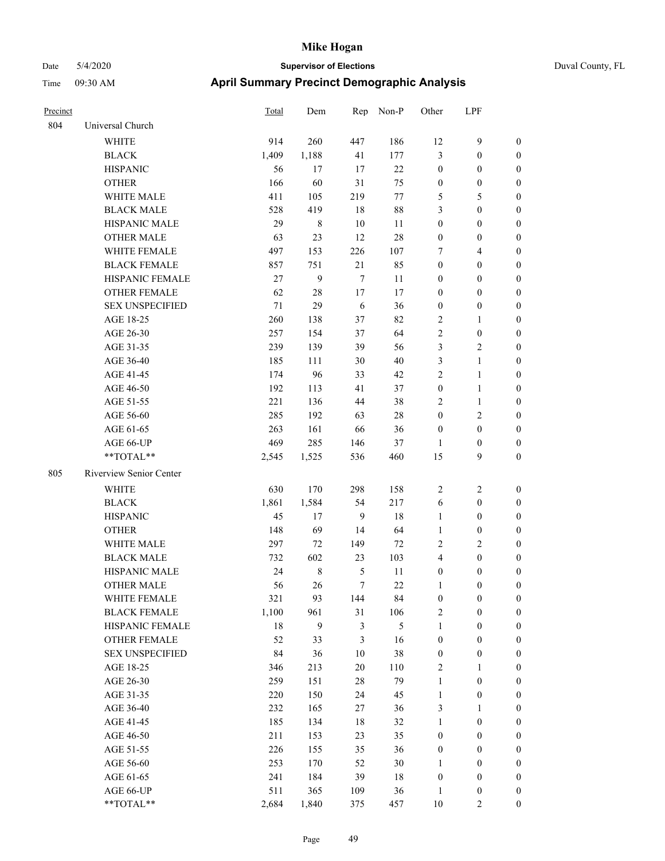| Precinct |                         | Total  | Dem         | Rep            | Non-P  | Other            | LPF              |                  |
|----------|-------------------------|--------|-------------|----------------|--------|------------------|------------------|------------------|
| 804      | Universal Church        |        |             |                |        |                  |                  |                  |
|          | <b>WHITE</b>            | 914    | 260         | 447            | 186    | 12               | 9                | $\boldsymbol{0}$ |
|          | <b>BLACK</b>            | 1,409  | 1,188       | 41             | 177    | 3                | $\boldsymbol{0}$ | $\boldsymbol{0}$ |
|          | <b>HISPANIC</b>         | 56     | 17          | 17             | $22\,$ | $\boldsymbol{0}$ | $\boldsymbol{0}$ | $\boldsymbol{0}$ |
|          | <b>OTHER</b>            | 166    | 60          | 31             | 75     | $\boldsymbol{0}$ | $\boldsymbol{0}$ | $\boldsymbol{0}$ |
|          | WHITE MALE              | 411    | 105         | 219            | 77     | 5                | 5                | $\boldsymbol{0}$ |
|          | <b>BLACK MALE</b>       | 528    | 419         | 18             | 88     | 3                | $\boldsymbol{0}$ | $\boldsymbol{0}$ |
|          | HISPANIC MALE           | 29     | 8           | $10\,$         | 11     | $\boldsymbol{0}$ | $\boldsymbol{0}$ | 0                |
|          | <b>OTHER MALE</b>       | 63     | 23          | 12             | 28     | $\boldsymbol{0}$ | $\boldsymbol{0}$ | 0                |
|          | WHITE FEMALE            | 497    | 153         | 226            | 107    | 7                | $\overline{4}$   | 0                |
|          | <b>BLACK FEMALE</b>     | 857    | 751         | 21             | 85     | $\boldsymbol{0}$ | $\boldsymbol{0}$ | $\boldsymbol{0}$ |
|          | HISPANIC FEMALE         | 27     | 9           | $\overline{7}$ | 11     | $\boldsymbol{0}$ | $\boldsymbol{0}$ | $\boldsymbol{0}$ |
|          | OTHER FEMALE            | 62     | 28          | 17             | 17     | $\boldsymbol{0}$ | $\boldsymbol{0}$ | $\boldsymbol{0}$ |
|          | <b>SEX UNSPECIFIED</b>  | $71\,$ | 29          | 6              | 36     | $\boldsymbol{0}$ | $\boldsymbol{0}$ | $\boldsymbol{0}$ |
|          | AGE 18-25               | 260    | 138         | 37             | 82     | $\overline{c}$   | $\mathbf{1}$     | $\boldsymbol{0}$ |
|          | AGE 26-30               | 257    | 154         | 37             | 64     | $\sqrt{2}$       | $\boldsymbol{0}$ | $\boldsymbol{0}$ |
|          | AGE 31-35               | 239    | 139         | 39             | 56     | $\mathfrak{Z}$   | $\sqrt{2}$       | 0                |
|          | AGE 36-40               | 185    | 111         | $30\,$         | 40     | $\mathfrak{Z}$   | $\mathbf{1}$     | $\boldsymbol{0}$ |
|          | AGE 41-45               | 174    | 96          | 33             | 42     | $\overline{c}$   | $\mathbf{1}$     | 0                |
|          | AGE 46-50               | 192    | 113         | 41             | 37     | $\boldsymbol{0}$ | $\mathbf{1}$     | 0                |
|          | AGE 51-55               | 221    | 136         | 44             | 38     | $\overline{2}$   | $\mathbf{1}$     | 0                |
|          | AGE 56-60               | 285    | 192         | 63             | $28\,$ | $\boldsymbol{0}$ | $\sqrt{2}$       | $\boldsymbol{0}$ |
|          | AGE 61-65               | 263    | 161         | 66             | 36     | $\boldsymbol{0}$ | $\boldsymbol{0}$ | $\boldsymbol{0}$ |
|          | AGE 66-UP               | 469    | 285         | 146            | 37     | 1                | $\boldsymbol{0}$ | $\boldsymbol{0}$ |
|          | **TOTAL**               | 2,545  | 1,525       | 536            | 460    | 15               | 9                | $\boldsymbol{0}$ |
| 805      | Riverview Senior Center |        |             |                |        |                  |                  |                  |
|          | WHITE                   | 630    | 170         | 298            | 158    | $\overline{2}$   | $\sqrt{2}$       | $\boldsymbol{0}$ |
|          | <b>BLACK</b>            | 1,861  | 1,584       | 54             | 217    | 6                | $\boldsymbol{0}$ | $\boldsymbol{0}$ |
|          | <b>HISPANIC</b>         | 45     | 17          | 9              | $18\,$ | $\mathbf{1}$     | $\boldsymbol{0}$ | $\boldsymbol{0}$ |
|          | <b>OTHER</b>            | 148    | 69          | 14             | 64     | $\mathbf{1}$     | $\boldsymbol{0}$ | $\boldsymbol{0}$ |
|          | WHITE MALE              | 297    | 72          | 149            | 72     | $\overline{c}$   | $\overline{c}$   | 0                |
|          | <b>BLACK MALE</b>       | 732    | 602         | 23             | 103    | $\overline{4}$   | $\boldsymbol{0}$ | 0                |
|          | HISPANIC MALE           | 24     | $\,$ 8 $\,$ | 5              | 11     | $\boldsymbol{0}$ | $\boldsymbol{0}$ | 0                |
|          | <b>OTHER MALE</b>       | 56     | 26          | $\tau$         | $22\,$ | 1                | $\boldsymbol{0}$ | $\boldsymbol{0}$ |
|          | WHITE FEMALE            | 321    | 93          | 144            | 84     | $\boldsymbol{0}$ | $\boldsymbol{0}$ | $\boldsymbol{0}$ |
|          | <b>BLACK FEMALE</b>     | 1,100  | 961         | 31             | 106    | $\boldsymbol{2}$ | $\boldsymbol{0}$ | $\overline{0}$   |
|          | HISPANIC FEMALE         | 18     | 9           | $\mathfrak{Z}$ | 5      | $\mathbf{1}$     | $\boldsymbol{0}$ | $\overline{0}$   |
|          | <b>OTHER FEMALE</b>     | 52     | 33          | $\mathfrak{Z}$ | 16     | $\boldsymbol{0}$ | $\boldsymbol{0}$ | $\overline{0}$   |
|          | <b>SEX UNSPECIFIED</b>  | 84     | 36          | $10\,$         | 38     | $\boldsymbol{0}$ | $\boldsymbol{0}$ | $\overline{0}$   |
|          | AGE 18-25               | 346    | 213         | 20             | 110    | $\overline{c}$   | 1                | 0                |
|          | AGE 26-30               | 259    | 151         | $28\,$         | 79     | $\mathbf{1}$     | $\boldsymbol{0}$ | 0                |
|          | AGE 31-35               | 220    | 150         | 24             | 45     | $\mathbf{1}$     | $\boldsymbol{0}$ | 0                |
|          | AGE 36-40               | 232    | 165         | $27\,$         | 36     | 3                | $\mathbf{1}$     | $\boldsymbol{0}$ |
|          | AGE 41-45               | 185    | 134         | 18             | 32     | $\mathbf{1}$     | $\boldsymbol{0}$ | $\boldsymbol{0}$ |
|          | AGE 46-50               | 211    | 153         | 23             | 35     | $\boldsymbol{0}$ | $\boldsymbol{0}$ | $\boldsymbol{0}$ |
|          | AGE 51-55               | 226    | 155         | 35             | 36     | $\boldsymbol{0}$ | $\boldsymbol{0}$ | $\boldsymbol{0}$ |
|          | AGE 56-60               | 253    | 170         | 52             | 30     | $\mathbf{1}$     | $\boldsymbol{0}$ | $\overline{0}$   |
|          | AGE 61-65               | 241    | 184         | 39             | 18     | $\boldsymbol{0}$ | $\boldsymbol{0}$ | $\overline{0}$   |
|          | AGE 66-UP               | 511    | 365         | 109            | 36     | $\mathbf{1}$     | $\boldsymbol{0}$ | $\boldsymbol{0}$ |
|          | **TOTAL**               | 2,684  | 1,840       | 375            | 457    | $10\,$           | $\overline{c}$   | $\boldsymbol{0}$ |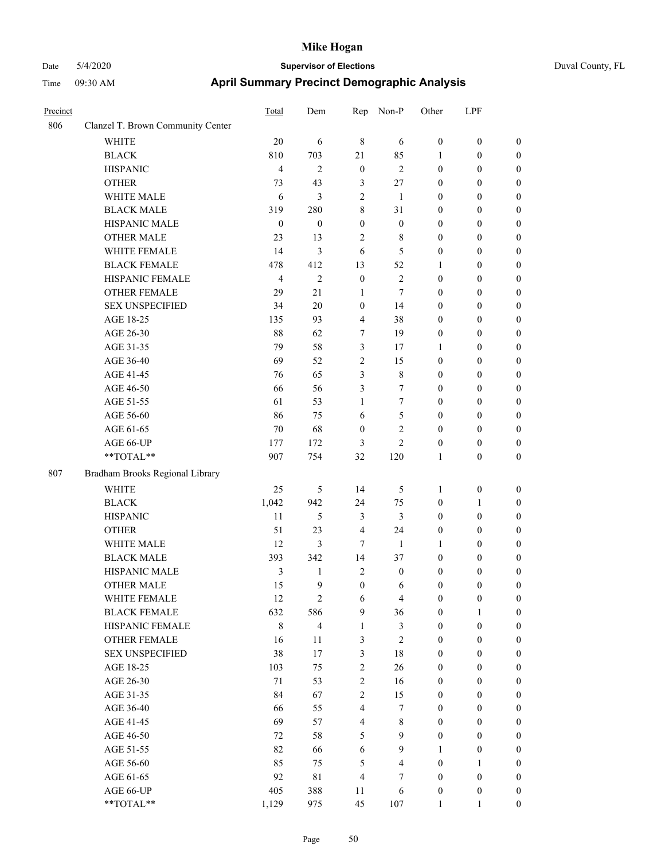| Precinct |                                   | Total            | Dem              | Rep                     | Non-P            | Other            | LPF              |                  |
|----------|-----------------------------------|------------------|------------------|-------------------------|------------------|------------------|------------------|------------------|
| 806      | Clanzel T. Brown Community Center |                  |                  |                         |                  |                  |                  |                  |
|          | <b>WHITE</b>                      | 20               | 6                | $\,$ 8 $\,$             | 6                | $\boldsymbol{0}$ | $\boldsymbol{0}$ | $\boldsymbol{0}$ |
|          | <b>BLACK</b>                      | 810              | 703              | 21                      | 85               | 1                | $\boldsymbol{0}$ | $\boldsymbol{0}$ |
|          | <b>HISPANIC</b>                   | $\overline{4}$   | $\overline{2}$   | $\boldsymbol{0}$        | $\overline{2}$   | $\boldsymbol{0}$ | $\boldsymbol{0}$ | $\boldsymbol{0}$ |
|          | <b>OTHER</b>                      | 73               | 43               | 3                       | 27               | $\mathbf{0}$     | $\boldsymbol{0}$ | $\boldsymbol{0}$ |
|          | WHITE MALE                        | 6                | 3                | $\overline{2}$          | 1                | $\mathbf{0}$     | $\boldsymbol{0}$ | $\boldsymbol{0}$ |
|          | <b>BLACK MALE</b>                 | 319              | 280              | 8                       | 31               | $\boldsymbol{0}$ | $\boldsymbol{0}$ | $\boldsymbol{0}$ |
|          | HISPANIC MALE                     | $\boldsymbol{0}$ | $\boldsymbol{0}$ | $\boldsymbol{0}$        | $\boldsymbol{0}$ | $\boldsymbol{0}$ | $\boldsymbol{0}$ | $\boldsymbol{0}$ |
|          | <b>OTHER MALE</b>                 | 23               | 13               | $\overline{2}$          | 8                | $\boldsymbol{0}$ | $\boldsymbol{0}$ | $\boldsymbol{0}$ |
|          | WHITE FEMALE                      | 14               | 3                | 6                       | 5                | $\boldsymbol{0}$ | $\theta$         | $\boldsymbol{0}$ |
|          | <b>BLACK FEMALE</b>               | 478              | 412              | 13                      | 52               | 1                | $\boldsymbol{0}$ | $\boldsymbol{0}$ |
|          | HISPANIC FEMALE                   | $\overline{4}$   | $\overline{2}$   | $\boldsymbol{0}$        | $\overline{2}$   | $\boldsymbol{0}$ | $\boldsymbol{0}$ | $\boldsymbol{0}$ |
|          | <b>OTHER FEMALE</b>               | 29               | 21               | 1                       | 7                | $\boldsymbol{0}$ | $\boldsymbol{0}$ | $\boldsymbol{0}$ |
|          | <b>SEX UNSPECIFIED</b>            | 34               | 20               | $\mathbf{0}$            | 14               | $\boldsymbol{0}$ | $\boldsymbol{0}$ | $\boldsymbol{0}$ |
|          | AGE 18-25                         | 135              | 93               | $\overline{4}$          | 38               | $\mathbf{0}$     | $\theta$         | $\boldsymbol{0}$ |
|          | AGE 26-30                         | 88               | 62               | 7                       | 19               | $\mathbf{0}$     | $\boldsymbol{0}$ | $\boldsymbol{0}$ |
|          | AGE 31-35                         | 79               | 58               | 3                       | 17               | 1                | $\boldsymbol{0}$ | $\boldsymbol{0}$ |
|          | AGE 36-40                         | 69               | 52               | $\overline{2}$          | 15               | $\boldsymbol{0}$ | $\boldsymbol{0}$ | $\boldsymbol{0}$ |
|          | AGE 41-45                         | 76               | 65               | 3                       | 8                | $\boldsymbol{0}$ | $\boldsymbol{0}$ | $\boldsymbol{0}$ |
|          | AGE 46-50                         | 66               | 56               | 3                       | $\tau$           | $\boldsymbol{0}$ | $\boldsymbol{0}$ | $\boldsymbol{0}$ |
|          | AGE 51-55                         | 61               | 53               | 1                       | 7                | $\boldsymbol{0}$ | $\boldsymbol{0}$ | $\boldsymbol{0}$ |
|          | AGE 56-60                         | 86               | 75               | 6                       | 5                | $\boldsymbol{0}$ | $\boldsymbol{0}$ | $\boldsymbol{0}$ |
|          | AGE 61-65                         | $70\,$           | 68               | $\boldsymbol{0}$        | $\overline{2}$   | $\boldsymbol{0}$ | $\boldsymbol{0}$ | $\boldsymbol{0}$ |
|          | AGE 66-UP                         | 177              | 172              | 3                       | $\overline{2}$   | $\boldsymbol{0}$ | $\boldsymbol{0}$ | $\boldsymbol{0}$ |
|          | **TOTAL**                         | 907              | 754              | 32                      | 120              | 1                | $\theta$         | $\boldsymbol{0}$ |
| 807      | Bradham Brooks Regional Library   |                  |                  |                         |                  |                  |                  |                  |
|          | <b>WHITE</b>                      | 25               | 5                | 14                      | 5                | 1                | $\boldsymbol{0}$ | $\boldsymbol{0}$ |
|          | <b>BLACK</b>                      | 1,042            | 942              | 24                      | 75               | $\boldsymbol{0}$ | 1                | $\boldsymbol{0}$ |
|          | <b>HISPANIC</b>                   | 11               | 5                | 3                       | $\mathfrak{Z}$   | $\boldsymbol{0}$ | $\boldsymbol{0}$ | $\boldsymbol{0}$ |
|          | <b>OTHER</b>                      | 51               | 23               | $\overline{4}$          | 24               | $\boldsymbol{0}$ | $\boldsymbol{0}$ | $\boldsymbol{0}$ |
|          | WHITE MALE                        | 12               | 3                | $\overline{7}$          | $\mathbf{1}$     | 1                | $\boldsymbol{0}$ | $\boldsymbol{0}$ |
|          | <b>BLACK MALE</b>                 | 393              | 342              | 14                      | 37               | $\boldsymbol{0}$ | $\boldsymbol{0}$ | $\boldsymbol{0}$ |
|          | HISPANIC MALE                     | 3                | $\mathbf{1}$     | $\overline{c}$          | $\boldsymbol{0}$ | $\boldsymbol{0}$ | $\boldsymbol{0}$ | $\boldsymbol{0}$ |
|          | <b>OTHER MALE</b>                 | 15               | 9                | $\mathbf{0}$            | 6                | $\mathbf{0}$     | $\boldsymbol{0}$ | $\boldsymbol{0}$ |
|          | WHITE FEMALE                      | 12               | $\overline{c}$   | 6                       | $\overline{4}$   | $\boldsymbol{0}$ | $\boldsymbol{0}$ | $\boldsymbol{0}$ |
|          | <b>BLACK FEMALE</b>               | 632              | 586              | 9                       | 36               | $\boldsymbol{0}$ | $\mathbf{1}$     | $\boldsymbol{0}$ |
|          | HISPANIC FEMALE                   | $\,8\,$          | 4                | 1                       | $\mathfrak{Z}$   | $\boldsymbol{0}$ | $\boldsymbol{0}$ | $\boldsymbol{0}$ |
|          | OTHER FEMALE                      | 16               | 11               | 3                       | $\overline{c}$   | $\mathbf{0}$     | $\boldsymbol{0}$ | $\boldsymbol{0}$ |
|          | <b>SEX UNSPECIFIED</b>            | 38               | 17               | 3                       | $18\,$           | $\boldsymbol{0}$ | $\boldsymbol{0}$ | $\boldsymbol{0}$ |
|          | AGE 18-25                         | 103              | 75               | $\overline{2}$          | $26\,$           | $\boldsymbol{0}$ | $\boldsymbol{0}$ | $\boldsymbol{0}$ |
|          | AGE 26-30                         | 71               | 53               | $\overline{c}$          | 16               | $\boldsymbol{0}$ | $\boldsymbol{0}$ | $\boldsymbol{0}$ |
|          | AGE 31-35                         | 84               | 67               | $\overline{2}$          | 15               | $\boldsymbol{0}$ | $\boldsymbol{0}$ | $\boldsymbol{0}$ |
|          | AGE 36-40                         | 66               | 55               | $\overline{\mathbf{4}}$ | $\boldsymbol{7}$ | $\boldsymbol{0}$ | $\boldsymbol{0}$ | $\boldsymbol{0}$ |
|          | AGE 41-45                         | 69               | 57               | $\overline{\mathbf{4}}$ | $\,$ $\,$        | $\boldsymbol{0}$ | $\boldsymbol{0}$ | $\boldsymbol{0}$ |
|          | AGE 46-50                         | 72               | 58               | 5                       | 9                | $\boldsymbol{0}$ | $\boldsymbol{0}$ | $\boldsymbol{0}$ |
|          | AGE 51-55                         | 82               | 66               | 6                       | 9                | $\mathbf{1}$     | $\boldsymbol{0}$ | $\boldsymbol{0}$ |
|          | AGE 56-60                         | 85               | 75               | 5                       | $\overline{4}$   | $\boldsymbol{0}$ | 1                | $\boldsymbol{0}$ |
|          | AGE 61-65                         | 92               | $8\sqrt{1}$      | $\overline{4}$          | $\tau$           | $\boldsymbol{0}$ | $\boldsymbol{0}$ | $\boldsymbol{0}$ |
|          | AGE 66-UP                         | 405              | 388              | 11                      | $\sqrt{6}$       | $\boldsymbol{0}$ | $\boldsymbol{0}$ | $\boldsymbol{0}$ |
|          | **TOTAL**                         | 1,129            | 975              | 45                      | 107              | $\mathbf{1}$     | 1                | $\boldsymbol{0}$ |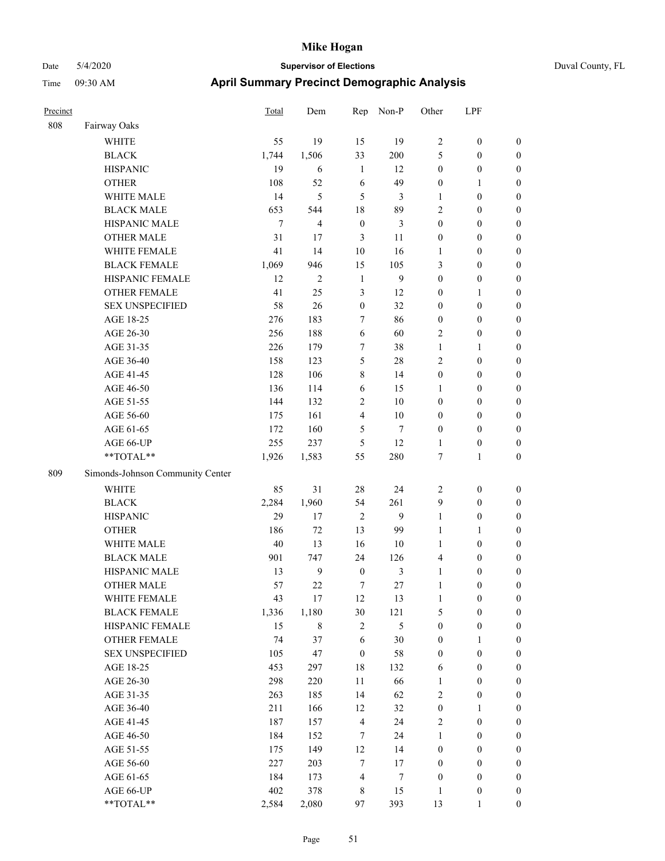| Precinct |                                  | Total  | Dem            | Rep              | Non-P            | Other            | LPF              |                  |
|----------|----------------------------------|--------|----------------|------------------|------------------|------------------|------------------|------------------|
| 808      | Fairway Oaks                     |        |                |                  |                  |                  |                  |                  |
|          | <b>WHITE</b>                     | 55     | 19             | 15               | 19               | $\overline{2}$   | $\boldsymbol{0}$ | $\boldsymbol{0}$ |
|          | <b>BLACK</b>                     | 1,744  | 1,506          | 33               | 200              | 5                | $\boldsymbol{0}$ | $\boldsymbol{0}$ |
|          | <b>HISPANIC</b>                  | 19     | 6              | 1                | 12               | $\boldsymbol{0}$ | $\boldsymbol{0}$ | $\boldsymbol{0}$ |
|          | <b>OTHER</b>                     | 108    | 52             | 6                | 49               | $\boldsymbol{0}$ | 1                | $\boldsymbol{0}$ |
|          | WHITE MALE                       | 14     | 5              | 5                | 3                | $\mathbf{1}$     | $\boldsymbol{0}$ | $\boldsymbol{0}$ |
|          | <b>BLACK MALE</b>                | 653    | 544            | 18               | 89               | $\overline{2}$   | $\boldsymbol{0}$ | $\boldsymbol{0}$ |
|          | HISPANIC MALE                    | $\tau$ | $\overline{4}$ | $\mathbf{0}$     | 3                | $\mathbf{0}$     | $\boldsymbol{0}$ | $\boldsymbol{0}$ |
|          | <b>OTHER MALE</b>                | 31     | 17             | $\mathfrak{Z}$   | 11               | $\boldsymbol{0}$ | $\boldsymbol{0}$ | $\boldsymbol{0}$ |
|          | WHITE FEMALE                     | 41     | 14             | 10               | 16               | 1                | $\boldsymbol{0}$ | $\boldsymbol{0}$ |
|          | <b>BLACK FEMALE</b>              | 1,069  | 946            | 15               | 105              | 3                | $\boldsymbol{0}$ | $\boldsymbol{0}$ |
|          | HISPANIC FEMALE                  | 12     | $\overline{2}$ | 1                | 9                | $\boldsymbol{0}$ | $\boldsymbol{0}$ | $\boldsymbol{0}$ |
|          | <b>OTHER FEMALE</b>              | 41     | 25             | 3                | 12               | $\mathbf{0}$     | 1                | $\boldsymbol{0}$ |
|          | <b>SEX UNSPECIFIED</b>           | 58     | 26             | $\boldsymbol{0}$ | 32               | $\boldsymbol{0}$ | $\boldsymbol{0}$ | $\boldsymbol{0}$ |
|          | AGE 18-25                        | 276    | 183            | 7                | 86               | $\boldsymbol{0}$ | $\boldsymbol{0}$ | $\boldsymbol{0}$ |
|          | AGE 26-30                        | 256    | 188            | 6                | 60               | $\sqrt{2}$       | $\boldsymbol{0}$ | $\boldsymbol{0}$ |
|          | AGE 31-35                        | 226    | 179            | 7                | 38               | 1                | 1                | $\boldsymbol{0}$ |
|          | AGE 36-40                        | 158    | 123            | 5                | 28               | $\overline{2}$   | $\boldsymbol{0}$ | $\boldsymbol{0}$ |
|          | AGE 41-45                        | 128    | 106            | 8                | 14               | $\boldsymbol{0}$ | $\boldsymbol{0}$ | $\boldsymbol{0}$ |
|          | AGE 46-50                        | 136    | 114            | 6                | 15               | 1                | $\boldsymbol{0}$ | $\boldsymbol{0}$ |
|          | AGE 51-55                        | 144    | 132            | $\overline{2}$   | 10               | $\boldsymbol{0}$ | $\boldsymbol{0}$ | $\boldsymbol{0}$ |
|          | AGE 56-60                        | 175    | 161            | $\overline{4}$   | 10               | $\mathbf{0}$     | $\boldsymbol{0}$ | $\boldsymbol{0}$ |
|          | AGE 61-65                        | 172    | 160            | 5                | $\overline{7}$   | $\mathbf{0}$     | $\boldsymbol{0}$ | $\boldsymbol{0}$ |
|          | AGE 66-UP                        | 255    | 237            | 5                | 12               | 1                | $\boldsymbol{0}$ | $\boldsymbol{0}$ |
|          | **TOTAL**                        | 1,926  | 1,583          | 55               | 280              | $\overline{7}$   | 1                | $\boldsymbol{0}$ |
| 809      | Simonds-Johnson Community Center |        |                |                  |                  |                  |                  |                  |
|          | WHITE                            | 85     | 31             | 28               | 24               | $\sqrt{2}$       | $\boldsymbol{0}$ | $\boldsymbol{0}$ |
|          | <b>BLACK</b>                     | 2,284  | 1,960          | 54               | 261              | 9                | $\boldsymbol{0}$ | $\boldsymbol{0}$ |
|          | <b>HISPANIC</b>                  | 29     | 17             | $\overline{2}$   | 9                | $\mathbf{1}$     | $\boldsymbol{0}$ | $\boldsymbol{0}$ |
|          | <b>OTHER</b>                     | 186    | $72\,$         | 13               | 99               | 1                | 1                | $\boldsymbol{0}$ |
|          | WHITE MALE                       | 40     | 13             | 16               | 10               | 1                | $\boldsymbol{0}$ | $\boldsymbol{0}$ |
|          | <b>BLACK MALE</b>                | 901    | 747            | 24               | 126              | $\overline{4}$   | $\boldsymbol{0}$ | $\boldsymbol{0}$ |
|          | HISPANIC MALE                    | 13     | 9              | $\boldsymbol{0}$ | 3                | $\mathbf{1}$     | $\boldsymbol{0}$ | $\boldsymbol{0}$ |
|          | <b>OTHER MALE</b>                | 57     | 22             | 7                | 27               | 1                | $\boldsymbol{0}$ | $\boldsymbol{0}$ |
|          | WHITE FEMALE                     | 43     | 17             | 12               | 13               | 1                | $\boldsymbol{0}$ | $\boldsymbol{0}$ |
|          | <b>BLACK FEMALE</b>              | 1,336  | 1,180          | 30               | 121              | 5                | $\boldsymbol{0}$ | $\boldsymbol{0}$ |
|          | HISPANIC FEMALE                  | 15     | 8              | $\overline{2}$   | 5                | $\boldsymbol{0}$ | $\boldsymbol{0}$ | $\boldsymbol{0}$ |
|          | OTHER FEMALE                     | 74     | 37             | 6                | 30               | $\boldsymbol{0}$ | 1                | $\boldsymbol{0}$ |
|          | <b>SEX UNSPECIFIED</b>           | 105    | 47             | $\boldsymbol{0}$ | 58               | $\boldsymbol{0}$ | $\boldsymbol{0}$ | $\boldsymbol{0}$ |
|          | AGE 18-25                        | 453    | 297            | $18\,$           | 132              | 6                | $\boldsymbol{0}$ | $\boldsymbol{0}$ |
|          | AGE 26-30                        | 298    | 220            | 11               | 66               | $\mathbf{1}$     | $\boldsymbol{0}$ | $\boldsymbol{0}$ |
|          | AGE 31-35                        | 263    | 185            | 14               | 62               | $\sqrt{2}$       | $\boldsymbol{0}$ | $\boldsymbol{0}$ |
|          | AGE 36-40                        | 211    | 166            | 12               | 32               | $\boldsymbol{0}$ | 1                | $\boldsymbol{0}$ |
|          | AGE 41-45                        | 187    | 157            | $\overline{4}$   | 24               | $\overline{c}$   | $\boldsymbol{0}$ | $\boldsymbol{0}$ |
|          | AGE 46-50                        | 184    | 152            | 7                | 24               | $\mathbf{1}$     | $\boldsymbol{0}$ | $\boldsymbol{0}$ |
|          | AGE 51-55                        | 175    | 149            | 12               | 14               | $\boldsymbol{0}$ | $\boldsymbol{0}$ | $\boldsymbol{0}$ |
|          | AGE 56-60                        | 227    | 203            | $7\phantom{.0}$  | 17               | $\boldsymbol{0}$ | $\boldsymbol{0}$ | $\boldsymbol{0}$ |
|          | AGE 61-65                        | 184    | 173            | 4                | $\boldsymbol{7}$ | $\boldsymbol{0}$ | $\boldsymbol{0}$ | $\boldsymbol{0}$ |
|          | AGE 66-UP                        | 402    | 378            | $\,$ 8 $\,$      | 15               | 1                | $\boldsymbol{0}$ | $\mathbf{0}$     |
|          | $**TOTAL**$                      | 2,584  | 2,080          | 97               | 393              | 13               | 1                | $\boldsymbol{0}$ |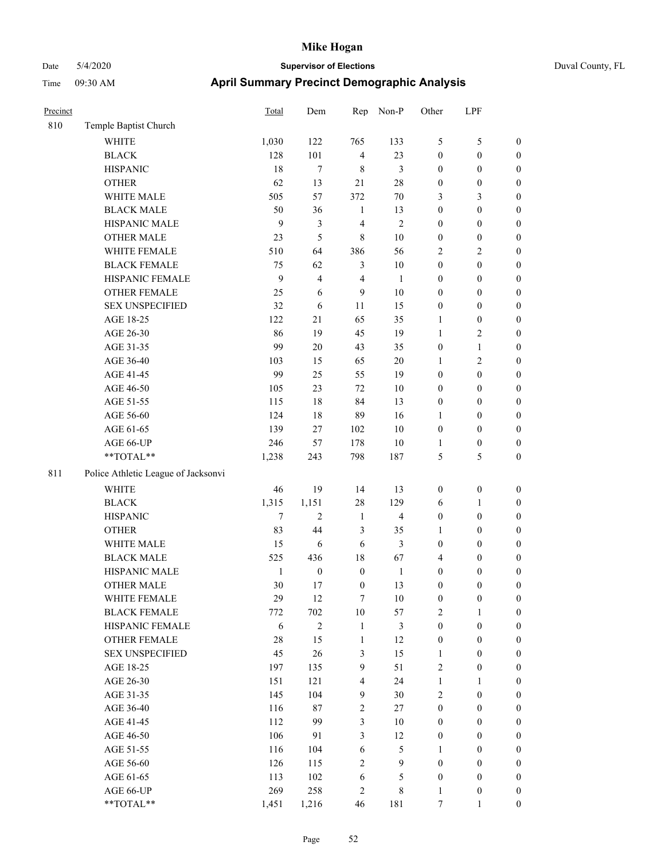|  | Duval County |
|--|--------------|
|  |              |

| Precinct |                                     | Total        | Dem              | Rep              | Non-P                   | Other            | LPF              |                  |
|----------|-------------------------------------|--------------|------------------|------------------|-------------------------|------------------|------------------|------------------|
| 810      | Temple Baptist Church               |              |                  |                  |                         |                  |                  |                  |
|          | <b>WHITE</b>                        | 1,030        | 122              | 765              | 133                     | 5                | $\mathfrak s$    | $\boldsymbol{0}$ |
|          | <b>BLACK</b>                        | 128          | 101              | $\overline{4}$   | 23                      | $\boldsymbol{0}$ | $\boldsymbol{0}$ | $\boldsymbol{0}$ |
|          | <b>HISPANIC</b>                     | 18           | $\tau$           | $\,$ 8 $\,$      | 3                       | $\boldsymbol{0}$ | $\boldsymbol{0}$ | $\boldsymbol{0}$ |
|          | <b>OTHER</b>                        | 62           | 13               | 21               | 28                      | $\boldsymbol{0}$ | $\boldsymbol{0}$ | $\boldsymbol{0}$ |
|          | WHITE MALE                          | 505          | 57               | 372              | $70\,$                  | 3                | $\mathfrak{Z}$   | $\boldsymbol{0}$ |
|          | <b>BLACK MALE</b>                   | 50           | 36               | 1                | 13                      | $\boldsymbol{0}$ | $\boldsymbol{0}$ | $\boldsymbol{0}$ |
|          | HISPANIC MALE                       | 9            | $\mathfrak{Z}$   | $\overline{4}$   | $\overline{c}$          | $\boldsymbol{0}$ | $\boldsymbol{0}$ | $\boldsymbol{0}$ |
|          | <b>OTHER MALE</b>                   | 23           | 5                | $\,$ 8 $\,$      | $10\,$                  | $\boldsymbol{0}$ | $\boldsymbol{0}$ | 0                |
|          | WHITE FEMALE                        | 510          | 64               | 386              | 56                      | $\overline{c}$   | $\sqrt{2}$       | 0                |
|          | <b>BLACK FEMALE</b>                 | 75           | 62               | $\mathfrak{Z}$   | $10\,$                  | $\boldsymbol{0}$ | $\boldsymbol{0}$ | $\boldsymbol{0}$ |
|          | HISPANIC FEMALE                     | 9            | $\overline{4}$   | $\overline{4}$   | $\mathbf{1}$            | $\boldsymbol{0}$ | $\boldsymbol{0}$ | $\boldsymbol{0}$ |
|          | OTHER FEMALE                        | 25           | 6                | 9                | 10                      | $\boldsymbol{0}$ | $\boldsymbol{0}$ | $\boldsymbol{0}$ |
|          | <b>SEX UNSPECIFIED</b>              | 32           | 6                | 11               | 15                      | $\boldsymbol{0}$ | $\boldsymbol{0}$ | $\boldsymbol{0}$ |
|          | AGE 18-25                           | 122          | 21               | 65               | 35                      | $\mathbf{1}$     | $\boldsymbol{0}$ | $\boldsymbol{0}$ |
|          | AGE 26-30                           | 86           | 19               | 45               | 19                      | $\mathbf{1}$     | $\sqrt{2}$       | $\boldsymbol{0}$ |
|          | AGE 31-35                           | 99           | $20\,$           | 43               | 35                      | $\boldsymbol{0}$ | $\mathbf{1}$     | $\boldsymbol{0}$ |
|          | AGE 36-40                           | 103          | 15               | 65               | $20\,$                  | $\mathbf{1}$     | $\sqrt{2}$       | $\boldsymbol{0}$ |
|          | AGE 41-45                           | 99           | 25               | 55               | 19                      | $\boldsymbol{0}$ | $\boldsymbol{0}$ | 0                |
|          | AGE 46-50                           | 105          | 23               | 72               | 10                      | $\boldsymbol{0}$ | $\boldsymbol{0}$ | 0                |
|          | AGE 51-55                           | 115          | 18               | 84               | 13                      | $\boldsymbol{0}$ | $\boldsymbol{0}$ | $\boldsymbol{0}$ |
|          | AGE 56-60                           | 124          | 18               | 89               | 16                      | 1                | $\boldsymbol{0}$ | $\boldsymbol{0}$ |
|          | AGE 61-65                           | 139          | 27               | 102              | $10\,$                  | $\boldsymbol{0}$ | $\boldsymbol{0}$ | $\boldsymbol{0}$ |
|          | AGE 66-UP                           | 246          | 57               | 178              | 10                      | $\mathbf{1}$     | $\boldsymbol{0}$ | $\boldsymbol{0}$ |
|          | **TOTAL**                           | 1,238        | 243              | 798              | 187                     | 5                | 5                | $\boldsymbol{0}$ |
| 811      | Police Athletic League of Jacksonvi |              |                  |                  |                         |                  |                  |                  |
|          | <b>WHITE</b>                        | 46           | 19               | 14               | 13                      | $\boldsymbol{0}$ | $\boldsymbol{0}$ | $\boldsymbol{0}$ |
|          | <b>BLACK</b>                        | 1,315        | 1,151            | 28               | 129                     | 6                | $\mathbf{1}$     | $\boldsymbol{0}$ |
|          | <b>HISPANIC</b>                     | $\tau$       | $\overline{c}$   | $\mathbf{1}$     | $\overline{\mathbf{4}}$ | $\boldsymbol{0}$ | $\boldsymbol{0}$ | $\boldsymbol{0}$ |
|          | <b>OTHER</b>                        | 83           | 44               | $\mathfrak{Z}$   | 35                      | $\mathbf{1}$     | $\boldsymbol{0}$ | $\boldsymbol{0}$ |
|          | WHITE MALE                          | 15           | 6                | 6                | 3                       | $\boldsymbol{0}$ | $\boldsymbol{0}$ | 0                |
|          | <b>BLACK MALE</b>                   | 525          | 436              | 18               | 67                      | $\overline{4}$   | $\boldsymbol{0}$ | 0                |
|          | HISPANIC MALE                       | $\mathbf{1}$ | $\boldsymbol{0}$ | $\boldsymbol{0}$ | $\mathbf{1}$            | $\boldsymbol{0}$ | $\boldsymbol{0}$ | $\boldsymbol{0}$ |
|          | <b>OTHER MALE</b>                   | 30           | 17               | $\boldsymbol{0}$ | 13                      | $\boldsymbol{0}$ | $\boldsymbol{0}$ | $\boldsymbol{0}$ |
|          | WHITE FEMALE                        | 29           | $12\,$           | $\tau$           | 10                      | $\boldsymbol{0}$ | $\boldsymbol{0}$ | $\boldsymbol{0}$ |
|          | <b>BLACK FEMALE</b>                 | 772          | 702              | $10\,$           | 57                      | 2                | $\mathbf{1}$     | $\boldsymbol{0}$ |
|          | HISPANIC FEMALE                     | 6            | $\overline{2}$   | $\mathbf{1}$     | 3                       | $\boldsymbol{0}$ | $\boldsymbol{0}$ | $\overline{0}$   |
|          | <b>OTHER FEMALE</b>                 | $28\,$       | 15               | $\mathbf{1}$     | 12                      | $\boldsymbol{0}$ | $\boldsymbol{0}$ | $\overline{0}$   |
|          | <b>SEX UNSPECIFIED</b>              | 45           | 26               | $\mathfrak{Z}$   | 15                      | $\mathbf{1}$     | $\boldsymbol{0}$ | $\overline{0}$   |
|          | AGE 18-25                           | 197          | 135              | $\mathbf{9}$     | 51                      | $\overline{2}$   | $\boldsymbol{0}$ | $\overline{0}$   |
|          | AGE 26-30                           | 151          | 121              | $\overline{4}$   | 24                      | $\mathbf{1}$     | $\mathbf{1}$     | 0                |
|          | AGE 31-35                           | 145          | 104              | 9                | 30                      | $\sqrt{2}$       | $\boldsymbol{0}$ | 0                |
|          | AGE 36-40                           | 116          | 87               | $\sqrt{2}$       | $27\,$                  | $\boldsymbol{0}$ | $\boldsymbol{0}$ | $\boldsymbol{0}$ |
|          | AGE 41-45                           | 112          | 99               | $\mathfrak{Z}$   | $10\,$                  | $\boldsymbol{0}$ | $\boldsymbol{0}$ | $\boldsymbol{0}$ |
|          | AGE 46-50                           | 106          | 91               | $\mathfrak{Z}$   | 12                      | $\boldsymbol{0}$ | $\boldsymbol{0}$ | $\boldsymbol{0}$ |
|          | AGE 51-55                           | 116          | 104              | $\sqrt{6}$       | 5                       | $\mathbf{1}$     | $\boldsymbol{0}$ | $\boldsymbol{0}$ |
|          | AGE 56-60                           | 126          | 115              | $\sqrt{2}$       | 9                       | $\boldsymbol{0}$ | $\boldsymbol{0}$ | $\boldsymbol{0}$ |
|          | AGE 61-65                           | 113          | 102              | $\sqrt{6}$       | 5                       | $\boldsymbol{0}$ | $\boldsymbol{0}$ | $\overline{0}$   |
|          | AGE 66-UP                           | 269          | 258              | $\sqrt{2}$       | $\,$ 8 $\,$             | $\mathbf{1}$     | $\boldsymbol{0}$ | $\overline{0}$   |
|          | **TOTAL**                           | 1,451        | 1,216            | 46               | 181                     | $\boldsymbol{7}$ | $\mathbf{1}$     | $\boldsymbol{0}$ |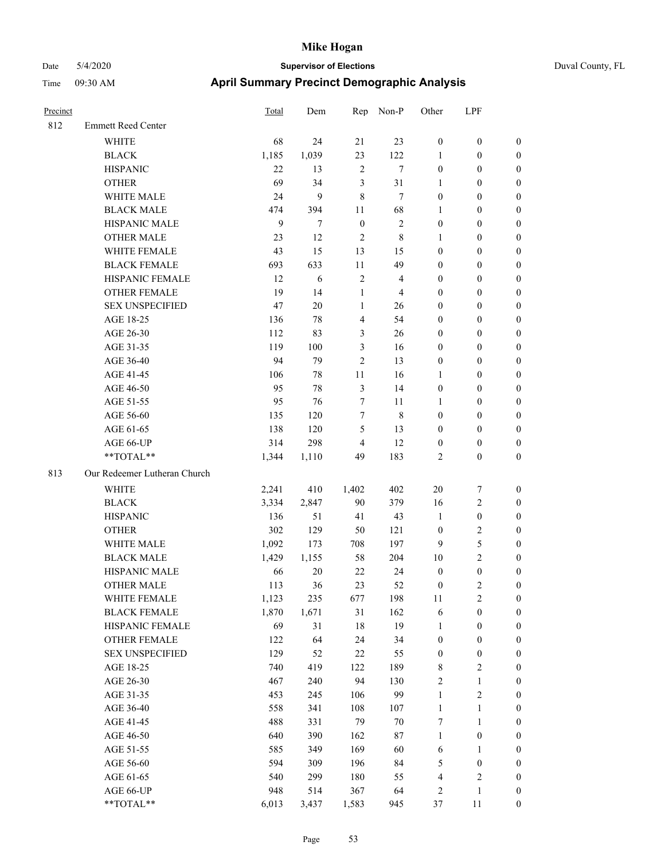# Date 5/4/2020 **Supervisor of Elections** Duval County, FL Time 09:30 AM **April Summary Precinct Demographic Analysis**

| Precinct |                              | Total | Dem            | Rep                     | Non-P                   | Other            | LPF              |                  |
|----------|------------------------------|-------|----------------|-------------------------|-------------------------|------------------|------------------|------------------|
| 812      | <b>Emmett Reed Center</b>    |       |                |                         |                         |                  |                  |                  |
|          | <b>WHITE</b>                 | 68    | 24             | 21                      | 23                      | $\boldsymbol{0}$ | $\boldsymbol{0}$ | $\boldsymbol{0}$ |
|          | <b>BLACK</b>                 | 1,185 | 1,039          | 23                      | 122                     | 1                | $\boldsymbol{0}$ | $\boldsymbol{0}$ |
|          | <b>HISPANIC</b>              | 22    | 13             | $\sqrt{2}$              | $\tau$                  | $\boldsymbol{0}$ | $\boldsymbol{0}$ | $\boldsymbol{0}$ |
|          | <b>OTHER</b>                 | 69    | 34             | 3                       | 31                      | 1                | $\boldsymbol{0}$ | $\boldsymbol{0}$ |
|          | WHITE MALE                   | 24    | 9              | $\,$ 8 $\,$             | $\tau$                  | $\boldsymbol{0}$ | $\boldsymbol{0}$ | $\boldsymbol{0}$ |
|          | <b>BLACK MALE</b>            | 474   | 394            | 11                      | 68                      | 1                | $\boldsymbol{0}$ | $\boldsymbol{0}$ |
|          | HISPANIC MALE                | 9     | $\overline{7}$ | $\boldsymbol{0}$        | $\sqrt{2}$              | $\boldsymbol{0}$ | $\boldsymbol{0}$ | $\boldsymbol{0}$ |
|          | <b>OTHER MALE</b>            | 23    | 12             | $\overline{2}$          | $\,$ 8 $\,$             | $\mathbf{1}$     | $\boldsymbol{0}$ | $\boldsymbol{0}$ |
|          | WHITE FEMALE                 | 43    | 15             | 13                      | 15                      | $\boldsymbol{0}$ | $\boldsymbol{0}$ | $\boldsymbol{0}$ |
|          | <b>BLACK FEMALE</b>          | 693   | 633            | 11                      | 49                      | $\boldsymbol{0}$ | $\boldsymbol{0}$ | $\boldsymbol{0}$ |
|          | HISPANIC FEMALE              | 12    | 6              | $\overline{\mathbf{c}}$ | $\overline{\mathbf{4}}$ | $\boldsymbol{0}$ | $\boldsymbol{0}$ | $\boldsymbol{0}$ |
|          | <b>OTHER FEMALE</b>          | 19    | 14             | 1                       | $\overline{4}$          | $\boldsymbol{0}$ | $\boldsymbol{0}$ | $\mathbf{0}$     |
|          | <b>SEX UNSPECIFIED</b>       | 47    | $20\,$         | $\mathbf{1}$            | 26                      | $\boldsymbol{0}$ | $\boldsymbol{0}$ | $\mathbf{0}$     |
|          | AGE 18-25                    | 136   | 78             | $\overline{\mathbf{4}}$ | 54                      | $\boldsymbol{0}$ | $\boldsymbol{0}$ | $\boldsymbol{0}$ |
|          | AGE 26-30                    | 112   | 83             | 3                       | 26                      | $\boldsymbol{0}$ | $\boldsymbol{0}$ | $\boldsymbol{0}$ |
|          | AGE 31-35                    | 119   | 100            | 3                       | 16                      | $\boldsymbol{0}$ | $\boldsymbol{0}$ | $\boldsymbol{0}$ |
|          | AGE 36-40                    | 94    | 79             | 2                       | 13                      | $\boldsymbol{0}$ | $\boldsymbol{0}$ | $\boldsymbol{0}$ |
|          | AGE 41-45                    | 106   | 78             | $11\,$                  | 16                      | 1                | $\boldsymbol{0}$ | $\boldsymbol{0}$ |
|          | AGE 46-50                    | 95    | 78             | 3                       | 14                      | $\boldsymbol{0}$ | $\boldsymbol{0}$ | $\boldsymbol{0}$ |
|          | AGE 51-55                    | 95    | 76             | 7                       | 11                      | 1                | $\boldsymbol{0}$ | $\boldsymbol{0}$ |
|          | AGE 56-60                    | 135   | 120            | 7                       | $\,8\,$                 | $\boldsymbol{0}$ | $\boldsymbol{0}$ | $\boldsymbol{0}$ |
|          | AGE 61-65                    | 138   | 120            | 5                       | 13                      | $\boldsymbol{0}$ | $\boldsymbol{0}$ | $\boldsymbol{0}$ |
|          | AGE 66-UP                    | 314   | 298            | $\overline{4}$          | 12                      | $\boldsymbol{0}$ | $\boldsymbol{0}$ | $\boldsymbol{0}$ |
|          | **TOTAL**                    | 1,344 | 1,110          | 49                      | 183                     | $\overline{c}$   | $\boldsymbol{0}$ | $\mathbf{0}$     |
| 813      | Our Redeemer Lutheran Church |       |                |                         |                         |                  |                  |                  |
|          | WHITE                        | 2,241 | 410            | 1,402                   | 402                     | $20\,$           | $\boldsymbol{7}$ | $\boldsymbol{0}$ |
|          | <b>BLACK</b>                 | 3,334 | 2,847          | 90                      | 379                     | 16               | $\sqrt{2}$       | $\boldsymbol{0}$ |
|          | <b>HISPANIC</b>              | 136   | 51             | 41                      | 43                      | $\mathbf{1}$     | $\boldsymbol{0}$ | $\boldsymbol{0}$ |
|          | <b>OTHER</b>                 | 302   | 129            | 50                      | 121                     | $\boldsymbol{0}$ | $\sqrt{2}$       | $\boldsymbol{0}$ |
|          | WHITE MALE                   | 1,092 | 173            | 708                     | 197                     | 9                | $\sqrt{5}$       | $\boldsymbol{0}$ |
|          | <b>BLACK MALE</b>            | 1,429 | 1,155          | 58                      | 204                     | 10               | $\overline{2}$   | $\boldsymbol{0}$ |
|          | HISPANIC MALE                | 66    | 20             | 22                      | 24                      | $\boldsymbol{0}$ | $\boldsymbol{0}$ | $\boldsymbol{0}$ |
|          | <b>OTHER MALE</b>            | 113   | 36             | 23                      | 52                      | $\boldsymbol{0}$ | $\overline{c}$   | $\boldsymbol{0}$ |
|          | WHITE FEMALE                 | 1,123 | 235            | 677                     | 198                     | 11               | $\sqrt{2}$       | $\theta$         |
|          | <b>BLACK FEMALE</b>          | 1,870 | 1,671          | 31                      | 162                     | 6                | $\boldsymbol{0}$ | 0                |
|          | HISPANIC FEMALE              | 69    | 31             | 18                      | 19                      | $\mathbf{1}$     | $\boldsymbol{0}$ | $\theta$         |
|          | <b>OTHER FEMALE</b>          | 122   | 64             | 24                      | 34                      | $\boldsymbol{0}$ | $\boldsymbol{0}$ | 0                |
|          | <b>SEX UNSPECIFIED</b>       | 129   | 52             | 22                      | 55                      | $\boldsymbol{0}$ | $\boldsymbol{0}$ | 0                |
|          | AGE 18-25                    | 740   | 419            | 122                     | 189                     | 8                | $\sqrt{2}$       | $\boldsymbol{0}$ |
|          | AGE 26-30                    | 467   | 240            | 94                      | 130                     | $\sqrt{2}$       | $\mathbf{1}$     | $\boldsymbol{0}$ |
|          | AGE 31-35                    | 453   | 245            | 106                     | 99                      | $\mathbf{1}$     | $\sqrt{2}$       | $\theta$         |
|          | AGE 36-40                    | 558   | 341            | 108                     | 107                     | $\mathbf{1}$     | $\mathbf{1}$     | $\boldsymbol{0}$ |
|          | AGE 41-45                    | 488   | 331            | 79                      | $70\,$                  | 7                | $\mathbf{1}$     | $\boldsymbol{0}$ |
|          | AGE 46-50                    | 640   | 390            | 162                     | $87\,$                  | $\mathbf{1}$     | $\boldsymbol{0}$ | $\overline{0}$   |
|          | AGE 51-55                    | 585   | 349            | 169                     | 60                      | 6                | $\mathbf{1}$     | $\boldsymbol{0}$ |
|          | AGE 56-60                    | 594   | 309            | 196                     | 84                      | 5                | $\boldsymbol{0}$ | $\theta$         |
|          | AGE 61-65                    | 540   | 299            | 180                     | 55                      | $\overline{4}$   | $\sqrt{2}$       | $\boldsymbol{0}$ |
|          | AGE 66-UP                    | 948   | 514            | 367                     | 64                      | $\overline{c}$   | $\mathbf{1}$     | $\boldsymbol{0}$ |

\*\*TOTAL\*\* 6,013 3,437 1,583 945 37 11 0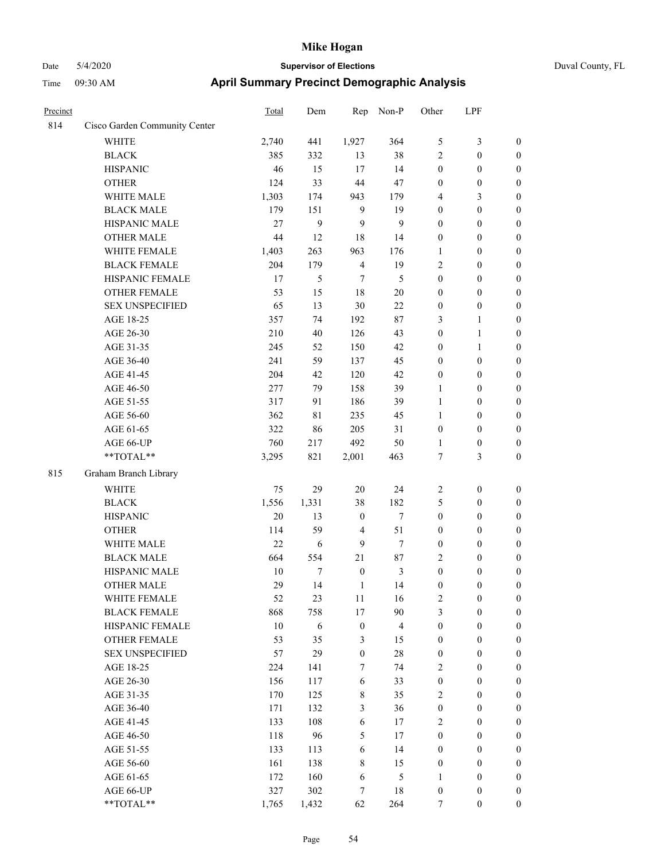| Precinct |                               | Total | Dem   | Rep              | Non-P                   | Other            | LPF              |                  |
|----------|-------------------------------|-------|-------|------------------|-------------------------|------------------|------------------|------------------|
| 814      | Cisco Garden Community Center |       |       |                  |                         |                  |                  |                  |
|          | <b>WHITE</b>                  | 2,740 | 441   | 1,927            | 364                     | 5                | $\mathfrak{Z}$   | $\boldsymbol{0}$ |
|          | <b>BLACK</b>                  | 385   | 332   | 13               | 38                      | $\overline{2}$   | $\boldsymbol{0}$ | $\boldsymbol{0}$ |
|          | <b>HISPANIC</b>               | 46    | 15    | 17               | 14                      | $\boldsymbol{0}$ | $\boldsymbol{0}$ | $\boldsymbol{0}$ |
|          | <b>OTHER</b>                  | 124   | 33    | 44               | 47                      | $\boldsymbol{0}$ | $\boldsymbol{0}$ | $\boldsymbol{0}$ |
|          | WHITE MALE                    | 1,303 | 174   | 943              | 179                     | 4                | $\mathfrak{Z}$   | 0                |
|          | <b>BLACK MALE</b>             | 179   | 151   | 9                | 19                      | $\boldsymbol{0}$ | $\boldsymbol{0}$ | $\boldsymbol{0}$ |
|          | HISPANIC MALE                 | 27    | 9     | 9                | 9                       | $\boldsymbol{0}$ | $\boldsymbol{0}$ | $\boldsymbol{0}$ |
|          | <b>OTHER MALE</b>             | 44    | 12    | 18               | 14                      | $\boldsymbol{0}$ | $\boldsymbol{0}$ | $\boldsymbol{0}$ |
|          | WHITE FEMALE                  | 1,403 | 263   | 963              | 176                     | $\mathbf{1}$     | $\boldsymbol{0}$ | $\boldsymbol{0}$ |
|          | <b>BLACK FEMALE</b>           | 204   | 179   | $\overline{4}$   | 19                      | $\sqrt{2}$       | $\boldsymbol{0}$ | $\boldsymbol{0}$ |
|          | HISPANIC FEMALE               | 17    | 5     | 7                | $\mathfrak s$           | $\boldsymbol{0}$ | $\boldsymbol{0}$ | $\boldsymbol{0}$ |
|          | OTHER FEMALE                  | 53    | 15    | 18               | $20\,$                  | $\boldsymbol{0}$ | $\boldsymbol{0}$ | $\boldsymbol{0}$ |
|          | <b>SEX UNSPECIFIED</b>        | 65    | 13    | $30\,$           | 22                      | $\boldsymbol{0}$ | $\boldsymbol{0}$ | $\boldsymbol{0}$ |
|          | AGE 18-25                     | 357   | 74    | 192              | 87                      | 3                | 1                | $\boldsymbol{0}$ |
|          | AGE 26-30                     | 210   | 40    | 126              | 43                      | $\boldsymbol{0}$ | $\mathbf{1}$     | 0                |
|          | AGE 31-35                     | 245   | 52    | 150              | 42                      | $\boldsymbol{0}$ | $\mathbf{1}$     | $\boldsymbol{0}$ |
|          | AGE 36-40                     | 241   | 59    | 137              | 45                      | $\boldsymbol{0}$ | $\boldsymbol{0}$ | $\boldsymbol{0}$ |
|          | AGE 41-45                     | 204   | 42    | 120              | 42                      | $\boldsymbol{0}$ | $\boldsymbol{0}$ | $\boldsymbol{0}$ |
|          | AGE 46-50                     | 277   | 79    | 158              | 39                      | $\mathbf{1}$     | $\boldsymbol{0}$ | $\boldsymbol{0}$ |
|          | AGE 51-55                     | 317   | 91    | 186              | 39                      | $\mathbf{1}$     | $\boldsymbol{0}$ | $\boldsymbol{0}$ |
|          | AGE 56-60                     | 362   | 81    | 235              | 45                      | $\mathbf{1}$     | $\boldsymbol{0}$ | $\boldsymbol{0}$ |
|          | AGE 61-65                     | 322   | 86    | 205              | 31                      | $\boldsymbol{0}$ | $\boldsymbol{0}$ | $\boldsymbol{0}$ |
|          | AGE 66-UP                     | 760   | 217   | 492              | 50                      | $\mathbf{1}$     | $\boldsymbol{0}$ | $\boldsymbol{0}$ |
|          | **TOTAL**                     | 3,295 | 821   | 2,001            | 463                     | 7                | 3                | $\boldsymbol{0}$ |
| 815      | Graham Branch Library         |       |       |                  |                         |                  |                  |                  |
|          | <b>WHITE</b>                  | 75    | 29    | 20               | 24                      | $\overline{c}$   | $\boldsymbol{0}$ | $\boldsymbol{0}$ |
|          | <b>BLACK</b>                  | 1,556 | 1,331 | 38               | 182                     | 5                | $\boldsymbol{0}$ | 0                |
|          | <b>HISPANIC</b>               | 20    | 13    | $\boldsymbol{0}$ | $\tau$                  | $\boldsymbol{0}$ | $\boldsymbol{0}$ | 0                |
|          | <b>OTHER</b>                  | 114   | 59    | $\overline{4}$   | 51                      | $\boldsymbol{0}$ | $\boldsymbol{0}$ | $\boldsymbol{0}$ |
|          | WHITE MALE                    | 22    | 6     | 9                | $\tau$                  | $\boldsymbol{0}$ | $\boldsymbol{0}$ | $\boldsymbol{0}$ |
|          | <b>BLACK MALE</b>             | 664   | 554   | 21               | 87                      | $\overline{c}$   | $\boldsymbol{0}$ | $\boldsymbol{0}$ |
|          | HISPANIC MALE                 | 10    | 7     | $\boldsymbol{0}$ | 3                       | $\boldsymbol{0}$ | $\boldsymbol{0}$ | $\boldsymbol{0}$ |
|          | <b>OTHER MALE</b>             | 29    | 14    | $\mathbf{1}$     | 14                      | $\boldsymbol{0}$ | $\boldsymbol{0}$ | $\boldsymbol{0}$ |
|          | WHITE FEMALE                  | 52    | 23    | $11\,$           | 16                      | $\sqrt{2}$       | $\boldsymbol{0}$ | $\boldsymbol{0}$ |
|          | <b>BLACK FEMALE</b>           | 868   | 758   | 17               | 90                      | 3                | $\boldsymbol{0}$ | 0                |
|          | HISPANIC FEMALE               | 10    | 6     | $\boldsymbol{0}$ | $\overline{\mathbf{4}}$ | $\boldsymbol{0}$ | $\boldsymbol{0}$ | 0                |
|          | <b>OTHER FEMALE</b>           | 53    | 35    | 3                | 15                      | $\boldsymbol{0}$ | $\boldsymbol{0}$ | 0                |
|          | <b>SEX UNSPECIFIED</b>        | 57    | 29    | $\boldsymbol{0}$ | $28\,$                  | $\boldsymbol{0}$ | $\boldsymbol{0}$ | 0                |
|          | AGE 18-25                     | 224   | 141   | $\tau$           | 74                      | $\overline{c}$   | $\boldsymbol{0}$ | $\overline{0}$   |
|          | AGE 26-30                     | 156   | 117   | 6                | 33                      | $\boldsymbol{0}$ | $\boldsymbol{0}$ | $\boldsymbol{0}$ |
|          | AGE 31-35                     | 170   | 125   | $\,$ 8 $\,$      | 35                      | $\overline{c}$   | $\boldsymbol{0}$ | $\overline{0}$   |
|          | AGE 36-40                     | 171   | 132   | $\mathfrak{Z}$   | 36                      | $\boldsymbol{0}$ | $\boldsymbol{0}$ | $\overline{0}$   |
|          | AGE 41-45                     | 133   | 108   | 6                | 17                      | $\sqrt{2}$       | $\boldsymbol{0}$ | $\overline{0}$   |
|          | AGE 46-50                     | 118   | 96    | $\sqrt{5}$       | 17                      | $\boldsymbol{0}$ | $\boldsymbol{0}$ | $\overline{0}$   |
|          | AGE 51-55                     | 133   | 113   | 6                | 14                      | $\boldsymbol{0}$ | $\boldsymbol{0}$ | $\boldsymbol{0}$ |
|          | AGE 56-60                     | 161   | 138   | $\,$ 8 $\,$      | 15                      | $\boldsymbol{0}$ | $\boldsymbol{0}$ | $\boldsymbol{0}$ |
|          | AGE 61-65                     | 172   | 160   | 6                | 5                       | $\mathbf{1}$     | $\boldsymbol{0}$ | $\boldsymbol{0}$ |
|          | AGE 66-UP                     | 327   | 302   | 7                | $18\,$                  | $\boldsymbol{0}$ | $\boldsymbol{0}$ | 0                |
|          | **TOTAL**                     | 1,765 | 1,432 | 62               | 264                     | $\boldsymbol{7}$ | $\boldsymbol{0}$ | $\boldsymbol{0}$ |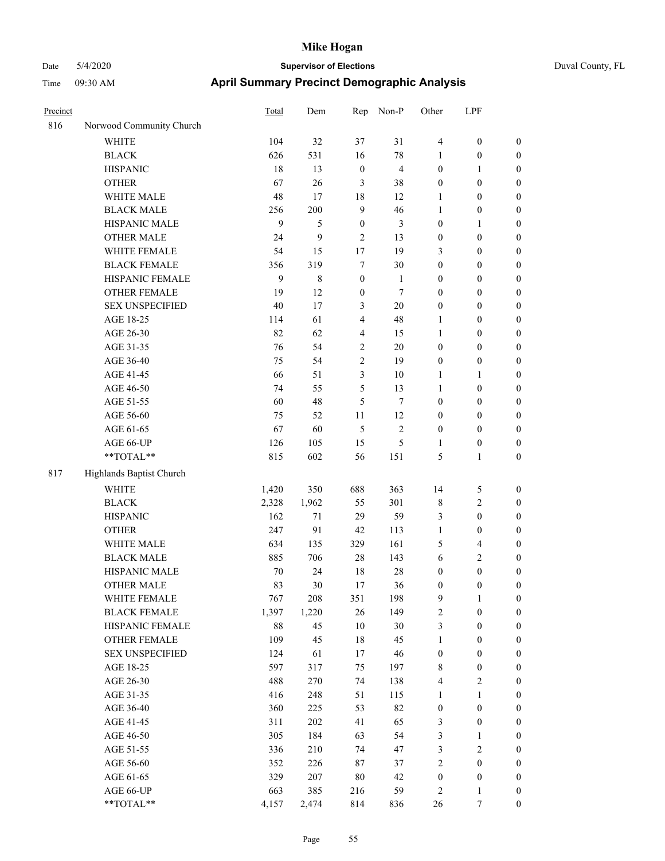| Precinct |                          | <b>Total</b> | Dem         | Rep              | Non-P          | Other            | LPF              |                  |
|----------|--------------------------|--------------|-------------|------------------|----------------|------------------|------------------|------------------|
| 816      | Norwood Community Church |              |             |                  |                |                  |                  |                  |
|          | <b>WHITE</b>             | 104          | 32          | 37               | 31             | $\overline{4}$   | $\boldsymbol{0}$ | $\boldsymbol{0}$ |
|          | <b>BLACK</b>             | 626          | 531         | 16               | 78             | 1                | $\boldsymbol{0}$ | $\boldsymbol{0}$ |
|          | <b>HISPANIC</b>          | 18           | 13          | $\boldsymbol{0}$ | $\overline{4}$ | $\boldsymbol{0}$ | 1                | $\boldsymbol{0}$ |
|          | <b>OTHER</b>             | 67           | 26          | 3                | 38             | $\boldsymbol{0}$ | $\boldsymbol{0}$ | $\boldsymbol{0}$ |
|          | WHITE MALE               | 48           | 17          | 18               | 12             | 1                | $\boldsymbol{0}$ | $\boldsymbol{0}$ |
|          | <b>BLACK MALE</b>        | 256          | 200         | 9                | 46             | 1                | $\boldsymbol{0}$ | $\boldsymbol{0}$ |
|          | HISPANIC MALE            | 9            | 5           | $\boldsymbol{0}$ | 3              | $\boldsymbol{0}$ | 1                | $\boldsymbol{0}$ |
|          | <b>OTHER MALE</b>        | 24           | 9           | $\overline{2}$   | 13             | $\boldsymbol{0}$ | $\boldsymbol{0}$ | $\boldsymbol{0}$ |
|          | WHITE FEMALE             | 54           | 15          | 17               | 19             | 3                | $\boldsymbol{0}$ | $\boldsymbol{0}$ |
|          | <b>BLACK FEMALE</b>      | 356          | 319         | 7                | 30             | $\boldsymbol{0}$ | $\boldsymbol{0}$ | $\boldsymbol{0}$ |
|          | HISPANIC FEMALE          | 9            | $\,$ 8 $\,$ | $\boldsymbol{0}$ | $\mathbf{1}$   | $\boldsymbol{0}$ | $\boldsymbol{0}$ | $\boldsymbol{0}$ |
|          | <b>OTHER FEMALE</b>      | 19           | 12          | $\boldsymbol{0}$ | 7              | $\boldsymbol{0}$ | $\boldsymbol{0}$ | $\boldsymbol{0}$ |
|          | <b>SEX UNSPECIFIED</b>   | 40           | 17          | 3                | $20\,$         | $\boldsymbol{0}$ | $\boldsymbol{0}$ | $\boldsymbol{0}$ |
|          | AGE 18-25                | 114          | 61          | $\overline{4}$   | 48             | 1                | $\boldsymbol{0}$ | $\boldsymbol{0}$ |
|          | AGE 26-30                | 82           | 62          | 4                | 15             | 1                | $\boldsymbol{0}$ | $\boldsymbol{0}$ |
|          | AGE 31-35                | 76           | 54          | $\overline{2}$   | 20             | $\boldsymbol{0}$ | $\boldsymbol{0}$ | $\boldsymbol{0}$ |
|          | AGE 36-40                | 75           | 54          | $\overline{2}$   | 19             | $\boldsymbol{0}$ | $\boldsymbol{0}$ | $\boldsymbol{0}$ |
|          | AGE 41-45                | 66           | 51          | 3                | 10             | 1                | 1                | $\boldsymbol{0}$ |
|          | AGE 46-50                | 74           | 55          | 5                | 13             | $\mathbf{1}$     | $\boldsymbol{0}$ | $\boldsymbol{0}$ |
|          | AGE 51-55                | 60           | 48          | 5                | $\overline{7}$ | $\boldsymbol{0}$ | $\boldsymbol{0}$ | $\boldsymbol{0}$ |
|          | AGE 56-60                | 75           | 52          | 11               | 12             | $\boldsymbol{0}$ | $\boldsymbol{0}$ | $\boldsymbol{0}$ |
|          | AGE 61-65                | 67           | 60          | 5                | $\overline{c}$ | $\boldsymbol{0}$ | $\boldsymbol{0}$ | $\boldsymbol{0}$ |
|          | AGE 66-UP                | 126          | 105         | 15               | 5              | 1                | $\boldsymbol{0}$ | $\boldsymbol{0}$ |
|          | **TOTAL**                | 815          | 602         | 56               | 151            | 5                | $\mathbf{1}$     | $\boldsymbol{0}$ |
| 817      | Highlands Baptist Church |              |             |                  |                |                  |                  |                  |
|          | <b>WHITE</b>             | 1,420        | 350         | 688              | 363            | 14               | 5                | $\boldsymbol{0}$ |
|          | <b>BLACK</b>             | 2,328        | 1,962       | 55               | 301            | $\,$ 8 $\,$      | 2                | $\boldsymbol{0}$ |
|          | <b>HISPANIC</b>          | 162          | 71          | 29               | 59             | $\mathfrak{Z}$   | $\boldsymbol{0}$ | $\boldsymbol{0}$ |
|          | <b>OTHER</b>             | 247          | 91          | 42               | 113            | 1                | $\boldsymbol{0}$ | $\boldsymbol{0}$ |
|          | WHITE MALE               | 634          | 135         | 329              | 161            | 5                | 4                | $\boldsymbol{0}$ |
|          | <b>BLACK MALE</b>        | 885          | 706         | 28               | 143            | 6                | 2                | $\boldsymbol{0}$ |
|          | HISPANIC MALE            | 70           | 24          | 18               | 28             | $\boldsymbol{0}$ | $\boldsymbol{0}$ | $\boldsymbol{0}$ |
|          | <b>OTHER MALE</b>        | 83           | 30          | 17               | 36             | $\boldsymbol{0}$ | 0                | $\boldsymbol{0}$ |
|          | WHITE FEMALE             | 767          | 208         | 351              | 198            | $\mathbf{9}$     | $\mathbf{1}$     | $\boldsymbol{0}$ |
|          | <b>BLACK FEMALE</b>      | 1,397        | 1,220       | $26\,$           | 149            | $\sqrt{2}$       | $\boldsymbol{0}$ | $\boldsymbol{0}$ |
|          | HISPANIC FEMALE          | 88           | 45          | $10\,$           | 30             | $\mathfrak{Z}$   | $\boldsymbol{0}$ | $\boldsymbol{0}$ |
|          | OTHER FEMALE             | 109          | 45          | $18\,$           | 45             | $\mathbf{1}$     | $\boldsymbol{0}$ | $\boldsymbol{0}$ |
|          | <b>SEX UNSPECIFIED</b>   | 124          | 61          | 17               | 46             | $\boldsymbol{0}$ | $\boldsymbol{0}$ | $\boldsymbol{0}$ |
|          | AGE 18-25                | 597          | 317         | 75               | 197            | $\,$ 8 $\,$      | $\boldsymbol{0}$ | $\boldsymbol{0}$ |
|          | AGE 26-30                | 488          | 270         | 74               | 138            | $\overline{4}$   | $\sqrt{2}$       | $\boldsymbol{0}$ |
|          | AGE 31-35                | 416          | 248         | 51               | 115            | $\mathbf{1}$     | $\mathbf{1}$     | $\boldsymbol{0}$ |
|          | AGE 36-40                | 360          | 225         | 53               | 82             | $\boldsymbol{0}$ | $\boldsymbol{0}$ | $\boldsymbol{0}$ |
|          | AGE 41-45                | 311          | $202\,$     | 41               | 65             | $\mathfrak{Z}$   | $\boldsymbol{0}$ | $\boldsymbol{0}$ |
|          | AGE 46-50                | 305          | 184         | 63               | 54             | $\mathfrak z$    | 1                | $\boldsymbol{0}$ |
|          | AGE 51-55                | 336          | 210         | 74               | 47             | $\mathfrak{Z}$   | $\sqrt{2}$       | $\boldsymbol{0}$ |
|          | AGE 56-60                | 352          | 226         | 87               | 37             | $\sqrt{2}$       | $\boldsymbol{0}$ | $\boldsymbol{0}$ |
|          | AGE 61-65                | 329          | 207         | $80\,$           | 42             | $\boldsymbol{0}$ | $\boldsymbol{0}$ | $\boldsymbol{0}$ |
|          | AGE 66-UP                | 663          | 385         | 216              | 59             | $\sqrt{2}$       | 1                | $\boldsymbol{0}$ |
|          | $**TOTAL**$              | 4,157        | 2,474       | 814              | 836            | 26               | $\tau$           | $\boldsymbol{0}$ |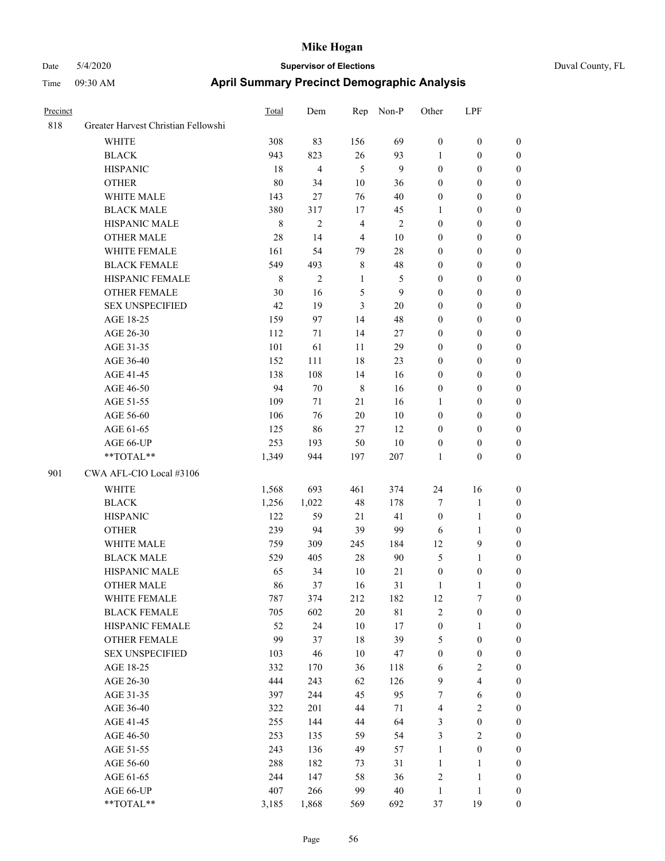| Precinct |                                     | Total       | Dem            | Rep            | Non-P          | Other            | LPF                     |                  |
|----------|-------------------------------------|-------------|----------------|----------------|----------------|------------------|-------------------------|------------------|
| 818      | Greater Harvest Christian Fellowshi |             |                |                |                |                  |                         |                  |
|          | <b>WHITE</b>                        | 308         | 83             | 156            | 69             | $\boldsymbol{0}$ | $\boldsymbol{0}$        | $\boldsymbol{0}$ |
|          | <b>BLACK</b>                        | 943         | 823            | 26             | 93             | 1                | $\boldsymbol{0}$        | $\boldsymbol{0}$ |
|          | <b>HISPANIC</b>                     | 18          | $\overline{4}$ | 5              | $\mathbf{9}$   | $\boldsymbol{0}$ | $\boldsymbol{0}$        | $\boldsymbol{0}$ |
|          | <b>OTHER</b>                        | 80          | 34             | $10\,$         | 36             | $\boldsymbol{0}$ | $\boldsymbol{0}$        | $\boldsymbol{0}$ |
|          | WHITE MALE                          | 143         | 27             | 76             | 40             | $\boldsymbol{0}$ | $\boldsymbol{0}$        | $\boldsymbol{0}$ |
|          | <b>BLACK MALE</b>                   | 380         | 317            | 17             | 45             | 1                | $\boldsymbol{0}$        | $\boldsymbol{0}$ |
|          | HISPANIC MALE                       | $\,$ 8 $\,$ | 2              | $\overline{4}$ | $\overline{2}$ | $\boldsymbol{0}$ | $\boldsymbol{0}$        | $\boldsymbol{0}$ |
|          | <b>OTHER MALE</b>                   | 28          | 14             | $\overline{4}$ | 10             | $\boldsymbol{0}$ | $\boldsymbol{0}$        | $\boldsymbol{0}$ |
|          | WHITE FEMALE                        | 161         | 54             | 79             | 28             | $\boldsymbol{0}$ | $\boldsymbol{0}$        | $\boldsymbol{0}$ |
|          | <b>BLACK FEMALE</b>                 | 549         | 493            | $\,$ 8 $\,$    | 48             | $\boldsymbol{0}$ | $\boldsymbol{0}$        | $\boldsymbol{0}$ |
|          | HISPANIC FEMALE                     | $\,$ 8 $\,$ | $\overline{c}$ | 1              | $\mathfrak{S}$ | $\boldsymbol{0}$ | $\boldsymbol{0}$        | $\boldsymbol{0}$ |
|          | <b>OTHER FEMALE</b>                 | 30          | 16             | 5              | 9              | $\boldsymbol{0}$ | $\boldsymbol{0}$        | $\boldsymbol{0}$ |
|          | <b>SEX UNSPECIFIED</b>              | 42          | 19             | 3              | $20\,$         | $\boldsymbol{0}$ | $\boldsymbol{0}$        | $\boldsymbol{0}$ |
|          | AGE 18-25                           | 159         | 97             | 14             | 48             | $\boldsymbol{0}$ | $\boldsymbol{0}$        | $\boldsymbol{0}$ |
|          | AGE 26-30                           | 112         | 71             | 14             | 27             | $\boldsymbol{0}$ | $\boldsymbol{0}$        | $\boldsymbol{0}$ |
|          | AGE 31-35                           | 101         | 61             | 11             | 29             | $\mathbf{0}$     | $\boldsymbol{0}$        | $\boldsymbol{0}$ |
|          | AGE 36-40                           | 152         | 111            | 18             | 23             | $\mathbf{0}$     | $\boldsymbol{0}$        | $\boldsymbol{0}$ |
|          | AGE 41-45                           | 138         | 108            | 14             | 16             | $\boldsymbol{0}$ | $\boldsymbol{0}$        | $\boldsymbol{0}$ |
|          | AGE 46-50                           | 94          | 70             | $\,$ 8 $\,$    | 16             | $\boldsymbol{0}$ | $\boldsymbol{0}$        | $\boldsymbol{0}$ |
|          | AGE 51-55                           | 109         | 71             | 21             | 16             | 1                | $\boldsymbol{0}$        | $\boldsymbol{0}$ |
|          | AGE 56-60                           | 106         | 76             | 20             | $10\,$         | $\boldsymbol{0}$ | $\boldsymbol{0}$        | $\boldsymbol{0}$ |
|          | AGE 61-65                           | 125         | 86             | $27\,$         | 12             | $\boldsymbol{0}$ | $\boldsymbol{0}$        | $\boldsymbol{0}$ |
|          | AGE 66-UP                           | 253         | 193            | 50             | $10\,$         | $\boldsymbol{0}$ | $\boldsymbol{0}$        | $\mathbf{0}$     |
|          | **TOTAL**                           | 1,349       | 944            | 197            | 207            | 1                | $\boldsymbol{0}$        | $\boldsymbol{0}$ |
| 901      | CWA AFL-CIO Local #3106             |             |                |                |                |                  |                         |                  |
|          | WHITE                               | 1,568       | 693            | 461            | 374            | 24               | 16                      | $\boldsymbol{0}$ |
|          | <b>BLACK</b>                        | 1,256       | 1,022          | $48\,$         | 178            | $\overline{7}$   | $\mathbf{1}$            | $\boldsymbol{0}$ |
|          | <b>HISPANIC</b>                     | 122         | 59             | 21             | 41             | $\boldsymbol{0}$ | $\mathbf{1}$            | $\boldsymbol{0}$ |
|          | <b>OTHER</b>                        | 239         | 94             | 39             | 99             | 6                | 1                       | $\boldsymbol{0}$ |
|          | WHITE MALE                          | 759         | 309            | 245            | 184            | 12               | 9                       | $\boldsymbol{0}$ |
|          | <b>BLACK MALE</b>                   | 529         | 405            | $28\,$         | 90             | 5                | 1                       | $\boldsymbol{0}$ |
|          | HISPANIC MALE                       | 65          | 34             | 10             | 21             | $\boldsymbol{0}$ | $\boldsymbol{0}$        | $\boldsymbol{0}$ |
|          | <b>OTHER MALE</b>                   | 86          | 37             | 16             | 31             | $\mathbf{1}$     | 1                       | $\boldsymbol{0}$ |
|          | WHITE FEMALE                        | 787         | 374            | 212            | 182            | 12               | $\boldsymbol{7}$        | $\boldsymbol{0}$ |
|          | <b>BLACK FEMALE</b>                 | 705         | 602            | $20\,$         | $8\sqrt{1}$    | $\sqrt{2}$       | $\boldsymbol{0}$        | $\boldsymbol{0}$ |
|          | HISPANIC FEMALE                     | 52          | 24             | $10\,$         | $17\,$         | $\boldsymbol{0}$ | 1                       | $\boldsymbol{0}$ |
|          | OTHER FEMALE                        | 99          | 37             | 18             | 39             | $\sqrt{5}$       | $\boldsymbol{0}$        | $\boldsymbol{0}$ |
|          | <b>SEX UNSPECIFIED</b>              | 103         | 46             | $10\,$         | 47             | $\boldsymbol{0}$ | $\boldsymbol{0}$        | $\boldsymbol{0}$ |
|          | AGE 18-25                           | 332         | 170            | 36             | 118            | 6                | $\overline{\mathbf{c}}$ | $\boldsymbol{0}$ |
|          | AGE 26-30                           | 444         | 243            | 62             | 126            | $\boldsymbol{9}$ | $\overline{\mathbf{4}}$ | $\boldsymbol{0}$ |
|          | AGE 31-35                           | 397         | 244            | 45             | 95             | 7                | 6                       | $\boldsymbol{0}$ |
|          | AGE 36-40                           | 322         | 201            | 44             | 71             | $\overline{4}$   | $\mathbf{2}$            | $\boldsymbol{0}$ |
|          | AGE 41-45                           | 255         | 144            | 44             | 64             | $\mathfrak{Z}$   | $\boldsymbol{0}$        | $\boldsymbol{0}$ |
|          | AGE 46-50                           | 253         | 135            | 59             | 54             | $\mathfrak{Z}$   | $\overline{\mathbf{c}}$ | $\boldsymbol{0}$ |
|          | AGE 51-55                           | 243         | 136            | 49             | 57             | $\mathbf{1}$     | $\boldsymbol{0}$        | $\boldsymbol{0}$ |
|          | AGE 56-60                           | 288         | 182            | 73             | 31             | $\mathbf{1}$     | 1                       | $\boldsymbol{0}$ |
|          | AGE 61-65                           | 244         | 147            | 58             | 36             | $\sqrt{2}$       | $\mathbf{1}$            | $\boldsymbol{0}$ |
|          | AGE 66-UP                           | 407         | 266            | 99             | 40             | $\mathbf{1}$     | $\mathbf{1}$            | $\boldsymbol{0}$ |
|          | **TOTAL**                           | 3,185       | 1,868          | 569            | 692            | 37               | 19                      | $\boldsymbol{0}$ |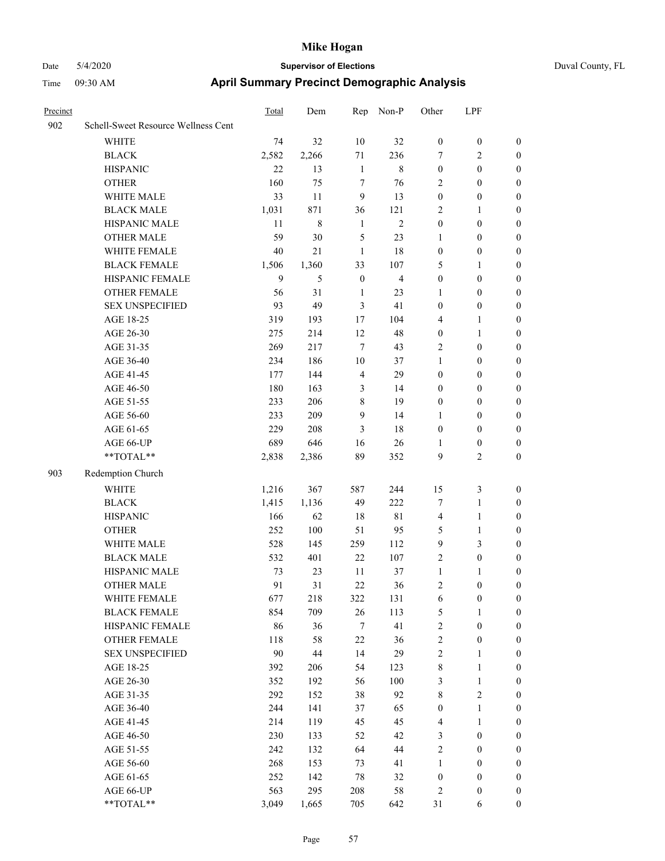| Precinct |                                     | <b>Total</b> | Dem     | Rep            | Non-P          | Other            | LPF              |                  |
|----------|-------------------------------------|--------------|---------|----------------|----------------|------------------|------------------|------------------|
| 902      | Schell-Sweet Resource Wellness Cent |              |         |                |                |                  |                  |                  |
|          | WHITE                               | 74           | 32      | 10             | 32             | $\boldsymbol{0}$ | $\boldsymbol{0}$ | $\boldsymbol{0}$ |
|          | <b>BLACK</b>                        | 2,582        | 2,266   | 71             | 236            | $\tau$           | 2                | $\boldsymbol{0}$ |
|          | <b>HISPANIC</b>                     | 22           | 13      | $\mathbf{1}$   | $\,$ 8 $\,$    | $\boldsymbol{0}$ | $\boldsymbol{0}$ | $\boldsymbol{0}$ |
|          | <b>OTHER</b>                        | 160          | 75      | $\tau$         | 76             | $\overline{2}$   | $\boldsymbol{0}$ | $\boldsymbol{0}$ |
|          | WHITE MALE                          | 33           | 11      | 9              | 13             | $\boldsymbol{0}$ | $\boldsymbol{0}$ | $\boldsymbol{0}$ |
|          | <b>BLACK MALE</b>                   | 1,031        | 871     | 36             | 121            | $\overline{2}$   | 1                | $\boldsymbol{0}$ |
|          | HISPANIC MALE                       | 11           | $\,8\,$ | $\mathbf{1}$   | $\overline{2}$ | $\boldsymbol{0}$ | $\mathbf{0}$     | $\boldsymbol{0}$ |
|          | <b>OTHER MALE</b>                   | 59           | 30      | 5              | 23             | 1                | $\boldsymbol{0}$ | $\boldsymbol{0}$ |
|          | WHITE FEMALE                        | 40           | 21      | $\mathbf{1}$   | 18             | $\boldsymbol{0}$ | $\boldsymbol{0}$ | $\boldsymbol{0}$ |
|          | <b>BLACK FEMALE</b>                 | 1,506        | 1,360   | 33             | 107            | 5                | 1                | $\boldsymbol{0}$ |
|          | HISPANIC FEMALE                     | 9            | 5       | $\mathbf{0}$   | $\overline{4}$ | $\boldsymbol{0}$ | $\boldsymbol{0}$ | $\boldsymbol{0}$ |
|          | <b>OTHER FEMALE</b>                 | 56           | 31      | 1              | 23             | 1                | $\boldsymbol{0}$ | $\boldsymbol{0}$ |
|          | <b>SEX UNSPECIFIED</b>              | 93           | 49      | $\mathfrak{Z}$ | 41             | $\boldsymbol{0}$ | $\boldsymbol{0}$ | $\boldsymbol{0}$ |
|          | AGE 18-25                           | 319          | 193     | 17             | 104            | $\overline{4}$   | 1                | $\boldsymbol{0}$ |
|          | AGE 26-30                           | 275          | 214     | 12             | 48             | $\boldsymbol{0}$ | 1                | $\boldsymbol{0}$ |
|          | AGE 31-35                           | 269          | 217     | $\overline{7}$ | 43             | $\overline{2}$   | $\boldsymbol{0}$ | $\boldsymbol{0}$ |
|          | AGE 36-40                           | 234          | 186     | 10             | 37             | $\mathbf{1}$     | $\boldsymbol{0}$ | $\boldsymbol{0}$ |
|          | AGE 41-45                           | 177          | 144     | $\overline{4}$ | 29             | $\boldsymbol{0}$ | $\boldsymbol{0}$ | $\boldsymbol{0}$ |
|          | AGE 46-50                           | 180          | 163     | 3              | 14             | $\boldsymbol{0}$ | $\boldsymbol{0}$ | $\boldsymbol{0}$ |
|          | AGE 51-55                           | 233          | 206     | 8              | 19             | $\boldsymbol{0}$ | $\boldsymbol{0}$ | $\boldsymbol{0}$ |
|          | AGE 56-60                           | 233          | 209     | 9              | 14             | 1                | $\boldsymbol{0}$ | $\boldsymbol{0}$ |
|          | AGE 61-65                           | 229          | 208     | 3              | 18             | $\boldsymbol{0}$ | $\boldsymbol{0}$ | $\boldsymbol{0}$ |
|          | AGE 66-UP                           | 689          | 646     | 16             | 26             | 1                | $\boldsymbol{0}$ | $\boldsymbol{0}$ |
|          | **TOTAL**                           | 2,838        | 2,386   | 89             | 352            | 9                | 2                | $\boldsymbol{0}$ |
| 903      | Redemption Church                   |              |         |                |                |                  |                  |                  |
|          | <b>WHITE</b>                        | 1,216        | 367     | 587            | 244            | 15               | 3                | $\boldsymbol{0}$ |
|          | <b>BLACK</b>                        | 1,415        | 1,136   | 49             | 222            | $\tau$           | 1                | $\boldsymbol{0}$ |
|          | <b>HISPANIC</b>                     | 166          | 62      | 18             | $8\sqrt{1}$    | $\overline{4}$   | 1                | $\boldsymbol{0}$ |
|          | <b>OTHER</b>                        | 252          | 100     | 51             | 95             | 5                | 1                | $\boldsymbol{0}$ |
|          | WHITE MALE                          | 528          | 145     | 259            | 112            | 9                | 3                | $\boldsymbol{0}$ |
|          | <b>BLACK MALE</b>                   | 532          | 401     | 22             | 107            | $\overline{2}$   | $\boldsymbol{0}$ | $\boldsymbol{0}$ |
|          | HISPANIC MALE                       | 73           | 23      | 11             | 37             | $\mathbf{1}$     | 1                | $\boldsymbol{0}$ |
|          | <b>OTHER MALE</b>                   | 91           | 31      | 22             | 36             | $\overline{c}$   | $\mathbf{0}$     | $\boldsymbol{0}$ |
|          | WHITE FEMALE                        | 677          | 218     | 322            | 131            | 6                | $\boldsymbol{0}$ | $\boldsymbol{0}$ |
|          | <b>BLACK FEMALE</b>                 | 854          | 709     | $26\,$         | 113            | $\sqrt{5}$       | 1                | $\boldsymbol{0}$ |
|          | HISPANIC FEMALE                     | 86           | 36      | $\tau$         | 41             | $\sqrt{2}$       | $\boldsymbol{0}$ | $\boldsymbol{0}$ |
|          | <b>OTHER FEMALE</b>                 | 118          | 58      | 22             | 36             | $\sqrt{2}$       | $\boldsymbol{0}$ | $\boldsymbol{0}$ |
|          | <b>SEX UNSPECIFIED</b>              | 90           | 44      | 14             | 29             | $\sqrt{2}$       | 1                | $\boldsymbol{0}$ |
|          | AGE 18-25                           | 392          | 206     | 54             | 123            | $\,$ $\,$        | 1                | $\boldsymbol{0}$ |
|          | AGE 26-30                           | 352          | 192     | 56             | 100            | $\mathfrak{Z}$   | $\mathbf{1}$     | $\boldsymbol{0}$ |
|          | AGE 31-35                           | 292          | 152     | 38             | 92             | $\,$ 8 $\,$      | 2                | $\boldsymbol{0}$ |
|          | AGE 36-40                           | 244          | 141     | 37             | 65             | $\boldsymbol{0}$ | 1                | $\boldsymbol{0}$ |
|          | AGE 41-45                           | 214          | 119     | 45             | 45             | $\overline{4}$   | 1                | $\boldsymbol{0}$ |
|          | AGE 46-50                           | 230          | 133     | 52             | 42             | $\mathfrak{Z}$   | $\boldsymbol{0}$ | $\boldsymbol{0}$ |
|          | AGE 51-55                           | 242          | 132     | 64             | 44             | $\sqrt{2}$       | $\boldsymbol{0}$ | $\boldsymbol{0}$ |
|          | AGE 56-60                           | 268          | 153     | 73             | 41             | $\mathbf{1}$     | $\boldsymbol{0}$ | $\boldsymbol{0}$ |
|          | AGE 61-65                           | 252          | 142     | 78             | 32             | $\boldsymbol{0}$ | $\boldsymbol{0}$ | $\boldsymbol{0}$ |
|          | AGE 66-UP                           | 563          | 295     | 208            | $58\,$         | $\sqrt{2}$       | $\boldsymbol{0}$ | $\boldsymbol{0}$ |
|          | $**TOTAL**$                         | 3,049        | 1,665   | 705            | 642            | 31               | 6                | $\boldsymbol{0}$ |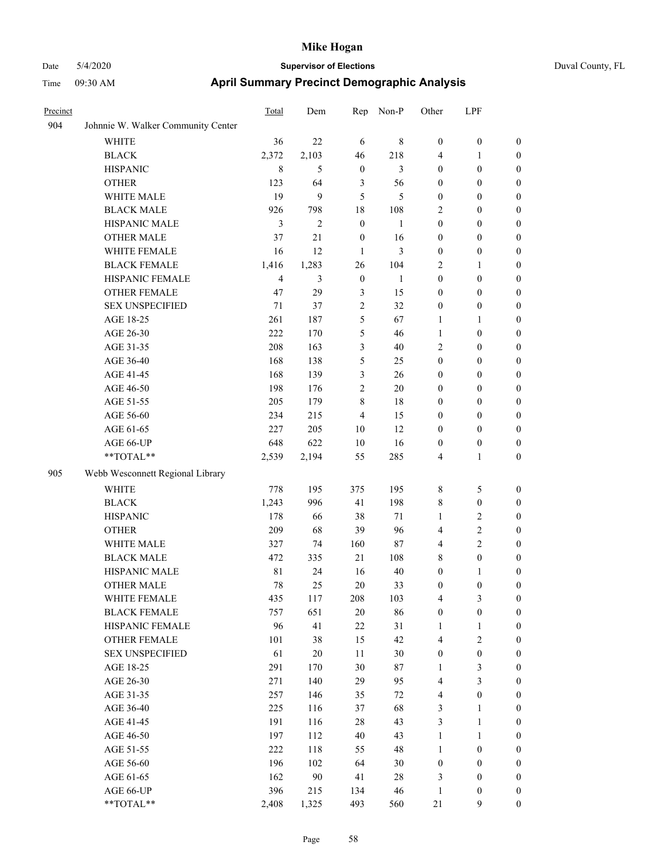| Duval Co |  |
|----------|--|
|          |  |

| Precinct |                                    | <b>Total</b>   | Dem            | Rep              | Non-P  | Other            | LPF              |                  |
|----------|------------------------------------|----------------|----------------|------------------|--------|------------------|------------------|------------------|
| 904      | Johnnie W. Walker Community Center |                |                |                  |        |                  |                  |                  |
|          | <b>WHITE</b>                       | 36             | 22             | 6                | 8      | $\boldsymbol{0}$ | $\boldsymbol{0}$ | $\boldsymbol{0}$ |
|          | <b>BLACK</b>                       | 2,372          | 2,103          | 46               | 218    | 4                | 1                | $\boldsymbol{0}$ |
|          | <b>HISPANIC</b>                    | 8              | 5              | $\boldsymbol{0}$ | 3      | $\boldsymbol{0}$ | $\boldsymbol{0}$ | $\boldsymbol{0}$ |
|          | <b>OTHER</b>                       | 123            | 64             | $\mathfrak{Z}$   | 56     | $\boldsymbol{0}$ | $\boldsymbol{0}$ | $\boldsymbol{0}$ |
|          | WHITE MALE                         | 19             | 9              | 5                | 5      | $\boldsymbol{0}$ | $\boldsymbol{0}$ | $\boldsymbol{0}$ |
|          | <b>BLACK MALE</b>                  | 926            | 798            | 18               | 108    | $\overline{2}$   | $\boldsymbol{0}$ | $\boldsymbol{0}$ |
|          | HISPANIC MALE                      | 3              | $\overline{c}$ | $\boldsymbol{0}$ | 1      | $\boldsymbol{0}$ | $\boldsymbol{0}$ | $\boldsymbol{0}$ |
|          | <b>OTHER MALE</b>                  | 37             | 21             | $\boldsymbol{0}$ | 16     | $\boldsymbol{0}$ | $\boldsymbol{0}$ | $\boldsymbol{0}$ |
|          | WHITE FEMALE                       | 16             | 12             | $\mathbf{1}$     | 3      | $\boldsymbol{0}$ | $\boldsymbol{0}$ | $\boldsymbol{0}$ |
|          | <b>BLACK FEMALE</b>                | 1,416          | 1,283          | 26               | 104    | 2                | 1                | $\boldsymbol{0}$ |
|          | HISPANIC FEMALE                    | $\overline{4}$ | 3              | $\mathbf{0}$     | 1      | $\boldsymbol{0}$ | $\boldsymbol{0}$ | 0                |
|          | <b>OTHER FEMALE</b>                | 47             | 29             | 3                | 15     | $\boldsymbol{0}$ | $\boldsymbol{0}$ | 0                |
|          | <b>SEX UNSPECIFIED</b>             | 71             | 37             | $\overline{2}$   | 32     | $\boldsymbol{0}$ | $\boldsymbol{0}$ | $\boldsymbol{0}$ |
|          | AGE 18-25                          | 261            | 187            | 5                | 67     | 1                | 1                | $\boldsymbol{0}$ |
|          | AGE 26-30                          | 222            | 170            | 5                | 46     | $\mathbf{1}$     | $\boldsymbol{0}$ | $\boldsymbol{0}$ |
|          | AGE 31-35                          | 208            | 163            | 3                | 40     | $\overline{2}$   | $\boldsymbol{0}$ | $\boldsymbol{0}$ |
|          | AGE 36-40                          | 168            | 138            | 5                | 25     | $\boldsymbol{0}$ | $\boldsymbol{0}$ | $\boldsymbol{0}$ |
|          | AGE 41-45                          | 168            | 139            | 3                | 26     | $\boldsymbol{0}$ | $\boldsymbol{0}$ | $\boldsymbol{0}$ |
|          | AGE 46-50                          | 198            | 176            | $\overline{c}$   | $20\,$ | $\boldsymbol{0}$ | $\boldsymbol{0}$ | $\boldsymbol{0}$ |
|          | AGE 51-55                          | 205            | 179            | 8                | 18     | $\boldsymbol{0}$ | $\boldsymbol{0}$ | 0                |
|          | AGE 56-60                          | 234            | 215            | $\overline{4}$   | 15     | $\boldsymbol{0}$ | $\boldsymbol{0}$ | 0                |
|          | AGE 61-65                          | 227            | 205            | 10               | 12     | $\boldsymbol{0}$ | $\boldsymbol{0}$ | 0                |
|          | AGE 66-UP                          | 648            | 622            | 10               | 16     | $\boldsymbol{0}$ | $\boldsymbol{0}$ | $\boldsymbol{0}$ |
|          | $**TOTAL**$                        | 2,539          | 2,194          | 55               | 285    | 4                | $\mathbf{1}$     | $\boldsymbol{0}$ |
| 905      | Webb Wesconnett Regional Library   |                |                |                  |        |                  |                  |                  |
|          | <b>WHITE</b>                       | 778            | 195            | 375              | 195    | 8                | 5                | $\boldsymbol{0}$ |
|          | <b>BLACK</b>                       | 1,243          | 996            | 41               | 198    | 8                | $\boldsymbol{0}$ | $\boldsymbol{0}$ |
|          | <b>HISPANIC</b>                    | 178            | 66             | 38               | 71     | $\mathbf{1}$     | $\overline{2}$   | $\boldsymbol{0}$ |
|          | <b>OTHER</b>                       | 209            | 68             | 39               | 96     | 4                | $\sqrt{2}$       | $\boldsymbol{0}$ |
|          | WHITE MALE                         | 327            | 74             | 160              | 87     | 4                | $\overline{2}$   | $\boldsymbol{0}$ |
|          | <b>BLACK MALE</b>                  | 472            | 335            | 21               | 108    | 8                | $\boldsymbol{0}$ | $\boldsymbol{0}$ |
|          | HISPANIC MALE                      | 81             | 24             | 16               | 40     | $\boldsymbol{0}$ | 1                | $\boldsymbol{0}$ |
|          | <b>OTHER MALE</b>                  | 78             | 25             | 20               | 33     | 0                | $\boldsymbol{0}$ | $\boldsymbol{0}$ |
|          | WHITE FEMALE                       | 435            | 117            | 208              | 103    | 4                | 3                | 0                |
|          | <b>BLACK FEMALE</b>                | 757            | 651            | $20\,$           | 86     | $\boldsymbol{0}$ | $\boldsymbol{0}$ | $\boldsymbol{0}$ |
|          | HISPANIC FEMALE                    | 96             | 41             | 22               | 31     | 1                | 1                | $\boldsymbol{0}$ |
|          | OTHER FEMALE                       | 101            | 38             | 15               | 42     | 4                | $\sqrt{2}$       | 0                |
|          | <b>SEX UNSPECIFIED</b>             | 61             | $20\,$         | 11               | 30     | $\boldsymbol{0}$ | $\boldsymbol{0}$ | 0                |
|          | AGE 18-25                          | 291            | 170            | $30\,$           | $87\,$ | $\mathbf{1}$     | $\mathfrak{Z}$   | $\overline{0}$   |
|          | AGE 26-30                          | 271            | 140            | 29               | 95     | 4                | $\mathfrak{Z}$   | 0                |
|          | AGE 31-35                          | 257            | 146            | 35               | $72\,$ | 4                | $\boldsymbol{0}$ | 0                |
|          | AGE 36-40                          | 225            | 116            | 37               | 68     | 3                | $\mathbf{1}$     | 0                |
|          | AGE 41-45                          | 191            | 116            | $28\,$           | 43     | 3                | $\mathbf{1}$     | 0                |
|          | AGE 46-50                          | 197            | 112            | 40               | 43     | $\mathbf{1}$     | $\mathbf{1}$     | 0                |
|          | AGE 51-55                          | 222            | 118            | 55               | 48     | $\mathbf{1}$     | $\boldsymbol{0}$ | $\boldsymbol{0}$ |
|          | AGE 56-60                          | 196            | 102            | 64               | 30     | $\boldsymbol{0}$ | $\boldsymbol{0}$ | $\boldsymbol{0}$ |
|          | AGE 61-65                          | 162            | 90             | 41               | $28\,$ | 3                | $\boldsymbol{0}$ | $\overline{0}$   |
|          | AGE 66-UP                          | 396            | 215            | 134              | 46     | $\mathbf{1}$     | $\boldsymbol{0}$ | 0                |
|          | **TOTAL**                          | 2,408          | 1,325          | 493              | 560    | $21\,$           | 9                | $\overline{0}$   |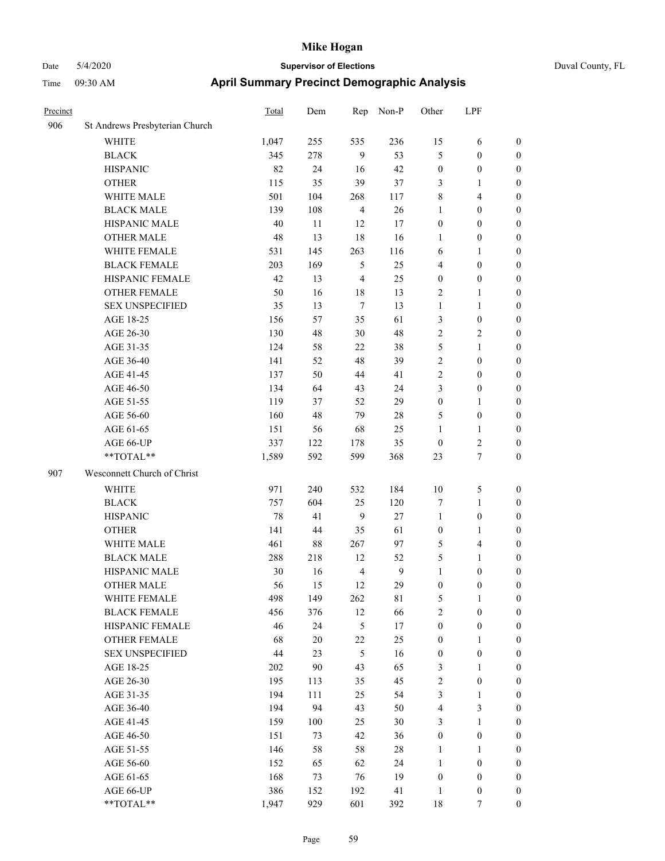| Precinct |                                | Total | Dem    | Rep            | Non-P  | Other            | LPF                     |                  |
|----------|--------------------------------|-------|--------|----------------|--------|------------------|-------------------------|------------------|
| 906      | St Andrews Presbyterian Church |       |        |                |        |                  |                         |                  |
|          | <b>WHITE</b>                   | 1,047 | 255    | 535            | 236    | 15               | 6                       | $\boldsymbol{0}$ |
|          | <b>BLACK</b>                   | 345   | 278    | 9              | 53     | 5                | $\boldsymbol{0}$        | $\boldsymbol{0}$ |
|          | <b>HISPANIC</b>                | 82    | 24     | 16             | 42     | $\boldsymbol{0}$ | $\boldsymbol{0}$        | $\boldsymbol{0}$ |
|          | <b>OTHER</b>                   | 115   | 35     | 39             | 37     | 3                | $\mathbf{1}$            | $\boldsymbol{0}$ |
|          | WHITE MALE                     | 501   | 104    | 268            | 117    | $\,$ $\,$        | $\overline{\mathbf{4}}$ | $\boldsymbol{0}$ |
|          | <b>BLACK MALE</b>              | 139   | 108    | $\overline{4}$ | $26\,$ | $\mathbf{1}$     | $\boldsymbol{0}$        | $\boldsymbol{0}$ |
|          | HISPANIC MALE                  | 40    | 11     | 12             | 17     | $\boldsymbol{0}$ | $\boldsymbol{0}$        | 0                |
|          | <b>OTHER MALE</b>              | 48    | 13     | 18             | 16     | 1                | $\boldsymbol{0}$        | $\boldsymbol{0}$ |
|          | WHITE FEMALE                   | 531   | 145    | 263            | 116    | 6                | 1                       | $\boldsymbol{0}$ |
|          | <b>BLACK FEMALE</b>            | 203   | 169    | 5              | 25     | 4                | $\boldsymbol{0}$        | $\boldsymbol{0}$ |
|          | HISPANIC FEMALE                | 42    | 13     | $\overline{4}$ | 25     | $\boldsymbol{0}$ | $\boldsymbol{0}$        | $\boldsymbol{0}$ |
|          | OTHER FEMALE                   | 50    | 16     | $18\,$         | 13     | $\overline{c}$   | $\mathbf{1}$            | $\boldsymbol{0}$ |
|          | <b>SEX UNSPECIFIED</b>         | 35    | 13     | $\tau$         | 13     | $\mathbf{1}$     | $\mathbf{1}$            | $\boldsymbol{0}$ |
|          | AGE 18-25                      | 156   | 57     | 35             | 61     | 3                | $\boldsymbol{0}$        | $\boldsymbol{0}$ |
|          | AGE 26-30                      | 130   | 48     | $30\,$         | 48     | $\overline{2}$   | $\overline{2}$          | $\boldsymbol{0}$ |
|          | AGE 31-35                      | 124   | 58     | $22\,$         | 38     | 5                | $\mathbf{1}$            | $\boldsymbol{0}$ |
|          | AGE 36-40                      | 141   | 52     | 48             | 39     | $\sqrt{2}$       | $\boldsymbol{0}$        | 0                |
|          | AGE 41-45                      | 137   | 50     | 44             | 41     | $\sqrt{2}$       | $\boldsymbol{0}$        | $\boldsymbol{0}$ |
|          | AGE 46-50                      | 134   | 64     | 43             | 24     | 3                | $\boldsymbol{0}$        | $\boldsymbol{0}$ |
|          | AGE 51-55                      | 119   | 37     | 52             | 29     | $\boldsymbol{0}$ | 1                       | $\boldsymbol{0}$ |
|          | AGE 56-60                      | 160   | 48     | 79             | $28\,$ | 5                | $\boldsymbol{0}$        | $\boldsymbol{0}$ |
|          | AGE 61-65                      | 151   | 56     | 68             | 25     | $\mathbf{1}$     | $\mathbf{1}$            | $\boldsymbol{0}$ |
|          | AGE 66-UP                      | 337   | 122    | 178            | 35     | $\boldsymbol{0}$ | $\sqrt{2}$              | $\boldsymbol{0}$ |
|          | **TOTAL**                      | 1,589 | 592    | 599            | 368    | 23               | $\tau$                  | $\boldsymbol{0}$ |
| 907      | Wesconnett Church of Christ    |       |        |                |        |                  |                         |                  |
|          | WHITE                          | 971   | 240    | 532            | 184    | 10               | $\mathfrak s$           | $\boldsymbol{0}$ |
|          | <b>BLACK</b>                   | 757   | 604    | 25             | 120    | 7                | $\mathbf{1}$            | $\boldsymbol{0}$ |
|          | <b>HISPANIC</b>                | 78    | 41     | 9              | 27     | $\mathbf{1}$     | $\boldsymbol{0}$        | $\boldsymbol{0}$ |
|          | <b>OTHER</b>                   | 141   | 44     | 35             | 61     | $\boldsymbol{0}$ | $\mathbf{1}$            | 0                |
|          | WHITE MALE                     | 461   | 88     | 267            | 97     | 5                | $\overline{4}$          | 0                |
|          | <b>BLACK MALE</b>              | 288   | 218    | 12             | 52     | 5                | 1                       | $\boldsymbol{0}$ |
|          | HISPANIC MALE                  | 30    | 16     | $\overline{4}$ | 9      | $\mathbf{1}$     | $\boldsymbol{0}$        | $\boldsymbol{0}$ |
|          | <b>OTHER MALE</b>              | 56    | 15     | 12             | 29     | $\boldsymbol{0}$ | $\boldsymbol{0}$        | $\boldsymbol{0}$ |
|          | WHITE FEMALE                   | 498   | 149    | 262            | 81     | 5                | $\mathbf{1}$            | $\boldsymbol{0}$ |
|          | <b>BLACK FEMALE</b>            | 456   | 376    | 12             | 66     | $\overline{c}$   | $\boldsymbol{0}$        | $\overline{0}$   |
|          | HISPANIC FEMALE                | 46    | 24     | $\sqrt{5}$     | 17     | $\boldsymbol{0}$ | $\boldsymbol{0}$        | $\overline{0}$   |
|          | <b>OTHER FEMALE</b>            | 68    | $20\,$ | $22\,$         | 25     | $\boldsymbol{0}$ | $\mathbf{1}$            | $\overline{0}$   |
|          | <b>SEX UNSPECIFIED</b>         | 44    | 23     | $\sqrt{5}$     | 16     | $\boldsymbol{0}$ | $\boldsymbol{0}$        | 0                |
|          | AGE 18-25                      | 202   | 90     | 43             | 65     | 3                | $\mathbf{1}$            | 0                |
|          | AGE 26-30                      | 195   | 113    | 35             | 45     | $\sqrt{2}$       | $\boldsymbol{0}$        | 0                |
|          | AGE 31-35                      | 194   | 111    | 25             | 54     | 3                | $\mathbf{1}$            | $\overline{0}$   |
|          | AGE 36-40                      | 194   | 94     | 43             | 50     | 4                | $\mathfrak{Z}$          | $\boldsymbol{0}$ |
|          | AGE 41-45                      | 159   | 100    | 25             | 30     | 3                | $\mathbf{1}$            | $\boldsymbol{0}$ |
|          | AGE 46-50                      | 151   | 73     | 42             | 36     | $\boldsymbol{0}$ | $\boldsymbol{0}$        | $\boldsymbol{0}$ |
|          | AGE 51-55                      | 146   | 58     | 58             | 28     | $\mathbf{1}$     | $\mathbf{1}$            | $\overline{0}$   |
|          | AGE 56-60                      | 152   | 65     | 62             | 24     | $\mathbf{1}$     | $\boldsymbol{0}$        | $\overline{0}$   |
|          | AGE 61-65                      | 168   | 73     | 76             | 19     | $\boldsymbol{0}$ | $\boldsymbol{0}$        | $\overline{0}$   |
|          | AGE 66-UP                      | 386   | 152    | 192            | 41     | $\mathbf{1}$     | $\boldsymbol{0}$        | $\boldsymbol{0}$ |
|          | **TOTAL**                      | 1,947 | 929    | 601            | 392    | 18               | $\boldsymbol{7}$        | $\boldsymbol{0}$ |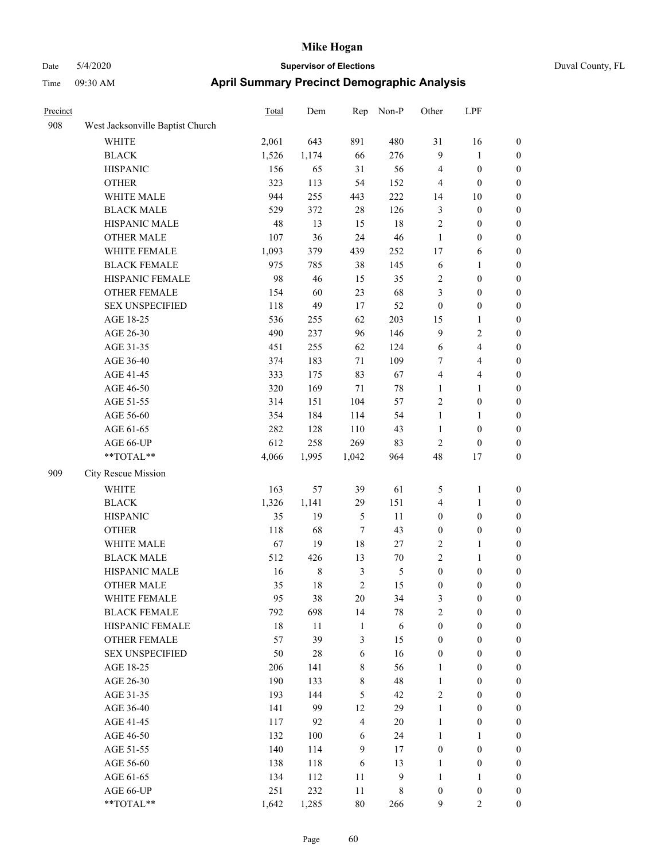| Precinct |                                  | <b>Total</b> | Dem   | Rep            | Non-P            | Other            | LPF              |                  |
|----------|----------------------------------|--------------|-------|----------------|------------------|------------------|------------------|------------------|
| 908      | West Jacksonville Baptist Church |              |       |                |                  |                  |                  |                  |
|          | WHITE                            | 2,061        | 643   | 891            | 480              | 31               | 16               | $\boldsymbol{0}$ |
|          | <b>BLACK</b>                     | 1,526        | 1,174 | 66             | 276              | $\overline{9}$   | $\mathbf{1}$     | $\boldsymbol{0}$ |
|          | <b>HISPANIC</b>                  | 156          | 65    | 31             | 56               | $\overline{4}$   | $\boldsymbol{0}$ | 0                |
|          | <b>OTHER</b>                     | 323          | 113   | 54             | 152              | $\overline{4}$   | $\boldsymbol{0}$ | 0                |
|          | WHITE MALE                       | 944          | 255   | 443            | 222              | 14               | 10               | $\boldsymbol{0}$ |
|          | <b>BLACK MALE</b>                | 529          | 372   | $28\,$         | 126              | 3                | $\boldsymbol{0}$ | $\boldsymbol{0}$ |
|          | HISPANIC MALE                    | 48           | 13    | 15             | 18               | $\overline{c}$   | $\boldsymbol{0}$ | $\boldsymbol{0}$ |
|          | <b>OTHER MALE</b>                | 107          | 36    | 24             | 46               | $\mathbf{1}$     | $\boldsymbol{0}$ | $\boldsymbol{0}$ |
|          | WHITE FEMALE                     | 1,093        | 379   | 439            | 252              | 17               | 6                | $\boldsymbol{0}$ |
|          | <b>BLACK FEMALE</b>              | 975          | 785   | 38             | 145              | 6                | $\mathbf{1}$     | $\boldsymbol{0}$ |
|          | HISPANIC FEMALE                  | 98           | 46    | 15             | 35               | $\overline{c}$   | $\boldsymbol{0}$ | $\boldsymbol{0}$ |
|          | <b>OTHER FEMALE</b>              | 154          | 60    | 23             | 68               | 3                | $\boldsymbol{0}$ | $\boldsymbol{0}$ |
|          | <b>SEX UNSPECIFIED</b>           | 118          | 49    | 17             | 52               | $\boldsymbol{0}$ | $\boldsymbol{0}$ | 0                |
|          | AGE 18-25                        | 536          | 255   | 62             | 203              | 15               | 1                | 0                |
|          | AGE 26-30                        | 490          | 237   | 96             | 146              | 9                | $\sqrt{2}$       | $\boldsymbol{0}$ |
|          | AGE 31-35                        | 451          | 255   | 62             | 124              | 6                | $\overline{4}$   | $\boldsymbol{0}$ |
|          | AGE 36-40                        | 374          | 183   | 71             | 109              | 7                | $\overline{4}$   | $\boldsymbol{0}$ |
|          | AGE 41-45                        | 333          | 175   | 83             | 67               | $\overline{4}$   | $\overline{4}$   | $\boldsymbol{0}$ |
|          | AGE 46-50                        | 320          | 169   | 71             | 78               | $\mathbf{1}$     | $\mathbf{1}$     | $\boldsymbol{0}$ |
|          | AGE 51-55                        | 314          | 151   | 104            | 57               | $\overline{c}$   | $\boldsymbol{0}$ | $\boldsymbol{0}$ |
|          | AGE 56-60                        | 354          | 184   | 114            | 54               | $\mathbf{1}$     | $\mathbf{1}$     | $\boldsymbol{0}$ |
|          | AGE 61-65                        | 282          | 128   | 110            | 43               | $\mathbf{1}$     | $\boldsymbol{0}$ | 0                |
|          | AGE 66-UP                        | 612          | 258   | 269            | 83               | $\overline{c}$   | $\boldsymbol{0}$ | 0                |
|          | $**TOTAL**$                      | 4,066        | 1,995 | 1,042          | 964              | 48               | 17               | $\boldsymbol{0}$ |
| 909      | City Rescue Mission              |              |       |                |                  |                  |                  |                  |
|          | <b>WHITE</b>                     | 163          | 57    | 39             | 61               | 5                | $\mathbf{1}$     | 0                |
|          | <b>BLACK</b>                     | 1,326        | 1,141 | 29             | 151              | 4                | $\mathbf{1}$     | $\boldsymbol{0}$ |
|          | <b>HISPANIC</b>                  | 35           | 19    | $\mathfrak{S}$ | 11               | $\boldsymbol{0}$ | $\boldsymbol{0}$ | 0                |
|          | <b>OTHER</b>                     | 118          | 68    | $\tau$         | 43               | $\boldsymbol{0}$ | $\boldsymbol{0}$ | $\boldsymbol{0}$ |
|          | WHITE MALE                       | 67           | 19    | 18             | 27               | $\overline{c}$   | $\mathbf{1}$     | $\boldsymbol{0}$ |
|          | <b>BLACK MALE</b>                | 512          | 426   | 13             | 70               | $\sqrt{2}$       | $\mathbf{1}$     | $\boldsymbol{0}$ |
|          | HISPANIC MALE                    | 16           | 8     | $\mathfrak{Z}$ | 5                | $\boldsymbol{0}$ | $\boldsymbol{0}$ | $\boldsymbol{0}$ |
|          | <b>OTHER MALE</b>                | 35           | 18    | $\overline{c}$ | 15               | $\boldsymbol{0}$ | $\boldsymbol{0}$ | $\boldsymbol{0}$ |
|          | WHITE FEMALE                     | 95           | 38    | 20             | 34               | 3                | $\boldsymbol{0}$ | 0                |
|          | <b>BLACK FEMALE</b>              | 792          | 698   | 14             | $78\,$           | $\sqrt{2}$       | $\boldsymbol{0}$ | 0                |
|          | HISPANIC FEMALE                  | 18           | 11    | $\mathbf{1}$   | 6                | $\boldsymbol{0}$ | $\boldsymbol{0}$ | $\boldsymbol{0}$ |
|          | OTHER FEMALE                     | 57           | 39    | $\mathfrak{Z}$ | 15               | $\boldsymbol{0}$ | $\boldsymbol{0}$ | $\boldsymbol{0}$ |
|          | <b>SEX UNSPECIFIED</b>           | 50           | 28    | 6              | 16               | $\boldsymbol{0}$ | $\boldsymbol{0}$ | $\boldsymbol{0}$ |
|          | AGE 18-25                        | 206          | 141   | $\,$ 8 $\,$    | 56               | $\mathbf{1}$     | $\boldsymbol{0}$ | $\overline{0}$   |
|          | AGE 26-30                        | 190          | 133   | $\,$ 8 $\,$    | 48               | $\mathbf{1}$     | $\boldsymbol{0}$ | $\overline{0}$   |
|          | AGE 31-35                        | 193          | 144   | $\mathfrak s$  | 42               | $\overline{c}$   | $\boldsymbol{0}$ | $\overline{0}$   |
|          | AGE 36-40                        | 141          | 99    | 12             | 29               | $\mathbf{1}$     | $\boldsymbol{0}$ | $\overline{0}$   |
|          | AGE 41-45                        | 117          | 92    | $\overline{4}$ | $20\,$           | $\mathbf{1}$     | $\boldsymbol{0}$ | $\overline{0}$   |
|          | AGE 46-50                        | 132          | 100   | 6              | 24               | $\mathbf{1}$     | $\mathbf{1}$     | $\boldsymbol{0}$ |
|          | AGE 51-55                        | 140          | 114   | $\mathbf{9}$   | 17               | $\boldsymbol{0}$ | $\boldsymbol{0}$ | 0                |
|          | AGE 56-60                        | 138          | 118   | 6              | 13               | $\mathbf{1}$     | $\boldsymbol{0}$ | $\boldsymbol{0}$ |
|          | AGE 61-65                        | 134          | 112   | 11             | $\boldsymbol{9}$ | $\mathbf{1}$     | $\mathbf{1}$     | $\boldsymbol{0}$ |
|          | AGE 66-UP                        | 251          | 232   | $11\,$         | 8                | $\boldsymbol{0}$ | $\boldsymbol{0}$ | $\boldsymbol{0}$ |
|          | **TOTAL**                        | 1,642        | 1,285 | $80\,$         | 266              | 9                | $\overline{2}$   | $\boldsymbol{0}$ |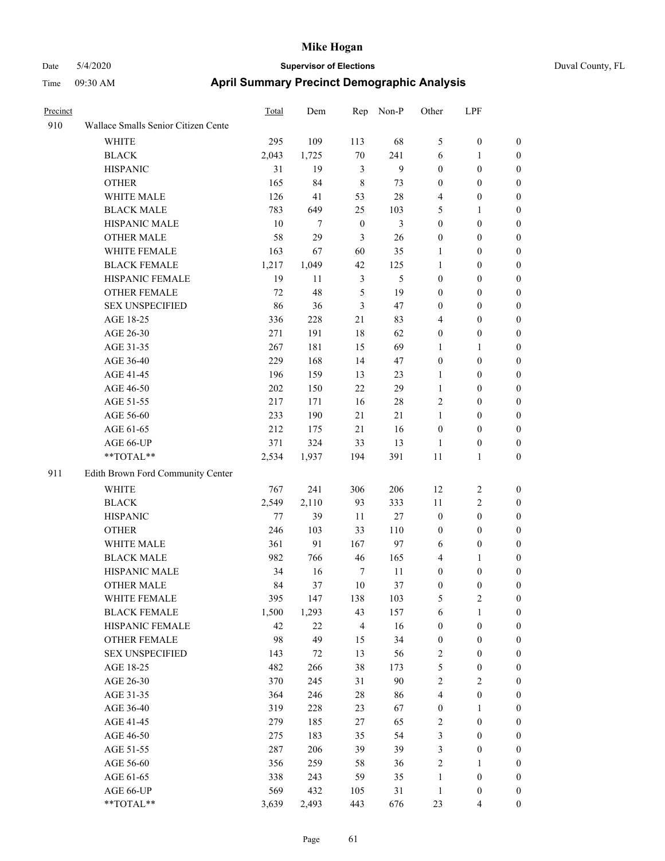| Precinct |                                     | Total | Dem    | Rep              | Non-P         | Other            | LPF              |                  |
|----------|-------------------------------------|-------|--------|------------------|---------------|------------------|------------------|------------------|
| 910      | Wallace Smalls Senior Citizen Cente |       |        |                  |               |                  |                  |                  |
|          | WHITE                               | 295   | 109    | 113              | 68            | 5                | $\boldsymbol{0}$ | $\boldsymbol{0}$ |
|          | <b>BLACK</b>                        | 2,043 | 1,725  | $70\,$           | 241           | 6                | $\mathbf{1}$     | $\boldsymbol{0}$ |
|          | <b>HISPANIC</b>                     | 31    | 19     | 3                | $\mathbf{9}$  | $\boldsymbol{0}$ | $\boldsymbol{0}$ | $\boldsymbol{0}$ |
|          | <b>OTHER</b>                        | 165   | 84     | $\,$ 8 $\,$      | 73            | $\boldsymbol{0}$ | $\boldsymbol{0}$ | $\boldsymbol{0}$ |
|          | WHITE MALE                          | 126   | 41     | 53               | 28            | 4                | $\boldsymbol{0}$ | 0                |
|          | <b>BLACK MALE</b>                   | 783   | 649    | 25               | 103           | 5                | $\mathbf{1}$     | $\boldsymbol{0}$ |
|          | HISPANIC MALE                       | 10    | 7      | $\boldsymbol{0}$ | 3             | $\boldsymbol{0}$ | $\boldsymbol{0}$ | $\boldsymbol{0}$ |
|          | <b>OTHER MALE</b>                   | 58    | 29     | $\mathfrak{Z}$   | 26            | $\boldsymbol{0}$ | $\boldsymbol{0}$ | $\boldsymbol{0}$ |
|          | WHITE FEMALE                        | 163   | 67     | 60               | 35            | $\mathbf{1}$     | $\boldsymbol{0}$ | $\boldsymbol{0}$ |
|          | <b>BLACK FEMALE</b>                 | 1,217 | 1,049  | 42               | 125           | $\mathbf{1}$     | $\boldsymbol{0}$ | $\boldsymbol{0}$ |
|          | HISPANIC FEMALE                     | 19    | 11     | $\mathfrak{Z}$   | $\mathfrak s$ | $\boldsymbol{0}$ | $\boldsymbol{0}$ | $\boldsymbol{0}$ |
|          | OTHER FEMALE                        | 72    | 48     | $\sqrt{5}$       | 19            | $\boldsymbol{0}$ | $\boldsymbol{0}$ | $\boldsymbol{0}$ |
|          | <b>SEX UNSPECIFIED</b>              | 86    | 36     | $\mathfrak{Z}$   | 47            | $\boldsymbol{0}$ | $\boldsymbol{0}$ | $\boldsymbol{0}$ |
|          | AGE 18-25                           | 336   | 228    | 21               | 83            | 4                | $\boldsymbol{0}$ | $\boldsymbol{0}$ |
|          | AGE 26-30                           | 271   | 191    | 18               | 62            | $\boldsymbol{0}$ | $\boldsymbol{0}$ | 0                |
|          | AGE 31-35                           | 267   | 181    | 15               | 69            | 1                | 1                | $\boldsymbol{0}$ |
|          | AGE 36-40                           | 229   | 168    | 14               | 47            | $\boldsymbol{0}$ | $\boldsymbol{0}$ | $\boldsymbol{0}$ |
|          | AGE 41-45                           | 196   | 159    | 13               | 23            | $\mathbf{1}$     | $\boldsymbol{0}$ | $\boldsymbol{0}$ |
|          | AGE 46-50                           | 202   | 150    | $22\,$           | 29            | $\mathbf{1}$     | $\boldsymbol{0}$ | $\boldsymbol{0}$ |
|          | AGE 51-55                           | 217   | 171    | 16               | 28            | $\overline{2}$   | $\boldsymbol{0}$ | $\boldsymbol{0}$ |
|          | AGE 56-60                           | 233   | 190    | 21               | 21            | $\mathbf{1}$     | $\boldsymbol{0}$ | $\boldsymbol{0}$ |
|          | AGE 61-65                           | 212   | 175    | 21               | 16            | $\boldsymbol{0}$ | $\boldsymbol{0}$ | $\boldsymbol{0}$ |
|          | AGE 66-UP                           | 371   | 324    | 33               | 13            | $\mathbf{1}$     | $\boldsymbol{0}$ | 0                |
|          | **TOTAL**                           | 2,534 | 1,937  | 194              | 391           | $11\,$           | 1                | $\boldsymbol{0}$ |
| 911      | Edith Brown Ford Community Center   |       |        |                  |               |                  |                  |                  |
|          | <b>WHITE</b>                        | 767   | 241    | 306              | 206           | 12               | $\overline{c}$   | $\boldsymbol{0}$ |
|          | <b>BLACK</b>                        | 2,549 | 2,110  | 93               | 333           | 11               | $\boldsymbol{2}$ | 0                |
|          | <b>HISPANIC</b>                     | 77    | 39     | 11               | 27            | $\boldsymbol{0}$ | $\boldsymbol{0}$ | 0                |
|          | <b>OTHER</b>                        | 246   | 103    | 33               | 110           | $\boldsymbol{0}$ | $\boldsymbol{0}$ | $\boldsymbol{0}$ |
|          | WHITE MALE                          | 361   | 91     | 167              | 97            | 6                | $\boldsymbol{0}$ | $\boldsymbol{0}$ |
|          | <b>BLACK MALE</b>                   | 982   | 766    | 46               | 165           | 4                | 1                | $\boldsymbol{0}$ |
|          | HISPANIC MALE                       | 34    | 16     | $\boldsymbol{7}$ | 11            | $\boldsymbol{0}$ | $\boldsymbol{0}$ | $\boldsymbol{0}$ |
|          | <b>OTHER MALE</b>                   | 84    | 37     | $10\,$           | 37            | $\boldsymbol{0}$ | $\boldsymbol{0}$ | $\boldsymbol{0}$ |
|          | WHITE FEMALE                        | 395   | 147    | 138              | 103           | $\mathfrak s$    | $\boldsymbol{2}$ | $\boldsymbol{0}$ |
|          | <b>BLACK FEMALE</b>                 | 1,500 | 1,293  | 43               | 157           | 6                | $\mathbf{1}$     | 0                |
|          | HISPANIC FEMALE                     | 42    | $22\,$ | $\overline{4}$   | 16            | $\boldsymbol{0}$ | $\boldsymbol{0}$ | 0                |
|          | <b>OTHER FEMALE</b>                 | 98    | 49     | 15               | 34            | $\boldsymbol{0}$ | $\boldsymbol{0}$ | 0                |
|          | <b>SEX UNSPECIFIED</b>              | 143   | 72     | 13               | 56            | $\sqrt{2}$       | $\boldsymbol{0}$ | 0                |
|          | AGE 18-25                           | 482   | 266    | 38               | 173           | 5                | $\boldsymbol{0}$ | $\overline{0}$   |
|          | AGE 26-30                           | 370   | 245    | 31               | 90            | $\overline{c}$   | $\sqrt{2}$       | $\boldsymbol{0}$ |
|          | AGE 31-35                           | 364   | 246    | $28\,$           | 86            | 4                | $\boldsymbol{0}$ | $\overline{0}$   |
|          | AGE 36-40                           | 319   | 228    | 23               | 67            | $\boldsymbol{0}$ | 1                | $\boldsymbol{0}$ |
|          | AGE 41-45                           | 279   | 185    | 27               | 65            | $\overline{c}$   | $\boldsymbol{0}$ | $\overline{0}$   |
|          | AGE 46-50                           | 275   | 183    | 35               | 54            | $\mathfrak{Z}$   | $\boldsymbol{0}$ | $\overline{0}$   |
|          | AGE 51-55                           | 287   | 206    | 39               | 39            | $\mathfrak{Z}$   | $\boldsymbol{0}$ | $\boldsymbol{0}$ |
|          | AGE 56-60                           | 356   | 259    | 58               | 36            | $\sqrt{2}$       | 1                | $\boldsymbol{0}$ |
|          | AGE 61-65                           | 338   | 243    | 59               | 35            | $\mathbf{1}$     | $\boldsymbol{0}$ | 0                |
|          | AGE 66-UP                           | 569   | 432    | 105              | 31            | $\mathbf{1}$     | $\boldsymbol{0}$ | 0                |
|          | **TOTAL**                           | 3,639 | 2,493  | 443              | 676           | 23               | $\overline{4}$   | $\boldsymbol{0}$ |
|          |                                     |       |        |                  |               |                  |                  |                  |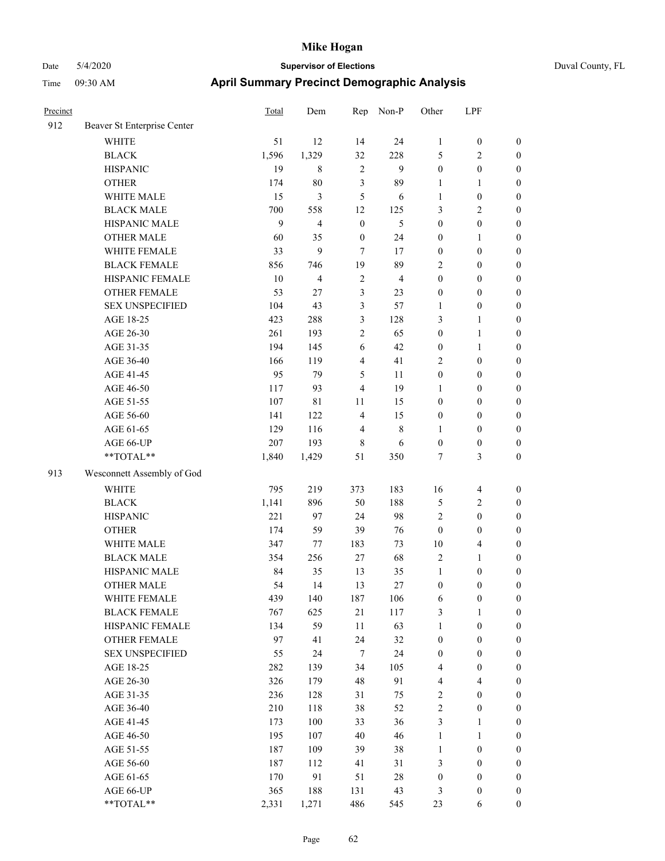| Precinct |                             | Total | Dem            | Rep              | Non-P          | Other                   | LPF              |                  |
|----------|-----------------------------|-------|----------------|------------------|----------------|-------------------------|------------------|------------------|
| 912      | Beaver St Enterprise Center |       |                |                  |                |                         |                  |                  |
|          | <b>WHITE</b>                | 51    | 12             | 14               | 24             | $\mathbf{1}$            | $\boldsymbol{0}$ | $\boldsymbol{0}$ |
|          | <b>BLACK</b>                | 1,596 | 1,329          | 32               | 228            | 5                       | 2                | $\boldsymbol{0}$ |
|          | <b>HISPANIC</b>             | 19    | $\,8\,$        | $\overline{2}$   | 9              | $\boldsymbol{0}$        | $\boldsymbol{0}$ | $\boldsymbol{0}$ |
|          | <b>OTHER</b>                | 174   | $80\,$         | $\mathfrak{Z}$   | 89             | 1                       | 1                | $\boldsymbol{0}$ |
|          | WHITE MALE                  | 15    | 3              | 5                | 6              | 1                       | $\boldsymbol{0}$ | $\boldsymbol{0}$ |
|          | <b>BLACK MALE</b>           | 700   | 558            | 12               | 125            | 3                       | 2                | $\boldsymbol{0}$ |
|          | HISPANIC MALE               | 9     | $\overline{4}$ | $\boldsymbol{0}$ | 5              | $\boldsymbol{0}$        | $\boldsymbol{0}$ | $\boldsymbol{0}$ |
|          | <b>OTHER MALE</b>           | 60    | 35             | $\boldsymbol{0}$ | 24             | $\boldsymbol{0}$        | $\mathbf{1}$     | $\boldsymbol{0}$ |
|          | WHITE FEMALE                | 33    | 9              | $\overline{7}$   | 17             | $\boldsymbol{0}$        | $\boldsymbol{0}$ | $\boldsymbol{0}$ |
|          | <b>BLACK FEMALE</b>         | 856   | 746            | 19               | 89             | $\sqrt{2}$              | $\boldsymbol{0}$ | $\boldsymbol{0}$ |
|          | HISPANIC FEMALE             | 10    | $\overline{4}$ | $\overline{2}$   | $\overline{4}$ | $\boldsymbol{0}$        | $\boldsymbol{0}$ | $\boldsymbol{0}$ |
|          | <b>OTHER FEMALE</b>         | 53    | 27             | 3                | 23             | $\boldsymbol{0}$        | $\boldsymbol{0}$ | $\boldsymbol{0}$ |
|          | <b>SEX UNSPECIFIED</b>      | 104   | 43             | 3                | 57             | $\mathbf{1}$            | $\boldsymbol{0}$ | $\boldsymbol{0}$ |
|          | AGE 18-25                   | 423   | 288            | $\mathfrak{Z}$   | 128            | $\mathfrak{Z}$          | 1                | $\boldsymbol{0}$ |
|          | AGE 26-30                   | 261   | 193            | $\overline{2}$   | 65             | $\boldsymbol{0}$        | 1                | $\boldsymbol{0}$ |
|          | AGE 31-35                   | 194   | 145            | 6                | 42             | $\boldsymbol{0}$        | 1                | $\boldsymbol{0}$ |
|          | AGE 36-40                   | 166   | 119            | 4                | 41             | $\overline{2}$          | $\boldsymbol{0}$ | $\boldsymbol{0}$ |
|          | AGE 41-45                   | 95    | 79             | 5                | 11             | $\boldsymbol{0}$        | $\boldsymbol{0}$ | $\boldsymbol{0}$ |
|          | AGE 46-50                   | 117   | 93             | $\overline{4}$   | 19             | 1                       | $\boldsymbol{0}$ | $\boldsymbol{0}$ |
|          | AGE 51-55                   | 107   | $8\sqrt{1}$    | 11               | 15             | $\boldsymbol{0}$        | $\boldsymbol{0}$ | $\boldsymbol{0}$ |
|          | AGE 56-60                   | 141   | 122            | $\overline{4}$   | 15             | $\boldsymbol{0}$        | $\boldsymbol{0}$ | $\boldsymbol{0}$ |
|          | AGE 61-65                   | 129   | 116            | $\overline{4}$   | 8              | 1                       | $\boldsymbol{0}$ | $\boldsymbol{0}$ |
|          | AGE 66-UP                   | 207   | 193            | $\,$ 8 $\,$      | 6              | $\boldsymbol{0}$        | $\boldsymbol{0}$ | $\boldsymbol{0}$ |
|          | **TOTAL**                   | 1,840 | 1,429          | 51               | 350            | 7                       | 3                | $\boldsymbol{0}$ |
| 913      | Wesconnett Assembly of God  |       |                |                  |                |                         |                  |                  |
|          | <b>WHITE</b>                | 795   | 219            | 373              | 183            | 16                      | $\overline{4}$   | $\boldsymbol{0}$ |
|          | <b>BLACK</b>                | 1,141 | 896            | 50               | 188            | 5                       | 2                | $\boldsymbol{0}$ |
|          | <b>HISPANIC</b>             | 221   | 97             | 24               | 98             | $\overline{2}$          | $\boldsymbol{0}$ | $\boldsymbol{0}$ |
|          | <b>OTHER</b>                | 174   | 59             | 39               | 76             | $\mathbf{0}$            | $\boldsymbol{0}$ | $\boldsymbol{0}$ |
|          | WHITE MALE                  | 347   | 77             | 183              | 73             | 10                      | 4                | $\boldsymbol{0}$ |
|          | <b>BLACK MALE</b>           | 354   | 256            | 27               | 68             | $\sqrt{2}$              | 1                | $\boldsymbol{0}$ |
|          | HISPANIC MALE               | 84    | 35             | 13               | 35             | $\mathbf{1}$            | $\boldsymbol{0}$ | $\boldsymbol{0}$ |
|          | <b>OTHER MALE</b>           | 54    | 14             | 13               | 27             | $\boldsymbol{0}$        | $\boldsymbol{0}$ | $\boldsymbol{0}$ |
|          | WHITE FEMALE                | 439   | 140            | 187              | 106            | 6                       | $\boldsymbol{0}$ | $\mathbf{0}$     |
|          | <b>BLACK FEMALE</b>         | 767   | 625            | 21               | 117            | $\mathfrak{Z}$          | 1                | $\boldsymbol{0}$ |
|          | HISPANIC FEMALE             | 134   | 59             | 11               | 63             | $\mathbf{1}$            | $\boldsymbol{0}$ | $\boldsymbol{0}$ |
|          | <b>OTHER FEMALE</b>         | 97    | 41             | 24               | 32             | $\boldsymbol{0}$        | $\boldsymbol{0}$ | $\boldsymbol{0}$ |
|          | <b>SEX UNSPECIFIED</b>      | 55    | 24             | $\tau$           | 24             | $\boldsymbol{0}$        | $\boldsymbol{0}$ | $\boldsymbol{0}$ |
|          | AGE 18-25                   | 282   | 139            | 34               | 105            | $\overline{4}$          | $\boldsymbol{0}$ | $\boldsymbol{0}$ |
|          | AGE 26-30                   | 326   | 179            | 48               | 91             | $\overline{\mathbf{4}}$ | 4                | $\boldsymbol{0}$ |
|          | AGE 31-35                   | 236   | 128            | 31               | 75             | $\sqrt{2}$              | $\boldsymbol{0}$ | $\boldsymbol{0}$ |
|          | AGE 36-40                   | 210   | 118            | 38               | 52             | $\sqrt{2}$              | $\boldsymbol{0}$ | $\boldsymbol{0}$ |
|          | AGE 41-45                   | 173   | 100            | 33               | 36             | $\mathfrak{Z}$          | 1                | $\boldsymbol{0}$ |
|          | AGE 46-50                   | 195   | 107            | 40               | 46             | $\mathbf{1}$            | 1                | $\boldsymbol{0}$ |
|          | AGE 51-55                   | 187   | 109            | 39               | 38             | $\mathbf{1}$            | $\boldsymbol{0}$ | $\boldsymbol{0}$ |
|          | AGE 56-60                   | 187   | 112            | 41               | 31             | $\mathfrak{Z}$          | $\boldsymbol{0}$ | $\boldsymbol{0}$ |
|          | AGE 61-65                   | 170   | 91             | 51               | $28\,$         | $\boldsymbol{0}$        | $\boldsymbol{0}$ | $\boldsymbol{0}$ |
|          | AGE 66-UP                   | 365   | 188            | 131              | 43             | 3                       | $\boldsymbol{0}$ | $\bf{0}$         |
|          | **TOTAL**                   | 2,331 | 1,271          | 486              | 545            | 23                      | 6                | $\boldsymbol{0}$ |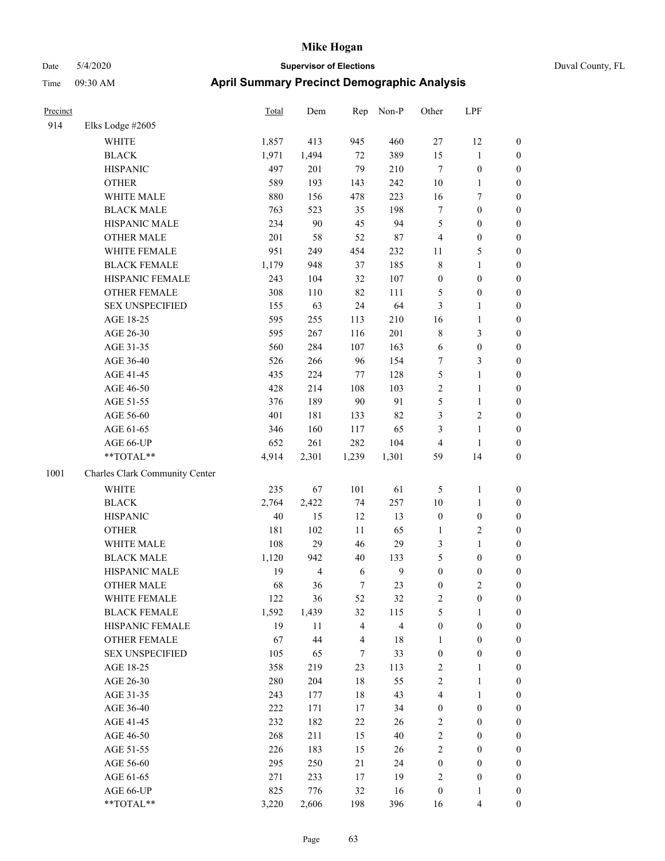|  | Duval County, FL |  |
|--|------------------|--|
|  |                  |  |

| Precinct |                                | <b>Total</b> | Dem   | Rep            | Non-P                   | Other            | LPF                     |                  |
|----------|--------------------------------|--------------|-------|----------------|-------------------------|------------------|-------------------------|------------------|
| 914      | Elks Lodge #2605               |              |       |                |                         |                  |                         |                  |
|          | WHITE                          | 1,857        | 413   | 945            | 460                     | 27               | 12                      | $\boldsymbol{0}$ |
|          | <b>BLACK</b>                   | 1,971        | 1,494 | 72             | 389                     | 15               | $\mathbf{1}$            | $\boldsymbol{0}$ |
|          | <b>HISPANIC</b>                | 497          | 201   | 79             | 210                     | $\overline{7}$   | $\boldsymbol{0}$        | 0                |
|          | <b>OTHER</b>                   | 589          | 193   | 143            | 242                     | 10               | $\mathbf{1}$            | 0                |
|          | WHITE MALE                     | 880          | 156   | 478            | 223                     | 16               | $\tau$                  | $\boldsymbol{0}$ |
|          | <b>BLACK MALE</b>              | 763          | 523   | 35             | 198                     | 7                | $\boldsymbol{0}$        | $\boldsymbol{0}$ |
|          | HISPANIC MALE                  | 234          | 90    | 45             | 94                      | 5                | $\boldsymbol{0}$        | $\boldsymbol{0}$ |
|          | <b>OTHER MALE</b>              | 201          | 58    | 52             | $87\,$                  | $\overline{4}$   | $\boldsymbol{0}$        | $\boldsymbol{0}$ |
|          | WHITE FEMALE                   | 951          | 249   | 454            | 232                     | 11               | $\mathfrak s$           | $\boldsymbol{0}$ |
|          | <b>BLACK FEMALE</b>            | 1,179        | 948   | 37             | 185                     | 8                | $\mathbf{1}$            | $\boldsymbol{0}$ |
|          | HISPANIC FEMALE                | 243          | 104   | 32             | 107                     | $\boldsymbol{0}$ | $\boldsymbol{0}$        | $\boldsymbol{0}$ |
|          | OTHER FEMALE                   | 308          | 110   | 82             | 111                     | 5                | $\boldsymbol{0}$        | $\boldsymbol{0}$ |
|          | <b>SEX UNSPECIFIED</b>         | 155          | 63    | 24             | 64                      | 3                | $\mathbf{1}$            | 0                |
|          | AGE 18-25                      | 595          | 255   | 113            | 210                     | 16               | $\mathbf{1}$            | 0                |
|          | AGE 26-30                      | 595          | 267   | 116            | 201                     | $\,$ 8 $\,$      | $\mathfrak{Z}$          | $\boldsymbol{0}$ |
|          | AGE 31-35                      | 560          | 284   | 107            | 163                     | 6                | $\boldsymbol{0}$        | $\boldsymbol{0}$ |
|          | AGE 36-40                      | 526          | 266   | 96             | 154                     | 7                | $\mathfrak{Z}$          | $\boldsymbol{0}$ |
|          | AGE 41-45                      | 435          | 224   | 77             | 128                     | 5                | $\mathbf{1}$            | $\boldsymbol{0}$ |
|          | AGE 46-50                      | 428          | 214   | 108            | 103                     | $\sqrt{2}$       | $\mathbf{1}$            | $\boldsymbol{0}$ |
|          | AGE 51-55                      | 376          | 189   | $90\,$         | 91                      | 5                | $\mathbf{1}$            | $\boldsymbol{0}$ |
|          | AGE 56-60                      | 401          | 181   | 133            | 82                      | 3                | $\overline{2}$          | $\boldsymbol{0}$ |
|          | AGE 61-65                      | 346          | 160   | 117            | 65                      | $\mathfrak{Z}$   | $\mathbf{1}$            | $\boldsymbol{0}$ |
|          | AGE 66-UP                      | 652          | 261   | 282            | 104                     | $\overline{4}$   | $\mathbf{1}$            | 0                |
|          | $**TOTAL**$                    | 4,914        | 2,301 | 1,239          | 1,301                   | 59               | 14                      | $\boldsymbol{0}$ |
| 1001     | Charles Clark Community Center |              |       |                |                         |                  |                         |                  |
|          | <b>WHITE</b>                   | 235          | 67    | 101            | 61                      | 5                | $\mathbf{1}$            | 0                |
|          | <b>BLACK</b>                   | 2,764        | 2,422 | 74             | 257                     | 10               | $\mathbf{1}$            | $\boldsymbol{0}$ |
|          | <b>HISPANIC</b>                | 40           | 15    | 12             | 13                      | $\boldsymbol{0}$ | $\boldsymbol{0}$        | 0                |
|          | <b>OTHER</b>                   | 181          | 102   | 11             | 65                      | 1                | $\sqrt{2}$              | $\boldsymbol{0}$ |
|          | WHITE MALE                     | 108          | 29    | 46             | 29                      | 3                | $\mathbf{1}$            | $\boldsymbol{0}$ |
|          | <b>BLACK MALE</b>              | 1,120        | 942   | $40\,$         | 133                     | 5                | $\boldsymbol{0}$        | $\boldsymbol{0}$ |
|          | HISPANIC MALE                  | 19           | 4     | 6              | $\boldsymbol{9}$        | $\boldsymbol{0}$ | $\boldsymbol{0}$        | $\boldsymbol{0}$ |
|          | <b>OTHER MALE</b>              | 68           | 36    | 7              | 23                      | $\boldsymbol{0}$ | $\overline{2}$          | $\boldsymbol{0}$ |
|          | WHITE FEMALE                   | 122          | 36    | 52             | 32                      | $\sqrt{2}$       | $\boldsymbol{0}$        | 0                |
|          | <b>BLACK FEMALE</b>            | 1,592        | 1,439 | 32             | 115                     | 5                | $\mathbf{1}$            | 0                |
|          | HISPANIC FEMALE                | 19           | 11    | $\overline{4}$ | $\overline{\mathbf{4}}$ | $\boldsymbol{0}$ | $\boldsymbol{0}$        | 0                |
|          | <b>OTHER FEMALE</b>            | 67           | 44    | $\overline{4}$ | 18                      | $\mathbf{1}$     | $\boldsymbol{0}$        | 0                |
|          | <b>SEX UNSPECIFIED</b>         | 105          | 65    | $\tau$         | 33                      | $\boldsymbol{0}$ | $\boldsymbol{0}$        | 0                |
|          | AGE 18-25                      | 358          | 219   | 23             | 113                     | $\overline{c}$   | $\mathbf{1}$            | $\boldsymbol{0}$ |
|          | AGE 26-30                      | 280          | 204   | 18             | 55                      | $\sqrt{2}$       | $\mathbf{1}$            | 0                |
|          | AGE 31-35                      | 243          | 177   | $18\,$         | 43                      | 4                | $\mathbf{1}$            | 0                |
|          | AGE 36-40                      | 222          | 171   | 17             | 34                      | $\boldsymbol{0}$ | $\boldsymbol{0}$        | $\overline{0}$   |
|          | AGE 41-45                      | 232          | 182   | $22\,$         | 26                      | $\sqrt{2}$       | $\boldsymbol{0}$        | $\overline{0}$   |
|          | AGE 46-50                      | 268          | 211   | 15             | 40                      | $\sqrt{2}$       | $\boldsymbol{0}$        | $\overline{0}$   |
|          | AGE 51-55                      | 226          | 183   | 15             | 26                      | $\boldsymbol{2}$ | $\boldsymbol{0}$        | 0                |
|          | AGE 56-60                      | 295          | 250   | 21             | 24                      | $\boldsymbol{0}$ | $\boldsymbol{0}$        | 0                |
|          | AGE 61-65                      | 271          | 233   | $17\,$         | 19                      | $\overline{c}$   | $\boldsymbol{0}$        | $\boldsymbol{0}$ |
|          | AGE 66-UP                      | 825          | 776   | 32             | 16                      | $\boldsymbol{0}$ | $\mathbf{1}$            | 0                |
|          | **TOTAL**                      | 3,220        | 2,606 | 198            | 396                     | 16               | $\overline{\mathbf{4}}$ | $\boldsymbol{0}$ |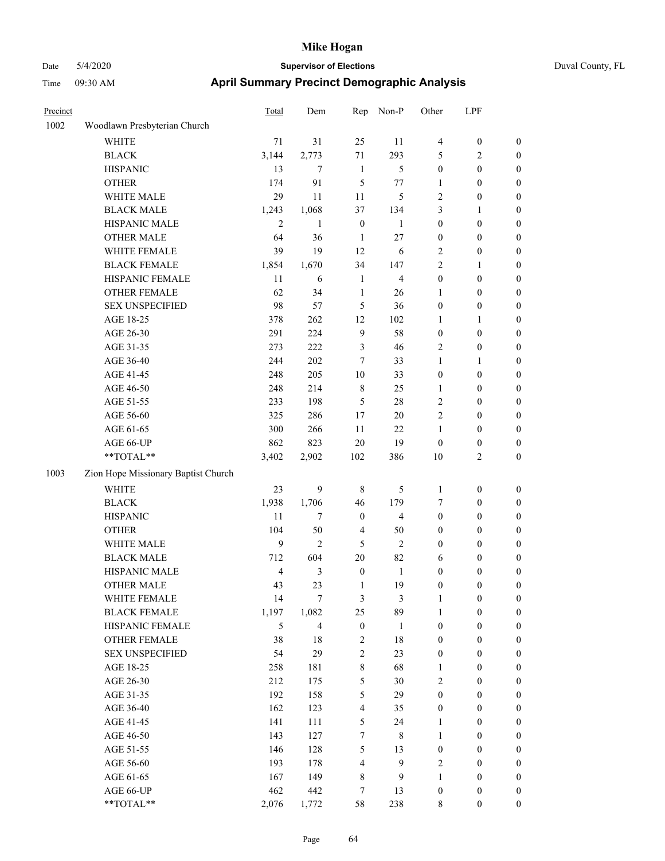# Date 5/4/2020 **Supervisor of Elections** Duval County, FL Time 09:30 AM **April Summary Precinct Demographic Analysis**

| Precinct |                                     | <b>Total</b>   | Dem            | Rep                     | Non-P          | Other            | LPF              |                  |
|----------|-------------------------------------|----------------|----------------|-------------------------|----------------|------------------|------------------|------------------|
| 1002     | Woodlawn Presbyterian Church        |                |                |                         |                |                  |                  |                  |
|          | WHITE                               | 71             | 31             | 25                      | 11             | $\overline{4}$   | $\boldsymbol{0}$ | $\boldsymbol{0}$ |
|          | <b>BLACK</b>                        | 3,144          | 2,773          | 71                      | 293            | 5                | 2                | $\boldsymbol{0}$ |
|          | <b>HISPANIC</b>                     | 13             | 7              | 1                       | 5              | $\boldsymbol{0}$ | $\boldsymbol{0}$ | $\boldsymbol{0}$ |
|          | <b>OTHER</b>                        | 174            | 91             | 5                       | $77 \,$        | 1                | $\boldsymbol{0}$ | $\boldsymbol{0}$ |
|          | WHITE MALE                          | 29             | 11             | 11                      | 5              | $\overline{2}$   | $\boldsymbol{0}$ | $\boldsymbol{0}$ |
|          | <b>BLACK MALE</b>                   | 1,243          | 1,068          | 37                      | 134            | 3                | 1                | $\boldsymbol{0}$ |
|          | HISPANIC MALE                       | $\overline{2}$ | $\mathbf{1}$   | $\boldsymbol{0}$        | $\mathbf{1}$   | $\boldsymbol{0}$ | $\boldsymbol{0}$ | $\boldsymbol{0}$ |
|          | <b>OTHER MALE</b>                   | 64             | 36             | 1                       | 27             | $\boldsymbol{0}$ | $\boldsymbol{0}$ | $\boldsymbol{0}$ |
|          | WHITE FEMALE                        | 39             | 19             | 12                      | 6              | $\sqrt{2}$       | $\boldsymbol{0}$ | $\boldsymbol{0}$ |
|          | <b>BLACK FEMALE</b>                 | 1,854          | 1,670          | 34                      | 147            | $\overline{2}$   | 1                | $\boldsymbol{0}$ |
|          | HISPANIC FEMALE                     | 11             | 6              | $\mathbf{1}$            | $\overline{4}$ | $\boldsymbol{0}$ | $\boldsymbol{0}$ | $\boldsymbol{0}$ |
|          | <b>OTHER FEMALE</b>                 | 62             | 34             | $\mathbf{1}$            | 26             | 1                | $\boldsymbol{0}$ | $\boldsymbol{0}$ |
|          | <b>SEX UNSPECIFIED</b>              | 98             | 57             | 5                       | 36             | $\boldsymbol{0}$ | $\boldsymbol{0}$ | $\boldsymbol{0}$ |
|          | AGE 18-25                           | 378            | 262            | 12                      | 102            | 1                | 1                | $\boldsymbol{0}$ |
|          | AGE 26-30                           | 291            | 224            | 9                       | 58             | $\boldsymbol{0}$ | $\boldsymbol{0}$ | $\boldsymbol{0}$ |
|          | AGE 31-35                           | 273            | 222            | 3                       | 46             | $\overline{2}$   | $\boldsymbol{0}$ | $\boldsymbol{0}$ |
|          | AGE 36-40                           | 244            | 202            | 7                       | 33             | $\mathbf{1}$     | 1                | $\boldsymbol{0}$ |
|          | AGE 41-45                           | 248            | 205            | 10                      | 33             | $\boldsymbol{0}$ | $\boldsymbol{0}$ | $\boldsymbol{0}$ |
|          | AGE 46-50                           | 248            | 214            | $\,$ 8 $\,$             | 25             | 1                | $\boldsymbol{0}$ | $\boldsymbol{0}$ |
|          | AGE 51-55                           | 233            | 198            | 5                       | 28             | $\overline{2}$   | $\boldsymbol{0}$ | $\boldsymbol{0}$ |
|          | AGE 56-60                           | 325            | 286            | 17                      | $20\,$         | $\overline{2}$   | $\boldsymbol{0}$ | $\boldsymbol{0}$ |
|          | AGE 61-65                           | 300            | 266            | 11                      | $22\,$         | $\mathbf{1}$     | $\boldsymbol{0}$ | $\boldsymbol{0}$ |
|          | AGE 66-UP                           | 862            | 823            | $20\,$                  | 19             | $\mathbf{0}$     | $\boldsymbol{0}$ | $\boldsymbol{0}$ |
|          | **TOTAL**                           | 3,402          | 2,902          | 102                     | 386            | 10               | 2                | $\boldsymbol{0}$ |
| 1003     | Zion Hope Missionary Baptist Church |                |                |                         |                |                  |                  |                  |
|          | <b>WHITE</b>                        | 23             | 9              | 8                       | 5              | 1                | $\boldsymbol{0}$ | $\boldsymbol{0}$ |
|          | <b>BLACK</b>                        | 1,938          | 1,706          | 46                      | 179            | $\tau$           | $\boldsymbol{0}$ | $\boldsymbol{0}$ |
|          | <b>HISPANIC</b>                     | 11             | 7              | $\boldsymbol{0}$        | 4              | $\boldsymbol{0}$ | $\boldsymbol{0}$ | $\boldsymbol{0}$ |
|          | <b>OTHER</b>                        | 104            | 50             | $\overline{4}$          | 50             | $\boldsymbol{0}$ | $\boldsymbol{0}$ | $\boldsymbol{0}$ |
|          | WHITE MALE                          | 9              | $\overline{2}$ | 5                       | $\overline{2}$ | $\boldsymbol{0}$ | $\boldsymbol{0}$ | $\boldsymbol{0}$ |
|          | <b>BLACK MALE</b>                   | 712            | 604            | 20                      | 82             | 6                | $\boldsymbol{0}$ | $\boldsymbol{0}$ |
|          | HISPANIC MALE                       | $\overline{4}$ | 3              | $\boldsymbol{0}$        | $\mathbf{1}$   | $\boldsymbol{0}$ | $\boldsymbol{0}$ | $\boldsymbol{0}$ |
|          | <b>OTHER MALE</b>                   | 43             | 23             | 1                       | 19             | $\boldsymbol{0}$ | $\boldsymbol{0}$ | $\boldsymbol{0}$ |
|          | WHITE FEMALE                        | 14             | $\tau$         | $\mathfrak{Z}$          | $\mathfrak{Z}$ | $\mathbf{1}$     | $\boldsymbol{0}$ | $\mathbf{0}$     |
|          | <b>BLACK FEMALE</b>                 | 1,197          | 1,082          | 25                      | 89             | $\mathbf{1}$     | $\boldsymbol{0}$ | $\boldsymbol{0}$ |
|          | HISPANIC FEMALE                     | 5              | $\overline{4}$ | $\boldsymbol{0}$        | $\mathbf{1}$   | $\mathbf{0}$     | $\boldsymbol{0}$ | $\mathbf{0}$     |
|          | OTHER FEMALE                        | 38             | $18\,$         | 2                       | 18             | $\boldsymbol{0}$ | $\boldsymbol{0}$ | $\boldsymbol{0}$ |
|          | <b>SEX UNSPECIFIED</b>              | 54             | 29             | $\overline{c}$          | 23             | $\boldsymbol{0}$ | $\boldsymbol{0}$ | $\boldsymbol{0}$ |
|          | AGE 18-25                           | 258            | 181            | 8                       | 68             | 1                | $\boldsymbol{0}$ | $\boldsymbol{0}$ |
|          | AGE 26-30                           | 212            | 175            | 5                       | 30             | $\sqrt{2}$       | $\boldsymbol{0}$ | $\boldsymbol{0}$ |
|          | AGE 31-35                           | 192            | 158            | 5                       | 29             | $\boldsymbol{0}$ | $\boldsymbol{0}$ | $\boldsymbol{0}$ |
|          | AGE 36-40                           | 162            | 123            | $\overline{\mathbf{4}}$ | 35             | $\boldsymbol{0}$ | $\boldsymbol{0}$ | $\boldsymbol{0}$ |
|          | AGE 41-45                           | 141            | 111            | 5                       | 24             | $\mathbf{1}$     | $\boldsymbol{0}$ | $\boldsymbol{0}$ |
|          | AGE 46-50                           | 143            | 127            | $\tau$                  | $\,8\,$        | $\mathbf{1}$     | $\boldsymbol{0}$ | $\boldsymbol{0}$ |
|          | AGE 51-55                           | 146            | 128            | 5                       | 13             | $\boldsymbol{0}$ | $\boldsymbol{0}$ | $\boldsymbol{0}$ |
|          | AGE 56-60                           | 193            | 178            | $\overline{4}$          | 9              | $\sqrt{2}$       | $\boldsymbol{0}$ | $\boldsymbol{0}$ |
|          | AGE 61-65                           | 167            | 149            | $\,$ 8 $\,$             | 9              | $\mathbf{1}$     | $\boldsymbol{0}$ | $\boldsymbol{0}$ |
|          | AGE 66-UP                           | 462            | 442            | $\tau$                  | 13             | $\boldsymbol{0}$ | $\boldsymbol{0}$ | $\boldsymbol{0}$ |
|          | **TOTAL**                           | 2,076          | 1,772          | 58                      | 238            | $\,8\,$          | $\mathbf{0}$     | $\boldsymbol{0}$ |

Page 64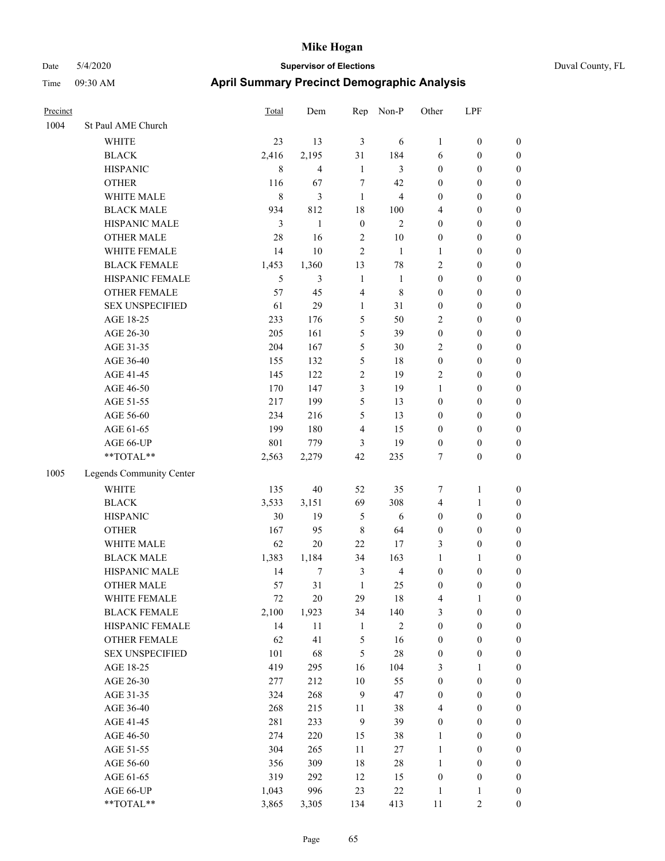|  | Duval C |
|--|---------|
|  |         |
|  |         |

| Precinct |                          | Total       | Dem                     | Rep              | Non-P          | Other            | LPF              |                  |
|----------|--------------------------|-------------|-------------------------|------------------|----------------|------------------|------------------|------------------|
| 1004     | St Paul AME Church       |             |                         |                  |                |                  |                  |                  |
|          | WHITE                    | 23          | 13                      | $\mathfrak{Z}$   | 6              | $\mathbf{1}$     | $\boldsymbol{0}$ | $\boldsymbol{0}$ |
|          | <b>BLACK</b>             | 2,416       | 2,195                   | 31               | 184            | 6                | $\boldsymbol{0}$ | $\boldsymbol{0}$ |
|          | <b>HISPANIC</b>          | $\,$ 8 $\,$ | $\overline{\mathbf{4}}$ | $\mathbf{1}$     | 3              | $\boldsymbol{0}$ | $\boldsymbol{0}$ | $\boldsymbol{0}$ |
|          | <b>OTHER</b>             | 116         | 67                      | $\tau$           | 42             | $\boldsymbol{0}$ | $\boldsymbol{0}$ | $\boldsymbol{0}$ |
|          | WHITE MALE               | $\,$ 8 $\,$ | 3                       | $\mathbf{1}$     | $\overline{4}$ | $\boldsymbol{0}$ | $\boldsymbol{0}$ | 0                |
|          | <b>BLACK MALE</b>        | 934         | 812                     | 18               | 100            | 4                | $\boldsymbol{0}$ | $\boldsymbol{0}$ |
|          | HISPANIC MALE            | 3           | $\mathbf{1}$            | $\boldsymbol{0}$ | $\overline{c}$ | $\boldsymbol{0}$ | $\boldsymbol{0}$ | $\boldsymbol{0}$ |
|          | <b>OTHER MALE</b>        | 28          | 16                      | $\sqrt{2}$       | $10\,$         | $\boldsymbol{0}$ | $\boldsymbol{0}$ | $\boldsymbol{0}$ |
|          | WHITE FEMALE             | 14          | $10\,$                  | $\sqrt{2}$       | $\mathbf{1}$   | $\mathbf{1}$     | $\boldsymbol{0}$ | $\boldsymbol{0}$ |
|          | <b>BLACK FEMALE</b>      | 1,453       | 1,360                   | 13               | 78             | $\overline{c}$   | $\boldsymbol{0}$ | $\boldsymbol{0}$ |
|          | HISPANIC FEMALE          | 5           | 3                       | $\mathbf{1}$     | $\mathbf{1}$   | $\boldsymbol{0}$ | $\boldsymbol{0}$ | $\boldsymbol{0}$ |
|          | OTHER FEMALE             | 57          | 45                      | $\overline{4}$   | 8              | $\boldsymbol{0}$ | $\boldsymbol{0}$ | $\boldsymbol{0}$ |
|          | <b>SEX UNSPECIFIED</b>   | 61          | 29                      | $\mathbf{1}$     | 31             | $\boldsymbol{0}$ | $\boldsymbol{0}$ | $\boldsymbol{0}$ |
|          | AGE 18-25                | 233         | 176                     | $\mathfrak s$    | 50             | $\overline{c}$   | $\boldsymbol{0}$ | $\boldsymbol{0}$ |
|          | AGE 26-30                | 205         | 161                     | 5                | 39             | $\boldsymbol{0}$ | $\boldsymbol{0}$ | 0                |
|          | AGE 31-35                | 204         | 167                     | 5                | 30             | $\overline{c}$   | $\boldsymbol{0}$ | $\boldsymbol{0}$ |
|          | AGE 36-40                | 155         | 132                     | 5                | 18             | $\boldsymbol{0}$ | $\boldsymbol{0}$ | $\boldsymbol{0}$ |
|          | AGE 41-45                | 145         | 122                     | $\overline{2}$   | 19             | $\overline{c}$   | $\boldsymbol{0}$ | $\boldsymbol{0}$ |
|          | AGE 46-50                | 170         | 147                     | 3                | 19             | $\mathbf{1}$     | $\boldsymbol{0}$ | $\boldsymbol{0}$ |
|          | AGE 51-55                | 217         | 199                     | 5                | 13             | $\boldsymbol{0}$ | $\boldsymbol{0}$ | $\boldsymbol{0}$ |
|          | AGE 56-60                | 234         | 216                     | 5                | 13             | $\boldsymbol{0}$ | $\boldsymbol{0}$ | $\boldsymbol{0}$ |
|          | AGE 61-65                | 199         | 180                     | $\overline{4}$   | 15             | $\boldsymbol{0}$ | $\boldsymbol{0}$ | $\boldsymbol{0}$ |
|          | AGE 66-UP                | 801         | 779                     | 3                | 19             | $\boldsymbol{0}$ | $\boldsymbol{0}$ | $\boldsymbol{0}$ |
|          | **TOTAL**                | 2,563       | 2,279                   | 42               | 235            | 7                | $\boldsymbol{0}$ | $\boldsymbol{0}$ |
| 1005     | Legends Community Center |             |                         |                  |                |                  |                  |                  |
|          | <b>WHITE</b>             | 135         | 40                      | 52               | 35             | 7                | $\mathbf{1}$     | $\boldsymbol{0}$ |
|          | <b>BLACK</b>             | 3,533       | 3,151                   | 69               | 308            | $\overline{4}$   | $\mathbf{1}$     | 0                |
|          | <b>HISPANIC</b>          | 30          | 19                      | 5                | 6              | $\boldsymbol{0}$ | $\boldsymbol{0}$ | 0                |
|          | <b>OTHER</b>             | 167         | 95                      | $\,8\,$          | 64             | $\boldsymbol{0}$ | $\boldsymbol{0}$ | $\boldsymbol{0}$ |
|          | WHITE MALE               | 62          | $20\,$                  | 22               | 17             | 3                | $\boldsymbol{0}$ | $\boldsymbol{0}$ |
|          | <b>BLACK MALE</b>        | 1,383       | 1,184                   | 34               | 163            | $\mathbf{1}$     | 1                | $\boldsymbol{0}$ |
|          | HISPANIC MALE            | 14          | 7                       | $\mathfrak{Z}$   | $\overline{4}$ | $\boldsymbol{0}$ | $\boldsymbol{0}$ | $\boldsymbol{0}$ |
|          | <b>OTHER MALE</b>        | 57          | 31                      | $\mathbf{1}$     | 25             | $\boldsymbol{0}$ | $\boldsymbol{0}$ | $\boldsymbol{0}$ |
|          | WHITE FEMALE             | 72          | $20\,$                  | 29               | $18\,$         | $\overline{4}$   | $\mathbf{1}$     | $\boldsymbol{0}$ |
|          | <b>BLACK FEMALE</b>      | 2,100       | 1,923                   | 34               | 140            | 3                | $\boldsymbol{0}$ | 0                |
|          | HISPANIC FEMALE          | 14          | $11\,$                  | $\mathbf{1}$     | $\sqrt{2}$     | $\boldsymbol{0}$ | $\boldsymbol{0}$ | 0                |
|          | OTHER FEMALE             | 62          | 41                      | $\mathfrak s$    | 16             | $\boldsymbol{0}$ | $\boldsymbol{0}$ | 0                |
|          | <b>SEX UNSPECIFIED</b>   | 101         | 68                      | $\sqrt{5}$       | $28\,$         | $\boldsymbol{0}$ | $\boldsymbol{0}$ | 0                |
|          | AGE 18-25                | 419         | 295                     | 16               | 104            | 3                | $\mathbf{1}$     | $\boldsymbol{0}$ |
|          | AGE 26-30                | 277         | 212                     | $10\,$           | 55             | $\boldsymbol{0}$ | $\boldsymbol{0}$ | $\boldsymbol{0}$ |
|          | AGE 31-35                | 324         | 268                     | $\mathbf{9}$     | 47             | $\boldsymbol{0}$ | $\boldsymbol{0}$ | $\boldsymbol{0}$ |
|          | AGE 36-40                | 268         | 215                     | 11               | 38             | 4                | $\boldsymbol{0}$ | $\boldsymbol{0}$ |
|          | AGE 41-45                | 281         | 233                     | $\mathbf{9}$     | 39             | $\boldsymbol{0}$ | $\boldsymbol{0}$ | $\overline{0}$   |
|          | AGE 46-50                | 274         | 220                     | 15               | 38             | $\mathbf{1}$     | $\boldsymbol{0}$ | $\boldsymbol{0}$ |
|          | AGE 51-55                | 304         | 265                     | 11               | 27             | $\mathbf{1}$     | $\boldsymbol{0}$ | $\boldsymbol{0}$ |
|          | AGE 56-60                | 356         | 309                     | 18               | $28\,$         | $\mathbf{1}$     | $\boldsymbol{0}$ | $\boldsymbol{0}$ |
|          | AGE 61-65                | 319         | 292                     | 12               | 15             | $\boldsymbol{0}$ | $\boldsymbol{0}$ | $\boldsymbol{0}$ |
|          | AGE 66-UP                | 1,043       | 996                     | 23               | $22\,$         | $\mathbf{1}$     | 1                | 0                |
|          | **TOTAL**                | 3,865       | 3,305                   | 134              | 413            | $11\,$           | $\overline{2}$   | $\boldsymbol{0}$ |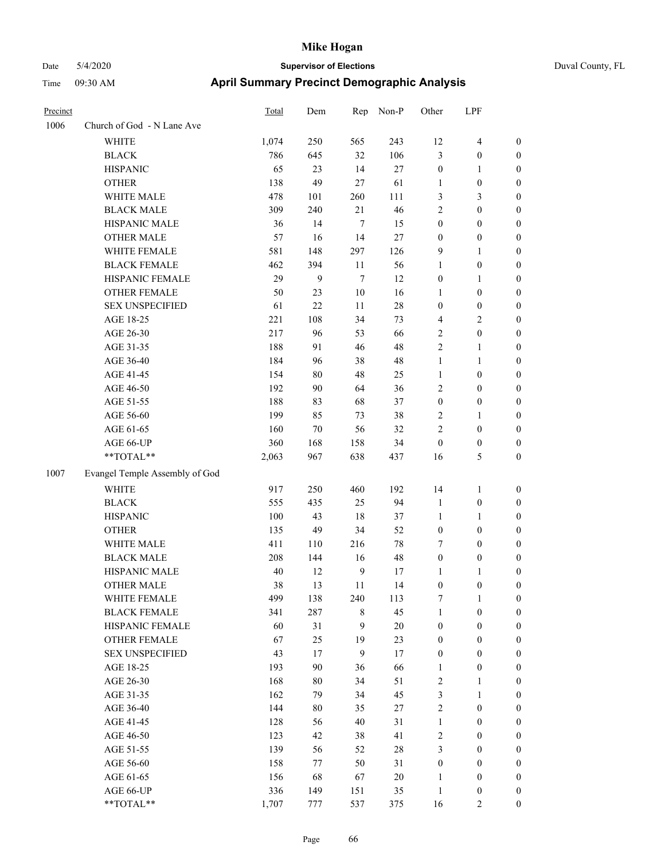| Precinct |                                | <b>Total</b> | Dem    | Rep              | Non-P  | Other            | LPF              |                  |
|----------|--------------------------------|--------------|--------|------------------|--------|------------------|------------------|------------------|
| 1006     | Church of God - N Lane Ave     |              |        |                  |        |                  |                  |                  |
|          | <b>WHITE</b>                   | 1,074        | 250    | 565              | 243    | 12               | $\overline{4}$   | $\boldsymbol{0}$ |
|          | <b>BLACK</b>                   | 786          | 645    | 32               | 106    | $\mathfrak{Z}$   | $\boldsymbol{0}$ | $\boldsymbol{0}$ |
|          | <b>HISPANIC</b>                | 65           | 23     | 14               | 27     | $\boldsymbol{0}$ | 1                | $\boldsymbol{0}$ |
|          | <b>OTHER</b>                   | 138          | 49     | 27               | 61     | 1                | $\boldsymbol{0}$ | $\boldsymbol{0}$ |
|          | WHITE MALE                     | 478          | 101    | 260              | 111    | 3                | 3                | $\boldsymbol{0}$ |
|          | <b>BLACK MALE</b>              | 309          | 240    | 21               | 46     | $\sqrt{2}$       | 0                | $\boldsymbol{0}$ |
|          | HISPANIC MALE                  | 36           | 14     | $\tau$           | 15     | $\boldsymbol{0}$ | $\boldsymbol{0}$ | $\boldsymbol{0}$ |
|          | <b>OTHER MALE</b>              | 57           | 16     | 14               | 27     | $\boldsymbol{0}$ | $\boldsymbol{0}$ | $\boldsymbol{0}$ |
|          | WHITE FEMALE                   | 581          | 148    | 297              | 126    | 9                | 1                | $\boldsymbol{0}$ |
|          | <b>BLACK FEMALE</b>            | 462          | 394    | 11               | 56     | $\mathbf{1}$     | $\boldsymbol{0}$ | $\boldsymbol{0}$ |
|          | HISPANIC FEMALE                | 29           | 9      | $\tau$           | 12     | $\boldsymbol{0}$ | 1                | $\boldsymbol{0}$ |
|          | <b>OTHER FEMALE</b>            | 50           | 23     | 10               | 16     | 1                | $\boldsymbol{0}$ | $\boldsymbol{0}$ |
|          | <b>SEX UNSPECIFIED</b>         | 61           | 22     | 11               | 28     | $\boldsymbol{0}$ | $\boldsymbol{0}$ | $\boldsymbol{0}$ |
|          | AGE 18-25                      | 221          | 108    | 34               | 73     | $\overline{4}$   | 2                | $\boldsymbol{0}$ |
|          | AGE 26-30                      | 217          | 96     | 53               | 66     | $\sqrt{2}$       | $\boldsymbol{0}$ | $\boldsymbol{0}$ |
|          | AGE 31-35                      | 188          | 91     | 46               | 48     | $\sqrt{2}$       | 1                | $\boldsymbol{0}$ |
|          | AGE 36-40                      | 184          | 96     | 38               | 48     | 1                | 1                | $\boldsymbol{0}$ |
|          | AGE 41-45                      | 154          | $80\,$ | 48               | 25     | $\mathbf{1}$     | $\boldsymbol{0}$ | $\boldsymbol{0}$ |
|          | AGE 46-50                      | 192          | 90     | 64               | 36     | $\sqrt{2}$       | $\boldsymbol{0}$ | $\boldsymbol{0}$ |
|          | AGE 51-55                      | 188          | 83     | 68               | 37     | $\boldsymbol{0}$ | $\boldsymbol{0}$ | $\boldsymbol{0}$ |
|          | AGE 56-60                      | 199          | 85     | 73               | 38     | $\overline{2}$   | 1                | $\boldsymbol{0}$ |
|          | AGE 61-65                      | 160          | 70     | 56               | 32     | $\overline{2}$   | $\boldsymbol{0}$ | $\boldsymbol{0}$ |
|          | AGE 66-UP                      | 360          | 168    | 158              | 34     | $\boldsymbol{0}$ | $\boldsymbol{0}$ | $\boldsymbol{0}$ |
|          | **TOTAL**                      | 2,063        | 967    | 638              | 437    | 16               | 5                | $\boldsymbol{0}$ |
| 1007     | Evangel Temple Assembly of God |              |        |                  |        |                  |                  |                  |
|          | <b>WHITE</b>                   | 917          | 250    | 460              | 192    | 14               | 1                | $\boldsymbol{0}$ |
|          | <b>BLACK</b>                   | 555          | 435    | 25               | 94     | $\mathbf{1}$     | $\boldsymbol{0}$ | $\boldsymbol{0}$ |
|          | <b>HISPANIC</b>                | 100          | 43     | 18               | 37     | $\mathbf{1}$     | 1                | $\boldsymbol{0}$ |
|          | <b>OTHER</b>                   | 135          | 49     | 34               | 52     | $\boldsymbol{0}$ | $\boldsymbol{0}$ | $\boldsymbol{0}$ |
|          | WHITE MALE                     | 411          | 110    | 216              | 78     | 7                | $\boldsymbol{0}$ | $\boldsymbol{0}$ |
|          | <b>BLACK MALE</b>              | 208          | 144    | 16               | 48     | $\boldsymbol{0}$ | $\boldsymbol{0}$ | $\boldsymbol{0}$ |
|          | HISPANIC MALE                  | 40           | 12     | $\boldsymbol{9}$ | 17     | 1                | 1                | $\boldsymbol{0}$ |
|          | <b>OTHER MALE</b>              | 38           | 13     | 11               | 14     | $\boldsymbol{0}$ | $\boldsymbol{0}$ | $\boldsymbol{0}$ |
|          | WHITE FEMALE                   | 499          | 138    | 240              | 113    | 7                | 1                | $\boldsymbol{0}$ |
|          | <b>BLACK FEMALE</b>            | 341          | 287    | 8                | 45     | $\mathbf{1}$     | $\boldsymbol{0}$ | $\boldsymbol{0}$ |
|          | HISPANIC FEMALE                | 60           | 31     | 9                | $20\,$ | $\boldsymbol{0}$ | $\boldsymbol{0}$ | $\boldsymbol{0}$ |
|          | OTHER FEMALE                   | 67           | 25     | 19               | 23     | $\boldsymbol{0}$ | $\boldsymbol{0}$ | $\boldsymbol{0}$ |
|          | <b>SEX UNSPECIFIED</b>         | 43           | 17     | 9                | 17     | $\boldsymbol{0}$ | $\boldsymbol{0}$ | $\boldsymbol{0}$ |
|          | AGE 18-25                      | 193          | 90     | 36               | 66     | $\mathbf{1}$     | $\boldsymbol{0}$ | $\boldsymbol{0}$ |
|          | AGE 26-30                      | 168          | 80     | 34               | 51     | $\sqrt{2}$       | 1                | $\boldsymbol{0}$ |
|          | AGE 31-35                      | 162          | 79     | 34               | 45     | 3                | 1                | $\boldsymbol{0}$ |
|          | AGE 36-40                      | 144          | 80     | 35               | 27     | $\sqrt{2}$       | $\boldsymbol{0}$ | $\boldsymbol{0}$ |
|          | AGE 41-45                      | 128          | 56     | 40               | 31     | $\mathbf{1}$     | $\boldsymbol{0}$ | $\boldsymbol{0}$ |
|          | AGE 46-50                      | 123          | 42     | 38               | 41     | $\sqrt{2}$       | $\boldsymbol{0}$ | $\boldsymbol{0}$ |
|          | AGE 51-55                      | 139          | 56     | 52               | $28\,$ | $\mathfrak{Z}$   | $\boldsymbol{0}$ | $\boldsymbol{0}$ |
|          | AGE 56-60                      | 158          | $77\,$ | 50               | 31     | $\boldsymbol{0}$ | $\boldsymbol{0}$ | $\boldsymbol{0}$ |
|          | AGE 61-65                      | 156          | 68     | 67               | 20     | 1                | $\boldsymbol{0}$ | $\boldsymbol{0}$ |
|          | AGE 66-UP                      | 336          | 149    | 151              | 35     | $\mathbf{1}$     | $\boldsymbol{0}$ | $\boldsymbol{0}$ |
|          | $**TOTAL**$                    | 1,707        | 777    | 537              | 375    | 16               | 2                | $\mathbf{0}$     |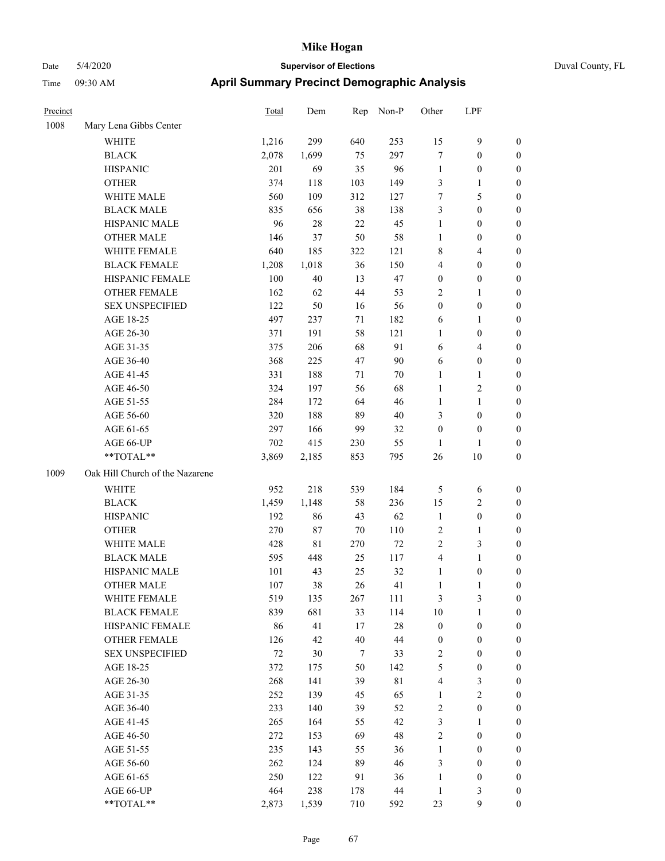| Precinct |                                 | <b>Total</b> | Dem         | Rep    | Non-P       | Other            | LPF              |                  |
|----------|---------------------------------|--------------|-------------|--------|-------------|------------------|------------------|------------------|
| 1008     | Mary Lena Gibbs Center          |              |             |        |             |                  |                  |                  |
|          | <b>WHITE</b>                    | 1,216        | 299         | 640    | 253         | 15               | 9                | $\boldsymbol{0}$ |
|          | <b>BLACK</b>                    | 2,078        | 1,699       | 75     | 297         | $\tau$           | $\boldsymbol{0}$ | $\boldsymbol{0}$ |
|          | <b>HISPANIC</b>                 | 201          | 69          | 35     | 96          | $\mathbf{1}$     | $\boldsymbol{0}$ | $\boldsymbol{0}$ |
|          | <b>OTHER</b>                    | 374          | 118         | 103    | 149         | 3                | 1                | $\boldsymbol{0}$ |
|          | WHITE MALE                      | 560          | 109         | 312    | 127         | $\tau$           | 5                | $\boldsymbol{0}$ |
|          | <b>BLACK MALE</b>               | 835          | 656         | 38     | 138         | 3                | $\boldsymbol{0}$ | $\boldsymbol{0}$ |
|          | HISPANIC MALE                   | 96           | 28          | $22\,$ | 45          | $\mathbf{1}$     | $\boldsymbol{0}$ | $\boldsymbol{0}$ |
|          | <b>OTHER MALE</b>               | 146          | 37          | 50     | 58          | $\mathbf{1}$     | $\boldsymbol{0}$ | $\boldsymbol{0}$ |
|          | WHITE FEMALE                    | 640          | 185         | 322    | 121         | $\,$ 8 $\,$      | 4                | $\boldsymbol{0}$ |
|          | <b>BLACK FEMALE</b>             | 1,208        | 1,018       | 36     | 150         | $\overline{4}$   | $\boldsymbol{0}$ | $\boldsymbol{0}$ |
|          | HISPANIC FEMALE                 | 100          | 40          | 13     | 47          | $\boldsymbol{0}$ | $\boldsymbol{0}$ | $\boldsymbol{0}$ |
|          | <b>OTHER FEMALE</b>             | 162          | 62          | 44     | 53          | $\overline{2}$   | 1                | $\boldsymbol{0}$ |
|          | <b>SEX UNSPECIFIED</b>          | 122          | 50          | 16     | 56          | $\boldsymbol{0}$ | $\boldsymbol{0}$ | $\boldsymbol{0}$ |
|          | AGE 18-25                       | 497          | 237         | 71     | 182         | 6                | 1                | $\boldsymbol{0}$ |
|          | AGE 26-30                       | 371          | 191         | 58     | 121         | 1                | $\boldsymbol{0}$ | $\boldsymbol{0}$ |
|          | AGE 31-35                       | 375          | 206         | 68     | 91          | 6                | 4                | $\boldsymbol{0}$ |
|          | AGE 36-40                       | 368          | 225         | 47     | 90          | 6                | $\boldsymbol{0}$ | $\boldsymbol{0}$ |
|          | AGE 41-45                       | 331          | 188         | 71     | 70          | $\mathbf{1}$     | 1                | $\boldsymbol{0}$ |
|          | AGE 46-50                       | 324          | 197         | 56     | 68          | $\mathbf{1}$     | $\overline{c}$   | $\boldsymbol{0}$ |
|          | AGE 51-55                       | 284          | 172         | 64     | 46          | $\mathbf{1}$     | $\mathbf{1}$     | $\boldsymbol{0}$ |
|          | AGE 56-60                       | 320          | 188         | 89     | 40          | 3                | $\boldsymbol{0}$ | $\boldsymbol{0}$ |
|          | AGE 61-65                       | 297          | 166         | 99     | 32          | $\boldsymbol{0}$ | $\boldsymbol{0}$ | $\boldsymbol{0}$ |
|          | AGE 66-UP                       | 702          | 415         | 230    | 55          | 1                | 1                | $\boldsymbol{0}$ |
|          | **TOTAL**                       | 3,869        | 2,185       | 853    | 795         | 26               | 10               | $\boldsymbol{0}$ |
| 1009     | Oak Hill Church of the Nazarene |              |             |        |             |                  |                  |                  |
|          | <b>WHITE</b>                    | 952          | 218         | 539    | 184         | 5                | 6                | $\boldsymbol{0}$ |
|          | <b>BLACK</b>                    | 1,459        | 1,148       | 58     | 236         | 15               | 2                | $\boldsymbol{0}$ |
|          | <b>HISPANIC</b>                 | 192          | 86          | 43     | 62          | $\mathbf{1}$     | $\boldsymbol{0}$ | $\boldsymbol{0}$ |
|          | <b>OTHER</b>                    | 270          | 87          | 70     | 110         | $\sqrt{2}$       | 1                | $\boldsymbol{0}$ |
|          | WHITE MALE                      | 428          | $8\sqrt{1}$ | 270    | 72          | $\sqrt{2}$       | 3                | $\boldsymbol{0}$ |
|          | <b>BLACK MALE</b>               | 595          | 448         | 25     | 117         | $\overline{4}$   | 1                | $\boldsymbol{0}$ |
|          | HISPANIC MALE                   | 101          | 43          | 25     | 32          | $\mathbf{1}$     | $\boldsymbol{0}$ | $\boldsymbol{0}$ |
|          | <b>OTHER MALE</b>               | 107          | 38          | 26     | 41          | 1                |                  | $\boldsymbol{0}$ |
|          | WHITE FEMALE                    | 519          | 135         | 267    | 111         | $\mathfrak{Z}$   | 3                | $\boldsymbol{0}$ |
|          | <b>BLACK FEMALE</b>             | 839          | 681         | 33     | 114         | $10\,$           | 1                | $\boldsymbol{0}$ |
|          | HISPANIC FEMALE                 | 86           | 41          | 17     | $28\,$      | $\boldsymbol{0}$ | $\boldsymbol{0}$ | $\boldsymbol{0}$ |
|          | OTHER FEMALE                    | 126          | 42          | 40     | 44          | $\boldsymbol{0}$ | $\boldsymbol{0}$ | $\boldsymbol{0}$ |
|          | <b>SEX UNSPECIFIED</b>          | $72\,$       | 30          | $\tau$ | 33          | $\sqrt{2}$       | $\boldsymbol{0}$ | $\boldsymbol{0}$ |
|          | AGE 18-25                       | 372          | 175         | 50     | 142         | $\sqrt{5}$       | $\boldsymbol{0}$ | $\boldsymbol{0}$ |
|          | AGE 26-30                       | 268          | 141         | 39     | $8\sqrt{1}$ | $\overline{4}$   | 3                | $\boldsymbol{0}$ |
|          | AGE 31-35                       | 252          | 139         | 45     | 65          | $\mathbf{1}$     | $\overline{c}$   | $\boldsymbol{0}$ |
|          | AGE 36-40                       | 233          | 140         | 39     | 52          | $\sqrt{2}$       | $\boldsymbol{0}$ | $\boldsymbol{0}$ |
|          | AGE 41-45                       | 265          | 164         | 55     | 42          | $\mathfrak{Z}$   | 1                | $\boldsymbol{0}$ |
|          | AGE 46-50                       | 272          | 153         | 69     | 48          | $\sqrt{2}$       | $\boldsymbol{0}$ | $\boldsymbol{0}$ |
|          | AGE 51-55                       | 235          | 143         | 55     | 36          | $\mathbf{1}$     | $\boldsymbol{0}$ | $\boldsymbol{0}$ |
|          | AGE 56-60                       | 262          | 124         | 89     | 46          | $\mathfrak{Z}$   | $\boldsymbol{0}$ | $\boldsymbol{0}$ |
|          | AGE 61-65                       | 250          | 122         | 91     | 36          | $\mathbf{1}$     | $\boldsymbol{0}$ | $\boldsymbol{0}$ |
|          | AGE 66-UP                       | 464          | 238         | 178    | 44          | $\mathbf{1}$     | 3                | $\boldsymbol{0}$ |
|          | **TOTAL**                       | 2,873        | 1,539       | 710    | 592         | 23               | 9                | $\boldsymbol{0}$ |
|          |                                 |              |             |        |             |                  |                  |                  |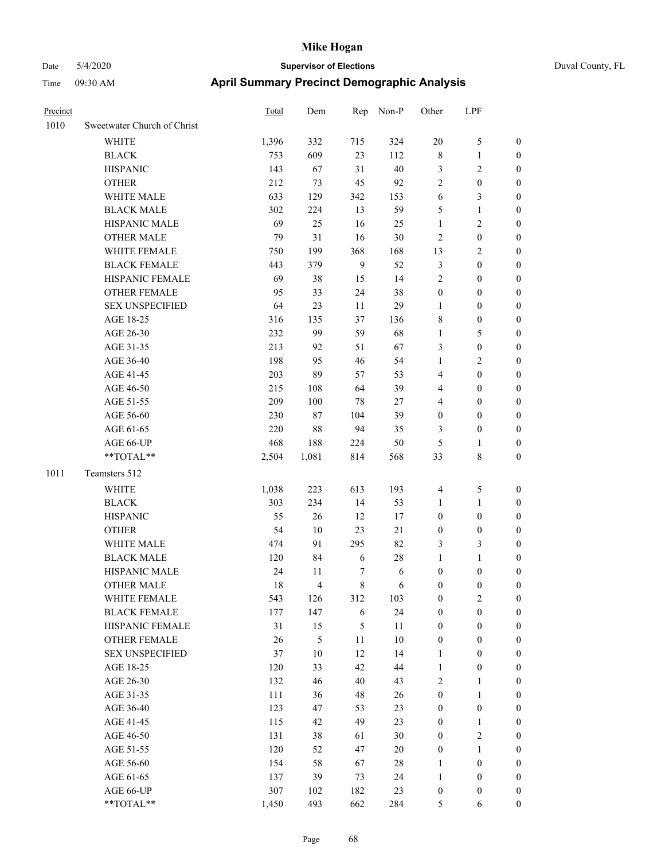| Precinct |                             | <b>Total</b> | Dem            | Rep              | Non-P  | Other            | LPF              |                  |
|----------|-----------------------------|--------------|----------------|------------------|--------|------------------|------------------|------------------|
| 1010     | Sweetwater Church of Christ |              |                |                  |        |                  |                  |                  |
|          | WHITE                       | 1,396        | 332            | 715              | 324    | $20\,$           | $\mathfrak s$    | $\boldsymbol{0}$ |
|          | <b>BLACK</b>                | 753          | 609            | 23               | 112    | $\,$ 8 $\,$      | $\mathbf{1}$     | $\boldsymbol{0}$ |
|          | <b>HISPANIC</b>             | 143          | 67             | 31               | $40\,$ | 3                | $\sqrt{2}$       | $\boldsymbol{0}$ |
|          | <b>OTHER</b>                | 212          | 73             | 45               | 92     | $\overline{2}$   | $\boldsymbol{0}$ | $\boldsymbol{0}$ |
|          | WHITE MALE                  | 633          | 129            | 342              | 153    | 6                | $\mathfrak{Z}$   | 0                |
|          | <b>BLACK MALE</b>           | 302          | 224            | 13               | 59     | 5                | $\mathbf{1}$     | 0                |
|          | HISPANIC MALE               | 69           | 25             | 16               | 25     | $\mathbf{1}$     | $\sqrt{2}$       | $\boldsymbol{0}$ |
|          | <b>OTHER MALE</b>           | 79           | 31             | 16               | $30\,$ | $\sqrt{2}$       | $\boldsymbol{0}$ | $\boldsymbol{0}$ |
|          | WHITE FEMALE                | 750          | 199            | 368              | 168    | 13               | $\sqrt{2}$       | $\boldsymbol{0}$ |
|          | <b>BLACK FEMALE</b>         | 443          | 379            | $\boldsymbol{9}$ | 52     | 3                | $\boldsymbol{0}$ | $\boldsymbol{0}$ |
|          | HISPANIC FEMALE             | 69           | 38             | 15               | 14     | $\overline{c}$   | $\boldsymbol{0}$ | $\boldsymbol{0}$ |
|          | OTHER FEMALE                | 95           | 33             | 24               | 38     | $\boldsymbol{0}$ | $\boldsymbol{0}$ | $\boldsymbol{0}$ |
|          | <b>SEX UNSPECIFIED</b>      | 64           | 23             | 11               | 29     | $\mathbf{1}$     | $\boldsymbol{0}$ | $\boldsymbol{0}$ |
|          | AGE 18-25                   | 316          | 135            | 37               | 136    | 8                | $\boldsymbol{0}$ | $\boldsymbol{0}$ |
|          | AGE 26-30                   | 232          | 99             | 59               | 68     | $\mathbf{1}$     | $\sqrt{5}$       | 0                |
|          | AGE 31-35                   | 213          | 92             | 51               | 67     | 3                | $\boldsymbol{0}$ | 0                |
|          | AGE 36-40                   | 198          | 95             | 46               | 54     | $\mathbf{1}$     | $\sqrt{2}$       | 0                |
|          | AGE 41-45                   | 203          | 89             | 57               | 53     | 4                | $\boldsymbol{0}$ | $\boldsymbol{0}$ |
|          | AGE 46-50                   | 215          | 108            | 64               | 39     | 4                | $\boldsymbol{0}$ | $\boldsymbol{0}$ |
|          | AGE 51-55                   | 209          | 100            | 78               | 27     | 4                | $\boldsymbol{0}$ | $\boldsymbol{0}$ |
|          | AGE 56-60                   | 230          | 87             | 104              | 39     | $\boldsymbol{0}$ | $\boldsymbol{0}$ | $\boldsymbol{0}$ |
|          | AGE 61-65                   | 220          | 88             | 94               | 35     | 3                | $\boldsymbol{0}$ | $\boldsymbol{0}$ |
|          | AGE 66-UP                   | 468          | 188            | 224              | 50     | 5                | 1                | $\boldsymbol{0}$ |
|          | **TOTAL**                   | 2,504        | 1,081          | 814              | 568    | 33               | $\,$ 8 $\,$      | $\boldsymbol{0}$ |
| 1011     | Teamsters 512               |              |                |                  |        |                  |                  |                  |
|          | WHITE                       | 1,038        | 223            | 613              | 193    | $\overline{4}$   | $\sqrt{5}$       | $\boldsymbol{0}$ |
|          | <b>BLACK</b>                | 303          | 234            | 14               | 53     | 1                | $\mathbf{1}$     | 0                |
|          | <b>HISPANIC</b>             | 55           | 26             | 12               | 17     | $\boldsymbol{0}$ | $\boldsymbol{0}$ | 0                |
|          | <b>OTHER</b>                | 54           | 10             | 23               | $21\,$ | $\boldsymbol{0}$ | $\boldsymbol{0}$ | 0                |
|          | WHITE MALE                  | 474          | 91             | 295              | 82     | 3                | $\mathfrak{Z}$   | $\boldsymbol{0}$ |
|          | <b>BLACK MALE</b>           | 120          | 84             | 6                | $28\,$ | $\mathbf{1}$     | $\mathbf{1}$     | $\boldsymbol{0}$ |
|          | HISPANIC MALE               | 24           | 11             | 7                | 6      | $\boldsymbol{0}$ | $\boldsymbol{0}$ | $\boldsymbol{0}$ |
|          | <b>OTHER MALE</b>           | 18           | $\overline{4}$ | 8                | 6      | $\boldsymbol{0}$ | $\boldsymbol{0}$ | $\boldsymbol{0}$ |
|          | WHITE FEMALE                | 543          | 126            | 312              | 103    | $\boldsymbol{0}$ | $\sqrt{2}$       | $\overline{0}$   |
|          | <b>BLACK FEMALE</b>         | 177          | 147            | $\sqrt{6}$       | 24     | $\boldsymbol{0}$ | $\boldsymbol{0}$ | 0                |
|          | HISPANIC FEMALE             | 31           | 15             | $\mathfrak s$    | 11     | $\boldsymbol{0}$ | $\boldsymbol{0}$ | $\overline{0}$   |
|          | <b>OTHER FEMALE</b>         | 26           | 5              | 11               | $10\,$ | $\boldsymbol{0}$ | $\boldsymbol{0}$ | 0                |
|          | <b>SEX UNSPECIFIED</b>      | 37           | $10\,$         | 12               | 14     | $\mathbf{1}$     | $\boldsymbol{0}$ | 0                |
|          | AGE 18-25                   | 120          | 33             | 42               | 44     | $\mathbf{1}$     | $\boldsymbol{0}$ | $\boldsymbol{0}$ |
|          | AGE 26-30                   | 132          | 46             | 40               | 43     | $\overline{c}$   | 1                | $\boldsymbol{0}$ |
|          | AGE 31-35                   | 111          | 36             | 48               | 26     | $\boldsymbol{0}$ | $\mathbf{1}$     | $\boldsymbol{0}$ |
|          | AGE 36-40                   | 123          | 47             | 53               | 23     | $\boldsymbol{0}$ | $\boldsymbol{0}$ | $\boldsymbol{0}$ |
|          | AGE 41-45                   | 115          | 42             | 49               | 23     | $\boldsymbol{0}$ | $\mathbf{1}$     | $\boldsymbol{0}$ |
|          | AGE 46-50                   | 131          | 38             | 61               | 30     | $\boldsymbol{0}$ | $\sqrt{2}$       | $\overline{0}$   |
|          | AGE 51-55                   | 120          | 52             | 47               | $20\,$ | $\boldsymbol{0}$ | $\mathbf{1}$     | $\boldsymbol{0}$ |
|          | AGE 56-60                   | 154          | 58             | 67               | $28\,$ | $\mathbf{1}$     | $\boldsymbol{0}$ | $\boldsymbol{0}$ |
|          | AGE 61-65                   | 137          | 39             | 73               | 24     | $\mathbf{1}$     | $\boldsymbol{0}$ | $\boldsymbol{0}$ |
|          | AGE 66-UP                   | 307          | 102            | 182              | 23     | $\boldsymbol{0}$ | $\boldsymbol{0}$ | 0                |
|          | **TOTAL**                   | 1,450        | 493            | 662              | 284    | 5                | 6                | $\boldsymbol{0}$ |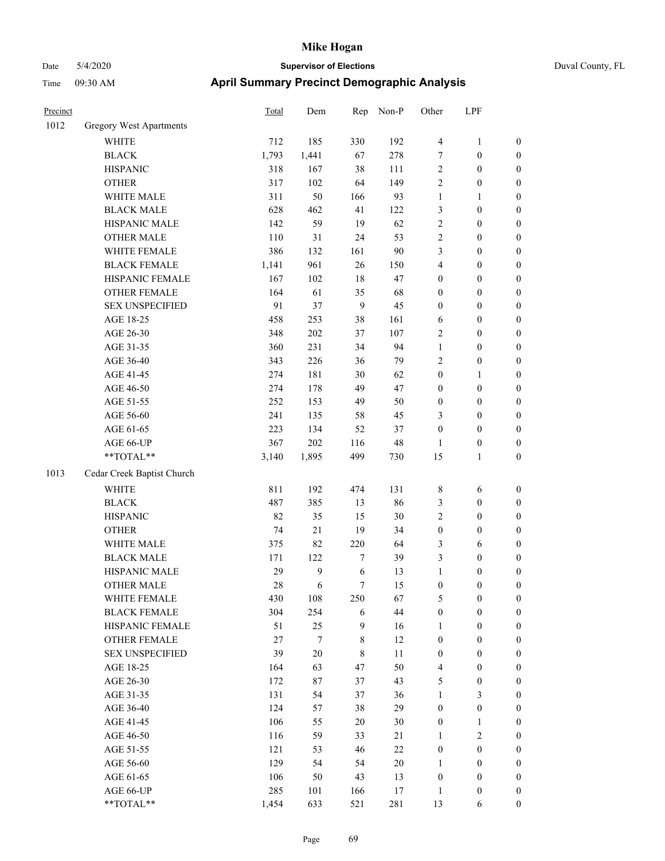| Precinct |                                | Total  | Dem     | Rep            | Non-P  | Other            | LPF              |                  |
|----------|--------------------------------|--------|---------|----------------|--------|------------------|------------------|------------------|
| 1012     | <b>Gregory West Apartments</b> |        |         |                |        |                  |                  |                  |
|          | <b>WHITE</b>                   | 712    | 185     | 330            | 192    | $\overline{4}$   | $\mathbf{1}$     | $\boldsymbol{0}$ |
|          | <b>BLACK</b>                   | 1,793  | 1,441   | 67             | 278    | $\overline{7}$   | $\boldsymbol{0}$ | $\boldsymbol{0}$ |
|          | <b>HISPANIC</b>                | 318    | 167     | 38             | 111    | $\sqrt{2}$       | $\boldsymbol{0}$ | $\boldsymbol{0}$ |
|          | <b>OTHER</b>                   | 317    | 102     | 64             | 149    | $\overline{c}$   | $\boldsymbol{0}$ | $\boldsymbol{0}$ |
|          | WHITE MALE                     | 311    | 50      | 166            | 93     | $\mathbf{1}$     | 1                | $\boldsymbol{0}$ |
|          | <b>BLACK MALE</b>              | 628    | 462     | 41             | 122    | $\mathfrak{Z}$   | $\boldsymbol{0}$ | $\boldsymbol{0}$ |
|          | HISPANIC MALE                  | 142    | 59      | 19             | 62     | $\sqrt{2}$       | $\boldsymbol{0}$ | $\boldsymbol{0}$ |
|          | <b>OTHER MALE</b>              | 110    | 31      | 24             | 53     | $\sqrt{2}$       | $\boldsymbol{0}$ | $\boldsymbol{0}$ |
|          | WHITE FEMALE                   | 386    | 132     | 161            | 90     | 3                | $\boldsymbol{0}$ | $\boldsymbol{0}$ |
|          | <b>BLACK FEMALE</b>            | 1,141  | 961     | 26             | 150    | $\overline{4}$   | $\boldsymbol{0}$ | $\boldsymbol{0}$ |
|          | HISPANIC FEMALE                | 167    | 102     | 18             | 47     | $\boldsymbol{0}$ | $\boldsymbol{0}$ | $\boldsymbol{0}$ |
|          | <b>OTHER FEMALE</b>            | 164    | 61      | 35             | 68     | $\boldsymbol{0}$ | $\boldsymbol{0}$ | $\boldsymbol{0}$ |
|          | <b>SEX UNSPECIFIED</b>         | 91     | 37      | 9              | 45     | $\boldsymbol{0}$ | $\boldsymbol{0}$ | $\boldsymbol{0}$ |
|          | AGE 18-25                      | 458    | 253     | 38             | 161    | 6                | $\boldsymbol{0}$ | $\boldsymbol{0}$ |
|          | AGE 26-30                      | 348    | $202\,$ | 37             | 107    | $\sqrt{2}$       | $\boldsymbol{0}$ | $\boldsymbol{0}$ |
|          | AGE 31-35                      | 360    | 231     | 34             | 94     | $\mathbf{1}$     | $\boldsymbol{0}$ | $\boldsymbol{0}$ |
|          | AGE 36-40                      | 343    | 226     | 36             | 79     | $\overline{2}$   | $\boldsymbol{0}$ | $\boldsymbol{0}$ |
|          | AGE 41-45                      | 274    | 181     | 30             | 62     | $\boldsymbol{0}$ | 1                | $\boldsymbol{0}$ |
|          | AGE 46-50                      | 274    | 178     | 49             | 47     | $\boldsymbol{0}$ | $\boldsymbol{0}$ | $\boldsymbol{0}$ |
|          | AGE 51-55                      | 252    | 153     | 49             | 50     | $\boldsymbol{0}$ | $\boldsymbol{0}$ | $\boldsymbol{0}$ |
|          | AGE 56-60                      | 241    | 135     | 58             | 45     | 3                | $\boldsymbol{0}$ | $\boldsymbol{0}$ |
|          | AGE 61-65                      | 223    | 134     | 52             | 37     | $\boldsymbol{0}$ | $\boldsymbol{0}$ | $\boldsymbol{0}$ |
|          | AGE 66-UP                      | 367    | 202     | 116            | 48     | 1                | $\boldsymbol{0}$ | $\boldsymbol{0}$ |
|          | $**TOTAL**$                    | 3,140  | 1,895   | 499            | 730    | 15               | 1                | $\boldsymbol{0}$ |
| 1013     | Cedar Creek Baptist Church     |        |         |                |        |                  |                  |                  |
|          | <b>WHITE</b>                   | 811    | 192     | 474            | 131    | $\,$ 8 $\,$      | 6                | $\boldsymbol{0}$ |
|          | <b>BLACK</b>                   | 487    | 385     | 13             | 86     | $\mathfrak{Z}$   | $\boldsymbol{0}$ | $\boldsymbol{0}$ |
|          | <b>HISPANIC</b>                | 82     | 35      | 15             | 30     | $\sqrt{2}$       | $\boldsymbol{0}$ | $\boldsymbol{0}$ |
|          | <b>OTHER</b>                   | 74     | 21      | 19             | 34     | $\boldsymbol{0}$ | $\boldsymbol{0}$ | $\boldsymbol{0}$ |
|          | WHITE MALE                     | 375    | 82      | 220            | 64     | 3                | 6                | $\boldsymbol{0}$ |
|          | <b>BLACK MALE</b>              | 171    | 122     | $\overline{7}$ | 39     | 3                | $\boldsymbol{0}$ | $\boldsymbol{0}$ |
|          | HISPANIC MALE                  | 29     | 9       | 6              | 13     | $\mathbf{1}$     | $\boldsymbol{0}$ | $\boldsymbol{0}$ |
|          | <b>OTHER MALE</b>              | 28     | 6       | 7              | 15     | $\boldsymbol{0}$ | $\boldsymbol{0}$ | $\boldsymbol{0}$ |
|          | WHITE FEMALE                   | 430    | 108     | 250            | 67     | $\sqrt{5}$       | $\boldsymbol{0}$ | $\boldsymbol{0}$ |
|          | <b>BLACK FEMALE</b>            | 304    | 254     | 6              | 44     | $\boldsymbol{0}$ | $\boldsymbol{0}$ | $\boldsymbol{0}$ |
|          | HISPANIC FEMALE                | 51     | 25      | 9              | 16     | $\mathbf{1}$     | $\boldsymbol{0}$ | $\boldsymbol{0}$ |
|          | <b>OTHER FEMALE</b>            | $27\,$ | $\tau$  | $\,$ 8 $\,$    | 12     | $\boldsymbol{0}$ | $\boldsymbol{0}$ | $\boldsymbol{0}$ |
|          | <b>SEX UNSPECIFIED</b>         | 39     | $20\,$  | $\,$ 8 $\,$    | 11     | $\boldsymbol{0}$ | $\boldsymbol{0}$ | $\boldsymbol{0}$ |
|          | AGE 18-25                      | 164    | 63      | 47             | 50     | $\overline{4}$   | $\boldsymbol{0}$ | $\boldsymbol{0}$ |
|          | AGE 26-30                      | 172    | $87\,$  | 37             | 43     | 5                | $\boldsymbol{0}$ | $\boldsymbol{0}$ |
|          | AGE 31-35                      | 131    | 54      | 37             | 36     | $\mathbf{1}$     | 3                | $\boldsymbol{0}$ |
|          | AGE 36-40                      | 124    | 57      | 38             | 29     | $\boldsymbol{0}$ | $\boldsymbol{0}$ | $\boldsymbol{0}$ |
|          | AGE 41-45                      | 106    | 55      | $20\,$         | 30     | $\boldsymbol{0}$ | 1                | $\boldsymbol{0}$ |
|          | AGE 46-50                      | 116    | 59      | 33             | 21     | 1                | $\overline{c}$   | $\boldsymbol{0}$ |
|          | AGE 51-55                      | 121    | 53      | 46             | $22\,$ | $\boldsymbol{0}$ | $\boldsymbol{0}$ | $\boldsymbol{0}$ |
|          | AGE 56-60                      | 129    | 54      | 54             | $20\,$ | $\mathbf{1}$     | $\boldsymbol{0}$ | $\boldsymbol{0}$ |
|          | AGE 61-65                      | 106    | 50      | 43             | 13     | $\boldsymbol{0}$ | $\boldsymbol{0}$ | $\boldsymbol{0}$ |
|          | AGE 66-UP                      | 285    | 101     | 166            | 17     | $\mathbf{1}$     | $\boldsymbol{0}$ | $\boldsymbol{0}$ |
|          | **TOTAL**                      | 1,454  | 633     | 521            | 281    | 13               | 6                | $\mathbf{0}$     |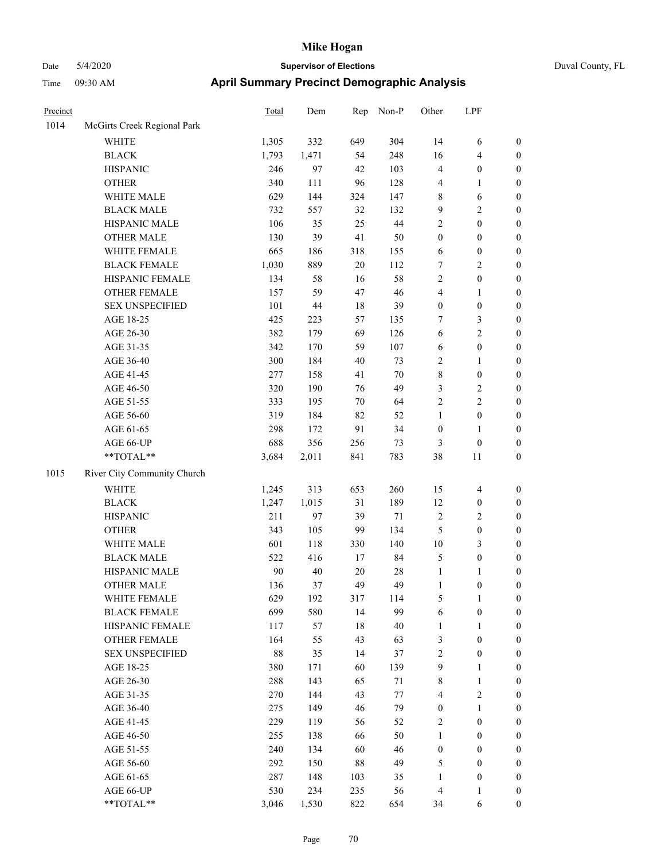## Date 5/4/2020 **Supervisor of Elections** Duval County, FL Time 09:30 AM **April Summary Precinct Demographic Analysis**

| Precinct |                             | Total  | Dem   | Rep | Non-P  | Other                   | LPF                     |                  |
|----------|-----------------------------|--------|-------|-----|--------|-------------------------|-------------------------|------------------|
| 1014     | McGirts Creek Regional Park |        |       |     |        |                         |                         |                  |
|          | <b>WHITE</b>                | 1,305  | 332   | 649 | 304    | 14                      | 6                       | $\boldsymbol{0}$ |
|          | <b>BLACK</b>                | 1,793  | 1,471 | 54  | 248    | 16                      | 4                       | $\boldsymbol{0}$ |
|          | <b>HISPANIC</b>             | 246    | 97    | 42  | 103    | $\overline{4}$          | $\boldsymbol{0}$        | $\boldsymbol{0}$ |
|          | <b>OTHER</b>                | 340    | 111   | 96  | 128    | $\overline{\mathbf{4}}$ | 1                       | $\boldsymbol{0}$ |
|          | WHITE MALE                  | 629    | 144   | 324 | 147    | $\,$ 8 $\,$             | 6                       | $\boldsymbol{0}$ |
|          | <b>BLACK MALE</b>           | 732    | 557   | 32  | 132    | 9                       | $\overline{\mathbf{c}}$ | $\boldsymbol{0}$ |
|          | HISPANIC MALE               | 106    | 35    | 25  | $44\,$ | $\overline{c}$          | $\boldsymbol{0}$        | $\boldsymbol{0}$ |
|          | OTHER MALE                  | 130    | 39    | 41  | 50     | $\boldsymbol{0}$        | $\boldsymbol{0}$        | $\boldsymbol{0}$ |
|          | WHITE FEMALE                | 665    | 186   | 318 | 155    | 6                       | $\boldsymbol{0}$        | $\boldsymbol{0}$ |
|          | <b>BLACK FEMALE</b>         | 1,030  | 889   | 20  | 112    | 7                       | 2                       | $\boldsymbol{0}$ |
|          | HISPANIC FEMALE             | 134    | 58    | 16  | 58     | $\sqrt{2}$              | $\boldsymbol{0}$        | $\boldsymbol{0}$ |
|          | OTHER FEMALE                | 157    | 59    | 47  | 46     | $\overline{\mathbf{4}}$ | $\mathbf{1}$            | $\boldsymbol{0}$ |
|          | <b>SEX UNSPECIFIED</b>      | 101    | 44    | 18  | 39     | $\boldsymbol{0}$        | $\boldsymbol{0}$        | $\boldsymbol{0}$ |
|          | AGE 18-25                   | 425    | 223   | 57  | 135    | $\boldsymbol{7}$        | 3                       | $\boldsymbol{0}$ |
|          | AGE 26-30                   | 382    | 179   | 69  | 126    | 6                       | 2                       | $\boldsymbol{0}$ |
|          | AGE 31-35                   | 342    | 170   | 59  | 107    | 6                       | $\boldsymbol{0}$        | $\boldsymbol{0}$ |
|          | AGE 36-40                   | 300    | 184   | 40  | 73     | $\overline{c}$          | $\mathbf{1}$            | $\boldsymbol{0}$ |
|          | AGE 41-45                   | 277    | 158   | 41  | $70\,$ | 8                       | $\boldsymbol{0}$        | $\boldsymbol{0}$ |
|          | AGE 46-50                   | 320    | 190   | 76  | 49     | 3                       | 2                       | $\boldsymbol{0}$ |
|          | AGE 51-55                   | 333    | 195   | 70  | 64     | $\boldsymbol{2}$        | 2                       | $\boldsymbol{0}$ |
|          | AGE 56-60                   | 319    | 184   | 82  | 52     | $\mathbf{1}$            | $\boldsymbol{0}$        | $\boldsymbol{0}$ |
|          | AGE 61-65                   | 298    | 172   | 91  | 34     | $\boldsymbol{0}$        | $\mathbf{1}$            | $\boldsymbol{0}$ |
|          | AGE 66-UP                   | 688    | 356   | 256 | 73     | 3                       | $\boldsymbol{0}$        | $\boldsymbol{0}$ |
|          | $**TOTAL**$                 | 3,684  | 2,011 | 841 | 783    | 38                      | $11\,$                  | $\boldsymbol{0}$ |
| 1015     | River City Community Church |        |       |     |        |                         |                         |                  |
|          | <b>WHITE</b>                | 1,245  | 313   | 653 | 260    | 15                      | $\overline{4}$          | $\boldsymbol{0}$ |
|          | <b>BLACK</b>                | 1,247  | 1,015 | 31  | 189    | 12                      | $\boldsymbol{0}$        | $\boldsymbol{0}$ |
|          | <b>HISPANIC</b>             | 211    | 97    | 39  | 71     | $\sqrt{2}$              | 2                       | 0                |
|          | <b>OTHER</b>                | 343    | 105   | 99  | 134    | 5                       | $\boldsymbol{0}$        | $\boldsymbol{0}$ |
|          | WHITE MALE                  | 601    | 118   | 330 | 140    | 10                      | 3                       | $\boldsymbol{0}$ |
|          | <b>BLACK MALE</b>           | 522    | 416   | 17  | 84     | 5                       | $\boldsymbol{0}$        | $\boldsymbol{0}$ |
|          | HISPANIC MALE               | 90     | 40    | 20  | 28     | $\mathbf{1}$            | $\mathbf{1}$            | $\boldsymbol{0}$ |
|          | <b>OTHER MALE</b>           | 136    | 37    | 49  | 49     | $\mathbf{1}$            | $\boldsymbol{0}$        | $\boldsymbol{0}$ |
|          | WHITE FEMALE                | 629    | 192   | 317 | 114    | $\mathfrak s$           | $\mathbf{1}$            | $\mathbf{0}$     |
|          | <b>BLACK FEMALE</b>         | 699    | 580   | 14  | 99     | $\sqrt{6}$              | $\boldsymbol{0}$        | $\boldsymbol{0}$ |
|          | HISPANIC FEMALE             | 117    | 57    | 18  | 40     | $\mathbf{1}$            | 1                       | $\boldsymbol{0}$ |
|          | <b>OTHER FEMALE</b>         | 164    | 55    | 43  | 63     | $\mathfrak{Z}$          | $\boldsymbol{0}$        | $\boldsymbol{0}$ |
|          | <b>SEX UNSPECIFIED</b>      | $88\,$ | 35    | 14  | 37     | $\boldsymbol{2}$        | $\boldsymbol{0}$        | 0                |
|          | AGE 18-25                   | 380    | 171   | 60  | 139    | 9                       | $\mathbf{1}$            | $\mathbf{0}$     |
|          | AGE 26-30                   | 288    | 143   | 65  | 71     | 8                       | $\mathbf{1}$            | $\boldsymbol{0}$ |
|          | AGE 31-35                   | 270    | 144   | 43  | $77\,$ | $\overline{\mathbf{4}}$ | $\overline{2}$          | $\mathbf{0}$     |

AGE 36-40 275 149 46 79 0 1 0 AGE 41-45 229 119 56 52 2 0 0 AGE 46-50 255 138 66 50 1 0 0 AGE 51-55 240 134 60 46 0 0 0 AGE 56-60 292 150 88 49 5 0 0 AGE 61-65 287 148 103 35 1 0 0 AGE 66-UP 530 234 235 56 4 1 0 \*\*TOTAL\*\* 3,046 1,530 822 654 34 6 0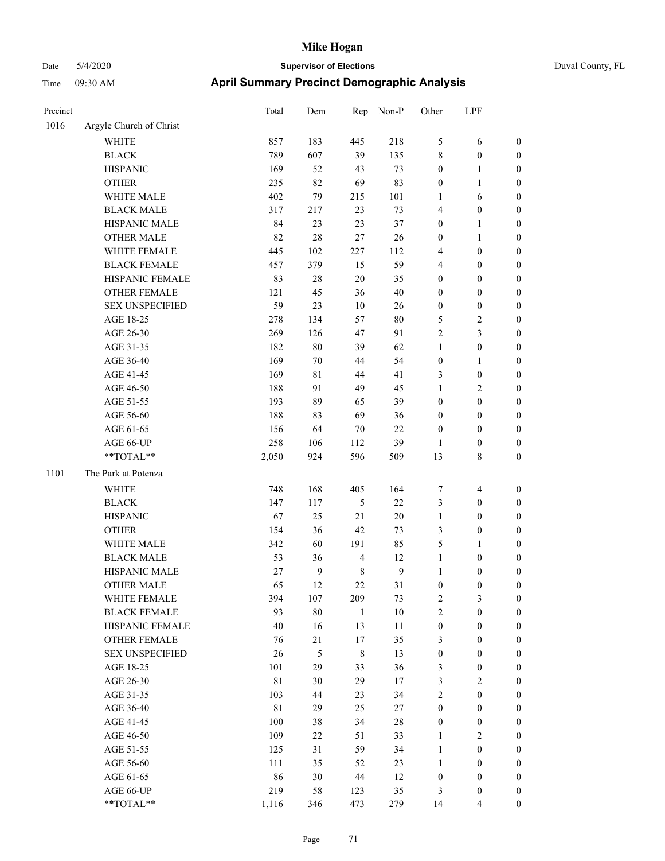| Precinct |                         | <b>Total</b> | Dem    | Rep            | Non-P  | Other            | LPF                      |                  |
|----------|-------------------------|--------------|--------|----------------|--------|------------------|--------------------------|------------------|
| 1016     | Argyle Church of Christ |              |        |                |        |                  |                          |                  |
|          | <b>WHITE</b>            | 857          | 183    | 445            | 218    | 5                | 6                        | $\boldsymbol{0}$ |
|          | <b>BLACK</b>            | 789          | 607    | 39             | 135    | $\,$ 8 $\,$      | $\boldsymbol{0}$         | $\boldsymbol{0}$ |
|          | <b>HISPANIC</b>         | 169          | 52     | 43             | 73     | $\boldsymbol{0}$ | 1                        | $\boldsymbol{0}$ |
|          | <b>OTHER</b>            | 235          | 82     | 69             | 83     | $\boldsymbol{0}$ | 1                        | $\boldsymbol{0}$ |
|          | WHITE MALE              | 402          | 79     | 215            | 101    | 1                | 6                        | $\boldsymbol{0}$ |
|          | <b>BLACK MALE</b>       | 317          | 217    | 23             | 73     | 4                | $\boldsymbol{0}$         | $\boldsymbol{0}$ |
|          | HISPANIC MALE           | 84           | 23     | 23             | 37     | $\boldsymbol{0}$ | 1                        | $\boldsymbol{0}$ |
|          | <b>OTHER MALE</b>       | 82           | 28     | $27\,$         | $26\,$ | $\boldsymbol{0}$ | 1                        | $\boldsymbol{0}$ |
|          | WHITE FEMALE            | 445          | 102    | 227            | 112    | 4                | $\boldsymbol{0}$         | $\boldsymbol{0}$ |
|          | <b>BLACK FEMALE</b>     | 457          | 379    | 15             | 59     | $\overline{4}$   | $\boldsymbol{0}$         | $\boldsymbol{0}$ |
|          | HISPANIC FEMALE         | 83           | $28\,$ | 20             | 35     | $\boldsymbol{0}$ | $\boldsymbol{0}$         | $\boldsymbol{0}$ |
|          | <b>OTHER FEMALE</b>     | 121          | 45     | 36             | 40     | $\boldsymbol{0}$ | $\boldsymbol{0}$         | $\boldsymbol{0}$ |
|          | <b>SEX UNSPECIFIED</b>  | 59           | 23     | 10             | 26     | $\boldsymbol{0}$ | $\boldsymbol{0}$         | $\boldsymbol{0}$ |
|          | AGE 18-25               | 278          | 134    | 57             | $80\,$ | 5                | 2                        | $\boldsymbol{0}$ |
|          | AGE 26-30               | 269          | 126    | 47             | 91     | $\sqrt{2}$       | 3                        | $\boldsymbol{0}$ |
|          | AGE 31-35               | 182          | $80\,$ | 39             | 62     | $\mathbf{1}$     | $\boldsymbol{0}$         | $\boldsymbol{0}$ |
|          | AGE 36-40               | 169          | $70\,$ | 44             | 54     | $\boldsymbol{0}$ | 1                        | $\boldsymbol{0}$ |
|          | AGE 41-45               | 169          | 81     | 44             | 41     | 3                | $\boldsymbol{0}$         | $\boldsymbol{0}$ |
|          | AGE 46-50               | 188          | 91     | 49             | 45     | $\mathbf{1}$     | $\overline{\mathbf{c}}$  | $\boldsymbol{0}$ |
|          | AGE 51-55               | 193          | 89     | 65             | 39     | $\boldsymbol{0}$ | $\boldsymbol{0}$         | $\boldsymbol{0}$ |
|          | AGE 56-60               | 188          | 83     | 69             | 36     | $\boldsymbol{0}$ | $\boldsymbol{0}$         | $\boldsymbol{0}$ |
|          | AGE 61-65               | 156          | 64     | 70             | 22     | $\boldsymbol{0}$ | $\boldsymbol{0}$         | $\boldsymbol{0}$ |
|          | AGE 66-UP               | 258          | 106    | 112            | 39     | 1                | $\boldsymbol{0}$         | $\boldsymbol{0}$ |
|          | **TOTAL**               | 2,050        | 924    | 596            | 509    | 13               | 8                        | $\boldsymbol{0}$ |
| 1101     | The Park at Potenza     |              |        |                |        |                  |                          |                  |
|          | <b>WHITE</b>            | 748          | 168    | 405            | 164    | $\tau$           | 4                        | $\boldsymbol{0}$ |
|          | <b>BLACK</b>            | 147          | 117    | $\mathfrak s$  | 22     | $\mathfrak{Z}$   | $\boldsymbol{0}$         | $\boldsymbol{0}$ |
|          | <b>HISPANIC</b>         | 67           | 25     | 21             | $20\,$ | 1                | $\boldsymbol{0}$         | $\boldsymbol{0}$ |
|          | <b>OTHER</b>            | 154          | 36     | 42             | 73     | 3                | $\boldsymbol{0}$         | $\boldsymbol{0}$ |
|          | WHITE MALE              | 342          | 60     | 191            | 85     | 5                | 1                        | $\boldsymbol{0}$ |
|          | <b>BLACK MALE</b>       | 53           | 36     | $\overline{4}$ | 12     | $\mathbf{1}$     | $\boldsymbol{0}$         | $\boldsymbol{0}$ |
|          | HISPANIC MALE           | 27           | 9      | $\,8\,$        | 9      | $\mathbf{1}$     | $\boldsymbol{0}$         | $\boldsymbol{0}$ |
|          | <b>OTHER MALE</b>       | 65           | 12     | 22             | 31     | $\boldsymbol{0}$ | 0                        | $\boldsymbol{0}$ |
|          | WHITE FEMALE            | 394          | 107    | 209            | 73     | $\sqrt{2}$       | 3                        | $\boldsymbol{0}$ |
|          | <b>BLACK FEMALE</b>     | 93           | $80\,$ | $\mathbf{1}$   | $10\,$ | $\sqrt{2}$       | $\boldsymbol{0}$         | $\boldsymbol{0}$ |
|          | HISPANIC FEMALE         | $40\,$       | 16     | 13             | 11     | $\boldsymbol{0}$ | $\boldsymbol{0}$         | $\boldsymbol{0}$ |
|          | OTHER FEMALE            | 76           | 21     | 17             | 35     | $\mathfrak{Z}$   | $\boldsymbol{0}$         | $\boldsymbol{0}$ |
|          | <b>SEX UNSPECIFIED</b>  | 26           | 5      | $\,$ 8 $\,$    | 13     | $\boldsymbol{0}$ | $\boldsymbol{0}$         | $\boldsymbol{0}$ |
|          | AGE 18-25               | 101          | 29     | 33             | 36     | $\mathfrak{Z}$   | $\boldsymbol{0}$         | $\boldsymbol{0}$ |
|          | AGE 26-30               | $8\sqrt{1}$  | 30     | 29             | 17     | $\mathfrak{Z}$   | $\mathbf{2}$             | $\boldsymbol{0}$ |
|          | AGE 31-35               | 103          | 44     | 23             | 34     | $\sqrt{2}$       | $\boldsymbol{0}$         | $\boldsymbol{0}$ |
|          | AGE 36-40               | $8\sqrt{1}$  | 29     | 25             | 27     | $\boldsymbol{0}$ | $\boldsymbol{0}$         | $\boldsymbol{0}$ |
|          | AGE 41-45               | $100\,$      | 38     | 34             | $28\,$ | $\boldsymbol{0}$ | $\boldsymbol{0}$         | $\boldsymbol{0}$ |
|          | AGE 46-50               | 109          | 22     | 51             | 33     | $\mathbf{1}$     | 2                        | $\boldsymbol{0}$ |
|          | AGE 51-55               | 125          | 31     | 59             | 34     | $\mathbf{1}$     | $\boldsymbol{0}$         | $\boldsymbol{0}$ |
|          | AGE 56-60               | 111          | 35     | 52             | 23     | $\mathbf{1}$     | $\boldsymbol{0}$         | $\boldsymbol{0}$ |
|          | AGE 61-65               | 86           | 30     | 44             | 12     | $\boldsymbol{0}$ | $\boldsymbol{0}$         | $\boldsymbol{0}$ |
|          | AGE 66-UP               | 219          | 58     | 123            | 35     | 3                | $\boldsymbol{0}$         | $\boldsymbol{0}$ |
|          | $**TOTAL**$             | 1,116        | 346    | 473            | 279    | 14               | $\overline{\mathcal{L}}$ | $\boldsymbol{0}$ |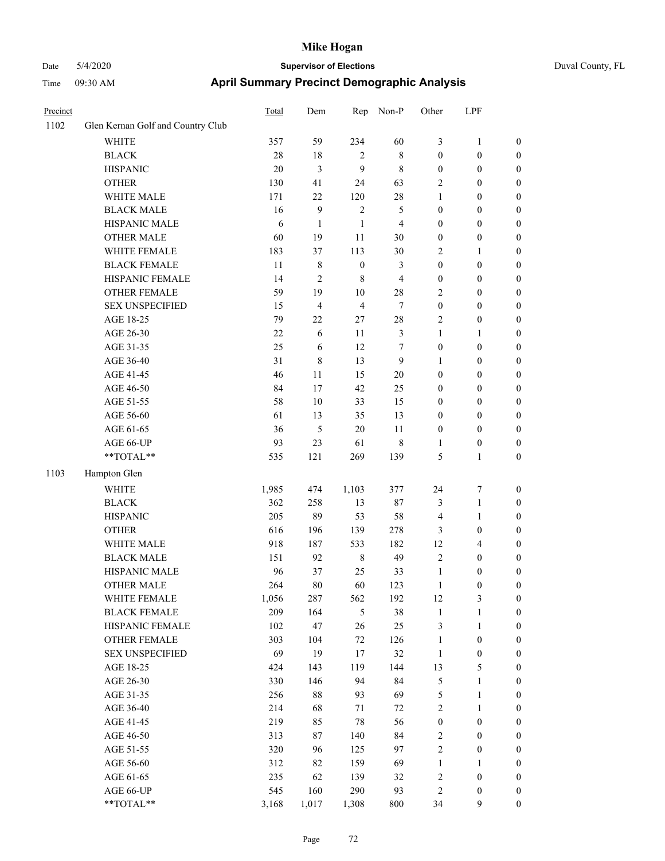| Precinct |                                   | Total  | Dem                     | Rep              | Non-P          | Other            | LPF              |                  |
|----------|-----------------------------------|--------|-------------------------|------------------|----------------|------------------|------------------|------------------|
| 1102     | Glen Kernan Golf and Country Club |        |                         |                  |                |                  |                  |                  |
|          | <b>WHITE</b>                      | 357    | 59                      | 234              | 60             | 3                | $\mathbf{1}$     | $\boldsymbol{0}$ |
|          | <b>BLACK</b>                      | 28     | 18                      | $\overline{2}$   | $\,$ 8 $\,$    | $\boldsymbol{0}$ | $\boldsymbol{0}$ | $\boldsymbol{0}$ |
|          | <b>HISPANIC</b>                   | 20     | $\mathfrak{Z}$          | 9                | 8              | $\boldsymbol{0}$ | $\boldsymbol{0}$ | $\boldsymbol{0}$ |
|          | <b>OTHER</b>                      | 130    | 41                      | 24               | 63             | 2                | $\boldsymbol{0}$ | $\boldsymbol{0}$ |
|          | WHITE MALE                        | 171    | $22\,$                  | 120              | 28             | $\mathbf{1}$     | $\boldsymbol{0}$ | $\boldsymbol{0}$ |
|          | <b>BLACK MALE</b>                 | 16     | 9                       | $\overline{2}$   | 5              | $\boldsymbol{0}$ | $\boldsymbol{0}$ | $\boldsymbol{0}$ |
|          | HISPANIC MALE                     | 6      | $\mathbf{1}$            | 1                | $\overline{4}$ | $\boldsymbol{0}$ | $\boldsymbol{0}$ | $\boldsymbol{0}$ |
|          | <b>OTHER MALE</b>                 | 60     | 19                      | 11               | 30             | $\boldsymbol{0}$ | $\boldsymbol{0}$ | $\boldsymbol{0}$ |
|          | WHITE FEMALE                      | 183    | 37                      | 113              | 30             | $\overline{2}$   | 1                | $\boldsymbol{0}$ |
|          | <b>BLACK FEMALE</b>               | 11     | 8                       | $\boldsymbol{0}$ | 3              | $\boldsymbol{0}$ | $\boldsymbol{0}$ | $\boldsymbol{0}$ |
|          | HISPANIC FEMALE                   | 14     | $\overline{c}$          | $\,8\,$          | $\overline{4}$ | $\boldsymbol{0}$ | $\boldsymbol{0}$ | $\boldsymbol{0}$ |
|          | <b>OTHER FEMALE</b>               | 59     | 19                      | $10\,$           | 28             | $\overline{2}$   | $\boldsymbol{0}$ | $\boldsymbol{0}$ |
|          | <b>SEX UNSPECIFIED</b>            | 15     | $\overline{\mathbf{4}}$ | $\overline{4}$   | $\tau$         | $\boldsymbol{0}$ | $\boldsymbol{0}$ | $\boldsymbol{0}$ |
|          | AGE 18-25                         | 79     | 22                      | 27               | $28\,$         | $\overline{2}$   | $\boldsymbol{0}$ | $\boldsymbol{0}$ |
|          | AGE 26-30                         | $22\,$ | 6                       | 11               | $\mathfrak{Z}$ | $\mathbf{1}$     | 1                | $\boldsymbol{0}$ |
|          | AGE 31-35                         | 25     | 6                       | 12               | $\tau$         | $\boldsymbol{0}$ | $\boldsymbol{0}$ | 0                |
|          | AGE 36-40                         | 31     | 8                       | 13               | 9              | 1                | $\boldsymbol{0}$ | 0                |
|          | AGE 41-45                         | 46     | 11                      | 15               | $20\,$         | $\boldsymbol{0}$ | $\boldsymbol{0}$ | $\boldsymbol{0}$ |
|          | AGE 46-50                         | 84     | 17                      | 42               | 25             | $\boldsymbol{0}$ | $\boldsymbol{0}$ | $\boldsymbol{0}$ |
|          | AGE 51-55                         | 58     | $10\,$                  | 33               | 15             | $\boldsymbol{0}$ | $\boldsymbol{0}$ | $\boldsymbol{0}$ |
|          | AGE 56-60                         | 61     | 13                      | 35               | 13             | $\boldsymbol{0}$ | $\boldsymbol{0}$ | $\boldsymbol{0}$ |
|          | AGE 61-65                         | 36     | 5                       | 20               | 11             | $\boldsymbol{0}$ | $\boldsymbol{0}$ | $\boldsymbol{0}$ |
|          | AGE 66-UP                         | 93     | 23                      | 61               | 8              | $\mathbf{1}$     | $\boldsymbol{0}$ | $\boldsymbol{0}$ |
|          | $**TOTAL**$                       | 535    | 121                     | 269              | 139            | 5                | $\mathbf{1}$     | $\boldsymbol{0}$ |
| 1103     | Hampton Glen                      |        |                         |                  |                |                  |                  |                  |
|          | <b>WHITE</b>                      | 1,985  | 474                     | 1,103            | 377            | 24               | $\boldsymbol{7}$ | $\boldsymbol{0}$ |
|          | <b>BLACK</b>                      | 362    | 258                     | 13               | 87             | 3                | $\mathbf{1}$     | $\boldsymbol{0}$ |
|          | <b>HISPANIC</b>                   | 205    | 89                      | 53               | 58             | $\overline{4}$   | $\mathbf{1}$     | 0                |
|          | <b>OTHER</b>                      | 616    | 196                     | 139              | 278            | 3                | $\boldsymbol{0}$ | 0                |
|          | WHITE MALE                        | 918    | 187                     | 533              | 182            | 12               | $\overline{4}$   | $\boldsymbol{0}$ |
|          | <b>BLACK MALE</b>                 | 151    | 92                      | $\,$ 8 $\,$      | 49             | $\overline{c}$   | $\boldsymbol{0}$ | $\boldsymbol{0}$ |
|          | HISPANIC MALE                     | 96     | 37                      | 25               | 33             | $\mathbf{1}$     | $\boldsymbol{0}$ | $\boldsymbol{0}$ |
|          | <b>OTHER MALE</b>                 | 264    | $80\,$                  | 60               | 123            | $\mathbf{1}$     | $\boldsymbol{0}$ | $\boldsymbol{0}$ |
|          | WHITE FEMALE                      | 1,056  | 287                     | 562              | 192            | 12               | $\mathfrak{Z}$   | $\overline{0}$   |
|          | <b>BLACK FEMALE</b>               | 209    | 164                     | $\sqrt{5}$       | 38             | $\mathbf{1}$     | $\mathbf{1}$     | 0                |
|          | HISPANIC FEMALE                   | 102    | 47                      | 26               | 25             | 3                | $\mathbf{1}$     | 0                |
|          | OTHER FEMALE                      | 303    | 104                     | 72               | 126            | $\mathbf{1}$     | $\boldsymbol{0}$ | 0                |
|          | <b>SEX UNSPECIFIED</b>            | 69     | 19                      | 17               | 32             | $\mathbf{1}$     | $\boldsymbol{0}$ | 0                |
|          | AGE 18-25                         | 424    | 143                     | 119              | 144            | 13               | $\mathfrak s$    | 0                |
|          | AGE 26-30                         | 330    | 146                     | 94               | 84             | 5                | $\mathbf{1}$     | $\boldsymbol{0}$ |
|          | AGE 31-35                         | 256    | $88\,$                  | 93               | 69             | 5                | $\mathbf{1}$     | $\boldsymbol{0}$ |
|          | AGE 36-40                         | 214    | 68                      | 71               | 72             | $\overline{c}$   | $\mathbf{1}$     | $\boldsymbol{0}$ |
|          | AGE 41-45                         | 219    | 85                      | $78\,$           | 56             | $\boldsymbol{0}$ | $\boldsymbol{0}$ | $\boldsymbol{0}$ |
|          | AGE 46-50                         | 313    | 87                      | 140              | 84             | $\sqrt{2}$       | $\boldsymbol{0}$ | $\overline{0}$   |
|          | AGE 51-55                         | 320    | 96                      | 125              | 97             | $\sqrt{2}$       | $\boldsymbol{0}$ | $\boldsymbol{0}$ |
|          | AGE 56-60                         | 312    | 82                      | 159              | 69             | $\mathbf{1}$     | $\mathbf{1}$     | $\overline{0}$   |
|          | AGE 61-65                         | 235    | 62                      | 139              | 32             | $\boldsymbol{2}$ | $\boldsymbol{0}$ | 0                |
|          | AGE 66-UP                         | 545    | 160                     | 290              | 93             | $\sqrt{2}$       | $\boldsymbol{0}$ | 0                |
|          | **TOTAL**                         | 3,168  | 1,017                   | 1,308            | 800            | 34               | $\mathbf{9}$     | $\boldsymbol{0}$ |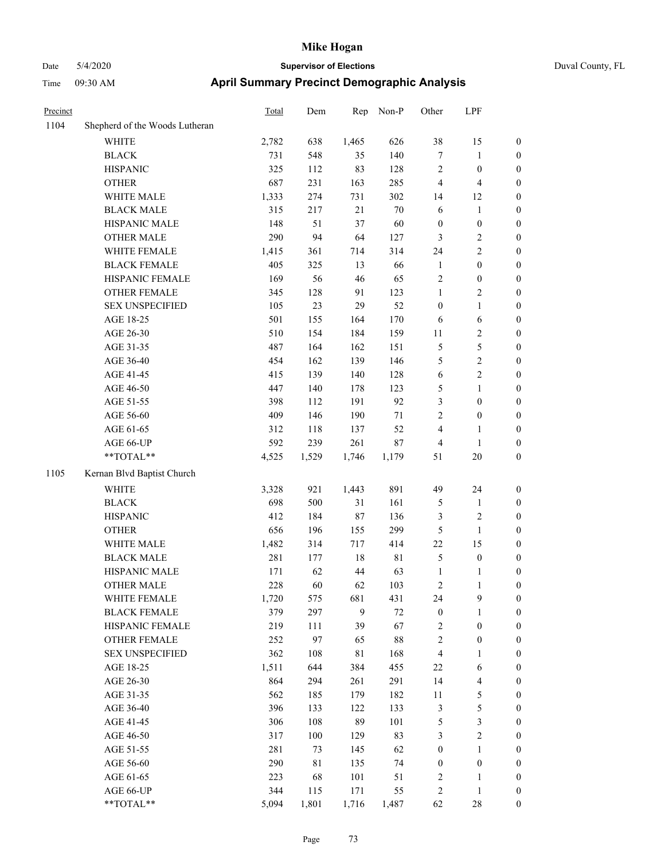| Precinct |                                            | <b>Total</b> | Dem   | Rep            | Non-P       | Other            | LPF                     |                  |
|----------|--------------------------------------------|--------------|-------|----------------|-------------|------------------|-------------------------|------------------|
| 1104     | Shepherd of the Woods Lutheran             |              |       |                |             |                  |                         |                  |
|          | WHITE                                      | 2,782        | 638   | 1,465          | 626         | 38               | 15                      | $\boldsymbol{0}$ |
|          | <b>BLACK</b>                               | 731          | 548   | 35             | 140         | $\tau$           | 1                       | $\boldsymbol{0}$ |
|          | <b>HISPANIC</b>                            | 325          | 112   | 83             | 128         | $\sqrt{2}$       | $\boldsymbol{0}$        | $\boldsymbol{0}$ |
|          | <b>OTHER</b>                               | 687          | 231   | 163            | 285         | $\overline{4}$   | 4                       | $\boldsymbol{0}$ |
|          | WHITE MALE                                 | 1,333        | 274   | 731            | 302         | 14               | 12                      | $\boldsymbol{0}$ |
|          | <b>BLACK MALE</b>                          | 315          | 217   | 21             | 70          | 6                | $\mathbf{1}$            | $\boldsymbol{0}$ |
|          | HISPANIC MALE                              | 148          | 51    | 37             | 60          | $\boldsymbol{0}$ | $\boldsymbol{0}$        | $\boldsymbol{0}$ |
|          | <b>OTHER MALE</b>                          | 290          | 94    | 64             | 127         | $\mathfrak{Z}$   | $\overline{\mathbf{c}}$ | $\boldsymbol{0}$ |
|          | WHITE FEMALE                               | 1,415        | 361   | 714            | 314         | 24               | 2                       | $\boldsymbol{0}$ |
|          | <b>BLACK FEMALE</b>                        | 405          | 325   | 13             | 66          | $\mathbf{1}$     | $\boldsymbol{0}$        | $\boldsymbol{0}$ |
|          | HISPANIC FEMALE                            | 169          | 56    | 46             | 65          | $\sqrt{2}$       | $\boldsymbol{0}$        | $\boldsymbol{0}$ |
|          | <b>OTHER FEMALE</b>                        | 345          | 128   | 91             | 123         | $\mathbf{1}$     | 2                       | $\boldsymbol{0}$ |
|          | <b>SEX UNSPECIFIED</b>                     | 105          | 23    | 29             | 52          | $\boldsymbol{0}$ | 1                       | $\boldsymbol{0}$ |
|          | AGE 18-25                                  | 501          | 155   | 164            | 170         | 6                | 6                       | $\boldsymbol{0}$ |
|          | AGE 26-30                                  | 510          | 154   | 184            | 159         | 11               | 2                       | $\boldsymbol{0}$ |
|          | AGE 31-35                                  | 487          | 164   | 162            | 151         | $\mathfrak{S}$   | 5                       | $\boldsymbol{0}$ |
|          | AGE 36-40                                  | 454          | 162   | 139            | 146         | 5                | 2                       | $\boldsymbol{0}$ |
|          | AGE 41-45                                  | 415          | 139   | 140            | 128         | 6                | 2                       | $\boldsymbol{0}$ |
|          | AGE 46-50                                  | 447          | 140   | 178            | 123         | 5                | 1                       | $\boldsymbol{0}$ |
|          | AGE 51-55                                  | 398          | 112   | 191            | 92          | 3                | $\boldsymbol{0}$        | $\boldsymbol{0}$ |
|          | AGE 56-60                                  | 409          | 146   | 190            | 71          | $\overline{c}$   | $\boldsymbol{0}$        | $\boldsymbol{0}$ |
|          | AGE 61-65                                  | 312          | 118   | 137            | 52          | $\overline{4}$   | 1                       | $\boldsymbol{0}$ |
|          | AGE 66-UP                                  | 592          | 239   | 261            | 87          | $\overline{4}$   | 1                       | $\boldsymbol{0}$ |
|          | **TOTAL**                                  | 4,525        | 1,529 | 1,746          | 1,179       | 51               | 20                      | $\boldsymbol{0}$ |
| 1105     | Kernan Blvd Baptist Church                 |              |       |                |             |                  |                         |                  |
|          | <b>WHITE</b>                               | 3,328        | 921   | 1,443          | 891         | 49               | 24                      | $\boldsymbol{0}$ |
|          | <b>BLACK</b>                               | 698          | 500   | 31             | 161         | 5                | 1                       | $\boldsymbol{0}$ |
|          | <b>HISPANIC</b>                            | 412          | 184   | 87             | 136         | 3                | $\overline{\mathbf{c}}$ | $\boldsymbol{0}$ |
|          | <b>OTHER</b>                               | 656          | 196   | 155            | 299         | 5                | 1                       | $\boldsymbol{0}$ |
|          | WHITE MALE                                 | 1,482        | 314   | 717            | 414         | 22               | 15                      | $\boldsymbol{0}$ |
|          | <b>BLACK MALE</b>                          | 281          | 177   | 18             | $8\sqrt{1}$ | $\mathfrak{S}$   | $\boldsymbol{0}$        | $\boldsymbol{0}$ |
|          | HISPANIC MALE                              | 171          | 62    | 44             | 63          | $\mathbf{1}$     | 1                       | $\boldsymbol{0}$ |
|          | <b>OTHER MALE</b>                          | 228          | 60    | 62             | 103         | $\overline{c}$   | 1                       | $\boldsymbol{0}$ |
|          | WHITE FEMALE                               | 1,720        | 575   | 681            | 431         | 24               | 9                       | $\boldsymbol{0}$ |
|          | <b>BLACK FEMALE</b>                        | 379          | 297   | $\mathfrak{g}$ | $72\,$      | $\boldsymbol{0}$ | 1                       | $\boldsymbol{0}$ |
|          | HISPANIC FEMALE                            | 219          | 111   | 39             | 67          | $\overline{2}$   | $\boldsymbol{0}$        | $\boldsymbol{0}$ |
|          | OTHER FEMALE                               | 252          | 97    | 65             | $88\,$      | $\sqrt{2}$       | $\boldsymbol{0}$        | $\boldsymbol{0}$ |
|          | <b>SEX UNSPECIFIED</b>                     | 362          | 108   | $8\sqrt{1}$    | 168         | $\overline{4}$   | 1                       | $\boldsymbol{0}$ |
|          | AGE 18-25                                  | 1,511        | 644   | 384            | 455         | 22               | 6                       | $\boldsymbol{0}$ |
|          | AGE 26-30                                  | 864          | 294   | 261            | 291         | 14               | 4                       | $\boldsymbol{0}$ |
|          | AGE 31-35                                  | 562          | 185   | 179            | 182         | 11               | 5                       | $\boldsymbol{0}$ |
|          | AGE 36-40                                  | 396          | 133   | 122            | 133         | $\mathfrak z$    | 5                       | $\boldsymbol{0}$ |
|          | AGE 41-45                                  | 306          | 108   | 89             | 101         | $\mathfrak s$    | 3                       | $\boldsymbol{0}$ |
|          | AGE 46-50                                  | 317          | 100   | 129            | 83          | $\mathfrak{Z}$   | $\overline{c}$          | $\boldsymbol{0}$ |
|          | AGE 51-55                                  | 281          | 73    | 145            | 62          | $\boldsymbol{0}$ | 1                       | $\boldsymbol{0}$ |
|          | AGE 56-60                                  | 290          | 81    | 135            | 74          | $\boldsymbol{0}$ | $\boldsymbol{0}$        | $\boldsymbol{0}$ |
|          | AGE 61-65                                  | 223          | 68    | 101            | 51          | $\overline{2}$   | 1                       | $\boldsymbol{0}$ |
|          | AGE 66-UP                                  | 344          | 115   | 171            | 55          | $\sqrt{2}$       | 1                       | $\boldsymbol{0}$ |
|          | $\mathrm{**} \mathrm{TOTAL}^{\mathrm{**}}$ | 5,094        | 1,801 | 1,716          | 1,487       | 62               | $28\,$                  | $\boldsymbol{0}$ |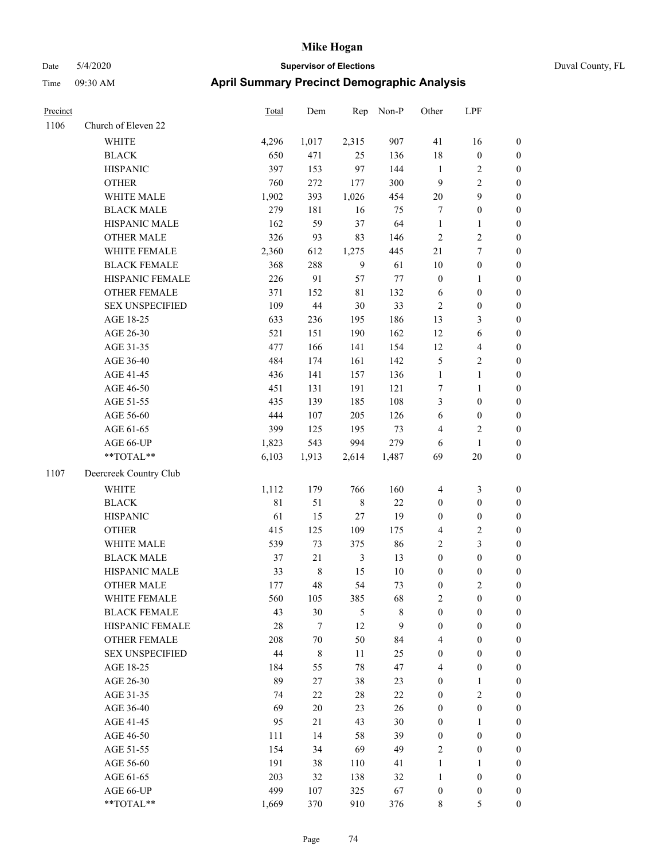| Duval County, FL |  |
|------------------|--|
|                  |  |

| Precinct |                        | Total  | Dem         | Rep            | Non-P        | Other            | LPF              |                  |
|----------|------------------------|--------|-------------|----------------|--------------|------------------|------------------|------------------|
| 1106     | Church of Eleven 22    |        |             |                |              |                  |                  |                  |
|          | <b>WHITE</b>           | 4,296  | 1,017       | 2,315          | 907          | 41               | 16               | $\boldsymbol{0}$ |
|          | <b>BLACK</b>           | 650    | 471         | 25             | 136          | 18               | $\boldsymbol{0}$ | $\boldsymbol{0}$ |
|          | <b>HISPANIC</b>        | 397    | 153         | 97             | 144          | $\mathbf{1}$     | $\boldsymbol{2}$ | $\boldsymbol{0}$ |
|          | <b>OTHER</b>           | 760    | 272         | 177            | 300          | $\overline{9}$   | $\overline{2}$   | $\boldsymbol{0}$ |
|          | WHITE MALE             | 1,902  | 393         | 1,026          | 454          | $20\,$           | $\mathbf{9}$     | $\boldsymbol{0}$ |
|          | <b>BLACK MALE</b>      | 279    | 181         | 16             | 75           | 7                | $\boldsymbol{0}$ | 0                |
|          | HISPANIC MALE          | 162    | 59          | 37             | 64           | $\mathbf{1}$     | 1                | $\boldsymbol{0}$ |
|          | <b>OTHER MALE</b>      | 326    | 93          | 83             | 146          | $\sqrt{2}$       | $\boldsymbol{2}$ | $\boldsymbol{0}$ |
|          | WHITE FEMALE           | 2,360  | 612         | 1,275          | 445          | 21               | $\boldsymbol{7}$ | $\boldsymbol{0}$ |
|          | <b>BLACK FEMALE</b>    | 368    | 288         | $\mathbf{9}$   | 61           | 10               | $\boldsymbol{0}$ | $\boldsymbol{0}$ |
|          | HISPANIC FEMALE        | 226    | 91          | 57             | $77 \,$      | $\boldsymbol{0}$ | $\mathbf{1}$     | $\boldsymbol{0}$ |
|          | <b>OTHER FEMALE</b>    | 371    | 152         | $8\sqrt{1}$    | 132          | 6                | $\boldsymbol{0}$ | $\boldsymbol{0}$ |
|          | <b>SEX UNSPECIFIED</b> | 109    | $44\,$      | $30\,$         | 33           | $\sqrt{2}$       | $\boldsymbol{0}$ | $\boldsymbol{0}$ |
|          | AGE 18-25              | 633    | 236         | 195            | 186          | 13               | $\mathfrak{Z}$   | $\boldsymbol{0}$ |
|          | AGE 26-30              | 521    | 151         | 190            | 162          | 12               | $\boldsymbol{6}$ | $\boldsymbol{0}$ |
|          | AGE 31-35              | 477    | 166         | 141            | 154          | 12               | $\overline{4}$   | 0                |
|          | AGE 36-40              | 484    | 174         | 161            | 142          | 5                | $\sqrt{2}$       | 0                |
|          | AGE 41-45              | 436    | 141         | 157            | 136          | $\mathbf{1}$     | $\mathbf{1}$     | $\boldsymbol{0}$ |
|          | AGE 46-50              | 451    | 131         | 191            | 121          | 7                | $\mathbf{1}$     | $\boldsymbol{0}$ |
|          | AGE 51-55              | 435    | 139         | 185            | 108          | 3                | $\boldsymbol{0}$ | $\boldsymbol{0}$ |
|          | AGE 56-60              | 444    | 107         | 205            | 126          | 6                | $\boldsymbol{0}$ | $\boldsymbol{0}$ |
|          | AGE 61-65              | 399    | 125         | 195            | 73           | 4                | $\sqrt{2}$       | $\boldsymbol{0}$ |
|          | AGE 66-UP              | 1,823  | 543         | 994            | 279          | 6                | $\mathbf{1}$     | $\boldsymbol{0}$ |
|          | **TOTAL**              | 6,103  | 1,913       | 2,614          | 1,487        | 69               | $20\,$           | $\boldsymbol{0}$ |
| 1107     | Deercreek Country Club |        |             |                |              |                  |                  |                  |
|          | <b>WHITE</b>           | 1,112  | 179         | 766            | 160          | $\overline{4}$   | $\mathfrak{Z}$   | $\boldsymbol{0}$ |
|          | <b>BLACK</b>           | 81     | 51          | $\,$ 8 $\,$    | $22\,$       | $\boldsymbol{0}$ | $\boldsymbol{0}$ | $\boldsymbol{0}$ |
|          | <b>HISPANIC</b>        | 61     | 15          | $27\,$         | 19           | $\boldsymbol{0}$ | $\boldsymbol{0}$ | $\boldsymbol{0}$ |
|          | <b>OTHER</b>           | 415    | 125         | 109            | 175          | 4                | $\sqrt{2}$       | $\boldsymbol{0}$ |
|          | WHITE MALE             | 539    | 73          | 375            | 86           | $\sqrt{2}$       | $\mathfrak{Z}$   | $\boldsymbol{0}$ |
|          | <b>BLACK MALE</b>      | 37     | 21          | $\mathfrak{Z}$ | 13           | $\boldsymbol{0}$ | $\boldsymbol{0}$ | $\boldsymbol{0}$ |
|          | HISPANIC MALE          | 33     | 8           | 15             | 10           | $\boldsymbol{0}$ | $\boldsymbol{0}$ | $\boldsymbol{0}$ |
|          | <b>OTHER MALE</b>      | 177    | 48          | 54             | 73           | $\boldsymbol{0}$ | $\overline{2}$   | $\boldsymbol{0}$ |
|          | WHITE FEMALE           | 560    | 105         | 385            | 68           | $\overline{2}$   | $\boldsymbol{0}$ | $\overline{0}$   |
|          | <b>BLACK FEMALE</b>    | 43     | 30          | $\sqrt{5}$     | $\,$ 8 $\,$  | $\boldsymbol{0}$ | $\boldsymbol{0}$ | 0                |
|          | HISPANIC FEMALE        | $28\,$ | $\tau$      | 12             | $\mathbf{9}$ | $\boldsymbol{0}$ | $\boldsymbol{0}$ | 0                |
|          | <b>OTHER FEMALE</b>    | 208    | $70\,$      | 50             | 84           | 4                | $\boldsymbol{0}$ | 0                |
|          | <b>SEX UNSPECIFIED</b> | 44     | $\,$ 8 $\,$ | 11             | 25           | $\boldsymbol{0}$ | $\boldsymbol{0}$ | 0                |
|          | AGE 18-25              | 184    | 55          | $78\,$         | 47           | 4                | $\boldsymbol{0}$ | 0                |
|          | AGE 26-30              | 89     | 27          | 38             | 23           | $\boldsymbol{0}$ | $\mathbf{1}$     | $\overline{0}$   |
|          | AGE 31-35              | 74     | 22          | $28\,$         | 22           | $\boldsymbol{0}$ | $\sqrt{2}$       | $\overline{0}$   |
|          | AGE 36-40              | 69     | $20\,$      | 23             | 26           | $\boldsymbol{0}$ | $\boldsymbol{0}$ | $\overline{0}$   |
|          | AGE 41-45              | 95     | 21          | 43             | 30           | $\boldsymbol{0}$ | $\mathbf{1}$     | $\overline{0}$   |
|          | AGE 46-50              | 111    | 14          | 58             | 39           | $\boldsymbol{0}$ | $\boldsymbol{0}$ | $\overline{0}$   |
|          | AGE 51-55              | 154    | 34          | 69             | 49           | $\overline{c}$   | $\boldsymbol{0}$ | $\overline{0}$   |
|          | AGE 56-60              | 191    | 38          | 110            | 41           | $\mathbf{1}$     | $\mathbf{1}$     | $\overline{0}$   |
|          | AGE 61-65              | 203    | 32          | 138            | 32           | $\mathbf{1}$     | $\boldsymbol{0}$ | 0                |
|          | AGE 66-UP              | 499    | 107         | 325            | 67           | $\boldsymbol{0}$ | $\boldsymbol{0}$ | 0                |
|          | **TOTAL**              | 1,669  | 370         | 910            | 376          | 8                | 5                | $\boldsymbol{0}$ |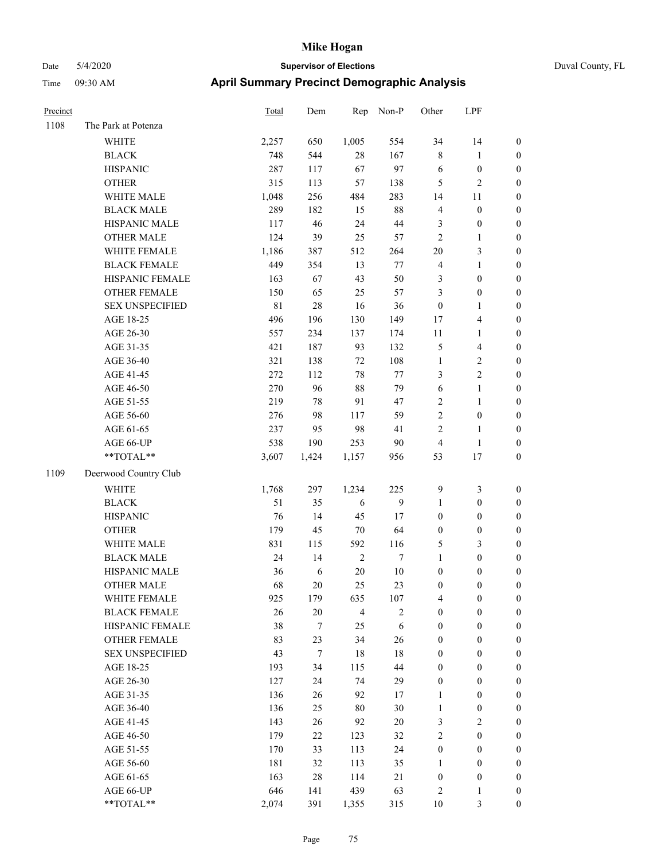| Гіme<br>09:30 AM            |       | April Summary Precinct Demographic Analysis |        |           |              |              |              |  |  |  |
|-----------------------------|-------|---------------------------------------------|--------|-----------|--------------|--------------|--------------|--|--|--|
| Precinct                    | Total | Dem                                         | Rep    | Non-P     | Other        | <b>LPF</b>   |              |  |  |  |
| 1108<br>The Park at Potenza |       |                                             |        |           |              |              |              |  |  |  |
| WHITE                       | 2,257 | 650                                         | 1,005  | 554       | 34           | 14           | $\mathbf{0}$ |  |  |  |
| <b>BLACK</b>                | 748   | 544                                         | 28     | 167       | 8            |              | $\mathbf{0}$ |  |  |  |
| <b>HISPANIC</b>             | 287   | 117                                         | 67     | 97        | 6            | $\mathbf{0}$ | $\mathbf{0}$ |  |  |  |
| <b>OTHER</b>                | 315   | 113                                         | 57     | 138       | 5            | 2            | $\mathbf{0}$ |  |  |  |
| <b>WHITE MALE</b>           | 1,048 | 256                                         | 484    | 283       | 14           | 11           | $\mathbf{0}$ |  |  |  |
| <b>BLACK MALE</b>           | 289   | 182                                         | 15     | 88        | 4            | $\theta$     | $\mathbf{0}$ |  |  |  |
| <b>LIICDANIIC MAI E</b>     | 117   | $\overline{16}$                             | $2\pi$ | $\Lambda$ | $\mathbf{c}$ | $\Omega$     | $\Omega$     |  |  |  |

|      | DETICIZ                                | $7 - 0$     | ᆉ                | ∠∪             | 101          |                         |                          |                  |
|------|----------------------------------------|-------------|------------------|----------------|--------------|-------------------------|--------------------------|------------------|
|      | <b>HISPANIC</b>                        | 287         | 117              | 67             | 97           | 6                       | $\boldsymbol{0}$         | $\boldsymbol{0}$ |
|      | <b>OTHER</b>                           | 315         | 113              | 57             | 138          | 5                       | $\sqrt{2}$               | $\boldsymbol{0}$ |
|      | WHITE MALE                             | 1,048       | 256              | 484            | 283          | 14                      | 11                       | $\boldsymbol{0}$ |
|      | <b>BLACK MALE</b>                      | 289         | 182              | 15             | 88           | 4                       | $\boldsymbol{0}$         | 0                |
|      | HISPANIC MALE                          | 117         | 46               | 24             | 44           | 3                       | $\boldsymbol{0}$         | 0                |
|      | <b>OTHER MALE</b>                      | 124         | 39               | 25             | 57           | $\overline{c}$          | 1                        | 0                |
|      | WHITE FEMALE                           | 1,186       | 387              | 512            | 264          | $20\,$                  | 3                        | $\boldsymbol{0}$ |
|      | <b>BLACK FEMALE</b>                    | 449         | 354              | 13             | $77 \,$      | 4                       | $\mathbf{1}$             | $\boldsymbol{0}$ |
|      | HISPANIC FEMALE                        | 163         | 67               | 43             | 50           | 3                       | $\boldsymbol{0}$         | $\boldsymbol{0}$ |
|      | OTHER FEMALE                           | 150         | 65               | 25             | 57           | 3                       | $\boldsymbol{0}$         | $\boldsymbol{0}$ |
|      | <b>SEX UNSPECIFIED</b>                 | $8\sqrt{1}$ | 28               | 16             | 36           | $\boldsymbol{0}$        | $\mathbf{1}$             | $\boldsymbol{0}$ |
|      | AGE 18-25                              | 496         | 196              | 130            | 149          | 17                      | $\overline{\mathcal{A}}$ | $\boldsymbol{0}$ |
|      | AGE 26-30                              | 557         | 234              | 137            | 174          | $11\,$                  | 1                        | $\boldsymbol{0}$ |
|      | AGE 31-35                              | 421         | 187              | 93             | 132          | 5                       | $\overline{\mathcal{A}}$ | $\boldsymbol{0}$ |
|      | AGE 36-40                              | 321         | 138              | $72\,$         | 108          | $\mathbf{1}$            | $\sqrt{2}$               | 0                |
|      | AGE 41-45                              | 272         | 112              | 78             | $77\,$       | 3                       | $\sqrt{2}$               | 0                |
|      | AGE 46-50                              | 270         | 96               | 88             | 79           | 6                       | $\mathbf{1}$             | 0                |
|      | AGE 51-55                              | 219         | 78               | 91             | 47           | 2                       | $\mathbf{1}$             | $\boldsymbol{0}$ |
|      | AGE 56-60                              | 276         | 98               | 117            | 59           | $\overline{c}$          | $\boldsymbol{0}$         | $\boldsymbol{0}$ |
|      | AGE 61-65                              | 237         | 95               | 98             | 41           | $\overline{c}$          | $\mathbf{1}$             | $\boldsymbol{0}$ |
|      | AGE 66-UP                              | 538         | 190              | 253            | 90           | 4                       | $\mathbf{1}$             | 0                |
|      | $\mathrm{*}\mathrm{*} \mathrm{TOTAL}*$ | 3,607       | 1,424            | 1,157          | 956          | 53                      | 17                       | $\boldsymbol{0}$ |
| 1109 | Deerwood Country Club                  |             |                  |                |              |                         |                          |                  |
|      | <b>WHITE</b>                           | 1,768       | 297              | 1,234          | 225          | 9                       | $\mathfrak{Z}$           | $\boldsymbol{0}$ |
|      | <b>BLACK</b>                           | 51          | 35               | 6              | $\mathbf{9}$ | $\mathbf{1}$            | $\boldsymbol{0}$         | $\boldsymbol{0}$ |
|      | <b>HISPANIC</b>                        | 76          | 14               | 45             | 17           | $\boldsymbol{0}$        | $\boldsymbol{0}$         | $\boldsymbol{0}$ |
|      | <b>OTHER</b>                           | 179         | 45               | 70             | 64           | 0                       | $\boldsymbol{0}$         | 0                |
|      | WHITE MALE                             | 831         | 115              | 592            | 116          | 5                       | 3                        | 0                |
|      | <b>BLACK MALE</b>                      | 24          | 14               | $\sqrt{2}$     | $\tau$       | 1                       | $\boldsymbol{0}$         | 0                |
|      | HISPANIC MALE                          | 36          | 6                | $20\,$         | 10           | $\boldsymbol{0}$        | $\boldsymbol{0}$         | $\boldsymbol{0}$ |
|      | <b>OTHER MALE</b>                      | 68          | 20               | 25             | 23           | 0                       | $\boldsymbol{0}$         | $\boldsymbol{0}$ |
|      | WHITE FEMALE                           | 925         | 179              | 635            | 107          | 4                       | $\boldsymbol{0}$         | $\boldsymbol{0}$ |
|      | <b>BLACK FEMALE</b>                    | 26          | 20               | $\overline{4}$ | $\sqrt{2}$   | 0                       | $\boldsymbol{0}$         | $\boldsymbol{0}$ |
|      | HISPANIC FEMALE                        | 38          | $\boldsymbol{7}$ | 25             | 6            | 0                       | $\boldsymbol{0}$         | $\boldsymbol{0}$ |
|      | <b>OTHER FEMALE</b>                    | 83          | 23               | 34             | 26           | 0                       | $\boldsymbol{0}$         | $\boldsymbol{0}$ |
|      | <b>SEX UNSPECIFIED</b>                 | 43          | $\boldsymbol{7}$ | 18             | 18           | $\boldsymbol{0}$        | $\boldsymbol{0}$         | 0                |
|      | AGE 18-25                              | 193         | 34               | 115            | 44           | $\boldsymbol{0}$        | $\boldsymbol{0}$         | 0                |
|      | AGE 26-30                              | 127         | 24               | 74             | 29           | $\boldsymbol{0}$        | $\boldsymbol{0}$         | 0                |
|      | AGE 31-35                              | 136         | 26               | 92             | 17           | 1                       | $\boldsymbol{0}$         | 0                |
|      | AGE 36-40                              | 136         | 25               | 80             | 30           | $\mathbf{1}$            | $\boldsymbol{0}$         | 0                |
|      | AGE 41-45                              | 143         | 26               | 92             | 20           | 3                       | $\sqrt{2}$               | $\overline{0}$   |
|      | AGE 46-50                              | 179         | $22\,$           | 123            | 32           | $\overline{\mathbf{c}}$ | $\boldsymbol{0}$         | 0                |
|      | AGE 51-55                              | 170         | 33               | 113            | 24           | $\boldsymbol{0}$        | $\boldsymbol{0}$         | 0                |
|      | AGE 56-60                              | 181         | 32               | 113            | 35           | 1                       | $\boldsymbol{0}$         | 0                |
|      | AGE 61-65                              | 163         | 28               | 114            | $21\,$       | $\boldsymbol{0}$        | $\boldsymbol{0}$         | 0                |
|      | AGE 66-UP                              | 646         | 141              | 439            | 63           | 2                       | $\mathbf{1}$             | 0                |
|      | **TOTAL**                              | 2,074       | 391              | 1,355          | 315          | 10                      | $\mathfrak z$            | $\boldsymbol{0}$ |
|      |                                        |             |                  |                |              |                         |                          |                  |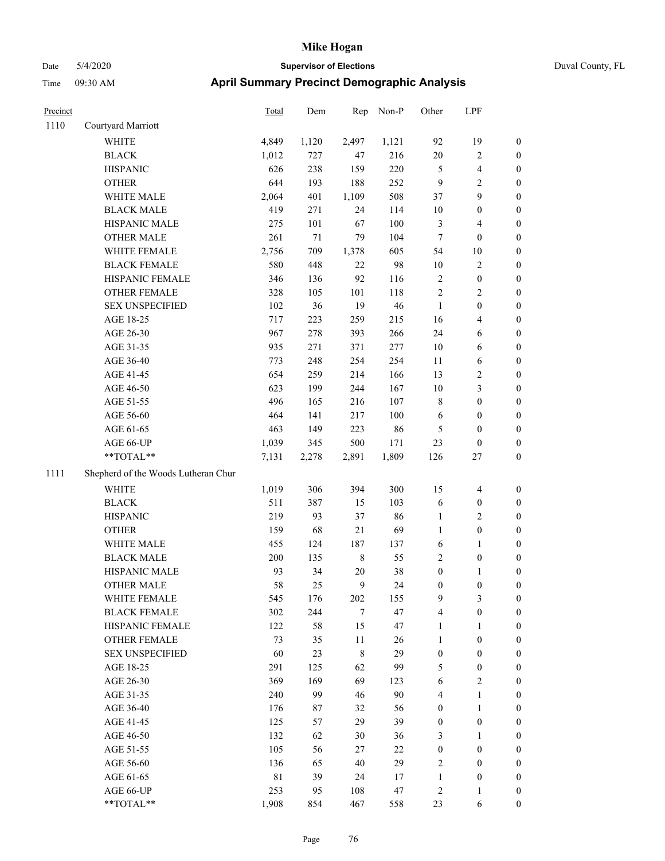| Precinct |                                     | Total       | Dem   | Rep         | Non-P  | Other            | LPF                     |                  |
|----------|-------------------------------------|-------------|-------|-------------|--------|------------------|-------------------------|------------------|
| 1110     | Courtyard Marriott                  |             |       |             |        |                  |                         |                  |
|          | <b>WHITE</b>                        | 4,849       | 1,120 | 2,497       | 1,121  | 92               | 19                      | $\boldsymbol{0}$ |
|          | <b>BLACK</b>                        | 1,012       | 727   | 47          | 216    | $20\,$           | 2                       | $\boldsymbol{0}$ |
|          | <b>HISPANIC</b>                     | 626         | 238   | 159         | 220    | 5                | 4                       | $\boldsymbol{0}$ |
|          | <b>OTHER</b>                        | 644         | 193   | 188         | 252    | 9                | $\overline{\mathbf{c}}$ | $\boldsymbol{0}$ |
|          | WHITE MALE                          | 2,064       | 401   | 1,109       | 508    | 37               | 9                       | $\boldsymbol{0}$ |
|          | <b>BLACK MALE</b>                   | 419         | 271   | 24          | 114    | 10               | $\boldsymbol{0}$        | $\boldsymbol{0}$ |
|          | HISPANIC MALE                       | 275         | 101   | 67          | 100    | $\mathfrak{Z}$   | 4                       | $\boldsymbol{0}$ |
|          | <b>OTHER MALE</b>                   | 261         | 71    | 79          | 104    | $\tau$           | $\boldsymbol{0}$        | $\boldsymbol{0}$ |
|          | WHITE FEMALE                        | 2,756       | 709   | 1,378       | 605    | 54               | 10                      | $\boldsymbol{0}$ |
|          | <b>BLACK FEMALE</b>                 | 580         | 448   | 22          | 98     | 10               | 2                       | $\boldsymbol{0}$ |
|          | HISPANIC FEMALE                     | 346         | 136   | 92          | 116    | $\sqrt{2}$       | $\boldsymbol{0}$        | $\boldsymbol{0}$ |
|          | <b>OTHER FEMALE</b>                 | 328         | 105   | 101         | 118    | $\overline{2}$   | 2                       | $\boldsymbol{0}$ |
|          | <b>SEX UNSPECIFIED</b>              | 102         | 36    | 19          | 46     | $\mathbf{1}$     | $\boldsymbol{0}$        | $\boldsymbol{0}$ |
|          | AGE 18-25                           | 717         | 223   | 259         | 215    | 16               | 4                       | $\boldsymbol{0}$ |
|          | AGE 26-30                           | 967         | 278   | 393         | 266    | 24               | 6                       | $\boldsymbol{0}$ |
|          | AGE 31-35                           | 935         | 271   | 371         | 277    | 10               | 6                       | $\boldsymbol{0}$ |
|          | AGE 36-40                           | 773         | 248   | 254         | 254    | 11               | 6                       | $\boldsymbol{0}$ |
|          | AGE 41-45                           | 654         | 259   | 214         | 166    | 13               | 2                       | $\boldsymbol{0}$ |
|          | AGE 46-50                           | 623         | 199   | 244         | 167    | 10               | 3                       | $\boldsymbol{0}$ |
|          | AGE 51-55                           | 496         | 165   | 216         | 107    | $\,$ 8 $\,$      | $\boldsymbol{0}$        | $\boldsymbol{0}$ |
|          | AGE 56-60                           | 464         | 141   | 217         | 100    | 6                | $\boldsymbol{0}$        | $\boldsymbol{0}$ |
|          | AGE 61-65                           | 463         | 149   | 223         | 86     | 5                | $\boldsymbol{0}$        | $\boldsymbol{0}$ |
|          | AGE 66-UP                           | 1,039       | 345   | 500         | 171    | 23               | $\boldsymbol{0}$        | $\boldsymbol{0}$ |
|          | **TOTAL**                           | 7,131       | 2,278 | 2,891       | 1,809  | 126              | 27                      | $\boldsymbol{0}$ |
| 1111     | Shepherd of the Woods Lutheran Chur |             |       |             |        |                  |                         |                  |
|          | WHITE                               | 1,019       | 306   | 394         | 300    | 15               | $\overline{4}$          | $\boldsymbol{0}$ |
|          | <b>BLACK</b>                        | 511         | 387   | 15          | 103    | 6                | $\boldsymbol{0}$        | $\boldsymbol{0}$ |
|          | <b>HISPANIC</b>                     | 219         | 93    | 37          | 86     | $\mathbf{1}$     | 2                       | $\boldsymbol{0}$ |
|          | <b>OTHER</b>                        | 159         | 68    | 21          | 69     | $\mathbf{1}$     | $\boldsymbol{0}$        | $\boldsymbol{0}$ |
|          | WHITE MALE                          | 455         | 124   | 187         | 137    | 6                | 1                       | $\boldsymbol{0}$ |
|          | <b>BLACK MALE</b>                   | 200         | 135   | $\,$ 8 $\,$ | 55     | $\overline{2}$   | $\boldsymbol{0}$        | $\boldsymbol{0}$ |
|          | HISPANIC MALE                       | 93          | 34    | $20\,$      | 38     | $\boldsymbol{0}$ | 1                       | $\boldsymbol{0}$ |
|          | <b>OTHER MALE</b>                   | 58          | 25    | 9           | 24     | $\boldsymbol{0}$ | $\boldsymbol{0}$        | $\boldsymbol{0}$ |
|          | WHITE FEMALE                        | 545         | 176   | 202         | 155    | 9                | 3                       | $\mathbf{0}$     |
|          | <b>BLACK FEMALE</b>                 | 302         | 244   | $\tau$      | 47     | $\overline{4}$   | $\boldsymbol{0}$        | $\boldsymbol{0}$ |
|          | HISPANIC FEMALE                     | 122         | 58    | 15          | 47     | $\mathbf{1}$     | 1                       | $\boldsymbol{0}$ |
|          | <b>OTHER FEMALE</b>                 | 73          | 35    | 11          | 26     | $\mathbf{1}$     | $\boldsymbol{0}$        | $\boldsymbol{0}$ |
|          | <b>SEX UNSPECIFIED</b>              | 60          | 23    | $\,$ 8 $\,$ | 29     | $\boldsymbol{0}$ | $\boldsymbol{0}$        | $\boldsymbol{0}$ |
|          | AGE 18-25                           | 291         | 125   | 62          | 99     | $\mathfrak s$    | $\boldsymbol{0}$        | $\boldsymbol{0}$ |
|          | AGE 26-30                           | 369         | 169   | 69          | 123    | 6                | $\mathbf{2}$            | $\boldsymbol{0}$ |
|          | AGE 31-35                           | 240         | 99    | 46          | 90     | $\overline{4}$   | $\mathbf{1}$            | $\boldsymbol{0}$ |
|          | AGE 36-40                           | 176         | 87    | 32          | 56     | $\boldsymbol{0}$ | $\mathbf{1}$            | $\boldsymbol{0}$ |
|          | AGE 41-45                           | 125         | 57    | 29          | 39     | $\boldsymbol{0}$ | $\boldsymbol{0}$        | $\boldsymbol{0}$ |
|          | AGE 46-50                           | 132         | 62    | 30          | 36     | $\mathfrak{Z}$   | 1                       | $\boldsymbol{0}$ |
|          | AGE 51-55                           | 105         | 56    | 27          | $22\,$ | $\boldsymbol{0}$ | $\boldsymbol{0}$        | $\boldsymbol{0}$ |
|          | AGE 56-60                           | 136         | 65    | 40          | 29     | $\sqrt{2}$       | $\boldsymbol{0}$        | $\boldsymbol{0}$ |
|          | AGE 61-65                           | $8\sqrt{1}$ | 39    | 24          | 17     | $\mathbf{1}$     | $\boldsymbol{0}$        | $\boldsymbol{0}$ |
|          | AGE 66-UP                           | 253         | 95    | 108         | 47     | $\sqrt{2}$       | 1                       | $\mathbf{0}$     |
|          | $**TOTAL**$                         | 1,908       | 854   | 467         | 558    | 23               | 6                       | $\mathbf{0}$     |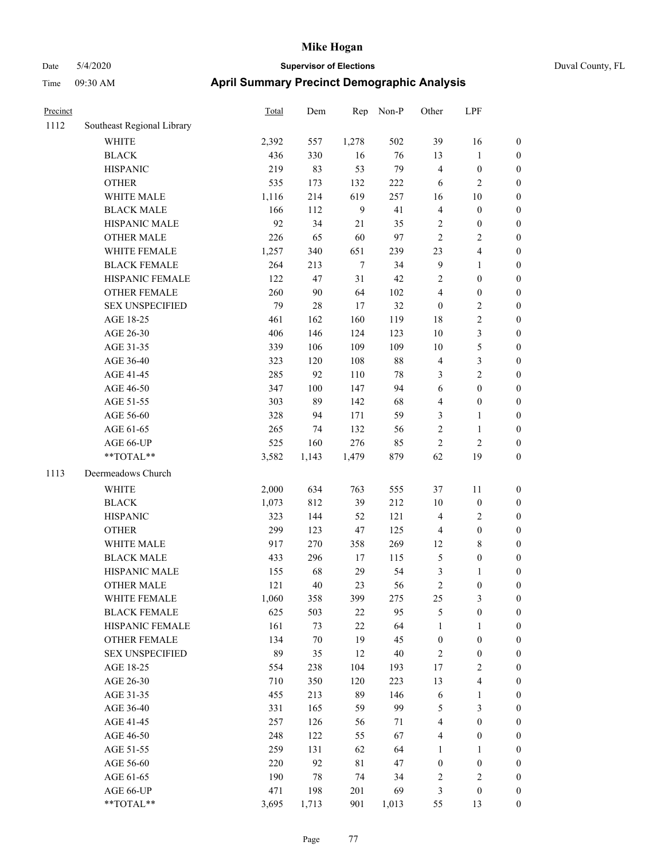Precinct Total Dem Rep Non-P

# Date 5/4/2020 **Supervisor of Elections** Duval County, FL Time 09:30 AM **April Summary Precinct Demographi**

| ic Analysis |     |  |  |
|-------------|-----|--|--|
| Other       | LPF |  |  |

| 1112 | Southeast Regional Library                    |       |         |             |        |                  |                         |                  |
|------|-----------------------------------------------|-------|---------|-------------|--------|------------------|-------------------------|------------------|
|      | <b>WHITE</b>                                  | 2,392 | 557     | 1,278       | 502    | 39               | 16                      | 0                |
|      | <b>BLACK</b>                                  | 436   | 330     | 16          | 76     | 13               | $\mathbf{1}$            | 0                |
|      | <b>HISPANIC</b>                               | 219   | 83      | 53          | 79     | $\overline{4}$   | $\boldsymbol{0}$        | 0                |
|      | <b>OTHER</b>                                  | 535   | 173     | 132         | 222    | 6                | $\sqrt{2}$              | $\boldsymbol{0}$ |
|      | WHITE MALE                                    | 1,116 | 214     | 619         | 257    | 16               | 10                      | $\boldsymbol{0}$ |
|      | <b>BLACK MALE</b>                             | 166   | 112     | 9           | 41     | $\overline{4}$   | $\boldsymbol{0}$        | $\boldsymbol{0}$ |
|      | HISPANIC MALE                                 | 92    | 34      | 21          | 35     | $\overline{c}$   | $\boldsymbol{0}$        | $\boldsymbol{0}$ |
|      | <b>OTHER MALE</b>                             | 226   | 65      | 60          | 97     | $\overline{2}$   | $\sqrt{2}$              | $\boldsymbol{0}$ |
|      | WHITE FEMALE                                  | 1,257 | 340     | 651         | 239    | 23               | $\overline{\mathbf{4}}$ | $\boldsymbol{0}$ |
|      | <b>BLACK FEMALE</b>                           | 264   | 213     | 7           | 34     | $\boldsymbol{9}$ | $\mathbf{1}$            | $\boldsymbol{0}$ |
|      | HISPANIC FEMALE                               | 122   | 47      | 31          | 42     | $\sqrt{2}$       | $\boldsymbol{0}$        | 0                |
|      | <b>OTHER FEMALE</b>                           | 260   | 90      | 64          | 102    | $\overline{4}$   | $\boldsymbol{0}$        | 0                |
|      | <b>SEX UNSPECIFIED</b>                        | 79    | 28      | 17          | 32     | $\boldsymbol{0}$ | $\sqrt{2}$              | $\boldsymbol{0}$ |
|      | AGE 18-25                                     | 461   | 162     | 160         | 119    | 18               | $\sqrt{2}$              | $\boldsymbol{0}$ |
|      | AGE 26-30                                     | 406   | 146     | 124         | 123    | 10               | $\mathfrak{Z}$          | $\boldsymbol{0}$ |
|      | AGE 31-35                                     | 339   | 106     | 109         | 109    | 10               | $\sqrt{5}$              | $\boldsymbol{0}$ |
|      | AGE 36-40                                     | 323   | 120     | 108         | $88\,$ | 4                | $\mathfrak z$           | $\boldsymbol{0}$ |
|      | AGE 41-45                                     | 285   | 92      | 110         | $78\,$ | 3                | $\sqrt{2}$              | $\boldsymbol{0}$ |
|      | AGE 46-50                                     | 347   | $100\,$ | 147         | 94     | $\sqrt{6}$       | $\boldsymbol{0}$        | $\boldsymbol{0}$ |
|      | AGE 51-55                                     | 303   | 89      | 142         | 68     | $\overline{4}$   | $\boldsymbol{0}$        | $\boldsymbol{0}$ |
|      | AGE 56-60                                     | 328   | 94      | 171         | 59     | 3                | $\mathbf{1}$            | 0                |
|      | AGE 61-65                                     | 265   | 74      | 132         | 56     | $\sqrt{2}$       | $\mathbf{1}$            | 0                |
|      | AGE 66-UP                                     | 525   | 160     | 276         | 85     | $\sqrt{2}$       | $\sqrt{2}$              | 0                |
|      | **TOTAL**                                     | 3,582 | 1,143   | 1,479       | 879    | 62               | 19                      | $\boldsymbol{0}$ |
| 1113 | Deermeadows Church                            |       |         |             |        |                  |                         |                  |
|      |                                               |       |         |             |        |                  |                         |                  |
|      | <b>WHITE</b>                                  | 2,000 | 634     | 763         | 555    | 37               | 11                      | $\boldsymbol{0}$ |
|      | <b>BLACK</b>                                  | 1,073 | 812     | 39          | 212    | 10               | $\boldsymbol{0}$        | $\boldsymbol{0}$ |
|      | <b>HISPANIC</b>                               | 323   | 144     | 52          | 121    | 4                | $\sqrt{2}$              | $\boldsymbol{0}$ |
|      | <b>OTHER</b>                                  | 299   | 123     | 47          | 125    | 4                | $\boldsymbol{0}$        | $\boldsymbol{0}$ |
|      | WHITE MALE                                    | 917   | 270     | 358         | 269    | 12               | $\,$ 8 $\,$             | $\boldsymbol{0}$ |
|      | <b>BLACK MALE</b>                             | 433   | 296     | 17          | 115    | 5                | $\boldsymbol{0}$        | $\boldsymbol{0}$ |
|      | HISPANIC MALE                                 | 155   | 68      | 29          | 54     | $\mathfrak{Z}$   | $\mathbf{1}$            | $\boldsymbol{0}$ |
|      | <b>OTHER MALE</b>                             | 121   | $40\,$  | 23          | 56     | $\sqrt{2}$       | $\boldsymbol{0}$        | $\boldsymbol{0}$ |
|      | WHITE FEMALE                                  | 1,060 | 358     | 399         | 275    | 25               | 3                       | $\boldsymbol{0}$ |
|      | <b>BLACK FEMALE</b>                           | 625   | 503     | 22          | 95     | 5                | $\boldsymbol{0}$        | $\boldsymbol{0}$ |
|      | HISPANIC FEMALE                               | 161   | 73      | $22\,$      | 64     | 1                | $\mathbf{1}$            | $\boldsymbol{0}$ |
|      | <b>OTHER FEMALE</b><br><b>SEX UNSPECIFIED</b> | 134   | $70\,$  | 19          | 45     | $\boldsymbol{0}$ | $\boldsymbol{0}$        | $\overline{0}$   |
|      |                                               | 89    | 35      | 12          | 40     | $\sqrt{2}$       | $\boldsymbol{0}$        | 0                |
|      | AGE 18-25                                     | 554   | 238     | 104         | 193    | 17               | $\sqrt{2}$              | 0                |
|      | AGE 26-30                                     | 710   | 350     | 120         | 223    | 13               | $\overline{\mathbf{4}}$ | 0                |
|      | AGE 31-35                                     | 455   | 213     | 89          | 146    | $\sqrt{6}$       | $\mathbf{1}$            | 0                |
|      | AGE 36-40                                     | 331   | 165     | 59          | 99     | 5                | $\mathfrak{Z}$          | 0                |
|      | AGE 41-45                                     | 257   | 126     | 56          | 71     | $\overline{4}$   | $\boldsymbol{0}$        | 0                |
|      | AGE 46-50                                     | 248   | 122     | 55          | 67     | $\overline{4}$   | $\boldsymbol{0}$        | 0                |
|      | AGE 51-55                                     | 259   | 131     | 62          | 64     | 1                | 1                       | 0                |
|      | AGE 56-60                                     | 220   | 92      | $8\sqrt{1}$ | 47     | $\boldsymbol{0}$ | $\boldsymbol{0}$        | 0                |
|      | AGE 61-65                                     | 190   | 78      | 74          | 34     | $\overline{c}$   | $\sqrt{2}$              | $\boldsymbol{0}$ |
|      | AGE 66-UP                                     | 471   | 198     | 201         | 69     | 3                | $\boldsymbol{0}$        | $\boldsymbol{0}$ |
|      | $\mathrm{**} \mathrm{TOTAL}^{\mathrm{**}}$    | 3,695 | 1,713   | 901         | 1,013  | 55               | 13                      | $\boldsymbol{0}$ |

Page 77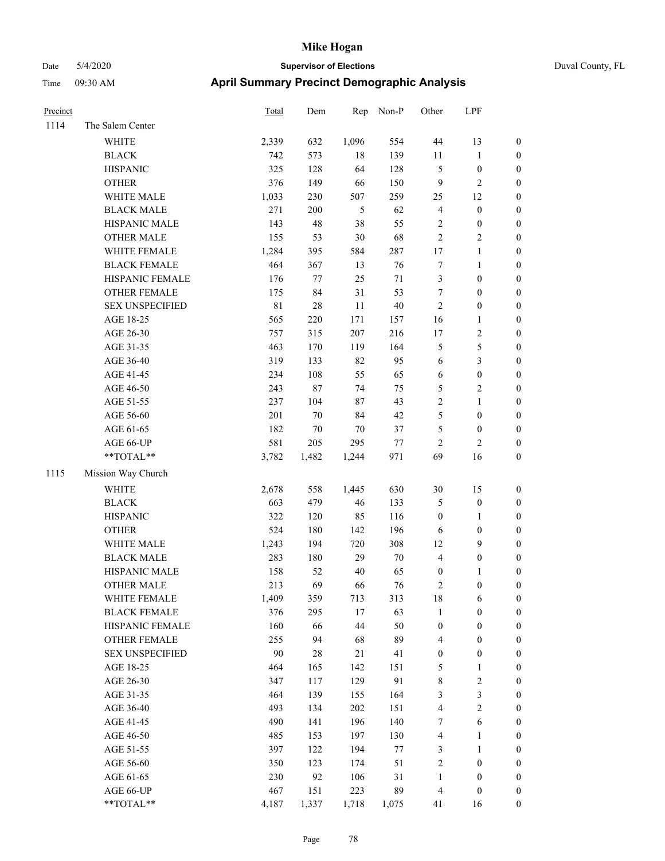|  | Duval |
|--|-------|
|  |       |

| Precinct |                        | Total       | Dem    | Rep        | Non-P  | Other            | LPF              |                  |
|----------|------------------------|-------------|--------|------------|--------|------------------|------------------|------------------|
| 1114     | The Salem Center       |             |        |            |        |                  |                  |                  |
|          | <b>WHITE</b>           | 2,339       | 632    | 1,096      | 554    | $44\,$           | 13               | $\boldsymbol{0}$ |
|          | <b>BLACK</b>           | 742         | 573    | $18\,$     | 139    | $11\,$           | $\mathbf{1}$     | $\boldsymbol{0}$ |
|          | <b>HISPANIC</b>        | 325         | 128    | 64         | 128    | 5                | $\boldsymbol{0}$ | $\boldsymbol{0}$ |
|          | <b>OTHER</b>           | 376         | 149    | 66         | 150    | $\overline{9}$   | $\overline{c}$   | $\boldsymbol{0}$ |
|          | WHITE MALE             | 1,033       | 230    | 507        | 259    | 25               | 12               | $\boldsymbol{0}$ |
|          | <b>BLACK MALE</b>      | 271         | 200    | $\sqrt{5}$ | 62     | $\overline{4}$   | $\boldsymbol{0}$ | $\boldsymbol{0}$ |
|          | HISPANIC MALE          | 143         | 48     | $38\,$     | 55     | $\sqrt{2}$       | $\boldsymbol{0}$ | $\boldsymbol{0}$ |
|          | <b>OTHER MALE</b>      | 155         | 53     | $30\,$     | 68     | $\sqrt{2}$       | $\sqrt{2}$       | 0                |
|          | WHITE FEMALE           | 1,284       | 395    | 584        | 287    | 17               | $\mathbf{1}$     | 0                |
|          | <b>BLACK FEMALE</b>    | 464         | 367    | 13         | 76     | $\boldsymbol{7}$ | $\mathbf{1}$     | $\boldsymbol{0}$ |
|          | HISPANIC FEMALE        | 176         | $77\,$ | 25         | $71\,$ | 3                | $\boldsymbol{0}$ | $\boldsymbol{0}$ |
|          | <b>OTHER FEMALE</b>    | 175         | 84     | 31         | 53     | $\tau$           | $\boldsymbol{0}$ | $\boldsymbol{0}$ |
|          | <b>SEX UNSPECIFIED</b> | $8\sqrt{1}$ | 28     | 11         | 40     | $\sqrt{2}$       | $\boldsymbol{0}$ | $\boldsymbol{0}$ |
|          | AGE 18-25              | 565         | 220    | 171        | 157    | 16               | $\mathbf{1}$     | $\boldsymbol{0}$ |
|          | AGE 26-30              | 757         | 315    | 207        | 216    | 17               | $\sqrt{2}$       | $\boldsymbol{0}$ |
|          | AGE 31-35              | 463         | 170    | 119        | 164    | 5                | $\sqrt{5}$       | $\boldsymbol{0}$ |
|          | AGE 36-40              | 319         | 133    | 82         | 95     | 6                | $\mathfrak{Z}$   | $\boldsymbol{0}$ |
|          | AGE 41-45              | 234         | 108    | 55         | 65     | 6                | $\boldsymbol{0}$ | $\boldsymbol{0}$ |
|          | AGE 46-50              | 243         | 87     | 74         | 75     | $\mathfrak s$    | $\sqrt{2}$       | 0                |
|          | AGE 51-55              | 237         | 104    | $87\,$     | 43     | $\sqrt{2}$       | $\mathbf{1}$     | 0                |
|          | AGE 56-60              | 201         | 70     | 84         | 42     | 5                | $\boldsymbol{0}$ | $\boldsymbol{0}$ |
|          | AGE 61-65              | 182         | $70\,$ | $70\,$     | 37     | 5                | $\boldsymbol{0}$ | $\boldsymbol{0}$ |
|          | AGE 66-UP              | 581         | 205    | 295        | 77     | $\overline{c}$   | $\overline{c}$   | $\boldsymbol{0}$ |
|          | **TOTAL**              | 3,782       | 1,482  | 1,244      | 971    | 69               | 16               | $\boldsymbol{0}$ |
| 1115     | Mission Way Church     |             |        |            |        |                  |                  |                  |
|          | WHITE                  | 2,678       | 558    | 1,445      | 630    | 30               | 15               | $\boldsymbol{0}$ |
|          | <b>BLACK</b>           | 663         | 479    | $46\,$     | 133    | 5                | $\boldsymbol{0}$ | $\boldsymbol{0}$ |
|          | <b>HISPANIC</b>        | 322         | 120    | 85         | 116    | $\boldsymbol{0}$ | $\mathbf{1}$     | $\boldsymbol{0}$ |
|          | <b>OTHER</b>           | 524         | 180    | 142        | 196    | 6                | $\boldsymbol{0}$ | $\boldsymbol{0}$ |
|          | WHITE MALE             | 1,243       | 194    | 720        | 308    | 12               | $\mathbf{9}$     | $\boldsymbol{0}$ |
|          | <b>BLACK MALE</b>      | 283         | 180    | 29         | $70\,$ | $\overline{4}$   | $\boldsymbol{0}$ | 0                |
|          | HISPANIC MALE          | 158         | 52     | $40\,$     | 65     | $\boldsymbol{0}$ | 1                | 0                |
|          | <b>OTHER MALE</b>      | 213         | 69     | 66         | 76     | $\overline{c}$   | $\boldsymbol{0}$ | $\boldsymbol{0}$ |
|          | WHITE FEMALE           | 1,409       | 359    | 713        | 313    | $18\,$           | 6                | $\boldsymbol{0}$ |
|          | <b>BLACK FEMALE</b>    | 376         | 295    | 17         | 63     | $\mathbf{1}$     | $\boldsymbol{0}$ | $\boldsymbol{0}$ |
|          | HISPANIC FEMALE        | 160         | 66     | 44         | 50     | $\boldsymbol{0}$ | $\boldsymbol{0}$ | $\overline{0}$   |
|          | <b>OTHER FEMALE</b>    | 255         | 94     | 68         | 89     | 4                | $\boldsymbol{0}$ | $\overline{0}$   |
|          | <b>SEX UNSPECIFIED</b> | $90\,$      | $28\,$ | 21         | 41     | $\boldsymbol{0}$ | $\boldsymbol{0}$ | $\overline{0}$   |
|          | AGE 18-25              | 464         | 165    | 142        | 151    | 5                | $\mathbf{1}$     | 0                |
|          | AGE 26-30              | 347         | 117    | 129        | 91     | $\,$ $\,$        | $\sqrt{2}$       | 0                |
|          | AGE 31-35              | 464         | 139    | 155        | 164    | 3                | $\mathfrak{Z}$   | 0                |
|          | AGE 36-40              | 493         | 134    | 202        | 151    | 4                | $\sqrt{2}$       | 0                |
|          | AGE 41-45              | 490         | 141    | 196        | 140    | 7                | $\sqrt{6}$       | $\boldsymbol{0}$ |
|          | AGE 46-50              | 485         | 153    | 197        | 130    | 4                | 1                | $\boldsymbol{0}$ |
|          | AGE 51-55              | 397         | 122    | 194        | 77     | 3                | $\mathbf{1}$     | $\boldsymbol{0}$ |
|          | AGE 56-60              | 350         | 123    | 174        | 51     | $\overline{c}$   | $\boldsymbol{0}$ | $\boldsymbol{0}$ |
|          | AGE 61-65              | 230         | 92     | 106        | 31     | $\mathbf{1}$     | $\boldsymbol{0}$ | $\overline{0}$   |
|          | AGE 66-UP              | 467         | 151    | 223        | 89     | $\overline{4}$   | $\boldsymbol{0}$ | $\boldsymbol{0}$ |
|          | **TOTAL**              | 4,187       | 1,337  | 1,718      | 1,075  | 41               | 16               | $\boldsymbol{0}$ |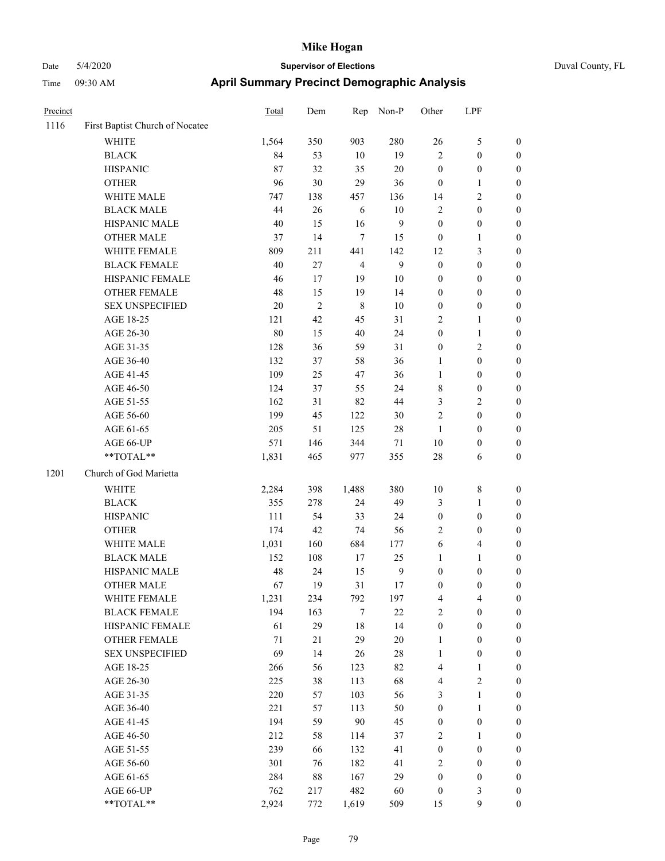| Precinct |                                 | <b>Total</b> | Dem            | Rep            | Non-P  | Other                   | LPF                     |                  |
|----------|---------------------------------|--------------|----------------|----------------|--------|-------------------------|-------------------------|------------------|
| 1116     | First Baptist Church of Nocatee |              |                |                |        |                         |                         |                  |
|          | WHITE                           | 1,564        | 350            | 903            | 280    | 26                      | 5                       | $\boldsymbol{0}$ |
|          | <b>BLACK</b>                    | 84           | 53             | $10\,$         | 19     | $\sqrt{2}$              | $\boldsymbol{0}$        | $\boldsymbol{0}$ |
|          | <b>HISPANIC</b>                 | 87           | 32             | 35             | $20\,$ | $\boldsymbol{0}$        | $\boldsymbol{0}$        | $\boldsymbol{0}$ |
|          | <b>OTHER</b>                    | 96           | 30             | 29             | 36     | $\mathbf{0}$            | 1                       | $\boldsymbol{0}$ |
|          | WHITE MALE                      | 747          | 138            | 457            | 136    | 14                      | 2                       | $\boldsymbol{0}$ |
|          | <b>BLACK MALE</b>               | 44           | $26\,$         | 6              | $10\,$ | $\sqrt{2}$              | $\boldsymbol{0}$        | $\boldsymbol{0}$ |
|          | HISPANIC MALE                   | 40           | 15             | 16             | 9      | $\boldsymbol{0}$        | $\boldsymbol{0}$        | $\boldsymbol{0}$ |
|          | <b>OTHER MALE</b>               | 37           | 14             | $\overline{7}$ | 15     | $\boldsymbol{0}$        | $\mathbf{1}$            | $\boldsymbol{0}$ |
|          | WHITE FEMALE                    | 809          | 211            | 441            | 142    | 12                      | 3                       | $\boldsymbol{0}$ |
|          | <b>BLACK FEMALE</b>             | 40           | 27             | $\overline{4}$ | 9      | $\boldsymbol{0}$        | $\boldsymbol{0}$        | $\boldsymbol{0}$ |
|          | HISPANIC FEMALE                 | 46           | 17             | 19             | $10\,$ | $\boldsymbol{0}$        | $\boldsymbol{0}$        | $\boldsymbol{0}$ |
|          | <b>OTHER FEMALE</b>             | 48           | 15             | 19             | 14     | $\boldsymbol{0}$        | $\boldsymbol{0}$        | $\boldsymbol{0}$ |
|          | <b>SEX UNSPECIFIED</b>          | 20           | $\overline{2}$ | $\,8\,$        | 10     | $\boldsymbol{0}$        | $\boldsymbol{0}$        | $\boldsymbol{0}$ |
|          | AGE 18-25                       | 121          | 42             | 45             | 31     | $\overline{2}$          | 1                       | $\boldsymbol{0}$ |
|          | AGE 26-30                       | 80           | 15             | 40             | 24     | $\boldsymbol{0}$        | $\mathbf{1}$            | $\boldsymbol{0}$ |
|          | AGE 31-35                       | 128          | 36             | 59             | 31     | $\boldsymbol{0}$        | 2                       | $\boldsymbol{0}$ |
|          | AGE 36-40                       | 132          | 37             | 58             | 36     | $\mathbf{1}$            | $\boldsymbol{0}$        | $\boldsymbol{0}$ |
|          | AGE 41-45                       | 109          | 25             | $47\,$         | 36     | $\mathbf{1}$            | $\boldsymbol{0}$        | $\boldsymbol{0}$ |
|          | AGE 46-50                       | 124          | 37             | 55             | 24     | $\,$ 8 $\,$             | $\boldsymbol{0}$        | $\boldsymbol{0}$ |
|          | AGE 51-55                       | 162          | 31             | 82             | 44     | 3                       | $\overline{\mathbf{c}}$ | $\boldsymbol{0}$ |
|          | AGE 56-60                       | 199          | 45             | 122            | 30     | $\overline{2}$          | $\boldsymbol{0}$        | $\boldsymbol{0}$ |
|          | AGE 61-65                       | 205          | 51             | 125            | 28     | 1                       | $\boldsymbol{0}$        | $\boldsymbol{0}$ |
|          | AGE 66-UP                       | 571          | 146            | 344            | 71     | 10                      | $\boldsymbol{0}$        | $\boldsymbol{0}$ |
|          | **TOTAL**                       | 1,831        | 465            | 977            | 355    | 28                      | 6                       | $\boldsymbol{0}$ |
| 1201     | Church of God Marietta          |              |                |                |        |                         |                         |                  |
|          | <b>WHITE</b>                    | 2,284        | 398            | 1,488          | 380    | 10                      | 8                       | $\boldsymbol{0}$ |
|          | <b>BLACK</b>                    | 355          | 278            | 24             | 49     | $\mathfrak{Z}$          | 1                       | $\boldsymbol{0}$ |
|          | <b>HISPANIC</b>                 | 111          | 54             | 33             | 24     | $\boldsymbol{0}$        | $\boldsymbol{0}$        | $\boldsymbol{0}$ |
|          | <b>OTHER</b>                    | 174          | 42             | 74             | 56     | $\overline{2}$          | $\boldsymbol{0}$        | $\boldsymbol{0}$ |
|          | WHITE MALE                      | 1,031        | 160            | 684            | 177    | 6                       | 4                       | $\boldsymbol{0}$ |
|          | <b>BLACK MALE</b>               | 152          | 108            | 17             | 25     | $\mathbf{1}$            | 1                       | $\boldsymbol{0}$ |
|          | HISPANIC MALE                   | 48           | 24             | 15             | 9      | $\boldsymbol{0}$        | $\boldsymbol{0}$        | $\boldsymbol{0}$ |
|          | <b>OTHER MALE</b>               | 67           | 19             | 31             | 17     | $\boldsymbol{0}$        | $\boldsymbol{0}$        | $\boldsymbol{0}$ |
|          | WHITE FEMALE                    | 1,231        | 234            | 792            | 197    | $\overline{\mathbf{4}}$ | 4                       | $\mathbf{0}$     |
|          | <b>BLACK FEMALE</b>             | 194          | 163            | $\tau$         | $22\,$ | $\overline{2}$          | $\boldsymbol{0}$        | $\boldsymbol{0}$ |
|          | HISPANIC FEMALE                 | 61           | 29             | $18\,$         | 14     | $\boldsymbol{0}$        | $\boldsymbol{0}$        | $\boldsymbol{0}$ |
|          | <b>OTHER FEMALE</b>             | $71\,$       | 21             | 29             | $20\,$ | $\mathbf{1}$            | $\boldsymbol{0}$        | $\boldsymbol{0}$ |
|          | <b>SEX UNSPECIFIED</b>          | 69           | 14             | 26             | $28\,$ | $\mathbf{1}$            | $\boldsymbol{0}$        | $\boldsymbol{0}$ |
|          | AGE 18-25                       | 266          | 56             | 123            | 82     | $\overline{4}$          | $\mathbf{1}$            | $\boldsymbol{0}$ |
|          | AGE 26-30                       | 225          | 38             | 113            | 68     | $\overline{4}$          | $\mathbf{2}$            | $\boldsymbol{0}$ |
|          | AGE 31-35                       | 220          | 57             | 103            | 56     | $\mathfrak{Z}$          | 1                       | $\boldsymbol{0}$ |
|          | AGE 36-40                       | 221          | 57             | 113            | 50     | $\boldsymbol{0}$        | $\mathbf{1}$            | $\boldsymbol{0}$ |
|          | AGE 41-45                       | 194          | 59             | $90\,$         | 45     | $\boldsymbol{0}$        | $\boldsymbol{0}$        | $\boldsymbol{0}$ |
|          | AGE 46-50                       | 212          | 58             | 114            | 37     | $\sqrt{2}$              | 1                       | $\boldsymbol{0}$ |
|          | AGE 51-55                       | 239          | 66             | 132            | 41     | $\boldsymbol{0}$        | $\boldsymbol{0}$        | $\boldsymbol{0}$ |
|          | AGE 56-60                       | 301          | 76             | 182            | 41     | $\sqrt{2}$              | $\boldsymbol{0}$        | $\boldsymbol{0}$ |
|          | AGE 61-65                       | 284          | $88\,$         | 167            | 29     | $\boldsymbol{0}$        | $\boldsymbol{0}$        | $\boldsymbol{0}$ |
|          | AGE 66-UP                       | 762          | 217            | 482            | 60     | $\boldsymbol{0}$        | 3                       | $\bf{0}$         |
|          | **TOTAL**                       | 2,924        | 772            | 1,619          | 509    | 15                      | 9                       | $\boldsymbol{0}$ |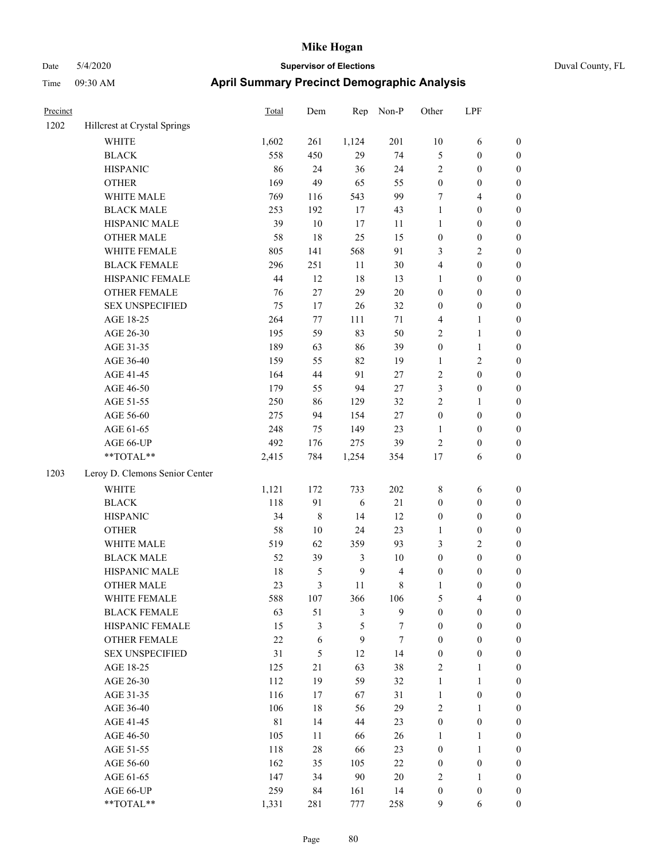| Precinct |                                | Total       | Dem        | Rep            | Non-P          | Other            | LPF              |                  |
|----------|--------------------------------|-------------|------------|----------------|----------------|------------------|------------------|------------------|
| 1202     | Hillcrest at Crystal Springs   |             |            |                |                |                  |                  |                  |
|          | <b>WHITE</b>                   | 1,602       | 261        | 1,124          | 201            | 10               | 6                | $\boldsymbol{0}$ |
|          | <b>BLACK</b>                   | 558         | 450        | 29             | 74             | $\mathfrak{S}$   | $\boldsymbol{0}$ | $\boldsymbol{0}$ |
|          | <b>HISPANIC</b>                | 86          | 24         | 36             | 24             | $\sqrt{2}$       | $\boldsymbol{0}$ | $\boldsymbol{0}$ |
|          | <b>OTHER</b>                   | 169         | 49         | 65             | 55             | $\boldsymbol{0}$ | $\boldsymbol{0}$ | $\boldsymbol{0}$ |
|          | WHITE MALE                     | 769         | 116        | 543            | 99             | $\tau$           | 4                | $\boldsymbol{0}$ |
|          | <b>BLACK MALE</b>              | 253         | 192        | 17             | 43             | 1                | $\boldsymbol{0}$ | $\boldsymbol{0}$ |
|          | HISPANIC MALE                  | 39          | $10\,$     | 17             | 11             | $\mathbf{1}$     | $\boldsymbol{0}$ | $\boldsymbol{0}$ |
|          | <b>OTHER MALE</b>              | 58          | 18         | 25             | 15             | $\boldsymbol{0}$ | $\boldsymbol{0}$ | $\boldsymbol{0}$ |
|          | WHITE FEMALE                   | 805         | 141        | 568            | 91             | 3                | 2                | $\boldsymbol{0}$ |
|          | <b>BLACK FEMALE</b>            | 296         | 251        | 11             | 30             | $\overline{4}$   | $\boldsymbol{0}$ | $\boldsymbol{0}$ |
|          | HISPANIC FEMALE                | 44          | 12         | 18             | 13             | $\mathbf{1}$     | $\boldsymbol{0}$ | $\boldsymbol{0}$ |
|          | <b>OTHER FEMALE</b>            | 76          | $27\,$     | 29             | $20\,$         | $\boldsymbol{0}$ | $\boldsymbol{0}$ | $\boldsymbol{0}$ |
|          | <b>SEX UNSPECIFIED</b>         | 75          | 17         | $26\,$         | 32             | $\boldsymbol{0}$ | $\boldsymbol{0}$ | $\boldsymbol{0}$ |
|          | AGE 18-25                      | 264         | 77         | 111            | 71             | $\overline{4}$   | 1                | $\boldsymbol{0}$ |
|          | AGE 26-30                      | 195         | 59         | 83             | 50             | $\overline{c}$   | $\mathbf{1}$     | $\boldsymbol{0}$ |
|          | AGE 31-35                      | 189         | 63         | 86             | 39             | $\boldsymbol{0}$ | $\mathbf{1}$     | $\boldsymbol{0}$ |
|          | AGE 36-40                      | 159         | 55         | 82             | 19             | $\mathbf{1}$     | 2                | $\boldsymbol{0}$ |
|          | AGE 41-45                      | 164         | 44         | 91             | $27\,$         | $\sqrt{2}$       | $\boldsymbol{0}$ | $\boldsymbol{0}$ |
|          | AGE 46-50                      | 179         | 55         | 94             | $27\,$         | $\mathfrak{Z}$   | $\boldsymbol{0}$ | $\boldsymbol{0}$ |
|          | AGE 51-55                      | 250         | 86         | 129            | 32             | $\overline{2}$   | 1                | $\boldsymbol{0}$ |
|          | AGE 56-60                      | 275         | 94         | 154            | $27\,$         | $\boldsymbol{0}$ | $\boldsymbol{0}$ | $\boldsymbol{0}$ |
|          | AGE 61-65                      | 248         | 75         | 149            | 23             | 1                | $\boldsymbol{0}$ | $\boldsymbol{0}$ |
|          | AGE 66-UP                      | 492         | 176        | 275            | 39             | $\overline{2}$   | $\boldsymbol{0}$ | $\boldsymbol{0}$ |
|          | **TOTAL**                      | 2,415       | 784        | 1,254          | 354            | 17               | 6                | $\boldsymbol{0}$ |
| 1203     | Leroy D. Clemons Senior Center |             |            |                |                |                  |                  |                  |
|          | WHITE                          | 1,121       | 172        | 733            | 202            | $\,$ 8 $\,$      | 6                | $\boldsymbol{0}$ |
|          | <b>BLACK</b>                   | 118         | 91         | 6              | 21             | $\boldsymbol{0}$ | $\boldsymbol{0}$ | $\boldsymbol{0}$ |
|          | <b>HISPANIC</b>                | 34          | $\,8\,$    | 14             | 12             | $\boldsymbol{0}$ | $\boldsymbol{0}$ | $\boldsymbol{0}$ |
|          | <b>OTHER</b>                   | 58          | 10         | 24             | 23             | 1                | $\boldsymbol{0}$ | $\boldsymbol{0}$ |
|          | WHITE MALE                     | 519         | 62         | 359            | 93             | 3                | 2                | $\boldsymbol{0}$ |
|          | <b>BLACK MALE</b>              | 52          | 39         | 3              | 10             | $\boldsymbol{0}$ | $\boldsymbol{0}$ | $\boldsymbol{0}$ |
|          | HISPANIC MALE                  | 18          | 5          | $\mathbf{9}$   | 4              | $\boldsymbol{0}$ | $\boldsymbol{0}$ | $\boldsymbol{0}$ |
|          | <b>OTHER MALE</b>              | 23          | 3          | 11             | 8              | $\mathbf{1}$     | $\boldsymbol{0}$ | $\boldsymbol{0}$ |
|          | WHITE FEMALE                   | 588         | 107        | 366            | 106            | $\sqrt{5}$       | 4                | $\boldsymbol{0}$ |
|          | <b>BLACK FEMALE</b>            | 63          | 51         | $\mathfrak{Z}$ | 9              | $\boldsymbol{0}$ | $\boldsymbol{0}$ | $\boldsymbol{0}$ |
|          | HISPANIC FEMALE                | 15          | 3          | $\mathfrak s$  | 7              | $\boldsymbol{0}$ | $\boldsymbol{0}$ | $\boldsymbol{0}$ |
|          | OTHER FEMALE                   | $22\,$      | $\sqrt{6}$ | $\mathbf{9}$   | $\overline{7}$ | $\boldsymbol{0}$ | $\boldsymbol{0}$ | $\boldsymbol{0}$ |
|          | <b>SEX UNSPECIFIED</b>         | 31          | 5          | 12             | 14             | $\boldsymbol{0}$ | $\boldsymbol{0}$ | $\boldsymbol{0}$ |
|          | AGE 18-25                      | 125         | 21         | 63             | 38             | $\sqrt{2}$       | 1                | $\boldsymbol{0}$ |
|          | AGE 26-30                      | 112         | 19         | 59             | 32             | $\mathbf{1}$     | $\mathbf{1}$     | $\boldsymbol{0}$ |
|          | AGE 31-35                      | 116         | 17         | 67             | 31             | $\mathbf{1}$     | $\boldsymbol{0}$ | $\boldsymbol{0}$ |
|          | AGE 36-40                      | 106         | 18         | 56             | 29             | $\sqrt{2}$       | 1                | $\boldsymbol{0}$ |
|          | AGE 41-45                      | $8\sqrt{1}$ | 14         | 44             | 23             | $\boldsymbol{0}$ | $\boldsymbol{0}$ | $\boldsymbol{0}$ |
|          | AGE 46-50                      | 105         | 11         | 66             | 26             | $\mathbf{1}$     | 1                | $\boldsymbol{0}$ |
|          | AGE 51-55                      | 118         | 28         | 66             | 23             | $\boldsymbol{0}$ | 1                | $\boldsymbol{0}$ |
|          | AGE 56-60                      | 162         | 35         | 105            | $22\,$         | $\boldsymbol{0}$ | $\boldsymbol{0}$ | $\boldsymbol{0}$ |
|          | AGE 61-65                      | 147         | 34         | $90\,$         | $20\,$         | $\overline{2}$   | $\mathbf{1}$     | $\boldsymbol{0}$ |
|          | AGE 66-UP                      | 259         | 84         | 161            | 14             | $\boldsymbol{0}$ | $\boldsymbol{0}$ | $\mathbf{0}$     |
|          | **TOTAL**                      | 1,331       | 281        | 777            | 258            | 9                | 6                | $\boldsymbol{0}$ |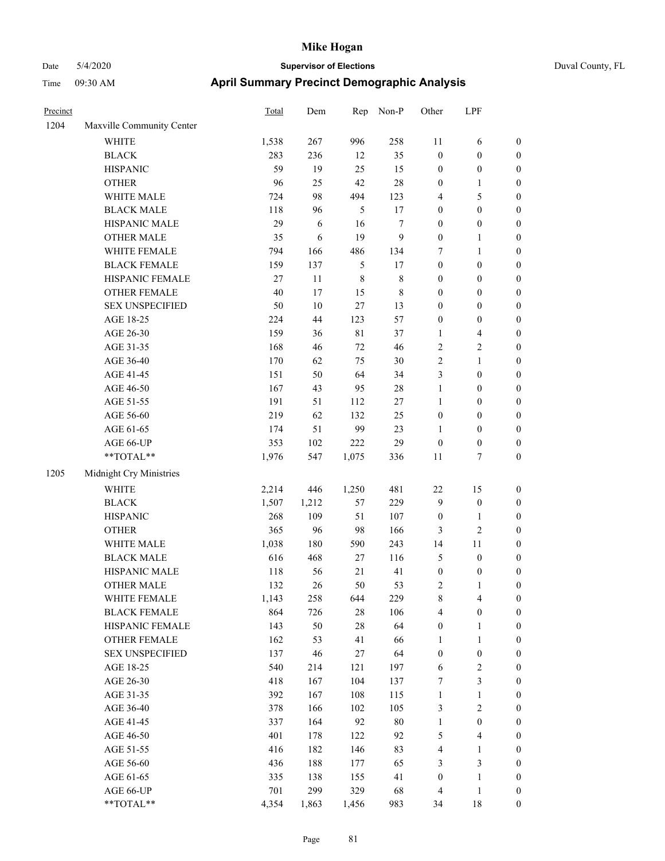| Duval County, FL |  |
|------------------|--|

| Precinct |                           | <b>Total</b> | Dem        | Rep         | Non-P       | Other            | LPF                     |                  |
|----------|---------------------------|--------------|------------|-------------|-------------|------------------|-------------------------|------------------|
| 1204     | Maxville Community Center |              |            |             |             |                  |                         |                  |
|          | <b>WHITE</b>              | 1,538        | 267        | 996         | 258         | 11               | 6                       | $\boldsymbol{0}$ |
|          | <b>BLACK</b>              | 283          | 236        | 12          | 35          | $\boldsymbol{0}$ | $\boldsymbol{0}$        | $\boldsymbol{0}$ |
|          | <b>HISPANIC</b>           | 59           | 19         | 25          | 15          | $\boldsymbol{0}$ | $\boldsymbol{0}$        | $\boldsymbol{0}$ |
|          | <b>OTHER</b>              | 96           | 25         | 42          | 28          | $\boldsymbol{0}$ | 1                       | 0                |
|          | WHITE MALE                | 724          | 98         | 494         | 123         | 4                | $\mathfrak s$           | $\boldsymbol{0}$ |
|          | <b>BLACK MALE</b>         | 118          | 96         | 5           | 17          | $\boldsymbol{0}$ | $\boldsymbol{0}$        | $\boldsymbol{0}$ |
|          | HISPANIC MALE             | 29           | $\sqrt{6}$ | 16          | 7           | $\boldsymbol{0}$ | $\boldsymbol{0}$        | $\boldsymbol{0}$ |
|          | <b>OTHER MALE</b>         | 35           | 6          | 19          | 9           | $\boldsymbol{0}$ | $\mathbf{1}$            | $\boldsymbol{0}$ |
|          | WHITE FEMALE              | 794          | 166        | 486         | 134         | 7                | $\mathbf{1}$            | $\boldsymbol{0}$ |
|          | <b>BLACK FEMALE</b>       | 159          | 137        | $\sqrt{5}$  | 17          | $\boldsymbol{0}$ | $\boldsymbol{0}$        | $\boldsymbol{0}$ |
|          | HISPANIC FEMALE           | 27           | 11         | $\,$ 8 $\,$ | $\,$ $\,$   | $\boldsymbol{0}$ | $\boldsymbol{0}$        | $\boldsymbol{0}$ |
|          | <b>OTHER FEMALE</b>       | 40           | 17         | 15          | $\,$ 8 $\,$ | $\boldsymbol{0}$ | $\boldsymbol{0}$        | $\boldsymbol{0}$ |
|          | <b>SEX UNSPECIFIED</b>    | 50           | $10\,$     | $27\,$      | 13          | $\boldsymbol{0}$ | $\boldsymbol{0}$        | $\boldsymbol{0}$ |
|          | AGE 18-25                 | 224          | 44         | 123         | 57          | $\boldsymbol{0}$ | $\boldsymbol{0}$        | 0                |
|          | AGE 26-30                 | 159          | 36         | $8\sqrt{1}$ | 37          | $\mathbf{1}$     | $\overline{4}$          | 0                |
|          | AGE 31-35                 | 168          | 46         | 72          | 46          | $\overline{c}$   | $\sqrt{2}$              | $\boldsymbol{0}$ |
|          | AGE 36-40                 | 170          | 62         | 75          | 30          | $\overline{c}$   | 1                       | $\boldsymbol{0}$ |
|          | AGE 41-45                 | 151          | 50         | 64          | 34          | 3                | $\boldsymbol{0}$        | $\boldsymbol{0}$ |
|          | AGE 46-50                 | 167          | 43         | 95          | 28          | $\mathbf{1}$     | $\boldsymbol{0}$        | $\boldsymbol{0}$ |
|          | AGE 51-55                 | 191          | 51         | 112         | 27          | $\mathbf{1}$     | $\boldsymbol{0}$        | $\boldsymbol{0}$ |
|          | AGE 56-60                 | 219          | 62         | 132         | 25          | $\boldsymbol{0}$ | $\boldsymbol{0}$        | $\boldsymbol{0}$ |
|          | AGE 61-65                 | 174          | 51         | 99          | 23          | $\mathbf{1}$     | $\boldsymbol{0}$        | $\boldsymbol{0}$ |
|          | AGE 66-UP                 | 353          | 102        | 222         | 29          | $\boldsymbol{0}$ | $\boldsymbol{0}$        | 0                |
|          | **TOTAL**                 | 1,976        | 547        | 1,075       | 336         | 11               | 7                       | 0                |
| 1205     | Midnight Cry Ministries   |              |            |             |             |                  |                         |                  |
|          | <b>WHITE</b>              | 2,214        | 446        | 1,250       | 481         | 22               | 15                      | 0                |
|          | <b>BLACK</b>              | 1,507        | 1,212      | 57          | 229         | $\overline{9}$   | $\boldsymbol{0}$        | 0                |
|          | <b>HISPANIC</b>           | 268          | 109        | 51          | 107         | $\boldsymbol{0}$ | 1                       | 0                |
|          | <b>OTHER</b>              | 365          | 96         | 98          | 166         | 3                | $\sqrt{2}$              | $\boldsymbol{0}$ |
|          | WHITE MALE                | 1,038        | 180        | 590         | 243         | 14               | 11                      | $\boldsymbol{0}$ |
|          | <b>BLACK MALE</b>         | 616          | 468        | 27          | 116         | 5                | $\boldsymbol{0}$        | $\boldsymbol{0}$ |
|          | HISPANIC MALE             | 118          | 56         | $21\,$      | 41          | $\boldsymbol{0}$ | $\boldsymbol{0}$        | $\boldsymbol{0}$ |
|          | <b>OTHER MALE</b>         | 132          | 26         | 50          | 53          | $\overline{2}$   | $\mathbf{1}$            | $\boldsymbol{0}$ |
|          | WHITE FEMALE              | 1,143        | 258        | 644         | 229         | $\,$ 8 $\,$      | $\overline{\mathbf{4}}$ | 0                |
|          | <b>BLACK FEMALE</b>       | 864          | 726        | $28\,$      | 106         | 4                | $\boldsymbol{0}$        | 0                |
|          | HISPANIC FEMALE           | 143          | 50         | $28\,$      | 64          | $\boldsymbol{0}$ | $\mathbf{1}$            | 0                |
|          | <b>OTHER FEMALE</b>       | 162          | 53         | 41          | 66          | $\mathbf{1}$     | $\mathbf{1}$            | 0                |
|          | <b>SEX UNSPECIFIED</b>    | 137          | 46         | $27\,$      | 64          | $\boldsymbol{0}$ | $\boldsymbol{0}$        | 0                |
|          | AGE 18-25                 | 540          | 214        | 121         | 197         | 6                | $\sqrt{2}$              | $\boldsymbol{0}$ |
|          | AGE 26-30                 | 418          | 167        | 104         | 137         | 7                | $\mathfrak{Z}$          | $\overline{0}$   |
|          | AGE 31-35                 | 392          | 167        | 108         | 115         | $\mathbf{1}$     | $\mathbf{1}$            | 0                |
|          | AGE 36-40                 | 378          | 166        | 102         | 105         | $\mathfrak{Z}$   | $\sqrt{2}$              | 0                |
|          | AGE 41-45                 | 337          | 164        | 92          | $80\,$      | $\mathbf{1}$     | $\boldsymbol{0}$        | $\overline{0}$   |
|          | AGE 46-50                 | 401          | 178        | 122         | 92          | 5                | $\overline{\mathbf{4}}$ | $\boldsymbol{0}$ |
|          | AGE 51-55                 | 416          | 182        | 146         | 83          | 4                | $\mathbf{1}$            | 0                |
|          | AGE 56-60                 | 436          | 188        | 177         | 65          | 3                | $\mathfrak{Z}$          | 0                |
|          | AGE 61-65                 | 335          | 138        | 155         | 41          | $\boldsymbol{0}$ | $\mathbf{1}$            | 0                |
|          | AGE 66-UP                 | 701          | 299        | 329         | 68          | $\overline{4}$   | $\mathbf{1}$            | 0                |
|          | **TOTAL**                 | 4,354        | 1,863      | 1,456       | 983         | 34               | $18\,$                  | $\boldsymbol{0}$ |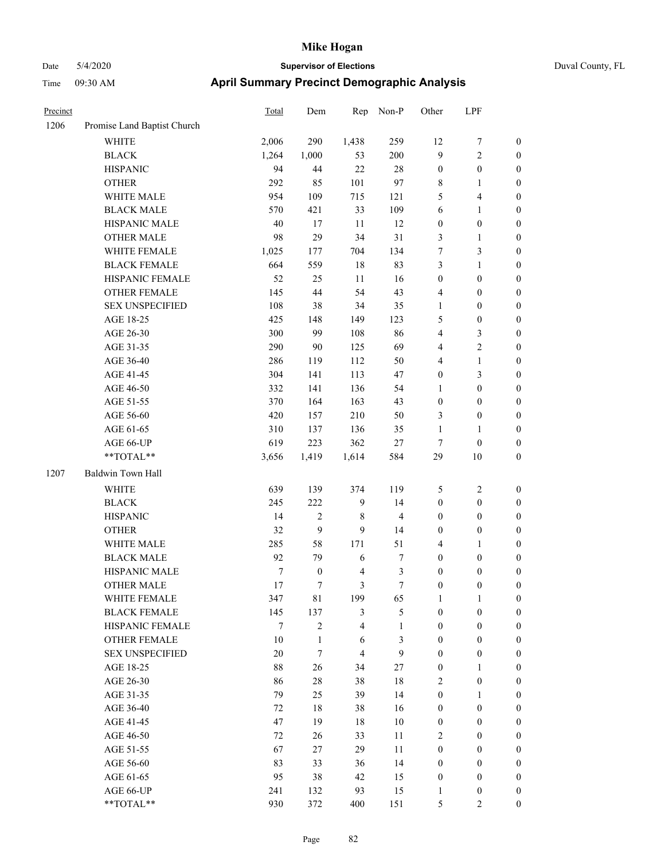| Precinct |                             | Total  | Dem              | Rep                     | Non-P          | Other            | LPF              |                  |
|----------|-----------------------------|--------|------------------|-------------------------|----------------|------------------|------------------|------------------|
| 1206     | Promise Land Baptist Church |        |                  |                         |                |                  |                  |                  |
|          | <b>WHITE</b>                | 2,006  | 290              | 1,438                   | 259            | 12               | 7                | $\boldsymbol{0}$ |
|          | <b>BLACK</b>                | 1,264  | 1,000            | 53                      | 200            | 9                | $\overline{c}$   | $\boldsymbol{0}$ |
|          | <b>HISPANIC</b>             | 94     | 44               | 22                      | 28             | $\boldsymbol{0}$ | $\boldsymbol{0}$ | $\boldsymbol{0}$ |
|          | <b>OTHER</b>                | 292    | 85               | 101                     | 97             | $\,$ 8 $\,$      | 1                | $\boldsymbol{0}$ |
|          | WHITE MALE                  | 954    | 109              | 715                     | 121            | 5                | 4                | $\boldsymbol{0}$ |
|          | <b>BLACK MALE</b>           | 570    | 421              | 33                      | 109            | 6                | 1                | $\boldsymbol{0}$ |
|          | HISPANIC MALE               | 40     | $17\,$           | 11                      | 12             | $\boldsymbol{0}$ | $\boldsymbol{0}$ | $\boldsymbol{0}$ |
|          | <b>OTHER MALE</b>           | 98     | 29               | 34                      | 31             | $\mathfrak{Z}$   | 1                | $\boldsymbol{0}$ |
|          | WHITE FEMALE                | 1,025  | 177              | 704                     | 134            | 7                | 3                | $\boldsymbol{0}$ |
|          | <b>BLACK FEMALE</b>         | 664    | 559              | 18                      | 83             | $\mathfrak{Z}$   | 1                | $\boldsymbol{0}$ |
|          | HISPANIC FEMALE             | 52     | 25               | 11                      | 16             | $\boldsymbol{0}$ | $\boldsymbol{0}$ | $\boldsymbol{0}$ |
|          | <b>OTHER FEMALE</b>         | 145    | 44               | 54                      | 43             | $\overline{4}$   | $\boldsymbol{0}$ | $\boldsymbol{0}$ |
|          | <b>SEX UNSPECIFIED</b>      | 108    | 38               | 34                      | 35             | $\mathbf{1}$     | $\boldsymbol{0}$ | $\boldsymbol{0}$ |
|          | AGE 18-25                   | 425    | 148              | 149                     | 123            | 5                | $\boldsymbol{0}$ | $\boldsymbol{0}$ |
|          | AGE 26-30                   | 300    | 99               | 108                     | 86             | $\overline{4}$   | 3                | $\boldsymbol{0}$ |
|          | AGE 31-35                   | 290    | 90               | 125                     | 69             | $\overline{4}$   | 2                | $\boldsymbol{0}$ |
|          | AGE 36-40                   | 286    | 119              | 112                     | 50             | $\overline{4}$   | $\mathbf{1}$     | $\boldsymbol{0}$ |
|          | AGE 41-45                   | 304    | 141              | 113                     | 47             | $\boldsymbol{0}$ | 3                | $\boldsymbol{0}$ |
|          | AGE 46-50                   | 332    | 141              | 136                     | 54             | $\mathbf{1}$     | $\boldsymbol{0}$ | $\boldsymbol{0}$ |
|          | AGE 51-55                   | 370    | 164              | 163                     | 43             | $\boldsymbol{0}$ | $\boldsymbol{0}$ | $\boldsymbol{0}$ |
|          | AGE 56-60                   | 420    | 157              | 210                     | 50             | 3                | $\boldsymbol{0}$ | $\boldsymbol{0}$ |
|          | AGE 61-65                   | 310    | 137              | 136                     | 35             | $\mathbf{1}$     | $\mathbf{1}$     | $\boldsymbol{0}$ |
|          | AGE 66-UP                   | 619    | 223              | 362                     | $27\,$         | $\tau$           | $\boldsymbol{0}$ | $\boldsymbol{0}$ |
|          | $**\text{TOTAL}**$          | 3,656  | 1,419            | 1,614                   | 584            | 29               | 10               | $\boldsymbol{0}$ |
| 1207     | Baldwin Town Hall           |        |                  |                         |                |                  |                  |                  |
|          | WHITE                       | 639    | 139              | 374                     | 119            | 5                | $\overline{c}$   | $\boldsymbol{0}$ |
|          | <b>BLACK</b>                | 245    | 222              | 9                       | 14             | $\boldsymbol{0}$ | $\boldsymbol{0}$ | $\boldsymbol{0}$ |
|          | <b>HISPANIC</b>             | 14     | 2                | 8                       | $\overline{4}$ | $\boldsymbol{0}$ | $\boldsymbol{0}$ | $\boldsymbol{0}$ |
|          | <b>OTHER</b>                | 32     | 9                | 9                       | 14             | $\boldsymbol{0}$ | $\boldsymbol{0}$ | $\boldsymbol{0}$ |
|          | WHITE MALE                  | 285    | 58               | 171                     | 51             | $\overline{4}$   | 1                | $\boldsymbol{0}$ |
|          | <b>BLACK MALE</b>           | 92     | 79               | 6                       | $\tau$         | $\boldsymbol{0}$ | $\boldsymbol{0}$ | $\boldsymbol{0}$ |
|          | HISPANIC MALE               | $\tau$ | $\boldsymbol{0}$ | $\overline{4}$          | 3              | $\boldsymbol{0}$ | $\boldsymbol{0}$ | $\boldsymbol{0}$ |
|          | <b>OTHER MALE</b>           | 17     | 7                | 3                       | 7              | $\boldsymbol{0}$ | $\boldsymbol{0}$ | $\boldsymbol{0}$ |
|          | WHITE FEMALE                | 347    | $8\sqrt{1}$      | 199                     | 65             | $\mathbf{1}$     | $\mathbf{1}$     | $\boldsymbol{0}$ |
|          | <b>BLACK FEMALE</b>         | 145    | 137              | $\mathfrak{Z}$          | 5              | $\boldsymbol{0}$ | $\boldsymbol{0}$ | $\boldsymbol{0}$ |
|          | HISPANIC FEMALE             | $\tau$ | $\overline{c}$   | $\overline{\mathbf{4}}$ | $\mathbf{1}$   | $\boldsymbol{0}$ | $\boldsymbol{0}$ | $\boldsymbol{0}$ |
|          | OTHER FEMALE                | 10     | $\mathbf{1}$     | 6                       | 3              | $\boldsymbol{0}$ | $\boldsymbol{0}$ | $\boldsymbol{0}$ |
|          | <b>SEX UNSPECIFIED</b>      | 20     | $\boldsymbol{7}$ | $\overline{4}$          | 9              | $\boldsymbol{0}$ | $\boldsymbol{0}$ | $\boldsymbol{0}$ |
|          | AGE 18-25                   | 88     | 26               | 34                      | 27             | $\boldsymbol{0}$ | 1                | $\boldsymbol{0}$ |
|          | AGE 26-30                   | 86     | 28               | 38                      | $18\,$         | $\sqrt{2}$       | $\boldsymbol{0}$ | $\boldsymbol{0}$ |
|          | AGE 31-35                   | 79     | 25               | 39                      | 14             | $\boldsymbol{0}$ | 1                | $\boldsymbol{0}$ |
|          | AGE 36-40                   | 72     | 18               | 38                      | 16             | $\boldsymbol{0}$ | $\boldsymbol{0}$ | $\boldsymbol{0}$ |
|          | AGE 41-45                   | 47     | 19               | 18                      | $10\,$         | $\boldsymbol{0}$ | $\boldsymbol{0}$ | $\boldsymbol{0}$ |
|          | AGE 46-50                   | 72     | 26               | 33                      | 11             | $\sqrt{2}$       | $\boldsymbol{0}$ | $\boldsymbol{0}$ |
|          | AGE 51-55                   | 67     | 27               | 29                      | 11             | $\boldsymbol{0}$ | $\boldsymbol{0}$ | $\boldsymbol{0}$ |
|          | AGE 56-60                   | 83     | 33               | 36                      | 14             | $\boldsymbol{0}$ | $\boldsymbol{0}$ | $\boldsymbol{0}$ |
|          | AGE 61-65                   | 95     | 38               | 42                      | 15             | $\boldsymbol{0}$ | $\boldsymbol{0}$ | $\boldsymbol{0}$ |
|          | AGE 66-UP                   | 241    | 132              | 93                      | 15             | 1                | $\boldsymbol{0}$ | $\mathbf{0}$     |
|          | **TOTAL**                   | 930    | 372              | 400                     | 151            | $\sqrt{5}$       | 2                | $\boldsymbol{0}$ |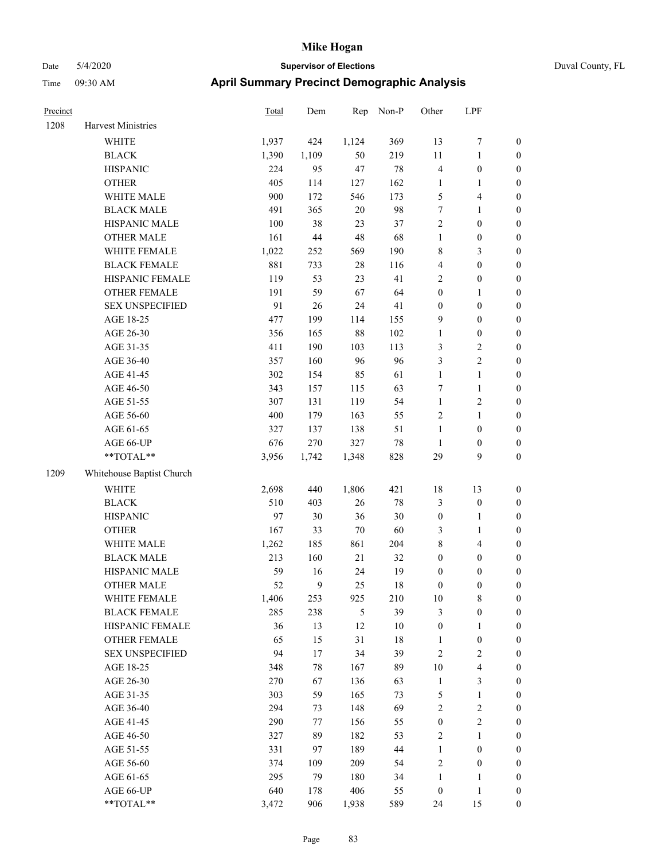| Dav      | $U = U \triangle U \triangle U$ |                                                    | <b>PRODUCT VISOR OF LIGGINITY</b> |     |     |       |       |     | ້⊔ w |  |
|----------|---------------------------------|----------------------------------------------------|-----------------------------------|-----|-----|-------|-------|-----|------|--|
| Time     | $09:30$ AM                      | <b>April Summary Precinct Demographic Analysis</b> |                                   |     |     |       |       |     |      |  |
| Precinct |                                 |                                                    | <u>Total</u>                      | Dem | Rep | Non-P | Other | LPF |      |  |

| 1208 | Harvest Ministries        |       |                |               |        |                  |                         |                  |
|------|---------------------------|-------|----------------|---------------|--------|------------------|-------------------------|------------------|
|      | <b>WHITE</b>              | 1,937 | 424            | 1,124         | 369    | 13               | 7                       | $\boldsymbol{0}$ |
|      | <b>BLACK</b>              | 1,390 | 1,109          | 50            | 219    | 11               | $\mathbf{1}$            | $\boldsymbol{0}$ |
|      | <b>HISPANIC</b>           | 224   | 95             | 47            | 78     | 4                | $\boldsymbol{0}$        | $\boldsymbol{0}$ |
|      | <b>OTHER</b>              | 405   | 114            | 127           | 162    | 1                | $\mathbf{1}$            | $\boldsymbol{0}$ |
|      | WHITE MALE                | 900   | 172            | 546           | 173    | $\mathfrak s$    | $\overline{\mathbf{4}}$ | 0                |
|      | <b>BLACK MALE</b>         | 491   | 365            | 20            | 98     | $\boldsymbol{7}$ | $\mathbf{1}$            | $\boldsymbol{0}$ |
|      | HISPANIC MALE             | 100   | 38             | 23            | 37     | $\sqrt{2}$       | $\boldsymbol{0}$        | $\boldsymbol{0}$ |
|      | <b>OTHER MALE</b>         | 161   | 44             | 48            | 68     | 1                | $\boldsymbol{0}$        | $\boldsymbol{0}$ |
|      | WHITE FEMALE              | 1,022 | 252            | 569           | 190    | 8                | $\mathfrak{Z}$          | $\boldsymbol{0}$ |
|      | <b>BLACK FEMALE</b>       | 881   | 733            | $28\,$        | 116    | $\overline{4}$   | $\boldsymbol{0}$        | $\boldsymbol{0}$ |
|      | HISPANIC FEMALE           | 119   | 53             | 23            | 41     | $\sqrt{2}$       | $\boldsymbol{0}$        | $\boldsymbol{0}$ |
|      | <b>OTHER FEMALE</b>       | 191   | 59             | 67            | 64     | $\boldsymbol{0}$ | $\mathbf{1}$            | $\boldsymbol{0}$ |
|      | <b>SEX UNSPECIFIED</b>    | 91    | 26             | 24            | 41     | $\boldsymbol{0}$ | $\boldsymbol{0}$        | $\boldsymbol{0}$ |
|      | AGE 18-25                 | 477   | 199            | 114           | 155    | $\boldsymbol{9}$ | $\boldsymbol{0}$        | $\boldsymbol{0}$ |
|      | AGE 26-30                 | 356   | 165            | 88            | 102    | $\mathbf{1}$     | $\boldsymbol{0}$        | 0                |
|      | AGE 31-35                 | 411   | 190            | 103           | 113    | $\mathfrak{Z}$   | $\sqrt{2}$              | 0                |
|      | AGE 36-40                 | 357   | 160            | 96            | 96     | 3                | $\sqrt{2}$              | $\boldsymbol{0}$ |
|      | AGE 41-45                 | 302   | 154            | 85            | 61     | 1                | $\mathbf{1}$            | $\boldsymbol{0}$ |
|      | AGE 46-50                 | 343   | 157            | 115           | 63     | 7                | $\mathbf{1}$            | $\boldsymbol{0}$ |
|      | AGE 51-55                 | 307   | 131            | 119           | 54     | $\mathbf{1}$     | $\sqrt{2}$              | $\boldsymbol{0}$ |
|      | AGE 56-60                 | 400   | 179            | 163           | 55     | $\sqrt{2}$       | $\mathbf{1}$            | $\boldsymbol{0}$ |
|      | AGE 61-65                 | 327   | 137            | 138           | 51     | $\mathbf{1}$     | $\boldsymbol{0}$        | $\boldsymbol{0}$ |
|      | AGE 66-UP                 | 676   | 270            | 327           | 78     | $\mathbf{1}$     | $\boldsymbol{0}$        | $\boldsymbol{0}$ |
|      | **TOTAL**                 | 3,956 | 1,742          | 1,348         | 828    | 29               | 9                       | $\boldsymbol{0}$ |
| 1209 | Whitehouse Baptist Church |       |                |               |        |                  |                         |                  |
|      | WHITE                     | 2,698 | 440            | 1,806         | 421    | 18               | 13                      | $\boldsymbol{0}$ |
|      | <b>BLACK</b>              | 510   | 403            | 26            | $78\,$ | 3                | $\boldsymbol{0}$        | $\boldsymbol{0}$ |
|      | <b>HISPANIC</b>           | 97    | 30             | 36            | 30     | $\boldsymbol{0}$ | 1                       | 0                |
|      | <b>OTHER</b>              | 167   | 33             | 70            | 60     | 3                | $\mathbf{1}$            | 0                |
|      | WHITE MALE                | 1,262 | 185            | 861           | 204    | 8                | $\overline{\mathbf{4}}$ | $\boldsymbol{0}$ |
|      | <b>BLACK MALE</b>         | 213   | 160            | $21\,$        | 32     | $\boldsymbol{0}$ | $\boldsymbol{0}$        | $\boldsymbol{0}$ |
|      | HISPANIC MALE             | 59    | 16             | 24            | 19     | $\boldsymbol{0}$ | $\boldsymbol{0}$        | $\boldsymbol{0}$ |
|      | <b>OTHER MALE</b>         | 52    | $\overline{9}$ | 25            | 18     | $\boldsymbol{0}$ | $\boldsymbol{0}$        | $\boldsymbol{0}$ |
|      | WHITE FEMALE              | 1,406 | 253            | 925           | 210    | 10               | 8                       | $\boldsymbol{0}$ |
|      | <b>BLACK FEMALE</b>       | 285   | 238            | $\mathfrak s$ | 39     | 3                | $\boldsymbol{0}$        | 0                |
|      | HISPANIC FEMALE           | 36    | 13             | 12            | $10\,$ | $\boldsymbol{0}$ | $\mathbf{1}$            | 0                |
|      | <b>OTHER FEMALE</b>       | 65    | 15             | 31            | 18     | 1                | $\boldsymbol{0}$        | 0                |
|      | <b>SEX UNSPECIFIED</b>    | 94    | 17             | 34            | 39     | $\sqrt{2}$       | $\sqrt{2}$              | 0                |
|      | AGE 18-25                 | 348   | 78             | 167           | 89     | 10               | $\overline{\mathbf{4}}$ | 0                |
|      | AGE 26-30                 | 270   | 67             | 136           | 63     | $\mathbf{1}$     | $\mathfrak{Z}$          | 0                |
|      | AGE 31-35                 | 303   | 59             | 165           | 73     | 5                | $\mathbf{1}$            | $\boldsymbol{0}$ |
|      | AGE 36-40                 | 294   | 73             | 148           | 69     | $\sqrt{2}$       | $\sqrt{2}$              | 0                |
|      | AGE 41-45                 | 290   | 77             | 156           | 55     | $\boldsymbol{0}$ | $\sqrt{2}$              | 0                |
|      | AGE 46-50                 | 327   | 89             | 182           | 53     | $\sqrt{2}$       | $\mathbf{1}$            | $\overline{0}$   |
|      | AGE 51-55                 | 331   | 97             | 189           | 44     | $\mathbf{1}$     | $\boldsymbol{0}$        | 0                |
|      | AGE 56-60                 | 374   | 109            | 209           | 54     | $\sqrt{2}$       | $\boldsymbol{0}$        | 0                |
|      | AGE 61-65                 | 295   | 79             | 180           | 34     | 1                | $\mathbf{1}$            | 0                |
|      | AGE 66-UP                 | 640   | 178            | 406           | 55     | $\boldsymbol{0}$ | $\mathbf{1}$            | 0                |
|      | **TOTAL**                 | 3,472 | 906            | 1,938         | 589    | 24               | 15                      | $\boldsymbol{0}$ |
|      |                           |       |                |               |        |                  |                         |                  |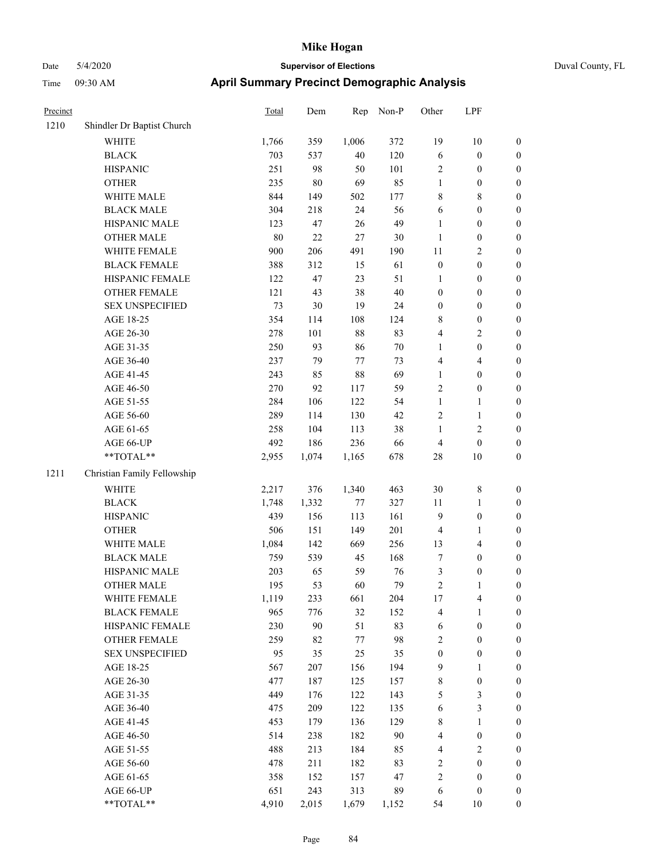## Date 5/4/2020 **Supervisor of Elections** Duval County, FL Time 09:30 AM **April Summary Precinct Demographic Analysis**

| Precinct |                             | Total | Dem    | Rep    | Non-P  | Other            | LPF                     |                  |
|----------|-----------------------------|-------|--------|--------|--------|------------------|-------------------------|------------------|
| 1210     | Shindler Dr Baptist Church  |       |        |        |        |                  |                         |                  |
|          | <b>WHITE</b>                | 1,766 | 359    | 1,006  | 372    | 19               | 10                      | $\boldsymbol{0}$ |
|          | <b>BLACK</b>                | 703   | 537    | 40     | 120    | 6                | $\boldsymbol{0}$        | $\boldsymbol{0}$ |
|          | <b>HISPANIC</b>             | 251   | 98     | 50     | 101    | $\sqrt{2}$       | $\boldsymbol{0}$        | $\boldsymbol{0}$ |
|          | <b>OTHER</b>                | 235   | $80\,$ | 69     | 85     | $\mathbf{1}$     | $\boldsymbol{0}$        | $\boldsymbol{0}$ |
|          | WHITE MALE                  | 844   | 149    | 502    | 177    | $\,$ 8 $\,$      | 8                       | $\boldsymbol{0}$ |
|          | <b>BLACK MALE</b>           | 304   | 218    | 24     | 56     | 6                | $\boldsymbol{0}$        | $\boldsymbol{0}$ |
|          | HISPANIC MALE               | 123   | 47     | 26     | 49     | $\mathbf{1}$     | $\boldsymbol{0}$        | $\boldsymbol{0}$ |
|          | <b>OTHER MALE</b>           | 80    | $22\,$ | 27     | 30     | 1                | $\boldsymbol{0}$        | $\boldsymbol{0}$ |
|          | WHITE FEMALE                | 900   | 206    | 491    | 190    | 11               | 2                       | $\boldsymbol{0}$ |
|          | <b>BLACK FEMALE</b>         | 388   | 312    | 15     | 61     | $\boldsymbol{0}$ | $\boldsymbol{0}$        | $\boldsymbol{0}$ |
|          | HISPANIC FEMALE             | 122   | 47     | 23     | 51     | $\mathbf{1}$     | $\boldsymbol{0}$        | $\boldsymbol{0}$ |
|          | <b>OTHER FEMALE</b>         | 121   | 43     | 38     | 40     | $\boldsymbol{0}$ | $\boldsymbol{0}$        | $\boldsymbol{0}$ |
|          | <b>SEX UNSPECIFIED</b>      | 73    | $30\,$ | 19     | 24     | $\boldsymbol{0}$ | $\boldsymbol{0}$        | $\boldsymbol{0}$ |
|          | AGE 18-25                   | 354   | 114    | 108    | 124    | $\,$ 8 $\,$      | $\boldsymbol{0}$        | $\boldsymbol{0}$ |
|          | AGE 26-30                   | 278   | 101    | $88\,$ | 83     | $\overline{4}$   | 2                       | $\boldsymbol{0}$ |
|          | AGE 31-35                   | 250   | 93     | 86     | $70\,$ | $\mathbf{1}$     | $\boldsymbol{0}$        | $\boldsymbol{0}$ |
|          | AGE 36-40                   | 237   | 79     | 77     | 73     | $\overline{4}$   | 4                       | $\boldsymbol{0}$ |
|          | AGE 41-45                   | 243   | 85     | 88     | 69     | $\mathbf{1}$     | $\boldsymbol{0}$        | $\boldsymbol{0}$ |
|          | AGE 46-50                   | 270   | 92     | 117    | 59     | $\overline{2}$   | $\boldsymbol{0}$        | $\boldsymbol{0}$ |
|          | AGE 51-55                   | 284   | 106    | 122    | 54     | $\mathbf{1}$     | 1                       | $\boldsymbol{0}$ |
|          | AGE 56-60                   | 289   | 114    | 130    | 42     | $\overline{2}$   | $\mathbf{1}$            | $\boldsymbol{0}$ |
|          | AGE 61-65                   | 258   | 104    | 113    | 38     | $\mathbf{1}$     | 2                       | $\boldsymbol{0}$ |
|          | AGE 66-UP                   | 492   | 186    | 236    | 66     | $\overline{4}$   | $\boldsymbol{0}$        | $\boldsymbol{0}$ |
|          | **TOTAL**                   | 2,955 | 1,074  | 1,165  | 678    | 28               | 10                      | $\boldsymbol{0}$ |
| 1211     | Christian Family Fellowship |       |        |        |        |                  |                         |                  |
|          | <b>WHITE</b>                | 2,217 | 376    | 1,340  | 463    | 30               | 8                       | $\boldsymbol{0}$ |
|          | <b>BLACK</b>                | 1,748 | 1,332  | 77     | 327    | 11               | 1                       | $\boldsymbol{0}$ |
|          | <b>HISPANIC</b>             | 439   | 156    | 113    | 161    | 9                | $\boldsymbol{0}$        | $\boldsymbol{0}$ |
|          | <b>OTHER</b>                | 506   | 151    | 149    | 201    | $\overline{4}$   | 1                       | $\boldsymbol{0}$ |
|          | WHITE MALE                  | 1,084 | 142    | 669    | 256    | 13               | 4                       | $\boldsymbol{0}$ |
|          | <b>BLACK MALE</b>           | 759   | 539    | 45     | 168    | $\tau$           | $\boldsymbol{0}$        | $\boldsymbol{0}$ |
|          | HISPANIC MALE               | 203   | 65     | 59     | 76     | 3                | $\boldsymbol{0}$        | $\boldsymbol{0}$ |
|          | <b>OTHER MALE</b>           | 195   | 53     | 60     | 79     | $\sqrt{2}$       | 1                       | $\boldsymbol{0}$ |
|          | WHITE FEMALE                | 1,119 | 233    | 661    | 204    | $17\,$           | $\overline{\mathbf{4}}$ | $\boldsymbol{0}$ |
|          | <b>BLACK FEMALE</b>         | 965   | 776    | 32     | 152    | $\overline{4}$   | 1                       | $\boldsymbol{0}$ |
|          | HISPANIC FEMALE             | 230   | 90     | 51     | 83     | 6                | $\boldsymbol{0}$        | $\boldsymbol{0}$ |
|          | <b>OTHER FEMALE</b>         | 259   | 82     | 77     | 98     | $\sqrt{2}$       | $\boldsymbol{0}$        | $\boldsymbol{0}$ |
|          | <b>SEX UNSPECIFIED</b>      | 95    | 35     | 25     | 35     | $\boldsymbol{0}$ | $\boldsymbol{0}$        | $\boldsymbol{0}$ |
|          | AGE 18-25                   | 567   | 207    | 156    | 194    | $\overline{9}$   | 1                       | $\boldsymbol{0}$ |
|          | AGE 26-30                   | 477   | 187    | 125    | 157    | $\,8\,$          | $\boldsymbol{0}$        | $\boldsymbol{0}$ |
|          | AGE 31-35                   | 449   | 176    | 122    | 143    | 5                | 3                       | $\boldsymbol{0}$ |
|          | AGE 36-40                   | 475   | 209    | 122    | 135    | 6                | 3                       | $\boldsymbol{0}$ |
|          | AGE 41-45                   | 453   | 179    | 136    | 129    | $\,$ 8 $\,$      | $\mathbf{1}$            | $\boldsymbol{0}$ |
|          | AGE 46-50                   | 514   | 238    | 182    | 90     | $\overline{4}$   | $\boldsymbol{0}$        | $\boldsymbol{0}$ |
|          | AGE 51-55                   | 488   | 213    | 184    | 85     | $\overline{4}$   | $\sqrt{2}$              | $\boldsymbol{0}$ |
|          | AGE 56-60                   | 478   | 211    | 182    | 83     | $\overline{c}$   | $\boldsymbol{0}$        | $\boldsymbol{0}$ |
|          | AGE 61-65                   | 358   | 152    | 157    | 47     | $\overline{c}$   | $\overline{0}$          | $\mathbf{0}$     |

AGE 66-UP 651 243 313 89 6 0 0 \*\*TOTAL\*\* 4,910 2,015 1,679 1,152 54 10 0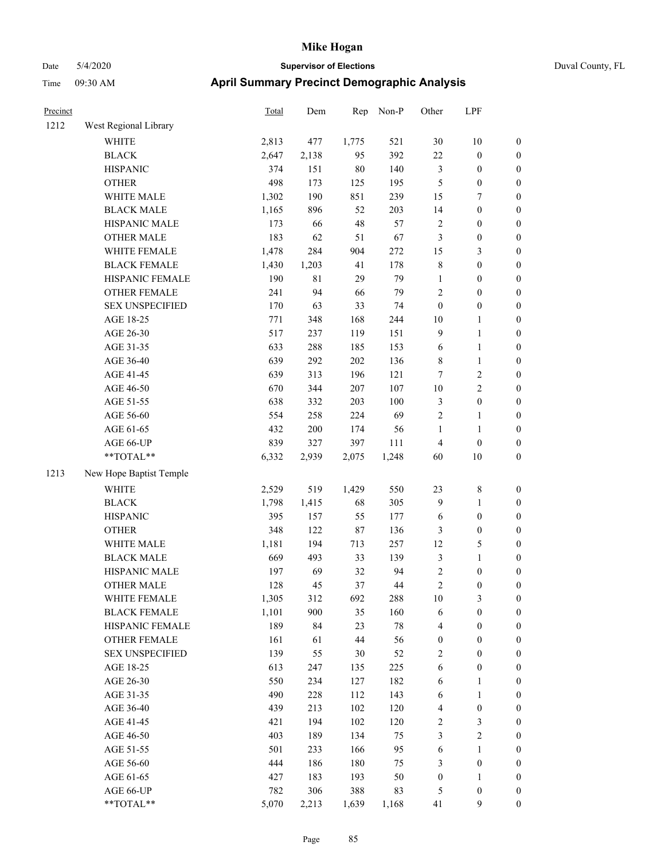| Precinct |                         | Total | Dem     | Rep    | Non-P  | Other            | LPF              |                  |
|----------|-------------------------|-------|---------|--------|--------|------------------|------------------|------------------|
| 1212     | West Regional Library   |       |         |        |        |                  |                  |                  |
|          | WHITE                   | 2,813 | 477     | 1,775  | 521    | 30               | $10\,$           | $\boldsymbol{0}$ |
|          | <b>BLACK</b>            | 2,647 | 2,138   | 95     | 392    | 22               | $\boldsymbol{0}$ | $\boldsymbol{0}$ |
|          | <b>HISPANIC</b>         | 374   | 151     | $80\,$ | 140    | $\mathfrak{Z}$   | $\boldsymbol{0}$ | $\boldsymbol{0}$ |
|          | <b>OTHER</b>            | 498   | 173     | 125    | 195    | 5                | $\boldsymbol{0}$ | $\boldsymbol{0}$ |
|          | WHITE MALE              | 1,302 | 190     | 851    | 239    | 15               | $\boldsymbol{7}$ | 0                |
|          | <b>BLACK MALE</b>       | 1,165 | 896     | 52     | 203    | 14               | $\boldsymbol{0}$ | $\boldsymbol{0}$ |
|          | HISPANIC MALE           | 173   | 66      | $48\,$ | 57     | $\sqrt{2}$       | $\boldsymbol{0}$ | $\boldsymbol{0}$ |
|          | <b>OTHER MALE</b>       | 183   | 62      | 51     | 67     | $\mathfrak{Z}$   | $\boldsymbol{0}$ | $\boldsymbol{0}$ |
|          | WHITE FEMALE            | 1,478 | 284     | 904    | 272    | 15               | $\mathfrak{Z}$   | $\boldsymbol{0}$ |
|          | <b>BLACK FEMALE</b>     | 1,430 | 1,203   | 41     | 178    | $\,$ $\,$        | $\boldsymbol{0}$ | $\boldsymbol{0}$ |
|          | HISPANIC FEMALE         | 190   | 81      | 29     | 79     | $\mathbf{1}$     | $\boldsymbol{0}$ | $\boldsymbol{0}$ |
|          | OTHER FEMALE            | 241   | 94      | 66     | 79     | $\sqrt{2}$       | $\boldsymbol{0}$ | $\boldsymbol{0}$ |
|          | <b>SEX UNSPECIFIED</b>  | 170   | 63      | 33     | 74     | $\boldsymbol{0}$ | $\boldsymbol{0}$ | $\boldsymbol{0}$ |
|          | AGE 18-25               | 771   | 348     | 168    | 244    | $10\,$           | 1                | $\boldsymbol{0}$ |
|          | AGE 26-30               | 517   | 237     | 119    | 151    | $\overline{9}$   | $\mathbf{1}$     | 0                |
|          | AGE 31-35               | 633   | 288     | 185    | 153    | 6                | $\mathbf{1}$     | $\boldsymbol{0}$ |
|          | AGE 36-40               | 639   | 292     | 202    | 136    | 8                | $\mathbf{1}$     | $\boldsymbol{0}$ |
|          | AGE 41-45               | 639   | 313     | 196    | 121    | 7                | $\sqrt{2}$       | $\boldsymbol{0}$ |
|          | AGE 46-50               | 670   | 344     | 207    | 107    | $10\,$           | $\sqrt{2}$       | $\boldsymbol{0}$ |
|          | AGE 51-55               | 638   | 332     | 203    | 100    | 3                | $\boldsymbol{0}$ | $\boldsymbol{0}$ |
|          | AGE 56-60               | 554   | 258     | 224    | 69     | $\sqrt{2}$       | $\mathbf{1}$     | $\boldsymbol{0}$ |
|          | AGE 61-65               | 432   | $200\,$ | 174    | 56     | $\mathbf{1}$     | $\mathbf{1}$     | $\boldsymbol{0}$ |
|          | AGE 66-UP               | 839   | 327     | 397    | 111    | 4                | $\boldsymbol{0}$ | $\boldsymbol{0}$ |
|          | **TOTAL**               | 6,332 | 2,939   | 2,075  | 1,248  | 60               | $10\,$           | $\boldsymbol{0}$ |
| 1213     | New Hope Baptist Temple |       |         |        |        |                  |                  |                  |
|          | <b>WHITE</b>            | 2,529 | 519     | 1,429  | 550    | 23               | $\,$ 8 $\,$      | $\boldsymbol{0}$ |
|          | <b>BLACK</b>            | 1,798 | 1,415   | 68     | 305    | $\overline{9}$   | 1                | 0                |
|          | <b>HISPANIC</b>         | 395   | 157     | 55     | 177    | 6                | $\boldsymbol{0}$ | 0                |
|          | <b>OTHER</b>            | 348   | 122     | $87\,$ | 136    | 3                | $\boldsymbol{0}$ | $\boldsymbol{0}$ |
|          | WHITE MALE              | 1,181 | 194     | 713    | 257    | 12               | $\mathfrak s$    | $\boldsymbol{0}$ |
|          | <b>BLACK MALE</b>       | 669   | 493     | 33     | 139    | 3                | $\mathbf{1}$     | $\boldsymbol{0}$ |
|          | HISPANIC MALE           | 197   | 69      | 32     | 94     | $\boldsymbol{2}$ | $\boldsymbol{0}$ | $\boldsymbol{0}$ |
|          | <b>OTHER MALE</b>       | 128   | 45      | 37     | 44     | $\overline{c}$   | $\boldsymbol{0}$ | $\boldsymbol{0}$ |
|          | WHITE FEMALE            | 1,305 | 312     | 692    | 288    | $10\,$           | $\mathfrak{Z}$   | $\boldsymbol{0}$ |
|          | <b>BLACK FEMALE</b>     | 1,101 | 900     | 35     | 160    | 6                | $\boldsymbol{0}$ | 0                |
|          | HISPANIC FEMALE         | 189   | 84      | 23     | $78\,$ | 4                | $\boldsymbol{0}$ | 0                |
|          | <b>OTHER FEMALE</b>     | 161   | 61      | 44     | 56     | $\boldsymbol{0}$ | $\boldsymbol{0}$ | 0                |
|          | <b>SEX UNSPECIFIED</b>  | 139   | 55      | 30     | 52     | $\sqrt{2}$       | $\boldsymbol{0}$ | 0                |
|          | AGE 18-25               | 613   | 247     | 135    | 225    | 6                | $\boldsymbol{0}$ | 0                |
|          | AGE 26-30               | 550   | 234     | 127    | 182    | 6                | $\mathbf{1}$     | $\boldsymbol{0}$ |
|          | AGE 31-35               | 490   | 228     | 112    | 143    | 6                | $\mathbf{1}$     | $\overline{0}$   |
|          | AGE 36-40               | 439   | 213     | 102    | 120    | 4                | $\boldsymbol{0}$ | 0                |
|          | AGE 41-45               | 421   | 194     | 102    | 120    | $\overline{c}$   | $\mathfrak{Z}$   | 0                |
|          | AGE 46-50               | 403   | 189     | 134    | 75     | 3                | $\sqrt{2}$       | 0                |
|          | AGE 51-55               | 501   | 233     | 166    | 95     | 6                | $\mathbf{1}$     | 0                |
|          | AGE 56-60               | 444   | 186     | 180    | 75     | 3                | $\boldsymbol{0}$ | 0                |
|          | AGE 61-65               | 427   | 183     | 193    | 50     | $\boldsymbol{0}$ | 1                | 0                |
|          | AGE 66-UP               | 782   | 306     | 388    | 83     | 5                | $\boldsymbol{0}$ | 0                |
|          | **TOTAL**               | 5,070 | 2,213   | 1,639  | 1,168  | 41               | 9                | $\boldsymbol{0}$ |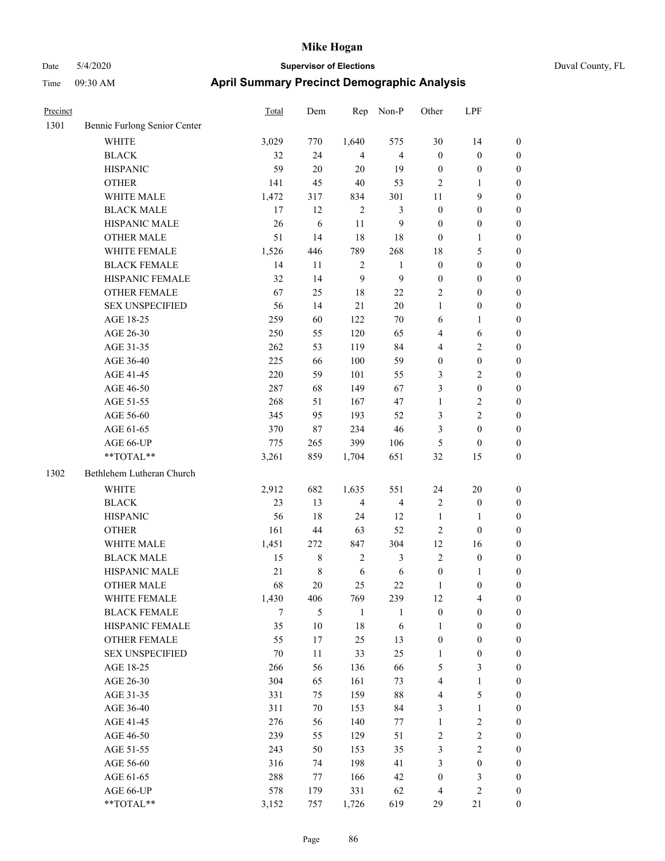|  | Duval County |
|--|--------------|

| Precinct |                              | <b>Total</b> | Dem    | Rep            | Non-P                   | Other            | LPF              |                  |
|----------|------------------------------|--------------|--------|----------------|-------------------------|------------------|------------------|------------------|
| 1301     | Bennie Furlong Senior Center |              |        |                |                         |                  |                  |                  |
|          | <b>WHITE</b>                 | 3,029        | 770    | 1,640          | 575                     | 30               | 14               | $\boldsymbol{0}$ |
|          | <b>BLACK</b>                 | 32           | 24     | $\overline{4}$ | $\overline{\mathbf{4}}$ | $\mathbf{0}$     | $\boldsymbol{0}$ | $\boldsymbol{0}$ |
|          | <b>HISPANIC</b>              | 59           | $20\,$ | 20             | 19                      | $\boldsymbol{0}$ | $\boldsymbol{0}$ | 0                |
|          | <b>OTHER</b>                 | 141          | 45     | $40\,$         | 53                      | 2                | 1                | $\boldsymbol{0}$ |
|          | WHITE MALE                   | 1,472        | 317    | 834            | 301                     | 11               | 9                | $\boldsymbol{0}$ |
|          | <b>BLACK MALE</b>            | 17           | 12     | $\sqrt{2}$     | 3                       | $\boldsymbol{0}$ | $\boldsymbol{0}$ | $\boldsymbol{0}$ |
|          | HISPANIC MALE                | 26           | 6      | 11             | 9                       | $\boldsymbol{0}$ | $\boldsymbol{0}$ | $\boldsymbol{0}$ |
|          | <b>OTHER MALE</b>            | 51           | 14     | 18             | 18                      | $\boldsymbol{0}$ | $\mathbf{1}$     | $\boldsymbol{0}$ |
|          | WHITE FEMALE                 | 1,526        | 446    | 789            | 268                     | 18               | $\sqrt{5}$       | $\boldsymbol{0}$ |
|          | <b>BLACK FEMALE</b>          | 14           | 11     | $\sqrt{2}$     | $\mathbf{1}$            | $\boldsymbol{0}$ | $\boldsymbol{0}$ | $\boldsymbol{0}$ |
|          | HISPANIC FEMALE              | 32           | 14     | 9              | $\boldsymbol{9}$        | $\boldsymbol{0}$ | $\boldsymbol{0}$ | $\boldsymbol{0}$ |
|          | <b>OTHER FEMALE</b>          | 67           | 25     | 18             | 22                      | $\overline{c}$   | $\boldsymbol{0}$ | 0                |
|          | <b>SEX UNSPECIFIED</b>       | 56           | 14     | 21             | $20\,$                  | 1                | $\boldsymbol{0}$ | 0                |
|          | AGE 18-25                    | 259          | 60     | 122            | $70\,$                  | 6                | 1                | 0                |
|          | AGE 26-30                    | 250          | 55     | 120            | 65                      | 4                | 6                | $\boldsymbol{0}$ |
|          | AGE 31-35                    | 262          | 53     | 119            | 84                      | 4                | $\sqrt{2}$       | $\boldsymbol{0}$ |
|          | AGE 36-40                    | 225          | 66     | 100            | 59                      | $\boldsymbol{0}$ | $\boldsymbol{0}$ | $\boldsymbol{0}$ |
|          | AGE 41-45                    | 220          | 59     | 101            | 55                      | 3                | $\sqrt{2}$       | $\boldsymbol{0}$ |
|          | AGE 46-50                    | 287          | 68     | 149            | 67                      | 3                | $\boldsymbol{0}$ | $\boldsymbol{0}$ |
|          | AGE 51-55                    | 268          | 51     | 167            | 47                      | $\mathbf{1}$     | $\sqrt{2}$       | $\boldsymbol{0}$ |
|          | AGE 56-60                    | 345          | 95     | 193            | 52                      | 3                | $\sqrt{2}$       | $\boldsymbol{0}$ |
|          | AGE 61-65                    | 370          | 87     | 234            | 46                      | 3                | $\boldsymbol{0}$ | 0                |
|          | AGE 66-UP                    | 775          | 265    | 399            | 106                     | 5                | $\boldsymbol{0}$ | 0                |
|          | **TOTAL**                    | 3,261        | 859    | 1,704          | 651                     | 32               | 15               | $\boldsymbol{0}$ |
| 1302     | Bethlehem Lutheran Church    |              |        |                |                         |                  |                  |                  |
|          | <b>WHITE</b>                 | 2,912        | 682    | 1,635          | 551                     | 24               | $20\,$           | $\boldsymbol{0}$ |
|          | <b>BLACK</b>                 | 23           | 13     | $\overline{4}$ | $\overline{4}$          | $\overline{2}$   | $\boldsymbol{0}$ | $\boldsymbol{0}$ |
|          | <b>HISPANIC</b>              | 56           | 18     | 24             | 12                      | $\mathbf{1}$     | 1                | $\boldsymbol{0}$ |
|          | <b>OTHER</b>                 | 161          | 44     | 63             | 52                      | $\overline{c}$   | $\boldsymbol{0}$ | $\boldsymbol{0}$ |
|          | WHITE MALE                   | 1,451        | 272    | 847            | 304                     | 12               | 16               | $\boldsymbol{0}$ |
|          | <b>BLACK MALE</b>            | 15           | 8      | $\sqrt{2}$     | 3                       | $\overline{c}$   | $\boldsymbol{0}$ | $\boldsymbol{0}$ |
|          | HISPANIC MALE                | 21           | 8      | 6              | 6                       | $\boldsymbol{0}$ | 1                | $\boldsymbol{0}$ |
|          | <b>OTHER MALE</b>            | 68           | 20     | 25             | 22                      | 1                | $\boldsymbol{0}$ | $\boldsymbol{0}$ |
|          | WHITE FEMALE                 | 1,430        | 406    | 769            | 239                     | 12               | $\overline{4}$   | 0                |
|          | <b>BLACK FEMALE</b>          | $\tau$       | 5      | 1              | 1                       | $\boldsymbol{0}$ | $\boldsymbol{0}$ | 0                |
|          | HISPANIC FEMALE              | 35           | 10     | $18\,$         | 6                       | $\mathbf{1}$     | $\boldsymbol{0}$ | 0                |
|          | OTHER FEMALE                 | 55           | 17     | 25             | 13                      | $\boldsymbol{0}$ | $\boldsymbol{0}$ | $\overline{0}$   |
|          | <b>SEX UNSPECIFIED</b>       | 70           | $11\,$ | 33             | 25                      | $\mathbf{1}$     | $\boldsymbol{0}$ | $\overline{0}$   |
|          | AGE 18-25                    | 266          | 56     | 136            | 66                      | 5                | $\mathfrak{Z}$   | 0                |
|          | AGE 26-30                    | 304          | 65     | 161            | 73                      | 4                | $\mathbf{1}$     | 0                |
|          | AGE 31-35                    | 331          | 75     | 159            | $88\,$                  | 4                | $\sqrt{5}$       | 0                |
|          | AGE 36-40                    | 311          | 70     | 153            | 84                      | 3                | $\mathbf{1}$     | 0                |
|          | AGE 41-45                    | 276          | 56     | 140            | 77                      | $\mathbf{1}$     | $\sqrt{2}$       | 0                |
|          | AGE 46-50                    | 239          | 55     | 129            | 51                      | $\sqrt{2}$       | $\sqrt{2}$       | 0                |
|          | AGE 51-55                    | 243          | 50     | 153            | 35                      | $\mathfrak{Z}$   | $\sqrt{2}$       | 0                |
|          | AGE 56-60                    | 316          | 74     | 198            | 41                      | 3                | $\boldsymbol{0}$ | $\boldsymbol{0}$ |
|          | AGE 61-65                    | 288          | 77     | 166            | 42                      | $\boldsymbol{0}$ | $\mathfrak{Z}$   | $\boldsymbol{0}$ |
|          | AGE 66-UP                    | 578          | 179    | 331            | 62                      | 4                | $\sqrt{2}$       | $\boldsymbol{0}$ |
|          | **TOTAL**                    | 3,152        | 757    | 1,726          | 619                     | 29               | 21               | $\boldsymbol{0}$ |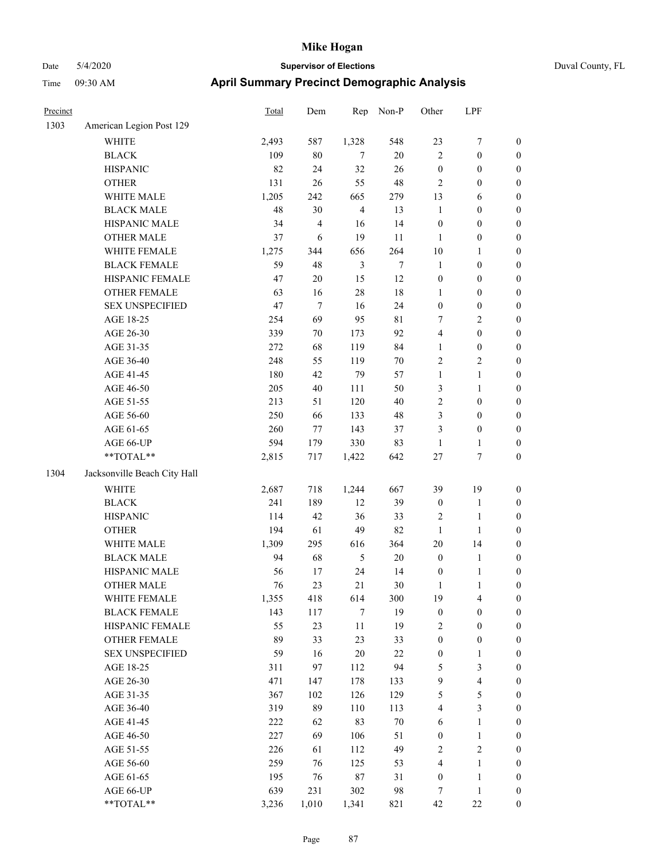| Precinct |                                        | Total   | Dem                     | Rep            | Non-P       | Other            | LPF                     |                  |
|----------|----------------------------------------|---------|-------------------------|----------------|-------------|------------------|-------------------------|------------------|
| 1303     | American Legion Post 129               |         |                         |                |             |                  |                         |                  |
|          | <b>WHITE</b>                           | 2,493   | 587                     | 1,328          | 548         | 23               | $\boldsymbol{7}$        | $\boldsymbol{0}$ |
|          | <b>BLACK</b>                           | 109     | $80\,$                  | 7              | $20\,$      | $\overline{c}$   | $\boldsymbol{0}$        | $\boldsymbol{0}$ |
|          | <b>HISPANIC</b>                        | 82      | 24                      | 32             | 26          | $\boldsymbol{0}$ | $\boldsymbol{0}$        | $\boldsymbol{0}$ |
|          | <b>OTHER</b>                           | 131     | 26                      | 55             | 48          | $\sqrt{2}$       | $\boldsymbol{0}$        | $\boldsymbol{0}$ |
|          | WHITE MALE                             | 1,205   | 242                     | 665            | 279         | 13               | 6                       | $\boldsymbol{0}$ |
|          | <b>BLACK MALE</b>                      | 48      | 30                      | $\overline{4}$ | 13          | $\mathbf{1}$     | $\boldsymbol{0}$        | $\boldsymbol{0}$ |
|          | HISPANIC MALE                          | 34      | $\overline{\mathbf{4}}$ | 16             | 14          | $\boldsymbol{0}$ | $\boldsymbol{0}$        | $\boldsymbol{0}$ |
|          | <b>OTHER MALE</b>                      | 37      | 6                       | 19             | 11          | $\mathbf{1}$     | $\boldsymbol{0}$        | 0                |
|          | WHITE FEMALE                           | 1,275   | 344                     | 656            | 264         | 10               | 1                       | 0                |
|          | <b>BLACK FEMALE</b>                    | 59      | 48                      | $\mathfrak{Z}$ | $\tau$      | $\mathbf{1}$     | $\boldsymbol{0}$        | $\boldsymbol{0}$ |
|          | HISPANIC FEMALE                        | 47      | $20\,$                  | 15             | 12          | $\boldsymbol{0}$ | $\boldsymbol{0}$        | $\boldsymbol{0}$ |
|          | <b>OTHER FEMALE</b>                    | 63      | 16                      | 28             | 18          | $\mathbf{1}$     | $\boldsymbol{0}$        | $\boldsymbol{0}$ |
|          | <b>SEX UNSPECIFIED</b>                 | 47      | $\tau$                  | 16             | 24          | $\boldsymbol{0}$ | $\boldsymbol{0}$        | $\boldsymbol{0}$ |
|          | AGE 18-25                              | 254     | 69                      | 95             | $8\sqrt{1}$ | 7                | $\sqrt{2}$              | $\boldsymbol{0}$ |
|          | AGE 26-30                              | 339     | $70\,$                  | 173            | 92          | 4                | $\boldsymbol{0}$        | $\boldsymbol{0}$ |
|          | AGE 31-35                              | $272\,$ | 68                      | 119            | 84          | $\mathbf{1}$     | $\boldsymbol{0}$        | $\boldsymbol{0}$ |
|          | AGE 36-40                              | 248     | 55                      | 119            | $70\,$      | $\overline{2}$   | $\sqrt{2}$              | $\boldsymbol{0}$ |
|          | AGE 41-45                              | 180     | 42                      | 79             | 57          | $\mathbf{1}$     | $\mathbf{1}$            | 0                |
|          | AGE 46-50                              | 205     | 40                      | 111            | 50          | 3                | $\mathbf{1}$            | 0                |
|          | AGE 51-55                              | 213     | 51                      | 120            | 40          | $\overline{c}$   | $\boldsymbol{0}$        | $\boldsymbol{0}$ |
|          | AGE 56-60                              | 250     | 66                      | 133            | 48          | 3                | $\boldsymbol{0}$        | $\boldsymbol{0}$ |
|          | AGE 61-65                              | 260     | $77\,$                  | 143            | 37          | 3                | $\boldsymbol{0}$        | $\boldsymbol{0}$ |
|          | AGE 66-UP                              | 594     | 179                     | 330            | 83          | $\mathbf{1}$     | $\mathbf{1}$            | $\boldsymbol{0}$ |
|          | $\mathrm{*}\mathrm{*} \mathrm{TOTAL}*$ | 2,815   | 717                     | 1,422          | 642         | $27\,$           | $\boldsymbol{7}$        | $\boldsymbol{0}$ |
| 1304     | Jacksonville Beach City Hall           |         |                         |                |             |                  |                         |                  |
|          | <b>WHITE</b>                           | 2,687   | 718                     | 1,244          | 667         | 39               | 19                      | $\boldsymbol{0}$ |
|          | <b>BLACK</b>                           | 241     | 189                     | 12             | 39          | $\boldsymbol{0}$ | $\mathbf{1}$            | $\boldsymbol{0}$ |
|          | <b>HISPANIC</b>                        | 114     | 42                      | 36             | 33          | $\overline{c}$   | $\mathbf{1}$            | $\boldsymbol{0}$ |
|          | <b>OTHER</b>                           | 194     | 61                      | 49             | 82          | $\mathbf{1}$     | $\mathbf{1}$            | $\boldsymbol{0}$ |
|          | WHITE MALE                             | 1,309   | 295                     | 616            | 364         | 20               | 14                      | 0                |
|          | <b>BLACK MALE</b>                      | 94      | 68                      | 5              | $20\,$      | $\boldsymbol{0}$ | $\mathbf{1}$            | 0                |
|          | HISPANIC MALE                          | 56      | 17                      | 24             | 14          | $\boldsymbol{0}$ | $\mathbf{1}$            | 0                |
|          | <b>OTHER MALE</b>                      | 76      | 23                      | $21\,$         | 30          | $\mathbf{1}$     | $\,1$                   | $\boldsymbol{0}$ |
|          | WHITE FEMALE                           | 1,355   | 418                     | 614            | 300         | 19               | $\overline{4}$          | $\boldsymbol{0}$ |
|          | <b>BLACK FEMALE</b>                    | 143     | 117                     | $\tau$         | 19          | $\boldsymbol{0}$ | $\boldsymbol{0}$        | $\boldsymbol{0}$ |
|          | HISPANIC FEMALE                        | 55      | 23                      | 11             | 19          | $\sqrt{2}$       | $\boldsymbol{0}$        | $\overline{0}$   |
|          | <b>OTHER FEMALE</b>                    | 89      | 33                      | 23             | 33          | $\boldsymbol{0}$ | $\boldsymbol{0}$        | $\overline{0}$   |
|          | <b>SEX UNSPECIFIED</b>                 | 59      | 16                      | $20\,$         | $22\,$      | $\boldsymbol{0}$ | $\mathbf{1}$            | $\overline{0}$   |
|          | AGE 18-25                              | 311     | 97                      | 112            | 94          | $\sqrt{5}$       | $\mathfrak{Z}$          | 0                |
|          | AGE 26-30                              | 471     | 147                     | 178            | 133         | $\boldsymbol{9}$ | $\overline{\mathbf{4}}$ | 0                |
|          | AGE 31-35                              | 367     | 102                     | 126            | 129         | 5                | $\mathfrak s$           | 0                |
|          | AGE 36-40                              | 319     | 89                      | 110            | 113         | 4                | $\mathfrak{Z}$          | $\boldsymbol{0}$ |
|          | AGE 41-45                              | 222     | 62                      | 83             | $70\,$      | 6                | $\mathbf{1}$            | $\boldsymbol{0}$ |
|          | AGE 46-50                              | 227     | 69                      | 106            | 51          | $\boldsymbol{0}$ | $\mathbf{1}$            | $\boldsymbol{0}$ |
|          | AGE 51-55                              | 226     | 61                      | 112            | 49          | $\overline{c}$   | $\sqrt{2}$              | $\boldsymbol{0}$ |
|          | AGE 56-60                              | 259     | 76                      | 125            | 53          | 4                | $\mathbf{1}$            | $\boldsymbol{0}$ |
|          | AGE 61-65                              | 195     | 76                      | 87             | 31          | $\boldsymbol{0}$ | $\mathbf{1}$            | $\overline{0}$   |
|          | AGE 66-UP                              | 639     | 231                     | 302            | 98          | $\tau$           | $\mathbf{1}$            | $\boldsymbol{0}$ |
|          | **TOTAL**                              | 3,236   | 1,010                   | 1,341          | 821         | 42               | 22                      | $\boldsymbol{0}$ |
|          |                                        |         |                         |                |             |                  |                         |                  |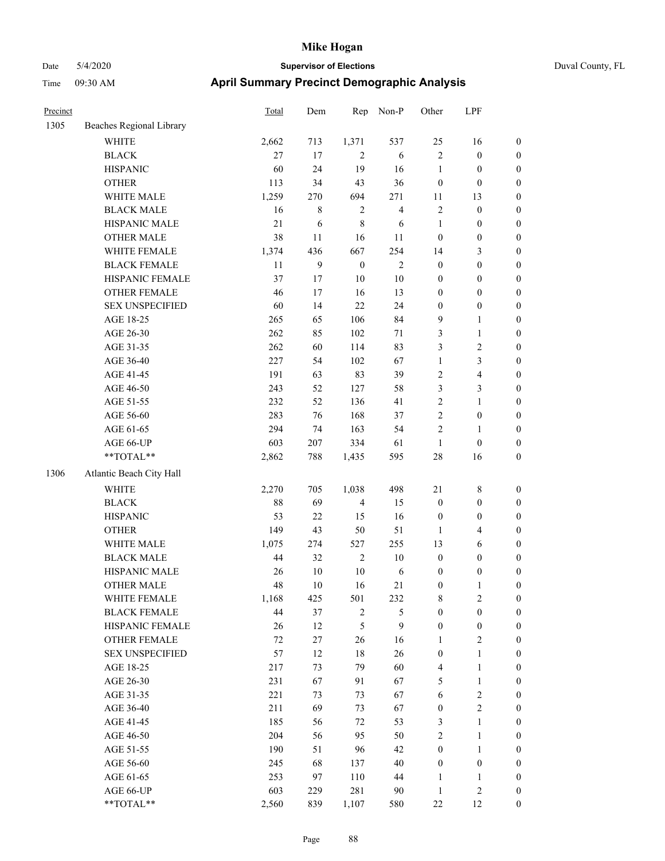| Precinct |                                        | <b>Total</b> | Dem          | Rep              | Non-P                   | Other            | LPF              |                  |
|----------|----------------------------------------|--------------|--------------|------------------|-------------------------|------------------|------------------|------------------|
| 1305     | Beaches Regional Library               |              |              |                  |                         |                  |                  |                  |
|          | WHITE                                  | 2,662        | 713          | 1,371            | 537                     | 25               | 16               | $\boldsymbol{0}$ |
|          | <b>BLACK</b>                           | 27           | 17           | 2                | 6                       | $\overline{2}$   | $\boldsymbol{0}$ | $\boldsymbol{0}$ |
|          | <b>HISPANIC</b>                        | 60           | 24           | 19               | 16                      | $\mathbf{1}$     | $\boldsymbol{0}$ | 0                |
|          | <b>OTHER</b>                           | 113          | 34           | 43               | 36                      | $\boldsymbol{0}$ | $\boldsymbol{0}$ | $\boldsymbol{0}$ |
|          | WHITE MALE                             | 1,259        | 270          | 694              | 271                     | 11               | 13               | $\boldsymbol{0}$ |
|          | <b>BLACK MALE</b>                      | 16           | 8            | $\sqrt{2}$       | $\overline{\mathbf{4}}$ | $\boldsymbol{2}$ | $\boldsymbol{0}$ | $\boldsymbol{0}$ |
|          | HISPANIC MALE                          | 21           | 6            | $\,8\,$          | 6                       | $\mathbf{1}$     | $\boldsymbol{0}$ | $\boldsymbol{0}$ |
|          | <b>OTHER MALE</b>                      | 38           | 11           | 16               | 11                      | $\boldsymbol{0}$ | $\boldsymbol{0}$ | $\boldsymbol{0}$ |
|          | WHITE FEMALE                           | 1,374        | 436          | 667              | 254                     | 14               | $\mathfrak{Z}$   | $\boldsymbol{0}$ |
|          | <b>BLACK FEMALE</b>                    | 11           | $\mathbf{9}$ | $\boldsymbol{0}$ | $\sqrt{2}$              | $\boldsymbol{0}$ | $\boldsymbol{0}$ | $\boldsymbol{0}$ |
|          | HISPANIC FEMALE                        | 37           | 17           | $10\,$           | $10\,$                  | $\boldsymbol{0}$ | $\boldsymbol{0}$ | $\boldsymbol{0}$ |
|          | <b>OTHER FEMALE</b>                    | 46           | 17           | 16               | 13                      | $\boldsymbol{0}$ | $\boldsymbol{0}$ | 0                |
|          | <b>SEX UNSPECIFIED</b>                 | 60           | 14           | 22               | 24                      | $\boldsymbol{0}$ | $\boldsymbol{0}$ | 0                |
|          | AGE 18-25                              | 265          | 65           | 106              | 84                      | 9                | 1                | 0                |
|          | AGE 26-30                              | 262          | 85           | 102              | 71                      | 3                | 1                | $\boldsymbol{0}$ |
|          | AGE 31-35                              | 262          | 60           | 114              | 83                      | 3                | $\sqrt{2}$       | $\boldsymbol{0}$ |
|          | AGE 36-40                              | 227          | 54           | 102              | 67                      | $\mathbf{1}$     | $\mathfrak{Z}$   | $\boldsymbol{0}$ |
|          | AGE 41-45                              | 191          | 63           | 83               | 39                      | $\overline{c}$   | $\overline{4}$   | $\boldsymbol{0}$ |
|          | AGE 46-50                              | 243          | 52           | 127              | 58                      | 3                | $\mathfrak{Z}$   | $\boldsymbol{0}$ |
|          | AGE 51-55                              | 232          | 52           | 136              | 41                      | $\sqrt{2}$       | $\mathbf{1}$     | $\boldsymbol{0}$ |
|          | AGE 56-60                              | 283          | 76           | 168              | 37                      | $\sqrt{2}$       | $\boldsymbol{0}$ | 0                |
|          | AGE 61-65                              | 294          | 74           | 163              | 54                      | $\sqrt{2}$       | $\mathbf{1}$     | 0                |
|          | AGE 66-UP                              | 603          | $207\,$      | 334              | 61                      | $\mathbf{1}$     | $\boldsymbol{0}$ | 0                |
|          | **TOTAL**                              | 2,862        | 788          | 1,435            | 595                     | 28               | 16               | $\boldsymbol{0}$ |
| 1306     | Atlantic Beach City Hall               |              |              |                  |                         |                  |                  |                  |
|          | <b>WHITE</b>                           | 2,270        | 705          | 1,038            | 498                     | $21\,$           | 8                | $\boldsymbol{0}$ |
|          | <b>BLACK</b>                           | 88           | 69           | $\overline{4}$   | 15                      | $\boldsymbol{0}$ | $\boldsymbol{0}$ | $\boldsymbol{0}$ |
|          | <b>HISPANIC</b>                        | 53           | 22           | 15               | 16                      | $\boldsymbol{0}$ | $\boldsymbol{0}$ | $\boldsymbol{0}$ |
|          | <b>OTHER</b>                           | 149          | 43           | 50               | 51                      | $\mathbf{1}$     | $\overline{4}$   | $\boldsymbol{0}$ |
|          | WHITE MALE                             | 1,075        | 274          | 527              | 255                     | 13               | 6                | $\boldsymbol{0}$ |
|          | <b>BLACK MALE</b>                      | 44           | 32           | $\sqrt{2}$       | 10                      | $\boldsymbol{0}$ | $\boldsymbol{0}$ | $\boldsymbol{0}$ |
|          | HISPANIC MALE                          | 26           | $10\,$       | $10\,$           | 6                       | $\boldsymbol{0}$ | $\boldsymbol{0}$ | $\boldsymbol{0}$ |
|          | <b>OTHER MALE</b>                      | 48           | 10           | 16               | 21                      | $\boldsymbol{0}$ | 1                | $\boldsymbol{0}$ |
|          | WHITE FEMALE                           | 1,168        | 425          | 501              | 232                     | 8                | $\sqrt{2}$       | 0                |
|          | <b>BLACK FEMALE</b>                    | 44           | 37           | $\sqrt{2}$       | 5                       | $\boldsymbol{0}$ | $\boldsymbol{0}$ | 0                |
|          | HISPANIC FEMALE                        | 26           | 12           | $\mathfrak s$    | 9                       | $\boldsymbol{0}$ | $\boldsymbol{0}$ | 0                |
|          | OTHER FEMALE                           | 72           | 27           | 26               | 16                      | 1                | $\sqrt{2}$       | 0                |
|          | <b>SEX UNSPECIFIED</b>                 | 57           | 12           | $18\,$           | 26                      | $\boldsymbol{0}$ | $\mathbf{1}$     | $\boldsymbol{0}$ |
|          | AGE 18-25                              | 217          | 73           | 79               | 60                      | $\overline{4}$   | $\mathbf{1}$     | 0                |
|          | AGE 26-30                              | 231          | 67           | 91               | 67                      | 5                | $\mathbf{1}$     | 0                |
|          | AGE 31-35                              | 221          | 73           | 73               | 67                      | 6                | $\sqrt{2}$       | 0                |
|          | AGE 36-40                              | 211          | 69           | 73               | 67                      | $\boldsymbol{0}$ | $\sqrt{2}$       | 0                |
|          | AGE 41-45                              | 185          | 56           | 72               | 53                      | 3                | $\mathbf{1}$     | 0                |
|          | AGE 46-50                              | 204          | 56           | 95               | 50                      | $\sqrt{2}$       | $\mathbf{1}$     | 0                |
|          | AGE 51-55                              | 190          | 51           | 96               | 42                      | $\boldsymbol{0}$ | $\mathbf{1}$     | 0                |
|          | AGE 56-60                              | 245          | 68           | 137              | 40                      | $\boldsymbol{0}$ | $\boldsymbol{0}$ | 0                |
|          | AGE 61-65                              | 253          | 97           | 110              | 44                      | 1                | $\mathbf{1}$     | 0                |
|          | AGE 66-UP                              | 603          | 229          | 281              | 90                      | $\mathbf{1}$     | $\sqrt{2}$       | $\boldsymbol{0}$ |
|          | $\mathrm{*}\mathrm{*} \mathrm{TOTAL}*$ | 2,560        | 839          | 1,107            | 580                     | $22\,$           | 12               | $\boldsymbol{0}$ |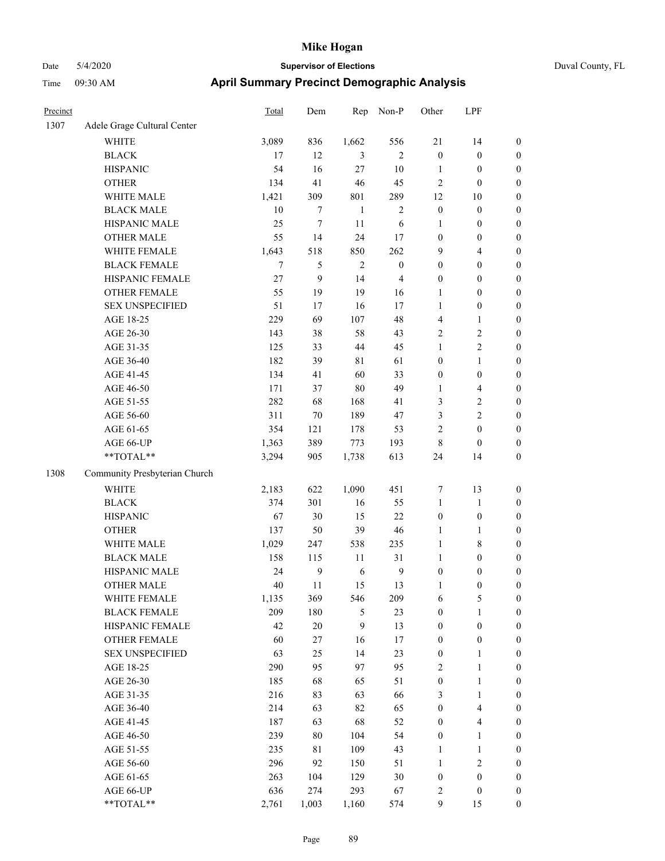| Duval County, FL |  |
|------------------|--|
|------------------|--|

| Precinct |                               | Total  | Dem    | Rep          | Non-P            | Other                   | LPF                      |                  |
|----------|-------------------------------|--------|--------|--------------|------------------|-------------------------|--------------------------|------------------|
| 1307     | Adele Grage Cultural Center   |        |        |              |                  |                         |                          |                  |
|          | <b>WHITE</b>                  | 3,089  | 836    | 1,662        | 556              | 21                      | 14                       | $\boldsymbol{0}$ |
|          | <b>BLACK</b>                  | 17     | 12     | 3            | $\overline{2}$   | $\boldsymbol{0}$        | $\boldsymbol{0}$         | $\boldsymbol{0}$ |
|          | <b>HISPANIC</b>               | 54     | 16     | $27\,$       | 10               | $\mathbf{1}$            | $\boldsymbol{0}$         | $\boldsymbol{0}$ |
|          | <b>OTHER</b>                  | 134    | 41     | 46           | 45               | $\overline{c}$          | $\boldsymbol{0}$         | $\boldsymbol{0}$ |
|          | WHITE MALE                    | 1,421  | 309    | 801          | 289              | 12                      | $10\,$                   | $\boldsymbol{0}$ |
|          | <b>BLACK MALE</b>             | $10\,$ | 7      | $\mathbf{1}$ | $\sqrt{2}$       | $\boldsymbol{0}$        | $\boldsymbol{0}$         | $\boldsymbol{0}$ |
|          | HISPANIC MALE                 | 25     | $\tau$ | 11           | 6                | $\mathbf{1}$            | $\boldsymbol{0}$         | $\boldsymbol{0}$ |
|          | <b>OTHER MALE</b>             | 55     | 14     | 24           | 17               | $\boldsymbol{0}$        | $\boldsymbol{0}$         | $\boldsymbol{0}$ |
|          | WHITE FEMALE                  | 1,643  | 518    | 850          | 262              | 9                       | $\overline{\mathbf{4}}$  | $\boldsymbol{0}$ |
|          | <b>BLACK FEMALE</b>           | $\tau$ | 5      | $\sqrt{2}$   | $\boldsymbol{0}$ | $\boldsymbol{0}$        | $\boldsymbol{0}$         | $\boldsymbol{0}$ |
|          | HISPANIC FEMALE               | 27     | 9      | 14           | $\overline{4}$   | $\boldsymbol{0}$        | $\boldsymbol{0}$         | $\boldsymbol{0}$ |
|          | <b>OTHER FEMALE</b>           | 55     | 19     | 19           | 16               | 1                       | $\boldsymbol{0}$         | $\boldsymbol{0}$ |
|          | <b>SEX UNSPECIFIED</b>        | 51     | 17     | 16           | 17               | $\mathbf{1}$            | $\boldsymbol{0}$         | $\boldsymbol{0}$ |
|          | AGE 18-25                     | 229    | 69     | 107          | 48               | 4                       | $\mathbf{1}$             | $\boldsymbol{0}$ |
|          | AGE 26-30                     | 143    | $38\,$ | 58           | 43               | 2                       | 2                        | $\boldsymbol{0}$ |
|          | AGE 31-35                     | 125    | 33     | 44           | 45               | 1                       | $\overline{c}$           | $\boldsymbol{0}$ |
|          | AGE 36-40                     | 182    | 39     | $8\sqrt{1}$  | 61               | $\boldsymbol{0}$        | $\mathbf{1}$             | $\boldsymbol{0}$ |
|          | AGE 41-45                     | 134    | 41     | 60           | 33               | $\boldsymbol{0}$        | $\boldsymbol{0}$         | $\boldsymbol{0}$ |
|          | AGE 46-50                     | 171    | 37     | 80           | 49               | $\mathbf{1}$            | $\overline{\mathcal{L}}$ | $\boldsymbol{0}$ |
|          | AGE 51-55                     | 282    | 68     | 168          | 41               | 3                       | $\mathbf{2}$             | $\boldsymbol{0}$ |
|          | AGE 56-60                     | 311    | 70     | 189          | 47               | 3                       | $\overline{c}$           | $\boldsymbol{0}$ |
|          | AGE 61-65                     | 354    | 121    | 178          | 53               | 2                       | $\boldsymbol{0}$         | $\boldsymbol{0}$ |
|          | AGE 66-UP                     | 1,363  | 389    | 773          | 193              | 8                       | $\boldsymbol{0}$         | $\boldsymbol{0}$ |
|          | **TOTAL**                     | 3,294  | 905    | 1,738        | 613              | 24                      | 14                       | $\boldsymbol{0}$ |
| 1308     | Community Presbyterian Church |        |        |              |                  |                         |                          |                  |
|          | <b>WHITE</b>                  | 2,183  | 622    | 1,090        | 451              | 7                       | 13                       | $\boldsymbol{0}$ |
|          | <b>BLACK</b>                  | 374    | 301    | 16           | 55               | $\mathbf{1}$            | $\mathbf{1}$             | $\boldsymbol{0}$ |
|          | <b>HISPANIC</b>               | 67     | 30     | 15           | 22               | $\boldsymbol{0}$        | $\boldsymbol{0}$         | $\boldsymbol{0}$ |
|          | <b>OTHER</b>                  | 137    | 50     | 39           | 46               | 1                       | $\mathbf{1}$             | $\boldsymbol{0}$ |
|          | WHITE MALE                    | 1,029  | 247    | 538          | 235              | $\mathbf{1}$            | $\,$ 8 $\,$              | $\boldsymbol{0}$ |
|          | <b>BLACK MALE</b>             | 158    | 115    | 11           | 31               | $\mathbf{1}$            | $\boldsymbol{0}$         | $\boldsymbol{0}$ |
|          | HISPANIC MALE                 | 24     | 9      | 6            | 9                | $\boldsymbol{0}$        | $\boldsymbol{0}$         | $\boldsymbol{0}$ |
|          | <b>OTHER MALE</b>             | 40     | 11     | 15           | 13               | 1                       | $\boldsymbol{0}$         | $\boldsymbol{0}$ |
|          | WHITE FEMALE                  | 1,135  | 369    | 546          | 209              | 6                       | 5                        | $\mathbf{0}$     |
|          | <b>BLACK FEMALE</b>           | 209    | 180    | 5            | 23               | $\boldsymbol{0}$        | $\mathbf{1}$             | $\boldsymbol{0}$ |
|          | HISPANIC FEMALE               | 42     | $20\,$ | 9            | 13               | $\boldsymbol{0}$        | $\boldsymbol{0}$         | $\boldsymbol{0}$ |
|          | <b>OTHER FEMALE</b>           | 60     | $27\,$ | 16           | 17               | $\boldsymbol{0}$        | $\boldsymbol{0}$         | $\boldsymbol{0}$ |
|          | <b>SEX UNSPECIFIED</b>        | 63     | 25     | 14           | 23               | $\boldsymbol{0}$        | $\mathbf{1}$             | $\boldsymbol{0}$ |
|          | AGE 18-25                     | 290    | 95     | 97           | 95               | $\overline{\mathbf{c}}$ | $\mathbf{1}$             | $\boldsymbol{0}$ |
|          | AGE 26-30                     | 185    | 68     | 65           | 51               | $\boldsymbol{0}$        | $\mathbf{1}$             | $\boldsymbol{0}$ |
|          | AGE 31-35                     | 216    | 83     | 63           | 66               | 3                       | $\mathbf{1}$             | $\boldsymbol{0}$ |
|          | AGE 36-40                     | 214    | 63     | 82           | 65               | $\boldsymbol{0}$        | $\overline{\mathbf{4}}$  | $\boldsymbol{0}$ |
|          | AGE 41-45                     | 187    | 63     | 68           | 52               | $\boldsymbol{0}$        | 4                        | $\boldsymbol{0}$ |
|          | AGE 46-50                     | 239    | 80     | 104          | 54               | $\boldsymbol{0}$        | $\mathbf{1}$             | $\boldsymbol{0}$ |
|          | AGE 51-55                     | 235    | 81     | 109          | 43               | $\mathbf{1}$            | $\mathbf{1}$             | $\boldsymbol{0}$ |
|          | AGE 56-60                     | 296    | 92     | 150          | 51               | 1                       | $\overline{c}$           | $\boldsymbol{0}$ |
|          | AGE 61-65                     | 263    | 104    | 129          | 30               | $\boldsymbol{0}$        | $\boldsymbol{0}$         | $\boldsymbol{0}$ |
|          | AGE 66-UP                     | 636    | 274    | 293          | 67               | 2                       | $\boldsymbol{0}$         | $\boldsymbol{0}$ |
|          | **TOTAL**                     | 2,761  | 1,003  | 1,160        | 574              | 9                       | 15                       | $\boldsymbol{0}$ |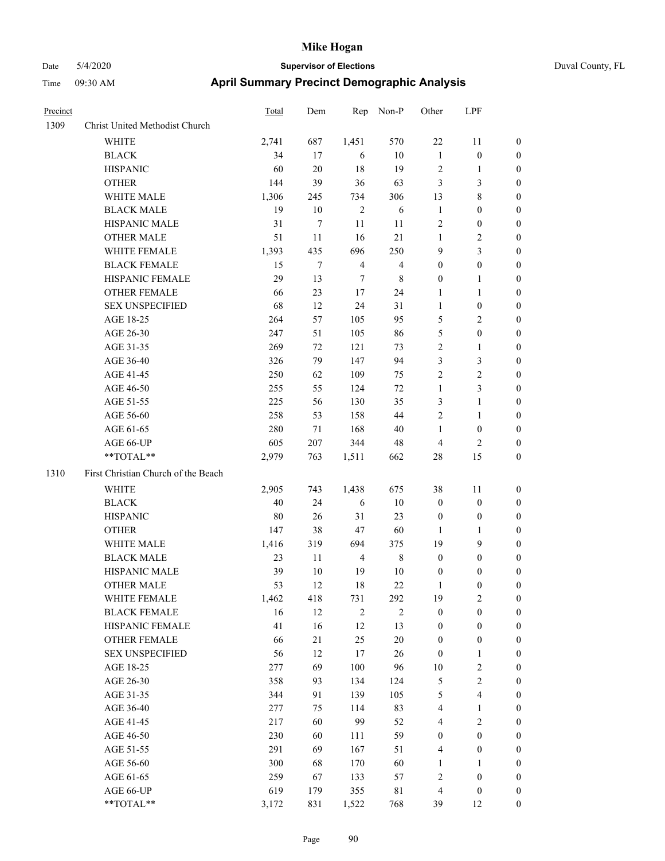| Precinct |                                     | <b>Total</b> | Dem    | Rep            | Non-P            | Other            | LPF              |                  |
|----------|-------------------------------------|--------------|--------|----------------|------------------|------------------|------------------|------------------|
| 1309     | Christ United Methodist Church      |              |        |                |                  |                  |                  |                  |
|          | WHITE                               | 2,741        | 687    | 1,451          | 570              | 22               | 11               | $\mathbf{0}$     |
|          | <b>BLACK</b>                        | 34           | 17     | 6              | $10\,$           | 1                | $\boldsymbol{0}$ | $\boldsymbol{0}$ |
|          | <b>HISPANIC</b>                     | 60           | 20     | 18             | 19               | $\overline{2}$   | 1                | $\boldsymbol{0}$ |
|          | <b>OTHER</b>                        | 144          | 39     | 36             | 63               | 3                | 3                | $\boldsymbol{0}$ |
|          | WHITE MALE                          | 1,306        | 245    | 734            | 306              | 13               | 8                | $\boldsymbol{0}$ |
|          | <b>BLACK MALE</b>                   | 19           | $10\,$ | $\overline{2}$ | 6                | $\mathbf{1}$     | $\boldsymbol{0}$ | $\boldsymbol{0}$ |
|          | HISPANIC MALE                       | 31           | $\tau$ | 11             | 11               | $\overline{2}$   | $\boldsymbol{0}$ | $\boldsymbol{0}$ |
|          | <b>OTHER MALE</b>                   | 51           | 11     | 16             | 21               | $\mathbf{1}$     | 2                | $\boldsymbol{0}$ |
|          | WHITE FEMALE                        | 1,393        | 435    | 696            | 250              | 9                | 3                | $\boldsymbol{0}$ |
|          | <b>BLACK FEMALE</b>                 | 15           | $\tau$ | $\overline{4}$ | $\overline{4}$   | $\boldsymbol{0}$ | $\boldsymbol{0}$ | $\boldsymbol{0}$ |
|          | HISPANIC FEMALE                     | 29           | 13     | 7              | 8                | $\boldsymbol{0}$ | 1                | $\boldsymbol{0}$ |
|          | <b>OTHER FEMALE</b>                 | 66           | 23     | 17             | 24               | 1                | 1                | $\boldsymbol{0}$ |
|          | <b>SEX UNSPECIFIED</b>              | 68           | 12     | 24             | 31               | $\mathbf{1}$     | $\boldsymbol{0}$ | $\boldsymbol{0}$ |
|          | AGE 18-25                           | 264          | 57     | 105            | 95               | 5                | 2                | $\boldsymbol{0}$ |
|          | AGE 26-30                           | 247          | 51     | 105            | 86               | 5                | $\boldsymbol{0}$ | $\boldsymbol{0}$ |
|          | AGE 31-35                           | 269          | 72     | 121            | 73               | $\overline{2}$   | 1                | $\boldsymbol{0}$ |
|          | AGE 36-40                           | 326          | 79     | 147            | 94               | 3                | 3                | $\boldsymbol{0}$ |
|          | AGE 41-45                           | 250          | 62     | 109            | 75               | $\overline{2}$   | $\overline{c}$   | $\boldsymbol{0}$ |
|          | AGE 46-50                           | 255          | 55     | 124            | $72\,$           | $\mathbf{1}$     | 3                | $\boldsymbol{0}$ |
|          | AGE 51-55                           | 225          | 56     | 130            | 35               | 3                | 1                | $\boldsymbol{0}$ |
|          | AGE 56-60                           | 258          | 53     | 158            | 44               | $\overline{2}$   | 1                | $\boldsymbol{0}$ |
|          | AGE 61-65                           | 280          | 71     | 168            | 40               | 1                | $\boldsymbol{0}$ | $\boldsymbol{0}$ |
|          | AGE 66-UP                           | 605          | 207    | 344            | 48               | $\overline{4}$   | 2                | $\boldsymbol{0}$ |
|          | **TOTAL**                           | 2,979        | 763    | 1,511          | 662              | 28               | 15               | $\boldsymbol{0}$ |
| 1310     | First Christian Church of the Beach |              |        |                |                  |                  |                  |                  |
|          | <b>WHITE</b>                        | 2,905        | 743    | 1,438          | 675              | 38               | 11               | $\boldsymbol{0}$ |
|          | <b>BLACK</b>                        | 40           | 24     | 6              | $10\,$           | $\boldsymbol{0}$ | $\boldsymbol{0}$ | $\boldsymbol{0}$ |
|          | <b>HISPANIC</b>                     | 80           | 26     | 31             | 23               | $\boldsymbol{0}$ | $\boldsymbol{0}$ | $\boldsymbol{0}$ |
|          | <b>OTHER</b>                        | 147          | 38     | 47             | 60               | 1                | 1                | $\boldsymbol{0}$ |
|          | WHITE MALE                          | 1,416        | 319    | 694            | 375              | 19               | 9                | $\boldsymbol{0}$ |
|          | <b>BLACK MALE</b>                   | 23           | 11     | $\overline{4}$ | 8                | $\boldsymbol{0}$ | $\boldsymbol{0}$ | $\boldsymbol{0}$ |
|          | HISPANIC MALE                       | 39           | 10     | 19             | 10               | $\boldsymbol{0}$ | $\boldsymbol{0}$ | $\boldsymbol{0}$ |
|          | <b>OTHER MALE</b>                   | 53           | 12     | 18             | 22               | 1                | $\boldsymbol{0}$ | $\boldsymbol{0}$ |
|          | WHITE FEMALE                        | 1,462        | 418    | 731            | 292              | 19               | $\mathbf{2}$     | $\mathbf{0}$     |
|          | <b>BLACK FEMALE</b>                 | 16           | 12     | $\sqrt{2}$     | $\boldsymbol{2}$ | $\boldsymbol{0}$ | $\boldsymbol{0}$ | $\boldsymbol{0}$ |
|          | HISPANIC FEMALE                     | 41           | 16     | 12             | 13               | $\boldsymbol{0}$ | $\boldsymbol{0}$ | $\boldsymbol{0}$ |
|          | OTHER FEMALE                        | 66           | 21     | 25             | $20\,$           | $\boldsymbol{0}$ | $\boldsymbol{0}$ | $\boldsymbol{0}$ |
|          | <b>SEX UNSPECIFIED</b>              | 56           | 12     | 17             | $26\,$           | $\boldsymbol{0}$ | 1                | $\boldsymbol{0}$ |
|          | AGE 18-25                           | 277          | 69     | 100            | 96               | 10               | $\sqrt{2}$       | $\boldsymbol{0}$ |
|          | AGE 26-30                           | 358          | 93     | 134            | 124              | $\sqrt{5}$       | $\mathbf{2}$     | $\boldsymbol{0}$ |
|          | AGE 31-35                           | 344          | 91     | 139            | 105              | $\mathfrak{S}$   | 4                | $\boldsymbol{0}$ |
|          | AGE 36-40                           | 277          | 75     | 114            | 83               | $\overline{4}$   | 1                | $\boldsymbol{0}$ |
|          | AGE 41-45                           | 217          | 60     | 99             | 52               | $\overline{4}$   | $\mathbf{2}$     | $\boldsymbol{0}$ |
|          | AGE 46-50                           | 230          | 60     | 111            | 59               | $\boldsymbol{0}$ | $\boldsymbol{0}$ | $\boldsymbol{0}$ |
|          | AGE 51-55                           | 291          | 69     | 167            | 51               | $\overline{4}$   | $\boldsymbol{0}$ | $\boldsymbol{0}$ |
|          | AGE 56-60                           | 300          | 68     | 170            | 60               | 1                | 1                | $\boldsymbol{0}$ |
|          | AGE 61-65                           | 259          | 67     | 133            | 57               | $\sqrt{2}$       | $\boldsymbol{0}$ | $\boldsymbol{0}$ |
|          | AGE 66-UP                           | 619          | 179    | 355            | $8\sqrt{1}$      | $\overline{4}$   | $\boldsymbol{0}$ | $\bf{0}$         |
|          | **TOTAL**                           | 3,172        | 831    | 1,522          | 768              | 39               | 12               | $\mathbf{0}$     |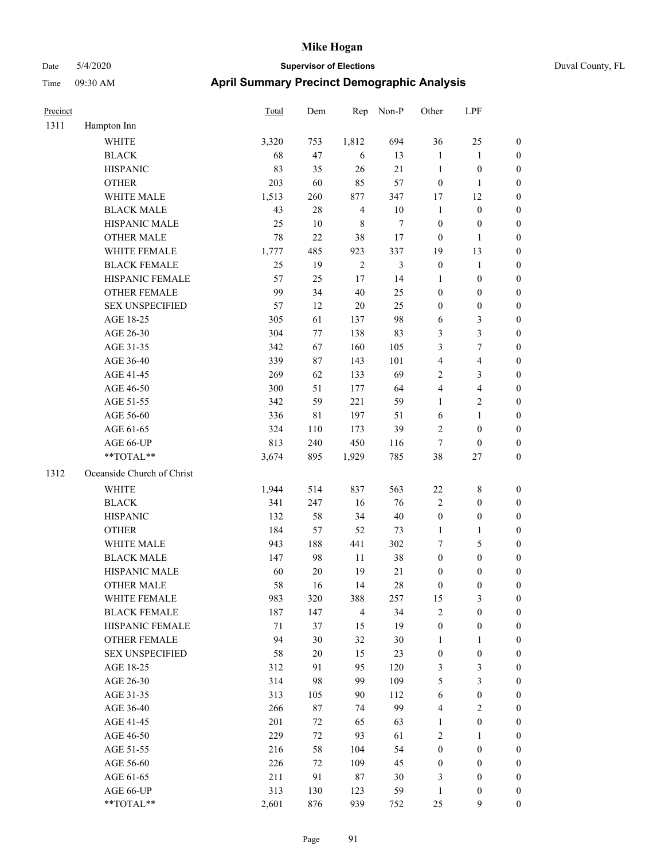# Date 5/4/2020 **Supervisor of Elections** Duval County, FL

## Time 09:30 AM **April Summary Precinct Demographic Analysis**

| Precinct |                            | Total  | Dem    | Rep              | Non-P            | Other            | LPF                      |                  |
|----------|----------------------------|--------|--------|------------------|------------------|------------------|--------------------------|------------------|
| 1311     | Hampton Inn                |        |        |                  |                  |                  |                          |                  |
|          | <b>WHITE</b>               | 3,320  | 753    | 1,812            | 694              | 36               | 25                       | 0                |
|          | <b>BLACK</b>               | 68     | 47     | 6                | 13               | 1                | $\mathbf{1}$             | 0                |
|          | <b>HISPANIC</b>            | 83     | 35     | 26               | 21               | $\mathbf{1}$     | $\boldsymbol{0}$         | $\boldsymbol{0}$ |
|          | <b>OTHER</b>               | 203    | 60     | 85               | 57               | $\boldsymbol{0}$ | $\mathbf{1}$             | $\boldsymbol{0}$ |
|          | WHITE MALE                 | 1,513  | 260    | 877              | 347              | 17               | 12                       | $\boldsymbol{0}$ |
|          | <b>BLACK MALE</b>          | 43     | 28     | $\overline{4}$   | $10\,$           | $\mathbf{1}$     | $\boldsymbol{0}$         | $\boldsymbol{0}$ |
|          | HISPANIC MALE              | 25     | $10\,$ | $\,$ 8 $\,$      | $\boldsymbol{7}$ | $\boldsymbol{0}$ | $\boldsymbol{0}$         | $\boldsymbol{0}$ |
|          | <b>OTHER MALE</b>          | 78     | 22     | 38               | 17               | $\boldsymbol{0}$ | $\mathbf{1}$             | $\boldsymbol{0}$ |
|          | WHITE FEMALE               | 1,777  | 485    | 923              | 337              | 19               | 13                       | $\boldsymbol{0}$ |
|          | <b>BLACK FEMALE</b>        | 25     | 19     | $\boldsymbol{2}$ | $\mathfrak{Z}$   | $\boldsymbol{0}$ | $\mathbf{1}$             | $\boldsymbol{0}$ |
|          | HISPANIC FEMALE            | 57     | 25     | 17               | 14               | 1                | $\boldsymbol{0}$         | $\boldsymbol{0}$ |
|          | <b>OTHER FEMALE</b>        | 99     | 34     | 40               | 25               | $\boldsymbol{0}$ | $\boldsymbol{0}$         | $\boldsymbol{0}$ |
|          | <b>SEX UNSPECIFIED</b>     | 57     | 12     | $20\,$           | 25               | $\boldsymbol{0}$ | $\boldsymbol{0}$         | $\boldsymbol{0}$ |
|          | AGE 18-25                  | 305    | 61     | 137              | 98               | 6                | 3                        | $\boldsymbol{0}$ |
|          | AGE 26-30                  | 304    | 77     | 138              | 83               | 3                | 3                        | $\boldsymbol{0}$ |
|          | AGE 31-35                  | 342    | 67     | 160              | 105              | 3                | $\boldsymbol{7}$         | $\boldsymbol{0}$ |
|          | AGE 36-40                  | 339    | $87\,$ | 143              | 101              | 4                | $\overline{\mathcal{A}}$ | $\boldsymbol{0}$ |
|          | AGE 41-45                  | 269    | 62     | 133              | 69               | $\overline{2}$   | 3                        | $\boldsymbol{0}$ |
|          | AGE 46-50                  | 300    | 51     | 177              | 64               | 4                | $\overline{4}$           | $\boldsymbol{0}$ |
|          | AGE 51-55                  | 342    | 59     | 221              | 59               | $\mathbf{1}$     | $\sqrt{2}$               | $\boldsymbol{0}$ |
|          | AGE 56-60                  | 336    | 81     | 197              | 51               | 6                | $\mathbf{1}$             | $\boldsymbol{0}$ |
|          | AGE 61-65                  | 324    | 110    | 173              | 39               | $\overline{2}$   | $\boldsymbol{0}$         | $\boldsymbol{0}$ |
|          | AGE 66-UP                  | 813    | 240    | 450              | 116              | $\tau$           | $\boldsymbol{0}$         | $\boldsymbol{0}$ |
|          | **TOTAL**                  | 3,674  | 895    | 1,929            | 785              | 38               | $27\,$                   | $\boldsymbol{0}$ |
| 1312     | Oceanside Church of Christ |        |        |                  |                  |                  |                          |                  |
|          | <b>WHITE</b>               | 1,944  | 514    | 837              | 563              | $22\,$           | $\,$ 8 $\,$              | $\boldsymbol{0}$ |
|          | <b>BLACK</b>               | 341    | 247    | 16               | 76               | $\overline{c}$   | $\boldsymbol{0}$         | $\boldsymbol{0}$ |
|          | <b>HISPANIC</b>            | 132    | 58     | 34               | $40\,$           | $\boldsymbol{0}$ | $\boldsymbol{0}$         | $\boldsymbol{0}$ |
|          | <b>OTHER</b>               | 184    | 57     | 52               | 73               | $\mathbf{1}$     | $\mathbf{1}$             | $\boldsymbol{0}$ |
|          | WHITE MALE                 | 943    | 188    | 441              | 302              | 7                | 5                        | $\boldsymbol{0}$ |
|          | <b>BLACK MALE</b>          | 147    | 98     | $11\,$           | 38               | $\boldsymbol{0}$ | $\boldsymbol{0}$         | $\boldsymbol{0}$ |
|          | HISPANIC MALE              | 60     | $20\,$ | 19               | $21\,$           | $\boldsymbol{0}$ | $\boldsymbol{0}$         | 0                |
|          | <b>OTHER MALE</b>          | 58     | 16     | 14               | 28               | $\boldsymbol{0}$ | $\boldsymbol{0}$         | $\boldsymbol{0}$ |
|          | WHITE FEMALE               | 983    | 320    | 388              | 257              | 15               | 3                        | 0                |
|          | <b>BLACK FEMALE</b>        | 187    | 147    | $\overline{4}$   | 34               | $\sqrt{2}$       | $\boldsymbol{0}$         | $\overline{0}$   |
|          | HISPANIC FEMALE            | $71\,$ | 37     | 15               | 19               | $\boldsymbol{0}$ | $\boldsymbol{0}$         | $\overline{0}$   |
|          | <b>OTHER FEMALE</b>        | 94     | 30     | 32               | $30\,$           | $\mathbf{1}$     | $\mathbf{1}$             | 0                |
|          | <b>SEX UNSPECIFIED</b>     | 58     | $20\,$ | 15               | 23               | $\boldsymbol{0}$ | $\boldsymbol{0}$         | 0                |
|          | AGE 18-25                  | 312    | 91     | 95               | 120              | 3                | 3                        | 0                |
|          | AGE 26-30                  | 314    | 98     | 99               | 109              | 5                | 3                        | 0                |
|          | AGE 31-35                  | 313    | 105    | 90               | 112              | $\sqrt{6}$       | $\boldsymbol{0}$         | 0                |
|          | AGE 36-40                  | 266    | 87     | 74               | 99               | 4                | $\sqrt{2}$               | 0                |
|          | AGE 41-45                  | 201    | 72     | 65               | 63               | $\mathbf{1}$     | $\boldsymbol{0}$         | 0                |
|          | AGE 46-50                  | 229    | 72     | 93               | 61               | $\overline{2}$   | 1                        | 0                |
|          | AGE 51-55                  | 216    | 58     | 104              | 54               | $\boldsymbol{0}$ | $\boldsymbol{0}$         | 0                |
|          | AGE 56-60                  | 226    | 72     | 109              | 45               | $\boldsymbol{0}$ | $\boldsymbol{0}$         | 0                |
|          | AGE 61-65                  | 211    | 91     | $87\,$           | $30\,$           | 3                | $\boldsymbol{0}$         | 0                |
|          | AGE 66-UP                  | 313    | 130    | 123              | 59               | $\mathbf{1}$     | $\boldsymbol{0}$         | 0                |
|          | **TOTAL**                  | 2,601  | 876    | 939              | 752              | 25               | 9                        | $\boldsymbol{0}$ |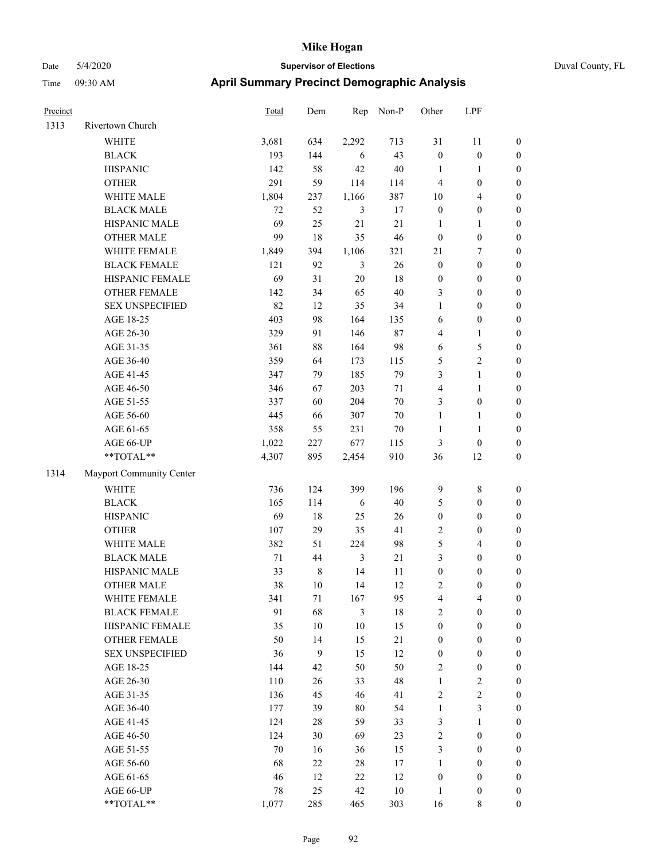# Date 5/4/2020 **Supervisor of Elections** Duval County, FL Time 09:30 AM **April Summary Precinct Demographic Analysis**

| Precinct |                          | Total  | Dem    | Rep            | Non-P  | Other            | LPF              |                  |
|----------|--------------------------|--------|--------|----------------|--------|------------------|------------------|------------------|
| 1313     | Rivertown Church         |        |        |                |        |                  |                  |                  |
|          | <b>WHITE</b>             | 3,681  | 634    | 2,292          | 713    | 31               | 11               | 0                |
|          | <b>BLACK</b>             | 193    | 144    | 6              | 43     | $\boldsymbol{0}$ | $\boldsymbol{0}$ | $\boldsymbol{0}$ |
|          | <b>HISPANIC</b>          | 142    | 58     | 42             | $40\,$ | $\mathbf{1}$     | $\mathbf{1}$     | $\boldsymbol{0}$ |
|          | <b>OTHER</b>             | 291    | 59     | 114            | 114    | $\overline{4}$   | $\boldsymbol{0}$ | $\boldsymbol{0}$ |
|          | WHITE MALE               | 1,804  | 237    | 1,166          | 387    | 10               | $\overline{4}$   | $\boldsymbol{0}$ |
|          | <b>BLACK MALE</b>        | 72     | 52     | $\mathfrak{Z}$ | 17     | $\boldsymbol{0}$ | $\boldsymbol{0}$ | $\boldsymbol{0}$ |
|          | HISPANIC MALE            | 69     | 25     | 21             | 21     | $\mathbf{1}$     | $\mathbf{1}$     | $\boldsymbol{0}$ |
|          | <b>OTHER MALE</b>        | 99     | 18     | 35             | 46     | $\boldsymbol{0}$ | $\boldsymbol{0}$ | $\boldsymbol{0}$ |
|          | WHITE FEMALE             | 1,849  | 394    | 1,106          | 321    | 21               | $\boldsymbol{7}$ | $\boldsymbol{0}$ |
|          | <b>BLACK FEMALE</b>      | 121    | 92     | $\mathfrak{Z}$ | 26     | $\boldsymbol{0}$ | $\boldsymbol{0}$ | $\boldsymbol{0}$ |
|          | HISPANIC FEMALE          | 69     | 31     | $20\,$         | 18     | $\boldsymbol{0}$ | $\boldsymbol{0}$ | 0                |
|          | <b>OTHER FEMALE</b>      | 142    | 34     | 65             | $40\,$ | 3                | $\boldsymbol{0}$ | $\boldsymbol{0}$ |
|          | <b>SEX UNSPECIFIED</b>   | 82     | 12     | 35             | 34     | $\mathbf{1}$     | $\boldsymbol{0}$ | $\boldsymbol{0}$ |
|          | AGE 18-25                | 403    | 98     | 164            | 135    | 6                | $\boldsymbol{0}$ | $\boldsymbol{0}$ |
|          | AGE 26-30                | 329    | 91     | 146            | 87     | 4                | $\mathbf{1}$     | $\boldsymbol{0}$ |
|          | AGE 31-35                | 361    | $88\,$ | 164            | 98     | 6                | $\sqrt{5}$       | $\boldsymbol{0}$ |
|          | AGE 36-40                | 359    | 64     | 173            | 115    | 5                | $\sqrt{2}$       | $\boldsymbol{0}$ |
|          | AGE 41-45                | 347    | 79     | 185            | 79     | 3                | $\mathbf{1}$     | $\boldsymbol{0}$ |
|          | AGE 46-50                | 346    | 67     | 203            | 71     | $\overline{4}$   | $\mathbf{1}$     | $\boldsymbol{0}$ |
|          | AGE 51-55                | 337    | 60     | 204            | $70\,$ | 3                | $\boldsymbol{0}$ | $\boldsymbol{0}$ |
|          | AGE 56-60                | 445    | 66     | 307            | 70     | $\mathbf{1}$     | 1                | 0                |
|          | AGE 61-65                | 358    | 55     | 231            | $70\,$ | $\mathbf{1}$     | $\mathbf{1}$     | 0                |
|          | AGE 66-UP                | 1,022  | 227    | 677            | 115    | $\mathfrak{Z}$   | $\boldsymbol{0}$ | $\boldsymbol{0}$ |
|          | **TOTAL**                | 4,307  | 895    | 2,454          | 910    | 36               | 12               | $\boldsymbol{0}$ |
| 1314     | Mayport Community Center |        |        |                |        |                  |                  |                  |
|          | <b>WHITE</b>             | 736    | 124    | 399            | 196    | 9                | $\,$ 8 $\,$      | $\boldsymbol{0}$ |
|          | <b>BLACK</b>             | 165    | 114    | 6              | 40     | 5                | $\boldsymbol{0}$ | $\boldsymbol{0}$ |
|          | <b>HISPANIC</b>          | 69     | 18     | 25             | 26     | $\boldsymbol{0}$ | $\boldsymbol{0}$ | $\boldsymbol{0}$ |
|          | <b>OTHER</b>             | 107    | 29     | 35             | 41     | $\overline{c}$   | $\boldsymbol{0}$ | $\boldsymbol{0}$ |
|          | WHITE MALE               | 382    | 51     | 224            | 98     | 5                | $\overline{4}$   | $\boldsymbol{0}$ |
|          | <b>BLACK MALE</b>        | $71\,$ | 44     | $\mathfrak{Z}$ | $21\,$ | 3                | $\boldsymbol{0}$ | $\boldsymbol{0}$ |
|          | HISPANIC MALE            | 33     | 8      | 14             | 11     | $\boldsymbol{0}$ | $\boldsymbol{0}$ | $\boldsymbol{0}$ |
|          | <b>OTHER MALE</b>        | 38     | 10     | 14             | 12     | $\overline{2}$   | $\boldsymbol{0}$ | $\boldsymbol{0}$ |
|          | WHITE FEMALE             | 341    | 71     | 167            | 95     | 4                | 4                | 0                |
|          | <b>BLACK FEMALE</b>      | 91     | 68     | $\mathfrak{Z}$ | 18     | $\overline{c}$   | $\boldsymbol{0}$ | $\overline{0}$   |
|          | HISPANIC FEMALE          | 35     | $10\,$ | $10\,$         | 15     | $\boldsymbol{0}$ | $\boldsymbol{0}$ | $\overline{0}$   |
|          | OTHER FEMALE             | 50     | 14     | 15             | $21\,$ | $\boldsymbol{0}$ | $\boldsymbol{0}$ | $\overline{0}$   |
|          | <b>SEX UNSPECIFIED</b>   | 36     | 9      | 15             | 12     | $\boldsymbol{0}$ | $\boldsymbol{0}$ | 0                |
|          | AGE 18-25                | 144    | 42     | 50             | 50     | $\overline{2}$   | $\boldsymbol{0}$ | $\theta$         |
|          | AGE 26-30                | 110    | 26     | 33             | 48     | $\mathbf{1}$     | $\boldsymbol{2}$ | 0                |
|          | AGE 31-35                | 136    | 45     | 46             | 41     | $\overline{2}$   | $\sqrt{2}$       | 0                |
|          | AGE 36-40                | 177    | 39     | 80             | 54     | $\mathbf{1}$     | $\mathfrak{Z}$   | 0                |
|          | AGE 41-45                | 124    | $28\,$ | 59             | 33     | 3                | $\mathbf{1}$     | 0                |
|          | AGE 46-50                | 124    | 30     | 69             | 23     | $\sqrt{2}$       | $\boldsymbol{0}$ | 0                |
|          | AGE 51-55                | 70     | 16     | 36             | 15     | 3                | $\boldsymbol{0}$ | $\overline{0}$   |
|          | AGE 56-60                | 68     | 22     | 28             | 17     | $\mathbf{1}$     | $\boldsymbol{0}$ | $\overline{0}$   |
|          | AGE 61-65                | 46     | 12     | 22             | 12     | $\boldsymbol{0}$ | $\boldsymbol{0}$ | $\boldsymbol{0}$ |
|          | AGE 66-UP                | $78\,$ | 25     | 42             | $10\,$ | $\mathbf{1}$     | $\boldsymbol{0}$ | $\boldsymbol{0}$ |

\*\*TOTAL\*\* 1,077 285 465 303 16 8 0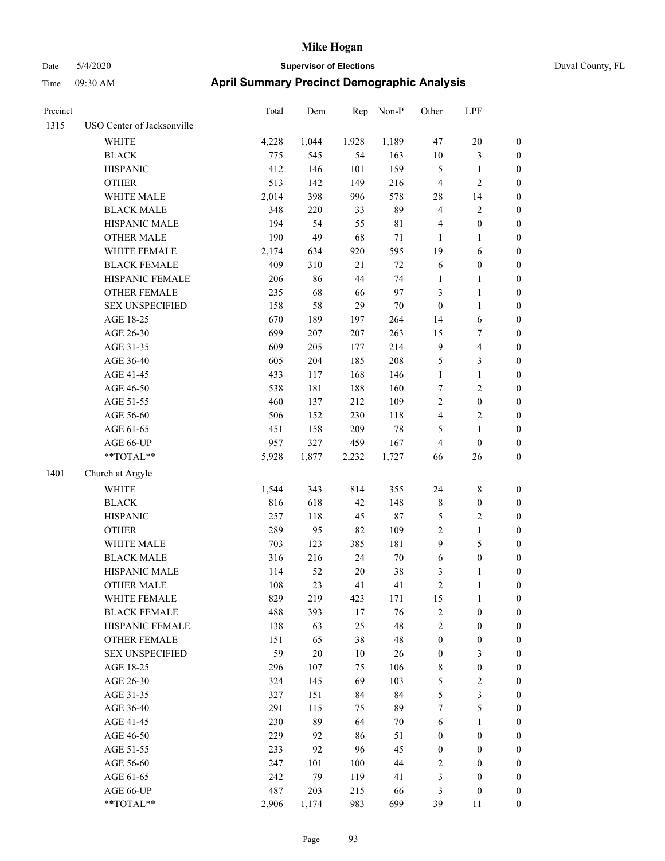| Precinct |                            | Total | Dem    | Rep    | Non-P       | Other            | LPF                     |                  |
|----------|----------------------------|-------|--------|--------|-------------|------------------|-------------------------|------------------|
| 1315     | USO Center of Jacksonville |       |        |        |             |                  |                         |                  |
|          | WHITE                      | 4,228 | 1,044  | 1,928  | 1,189       | 47               | 20                      | $\boldsymbol{0}$ |
|          | <b>BLACK</b>               | 775   | 545    | 54     | 163         | 10               | 3                       | $\boldsymbol{0}$ |
|          | <b>HISPANIC</b>            | 412   | 146    | 101    | 159         | $\mathfrak{S}$   | $\mathbf{1}$            | $\boldsymbol{0}$ |
|          | <b>OTHER</b>               | 513   | 142    | 149    | 216         | $\overline{4}$   | $\overline{c}$          | $\boldsymbol{0}$ |
|          | WHITE MALE                 | 2,014 | 398    | 996    | 578         | 28               | 14                      | $\boldsymbol{0}$ |
|          | <b>BLACK MALE</b>          | 348   | 220    | 33     | 89          | $\overline{4}$   | 2                       | $\boldsymbol{0}$ |
|          | HISPANIC MALE              | 194   | 54     | 55     | $8\sqrt{1}$ | $\overline{4}$   | $\boldsymbol{0}$        | $\boldsymbol{0}$ |
|          | <b>OTHER MALE</b>          | 190   | 49     | 68     | $71\,$      | 1                | 1                       | $\boldsymbol{0}$ |
|          | WHITE FEMALE               | 2,174 | 634    | 920    | 595         | 19               | 6                       | $\boldsymbol{0}$ |
|          | <b>BLACK FEMALE</b>        | 409   | 310    | 21     | $72\,$      | 6                | $\boldsymbol{0}$        | $\boldsymbol{0}$ |
|          | HISPANIC FEMALE            | 206   | 86     | 44     | 74          | $\mathbf{1}$     | 1                       | $\boldsymbol{0}$ |
|          | <b>OTHER FEMALE</b>        | 235   | 68     | 66     | 97          | $\mathfrak{Z}$   | 1                       | $\boldsymbol{0}$ |
|          | <b>SEX UNSPECIFIED</b>     | 158   | $58\,$ | 29     | $70\,$      | $\boldsymbol{0}$ | 1                       | $\boldsymbol{0}$ |
|          | AGE 18-25                  | 670   | 189    | 197    | 264         | 14               | 6                       | $\boldsymbol{0}$ |
|          | AGE 26-30                  | 699   | 207    | 207    | 263         | 15               | 7                       | $\boldsymbol{0}$ |
|          | AGE 31-35                  | 609   | 205    | 177    | 214         | 9                | 4                       | $\boldsymbol{0}$ |
|          | AGE 36-40                  | 605   | 204    | 185    | 208         | $\mathfrak{S}$   | 3                       | $\boldsymbol{0}$ |
|          | AGE 41-45                  | 433   | 117    | 168    | 146         | $\mathbf{1}$     | 1                       | $\boldsymbol{0}$ |
|          | AGE 46-50                  | 538   | 181    | 188    | 160         | 7                | 2                       | $\boldsymbol{0}$ |
|          | AGE 51-55                  | 460   | 137    | 212    | 109         | $\overline{2}$   | $\boldsymbol{0}$        | $\boldsymbol{0}$ |
|          | AGE 56-60                  | 506   | 152    | 230    | 118         | $\overline{4}$   | $\overline{\mathbf{c}}$ | $\boldsymbol{0}$ |
|          | AGE 61-65                  | 451   | 158    | 209    | 78          | 5                | 1                       | $\boldsymbol{0}$ |
|          | AGE 66-UP                  | 957   | 327    | 459    | 167         | $\overline{4}$   | $\boldsymbol{0}$        | $\boldsymbol{0}$ |
|          | $**\text{TOTAL}**$         | 5,928 | 1,877  | 2,232  | 1,727       | 66               | 26                      | $\boldsymbol{0}$ |
| 1401     | Church at Argyle           |       |        |        |             |                  |                         |                  |
|          | <b>WHITE</b>               | 1,544 | 343    | 814    | 355         | 24               | $\,$ 8 $\,$             | $\boldsymbol{0}$ |
|          | <b>BLACK</b>               | 816   | 618    | 42     | 148         | $\,$ 8 $\,$      | $\boldsymbol{0}$        | $\boldsymbol{0}$ |
|          | <b>HISPANIC</b>            | 257   | 118    | 45     | $87\,$      | $\sqrt{5}$       | $\overline{\mathbf{c}}$ | $\boldsymbol{0}$ |
|          | <b>OTHER</b>               | 289   | 95     | 82     | 109         | $\sqrt{2}$       | $\mathbf{1}$            | $\boldsymbol{0}$ |
|          | WHITE MALE                 | 703   | 123    | 385    | 181         | 9                | 5                       | $\boldsymbol{0}$ |
|          | <b>BLACK MALE</b>          | 316   | 216    | 24     | $70\,$      | 6                | $\boldsymbol{0}$        | $\boldsymbol{0}$ |
|          | HISPANIC MALE              | 114   | 52     | $20\,$ | 38          | 3                | 1                       | $\boldsymbol{0}$ |
|          | <b>OTHER MALE</b>          | 108   | 23     | 41     | 41          | $\overline{2}$   | 1                       | $\boldsymbol{0}$ |
|          | WHITE FEMALE               | 829   | 219    | 423    | 171         | 15               | $\mathbf{1}$            | $\boldsymbol{0}$ |
|          | <b>BLACK FEMALE</b>        | 488   | 393    | 17     | 76          | $\sqrt{2}$       | $\boldsymbol{0}$        | $\boldsymbol{0}$ |
|          | HISPANIC FEMALE            | 138   | 63     | 25     | 48          | $\sqrt{2}$       | $\boldsymbol{0}$        | $\boldsymbol{0}$ |
|          | OTHER FEMALE               | 151   | 65     | 38     | 48          | $\boldsymbol{0}$ | $\boldsymbol{0}$        | $\boldsymbol{0}$ |
|          | <b>SEX UNSPECIFIED</b>     | 59    | $20\,$ | $10\,$ | $26\,$      | $\boldsymbol{0}$ | 3                       | $\boldsymbol{0}$ |
|          | AGE 18-25                  | 296   | 107    | 75     | 106         | $\,8\,$          | $\boldsymbol{0}$        | $\boldsymbol{0}$ |
|          | AGE 26-30                  | 324   | 145    | 69     | 103         | $\mathfrak{S}$   | $\sqrt{2}$              | $\boldsymbol{0}$ |
|          | AGE 31-35                  | 327   | 151    | 84     | 84          | 5                | 3                       | $\boldsymbol{0}$ |
|          | AGE 36-40                  | 291   | 115    | 75     | 89          | 7                | 5                       | $\boldsymbol{0}$ |
|          | AGE 41-45                  | 230   | 89     | 64     | 70          | 6                | 1                       | $\boldsymbol{0}$ |
|          | AGE 46-50                  | 229   | 92     | 86     | 51          | $\boldsymbol{0}$ | $\boldsymbol{0}$        | $\boldsymbol{0}$ |
|          | AGE 51-55                  | 233   | 92     | 96     | 45          | $\boldsymbol{0}$ | $\boldsymbol{0}$        | $\boldsymbol{0}$ |
|          | AGE 56-60                  | 247   | 101    | 100    | 44          | $\sqrt{2}$       | $\boldsymbol{0}$        | $\boldsymbol{0}$ |
|          | AGE 61-65                  | 242   | 79     | 119    | 41          | $\mathfrak{Z}$   | $\boldsymbol{0}$        | $\boldsymbol{0}$ |
|          | AGE 66-UP                  | 487   | 203    | 215    | 66          | $\mathfrak{Z}$   | $\boldsymbol{0}$        | $\mathbf{0}$     |
|          | **TOTAL**                  | 2,906 | 1,174  | 983    | 699         | 39               | $11\,$                  | $\boldsymbol{0}$ |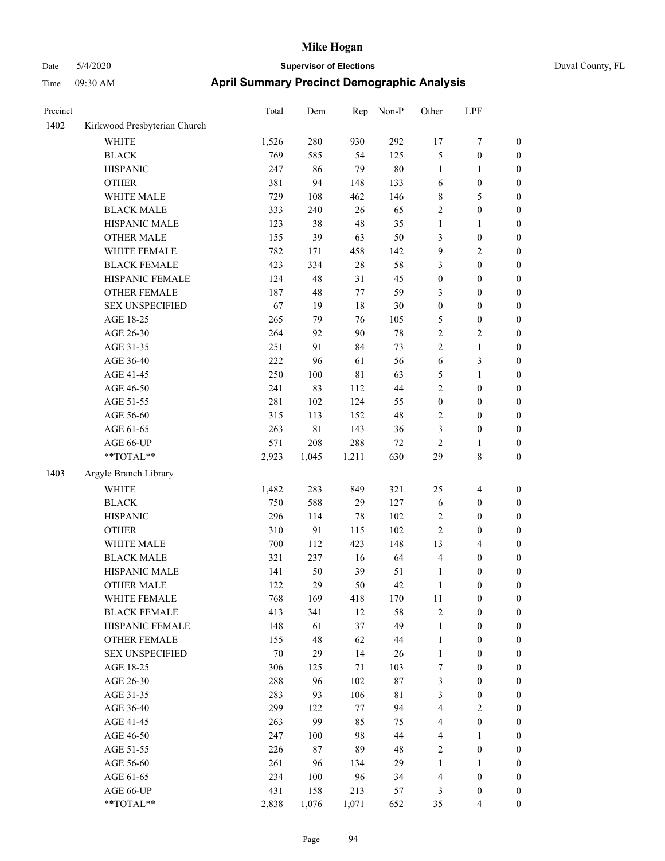| Precinct |                              | <b>Total</b> | Dem         | Rep    | Non-P       | Other            | LPF              |                  |
|----------|------------------------------|--------------|-------------|--------|-------------|------------------|------------------|------------------|
| 1402     | Kirkwood Presbyterian Church |              |             |        |             |                  |                  |                  |
|          | WHITE                        | 1,526        | 280         | 930    | 292         | 17               | 7                | $\boldsymbol{0}$ |
|          | <b>BLACK</b>                 | 769          | 585         | 54     | 125         | 5                | $\boldsymbol{0}$ | $\boldsymbol{0}$ |
|          | <b>HISPANIC</b>              | 247          | 86          | 79     | $80\,$      | $\mathbf{1}$     | 1                | $\boldsymbol{0}$ |
|          | <b>OTHER</b>                 | 381          | 94          | 148    | 133         | 6                | $\boldsymbol{0}$ | $\boldsymbol{0}$ |
|          | WHITE MALE                   | 729          | 108         | 462    | 146         | $\,$ 8 $\,$      | 5                | $\boldsymbol{0}$ |
|          | <b>BLACK MALE</b>            | 333          | 240         | 26     | 65          | $\sqrt{2}$       | $\boldsymbol{0}$ | $\boldsymbol{0}$ |
|          | HISPANIC MALE                | 123          | 38          | 48     | 35          | $\mathbf{1}$     | 1                | $\boldsymbol{0}$ |
|          | <b>OTHER MALE</b>            | 155          | 39          | 63     | 50          | 3                | $\boldsymbol{0}$ | $\boldsymbol{0}$ |
|          | WHITE FEMALE                 | 782          | 171         | 458    | 142         | 9                | 2                | $\boldsymbol{0}$ |
|          | <b>BLACK FEMALE</b>          | 423          | 334         | $28\,$ | 58          | 3                | $\boldsymbol{0}$ | $\boldsymbol{0}$ |
|          | HISPANIC FEMALE              | 124          | 48          | 31     | 45          | $\boldsymbol{0}$ | $\boldsymbol{0}$ | $\boldsymbol{0}$ |
|          | <b>OTHER FEMALE</b>          | 187          | 48          | 77     | 59          | 3                | $\boldsymbol{0}$ | $\boldsymbol{0}$ |
|          | <b>SEX UNSPECIFIED</b>       | 67           | 19          | 18     | $30\,$      | $\boldsymbol{0}$ | $\boldsymbol{0}$ | $\boldsymbol{0}$ |
|          | AGE 18-25                    | 265          | 79          | 76     | 105         | $\mathfrak{S}$   | $\boldsymbol{0}$ | $\boldsymbol{0}$ |
|          | AGE 26-30                    | 264          | 92          | 90     | 78          | $\sqrt{2}$       | 2                | $\boldsymbol{0}$ |
|          | AGE 31-35                    | 251          | 91          | 84     | 73          | $\overline{2}$   | 1                | $\boldsymbol{0}$ |
|          | AGE 36-40                    | 222          | 96          | 61     | 56          | 6                | 3                | $\boldsymbol{0}$ |
|          | AGE 41-45                    | 250          | 100         | 81     | 63          | 5                | 1                | $\boldsymbol{0}$ |
|          | AGE 46-50                    | 241          | 83          | 112    | 44          | $\overline{2}$   | $\boldsymbol{0}$ | $\boldsymbol{0}$ |
|          | AGE 51-55                    | 281          | 102         | 124    | 55          | $\boldsymbol{0}$ | $\boldsymbol{0}$ | $\boldsymbol{0}$ |
|          | AGE 56-60                    | 315          | 113         | 152    | 48          | $\overline{2}$   | $\boldsymbol{0}$ | $\boldsymbol{0}$ |
|          | AGE 61-65                    | 263          | $8\sqrt{1}$ | 143    | 36          | 3                | $\boldsymbol{0}$ | $\boldsymbol{0}$ |
|          | AGE 66-UP                    | 571          | 208         | 288    | $72\,$      | $\sqrt{2}$       | 1                | $\boldsymbol{0}$ |
|          | **TOTAL**                    | 2,923        | 1,045       | 1,211  | 630         | 29               | 8                | $\boldsymbol{0}$ |
| 1403     | Argyle Branch Library        |              |             |        |             |                  |                  |                  |
|          | <b>WHITE</b>                 | 1,482        | 283         | 849    | 321         | 25               | 4                | $\boldsymbol{0}$ |
|          | <b>BLACK</b>                 | 750          | 588         | 29     | 127         | 6                | $\boldsymbol{0}$ | $\boldsymbol{0}$ |
|          | <b>HISPANIC</b>              | 296          | 114         | 78     | 102         | $\sqrt{2}$       | $\boldsymbol{0}$ | $\boldsymbol{0}$ |
|          | <b>OTHER</b>                 | 310          | 91          | 115    | 102         | $\overline{2}$   | $\boldsymbol{0}$ | $\boldsymbol{0}$ |
|          | WHITE MALE                   | 700          | 112         | 423    | 148         | 13               | 4                | $\boldsymbol{0}$ |
|          | <b>BLACK MALE</b>            | 321          | 237         | 16     | 64          | $\overline{4}$   | $\boldsymbol{0}$ | $\boldsymbol{0}$ |
|          | HISPANIC MALE                | 141          | 50          | 39     | 51          | $\mathbf{1}$     | $\boldsymbol{0}$ | $\boldsymbol{0}$ |
|          | <b>OTHER MALE</b>            | 122          | 29          | 50     | 42          | 1                | 0                | $\boldsymbol{0}$ |
|          | WHITE FEMALE                 | 768          | 169         | 418    | 170         | 11               | $\boldsymbol{0}$ | $\boldsymbol{0}$ |
|          | <b>BLACK FEMALE</b>          | 413          | 341         | 12     | 58          | $\sqrt{2}$       | $\boldsymbol{0}$ | $\boldsymbol{0}$ |
|          | HISPANIC FEMALE              | 148          | 61          | 37     | 49          | $\mathbf{1}$     | $\boldsymbol{0}$ | $\boldsymbol{0}$ |
|          | OTHER FEMALE                 | 155          | 48          | 62     | 44          | $\mathbf{1}$     | $\boldsymbol{0}$ | $\boldsymbol{0}$ |
|          | <b>SEX UNSPECIFIED</b>       | 70           | 29          | 14     | 26          | $\mathbf{1}$     | $\boldsymbol{0}$ | $\boldsymbol{0}$ |
|          | AGE 18-25                    | 306          | 125         | 71     | 103         | 7                | $\boldsymbol{0}$ | $\boldsymbol{0}$ |
|          | AGE 26-30                    | 288          | 96          | 102    | 87          | $\mathfrak{Z}$   | $\boldsymbol{0}$ | $\boldsymbol{0}$ |
|          | AGE 31-35                    | 283          | 93          | 106    | $8\sqrt{1}$ | 3                | $\boldsymbol{0}$ | $\boldsymbol{0}$ |
|          | AGE 36-40                    | 299          | 122         | 77     | 94          | $\overline{4}$   | $\mathbf{2}$     | $\boldsymbol{0}$ |
|          | AGE 41-45                    | 263          | 99          | 85     | 75          | $\overline{4}$   | $\boldsymbol{0}$ | $\boldsymbol{0}$ |
|          | AGE 46-50                    | 247          | 100         | 98     | 44          | $\overline{4}$   | 1                | $\boldsymbol{0}$ |
|          | AGE 51-55                    | 226          | $87\,$      | 89     | 48          | $\sqrt{2}$       | $\boldsymbol{0}$ | $\boldsymbol{0}$ |
|          | AGE 56-60                    | 261          | 96          | 134    | 29          | $\mathbf{1}$     | $\mathbf{1}$     | $\boldsymbol{0}$ |
|          | AGE 61-65                    | 234          | 100         | 96     | 34          | $\overline{4}$   | $\boldsymbol{0}$ | $\boldsymbol{0}$ |
|          | AGE 66-UP                    | 431          | 158         | 213    | 57          | 3                | $\boldsymbol{0}$ | $\boldsymbol{0}$ |
|          | $**TOTAL**$                  | 2,838        | 1,076       | 1,071  | 652         | 35               | 4                | $\boldsymbol{0}$ |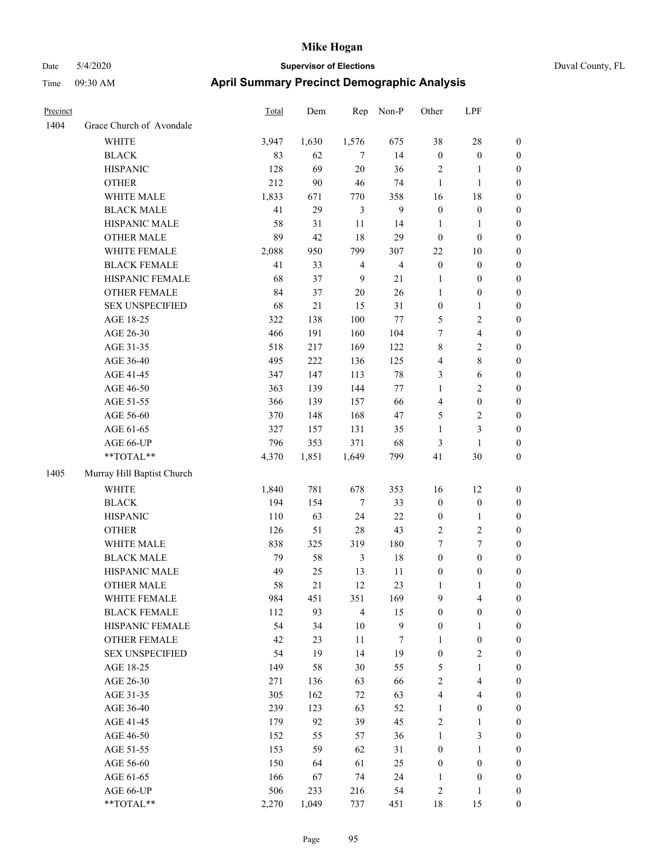| Precinct |                            | Total | Dem    | Rep            | Non-P          | Other                   | LPF              |                  |
|----------|----------------------------|-------|--------|----------------|----------------|-------------------------|------------------|------------------|
| 1404     | Grace Church of Avondale   |       |        |                |                |                         |                  |                  |
|          | <b>WHITE</b>               | 3,947 | 1,630  | 1,576          | 675            | 38                      | 28               | $\boldsymbol{0}$ |
|          | <b>BLACK</b>               | 83    | 62     | 7              | 14             | $\boldsymbol{0}$        | $\boldsymbol{0}$ | $\boldsymbol{0}$ |
|          | <b>HISPANIC</b>            | 128   | 69     | 20             | 36             | $\overline{2}$          | 1                | $\boldsymbol{0}$ |
|          | <b>OTHER</b>               | 212   | 90     | 46             | 74             | $\mathbf{1}$            | 1                | $\boldsymbol{0}$ |
|          | WHITE MALE                 | 1,833 | 671    | 770            | 358            | 16                      | 18               | $\boldsymbol{0}$ |
|          | <b>BLACK MALE</b>          | 41    | 29     | 3              | 9              | $\boldsymbol{0}$        | $\boldsymbol{0}$ | $\boldsymbol{0}$ |
|          | HISPANIC MALE              | 58    | 31     | 11             | 14             | $\mathbf{1}$            | $\mathbf{1}$     | $\boldsymbol{0}$ |
|          | <b>OTHER MALE</b>          | 89    | 42     | 18             | 29             | $\boldsymbol{0}$        | $\boldsymbol{0}$ | $\boldsymbol{0}$ |
|          | WHITE FEMALE               | 2,088 | 950    | 799            | 307            | 22                      | 10               | $\boldsymbol{0}$ |
|          | <b>BLACK FEMALE</b>        | 41    | 33     | $\overline{4}$ | $\overline{4}$ | $\boldsymbol{0}$        | $\boldsymbol{0}$ | $\boldsymbol{0}$ |
|          | HISPANIC FEMALE            | 68    | 37     | 9              | 21             | $\mathbf{1}$            | $\boldsymbol{0}$ | $\boldsymbol{0}$ |
|          | OTHER FEMALE               | 84    | 37     | 20             | 26             | $\mathbf{1}$            | $\boldsymbol{0}$ | $\boldsymbol{0}$ |
|          | <b>SEX UNSPECIFIED</b>     | 68    | $21\,$ | 15             | 31             | $\boldsymbol{0}$        | 1                | $\boldsymbol{0}$ |
|          | AGE 18-25                  | 322   | 138    | 100            | 77             | 5                       | 2                | $\boldsymbol{0}$ |
|          | AGE 26-30                  | 466   | 191    | 160            | 104            | 7                       | 4                | $\boldsymbol{0}$ |
|          | AGE 31-35                  | 518   | 217    | 169            | 122            | $\,$ 8 $\,$             | 2                | $\boldsymbol{0}$ |
|          | AGE 36-40                  | 495   | 222    | 136            | 125            | $\overline{4}$          | 8                | $\boldsymbol{0}$ |
|          | AGE 41-45                  | 347   | 147    | 113            | 78             | $\mathfrak{Z}$          | 6                | $\boldsymbol{0}$ |
|          | AGE 46-50                  | 363   | 139    | 144            | 77             | $\mathbf{1}$            | 2                | $\boldsymbol{0}$ |
|          | AGE 51-55                  | 366   | 139    | 157            | 66             | $\overline{4}$          | $\boldsymbol{0}$ | $\boldsymbol{0}$ |
|          | AGE 56-60                  | 370   | 148    | 168            | 47             | 5                       | 2                | $\boldsymbol{0}$ |
|          | AGE 61-65                  | 327   | 157    | 131            | 35             | 1                       | 3                | $\boldsymbol{0}$ |
|          | AGE 66-UP                  | 796   | 353    | 371            | 68             | $\mathfrak{Z}$          | 1                | $\boldsymbol{0}$ |
|          | **TOTAL**                  | 4,370 | 1,851  | 1,649          | 799            | 41                      | 30               | $\boldsymbol{0}$ |
| 1405     | Murray Hill Baptist Church |       |        |                |                |                         |                  |                  |
|          | <b>WHITE</b>               | 1,840 | 781    | 678            | 353            | 16                      | 12               | $\boldsymbol{0}$ |
|          | <b>BLACK</b>               | 194   | 154    | $\overline{7}$ | 33             | $\boldsymbol{0}$        | $\boldsymbol{0}$ | $\boldsymbol{0}$ |
|          | <b>HISPANIC</b>            | 110   | 63     | 24             | 22             | $\boldsymbol{0}$        | 1                | $\boldsymbol{0}$ |
|          | <b>OTHER</b>               | 126   | 51     | 28             | 43             | $\overline{2}$          | 2                | $\boldsymbol{0}$ |
|          | WHITE MALE                 | 838   | 325    | 319            | 180            | 7                       | 7                | $\boldsymbol{0}$ |
|          | <b>BLACK MALE</b>          | 79    | 58     | $\mathfrak{Z}$ | $18\,$         | $\boldsymbol{0}$        | $\boldsymbol{0}$ | $\boldsymbol{0}$ |
|          | HISPANIC MALE              | 49    | 25     | 13             | 11             | $\boldsymbol{0}$        | $\boldsymbol{0}$ | $\boldsymbol{0}$ |
|          | <b>OTHER MALE</b>          | 58    | 21     | 12             | 23             | 1                       | 1                | $\boldsymbol{0}$ |
|          | WHITE FEMALE               | 984   | 451    | 351            | 169            | 9                       | 4                | $\boldsymbol{0}$ |
|          | <b>BLACK FEMALE</b>        | 112   | 93     | $\overline{4}$ | 15             | $\boldsymbol{0}$        | $\boldsymbol{0}$ | $\boldsymbol{0}$ |
|          | HISPANIC FEMALE            | 54    | 34     | $10\,$         | 9              | $\boldsymbol{0}$        | $\mathbf{1}$     | $\boldsymbol{0}$ |
|          | <b>OTHER FEMALE</b>        | 42    | 23     | 11             | $\overline{7}$ | $\mathbf{1}$            | $\boldsymbol{0}$ | $\boldsymbol{0}$ |
|          | <b>SEX UNSPECIFIED</b>     | 54    | 19     | 14             | 19             | $\boldsymbol{0}$        | 2                | $\boldsymbol{0}$ |
|          | AGE 18-25                  | 149   | 58     | 30             | 55             | 5                       | 1                | $\boldsymbol{0}$ |
|          | AGE 26-30                  | 271   | 136    | 63             | 66             | $\sqrt{2}$              | 4                | $\boldsymbol{0}$ |
|          | AGE 31-35                  | 305   | 162    | $72\,$         | 63             | $\overline{\mathbf{4}}$ | 4                | $\boldsymbol{0}$ |
|          | AGE 36-40                  | 239   | 123    | 63             | 52             | 1                       | $\boldsymbol{0}$ | $\boldsymbol{0}$ |
|          | AGE 41-45                  | 179   | 92     | 39             | 45             | $\sqrt{2}$              | $\mathbf{1}$     | $\boldsymbol{0}$ |
|          | AGE 46-50                  | 152   | 55     | 57             | 36             | $\mathbf{1}$            | 3                | $\boldsymbol{0}$ |
|          | AGE 51-55                  | 153   | 59     | 62             | 31             | $\boldsymbol{0}$        | 1                | $\boldsymbol{0}$ |
|          | AGE 56-60                  | 150   | 64     | 61             | 25             | $\boldsymbol{0}$        | $\boldsymbol{0}$ | $\boldsymbol{0}$ |
|          | AGE 61-65                  | 166   | 67     | 74             | 24             | 1                       | $\boldsymbol{0}$ | $\boldsymbol{0}$ |
|          | AGE 66-UP                  | 506   | 233    | 216            | 54             | $\overline{c}$          | 1                | $\mathbf{0}$     |
|          | **TOTAL**                  | 2,270 | 1,049  | 737            | 451            | 18                      | 15               | $\mathbf{0}$     |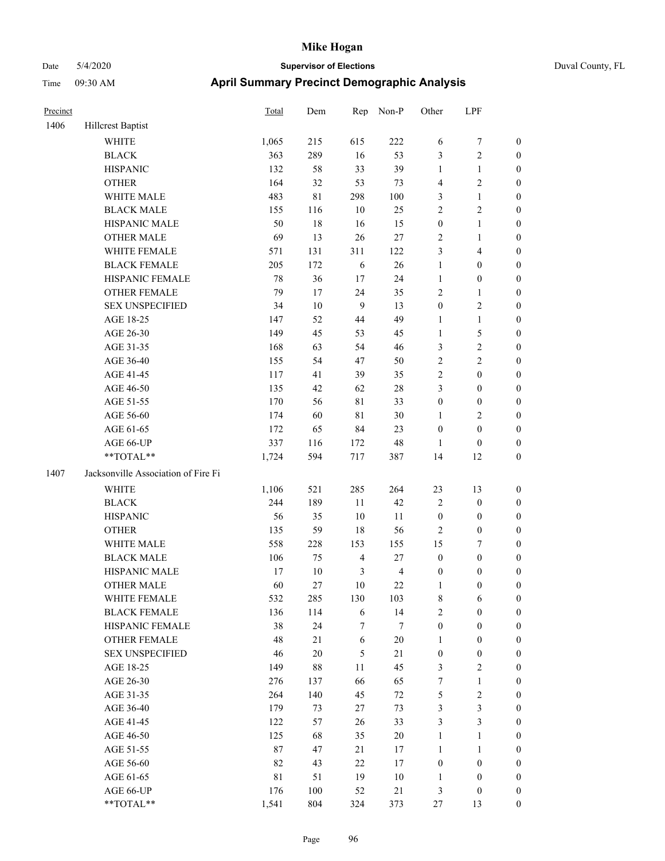| Duval County, FL |  |
|------------------|--|
|                  |  |

| Precinct |                                     | Total       | Dem     | Rep            | Non-P          | Other            | LPF              |                  |
|----------|-------------------------------------|-------------|---------|----------------|----------------|------------------|------------------|------------------|
| 1406     | Hillcrest Baptist                   |             |         |                |                |                  |                  |                  |
|          | <b>WHITE</b>                        | 1,065       | 215     | 615            | 222            | 6                | 7                | $\boldsymbol{0}$ |
|          | <b>BLACK</b>                        | 363         | 289     | 16             | 53             | 3                | $\sqrt{2}$       | $\boldsymbol{0}$ |
|          | <b>HISPANIC</b>                     | 132         | 58      | 33             | 39             | $\mathbf{1}$     | $\mathbf{1}$     | $\boldsymbol{0}$ |
|          | <b>OTHER</b>                        | 164         | 32      | 53             | 73             | 4                | $\sqrt{2}$       | $\boldsymbol{0}$ |
|          | WHITE MALE                          | 483         | 81      | 298            | 100            | 3                | $\mathbf{1}$     | $\boldsymbol{0}$ |
|          | <b>BLACK MALE</b>                   | 155         | 116     | $10\,$         | 25             | $\overline{2}$   | $\sqrt{2}$       | $\boldsymbol{0}$ |
|          | HISPANIC MALE                       | 50          | 18      | 16             | 15             | $\boldsymbol{0}$ | $\mathbf{1}$     | 0                |
|          | <b>OTHER MALE</b>                   | 69          | 13      | 26             | 27             | $\overline{c}$   | $\mathbf{1}$     | 0                |
|          | WHITE FEMALE                        | 571         | 131     | 311            | 122            | $\mathfrak{Z}$   | $\overline{4}$   | 0                |
|          | <b>BLACK FEMALE</b>                 | 205         | 172     | $\sqrt{6}$     | 26             | $\mathbf{1}$     | $\boldsymbol{0}$ | $\boldsymbol{0}$ |
|          | HISPANIC FEMALE                     | 78          | 36      | $17\,$         | 24             | $\mathbf{1}$     | $\boldsymbol{0}$ | $\boldsymbol{0}$ |
|          | OTHER FEMALE                        | 79          | 17      | 24             | 35             | $\overline{c}$   | $\mathbf{1}$     | $\boldsymbol{0}$ |
|          | <b>SEX UNSPECIFIED</b>              | 34          | $10\,$  | 9              | 13             | $\boldsymbol{0}$ | $\sqrt{2}$       | $\boldsymbol{0}$ |
|          | AGE 18-25                           | 147         | 52      | $44\,$         | 49             | $\mathbf{1}$     | $\mathbf{1}$     | $\boldsymbol{0}$ |
|          | AGE 26-30                           | 149         | 45      | 53             | 45             | $\mathbf{1}$     | $\sqrt{5}$       | $\boldsymbol{0}$ |
|          | AGE 31-35                           | 168         | 63      | 54             | 46             | 3                | $\sqrt{2}$       | $\boldsymbol{0}$ |
|          | AGE 36-40                           | 155         | 54      | 47             | 50             | $\sqrt{2}$       | $\sqrt{2}$       | $\boldsymbol{0}$ |
|          | AGE 41-45                           | 117         | 41      | 39             | 35             | $\sqrt{2}$       | $\boldsymbol{0}$ | 0                |
|          | AGE 46-50                           | 135         | 42      | 62             | $28\,$         | 3                | $\boldsymbol{0}$ | 0                |
|          | AGE 51-55                           | 170         | 56      | 81             | 33             | $\boldsymbol{0}$ | $\boldsymbol{0}$ | $\boldsymbol{0}$ |
|          | AGE 56-60                           | 174         | 60      | $8\sqrt{1}$    | $30\,$         | 1                | $\sqrt{2}$       | $\boldsymbol{0}$ |
|          | AGE 61-65                           | 172         | 65      | 84             | 23             | $\boldsymbol{0}$ | $\boldsymbol{0}$ | $\boldsymbol{0}$ |
|          | AGE 66-UP                           | 337         | 116     | 172            | 48             | $\mathbf{1}$     | $\boldsymbol{0}$ | $\boldsymbol{0}$ |
|          | **TOTAL**                           | 1,724       | 594     | 717            | 387            | 14               | 12               | $\boldsymbol{0}$ |
| 1407     | Jacksonville Association of Fire Fi |             |         |                |                |                  |                  |                  |
|          | WHITE                               | 1,106       | 521     | 285            | 264            | 23               | 13               | $\boldsymbol{0}$ |
|          | <b>BLACK</b>                        | 244         | 189     | 11             | 42             | $\overline{2}$   | $\boldsymbol{0}$ | $\boldsymbol{0}$ |
|          | <b>HISPANIC</b>                     | 56          | 35      | $10\,$         | 11             | $\boldsymbol{0}$ | $\boldsymbol{0}$ | $\boldsymbol{0}$ |
|          | <b>OTHER</b>                        | 135         | 59      | 18             | 56             | $\overline{2}$   | $\boldsymbol{0}$ | $\boldsymbol{0}$ |
|          | WHITE MALE                          | 558         | 228     | 153            | 155            | 15               | 7                | 0                |
|          | <b>BLACK MALE</b>                   | 106         | 75      | $\overline{4}$ | 27             | $\boldsymbol{0}$ | $\boldsymbol{0}$ | 0                |
|          | HISPANIC MALE                       | 17          | $10\,$  | 3              | $\overline{4}$ | $\boldsymbol{0}$ | $\boldsymbol{0}$ | 0                |
|          | <b>OTHER MALE</b>                   | 60          | 27      | $10\,$         | 22             | $\mathbf{1}$     | $\boldsymbol{0}$ | $\boldsymbol{0}$ |
|          | WHITE FEMALE                        | 532         | 285     | 130            | 103            | $\,8\,$          | 6                | $\boldsymbol{0}$ |
|          | <b>BLACK FEMALE</b>                 | 136         | 114     | $\sqrt{6}$     | 14             | $\sqrt{2}$       | $\boldsymbol{0}$ | $\overline{0}$   |
|          | HISPANIC FEMALE                     | 38          | 24      | 7              | 7              | $\boldsymbol{0}$ | $\boldsymbol{0}$ | $\overline{0}$   |
|          | <b>OTHER FEMALE</b>                 | 48          | 21      | $\sqrt{6}$     | $20\,$         | $\mathbf{1}$     | $\boldsymbol{0}$ | $\overline{0}$   |
|          | <b>SEX UNSPECIFIED</b>              | 46          | $20\,$  | $\mathfrak s$  | 21             | $\boldsymbol{0}$ | $\boldsymbol{0}$ | 0                |
|          | AGE 18-25                           | 149         | $88\,$  | $11\,$         | 45             | 3                | $\sqrt{2}$       | 0                |
|          | AGE 26-30                           | 276         | 137     | 66             | 65             | $\boldsymbol{7}$ | $\mathbf{1}$     | 0                |
|          | AGE 31-35                           | 264         | 140     | 45             | $72\,$         | $\sqrt{5}$       | $\sqrt{2}$       | 0                |
|          | AGE 36-40                           | 179         | 73      | 27             | 73             | $\mathfrak{Z}$   | $\mathfrak{Z}$   | $\overline{0}$   |
|          | AGE 41-45                           | 122         | 57      | 26             | 33             | 3                | $\mathfrak{Z}$   | $\boldsymbol{0}$ |
|          | AGE 46-50                           | 125         | 68      | 35             | $20\,$         | $\mathbf{1}$     | $\mathbf{1}$     | $\boldsymbol{0}$ |
|          | AGE 51-55                           | $87\,$      | 47      | 21             | 17             | $\mathbf{1}$     | $\mathbf{1}$     | $\boldsymbol{0}$ |
|          | AGE 56-60                           | 82          | 43      | $22\,$         | 17             | $\boldsymbol{0}$ | $\boldsymbol{0}$ | $\overline{0}$   |
|          | AGE 61-65                           | $8\sqrt{1}$ | 51      | 19             | 10             | $\mathbf{1}$     | $\boldsymbol{0}$ | $\overline{0}$   |
|          | AGE 66-UP                           | 176         | $100\,$ | 52             | 21             | $\mathfrak{Z}$   | $\boldsymbol{0}$ | $\overline{0}$   |
|          | **TOTAL**                           | 1,541       | 804     | 324            | 373            | $27\,$           | 13               | $\overline{0}$   |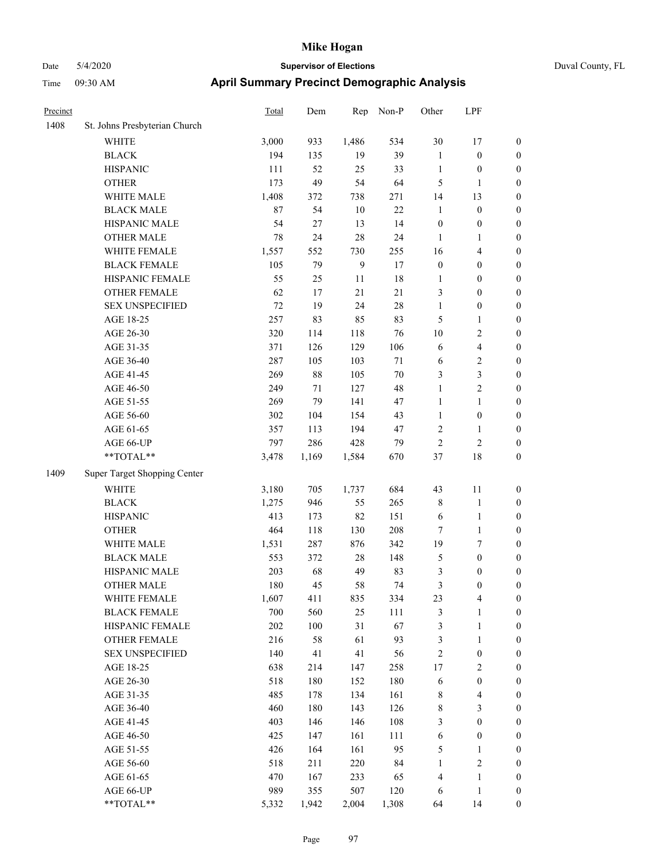| Precinct |                               | Total | Dem     | Rep   | Non-P | Other            | LPF                     |                  |
|----------|-------------------------------|-------|---------|-------|-------|------------------|-------------------------|------------------|
| 1408     | St. Johns Presbyterian Church |       |         |       |       |                  |                         |                  |
|          | <b>WHITE</b>                  | 3,000 | 933     | 1,486 | 534   | 30               | 17                      | $\boldsymbol{0}$ |
|          | <b>BLACK</b>                  | 194   | 135     | 19    | 39    | $\mathbf{1}$     | $\boldsymbol{0}$        | $\boldsymbol{0}$ |
|          | <b>HISPANIC</b>               | 111   | 52      | 25    | 33    | $\mathbf{1}$     | $\boldsymbol{0}$        | $\boldsymbol{0}$ |
|          | <b>OTHER</b>                  | 173   | 49      | 54    | 64    | 5                | 1                       | $\boldsymbol{0}$ |
|          | WHITE MALE                    | 1,408 | 372     | 738   | 271   | 14               | 13                      | $\boldsymbol{0}$ |
|          | <b>BLACK MALE</b>             | 87    | 54      | 10    | 22    | $\mathbf{1}$     | $\boldsymbol{0}$        | $\boldsymbol{0}$ |
|          | HISPANIC MALE                 | 54    | 27      | 13    | 14    | $\boldsymbol{0}$ | $\boldsymbol{0}$        | $\boldsymbol{0}$ |
|          | <b>OTHER MALE</b>             | 78    | 24      | 28    | 24    | 1                | 1                       | $\boldsymbol{0}$ |
|          | WHITE FEMALE                  | 1,557 | 552     | 730   | 255   | 16               | 4                       | $\boldsymbol{0}$ |
|          | <b>BLACK FEMALE</b>           | 105   | 79      | 9     | 17    | $\boldsymbol{0}$ | $\boldsymbol{0}$        | $\boldsymbol{0}$ |
|          | HISPANIC FEMALE               | 55    | 25      | 11    | 18    | $\mathbf{1}$     | $\boldsymbol{0}$        | $\boldsymbol{0}$ |
|          | <b>OTHER FEMALE</b>           | 62    | 17      | 21    | 21    | $\mathfrak{Z}$   | $\boldsymbol{0}$        | $\boldsymbol{0}$ |
|          | <b>SEX UNSPECIFIED</b>        | 72    | 19      | 24    | 28    | $\mathbf{1}$     | $\boldsymbol{0}$        | $\boldsymbol{0}$ |
|          | AGE 18-25                     | 257   | 83      | 85    | 83    | 5                | 1                       | $\boldsymbol{0}$ |
|          | AGE 26-30                     | 320   | 114     | 118   | 76    | 10               | 2                       | $\boldsymbol{0}$ |
|          | AGE 31-35                     | 371   | 126     | 129   | 106   | 6                | 4                       | $\boldsymbol{0}$ |
|          | AGE 36-40                     | 287   | 105     | 103   | 71    | 6                | 2                       | $\boldsymbol{0}$ |
|          | AGE 41-45                     | 269   | $88\,$  | 105   | 70    | $\mathfrak{Z}$   | 3                       | $\boldsymbol{0}$ |
|          | AGE 46-50                     | 249   | 71      | 127   | 48    | 1                | 2                       | $\boldsymbol{0}$ |
|          | AGE 51-55                     | 269   | 79      | 141   | 47    | $\mathbf{1}$     | 1                       | $\boldsymbol{0}$ |
|          | AGE 56-60                     | 302   | 104     | 154   | 43    | $\mathbf{1}$     | $\boldsymbol{0}$        | $\boldsymbol{0}$ |
|          | AGE 61-65                     | 357   | 113     | 194   | 47    | $\sqrt{2}$       | 1                       | $\boldsymbol{0}$ |
|          | AGE 66-UP                     | 797   | 286     | 428   | 79    | $\sqrt{2}$       | $\overline{c}$          | $\boldsymbol{0}$ |
|          | **TOTAL**                     | 3,478 | 1,169   | 1,584 | 670   | 37               | 18                      | $\boldsymbol{0}$ |
| 1409     | Super Target Shopping Center  |       |         |       |       |                  |                         |                  |
|          | <b>WHITE</b>                  | 3,180 | 705     | 1,737 | 684   | 43               | 11                      | $\boldsymbol{0}$ |
|          | <b>BLACK</b>                  | 1,275 | 946     | 55    | 265   | $\,$ 8 $\,$      | $\mathbf{1}$            | $\boldsymbol{0}$ |
|          | <b>HISPANIC</b>               | 413   | 173     | 82    | 151   | 6                | 1                       | $\boldsymbol{0}$ |
|          | <b>OTHER</b>                  | 464   | 118     | 130   | 208   | 7                | 1                       | $\boldsymbol{0}$ |
|          | WHITE MALE                    | 1,531 | 287     | 876   | 342   | 19               | 7                       | $\boldsymbol{0}$ |
|          | <b>BLACK MALE</b>             | 553   | 372     | 28    | 148   | $\mathfrak{S}$   | $\boldsymbol{0}$        | $\boldsymbol{0}$ |
|          | HISPANIC MALE                 | 203   | 68      | 49    | 83    | 3                | $\boldsymbol{0}$        | $\boldsymbol{0}$ |
|          | <b>OTHER MALE</b>             | 180   | 45      | 58    | 74    | 3                | $\boldsymbol{0}$        | $\boldsymbol{0}$ |
|          | WHITE FEMALE                  | 1,607 | 411     | 835   | 334   | 23               | $\overline{4}$          | $\boldsymbol{0}$ |
|          | <b>BLACK FEMALE</b>           | 700   | 560     | 25    | 111   | $\mathfrak z$    | 1                       | $\boldsymbol{0}$ |
|          | HISPANIC FEMALE               | 202   | $100\,$ | 31    | 67    | $\mathfrak z$    | $\mathbf{1}$            | $\boldsymbol{0}$ |
|          | <b>OTHER FEMALE</b>           | 216   | 58      | 61    | 93    | $\mathfrak{Z}$   | $\mathbf{1}$            | $\boldsymbol{0}$ |
|          | <b>SEX UNSPECIFIED</b>        | 140   | 41      | 41    | 56    | $\sqrt{2}$       | $\boldsymbol{0}$        | $\boldsymbol{0}$ |
|          | AGE 18-25                     | 638   | 214     | 147   | 258   | 17               | $\sqrt{2}$              | $\boldsymbol{0}$ |
|          | AGE 26-30                     | 518   | 180     | 152   | 180   | 6                | $\boldsymbol{0}$        | $\boldsymbol{0}$ |
|          | AGE 31-35                     | 485   | 178     | 134   | 161   | $\,$ 8 $\,$      | $\overline{\mathbf{4}}$ | $\boldsymbol{0}$ |
|          | AGE 36-40                     | 460   | 180     | 143   | 126   | $\,$ 8 $\,$      | 3                       | $\boldsymbol{0}$ |
|          | AGE 41-45                     | 403   | 146     | 146   | 108   | $\mathfrak{Z}$   | $\boldsymbol{0}$        | $\boldsymbol{0}$ |
|          | AGE 46-50                     | 425   | 147     | 161   | 111   | 6                | $\boldsymbol{0}$        | $\boldsymbol{0}$ |
|          | AGE 51-55                     | 426   | 164     | 161   | 95    | $\sqrt{5}$       | 1                       | $\boldsymbol{0}$ |
|          | AGE 56-60                     | 518   | 211     | 220   | 84    | $\mathbf{1}$     | 2                       | $\boldsymbol{0}$ |
|          | AGE 61-65                     | 470   | 167     | 233   | 65    | $\overline{4}$   | 1                       | $\boldsymbol{0}$ |
|          | AGE 66-UP                     | 989   | 355     | 507   | 120   | 6                | 1                       | $\boldsymbol{0}$ |
|          | **TOTAL**                     | 5,332 | 1,942   | 2,004 | 1,308 | 64               | 14                      | $\boldsymbol{0}$ |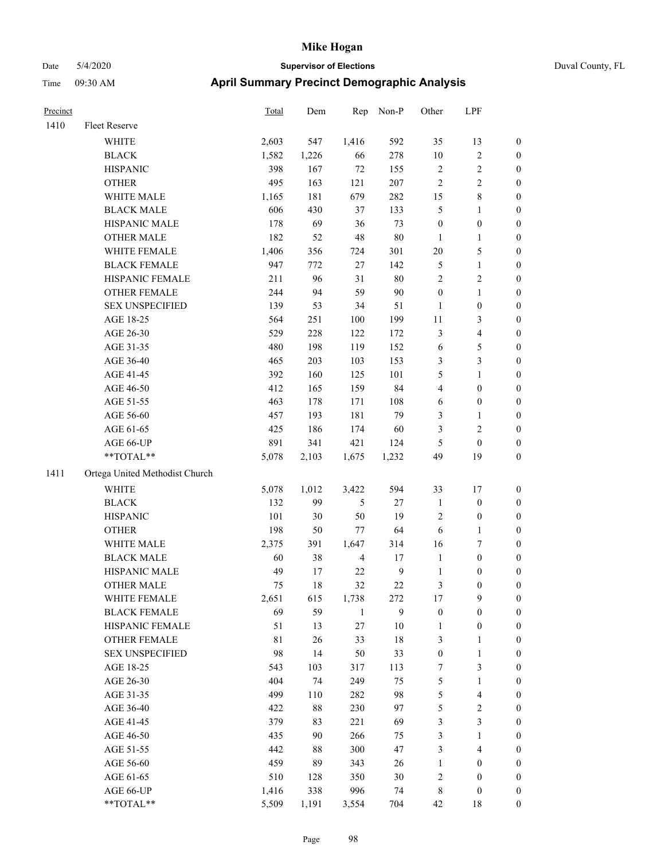|  | Duval 0 |  |
|--|---------|--|
|  |         |  |

| Precinct |                                | <b>Total</b> | Dem    | Rep            | Non-P        | Other            | LPF                     |                  |
|----------|--------------------------------|--------------|--------|----------------|--------------|------------------|-------------------------|------------------|
| 1410     | Fleet Reserve                  |              |        |                |              |                  |                         |                  |
|          | WHITE                          | 2,603        | 547    | 1,416          | 592          | 35               | 13                      | $\boldsymbol{0}$ |
|          | <b>BLACK</b>                   | 1,582        | 1,226  | 66             | 278          | $10\,$           | $\sqrt{2}$              | $\boldsymbol{0}$ |
|          | <b>HISPANIC</b>                | 398          | 167    | $72\,$         | 155          | $\overline{c}$   | $\sqrt{2}$              | 0                |
|          | <b>OTHER</b>                   | 495          | 163    | 121            | 207          | $\sqrt{2}$       | $\sqrt{2}$              | 0                |
|          | WHITE MALE                     | 1,165        | 181    | 679            | 282          | 15               | $\,$ 8 $\,$             | $\boldsymbol{0}$ |
|          | <b>BLACK MALE</b>              | 606          | 430    | 37             | 133          | 5                | $\mathbf{1}$            | $\boldsymbol{0}$ |
|          | HISPANIC MALE                  | 178          | 69     | 36             | 73           | $\boldsymbol{0}$ | $\boldsymbol{0}$        | $\boldsymbol{0}$ |
|          | OTHER MALE                     | 182          | 52     | 48             | $80\,$       | $\mathbf{1}$     | $\mathbf{1}$            | $\boldsymbol{0}$ |
|          | WHITE FEMALE                   | 1,406        | 356    | 724            | 301          | $20\,$           | $\mathfrak s$           | $\boldsymbol{0}$ |
|          | <b>BLACK FEMALE</b>            | 947          | 772    | 27             | 142          | 5                | $\mathbf{1}$            | $\boldsymbol{0}$ |
|          | HISPANIC FEMALE                | 211          | 96     | 31             | $80\,$       | $\sqrt{2}$       | $\sqrt{2}$              | 0                |
|          | OTHER FEMALE                   | 244          | 94     | 59             | 90           | $\boldsymbol{0}$ | $\mathbf{1}$            | 0                |
|          | <b>SEX UNSPECIFIED</b>         | 139          | 53     | 34             | 51           | $\mathbf{1}$     | $\boldsymbol{0}$        | 0                |
|          | AGE 18-25                      | 564          | 251    | 100            | 199          | 11               | 3                       | 0                |
|          | AGE 26-30                      | 529          | 228    | 122            | 172          | 3                | $\overline{\mathbf{4}}$ | $\boldsymbol{0}$ |
|          | AGE 31-35                      | 480          | 198    | 119            | 152          | 6                | $\mathfrak s$           | $\boldsymbol{0}$ |
|          | AGE 36-40                      | 465          | 203    | 103            | 153          | 3                | $\mathfrak{Z}$          | $\boldsymbol{0}$ |
|          | AGE 41-45                      | 392          | 160    | 125            | 101          | 5                | $\mathbf{1}$            | $\boldsymbol{0}$ |
|          | AGE 46-50                      | 412          | 165    | 159            | 84           | 4                | $\boldsymbol{0}$        | $\boldsymbol{0}$ |
|          | AGE 51-55                      | 463          | 178    | 171            | 108          | 6                | $\boldsymbol{0}$        | $\boldsymbol{0}$ |
|          | AGE 56-60                      | 457          | 193    | 181            | 79           | 3                | 1                       | 0                |
|          | AGE 61-65                      | 425          | 186    | 174            | 60           | 3                | $\sqrt{2}$              | 0                |
|          | AGE 66-UP                      | 891          | 341    | 421            | 124          | 5                | $\boldsymbol{0}$        | 0                |
|          | $**TOTAL**$                    | 5,078        | 2,103  | 1,675          | 1,232        | 49               | 19                      | $\boldsymbol{0}$ |
| 1411     | Ortega United Methodist Church |              |        |                |              |                  |                         |                  |
|          | <b>WHITE</b>                   | 5,078        | 1,012  | 3,422          | 594          | 33               | 17                      | $\boldsymbol{0}$ |
|          | <b>BLACK</b>                   | 132          | 99     | 5              | $27\,$       | $\mathbf{1}$     | $\boldsymbol{0}$        | $\boldsymbol{0}$ |
|          | <b>HISPANIC</b>                | 101          | 30     | 50             | 19           | 2                | $\boldsymbol{0}$        | $\boldsymbol{0}$ |
|          | <b>OTHER</b>                   | 198          | 50     | 77             | 64           | 6                | $\mathbf{1}$            | $\boldsymbol{0}$ |
|          | WHITE MALE                     | 2,375        | 391    | 1,647          | 314          | 16               | 7                       | $\boldsymbol{0}$ |
|          | <b>BLACK MALE</b>              | 60           | 38     | $\overline{4}$ | 17           | $\mathbf{1}$     | $\boldsymbol{0}$        | $\boldsymbol{0}$ |
|          | HISPANIC MALE                  | 49           | 17     | 22             | $\mathbf{9}$ | $\mathbf{1}$     | $\boldsymbol{0}$        | $\boldsymbol{0}$ |
|          | <b>OTHER MALE</b>              | 75           | 18     | 32             | 22           | 3                | $\boldsymbol{0}$        | $\boldsymbol{0}$ |
|          | WHITE FEMALE                   | 2,651        | 615    | 1,738          | 272          | 17               | $\mathbf{9}$            | 0                |
|          | <b>BLACK FEMALE</b>            | 69           | 59     | $\mathbf{1}$   | 9            | $\boldsymbol{0}$ | $\boldsymbol{0}$        | 0                |
|          | HISPANIC FEMALE                | 51           | 13     | 27             | $10\,$       | $\mathbf{1}$     | $\boldsymbol{0}$        | 0                |
|          | OTHER FEMALE                   | $8\sqrt{1}$  | 26     | 33             | $18\,$       | 3                | 1                       | 0                |
|          | <b>SEX UNSPECIFIED</b>         | 98           | 14     | 50             | 33           | $\boldsymbol{0}$ | $\mathbf{1}$            | $\boldsymbol{0}$ |
|          | AGE 18-25                      | 543          | 103    | 317            | 113          | 7                | $\mathfrak{Z}$          | 0                |
|          | AGE 26-30                      | 404          | 74     | 249            | 75           | 5                | $\mathbf{1}$            | 0                |
|          | AGE 31-35                      | 499          | 110    | 282            | 98           | 5                | $\overline{4}$          | 0                |
|          | AGE 36-40                      | 422          | $88\,$ | 230            | 97           | 5                | $\sqrt{2}$              | 0                |
|          | AGE 41-45                      | 379          | 83     | 221            | 69           | 3                | $\mathfrak{Z}$          | 0                |
|          | AGE 46-50                      | 435          | 90     | 266            | 75           | 3                | $\mathbf{1}$            | 0                |
|          | AGE 51-55                      | 442          | 88     | 300            | 47           | 3                | $\overline{4}$          | 0                |
|          | AGE 56-60                      | 459          | 89     | 343            | 26           | $\mathbf{1}$     | $\boldsymbol{0}$        | 0                |
|          | AGE 61-65                      | 510          | 128    | 350            | $30\,$       | 2                | $\boldsymbol{0}$        | $\boldsymbol{0}$ |
|          | AGE 66-UP                      | 1,416        | 338    | 996            | 74           | 8                | $\boldsymbol{0}$        | $\boldsymbol{0}$ |
|          | **TOTAL**                      | 5,509        | 1,191  | 3,554          | 704          | $42\,$           | 18                      | $\boldsymbol{0}$ |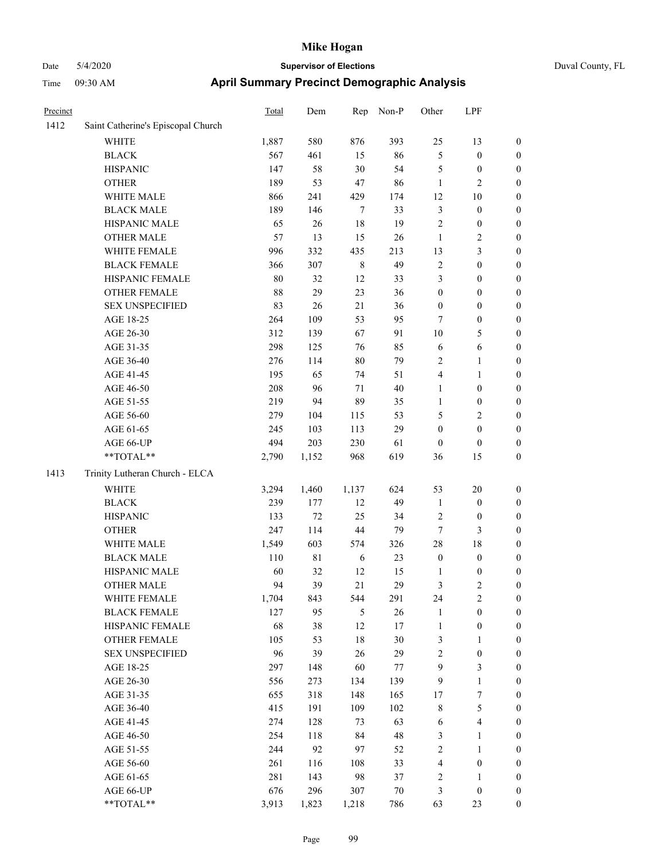| Duval County, FL |
|------------------|
|------------------|

| Precinct |                                    | <b>Total</b> | Dem    | Rep            | Non-P       | Other            | LPF                     |                  |
|----------|------------------------------------|--------------|--------|----------------|-------------|------------------|-------------------------|------------------|
| 1412     | Saint Catherine's Episcopal Church |              |        |                |             |                  |                         |                  |
|          | WHITE                              | 1,887        | 580    | 876            | 393         | 25               | 13                      | $\boldsymbol{0}$ |
|          | <b>BLACK</b>                       | 567          | 461    | 15             | 86          | 5                | $\boldsymbol{0}$        | $\boldsymbol{0}$ |
|          | <b>HISPANIC</b>                    | 147          | 58     | $30\,$         | 54          | 5                | $\boldsymbol{0}$        | 0                |
|          | <b>OTHER</b>                       | 189          | 53     | $47\,$         | 86          | $\mathbf{1}$     | $\sqrt{2}$              | 0                |
|          | WHITE MALE                         | 866          | 241    | 429            | 174         | 12               | 10                      | $\boldsymbol{0}$ |
|          | <b>BLACK MALE</b>                  | 189          | 146    | $\overline{7}$ | 33          | $\mathfrak{Z}$   | $\boldsymbol{0}$        | $\boldsymbol{0}$ |
|          | HISPANIC MALE                      | 65           | 26     | 18             | 19          | $\overline{c}$   | $\boldsymbol{0}$        | $\boldsymbol{0}$ |
|          | <b>OTHER MALE</b>                  | 57           | 13     | 15             | 26          | $\mathbf{1}$     | $\sqrt{2}$              | $\boldsymbol{0}$ |
|          | WHITE FEMALE                       | 996          | 332    | 435            | 213         | 13               | $\mathfrak{Z}$          | $\boldsymbol{0}$ |
|          | <b>BLACK FEMALE</b>                | 366          | 307    | $\,$ 8 $\,$    | 49          | $\overline{c}$   | $\boldsymbol{0}$        | $\boldsymbol{0}$ |
|          | HISPANIC FEMALE                    | 80           | 32     | 12             | 33          | 3                | $\boldsymbol{0}$        | $\boldsymbol{0}$ |
|          | <b>OTHER FEMALE</b>                | 88           | 29     | 23             | 36          | $\boldsymbol{0}$ | $\boldsymbol{0}$        | $\boldsymbol{0}$ |
|          | <b>SEX UNSPECIFIED</b>             | 83           | 26     | 21             | 36          | $\boldsymbol{0}$ | $\boldsymbol{0}$        | 0                |
|          | AGE 18-25                          | 264          | 109    | 53             | 95          | 7                | $\boldsymbol{0}$        | 0                |
|          | AGE 26-30                          | 312          | 139    | 67             | 91          | 10               | 5                       | $\boldsymbol{0}$ |
|          | AGE 31-35                          | 298          | 125    | 76             | 85          | 6                | 6                       | $\boldsymbol{0}$ |
|          | AGE 36-40                          | 276          | 114    | $80\,$         | 79          | $\overline{c}$   | $\mathbf{1}$            | $\boldsymbol{0}$ |
|          | AGE 41-45                          | 195          | 65     | 74             | 51          | 4                | $\mathbf{1}$            | $\boldsymbol{0}$ |
|          | AGE 46-50                          | 208          | 96     | 71             | 40          | $\mathbf{1}$     | $\boldsymbol{0}$        | $\boldsymbol{0}$ |
|          | AGE 51-55                          | 219          | 94     | 89             | 35          | $\mathbf{1}$     | $\boldsymbol{0}$        | $\boldsymbol{0}$ |
|          | AGE 56-60                          | 279          | 104    | 115            | 53          | 5                | $\sqrt{2}$              | $\boldsymbol{0}$ |
|          | AGE 61-65                          | 245          | 103    | 113            | 29          | $\boldsymbol{0}$ | $\boldsymbol{0}$        | 0                |
|          | AGE 66-UP                          | 494          | 203    | 230            | 61          | $\mathbf{0}$     | $\boldsymbol{0}$        | 0                |
|          | **TOTAL**                          | 2,790        | 1,152  | 968            | 619         | 36               | 15                      | $\boldsymbol{0}$ |
| 1413     | Trinity Lutheran Church - ELCA     |              |        |                |             |                  |                         |                  |
|          | <b>WHITE</b>                       | 3,294        | 1,460  | 1,137          | 624         | 53               | $20\,$                  | 0                |
|          | <b>BLACK</b>                       | 239          | 177    | 12             | 49          | $\mathbf{1}$     | $\boldsymbol{0}$        | $\boldsymbol{0}$ |
|          | <b>HISPANIC</b>                    | 133          | $72\,$ | 25             | 34          | 2                | $\boldsymbol{0}$        | $\boldsymbol{0}$ |
|          | <b>OTHER</b>                       | 247          | 114    | 44             | 79          | 7                | 3                       | $\boldsymbol{0}$ |
|          | WHITE MALE                         | 1,549        | 603    | 574            | 326         | 28               | $18\,$                  | $\boldsymbol{0}$ |
|          | <b>BLACK MALE</b>                  | 110          | 81     | 6              | 23          | $\boldsymbol{0}$ | $\boldsymbol{0}$        | $\boldsymbol{0}$ |
|          | HISPANIC MALE                      | 60           | 32     | 12             | 15          | $\mathbf{1}$     | $\boldsymbol{0}$        | $\boldsymbol{0}$ |
|          | <b>OTHER MALE</b>                  | 94           | 39     | 21             | 29          | 3                | $\overline{c}$          | $\boldsymbol{0}$ |
|          | WHITE FEMALE                       | 1,704        | 843    | 544            | 291         | 24               | $\sqrt{2}$              | 0                |
|          | <b>BLACK FEMALE</b>                | 127          | 95     | 5              | 26          | $\mathbf{1}$     | $\boldsymbol{0}$        | 0                |
|          | HISPANIC FEMALE                    | 68           | 38     | 12             | 17          | $\mathbf{1}$     | $\boldsymbol{0}$        | 0                |
|          | OTHER FEMALE                       | 105          | 53     | $18\,$         | 30          | $\mathfrak{Z}$   | 1                       | 0                |
|          | <b>SEX UNSPECIFIED</b>             | 96           | 39     | 26             | 29          | $\overline{c}$   | $\boldsymbol{0}$        | $\boldsymbol{0}$ |
|          | AGE 18-25                          | 297          | 148    | 60             | 77          | $\mathbf{9}$     | $\mathfrak{Z}$          | $\overline{0}$   |
|          | AGE 26-30                          | 556          | 273    | 134            | 139         | $\overline{9}$   | $\mathbf{1}$            | 0                |
|          | AGE 31-35                          | 655          | 318    | 148            | 165         | 17               | $\boldsymbol{7}$        | 0                |
|          | AGE 36-40                          | 415          | 191    | 109            | 102         | $\,$ 8 $\,$      | $\sqrt{5}$              | 0                |
|          | AGE 41-45                          | 274          | 128    | 73             | 63          | 6                | $\overline{\mathbf{4}}$ | 0                |
|          | AGE 46-50                          | 254          | 118    | 84             | $\sqrt{48}$ | 3                | $\mathbf{1}$            | 0                |
|          | AGE 51-55                          | 244          | 92     | 97             | 52          | $\sqrt{2}$       | $\mathbf{1}$            | 0                |
|          | AGE 56-60                          | 261          | 116    | 108            | 33          | 4                | $\boldsymbol{0}$        | 0                |
|          | AGE 61-65                          | 281          | 143    | 98             | 37          | $\sqrt{2}$       | $\mathbf{1}$            | $\boldsymbol{0}$ |
|          | AGE 66-UP                          | 676          | 296    | 307            | $70\,$      | 3                | $\boldsymbol{0}$        | $\boldsymbol{0}$ |
|          | **TOTAL**                          | 3,913        | 1,823  | 1,218          | 786         | 63               | 23                      | $\boldsymbol{0}$ |